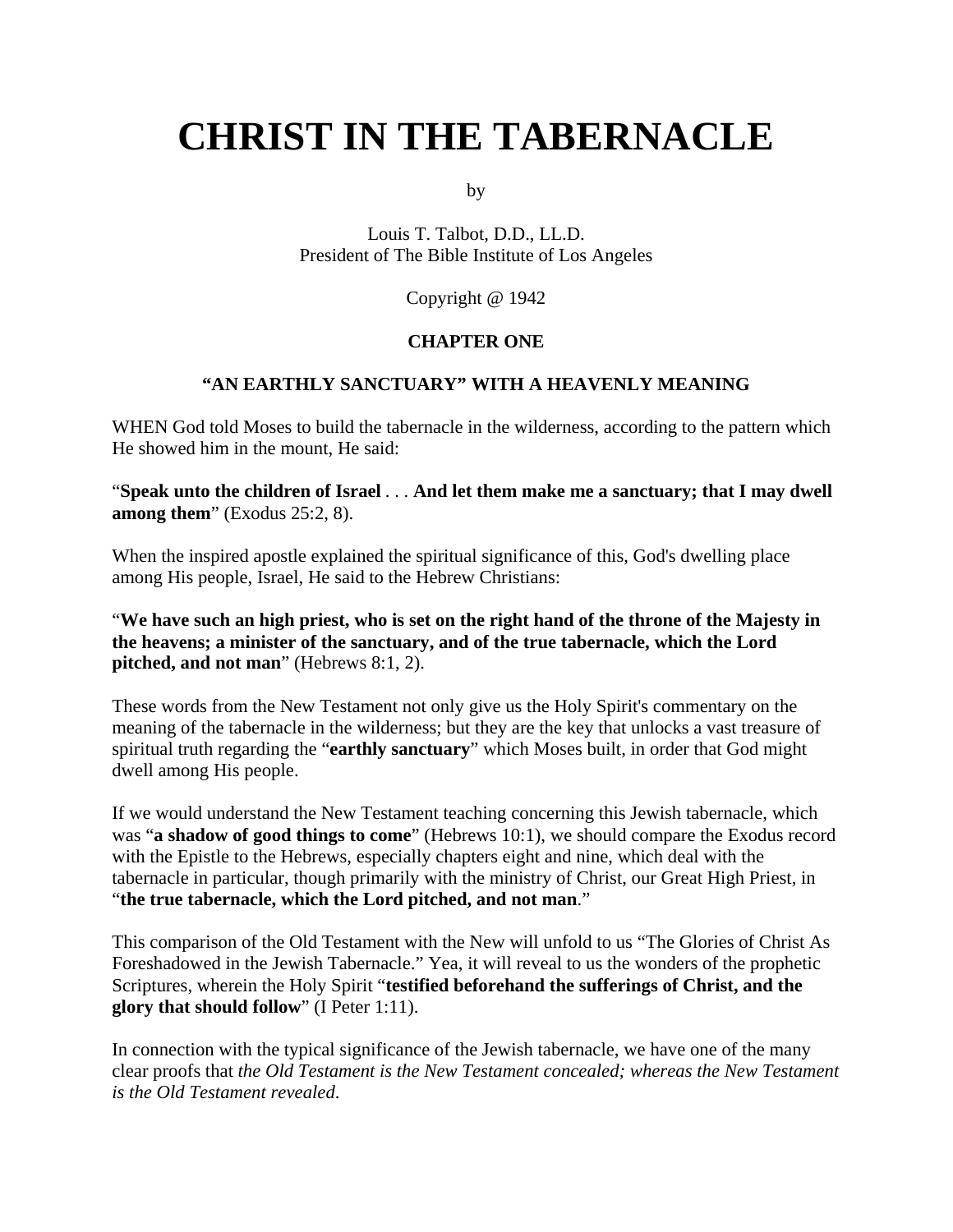# **CHRIST IN THE TABERNACLE**

by

Louis T. Talbot, D.D., LL.D. President of The Bible Institute of Los Angeles

Copyright @ 1942

#### **CHAPTER ONE**

#### **"AN EARTHLY SANCTUARY" WITH A HEAVENLY MEANING**

WHEN God told Moses to build the tabernacle in the wilderness, according to the pattern which He showed him in the mount, He said:

"**Speak unto the children of Israel** . . . **And let them make me a sanctuary; that I may dwell among them**" (Exodus 25:2, 8).

When the inspired apostle explained the spiritual significance of this, God's dwelling place among His people, Israel, He said to the Hebrew Christians:

"**We have such an high priest, who is set on the right hand of the throne of the Majesty in the heavens; a minister of the sanctuary, and of the true tabernacle, which the Lord pitched, and not man**" (Hebrews 8:1, 2).

These words from the New Testament not only give us the Holy Spirit's commentary on the meaning of the tabernacle in the wilderness; but they are the key that unlocks a vast treasure of spiritual truth regarding the "**earthly sanctuary**" which Moses built, in order that God might dwell among His people.

If we would understand the New Testament teaching concerning this Jewish tabernacle, which was "**a shadow of good things to come**" (Hebrews 10:1), we should compare the Exodus record with the Epistle to the Hebrews, especially chapters eight and nine, which deal with the tabernacle in particular, though primarily with the ministry of Christ, our Great High Priest, in "**the true tabernacle, which the Lord pitched, and not man**."

This comparison of the Old Testament with the New will unfold to us "The Glories of Christ As Foreshadowed in the Jewish Tabernacle." Yea, it will reveal to us the wonders of the prophetic Scriptures, wherein the Holy Spirit "**testified beforehand the sufferings of Christ, and the glory that should follow**" (I Peter 1:11).

In connection with the typical significance of the Jewish tabernacle, we have one of the many clear proofs that *the Old Testament is the New Testament concealed; whereas the New Testament is the Old Testament revealed*.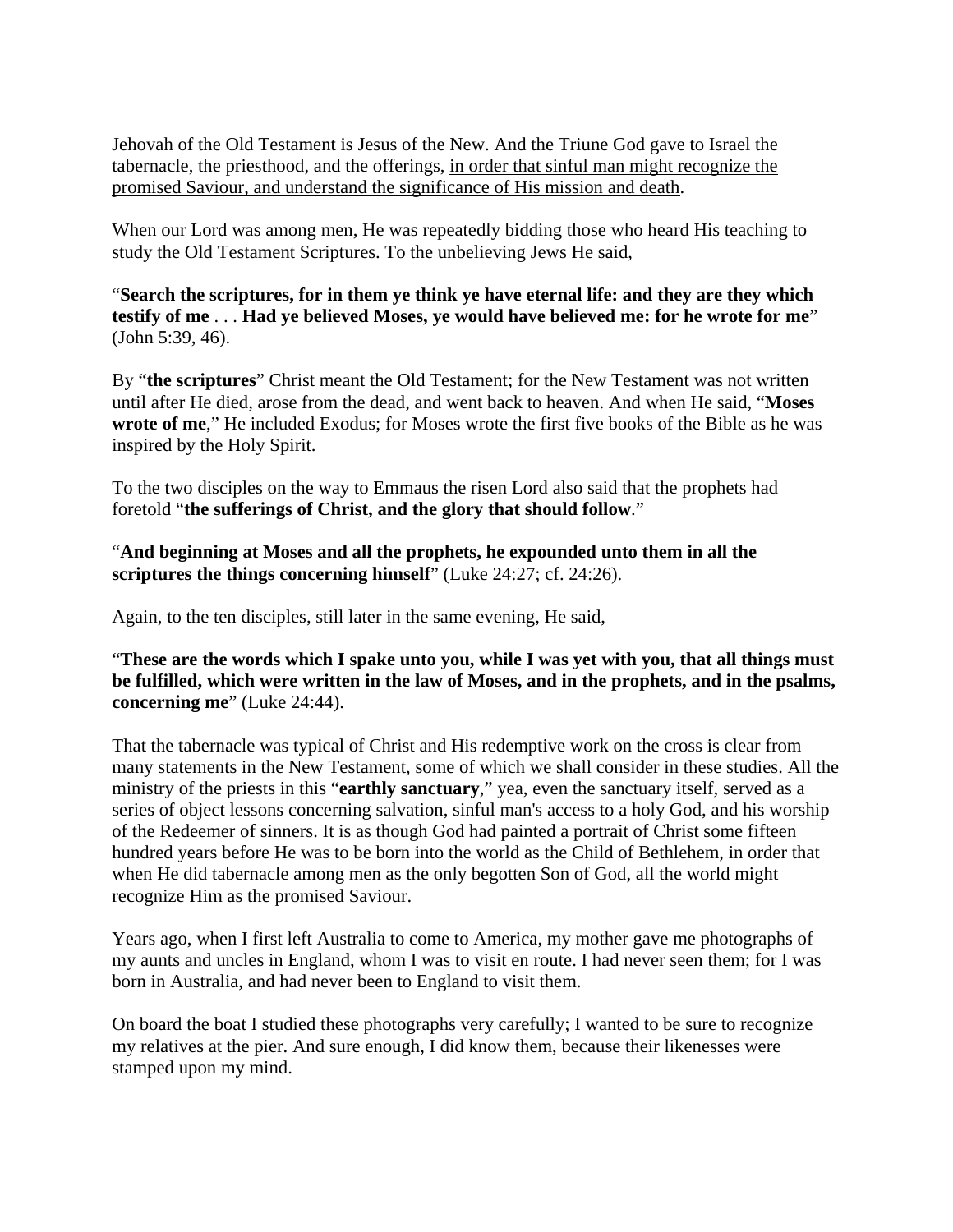Jehovah of the Old Testament is Jesus of the New. And the Triune God gave to Israel the tabernacle, the priesthood, and the offerings, in order that sinful man might recognize the promised Saviour, and understand the significance of His mission and death.

When our Lord was among men, He was repeatedly bidding those who heard His teaching to study the Old Testament Scriptures. To the unbelieving Jews He said,

"**Search the scriptures, for in them ye think ye have eternal life: and they are they which testify of me** . . . **Had ye believed Moses, ye would have believed me: for he wrote for me**" (John 5:39, 46).

By "**the scriptures**" Christ meant the Old Testament; for the New Testament was not written until after He died, arose from the dead, and went back to heaven. And when He said, "**Moses wrote of me**," He included Exodus; for Moses wrote the first five books of the Bible as he was inspired by the Holy Spirit.

To the two disciples on the way to Emmaus the risen Lord also said that the prophets had foretold "**the sufferings of Christ, and the glory that should follow**."

"**And beginning at Moses and all the prophets, he expounded unto them in all the scriptures the things concerning himself**" (Luke 24:27; cf. 24:26).

Again, to the ten disciples, still later in the same evening, He said,

"**These are the words which I spake unto you, while I was yet with you, that all things must be fulfilled, which were written in the law of Moses, and in the prophets, and in the psalms, concerning me**" (Luke 24:44).

That the tabernacle was typical of Christ and His redemptive work on the cross is clear from many statements in the New Testament, some of which we shall consider in these studies. All the ministry of the priests in this "**earthly sanctuary**," yea, even the sanctuary itself, served as a series of object lessons concerning salvation, sinful man's access to a holy God, and his worship of the Redeemer of sinners. It is as though God had painted a portrait of Christ some fifteen hundred years before He was to be born into the world as the Child of Bethlehem, in order that when He did tabernacle among men as the only begotten Son of God, all the world might recognize Him as the promised Saviour.

Years ago, when I first left Australia to come to America, my mother gave me photographs of my aunts and uncles in England, whom I was to visit en route. I had never seen them; for I was born in Australia, and had never been to England to visit them.

On board the boat I studied these photographs very carefully; I wanted to be sure to recognize my relatives at the pier. And sure enough, I did know them, because their likenesses were stamped upon my mind.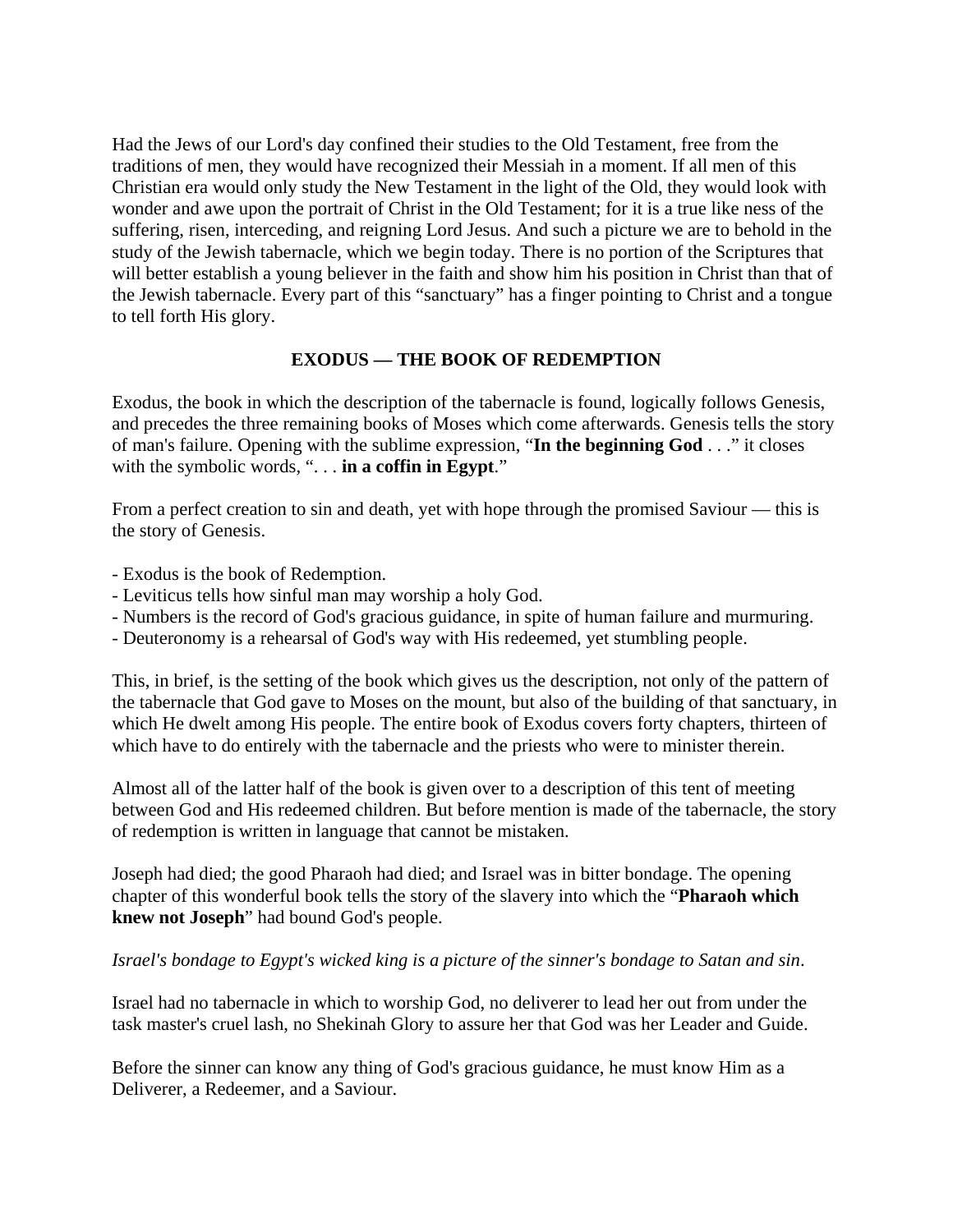Had the Jews of our Lord's day confined their studies to the Old Testament, free from the traditions of men, they would have recognized their Messiah in a moment. If all men of this Christian era would only study the New Testament in the light of the Old, they would look with wonder and awe upon the portrait of Christ in the Old Testament; for it is a true like ness of the suffering, risen, interceding, and reigning Lord Jesus. And such a picture we are to behold in the study of the Jewish tabernacle, which we begin today. There is no portion of the Scriptures that will better establish a young believer in the faith and show him his position in Christ than that of the Jewish tabernacle. Every part of this "sanctuary" has a finger pointing to Christ and a tongue to tell forth His glory.

### **EXODUS — THE BOOK OF REDEMPTION**

Exodus, the book in which the description of the tabernacle is found, logically follows Genesis, and precedes the three remaining books of Moses which come afterwards. Genesis tells the story of man's failure. Opening with the sublime expression, "**In the beginning God** . . ." it closes with the symbolic words, ". . . **in a coffin in Egypt**."

From a perfect creation to sin and death, yet with hope through the promised Saviour — this is the story of Genesis.

- Exodus is the book of Redemption.
- Leviticus tells how sinful man may worship a holy God.
- Numbers is the record of God's gracious guidance, in spite of human failure and murmuring.
- Deuteronomy is a rehearsal of God's way with His redeemed, yet stumbling people.

This, in brief, is the setting of the book which gives us the description, not only of the pattern of the tabernacle that God gave to Moses on the mount, but also of the building of that sanctuary, in which He dwelt among His people. The entire book of Exodus covers forty chapters, thirteen of which have to do entirely with the tabernacle and the priests who were to minister therein.

Almost all of the latter half of the book is given over to a description of this tent of meeting between God and His redeemed children. But before mention is made of the tabernacle, the story of redemption is written in language that cannot be mistaken.

Joseph had died; the good Pharaoh had died; and Israel was in bitter bondage. The opening chapter of this wonderful book tells the story of the slavery into which the "**Pharaoh which knew not Joseph**" had bound God's people.

#### *Israel's bondage to Egypt's wicked king is a picture of the sinner's bondage to Satan and sin*.

Israel had no tabernacle in which to worship God, no deliverer to lead her out from under the task master's cruel lash, no Shekinah Glory to assure her that God was her Leader and Guide.

Before the sinner can know any thing of God's gracious guidance, he must know Him as a Deliverer, a Redeemer, and a Saviour.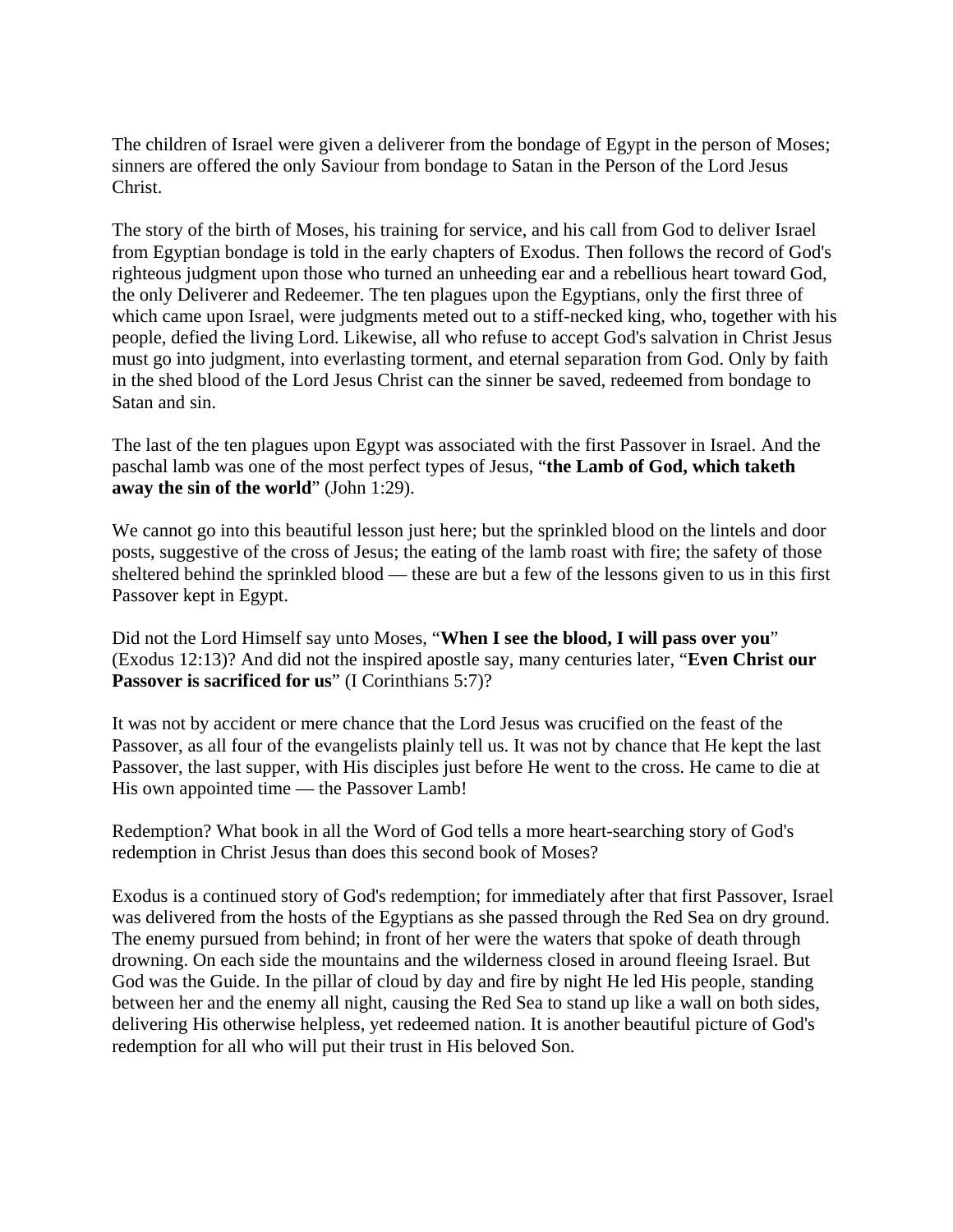The children of Israel were given a deliverer from the bondage of Egypt in the person of Moses; sinners are offered the only Saviour from bondage to Satan in the Person of the Lord Jesus Christ.

The story of the birth of Moses, his training for service, and his call from God to deliver Israel from Egyptian bondage is told in the early chapters of Exodus. Then follows the record of God's righteous judgment upon those who turned an unheeding ear and a rebellious heart toward God, the only Deliverer and Redeemer. The ten plagues upon the Egyptians, only the first three of which came upon Israel, were judgments meted out to a stiff-necked king, who, together with his people, defied the living Lord. Likewise, all who refuse to accept God's salvation in Christ Jesus must go into judgment, into everlasting torment, and eternal separation from God. Only by faith in the shed blood of the Lord Jesus Christ can the sinner be saved, redeemed from bondage to Satan and sin.

The last of the ten plagues upon Egypt was associated with the first Passover in Israel. And the paschal lamb was one of the most perfect types of Jesus, "**the Lamb of God, which taketh away the sin of the world**" (John 1:29).

We cannot go into this beautiful lesson just here; but the sprinkled blood on the lintels and door posts, suggestive of the cross of Jesus; the eating of the lamb roast with fire; the safety of those sheltered behind the sprinkled blood — these are but a few of the lessons given to us in this first Passover kept in Egypt.

Did not the Lord Himself say unto Moses, "**When I see the blood, I will pass over you**" (Exodus 12:13)? And did not the inspired apostle say, many centuries later, "**Even Christ our**  Passover is sacrificed for us" (I Corinthians 5:7)?

It was not by accident or mere chance that the Lord Jesus was crucified on the feast of the Passover, as all four of the evangelists plainly tell us. It was not by chance that He kept the last Passover, the last supper, with His disciples just before He went to the cross. He came to die at His own appointed time — the Passover Lamb!

Redemption? What book in all the Word of God tells a more heart-searching story of God's redemption in Christ Jesus than does this second book of Moses?

Exodus is a continued story of God's redemption; for immediately after that first Passover, Israel was delivered from the hosts of the Egyptians as she passed through the Red Sea on dry ground. The enemy pursued from behind; in front of her were the waters that spoke of death through drowning. On each side the mountains and the wilderness closed in around fleeing Israel. But God was the Guide. In the pillar of cloud by day and fire by night He led His people, standing between her and the enemy all night, causing the Red Sea to stand up like a wall on both sides, delivering His otherwise helpless, yet redeemed nation. It is another beautiful picture of God's redemption for all who will put their trust in His beloved Son.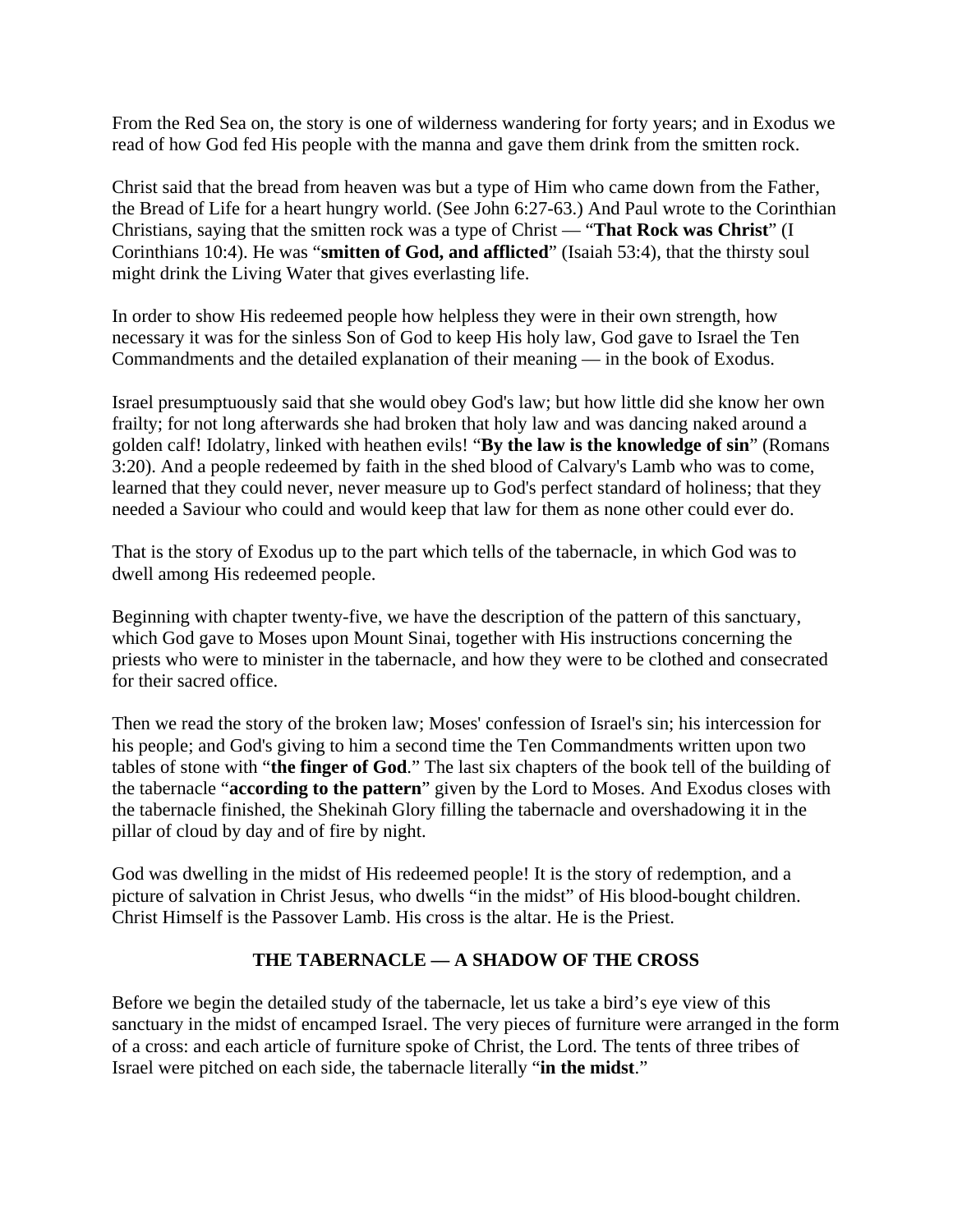From the Red Sea on, the story is one of wilderness wandering for forty years; and in Exodus we read of how God fed His people with the manna and gave them drink from the smitten rock.

Christ said that the bread from heaven was but a type of Him who came down from the Father, the Bread of Life for a heart hungry world. (See John 6:27-63.) And Paul wrote to the Corinthian Christians, saying that the smitten rock was a type of Christ — "**That Rock was Christ**" (I Corinthians 10:4). He was "**smitten of God, and afflicted**" (Isaiah 53:4), that the thirsty soul might drink the Living Water that gives everlasting life.

In order to show His redeemed people how helpless they were in their own strength, how necessary it was for the sinless Son of God to keep His holy law, God gave to Israel the Ten Commandments and the detailed explanation of their meaning — in the book of Exodus.

Israel presumptuously said that she would obey God's law; but how little did she know her own frailty; for not long afterwards she had broken that holy law and was dancing naked around a golden calf! Idolatry, linked with heathen evils! "**By the law is the knowledge of sin**" (Romans 3:20). And a people redeemed by faith in the shed blood of Calvary's Lamb who was to come, learned that they could never, never measure up to God's perfect standard of holiness; that they needed a Saviour who could and would keep that law for them as none other could ever do.

That is the story of Exodus up to the part which tells of the tabernacle, in which God was to dwell among His redeemed people.

Beginning with chapter twenty-five, we have the description of the pattern of this sanctuary, which God gave to Moses upon Mount Sinai, together with His instructions concerning the priests who were to minister in the tabernacle, and how they were to be clothed and consecrated for their sacred office.

Then we read the story of the broken law; Moses' confession of Israel's sin; his intercession for his people; and God's giving to him a second time the Ten Commandments written upon two tables of stone with "**the finger of God**." The last six chapters of the book tell of the building of the tabernacle "**according to the pattern**" given by the Lord to Moses. And Exodus closes with the tabernacle finished, the Shekinah Glory filling the tabernacle and overshadowing it in the pillar of cloud by day and of fire by night.

God was dwelling in the midst of His redeemed people! It is the story of redemption, and a picture of salvation in Christ Jesus, who dwells "in the midst" of His blood-bought children. Christ Himself is the Passover Lamb. His cross is the altar. He is the Priest.

### **THE TABERNACLE — A SHADOW OF THE CROSS**

Before we begin the detailed study of the tabernacle, let us take a bird's eye view of this sanctuary in the midst of encamped Israel. The very pieces of furniture were arranged in the form of a cross: and each article of furniture spoke of Christ, the Lord. The tents of three tribes of Israel were pitched on each side, the tabernacle literally "**in the midst**."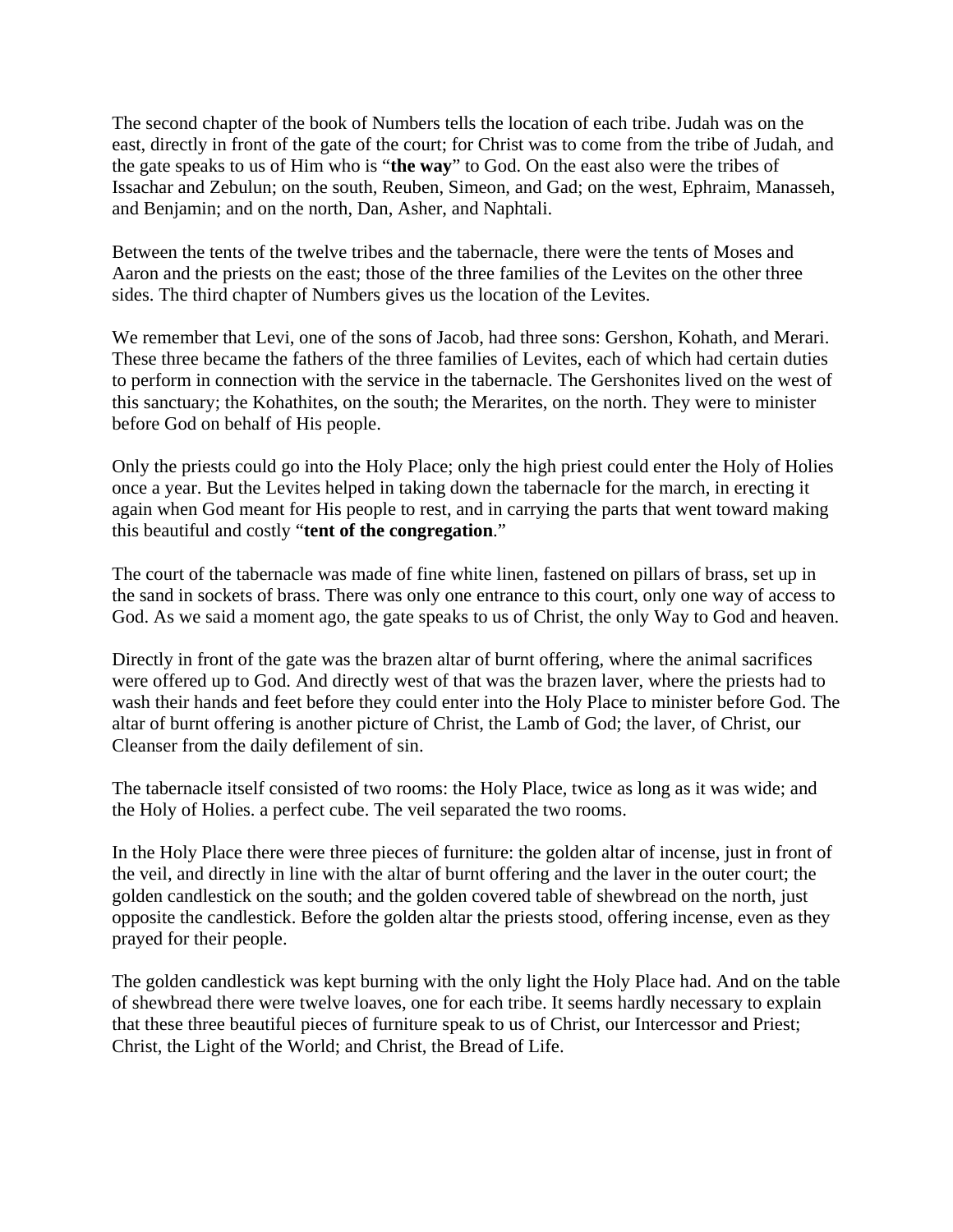The second chapter of the book of Numbers tells the location of each tribe. Judah was on the east, directly in front of the gate of the court; for Christ was to come from the tribe of Judah, and the gate speaks to us of Him who is "**the way**" to God. On the east also were the tribes of Issachar and Zebulun; on the south, Reuben, Simeon, and Gad; on the west, Ephraim, Manasseh, and Benjamin; and on the north, Dan, Asher, and Naphtali.

Between the tents of the twelve tribes and the tabernacle, there were the tents of Moses and Aaron and the priests on the east; those of the three families of the Levites on the other three sides. The third chapter of Numbers gives us the location of the Levites.

We remember that Levi, one of the sons of Jacob, had three sons: Gershon, Kohath, and Merari. These three became the fathers of the three families of Levites, each of which had certain duties to perform in connection with the service in the tabernacle. The Gershonites lived on the west of this sanctuary; the Kohathites, on the south; the Merarites, on the north. They were to minister before God on behalf of His people.

Only the priests could go into the Holy Place; only the high priest could enter the Holy of Holies once a year. But the Levites helped in taking down the tabernacle for the march, in erecting it again when God meant for His people to rest, and in carrying the parts that went toward making this beautiful and costly "**tent of the congregation**."

The court of the tabernacle was made of fine white linen, fastened on pillars of brass, set up in the sand in sockets of brass. There was only one entrance to this court, only one way of access to God. As we said a moment ago, the gate speaks to us of Christ, the only Way to God and heaven.

Directly in front of the gate was the brazen altar of burnt offering, where the animal sacrifices were offered up to God. And directly west of that was the brazen laver, where the priests had to wash their hands and feet before they could enter into the Holy Place to minister before God. The altar of burnt offering is another picture of Christ, the Lamb of God; the laver, of Christ, our Cleanser from the daily defilement of sin.

The tabernacle itself consisted of two rooms: the Holy Place, twice as long as it was wide; and the Holy of Holies. a perfect cube. The veil separated the two rooms.

In the Holy Place there were three pieces of furniture: the golden altar of incense, just in front of the veil, and directly in line with the altar of burnt offering and the laver in the outer court; the golden candlestick on the south; and the golden covered table of shewbread on the north, just opposite the candlestick. Before the golden altar the priests stood, offering incense, even as they prayed for their people.

The golden candlestick was kept burning with the only light the Holy Place had. And on the table of shewbread there were twelve loaves, one for each tribe. It seems hardly necessary to explain that these three beautiful pieces of furniture speak to us of Christ, our Intercessor and Priest; Christ, the Light of the World; and Christ, the Bread of Life.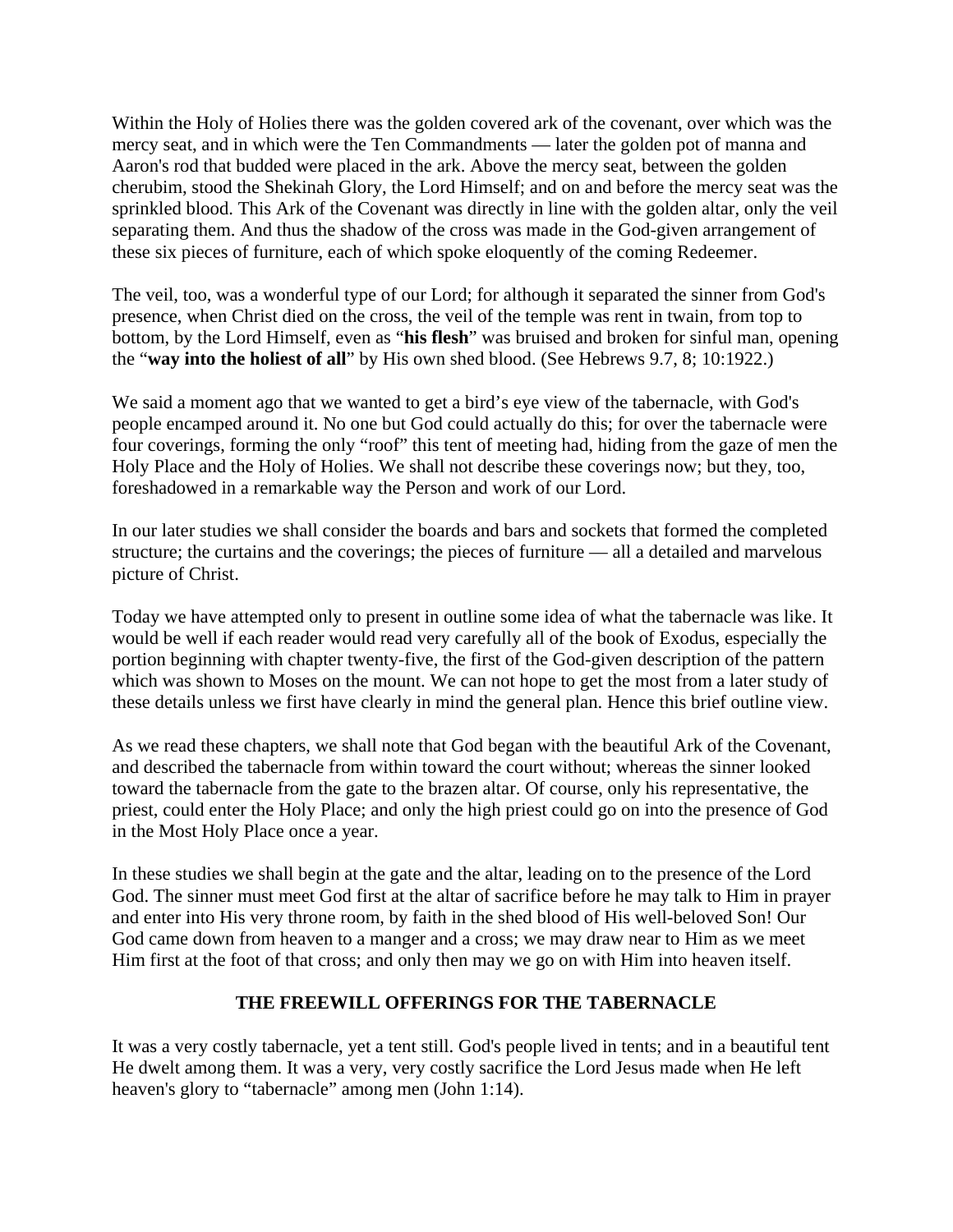Within the Holy of Holies there was the golden covered ark of the covenant, over which was the mercy seat, and in which were the Ten Commandments — later the golden pot of manna and Aaron's rod that budded were placed in the ark. Above the mercy seat, between the golden cherubim, stood the Shekinah Glory, the Lord Himself; and on and before the mercy seat was the sprinkled blood. This Ark of the Covenant was directly in line with the golden altar, only the veil separating them. And thus the shadow of the cross was made in the God-given arrangement of these six pieces of furniture, each of which spoke eloquently of the coming Redeemer.

The veil, too, was a wonderful type of our Lord; for although it separated the sinner from God's presence, when Christ died on the cross, the veil of the temple was rent in twain, from top to bottom, by the Lord Himself, even as "**his flesh**" was bruised and broken for sinful man, opening the "**way into the holiest of all**" by His own shed blood. (See Hebrews 9.7, 8; 10:1922.)

We said a moment ago that we wanted to get a bird's eye view of the tabernacle, with God's people encamped around it. No one but God could actually do this; for over the tabernacle were four coverings, forming the only "roof" this tent of meeting had, hiding from the gaze of men the Holy Place and the Holy of Holies. We shall not describe these coverings now; but they, too, foreshadowed in a remarkable way the Person and work of our Lord.

In our later studies we shall consider the boards and bars and sockets that formed the completed structure; the curtains and the coverings; the pieces of furniture — all a detailed and marvelous picture of Christ.

Today we have attempted only to present in outline some idea of what the tabernacle was like. It would be well if each reader would read very carefully all of the book of Exodus, especially the portion beginning with chapter twenty-five, the first of the God-given description of the pattern which was shown to Moses on the mount. We can not hope to get the most from a later study of these details unless we first have clearly in mind the general plan. Hence this brief outline view.

As we read these chapters, we shall note that God began with the beautiful Ark of the Covenant, and described the tabernacle from within toward the court without; whereas the sinner looked toward the tabernacle from the gate to the brazen altar. Of course, only his representative, the priest, could enter the Holy Place; and only the high priest could go on into the presence of God in the Most Holy Place once a year.

In these studies we shall begin at the gate and the altar, leading on to the presence of the Lord God. The sinner must meet God first at the altar of sacrifice before he may talk to Him in prayer and enter into His very throne room, by faith in the shed blood of His well-beloved Son! Our God came down from heaven to a manger and a cross; we may draw near to Him as we meet Him first at the foot of that cross; and only then may we go on with Him into heaven itself.

#### **THE FREEWILL OFFERINGS FOR THE TABERNACLE**

It was a very costly tabernacle, yet a tent still. God's people lived in tents; and in a beautiful tent He dwelt among them. It was a very, very costly sacrifice the Lord Jesus made when He left heaven's glory to "tabernacle" among men (John 1:14).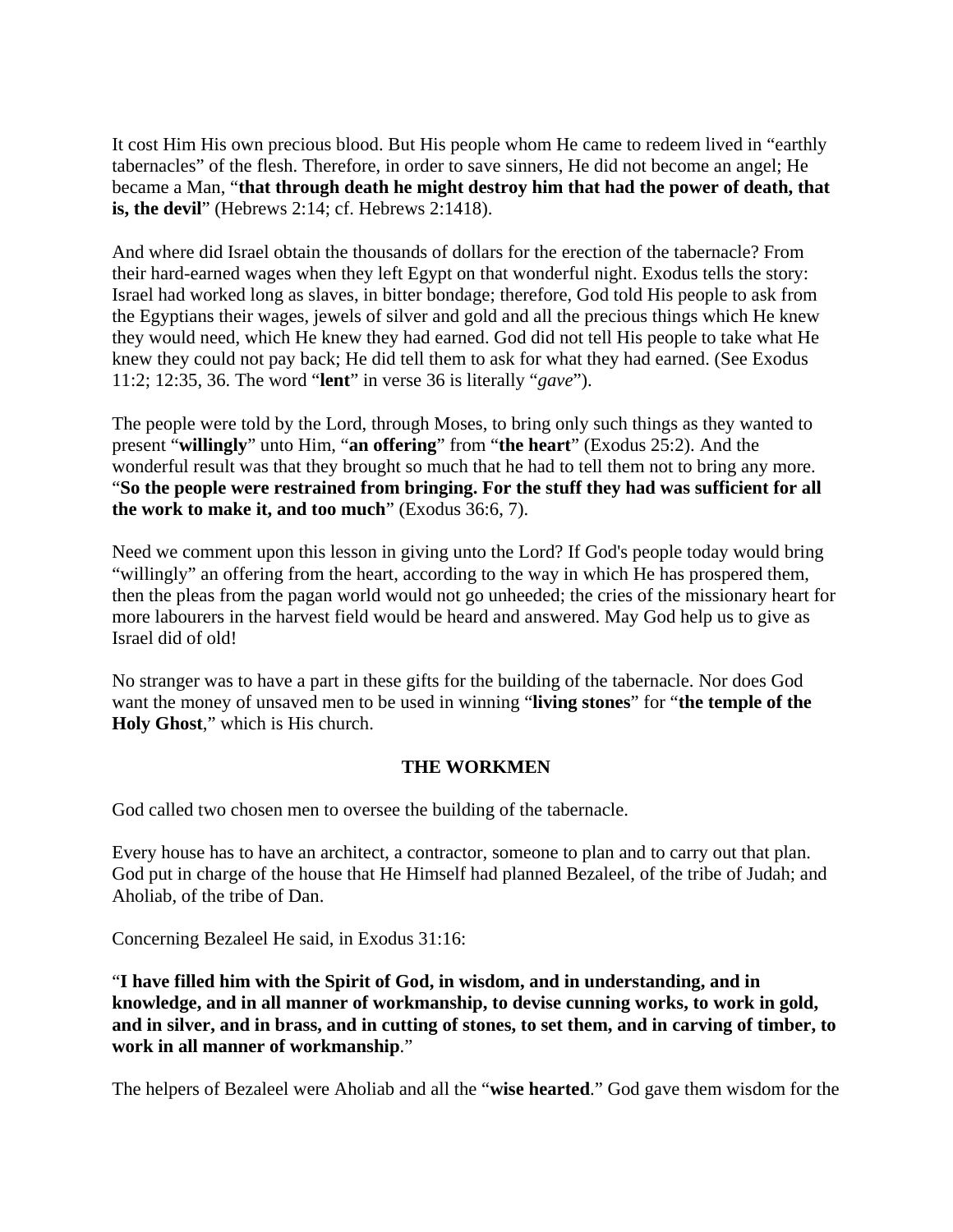It cost Him His own precious blood. But His people whom He came to redeem lived in "earthly tabernacles" of the flesh. Therefore, in order to save sinners, He did not become an angel; He became a Man, "**that through death he might destroy him that had the power of death, that is, the devil**" (Hebrews 2:14; cf. Hebrews 2:1418).

And where did Israel obtain the thousands of dollars for the erection of the tabernacle? From their hard-earned wages when they left Egypt on that wonderful night. Exodus tells the story: Israel had worked long as slaves, in bitter bondage; therefore, God told His people to ask from the Egyptians their wages, jewels of silver and gold and all the precious things which He knew they would need, which He knew they had earned. God did not tell His people to take what He knew they could not pay back; He did tell them to ask for what they had earned. (See Exodus 11:2; 12:35, 36. The word "**lent**" in verse 36 is literally "*gave*").

The people were told by the Lord, through Moses, to bring only such things as they wanted to present "**willingly**" unto Him, "**an offering**" from "**the heart**" (Exodus 25:2). And the wonderful result was that they brought so much that he had to tell them not to bring any more. "**So the people were restrained from bringing. For the stuff they had was sufficient for all the work to make it, and too much**" (Exodus 36:6, 7).

Need we comment upon this lesson in giving unto the Lord? If God's people today would bring "willingly" an offering from the heart, according to the way in which He has prospered them, then the pleas from the pagan world would not go unheeded; the cries of the missionary heart for more labourers in the harvest field would be heard and answered. May God help us to give as Israel did of old!

No stranger was to have a part in these gifts for the building of the tabernacle. Nor does God want the money of unsaved men to be used in winning "**living stones**" for "**the temple of the Holy Ghost**," which is His church.

### **THE WORKMEN**

God called two chosen men to oversee the building of the tabernacle.

Every house has to have an architect, a contractor, someone to plan and to carry out that plan. God put in charge of the house that He Himself had planned Bezaleel, of the tribe of Judah; and Aholiab, of the tribe of Dan.

Concerning Bezaleel He said, in Exodus 31:16:

"**I have filled him with the Spirit of God, in wisdom, and in understanding, and in knowledge, and in all manner of workmanship, to devise cunning works, to work in gold, and in silver, and in brass, and in cutting of stones, to set them, and in carving of timber, to work in all manner of workmanship**."

The helpers of Bezaleel were Aholiab and all the "**wise hearted**." God gave them wisdom for the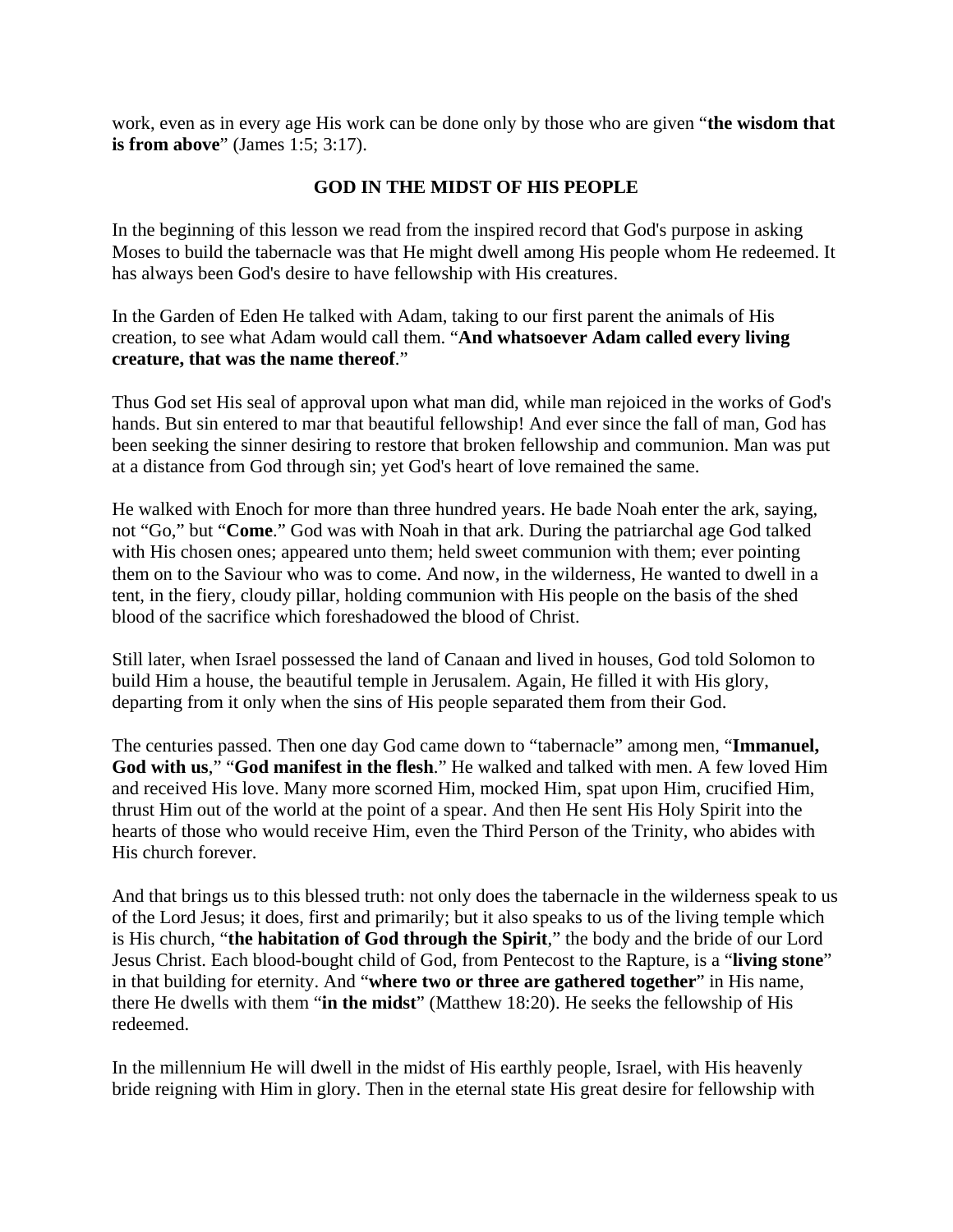work, even as in every age His work can be done only by those who are given "**the wisdom that is from above**" (James 1:5; 3:17).

# **GOD IN THE MIDST OF HIS PEOPLE**

In the beginning of this lesson we read from the inspired record that God's purpose in asking Moses to build the tabernacle was that He might dwell among His people whom He redeemed. It has always been God's desire to have fellowship with His creatures.

In the Garden of Eden He talked with Adam, taking to our first parent the animals of His creation, to see what Adam would call them. "**And whatsoever Adam called every living creature, that was the name thereof**."

Thus God set His seal of approval upon what man did, while man rejoiced in the works of God's hands. But sin entered to mar that beautiful fellowship! And ever since the fall of man, God has been seeking the sinner desiring to restore that broken fellowship and communion. Man was put at a distance from God through sin; yet God's heart of love remained the same.

He walked with Enoch for more than three hundred years. He bade Noah enter the ark, saying, not "Go," but "**Come**." God was with Noah in that ark. During the patriarchal age God talked with His chosen ones; appeared unto them; held sweet communion with them; ever pointing them on to the Saviour who was to come. And now, in the wilderness, He wanted to dwell in a tent, in the fiery, cloudy pillar, holding communion with His people on the basis of the shed blood of the sacrifice which foreshadowed the blood of Christ.

Still later, when Israel possessed the land of Canaan and lived in houses, God told Solomon to build Him a house, the beautiful temple in Jerusalem. Again, He filled it with His glory, departing from it only when the sins of His people separated them from their God.

The centuries passed. Then one day God came down to "tabernacle" among men, "**Immanuel, God with us**," "**God manifest in the flesh**." He walked and talked with men. A few loved Him and received His love. Many more scorned Him, mocked Him, spat upon Him, crucified Him, thrust Him out of the world at the point of a spear. And then He sent His Holy Spirit into the hearts of those who would receive Him, even the Third Person of the Trinity, who abides with His church forever.

And that brings us to this blessed truth: not only does the tabernacle in the wilderness speak to us of the Lord Jesus; it does, first and primarily; but it also speaks to us of the living temple which is His church, "**the habitation of God through the Spirit**," the body and the bride of our Lord Jesus Christ. Each blood-bought child of God, from Pentecost to the Rapture, is a "**living stone**" in that building for eternity. And "**where two or three are gathered together**" in His name, there He dwells with them "**in the midst**" (Matthew 18:20). He seeks the fellowship of His redeemed.

In the millennium He will dwell in the midst of His earthly people, Israel, with His heavenly bride reigning with Him in glory. Then in the eternal state His great desire for fellowship with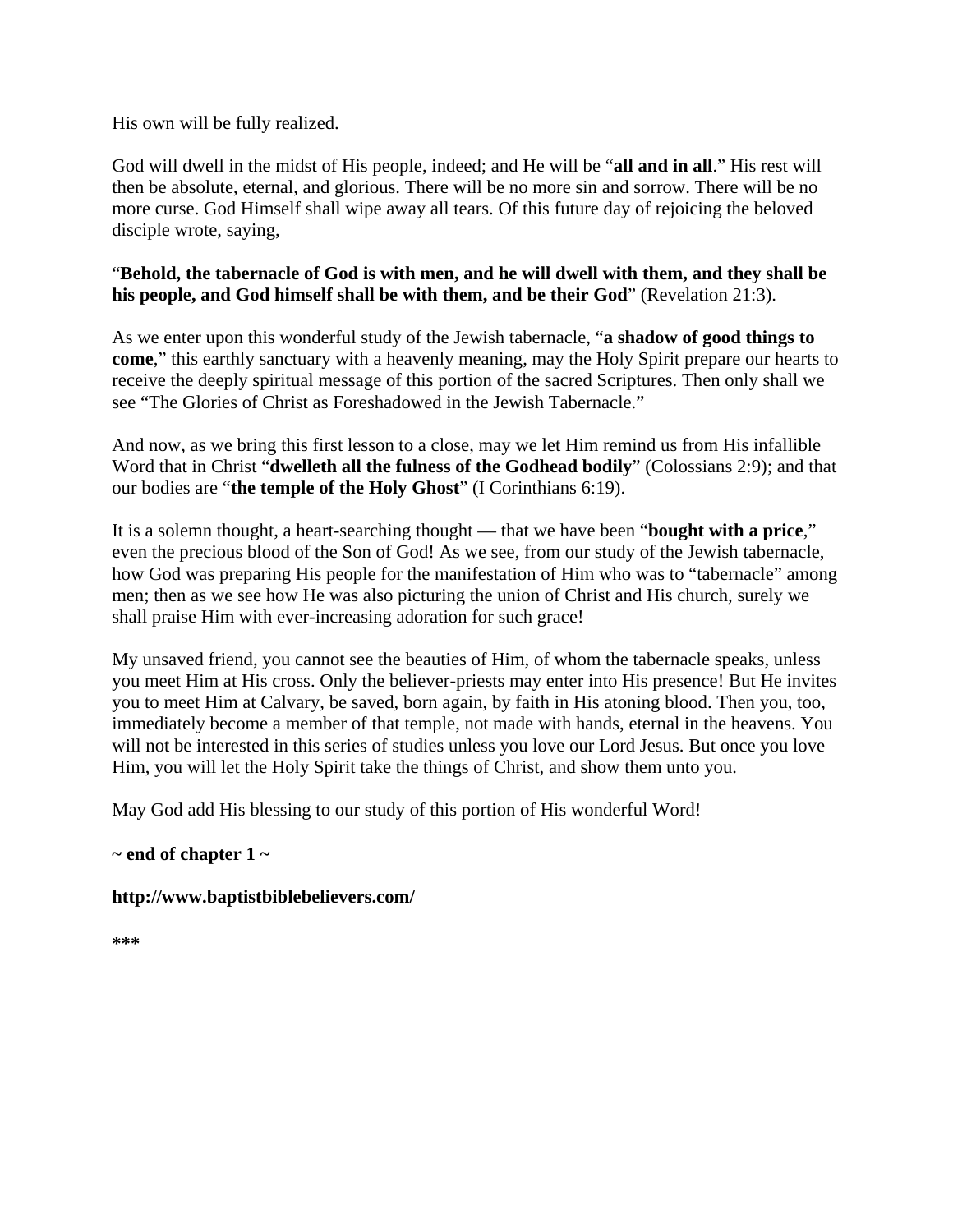His own will be fully realized.

God will dwell in the midst of His people, indeed; and He will be "**all and in all**." His rest will then be absolute, eternal, and glorious. There will be no more sin and sorrow. There will be no more curse. God Himself shall wipe away all tears. Of this future day of rejoicing the beloved disciple wrote, saying,

#### "**Behold, the tabernacle of God is with men, and he will dwell with them, and they shall be his people, and God himself shall be with them, and be their God**" (Revelation 21:3).

As we enter upon this wonderful study of the Jewish tabernacle, "**a shadow of good things to come**," this earthly sanctuary with a heavenly meaning, may the Holy Spirit prepare our hearts to receive the deeply spiritual message of this portion of the sacred Scriptures. Then only shall we see "The Glories of Christ as Foreshadowed in the Jewish Tabernacle."

And now, as we bring this first lesson to a close, may we let Him remind us from His infallible Word that in Christ "**dwelleth all the fulness of the Godhead bodily**" (Colossians 2:9); and that our bodies are "**the temple of the Holy Ghost**" (I Corinthians 6:19).

It is a solemn thought, a heart-searching thought — that we have been "**bought with a price**," even the precious blood of the Son of God! As we see, from our study of the Jewish tabernacle, how God was preparing His people for the manifestation of Him who was to "tabernacle" among men; then as we see how He was also picturing the union of Christ and His church, surely we shall praise Him with ever-increasing adoration for such grace!

My unsaved friend, you cannot see the beauties of Him, of whom the tabernacle speaks, unless you meet Him at His cross. Only the believer-priests may enter into His presence! But He invites you to meet Him at Calvary, be saved, born again, by faith in His atoning blood. Then you, too, immediately become a member of that temple, not made with hands, eternal in the heavens. You will not be interested in this series of studies unless you love our Lord Jesus. But once you love Him, you will let the Holy Spirit take the things of Christ, and show them unto you.

May God add His blessing to our study of this portion of His wonderful Word!

### **~ end of chapter 1 ~**

#### **http://www.baptistbiblebelievers.com/**

**\*\*\***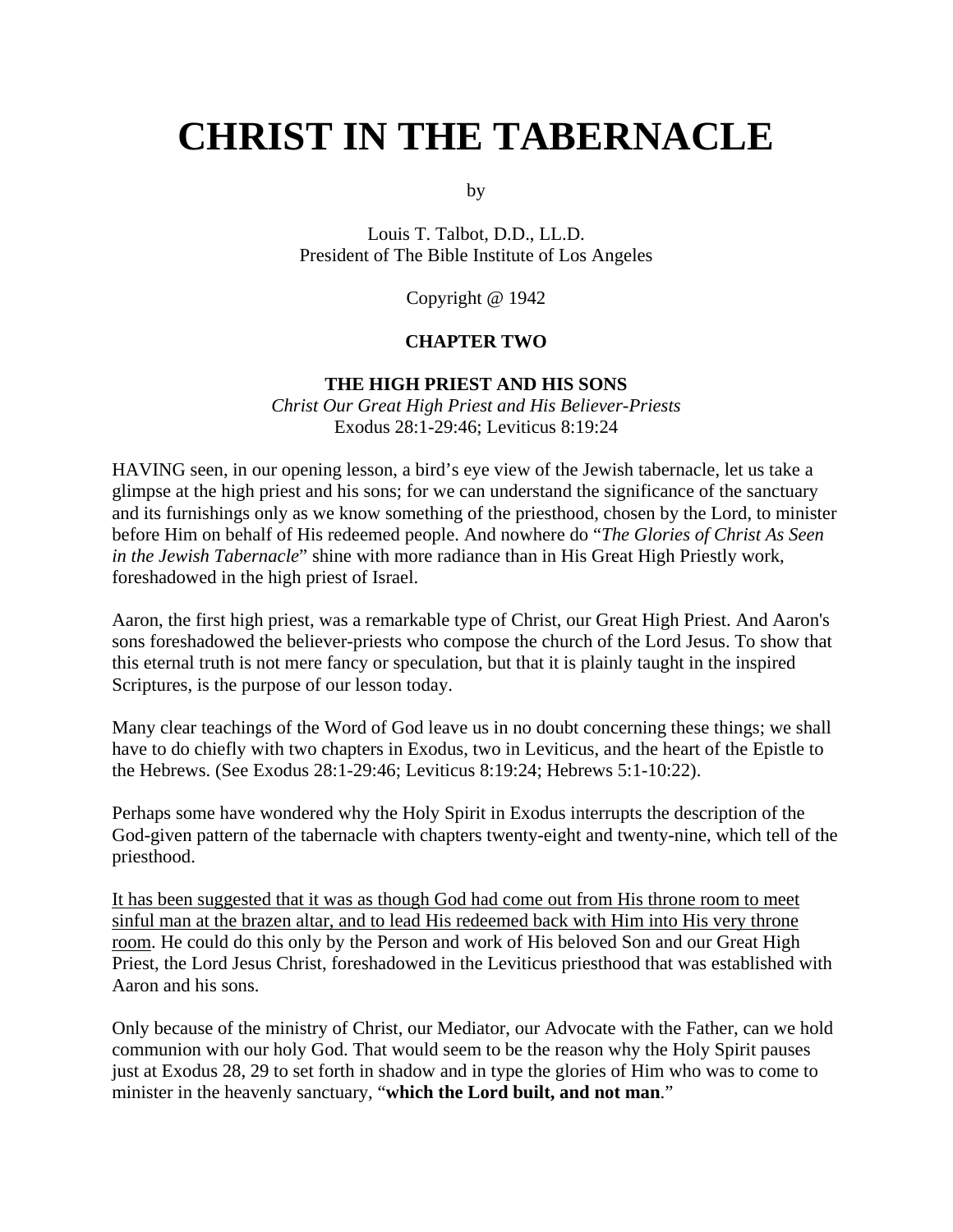# **CHRIST IN THE TABERNACLE**

by

Louis T. Talbot, D.D., LL.D. President of The Bible Institute of Los Angeles

Copyright @ 1942

#### **CHAPTER TWO**

#### **THE HIGH PRIEST AND HIS SONS**

*Christ Our Great High Priest and His Believer-Priests* Exodus 28:1-29:46; Leviticus 8:19:24

HAVING seen, in our opening lesson, a bird's eye view of the Jewish tabernacle, let us take a glimpse at the high priest and his sons; for we can understand the significance of the sanctuary and its furnishings only as we know something of the priesthood, chosen by the Lord, to minister before Him on behalf of His redeemed people. And nowhere do "*The Glories of Christ As Seen in the Jewish Tabernacle*" shine with more radiance than in His Great High Priestly work, foreshadowed in the high priest of Israel.

Aaron, the first high priest, was a remarkable type of Christ, our Great High Priest. And Aaron's sons foreshadowed the believer-priests who compose the church of the Lord Jesus. To show that this eternal truth is not mere fancy or speculation, but that it is plainly taught in the inspired Scriptures, is the purpose of our lesson today.

Many clear teachings of the Word of God leave us in no doubt concerning these things; we shall have to do chiefly with two chapters in Exodus, two in Leviticus, and the heart of the Epistle to the Hebrews. (See Exodus 28:1-29:46; Leviticus 8:19:24; Hebrews 5:1-10:22).

Perhaps some have wondered why the Holy Spirit in Exodus interrupts the description of the God-given pattern of the tabernacle with chapters twenty-eight and twenty-nine, which tell of the priesthood.

It has been suggested that it was as though God had come out from His throne room to meet sinful man at the brazen altar, and to lead His redeemed back with Him into His very throne room. He could do this only by the Person and work of His beloved Son and our Great High Priest, the Lord Jesus Christ, foreshadowed in the Leviticus priesthood that was established with Aaron and his sons.

Only because of the ministry of Christ, our Mediator, our Advocate with the Father, can we hold communion with our holy God. That would seem to be the reason why the Holy Spirit pauses just at Exodus 28, 29 to set forth in shadow and in type the glories of Him who was to come to minister in the heavenly sanctuary, "**which the Lord built, and not man**."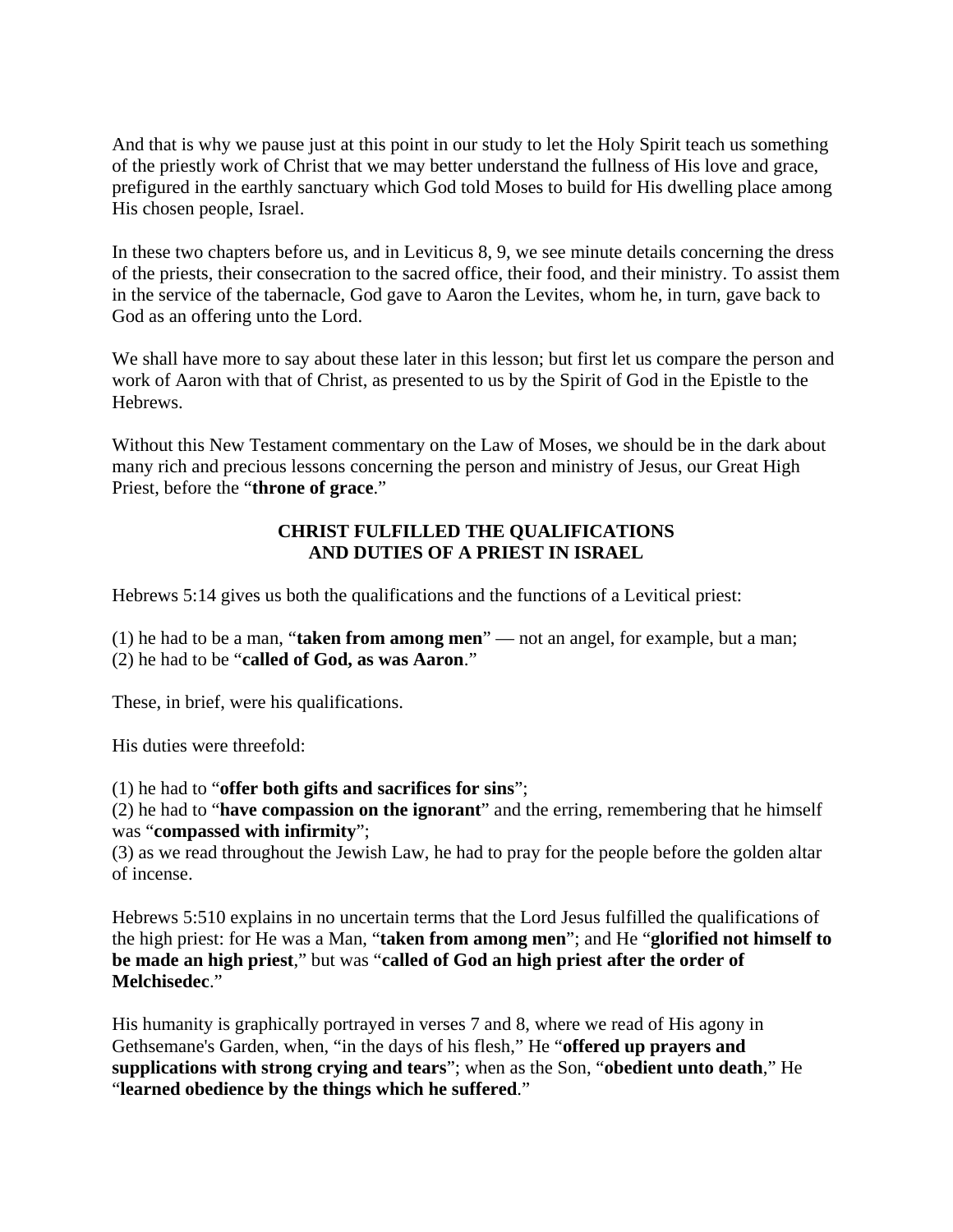And that is why we pause just at this point in our study to let the Holy Spirit teach us something of the priestly work of Christ that we may better understand the fullness of His love and grace, prefigured in the earthly sanctuary which God told Moses to build for His dwelling place among His chosen people, Israel.

In these two chapters before us, and in Leviticus 8, 9, we see minute details concerning the dress of the priests, their consecration to the sacred office, their food, and their ministry. To assist them in the service of the tabernacle, God gave to Aaron the Levites, whom he, in turn, gave back to God as an offering unto the Lord.

We shall have more to say about these later in this lesson; but first let us compare the person and work of Aaron with that of Christ, as presented to us by the Spirit of God in the Epistle to the Hebrews.

Without this New Testament commentary on the Law of Moses, we should be in the dark about many rich and precious lessons concerning the person and ministry of Jesus, our Great High Priest, before the "**throne of grace**."

## **CHRIST FULFILLED THE QUALIFICATIONS AND DUTIES OF A PRIEST IN ISRAEL**

Hebrews 5:14 gives us both the qualifications and the functions of a Levitical priest:

(1) he had to be a man, "**taken from among men**" — not an angel, for example, but a man; (2) he had to be "**called of God, as was Aaron**."

These, in brief, were his qualifications.

His duties were threefold:

(1) he had to "**offer both gifts and sacrifices for sins**";

(2) he had to "**have compassion on the ignorant**" and the erring, remembering that he himself was "**compassed with infirmity**";

(3) as we read throughout the Jewish Law, he had to pray for the people before the golden altar of incense.

Hebrews 5:510 explains in no uncertain terms that the Lord Jesus fulfilled the qualifications of the high priest: for He was a Man, "**taken from among men**"; and He "**glorified not himself to be made an high priest**," but was "**called of God an high priest after the order of Melchisedec**."

His humanity is graphically portrayed in verses 7 and 8, where we read of His agony in Gethsemane's Garden, when, "in the days of his flesh," He "**offered up prayers and supplications with strong crying and tears**"; when as the Son, "**obedient unto death**," He "**learned obedience by the things which he suffered**."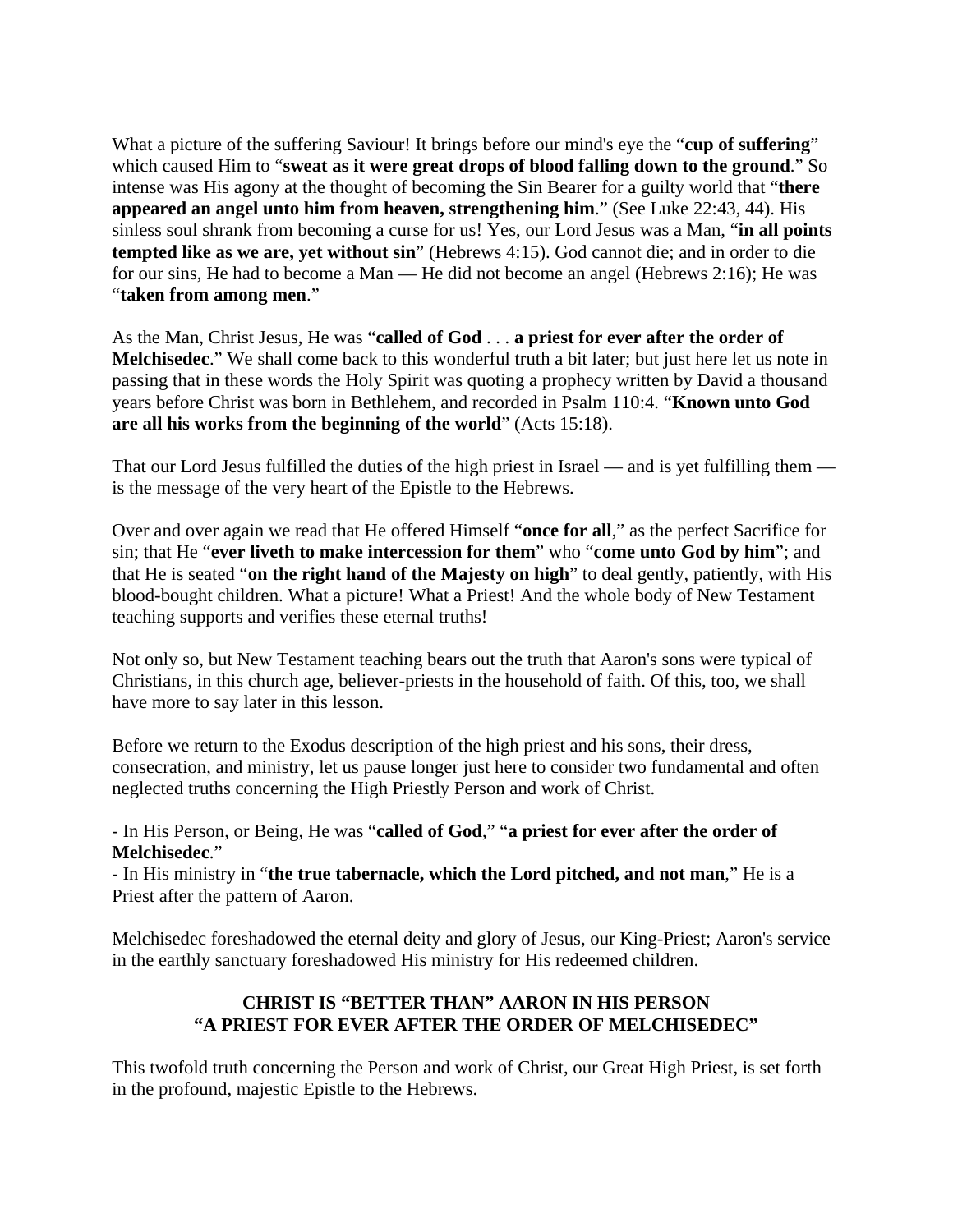What a picture of the suffering Saviour! It brings before our mind's eye the "**cup of suffering**" which caused Him to "**sweat as it were great drops of blood falling down to the ground**." So intense was His agony at the thought of becoming the Sin Bearer for a guilty world that "**there appeared an angel unto him from heaven, strengthening him**." (See Luke 22:43, 44). His sinless soul shrank from becoming a curse for us! Yes, our Lord Jesus was a Man, "**in all points tempted like as we are, yet without sin**" (Hebrews 4:15). God cannot die; and in order to die for our sins, He had to become a Man — He did not become an angel (Hebrews 2:16); He was "**taken from among men**."

As the Man, Christ Jesus, He was "**called of God** . . . **a priest for ever after the order of Melchisedec**." We shall come back to this wonderful truth a bit later; but just here let us note in passing that in these words the Holy Spirit was quoting a prophecy written by David a thousand years before Christ was born in Bethlehem, and recorded in Psalm 110:4. "**Known unto God are all his works from the beginning of the world**" (Acts 15:18).

That our Lord Jesus fulfilled the duties of the high priest in Israel — and is yet fulfilling them is the message of the very heart of the Epistle to the Hebrews.

Over and over again we read that He offered Himself "**once for all**," as the perfect Sacrifice for sin; that He "**ever liveth to make intercession for them**" who "**come unto God by him**"; and that He is seated "**on the right hand of the Majesty on high**" to deal gently, patiently, with His blood-bought children. What a picture! What a Priest! And the whole body of New Testament teaching supports and verifies these eternal truths!

Not only so, but New Testament teaching bears out the truth that Aaron's sons were typical of Christians, in this church age, believer-priests in the household of faith. Of this, too, we shall have more to say later in this lesson.

Before we return to the Exodus description of the high priest and his sons, their dress, consecration, and ministry, let us pause longer just here to consider two fundamental and often neglected truths concerning the High Priestly Person and work of Christ.

- In His Person, or Being, He was "**called of God**," "**a priest for ever after the order of Melchisedec**."

- In His ministry in "**the true tabernacle, which the Lord pitched, and not man**," He is a Priest after the pattern of Aaron.

Melchisedec foreshadowed the eternal deity and glory of Jesus, our King-Priest; Aaron's service in the earthly sanctuary foreshadowed His ministry for His redeemed children.

### **CHRIST IS "BETTER THAN" AARON IN HIS PERSON "A PRIEST FOR EVER AFTER THE ORDER OF MELCHISEDEC"**

This twofold truth concerning the Person and work of Christ, our Great High Priest, is set forth in the profound, majestic Epistle to the Hebrews.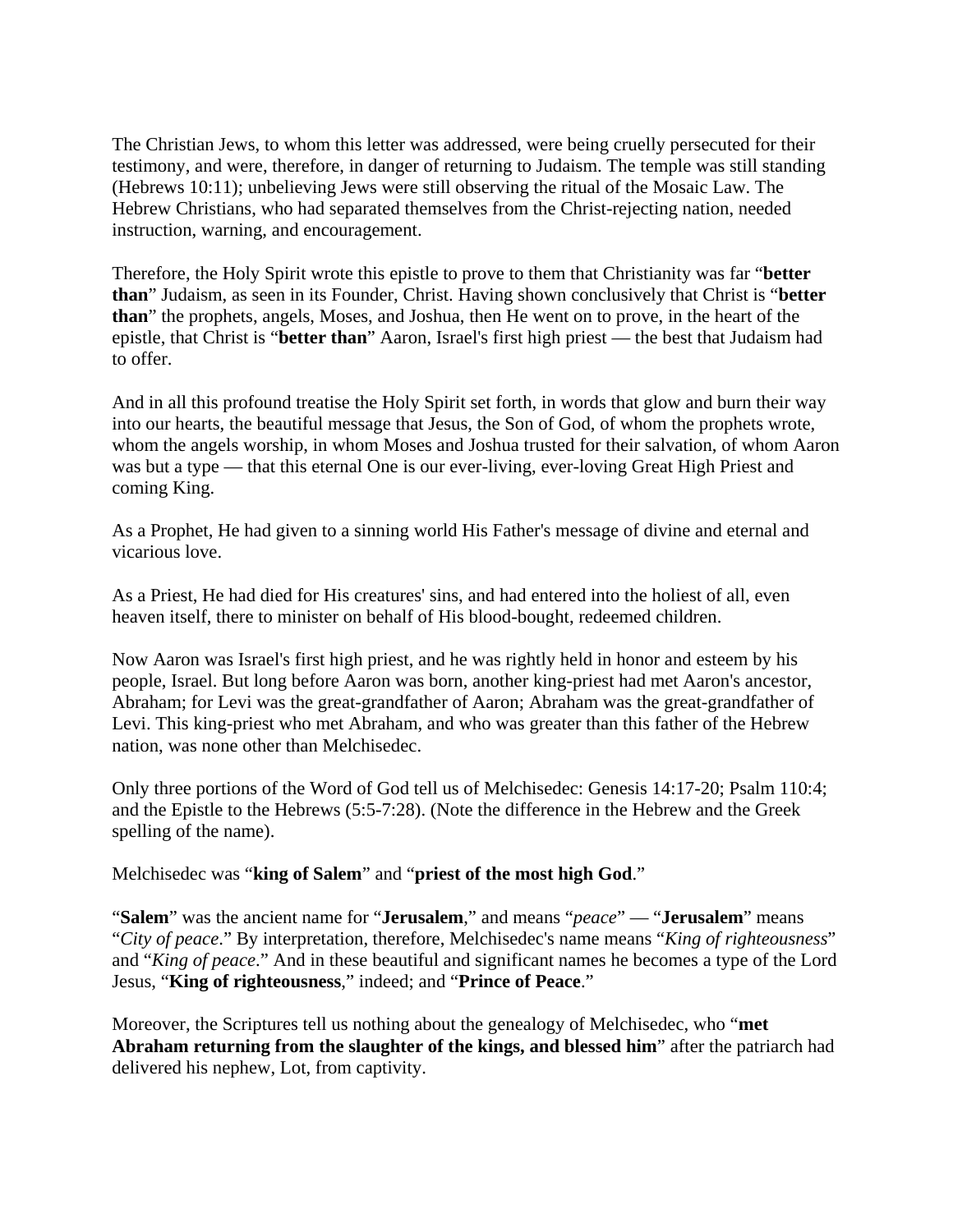The Christian Jews, to whom this letter was addressed, were being cruelly persecuted for their testimony, and were, therefore, in danger of returning to Judaism. The temple was still standing (Hebrews 10:11); unbelieving Jews were still observing the ritual of the Mosaic Law. The Hebrew Christians, who had separated themselves from the Christ-rejecting nation, needed instruction, warning, and encouragement.

Therefore, the Holy Spirit wrote this epistle to prove to them that Christianity was far "**better than**" Judaism, as seen in its Founder, Christ. Having shown conclusively that Christ is "**better than**" the prophets, angels, Moses, and Joshua, then He went on to prove, in the heart of the epistle, that Christ is "**better than**" Aaron, Israel's first high priest — the best that Judaism had to offer.

And in all this profound treatise the Holy Spirit set forth, in words that glow and burn their way into our hearts, the beautiful message that Jesus, the Son of God, of whom the prophets wrote, whom the angels worship, in whom Moses and Joshua trusted for their salvation, of whom Aaron was but a type — that this eternal One is our ever-living, ever-loving Great High Priest and coming King.

As a Prophet, He had given to a sinning world His Father's message of divine and eternal and vicarious love.

As a Priest, He had died for His creatures' sins, and had entered into the holiest of all, even heaven itself, there to minister on behalf of His blood-bought, redeemed children.

Now Aaron was Israel's first high priest, and he was rightly held in honor and esteem by his people, Israel. But long before Aaron was born, another king-priest had met Aaron's ancestor, Abraham; for Levi was the great-grandfather of Aaron; Abraham was the great-grandfather of Levi. This king-priest who met Abraham, and who was greater than this father of the Hebrew nation, was none other than Melchisedec.

Only three portions of the Word of God tell us of Melchisedec: Genesis 14:17-20; Psalm 110:4; and the Epistle to the Hebrews (5:5-7:28). (Note the difference in the Hebrew and the Greek spelling of the name).

Melchisedec was "**king of Salem**" and "**priest of the most high God**."

"**Salem**" was the ancient name for "**Jerusalem**," and means "*peace*" — "**Jerusalem**" means "*City of peace*." By interpretation, therefore, Melchisedec's name means "*King of righteousness*" and "*King of peace*." And in these beautiful and significant names he becomes a type of the Lord Jesus, "**King of righteousness**," indeed; and "**Prince of Peace**."

Moreover, the Scriptures tell us nothing about the genealogy of Melchisedec, who "**met Abraham returning from the slaughter of the kings, and blessed him**" after the patriarch had delivered his nephew, Lot, from captivity.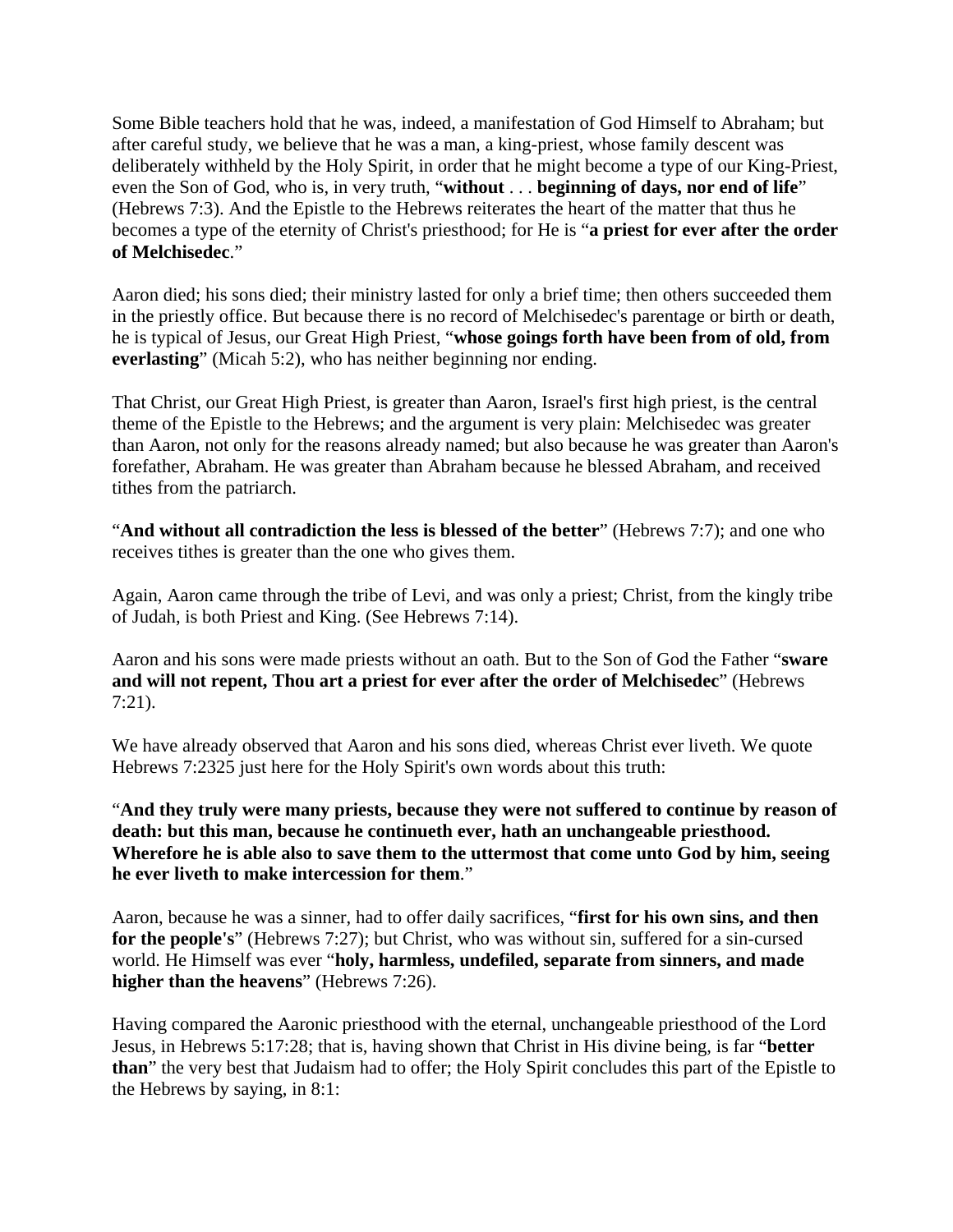Some Bible teachers hold that he was, indeed, a manifestation of God Himself to Abraham; but after careful study, we believe that he was a man, a king-priest, whose family descent was deliberately withheld by the Holy Spirit, in order that he might become a type of our King-Priest, even the Son of God, who is, in very truth, "**without** . . . **beginning of days, nor end of life**" (Hebrews 7:3). And the Epistle to the Hebrews reiterates the heart of the matter that thus he becomes a type of the eternity of Christ's priesthood; for He is "**a priest for ever after the order of Melchisedec**."

Aaron died; his sons died; their ministry lasted for only a brief time; then others succeeded them in the priestly office. But because there is no record of Melchisedec's parentage or birth or death, he is typical of Jesus, our Great High Priest, "**whose goings forth have been from of old, from everlasting**" (Micah 5:2), who has neither beginning nor ending.

That Christ, our Great High Priest, is greater than Aaron, Israel's first high priest, is the central theme of the Epistle to the Hebrews; and the argument is very plain: Melchisedec was greater than Aaron, not only for the reasons already named; but also because he was greater than Aaron's forefather, Abraham. He was greater than Abraham because he blessed Abraham, and received tithes from the patriarch.

"**And without all contradiction the less is blessed of the better**" (Hebrews 7:7); and one who receives tithes is greater than the one who gives them.

Again, Aaron came through the tribe of Levi, and was only a priest; Christ, from the kingly tribe of Judah, is both Priest and King. (See Hebrews 7:14).

Aaron and his sons were made priests without an oath. But to the Son of God the Father "**sware and will not repent, Thou art a priest for ever after the order of Melchisedec**" (Hebrews 7:21).

We have already observed that Aaron and his sons died, whereas Christ ever liveth. We quote Hebrews 7:2325 just here for the Holy Spirit's own words about this truth:

"**And they truly were many priests, because they were not suffered to continue by reason of death: but this man, because he continueth ever, hath an unchangeable priesthood. Wherefore he is able also to save them to the uttermost that come unto God by him, seeing he ever liveth to make intercession for them**."

Aaron, because he was a sinner, had to offer daily sacrifices, "**first for his own sins, and then for the people's**" (Hebrews 7:27); but Christ, who was without sin, suffered for a sin-cursed world. He Himself was ever "**holy, harmless, undefiled, separate from sinners, and made higher than the heavens**" (Hebrews 7:26).

Having compared the Aaronic priesthood with the eternal, unchangeable priesthood of the Lord Jesus, in Hebrews 5:17:28; that is, having shown that Christ in His divine being, is far "**better than**" the very best that Judaism had to offer; the Holy Spirit concludes this part of the Epistle to the Hebrews by saying, in 8:1: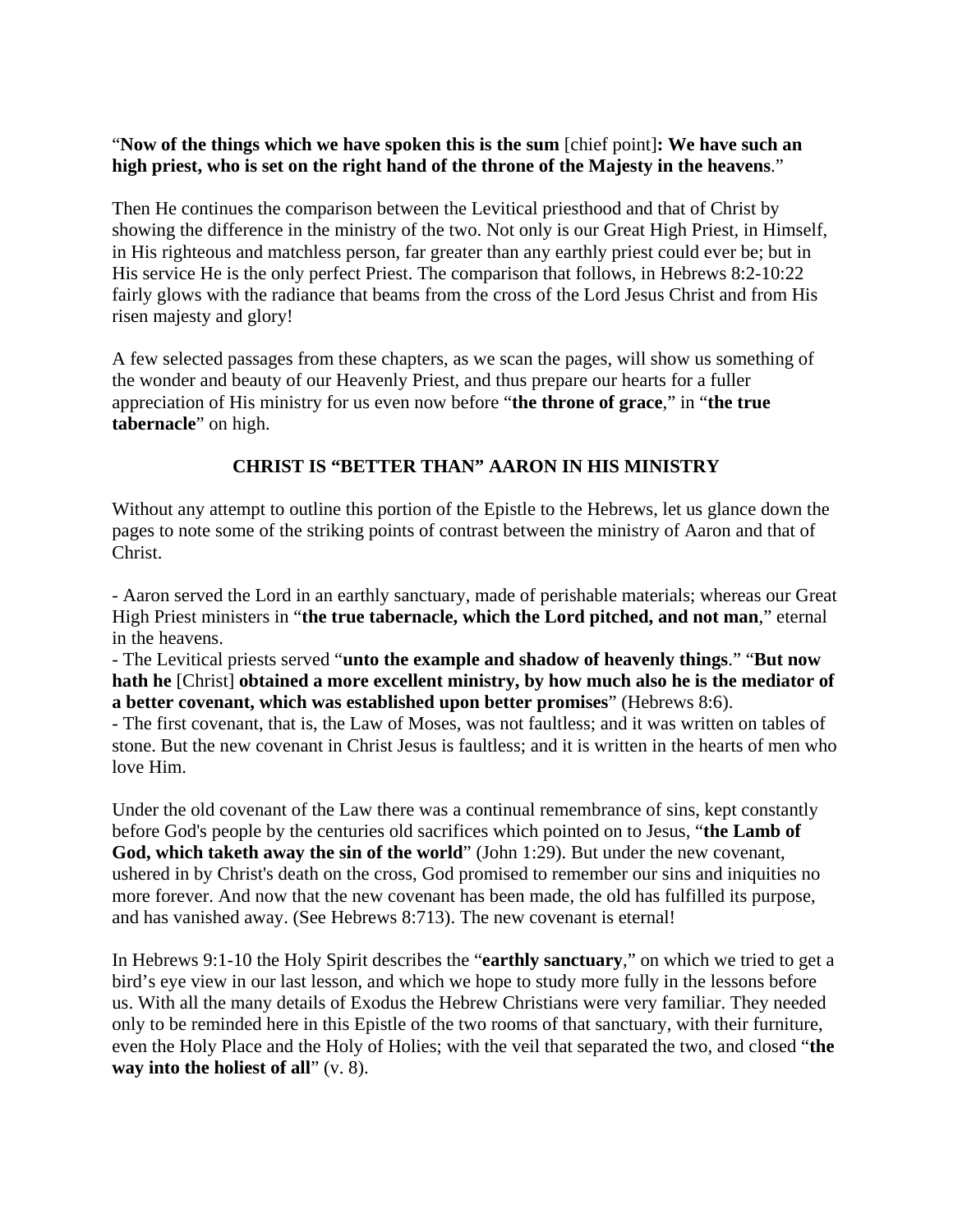### "**Now of the things which we have spoken this is the sum** [chief point]**: We have such an high priest, who is set on the right hand of the throne of the Majesty in the heavens**."

Then He continues the comparison between the Levitical priesthood and that of Christ by showing the difference in the ministry of the two. Not only is our Great High Priest, in Himself, in His righteous and matchless person, far greater than any earthly priest could ever be; but in His service He is the only perfect Priest. The comparison that follows, in Hebrews 8:2-10:22 fairly glows with the radiance that beams from the cross of the Lord Jesus Christ and from His risen majesty and glory!

A few selected passages from these chapters, as we scan the pages, will show us something of the wonder and beauty of our Heavenly Priest, and thus prepare our hearts for a fuller appreciation of His ministry for us even now before "**the throne of grace**," in "**the true tabernacle**" on high.

# **CHRIST IS "BETTER THAN" AARON IN HIS MINISTRY**

Without any attempt to outline this portion of the Epistle to the Hebrews, let us glance down the pages to note some of the striking points of contrast between the ministry of Aaron and that of Christ.

- Aaron served the Lord in an earthly sanctuary, made of perishable materials; whereas our Great High Priest ministers in "**the true tabernacle, which the Lord pitched, and not man**," eternal in the heavens.

- The Levitical priests served "**unto the example and shadow of heavenly things**." "**But now hath he** [Christ] **obtained a more excellent ministry, by how much also he is the mediator of a better covenant, which was established upon better promises**" (Hebrews 8:6).

- The first covenant, that is, the Law of Moses, was not faultless; and it was written on tables of stone. But the new covenant in Christ Jesus is faultless; and it is written in the hearts of men who love Him.

Under the old covenant of the Law there was a continual remembrance of sins, kept constantly before God's people by the centuries old sacrifices which pointed on to Jesus, "**the Lamb of God, which taketh away the sin of the world**" (John 1:29). But under the new covenant, ushered in by Christ's death on the cross, God promised to remember our sins and iniquities no more forever. And now that the new covenant has been made, the old has fulfilled its purpose, and has vanished away. (See Hebrews 8:713). The new covenant is eternal!

In Hebrews 9:1-10 the Holy Spirit describes the "**earthly sanctuary**," on which we tried to get a bird's eye view in our last lesson, and which we hope to study more fully in the lessons before us. With all the many details of Exodus the Hebrew Christians were very familiar. They needed only to be reminded here in this Epistle of the two rooms of that sanctuary, with their furniture, even the Holy Place and the Holy of Holies; with the veil that separated the two, and closed "**the way into the holiest of all**" (v. 8).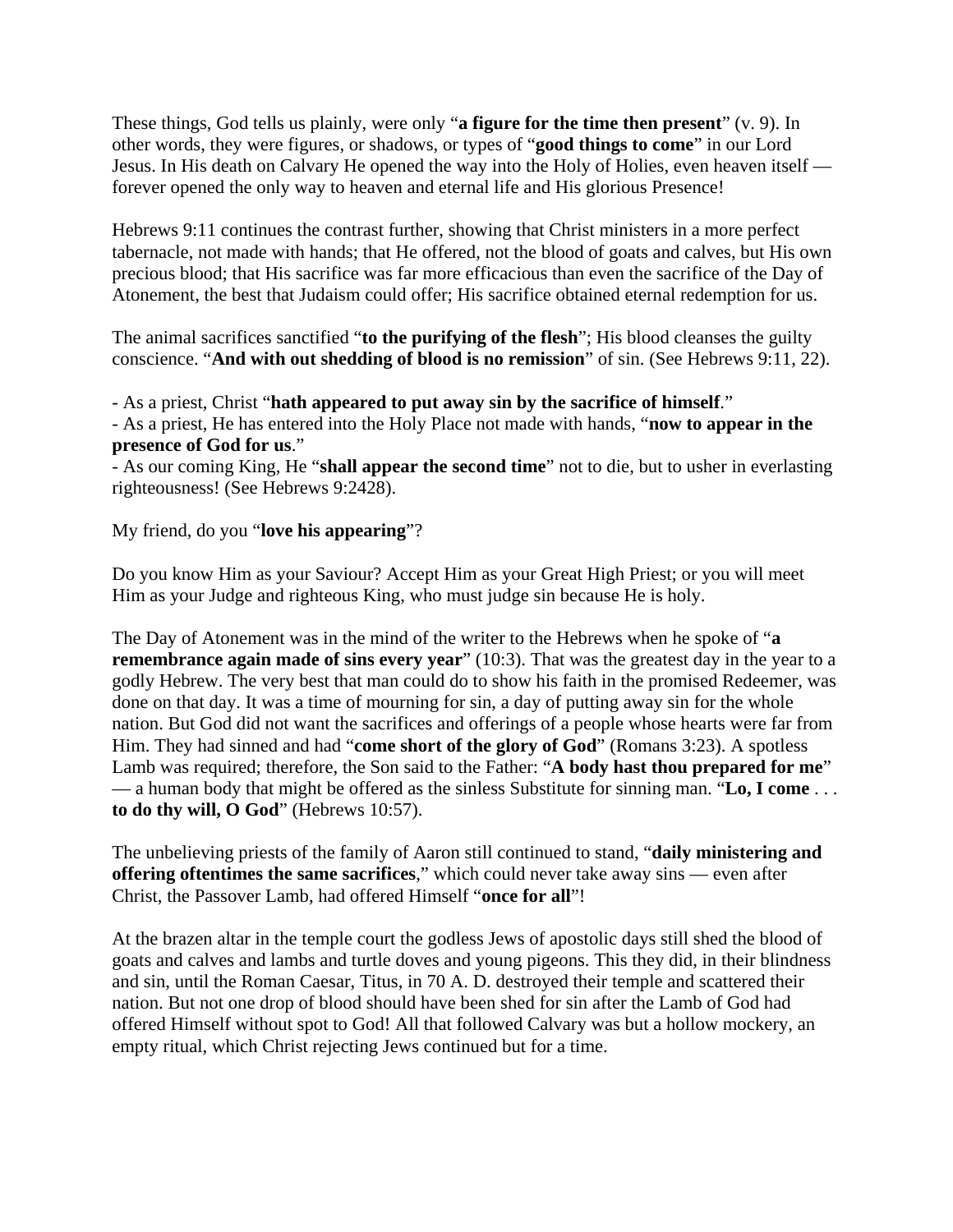These things, God tells us plainly, were only "**a figure for the time then present**" (v. 9). In other words, they were figures, or shadows, or types of "**good things to come**" in our Lord Jesus. In His death on Calvary He opened the way into the Holy of Holies, even heaven itself forever opened the only way to heaven and eternal life and His glorious Presence!

Hebrews 9:11 continues the contrast further, showing that Christ ministers in a more perfect tabernacle, not made with hands; that He offered, not the blood of goats and calves, but His own precious blood; that His sacrifice was far more efficacious than even the sacrifice of the Day of Atonement, the best that Judaism could offer; His sacrifice obtained eternal redemption for us.

The animal sacrifices sanctified "**to the purifying of the flesh**"; His blood cleanses the guilty conscience. "**And with out shedding of blood is no remission**" of sin. (See Hebrews 9:11, 22).

- As a priest, Christ "**hath appeared to put away sin by the sacrifice of himself**."

- As a priest, He has entered into the Holy Place not made with hands, "**now to appear in the presence of God for us**."

- As our coming King, He "**shall appear the second time**" not to die, but to usher in everlasting righteousness! (See Hebrews 9:2428).

# My friend, do you "**love his appearing**"?

Do you know Him as your Saviour? Accept Him as your Great High Priest; or you will meet Him as your Judge and righteous King, who must judge sin because He is holy.

The Day of Atonement was in the mind of the writer to the Hebrews when he spoke of "**a remembrance again made of sins every year**" (10:3). That was the greatest day in the year to a godly Hebrew. The very best that man could do to show his faith in the promised Redeemer, was done on that day. It was a time of mourning for sin, a day of putting away sin for the whole nation. But God did not want the sacrifices and offerings of a people whose hearts were far from Him. They had sinned and had "**come short of the glory of God**" (Romans 3:23). A spotless Lamb was required; therefore, the Son said to the Father: "**A body hast thou prepared for me**" — a human body that might be offered as the sinless Substitute for sinning man. "**Lo, I come** . . . **to do thy will, O God**" (Hebrews 10:57).

The unbelieving priests of the family of Aaron still continued to stand, "**daily ministering and offering oftentimes the same sacrifices**," which could never take away sins — even after Christ, the Passover Lamb, had offered Himself "**once for all**"!

At the brazen altar in the temple court the godless Jews of apostolic days still shed the blood of goats and calves and lambs and turtle doves and young pigeons. This they did, in their blindness and sin, until the Roman Caesar, Titus, in 70 A. D. destroyed their temple and scattered their nation. But not one drop of blood should have been shed for sin after the Lamb of God had offered Himself without spot to God! All that followed Calvary was but a hollow mockery, an empty ritual, which Christ rejecting Jews continued but for a time.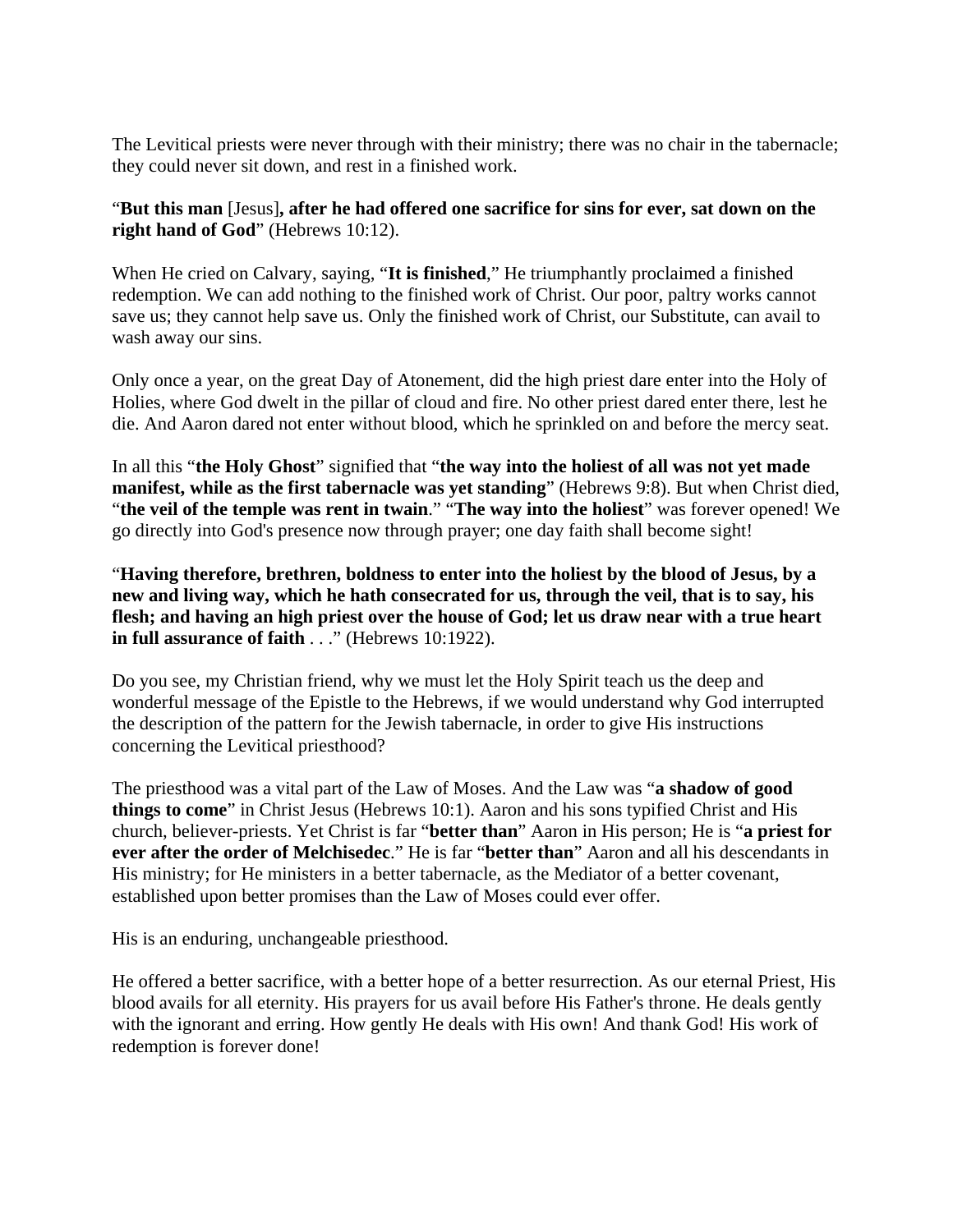The Levitical priests were never through with their ministry; there was no chair in the tabernacle; they could never sit down, and rest in a finished work.

### "**But this man** [Jesus]**, after he had offered one sacrifice for sins for ever, sat down on the right hand of God**" (Hebrews 10:12).

When He cried on Calvary, saying, "**It is finished**," He triumphantly proclaimed a finished redemption. We can add nothing to the finished work of Christ. Our poor, paltry works cannot save us; they cannot help save us. Only the finished work of Christ, our Substitute, can avail to wash away our sins.

Only once a year, on the great Day of Atonement, did the high priest dare enter into the Holy of Holies, where God dwelt in the pillar of cloud and fire. No other priest dared enter there, lest he die. And Aaron dared not enter without blood, which he sprinkled on and before the mercy seat.

In all this "**the Holy Ghost**" signified that "**the way into the holiest of all was not yet made manifest, while as the first tabernacle was yet standing**" (Hebrews 9:8). But when Christ died, "**the veil of the temple was rent in twain**." "**The way into the holiest**" was forever opened! We go directly into God's presence now through prayer; one day faith shall become sight!

"**Having therefore, brethren, boldness to enter into the holiest by the blood of Jesus, by a new and living way, which he hath consecrated for us, through the veil, that is to say, his flesh; and having an high priest over the house of God; let us draw near with a true heart in full assurance of faith** . . ." (Hebrews 10:1922).

Do you see, my Christian friend, why we must let the Holy Spirit teach us the deep and wonderful message of the Epistle to the Hebrews, if we would understand why God interrupted the description of the pattern for the Jewish tabernacle, in order to give His instructions concerning the Levitical priesthood?

The priesthood was a vital part of the Law of Moses. And the Law was "**a shadow of good things to come**" in Christ Jesus (Hebrews 10:1). Aaron and his sons typified Christ and His church, believer-priests. Yet Christ is far "**better than**" Aaron in His person; He is "**a priest for ever after the order of Melchisedec**." He is far "**better than**" Aaron and all his descendants in His ministry; for He ministers in a better tabernacle, as the Mediator of a better covenant, established upon better promises than the Law of Moses could ever offer.

His is an enduring, unchangeable priesthood.

He offered a better sacrifice, with a better hope of a better resurrection. As our eternal Priest, His blood avails for all eternity. His prayers for us avail before His Father's throne. He deals gently with the ignorant and erring. How gently He deals with His own! And thank God! His work of redemption is forever done!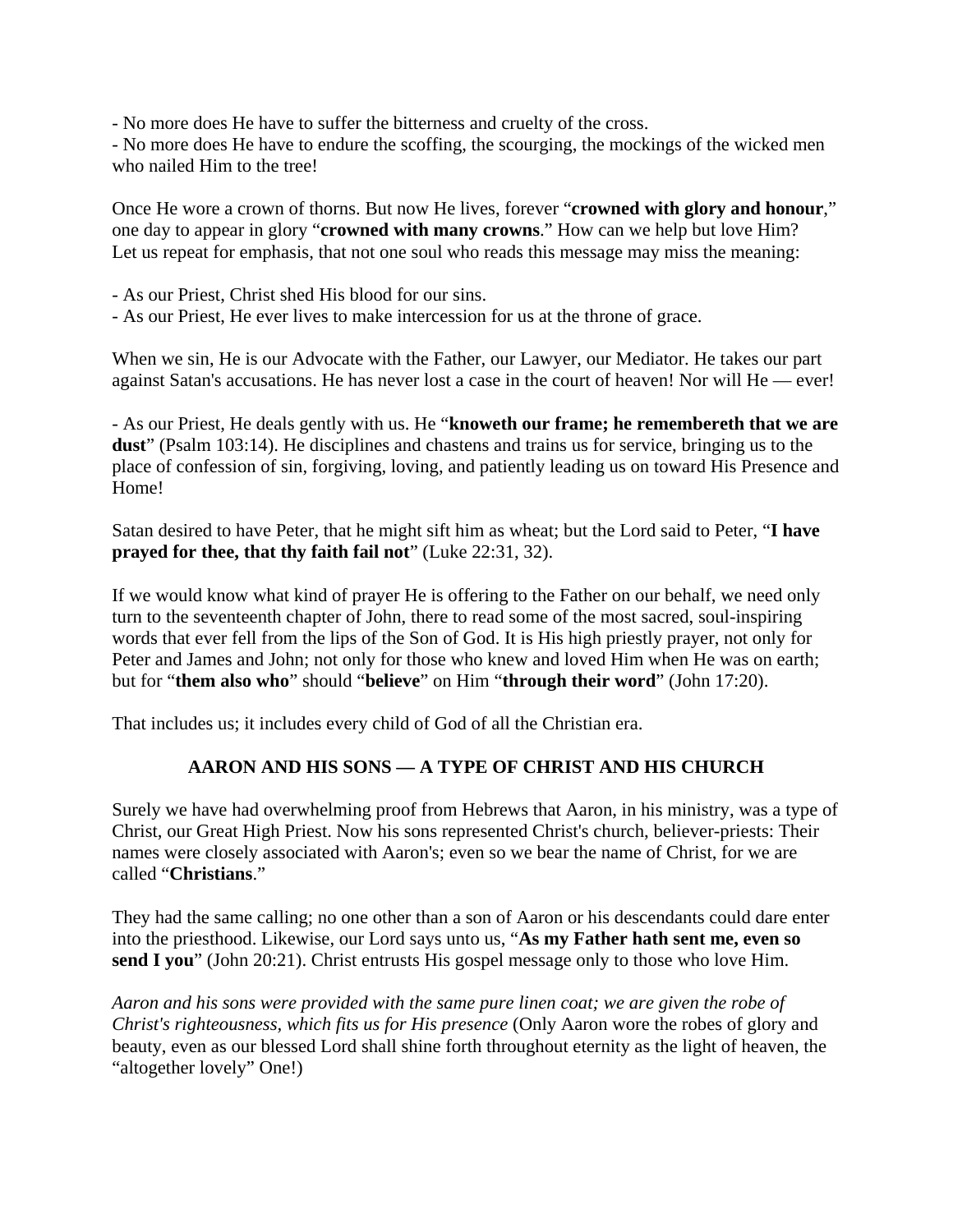- No more does He have to suffer the bitterness and cruelty of the cross.

- No more does He have to endure the scoffing, the scourging, the mockings of the wicked men who nailed Him to the tree!

Once He wore a crown of thorns. But now He lives, forever "**crowned with glory and honour**," one day to appear in glory "**crowned with many crowns**." How can we help but love Him? Let us repeat for emphasis, that not one soul who reads this message may miss the meaning:

- As our Priest, Christ shed His blood for our sins.
- As our Priest, He ever lives to make intercession for us at the throne of grace.

When we sin, He is our Advocate with the Father, our Lawyer, our Mediator. He takes our part against Satan's accusations. He has never lost a case in the court of heaven! Nor will He — ever!

- As our Priest, He deals gently with us. He "**knoweth our frame; he remembereth that we are dust**" (Psalm 103:14). He disciplines and chastens and trains us for service, bringing us to the place of confession of sin, forgiving, loving, and patiently leading us on toward His Presence and Home!

Satan desired to have Peter, that he might sift him as wheat; but the Lord said to Peter, "**I have prayed for thee, that thy faith fail not**" (Luke 22:31, 32).

If we would know what kind of prayer He is offering to the Father on our behalf, we need only turn to the seventeenth chapter of John, there to read some of the most sacred, soul-inspiring words that ever fell from the lips of the Son of God. It is His high priestly prayer, not only for Peter and James and John; not only for those who knew and loved Him when He was on earth; but for "**them also who**" should "**believe**" on Him "**through their word**" (John 17:20).

That includes us; it includes every child of God of all the Christian era.

### **AARON AND HIS SONS — A TYPE OF CHRIST AND HIS CHURCH**

Surely we have had overwhelming proof from Hebrews that Aaron, in his ministry, was a type of Christ, our Great High Priest. Now his sons represented Christ's church, believer-priests: Their names were closely associated with Aaron's; even so we bear the name of Christ, for we are called "**Christians**."

They had the same calling; no one other than a son of Aaron or his descendants could dare enter into the priesthood. Likewise, our Lord says unto us, "**As my Father hath sent me, even so send I you**" (John 20:21). Christ entrusts His gospel message only to those who love Him.

*Aaron and his sons were provided with the same pure linen coat; we are given the robe of Christ's righteousness, which fits us for His presence* (Only Aaron wore the robes of glory and beauty, even as our blessed Lord shall shine forth throughout eternity as the light of heaven, the "altogether lovely" One!)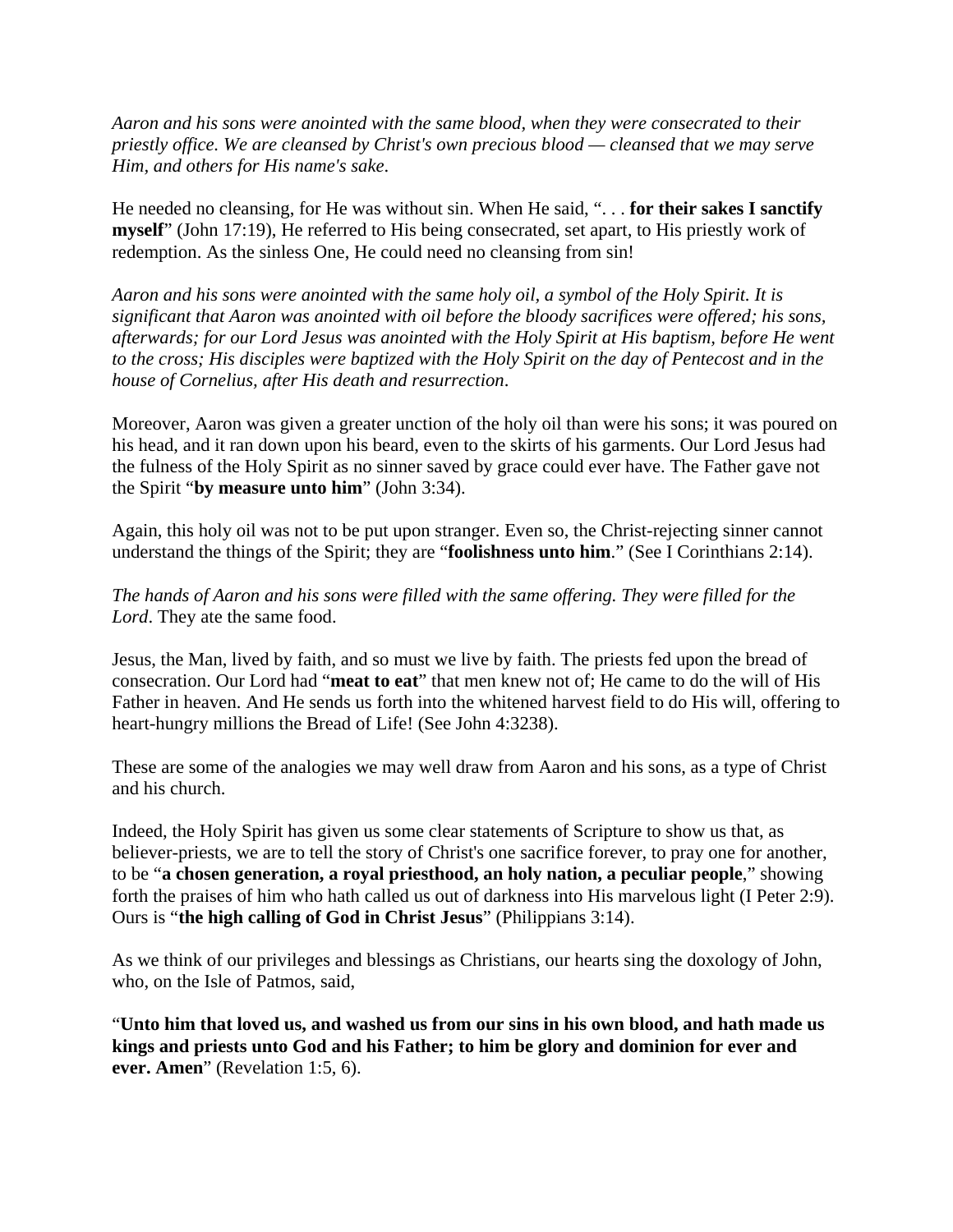*Aaron and his sons were anointed with the same blood, when they were consecrated to their priestly office. We are cleansed by Christ's own precious blood — cleansed that we may serve Him, and others for His name's sake*.

He needed no cleansing, for He was without sin. When He said, ". . . **for their sakes I sanctify myself**" (John 17:19), He referred to His being consecrated, set apart, to His priestly work of redemption. As the sinless One, He could need no cleansing from sin!

*Aaron and his sons were anointed with the same holy oil, a symbol of the Holy Spirit. It is significant that Aaron was anointed with oil before the bloody sacrifices were offered; his sons, afterwards; for our Lord Jesus was anointed with the Holy Spirit at His baptism, before He went to the cross; His disciples were baptized with the Holy Spirit on the day of Pentecost and in the house of Cornelius, after His death and resurrection*.

Moreover, Aaron was given a greater unction of the holy oil than were his sons; it was poured on his head, and it ran down upon his beard, even to the skirts of his garments. Our Lord Jesus had the fulness of the Holy Spirit as no sinner saved by grace could ever have. The Father gave not the Spirit "**by measure unto him**" (John 3:34).

Again, this holy oil was not to be put upon stranger. Even so, the Christ-rejecting sinner cannot understand the things of the Spirit; they are "**foolishness unto him**." (See I Corinthians 2:14).

*The hands of Aaron and his sons were filled with the same offering. They were filled for the Lord*. They ate the same food.

Jesus, the Man, lived by faith, and so must we live by faith. The priests fed upon the bread of consecration. Our Lord had "**meat to eat**" that men knew not of; He came to do the will of His Father in heaven. And He sends us forth into the whitened harvest field to do His will, offering to heart-hungry millions the Bread of Life! (See John 4:3238).

These are some of the analogies we may well draw from Aaron and his sons, as a type of Christ and his church.

Indeed, the Holy Spirit has given us some clear statements of Scripture to show us that, as believer-priests, we are to tell the story of Christ's one sacrifice forever, to pray one for another, to be "**a chosen generation, a royal priesthood, an holy nation, a peculiar people**," showing forth the praises of him who hath called us out of darkness into His marvelous light (I Peter 2:9). Ours is "**the high calling of God in Christ Jesus**" (Philippians 3:14).

As we think of our privileges and blessings as Christians, our hearts sing the doxology of John, who, on the Isle of Patmos, said,

"**Unto him that loved us, and washed us from our sins in his own blood, and hath made us kings and priests unto God and his Father; to him be glory and dominion for ever and ever. Amen**" (Revelation 1:5, 6).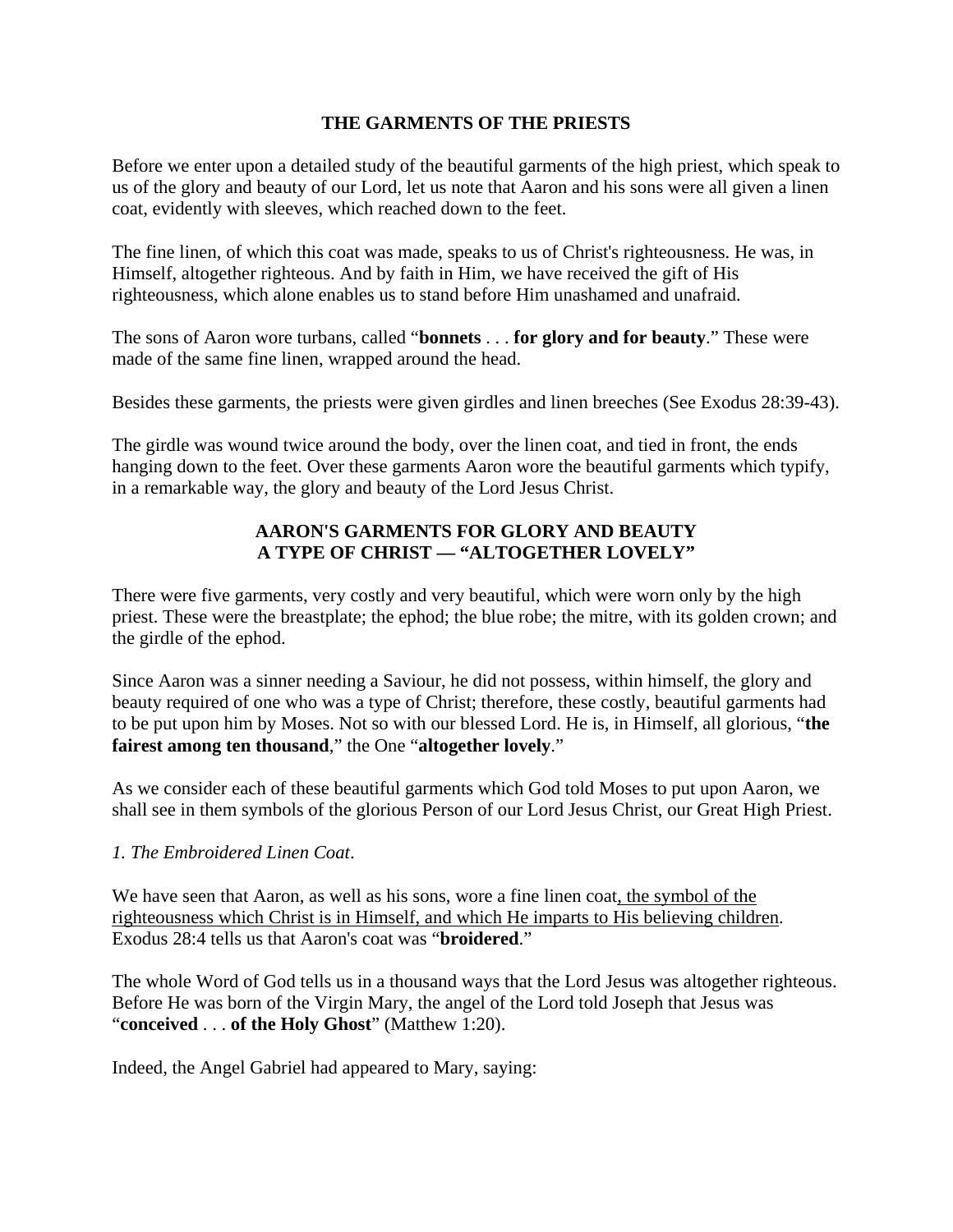#### **THE GARMENTS OF THE PRIESTS**

Before we enter upon a detailed study of the beautiful garments of the high priest, which speak to us of the glory and beauty of our Lord, let us note that Aaron and his sons were all given a linen coat, evidently with sleeves, which reached down to the feet.

The fine linen, of which this coat was made, speaks to us of Christ's righteousness. He was, in Himself, altogether righteous. And by faith in Him, we have received the gift of His righteousness, which alone enables us to stand before Him unashamed and unafraid.

The sons of Aaron wore turbans, called "**bonnets** . . . **for glory and for beauty**." These were made of the same fine linen, wrapped around the head.

Besides these garments, the priests were given girdles and linen breeches (See Exodus 28:39-43).

The girdle was wound twice around the body, over the linen coat, and tied in front, the ends hanging down to the feet. Over these garments Aaron wore the beautiful garments which typify, in a remarkable way, the glory and beauty of the Lord Jesus Christ.

### **AARON'S GARMENTS FOR GLORY AND BEAUTY A TYPE OF CHRIST — "ALTOGETHER LOVELY"**

There were five garments, very costly and very beautiful, which were worn only by the high priest. These were the breastplate; the ephod; the blue robe; the mitre, with its golden crown; and the girdle of the ephod.

Since Aaron was a sinner needing a Saviour, he did not possess, within himself, the glory and beauty required of one who was a type of Christ; therefore, these costly, beautiful garments had to be put upon him by Moses. Not so with our blessed Lord. He is, in Himself, all glorious, "**the fairest among ten thousand**," the One "**altogether lovely**."

As we consider each of these beautiful garments which God told Moses to put upon Aaron, we shall see in them symbols of the glorious Person of our Lord Jesus Christ, our Great High Priest.

#### *1. The Embroidered Linen Coat*.

We have seen that Aaron, as well as his sons, wore a fine linen coat, the symbol of the righteousness which Christ is in Himself, and which He imparts to His believing children. Exodus 28:4 tells us that Aaron's coat was "**broidered**."

The whole Word of God tells us in a thousand ways that the Lord Jesus was altogether righteous. Before He was born of the Virgin Mary, the angel of the Lord told Joseph that Jesus was "**conceived** . . . **of the Holy Ghost**" (Matthew 1:20).

Indeed, the Angel Gabriel had appeared to Mary, saying: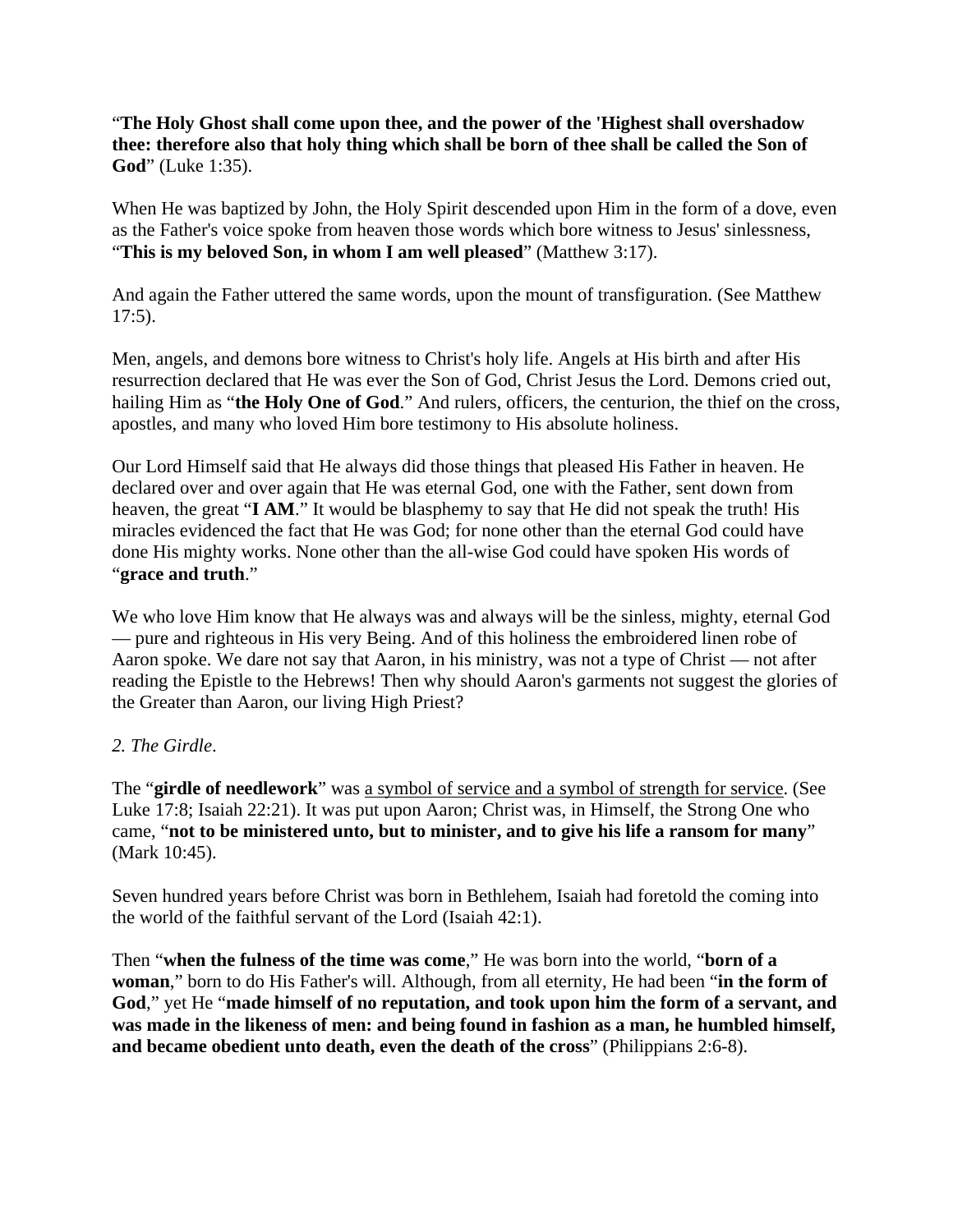"**The Holy Ghost shall come upon thee, and the power of the 'Highest shall overshadow thee: therefore also that holy thing which shall be born of thee shall be called the Son of God**" (Luke 1:35).

When He was baptized by John, the Holy Spirit descended upon Him in the form of a dove, even as the Father's voice spoke from heaven those words which bore witness to Jesus' sinlessness, "**This is my beloved Son, in whom I am well pleased**" (Matthew 3:17).

And again the Father uttered the same words, upon the mount of transfiguration. (See Matthew 17:5).

Men, angels, and demons bore witness to Christ's holy life. Angels at His birth and after His resurrection declared that He was ever the Son of God, Christ Jesus the Lord. Demons cried out, hailing Him as "**the Holy One of God**." And rulers, officers, the centurion, the thief on the cross, apostles, and many who loved Him bore testimony to His absolute holiness.

Our Lord Himself said that He always did those things that pleased His Father in heaven. He declared over and over again that He was eternal God, one with the Father, sent down from heaven, the great "**I AM**." It would be blasphemy to say that He did not speak the truth! His miracles evidenced the fact that He was God; for none other than the eternal God could have done His mighty works. None other than the all-wise God could have spoken His words of "**grace and truth**."

We who love Him know that He always was and always will be the sinless, mighty, eternal God — pure and righteous in His very Being. And of this holiness the embroidered linen robe of Aaron spoke. We dare not say that Aaron, in his ministry, was not a type of Christ — not after reading the Epistle to the Hebrews! Then why should Aaron's garments not suggest the glories of the Greater than Aaron, our living High Priest?

### *2. The Girdle*.

The "**girdle of needlework**" was a symbol of service and a symbol of strength for service. (See Luke 17:8; Isaiah 22:21). It was put upon Aaron; Christ was, in Himself, the Strong One who came, "**not to be ministered unto, but to minister, and to give his life a ransom for many**" (Mark 10:45).

Seven hundred years before Christ was born in Bethlehem, Isaiah had foretold the coming into the world of the faithful servant of the Lord (Isaiah 42:1).

Then "**when the fulness of the time was come**," He was born into the world, "**born of a woman**," born to do His Father's will. Although, from all eternity, He had been "**in the form of God**," yet He "**made himself of no reputation, and took upon him the form of a servant, and was made in the likeness of men: and being found in fashion as a man, he humbled himself, and became obedient unto death, even the death of the cross**" (Philippians 2:6-8).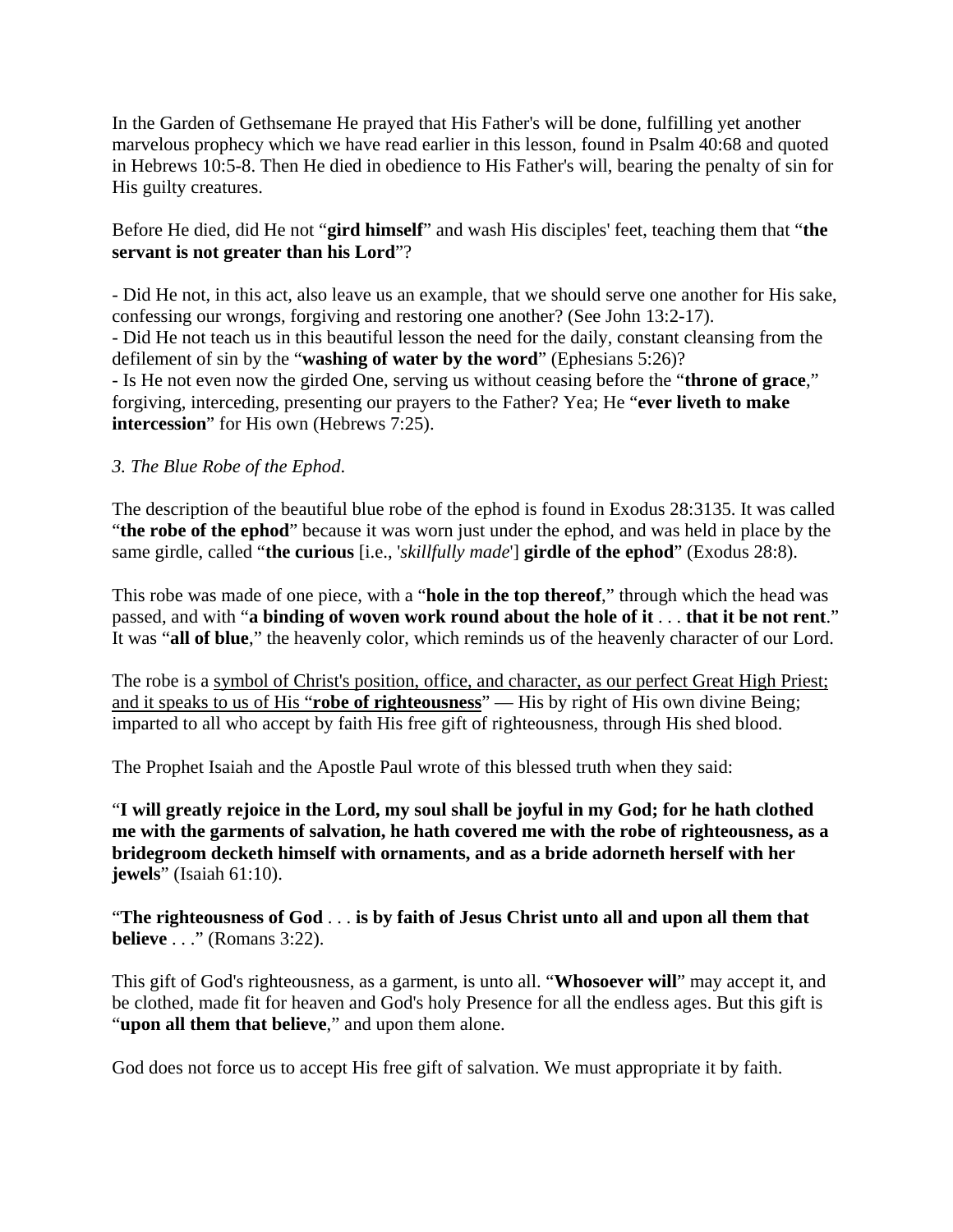In the Garden of Gethsemane He prayed that His Father's will be done, fulfilling yet another marvelous prophecy which we have read earlier in this lesson, found in Psalm 40:68 and quoted in Hebrews 10:5-8. Then He died in obedience to His Father's will, bearing the penalty of sin for His guilty creatures.

#### Before He died, did He not "**gird himself**" and wash His disciples' feet, teaching them that "**the servant is not greater than his Lord**"?

- Did He not, in this act, also leave us an example, that we should serve one another for His sake, confessing our wrongs, forgiving and restoring one another? (See John 13:2-17). - Did He not teach us in this beautiful lesson the need for the daily, constant cleansing from the defilement of sin by the "**washing of water by the word**" (Ephesians 5:26)? - Is He not even now the girded One, serving us without ceasing before the "**throne of grace**," forgiving, interceding, presenting our prayers to the Father? Yea; He "**ever liveth to make intercession**" for His own (Hebrews 7:25).

### *3. The Blue Robe of the Ephod*.

The description of the beautiful blue robe of the ephod is found in Exodus 28:3135. It was called "**the robe of the ephod**" because it was worn just under the ephod, and was held in place by the same girdle, called "**the curious** [i.e., '*skillfully made*'] **girdle of the ephod**" (Exodus 28:8).

This robe was made of one piece, with a "**hole in the top thereof**," through which the head was passed, and with "**a binding of woven work round about the hole of it** . . . **that it be not rent**." It was "**all of blue**," the heavenly color, which reminds us of the heavenly character of our Lord.

The robe is a symbol of Christ's position, office, and character, as our perfect Great High Priest; and it speaks to us of His "**robe of righteousness**" — His by right of His own divine Being; imparted to all who accept by faith His free gift of righteousness, through His shed blood.

The Prophet Isaiah and the Apostle Paul wrote of this blessed truth when they said:

"**I will greatly rejoice in the Lord, my soul shall be joyful in my God; for he hath clothed me with the garments of salvation, he hath covered me with the robe of righteousness, as a bridegroom decketh himself with ornaments, and as a bride adorneth herself with her jewels**" (Isaiah 61:10).

"**The righteousness of God** . . . **is by faith of Jesus Christ unto all and upon all them that believe** . . ." (Romans 3:22).

This gift of God's righteousness, as a garment, is unto all. "**Whosoever will**" may accept it, and be clothed, made fit for heaven and God's holy Presence for all the endless ages. But this gift is "**upon all them that believe**," and upon them alone.

God does not force us to accept His free gift of salvation. We must appropriate it by faith.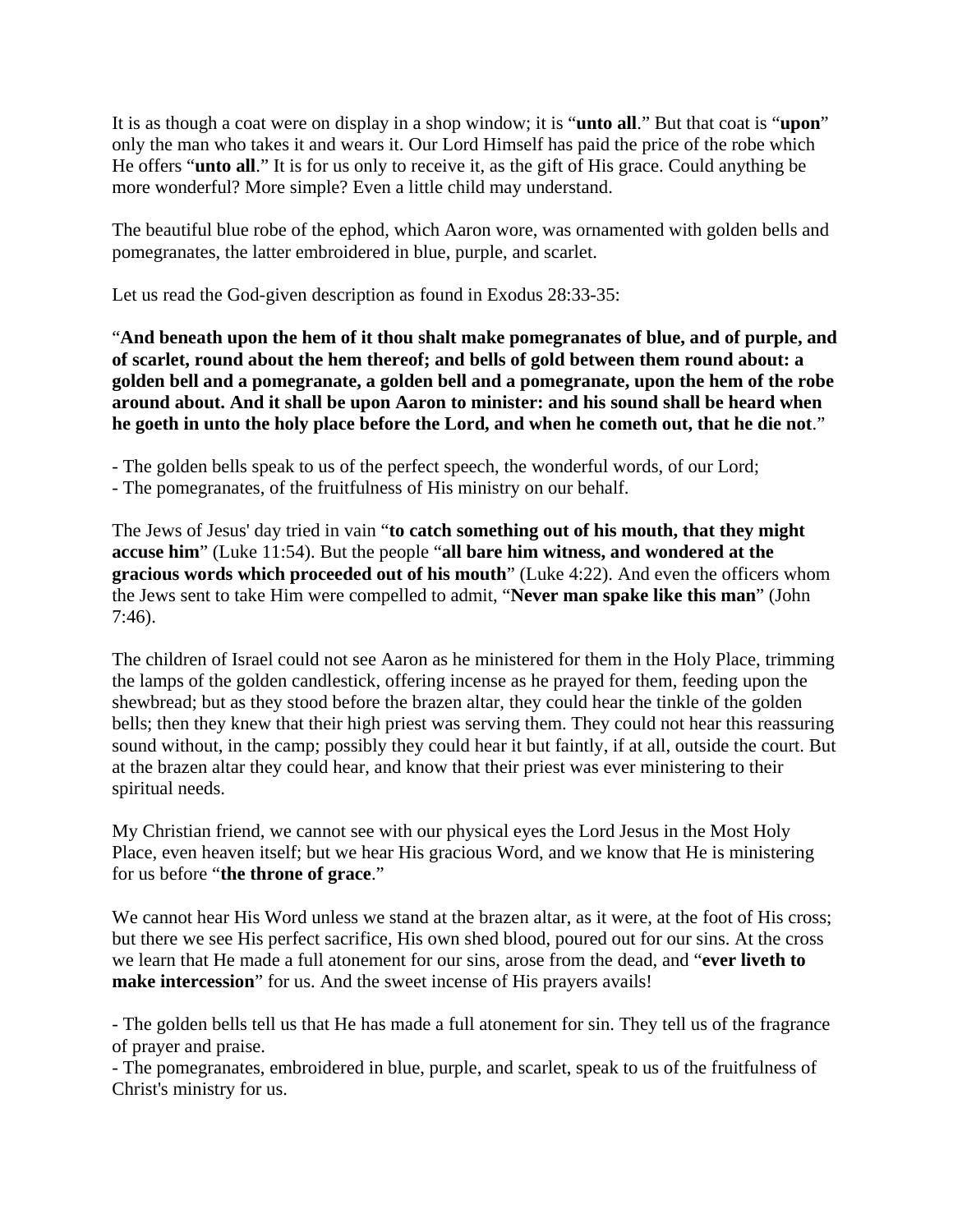It is as though a coat were on display in a shop window; it is "**unto all**." But that coat is "**upon**" only the man who takes it and wears it. Our Lord Himself has paid the price of the robe which He offers "**unto all**." It is for us only to receive it, as the gift of His grace. Could anything be more wonderful? More simple? Even a little child may understand.

The beautiful blue robe of the ephod, which Aaron wore, was ornamented with golden bells and pomegranates, the latter embroidered in blue, purple, and scarlet.

Let us read the God-given description as found in Exodus 28:33-35:

"**And beneath upon the hem of it thou shalt make pomegranates of blue, and of purple, and of scarlet, round about the hem thereof; and bells of gold between them round about: a golden bell and a pomegranate, a golden bell and a pomegranate, upon the hem of the robe around about. And it shall be upon Aaron to minister: and his sound shall be heard when he goeth in unto the holy place before the Lord, and when he cometh out, that he die not**."

- The golden bells speak to us of the perfect speech, the wonderful words, of our Lord;

- The pomegranates, of the fruitfulness of His ministry on our behalf.

The Jews of Jesus' day tried in vain "**to catch something out of his mouth, that they might accuse him**" (Luke 11:54). But the people "**all bare him witness, and wondered at the gracious words which proceeded out of his mouth**" (Luke 4:22). And even the officers whom the Jews sent to take Him were compelled to admit, "**Never man spake like this man**" (John 7:46).

The children of Israel could not see Aaron as he ministered for them in the Holy Place, trimming the lamps of the golden candlestick, offering incense as he prayed for them, feeding upon the shewbread; but as they stood before the brazen altar, they could hear the tinkle of the golden bells; then they knew that their high priest was serving them. They could not hear this reassuring sound without, in the camp; possibly they could hear it but faintly, if at all, outside the court. But at the brazen altar they could hear, and know that their priest was ever ministering to their spiritual needs.

My Christian friend, we cannot see with our physical eyes the Lord Jesus in the Most Holy Place, even heaven itself; but we hear His gracious Word, and we know that He is ministering for us before "**the throne of grace**."

We cannot hear His Word unless we stand at the brazen altar, as it were, at the foot of His cross; but there we see His perfect sacrifice, His own shed blood, poured out for our sins. At the cross we learn that He made a full atonement for our sins, arose from the dead, and "**ever liveth to make intercession**" for us. And the sweet incense of His prayers avails!

- The golden bells tell us that He has made a full atonement for sin. They tell us of the fragrance of prayer and praise.

- The pomegranates, embroidered in blue, purple, and scarlet, speak to us of the fruitfulness of Christ's ministry for us.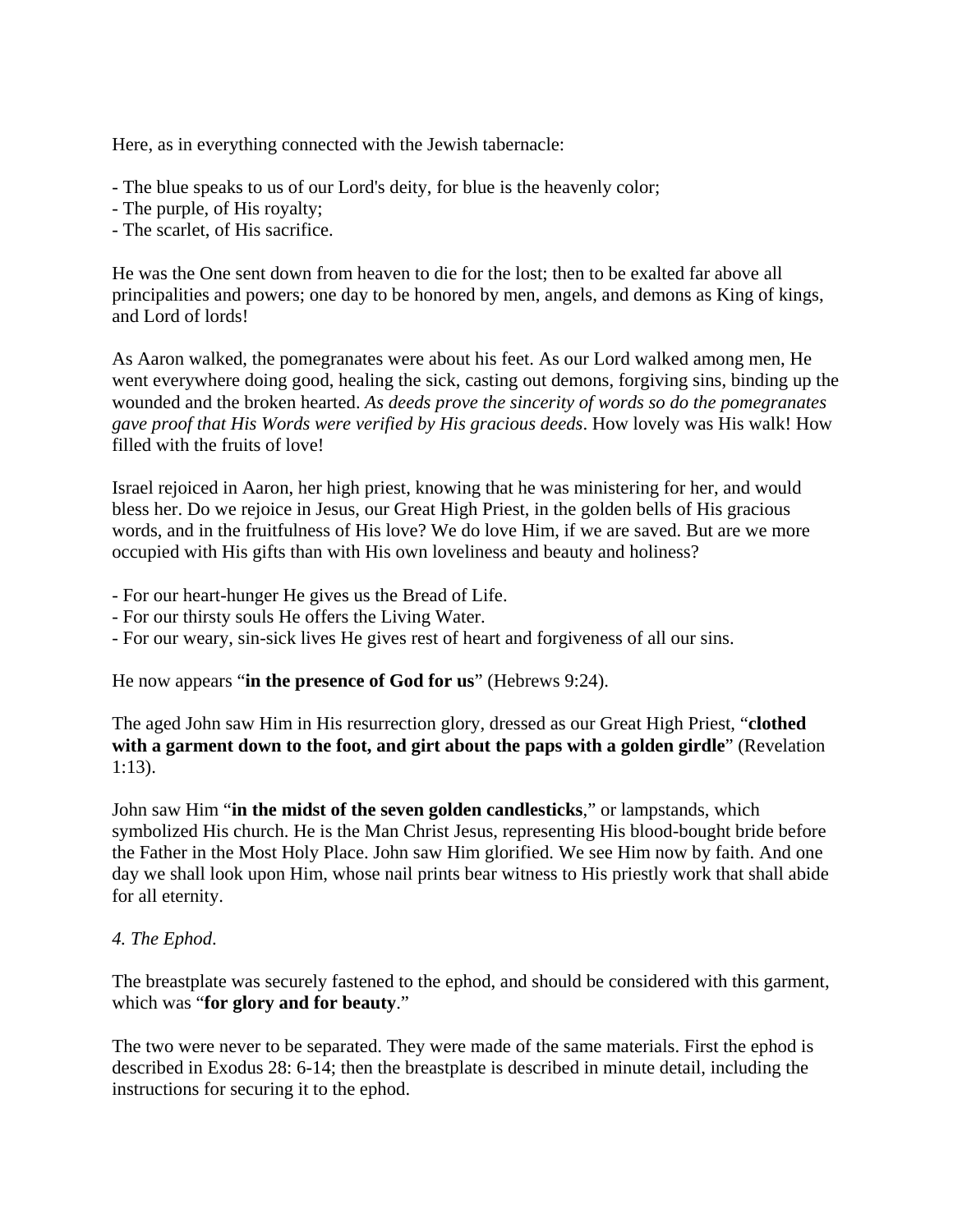Here, as in everything connected with the Jewish tabernacle:

- The blue speaks to us of our Lord's deity, for blue is the heavenly color;
- The purple, of His royalty;
- The scarlet, of His sacrifice.

He was the One sent down from heaven to die for the lost; then to be exalted far above all principalities and powers; one day to be honored by men, angels, and demons as King of kings, and Lord of lords!

As Aaron walked, the pomegranates were about his feet. As our Lord walked among men, He went everywhere doing good, healing the sick, casting out demons, forgiving sins, binding up the wounded and the broken hearted. *As deeds prove the sincerity of words so do the pomegranates gave proof that His Words were verified by His gracious deeds*. How lovely was His walk! How filled with the fruits of love!

Israel rejoiced in Aaron, her high priest, knowing that he was ministering for her, and would bless her. Do we rejoice in Jesus, our Great High Priest, in the golden bells of His gracious words, and in the fruitfulness of His love? We do love Him, if we are saved. But are we more occupied with His gifts than with His own loveliness and beauty and holiness?

- For our heart-hunger He gives us the Bread of Life.

- For our thirsty souls He offers the Living Water.
- For our weary, sin-sick lives He gives rest of heart and forgiveness of all our sins.

He now appears "**in the presence of God for us**" (Hebrews 9:24).

The aged John saw Him in His resurrection glory, dressed as our Great High Priest, "**clothed with a garment down to the foot, and girt about the paps with a golden girdle**" (Revelation 1:13).

John saw Him "**in the midst of the seven golden candlesticks**," or lampstands, which symbolized His church. He is the Man Christ Jesus, representing His blood-bought bride before the Father in the Most Holy Place. John saw Him glorified. We see Him now by faith. And one day we shall look upon Him, whose nail prints bear witness to His priestly work that shall abide for all eternity.

#### *4. The Ephod*.

The breastplate was securely fastened to the ephod, and should be considered with this garment, which was "**for glory and for beauty**."

The two were never to be separated. They were made of the same materials. First the ephod is described in Exodus 28: 6-14; then the breastplate is described in minute detail, including the instructions for securing it to the ephod.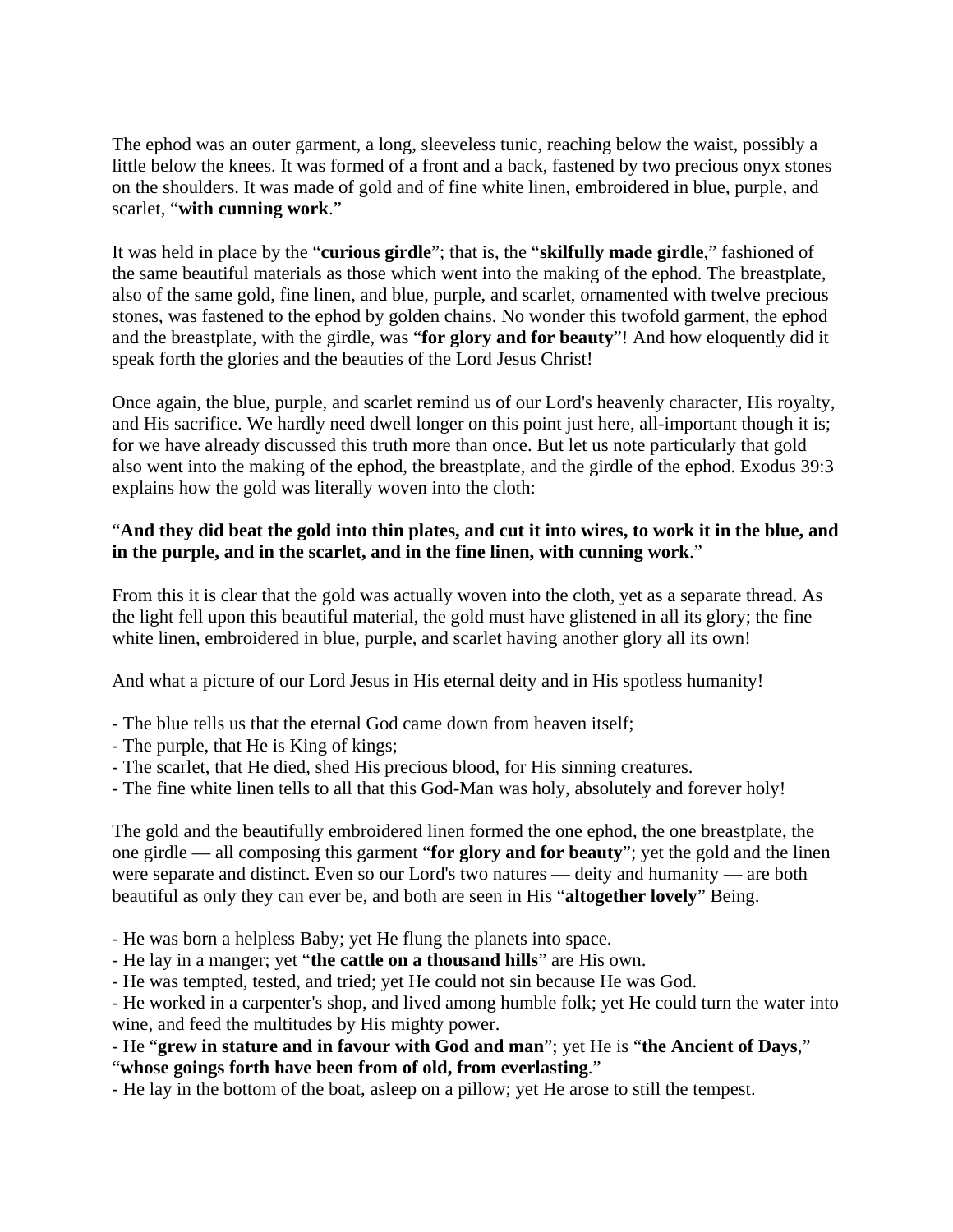The ephod was an outer garment, a long, sleeveless tunic, reaching below the waist, possibly a little below the knees. It was formed of a front and a back, fastened by two precious onyx stones on the shoulders. It was made of gold and of fine white linen, embroidered in blue, purple, and scarlet, "**with cunning work**."

It was held in place by the "**curious girdle**"; that is, the "**skilfully made girdle**," fashioned of the same beautiful materials as those which went into the making of the ephod. The breastplate, also of the same gold, fine linen, and blue, purple, and scarlet, ornamented with twelve precious stones, was fastened to the ephod by golden chains. No wonder this twofold garment, the ephod and the breastplate, with the girdle, was "**for glory and for beauty**"! And how eloquently did it speak forth the glories and the beauties of the Lord Jesus Christ!

Once again, the blue, purple, and scarlet remind us of our Lord's heavenly character, His royalty, and His sacrifice. We hardly need dwell longer on this point just here, all-important though it is; for we have already discussed this truth more than once. But let us note particularly that gold also went into the making of the ephod, the breastplate, and the girdle of the ephod. Exodus 39:3 explains how the gold was literally woven into the cloth:

## "**And they did beat the gold into thin plates, and cut it into wires, to work it in the blue, and in the purple, and in the scarlet, and in the fine linen, with cunning work**."

From this it is clear that the gold was actually woven into the cloth, yet as a separate thread. As the light fell upon this beautiful material, the gold must have glistened in all its glory; the fine white linen, embroidered in blue, purple, and scarlet having another glory all its own!

And what a picture of our Lord Jesus in His eternal deity and in His spotless humanity!

- The blue tells us that the eternal God came down from heaven itself;
- The purple, that He is King of kings;
- The scarlet, that He died, shed His precious blood, for His sinning creatures.
- The fine white linen tells to all that this God-Man was holy, absolutely and forever holy!

The gold and the beautifully embroidered linen formed the one ephod, the one breastplate, the one girdle — all composing this garment "**for glory and for beauty**"; yet the gold and the linen were separate and distinct. Even so our Lord's two natures — deity and humanity — are both beautiful as only they can ever be, and both are seen in His "**altogether lovely**" Being.

- He was born a helpless Baby; yet He flung the planets into space.

- He lay in a manger; yet "**the cattle on a thousand hills**" are His own.

- He was tempted, tested, and tried; yet He could not sin because He was God.

- He worked in a carpenter's shop, and lived among humble folk; yet He could turn the water into wine, and feed the multitudes by His mighty power.

- He "**grew in stature and in favour with God and man**"; yet He is "**the Ancient of Days**,"

"**whose goings forth have been from of old, from everlasting**."

- He lay in the bottom of the boat, asleep on a pillow; yet He arose to still the tempest.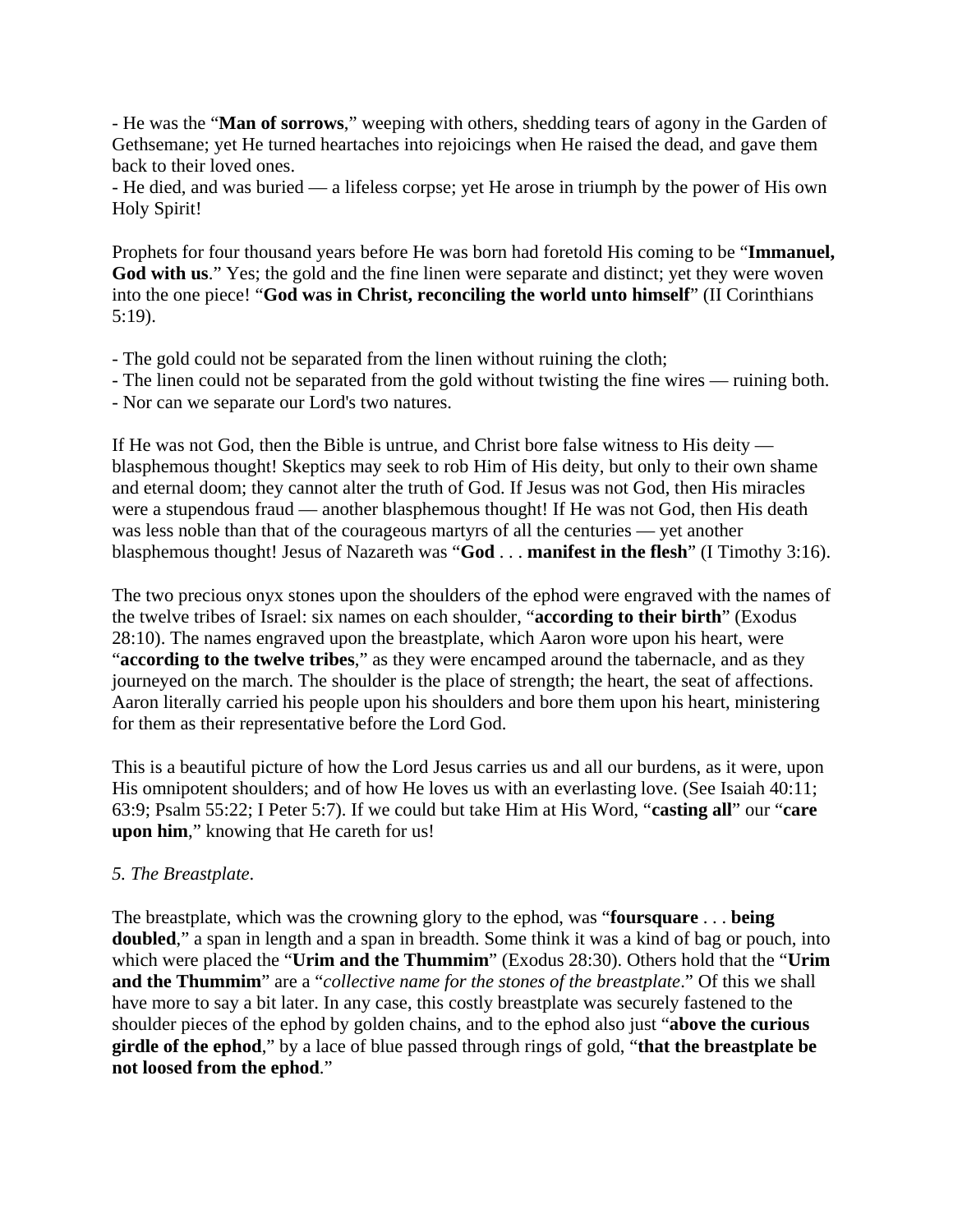- He was the "**Man of sorrows**," weeping with others, shedding tears of agony in the Garden of Gethsemane; yet He turned heartaches into rejoicings when He raised the dead, and gave them back to their loved ones.

- He died, and was buried — a lifeless corpse; yet He arose in triumph by the power of His own Holy Spirit!

Prophets for four thousand years before He was born had foretold His coming to be "**Immanuel, God with us**." Yes; the gold and the fine linen were separate and distinct; yet they were woven into the one piece! "**God was in Christ, reconciling the world unto himself**" (II Corinthians 5:19).

- The gold could not be separated from the linen without ruining the cloth;
- The linen could not be separated from the gold without twisting the fine wires ruining both.
- Nor can we separate our Lord's two natures.

If He was not God, then the Bible is untrue, and Christ bore false witness to His deity blasphemous thought! Skeptics may seek to rob Him of His deity, but only to their own shame and eternal doom; they cannot alter the truth of God. If Jesus was not God, then His miracles were a stupendous fraud — another blasphemous thought! If He was not God, then His death was less noble than that of the courageous martyrs of all the centuries — yet another blasphemous thought! Jesus of Nazareth was "**God** . . . **manifest in the flesh**" (I Timothy 3:16).

The two precious onyx stones upon the shoulders of the ephod were engraved with the names of the twelve tribes of Israel: six names on each shoulder, "**according to their birth**" (Exodus 28:10). The names engraved upon the breastplate, which Aaron wore upon his heart, were "**according to the twelve tribes**," as they were encamped around the tabernacle, and as they journeyed on the march. The shoulder is the place of strength; the heart, the seat of affections. Aaron literally carried his people upon his shoulders and bore them upon his heart, ministering for them as their representative before the Lord God.

This is a beautiful picture of how the Lord Jesus carries us and all our burdens, as it were, upon His omnipotent shoulders; and of how He loves us with an everlasting love. (See Isaiah 40:11; 63:9; Psalm 55:22; I Peter 5:7). If we could but take Him at His Word, "**casting all**" our "**care upon him**," knowing that He careth for us!

### *5. The Breastplate*.

The breastplate, which was the crowning glory to the ephod, was "**foursquare** . . . **being doubled**," a span in length and a span in breadth. Some think it was a kind of bag or pouch, into which were placed the "**Urim and the Thummim**" (Exodus 28:30). Others hold that the "**Urim and the Thummim**" are a "*collective name for the stones of the breastplate*." Of this we shall have more to say a bit later. In any case, this costly breastplate was securely fastened to the shoulder pieces of the ephod by golden chains, and to the ephod also just "**above the curious girdle of the ephod**," by a lace of blue passed through rings of gold, "**that the breastplate be not loosed from the ephod**."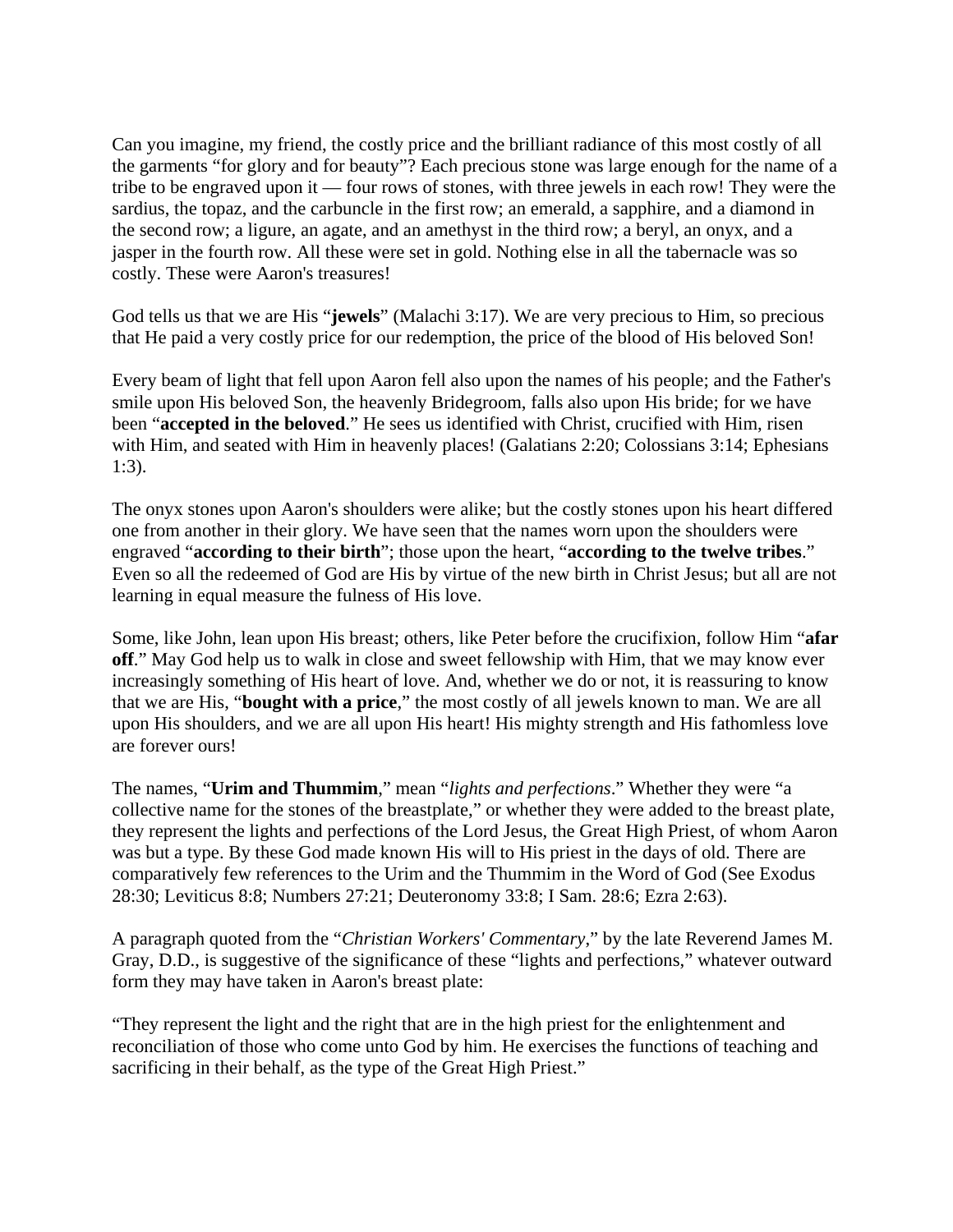Can you imagine, my friend, the costly price and the brilliant radiance of this most costly of all the garments "for glory and for beauty"? Each precious stone was large enough for the name of a tribe to be engraved upon it — four rows of stones, with three jewels in each row! They were the sardius, the topaz, and the carbuncle in the first row; an emerald, a sapphire, and a diamond in the second row; a ligure, an agate, and an amethyst in the third row; a beryl, an onyx, and a jasper in the fourth row. All these were set in gold. Nothing else in all the tabernacle was so costly. These were Aaron's treasures!

God tells us that we are His "**jewels**" (Malachi 3:17). We are very precious to Him, so precious that He paid a very costly price for our redemption, the price of the blood of His beloved Son!

Every beam of light that fell upon Aaron fell also upon the names of his people; and the Father's smile upon His beloved Son, the heavenly Bridegroom, falls also upon His bride; for we have been "**accepted in the beloved**." He sees us identified with Christ, crucified with Him, risen with Him, and seated with Him in heavenly places! (Galatians 2:20; Colossians 3:14; Ephesians 1:3).

The onyx stones upon Aaron's shoulders were alike; but the costly stones upon his heart differed one from another in their glory. We have seen that the names worn upon the shoulders were engraved "**according to their birth**"; those upon the heart, "**according to the twelve tribes**." Even so all the redeemed of God are His by virtue of the new birth in Christ Jesus; but all are not learning in equal measure the fulness of His love.

Some, like John, lean upon His breast; others, like Peter before the crucifixion, follow Him "**afar off**." May God help us to walk in close and sweet fellowship with Him, that we may know ever increasingly something of His heart of love. And, whether we do or not, it is reassuring to know that we are His, "**bought with a price**," the most costly of all jewels known to man. We are all upon His shoulders, and we are all upon His heart! His mighty strength and His fathomless love are forever ours!

The names, "**Urim and Thummim**," mean "*lights and perfections*." Whether they were "a collective name for the stones of the breastplate," or whether they were added to the breast plate, they represent the lights and perfections of the Lord Jesus, the Great High Priest, of whom Aaron was but a type. By these God made known His will to His priest in the days of old. There are comparatively few references to the Urim and the Thummim in the Word of God (See Exodus 28:30; Leviticus 8:8; Numbers 27:21; Deuteronomy 33:8; I Sam. 28:6; Ezra 2:63).

A paragraph quoted from the "*Christian Workers' Commentary*," by the late Reverend James M. Gray, D.D., is suggestive of the significance of these "lights and perfections," whatever outward form they may have taken in Aaron's breast plate:

"They represent the light and the right that are in the high priest for the enlightenment and reconciliation of those who come unto God by him. He exercises the functions of teaching and sacrificing in their behalf, as the type of the Great High Priest."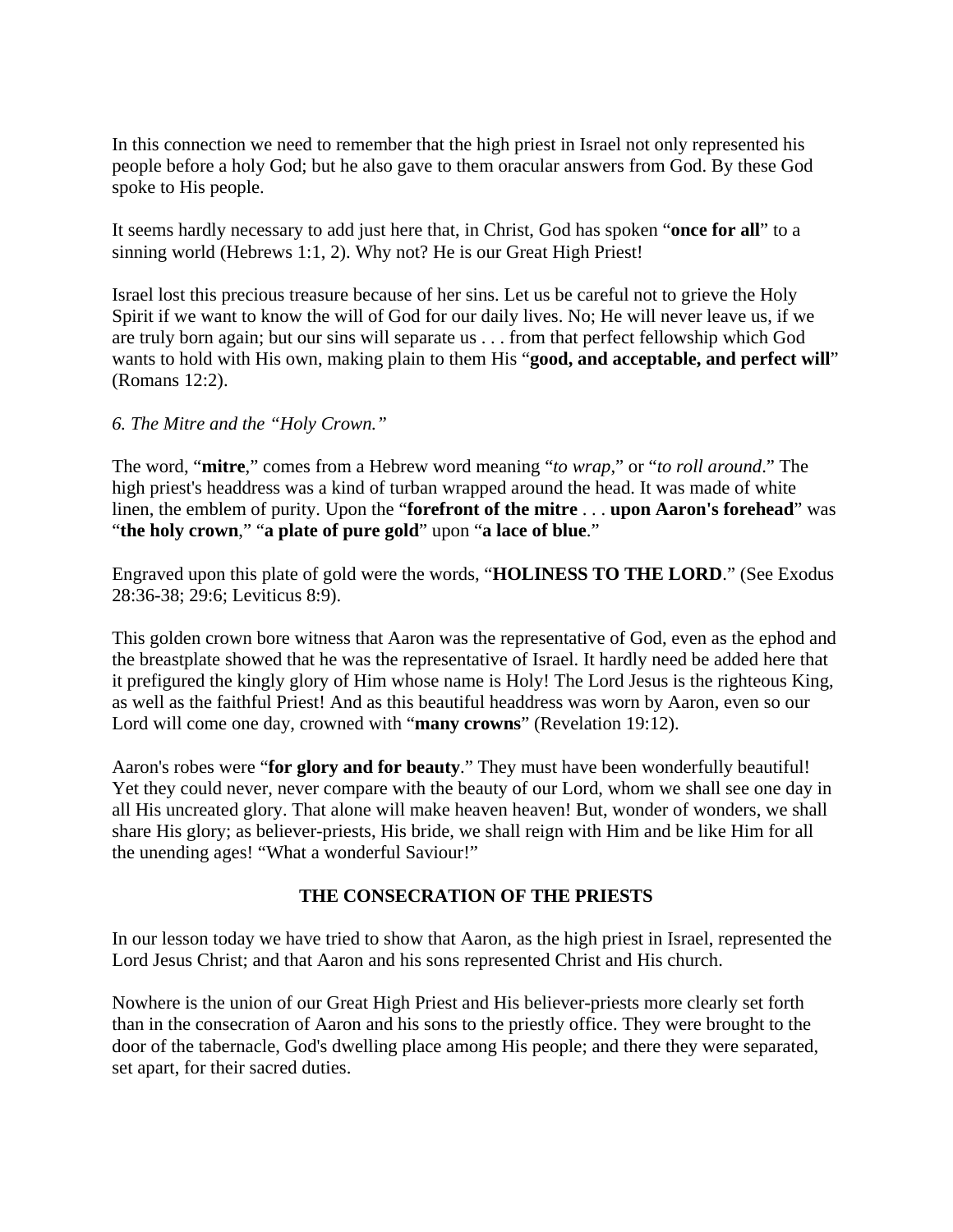In this connection we need to remember that the high priest in Israel not only represented his people before a holy God; but he also gave to them oracular answers from God. By these God spoke to His people.

It seems hardly necessary to add just here that, in Christ, God has spoken "**once for all**" to a sinning world (Hebrews 1:1, 2). Why not? He is our Great High Priest!

Israel lost this precious treasure because of her sins. Let us be careful not to grieve the Holy Spirit if we want to know the will of God for our daily lives. No; He will never leave us, if we are truly born again; but our sins will separate us . . . from that perfect fellowship which God wants to hold with His own, making plain to them His "good, and acceptable, and perfect will" (Romans 12:2).

#### *6. The Mitre and the "Holy Crown."*

The word, "**mitre**," comes from a Hebrew word meaning "*to wrap*," or "*to roll around*." The high priest's headdress was a kind of turban wrapped around the head. It was made of white linen, the emblem of purity. Upon the "**forefront of the mitre** . . . **upon Aaron's forehead**" was "**the holy crown**," "**a plate of pure gold**" upon "**a lace of blue**."

Engraved upon this plate of gold were the words, "**HOLINESS TO THE LORD**." (See Exodus 28:36-38; 29:6; Leviticus 8:9).

This golden crown bore witness that Aaron was the representative of God, even as the ephod and the breastplate showed that he was the representative of Israel. It hardly need be added here that it prefigured the kingly glory of Him whose name is Holy! The Lord Jesus is the righteous King, as well as the faithful Priest! And as this beautiful headdress was worn by Aaron, even so our Lord will come one day, crowned with "**many crowns**" (Revelation 19:12).

Aaron's robes were "**for glory and for beauty**." They must have been wonderfully beautiful! Yet they could never, never compare with the beauty of our Lord, whom we shall see one day in all His uncreated glory. That alone will make heaven heaven! But, wonder of wonders, we shall share His glory; as believer-priests, His bride, we shall reign with Him and be like Him for all the unending ages! "What a wonderful Saviour!"

#### **THE CONSECRATION OF THE PRIESTS**

In our lesson today we have tried to show that Aaron, as the high priest in Israel, represented the Lord Jesus Christ; and that Aaron and his sons represented Christ and His church.

Nowhere is the union of our Great High Priest and His believer-priests more clearly set forth than in the consecration of Aaron and his sons to the priestly office. They were brought to the door of the tabernacle, God's dwelling place among His people; and there they were separated, set apart, for their sacred duties.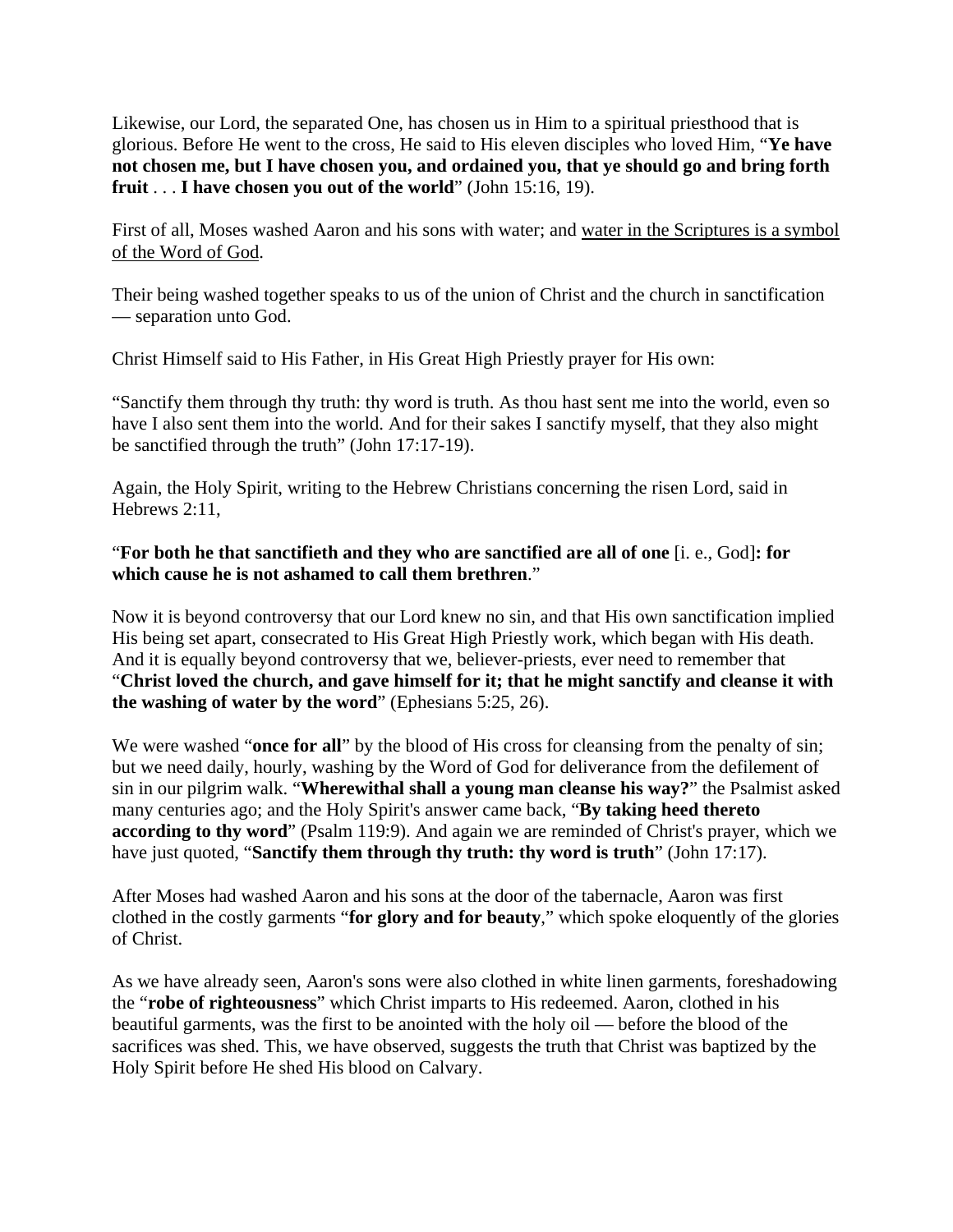Likewise, our Lord, the separated One, has chosen us in Him to a spiritual priesthood that is glorious. Before He went to the cross, He said to His eleven disciples who loved Him, "**Ye have not chosen me, but I have chosen you, and ordained you, that ye should go and bring forth fruit** . . . **I have chosen you out of the world**" (John 15:16, 19).

First of all, Moses washed Aaron and his sons with water; and water in the Scriptures is a symbol of the Word of God.

Their being washed together speaks to us of the union of Christ and the church in sanctification — separation unto God.

Christ Himself said to His Father, in His Great High Priestly prayer for His own:

"Sanctify them through thy truth: thy word is truth. As thou hast sent me into the world, even so have I also sent them into the world. And for their sakes I sanctify myself, that they also might be sanctified through the truth" (John 17:17-19).

Again, the Holy Spirit, writing to the Hebrew Christians concerning the risen Lord, said in Hebrews 2:11,

#### "**For both he that sanctifieth and they who are sanctified are all of one** [i. e., God]**: for which cause he is not ashamed to call them brethren**."

Now it is beyond controversy that our Lord knew no sin, and that His own sanctification implied His being set apart, consecrated to His Great High Priestly work, which began with His death. And it is equally beyond controversy that we, believer-priests, ever need to remember that "**Christ loved the church, and gave himself for it; that he might sanctify and cleanse it with the washing of water by the word**" (Ephesians 5:25, 26).

We were washed "**once for all**" by the blood of His cross for cleansing from the penalty of sin; but we need daily, hourly, washing by the Word of God for deliverance from the defilement of sin in our pilgrim walk. "**Wherewithal shall a young man cleanse his way?**" the Psalmist asked many centuries ago; and the Holy Spirit's answer came back, "**By taking heed thereto according to thy word**" (Psalm 119:9). And again we are reminded of Christ's prayer, which we have just quoted, "**Sanctify them through thy truth: thy word is truth**" (John 17:17).

After Moses had washed Aaron and his sons at the door of the tabernacle, Aaron was first clothed in the costly garments "**for glory and for beauty**," which spoke eloquently of the glories of Christ.

As we have already seen, Aaron's sons were also clothed in white linen garments, foreshadowing the "**robe of righteousness**" which Christ imparts to His redeemed. Aaron, clothed in his beautiful garments, was the first to be anointed with the holy oil — before the blood of the sacrifices was shed. This, we have observed, suggests the truth that Christ was baptized by the Holy Spirit before He shed His blood on Calvary.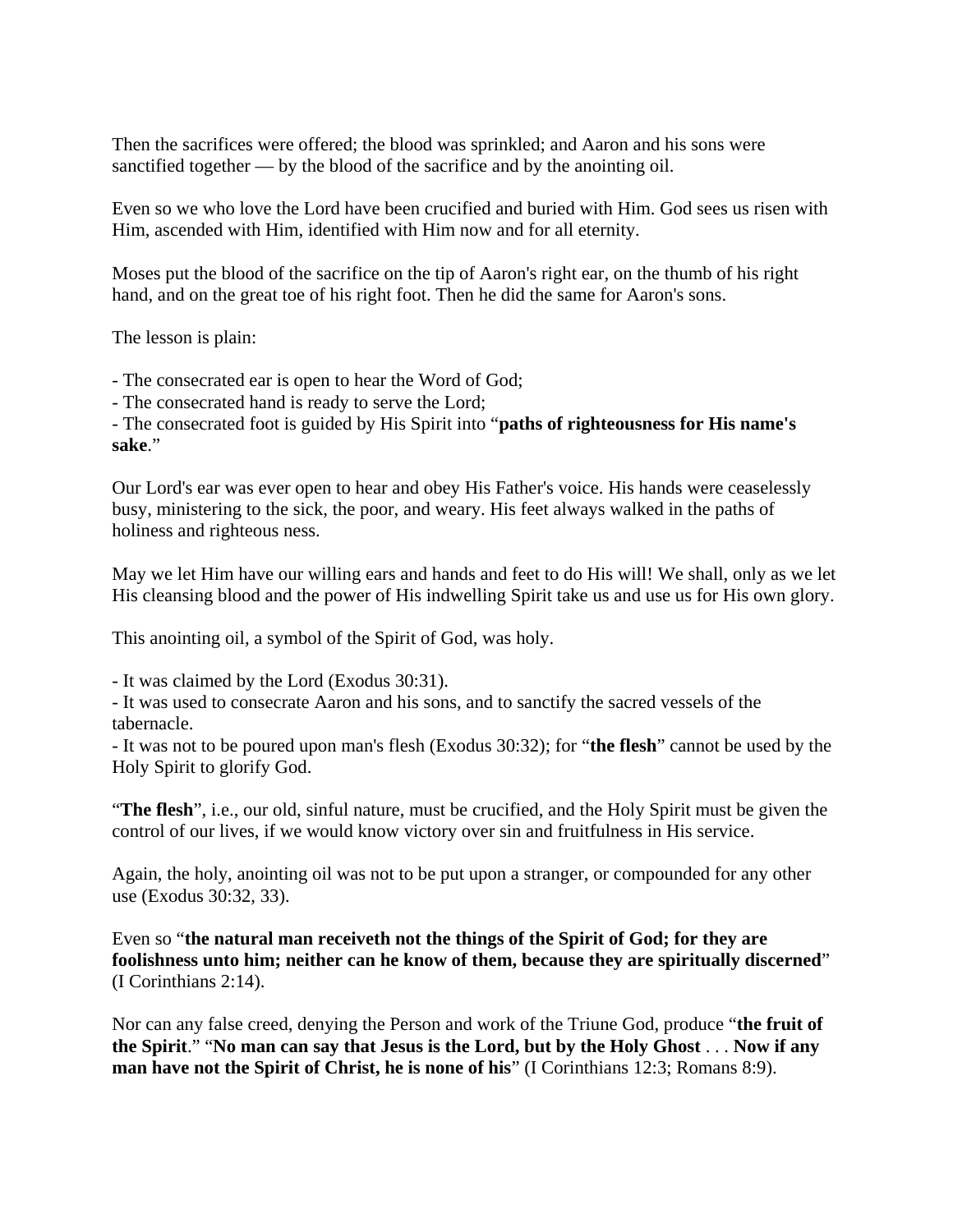Then the sacrifices were offered; the blood was sprinkled; and Aaron and his sons were sanctified together — by the blood of the sacrifice and by the anointing oil.

Even so we who love the Lord have been crucified and buried with Him. God sees us risen with Him, ascended with Him, identified with Him now and for all eternity.

Moses put the blood of the sacrifice on the tip of Aaron's right ear, on the thumb of his right hand, and on the great toe of his right foot. Then he did the same for Aaron's sons.

The lesson is plain:

- The consecrated ear is open to hear the Word of God;

- The consecrated hand is ready to serve the Lord;

- The consecrated foot is guided by His Spirit into "**paths of righteousness for His name's sake**."

Our Lord's ear was ever open to hear and obey His Father's voice. His hands were ceaselessly busy, ministering to the sick, the poor, and weary. His feet always walked in the paths of holiness and righteous ness.

May we let Him have our willing ears and hands and feet to do His will! We shall, only as we let His cleansing blood and the power of His indwelling Spirit take us and use us for His own glory.

This anointing oil, a symbol of the Spirit of God, was holy.

- It was claimed by the Lord (Exodus 30:31).

- It was used to consecrate Aaron and his sons, and to sanctify the sacred vessels of the tabernacle.

- It was not to be poured upon man's flesh (Exodus 30:32); for "**the flesh**" cannot be used by the Holy Spirit to glorify God.

"**The flesh**", i.e., our old, sinful nature, must be crucified, and the Holy Spirit must be given the control of our lives, if we would know victory over sin and fruitfulness in His service.

Again, the holy, anointing oil was not to be put upon a stranger, or compounded for any other use (Exodus 30:32, 33).

Even so "**the natural man receiveth not the things of the Spirit of God; for they are foolishness unto him; neither can he know of them, because they are spiritually discerned**" (I Corinthians 2:14).

Nor can any false creed, denying the Person and work of the Triune God, produce "**the fruit of the Spirit**." "**No man can say that Jesus is the Lord, but by the Holy Ghost** . . . **Now if any man have not the Spirit of Christ, he is none of his**" (I Corinthians 12:3; Romans 8:9).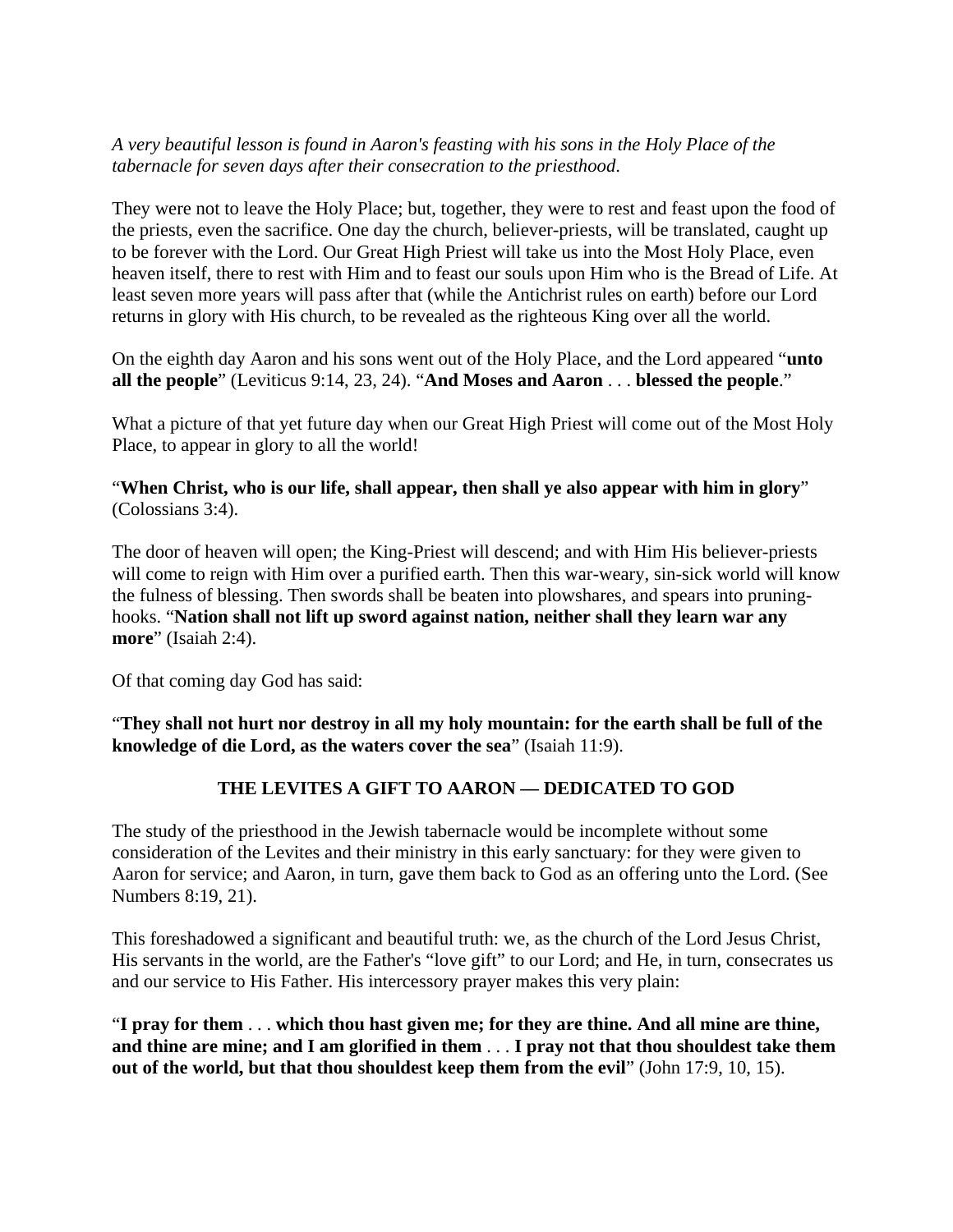### *A very beautiful lesson is found in Aaron's feasting with his sons in the Holy Place of the tabernacle for seven days after their consecration to the priesthood*.

They were not to leave the Holy Place; but, together, they were to rest and feast upon the food of the priests, even the sacrifice. One day the church, believer-priests, will be translated, caught up to be forever with the Lord. Our Great High Priest will take us into the Most Holy Place, even heaven itself, there to rest with Him and to feast our souls upon Him who is the Bread of Life. At least seven more years will pass after that (while the Antichrist rules on earth) before our Lord returns in glory with His church, to be revealed as the righteous King over all the world.

On the eighth day Aaron and his sons went out of the Holy Place, and the Lord appeared "**unto all the people**" (Leviticus 9:14, 23, 24). "**And Moses and Aaron** . . . **blessed the people**."

What a picture of that yet future day when our Great High Priest will come out of the Most Holy Place, to appear in glory to all the world!

"**When Christ, who is our life, shall appear, then shall ye also appear with him in glory**" (Colossians 3:4).

The door of heaven will open; the King-Priest will descend; and with Him His believer-priests will come to reign with Him over a purified earth. Then this war-weary, sin-sick world will know the fulness of blessing. Then swords shall be beaten into plowshares, and spears into pruninghooks. "**Nation shall not lift up sword against nation, neither shall they learn war any more**" (Isaiah 2:4).

Of that coming day God has said:

"**They shall not hurt nor destroy in all my holy mountain: for the earth shall be full of the knowledge of die Lord, as the waters cover the sea**" (Isaiah 11:9).

# **THE LEVITES A GIFT TO AARON — DEDICATED TO GOD**

The study of the priesthood in the Jewish tabernacle would be incomplete without some consideration of the Levites and their ministry in this early sanctuary: for they were given to Aaron for service; and Aaron, in turn, gave them back to God as an offering unto the Lord. (See Numbers 8:19, 21).

This foreshadowed a significant and beautiful truth: we, as the church of the Lord Jesus Christ, His servants in the world, are the Father's "love gift" to our Lord; and He, in turn, consecrates us and our service to His Father. His intercessory prayer makes this very plain:

"**I pray for them** . . . **which thou hast given me; for they are thine. And all mine are thine, and thine are mine; and I am glorified in them** . . . **I pray not that thou shouldest take them out of the world, but that thou shouldest keep them from the evil**" (John 17:9, 10, 15).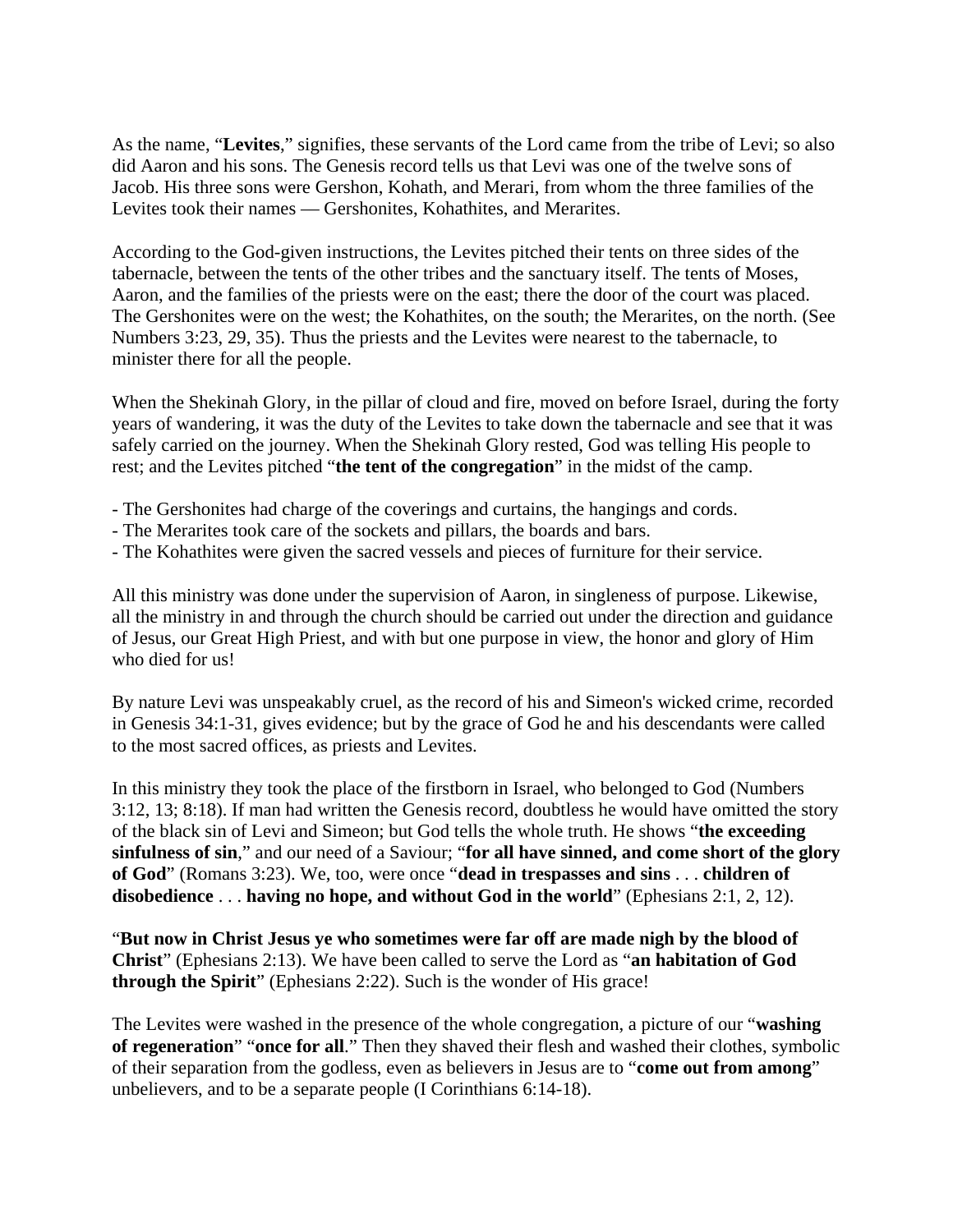As the name, "**Levites**," signifies, these servants of the Lord came from the tribe of Levi; so also did Aaron and his sons. The Genesis record tells us that Levi was one of the twelve sons of Jacob. His three sons were Gershon, Kohath, and Merari, from whom the three families of the Levites took their names — Gershonites, Kohathites, and Merarites.

According to the God-given instructions, the Levites pitched their tents on three sides of the tabernacle, between the tents of the other tribes and the sanctuary itself. The tents of Moses, Aaron, and the families of the priests were on the east; there the door of the court was placed. The Gershonites were on the west; the Kohathites, on the south; the Merarites, on the north. (See Numbers 3:23, 29, 35). Thus the priests and the Levites were nearest to the tabernacle, to minister there for all the people.

When the Shekinah Glory, in the pillar of cloud and fire, moved on before Israel, during the forty years of wandering, it was the duty of the Levites to take down the tabernacle and see that it was safely carried on the journey. When the Shekinah Glory rested, God was telling His people to rest; and the Levites pitched "**the tent of the congregation**" in the midst of the camp.

- The Gershonites had charge of the coverings and curtains, the hangings and cords.
- The Merarites took care of the sockets and pillars, the boards and bars.
- The Kohathites were given the sacred vessels and pieces of furniture for their service.

All this ministry was done under the supervision of Aaron, in singleness of purpose. Likewise, all the ministry in and through the church should be carried out under the direction and guidance of Jesus, our Great High Priest, and with but one purpose in view, the honor and glory of Him who died for us!

By nature Levi was unspeakably cruel, as the record of his and Simeon's wicked crime, recorded in Genesis 34:1-31, gives evidence; but by the grace of God he and his descendants were called to the most sacred offices, as priests and Levites.

In this ministry they took the place of the firstborn in Israel, who belonged to God (Numbers 3:12, 13; 8:18). If man had written the Genesis record, doubtless he would have omitted the story of the black sin of Levi and Simeon; but God tells the whole truth. He shows "**the exceeding sinfulness of sin**," and our need of a Saviour; "**for all have sinned, and come short of the glory of God**" (Romans 3:23). We, too, were once "**dead in trespasses and sins** . . . **children of disobedience** . . . **having no hope, and without God in the world**" (Ephesians 2:1, 2, 12).

"**But now in Christ Jesus ye who sometimes were far off are made nigh by the blood of Christ**" (Ephesians 2:13). We have been called to serve the Lord as "**an habitation of God through the Spirit**" (Ephesians 2:22). Such is the wonder of His grace!

The Levites were washed in the presence of the whole congregation, a picture of our "**washing of regeneration**" "**once for all**." Then they shaved their flesh and washed their clothes, symbolic of their separation from the godless, even as believers in Jesus are to "**come out from among**" unbelievers, and to be a separate people (I Corinthians 6:14-18).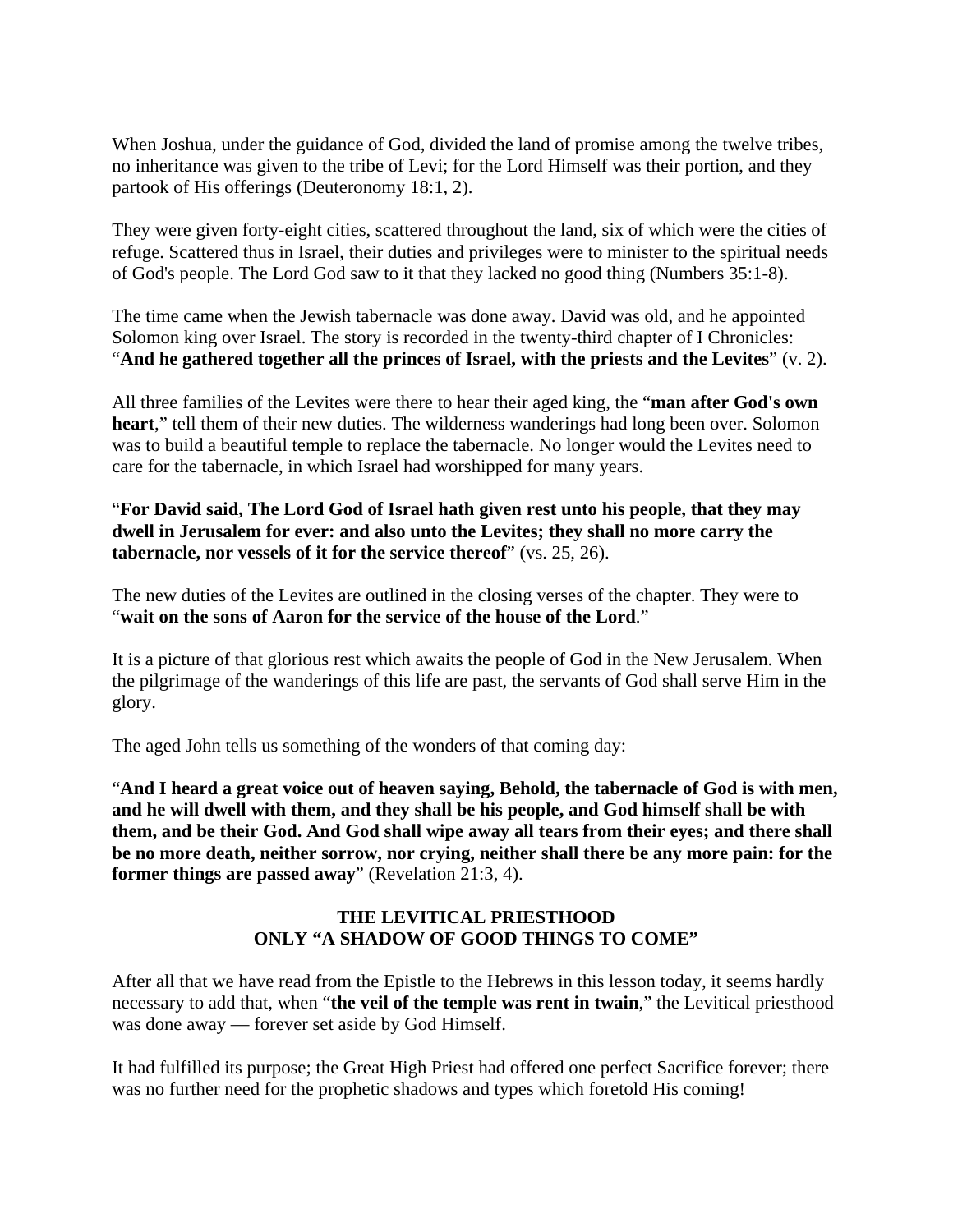When Joshua, under the guidance of God, divided the land of promise among the twelve tribes, no inheritance was given to the tribe of Levi; for the Lord Himself was their portion, and they partook of His offerings (Deuteronomy 18:1, 2).

They were given forty-eight cities, scattered throughout the land, six of which were the cities of refuge. Scattered thus in Israel, their duties and privileges were to minister to the spiritual needs of God's people. The Lord God saw to it that they lacked no good thing (Numbers 35:1-8).

The time came when the Jewish tabernacle was done away. David was old, and he appointed Solomon king over Israel. The story is recorded in the twenty-third chapter of I Chronicles: "**And he gathered together all the princes of Israel, with the priests and the Levites**" (v. 2).

All three families of the Levites were there to hear their aged king, the "**man after God's own heart**," tell them of their new duties. The wilderness wanderings had long been over. Solomon was to build a beautiful temple to replace the tabernacle. No longer would the Levites need to care for the tabernacle, in which Israel had worshipped for many years.

#### "**For David said, The Lord God of Israel hath given rest unto his people, that they may dwell in Jerusalem for ever: and also unto the Levites; they shall no more carry the tabernacle, nor vessels of it for the service thereof**" (vs. 25, 26).

The new duties of the Levites are outlined in the closing verses of the chapter. They were to "**wait on the sons of Aaron for the service of the house of the Lord**."

It is a picture of that glorious rest which awaits the people of God in the New Jerusalem. When the pilgrimage of the wanderings of this life are past, the servants of God shall serve Him in the glory.

The aged John tells us something of the wonders of that coming day:

"**And I heard a great voice out of heaven saying, Behold, the tabernacle of God is with men, and he will dwell with them, and they shall be his people, and God himself shall be with them, and be their God. And God shall wipe away all tears from their eyes; and there shall be no more death, neither sorrow, nor crying, neither shall there be any more pain: for the former things are passed away**" (Revelation 21:3, 4).

#### **THE LEVITICAL PRIESTHOOD ONLY "A SHADOW OF GOOD THINGS TO COME"**

After all that we have read from the Epistle to the Hebrews in this lesson today, it seems hardly necessary to add that, when "**the veil of the temple was rent in twain**," the Levitical priesthood was done away — forever set aside by God Himself.

It had fulfilled its purpose; the Great High Priest had offered one perfect Sacrifice forever; there was no further need for the prophetic shadows and types which foretold His coming!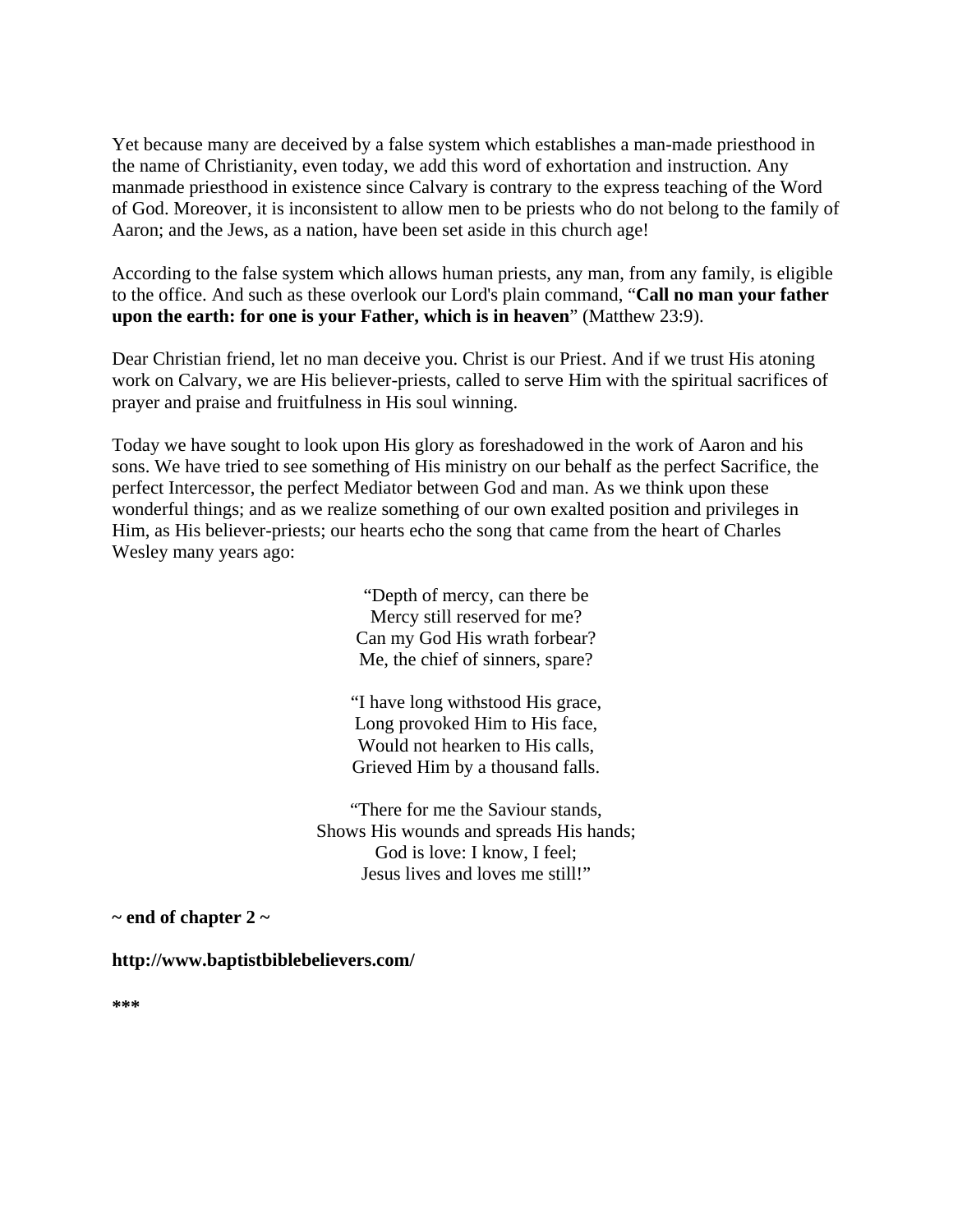Yet because many are deceived by a false system which establishes a man-made priesthood in the name of Christianity, even today, we add this word of exhortation and instruction. Any manmade priesthood in existence since Calvary is contrary to the express teaching of the Word of God. Moreover, it is inconsistent to allow men to be priests who do not belong to the family of Aaron; and the Jews, as a nation, have been set aside in this church age!

According to the false system which allows human priests, any man, from any family, is eligible to the office. And such as these overlook our Lord's plain command, "**Call no man your father upon the earth: for one is your Father, which is in heaven**" (Matthew 23:9).

Dear Christian friend, let no man deceive you. Christ is our Priest. And if we trust His atoning work on Calvary, we are His believer-priests, called to serve Him with the spiritual sacrifices of prayer and praise and fruitfulness in His soul winning.

Today we have sought to look upon His glory as foreshadowed in the work of Aaron and his sons. We have tried to see something of His ministry on our behalf as the perfect Sacrifice, the perfect Intercessor, the perfect Mediator between God and man. As we think upon these wonderful things; and as we realize something of our own exalted position and privileges in Him, as His believer-priests; our hearts echo the song that came from the heart of Charles Wesley many years ago:

> "Depth of mercy, can there be Mercy still reserved for me? Can my God His wrath forbear? Me, the chief of sinners, spare?

"I have long withstood His grace, Long provoked Him to His face, Would not hearken to His calls, Grieved Him by a thousand falls.

"There for me the Saviour stands, Shows His wounds and spreads His hands; God is love: I know, I feel; Jesus lives and loves me still!"

**~ end of chapter 2 ~** 

**http://www.baptistbiblebelievers.com/** 

**\*\*\***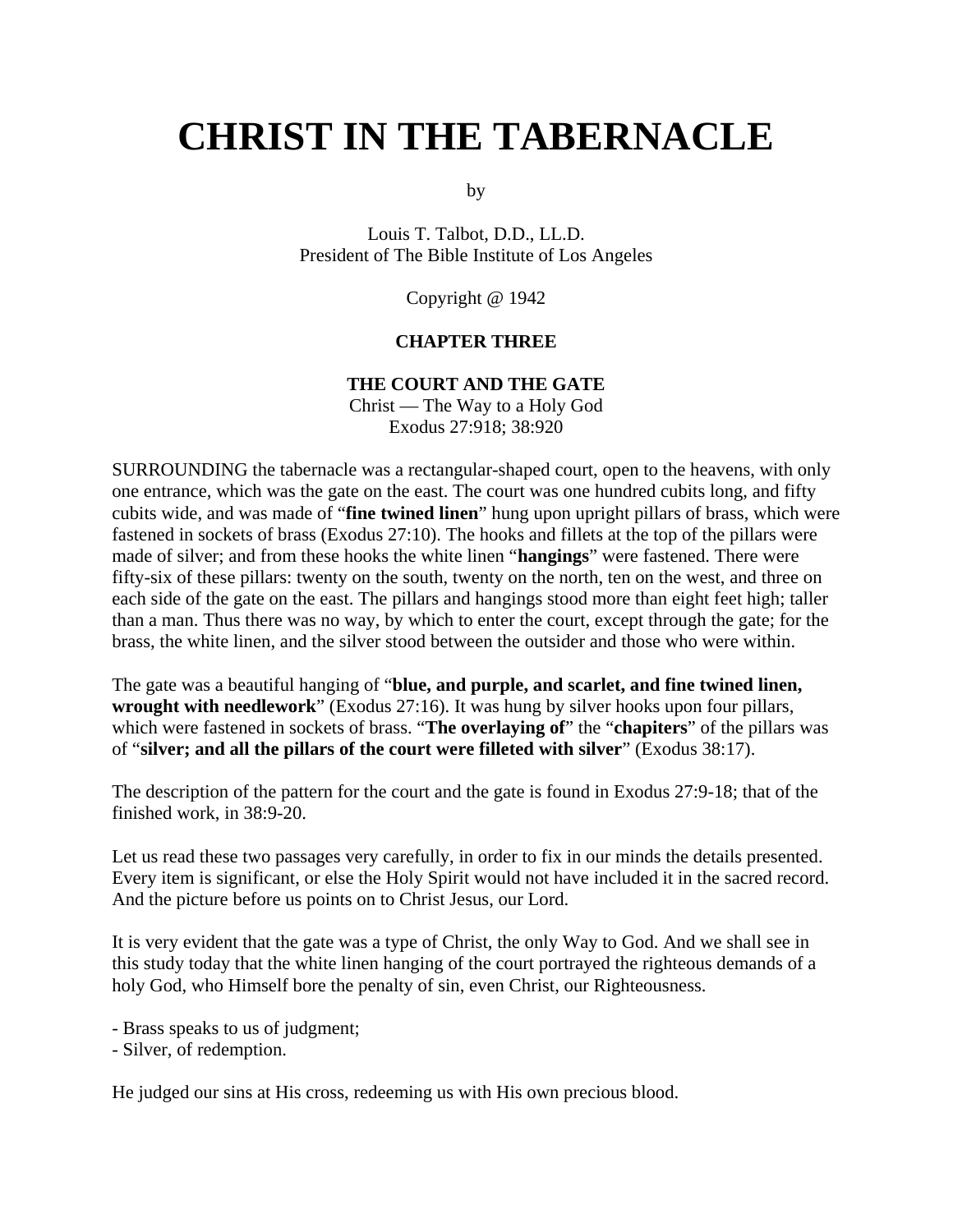# **CHRIST IN THE TABERNACLE**

by

Louis T. Talbot, D.D., LL.D. President of The Bible Institute of Los Angeles

Copyright @ 1942

#### **CHAPTER THREE**

#### **THE COURT AND THE GATE**

Christ — The Way to a Holy God Exodus 27:918; 38:920

SURROUNDING the tabernacle was a rectangular-shaped court, open to the heavens, with only one entrance, which was the gate on the east. The court was one hundred cubits long, and fifty cubits wide, and was made of "**fine twined linen**" hung upon upright pillars of brass, which were fastened in sockets of brass (Exodus 27:10). The hooks and fillets at the top of the pillars were made of silver; and from these hooks the white linen "**hangings**" were fastened. There were fifty-six of these pillars: twenty on the south, twenty on the north, ten on the west, and three on each side of the gate on the east. The pillars and hangings stood more than eight feet high; taller than a man. Thus there was no way, by which to enter the court, except through the gate; for the brass, the white linen, and the silver stood between the outsider and those who were within.

The gate was a beautiful hanging of "**blue, and purple, and scarlet, and fine twined linen, wrought with needlework**" (Exodus 27:16). It was hung by silver hooks upon four pillars, which were fastened in sockets of brass. "**The overlaying of**" the "**chapiters**" of the pillars was of "**silver; and all the pillars of the court were filleted with silver**" (Exodus 38:17).

The description of the pattern for the court and the gate is found in Exodus 27:9-18; that of the finished work, in 38:9-20.

Let us read these two passages very carefully, in order to fix in our minds the details presented. Every item is significant, or else the Holy Spirit would not have included it in the sacred record. And the picture before us points on to Christ Jesus, our Lord.

It is very evident that the gate was a type of Christ, the only Way to God. And we shall see in this study today that the white linen hanging of the court portrayed the righteous demands of a holy God, who Himself bore the penalty of sin, even Christ, our Righteousness.

- Brass speaks to us of judgment;

- Silver, of redemption.

He judged our sins at His cross, redeeming us with His own precious blood.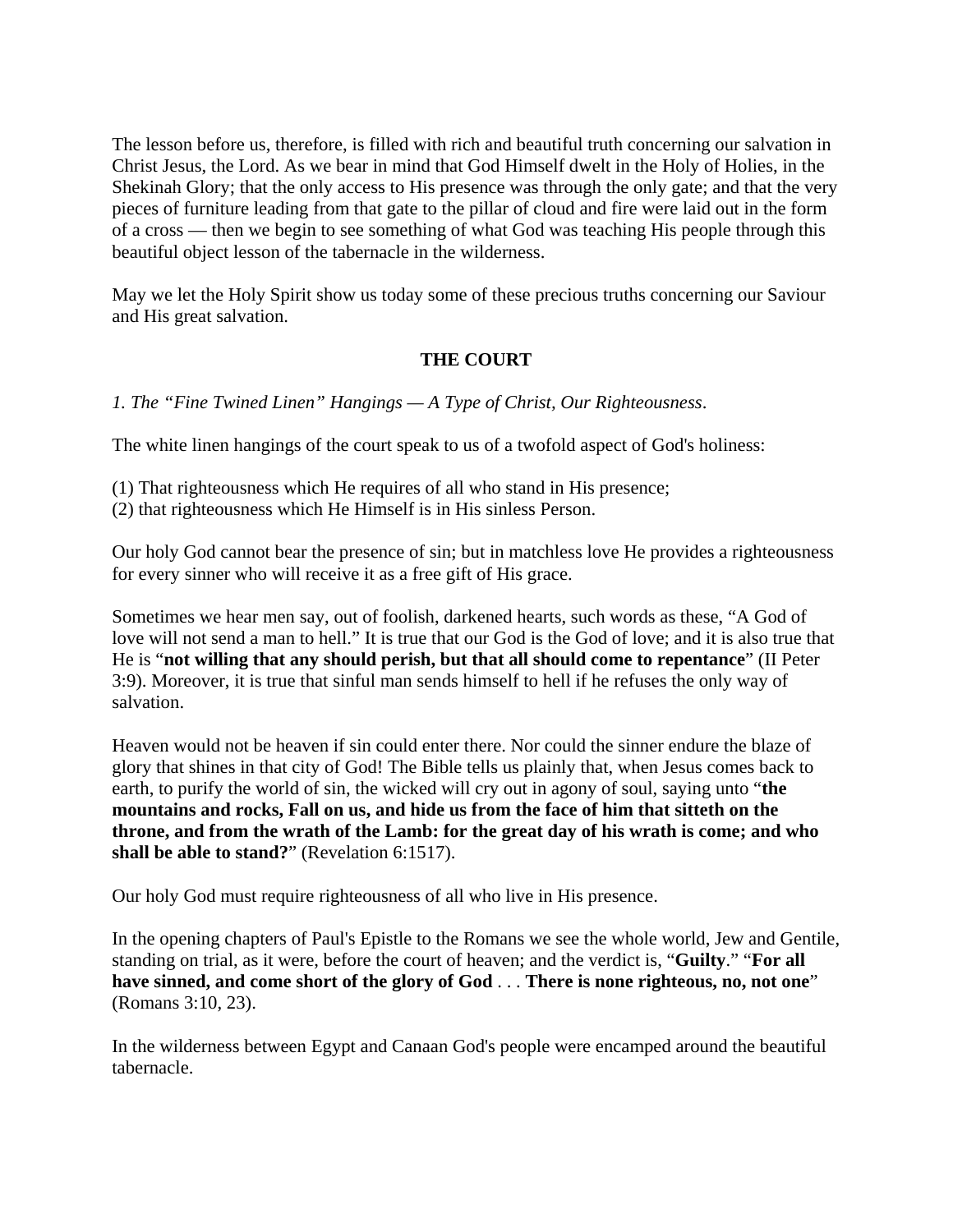The lesson before us, therefore, is filled with rich and beautiful truth concerning our salvation in Christ Jesus, the Lord. As we bear in mind that God Himself dwelt in the Holy of Holies, in the Shekinah Glory; that the only access to His presence was through the only gate; and that the very pieces of furniture leading from that gate to the pillar of cloud and fire were laid out in the form of a cross — then we begin to see something of what God was teaching His people through this beautiful object lesson of the tabernacle in the wilderness.

May we let the Holy Spirit show us today some of these precious truths concerning our Saviour and His great salvation.

## **THE COURT**

*1. The "Fine Twined Linen" Hangings — A Type of Christ, Our Righteousness*.

The white linen hangings of the court speak to us of a twofold aspect of God's holiness:

- (1) That righteousness which He requires of all who stand in His presence;
- (2) that righteousness which He Himself is in His sinless Person.

Our holy God cannot bear the presence of sin; but in matchless love He provides a righteousness for every sinner who will receive it as a free gift of His grace.

Sometimes we hear men say, out of foolish, darkened hearts, such words as these, "A God of love will not send a man to hell." It is true that our God is the God of love; and it is also true that He is "**not willing that any should perish, but that all should come to repentance**" (II Peter 3:9). Moreover, it is true that sinful man sends himself to hell if he refuses the only way of salvation.

Heaven would not be heaven if sin could enter there. Nor could the sinner endure the blaze of glory that shines in that city of God! The Bible tells us plainly that, when Jesus comes back to earth, to purify the world of sin, the wicked will cry out in agony of soul, saying unto "**the mountains and rocks, Fall on us, and hide us from the face of him that sitteth on the throne, and from the wrath of the Lamb: for the great day of his wrath is come; and who shall be able to stand?**" (Revelation 6:1517).

Our holy God must require righteousness of all who live in His presence.

In the opening chapters of Paul's Epistle to the Romans we see the whole world, Jew and Gentile, standing on trial, as it were, before the court of heaven; and the verdict is, "**Guilty**." "**For all have sinned, and come short of the glory of God** . . . **There is none righteous, no, not one**" (Romans 3:10, 23).

In the wilderness between Egypt and Canaan God's people were encamped around the beautiful tabernacle.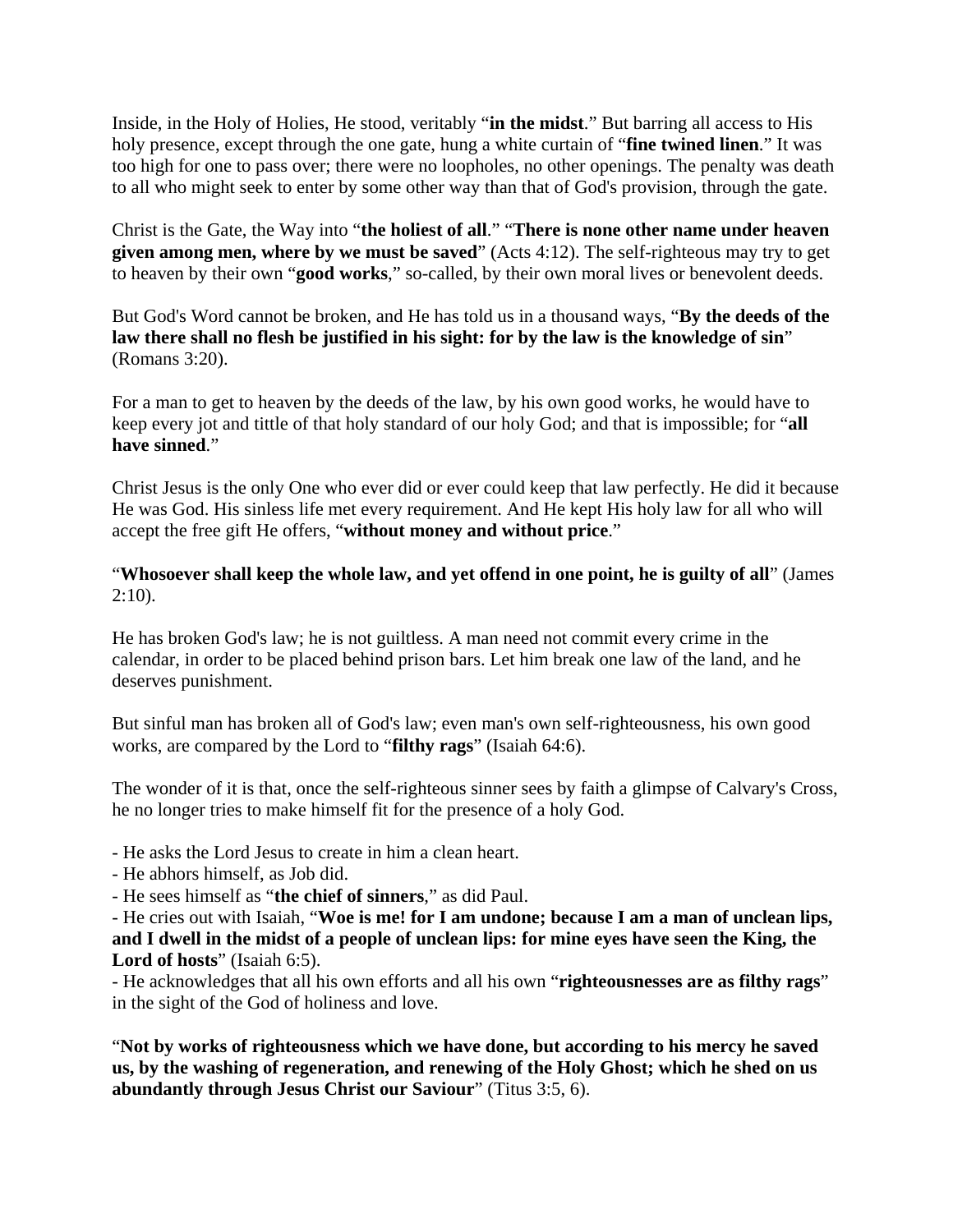Inside, in the Holy of Holies, He stood, veritably "**in the midst**." But barring all access to His holy presence, except through the one gate, hung a white curtain of "**fine twined linen**." It was too high for one to pass over; there were no loopholes, no other openings. The penalty was death to all who might seek to enter by some other way than that of God's provision, through the gate.

Christ is the Gate, the Way into "**the holiest of all**." "**There is none other name under heaven given among men, where by we must be saved**" (Acts 4:12). The self-righteous may try to get to heaven by their own "**good works**," so-called, by their own moral lives or benevolent deeds.

But God's Word cannot be broken, and He has told us in a thousand ways, "**By the deeds of the law there shall no flesh be justified in his sight: for by the law is the knowledge of sin**" (Romans 3:20).

For a man to get to heaven by the deeds of the law, by his own good works, he would have to keep every jot and tittle of that holy standard of our holy God; and that is impossible; for "**all have sinned**."

Christ Jesus is the only One who ever did or ever could keep that law perfectly. He did it because He was God. His sinless life met every requirement. And He kept His holy law for all who will accept the free gift He offers, "**without money and without price**."

## "**Whosoever shall keep the whole law, and yet offend in one point, he is guilty of all**" (James  $2:10$ ).

He has broken God's law; he is not guiltless. A man need not commit every crime in the calendar, in order to be placed behind prison bars. Let him break one law of the land, and he deserves punishment.

But sinful man has broken all of God's law; even man's own self-righteousness, his own good works, are compared by the Lord to "**filthy rags**" (Isaiah 64:6).

The wonder of it is that, once the self-righteous sinner sees by faith a glimpse of Calvary's Cross, he no longer tries to make himself fit for the presence of a holy God.

- He asks the Lord Jesus to create in him a clean heart.

- He abhors himself, as Job did.

- He sees himself as "**the chief of sinners**," as did Paul.

- He cries out with Isaiah, "**Woe is me! for I am undone; because I am a man of unclean lips, and I dwell in the midst of a people of unclean lips: for mine eyes have seen the King, the Lord of hosts**" (Isaiah 6:5).

- He acknowledges that all his own efforts and all his own "**righteousnesses are as filthy rags**" in the sight of the God of holiness and love.

"**Not by works of righteousness which we have done, but according to his mercy he saved us, by the washing of regeneration, and renewing of the Holy Ghost; which he shed on us abundantly through Jesus Christ our Saviour**" (Titus 3:5, 6).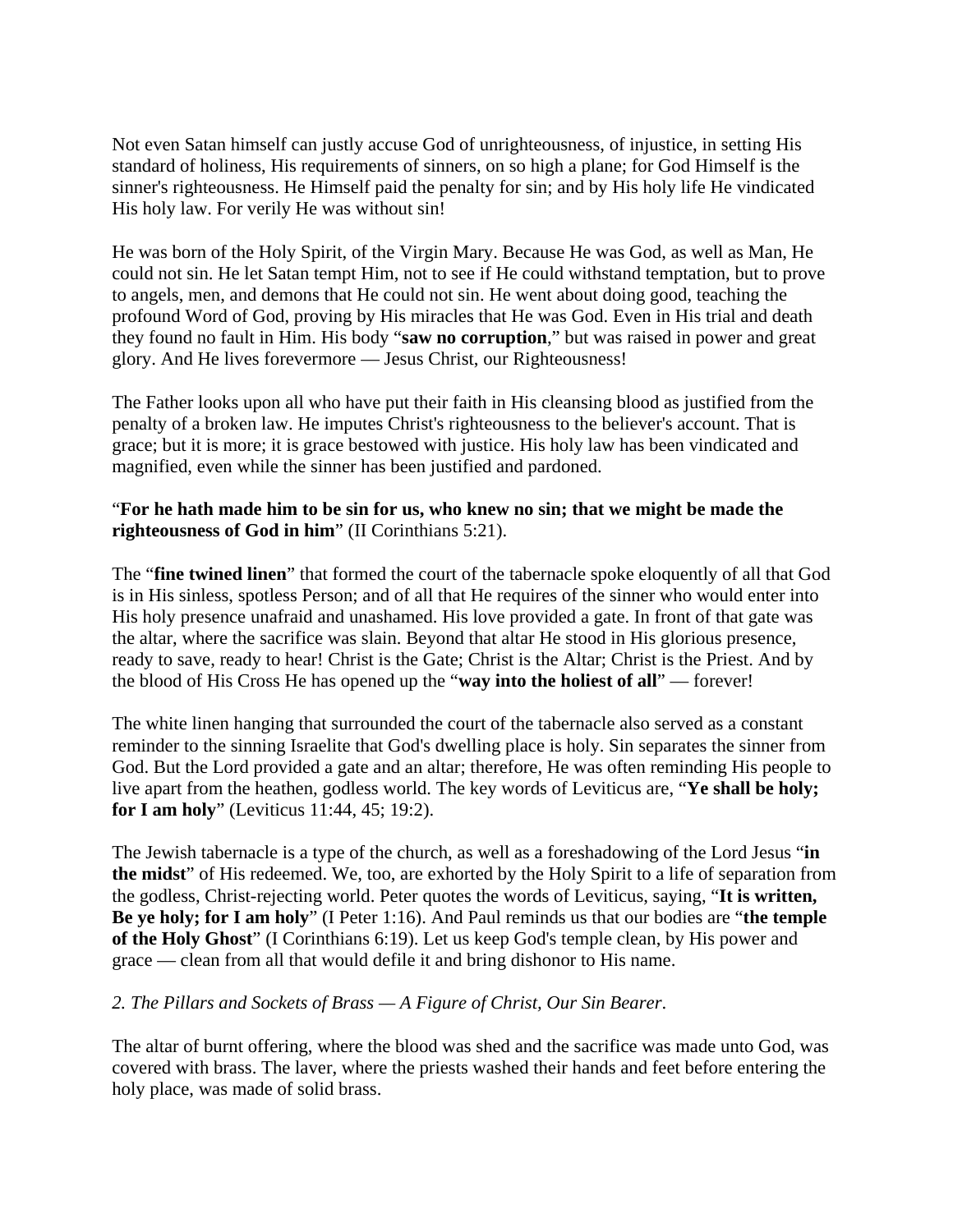Not even Satan himself can justly accuse God of unrighteousness, of injustice, in setting His standard of holiness, His requirements of sinners, on so high a plane; for God Himself is the sinner's righteousness. He Himself paid the penalty for sin; and by His holy life He vindicated His holy law. For verily He was without sin!

He was born of the Holy Spirit, of the Virgin Mary. Because He was God, as well as Man, He could not sin. He let Satan tempt Him, not to see if He could withstand temptation, but to prove to angels, men, and demons that He could not sin. He went about doing good, teaching the profound Word of God, proving by His miracles that He was God. Even in His trial and death they found no fault in Him. His body "**saw no corruption**," but was raised in power and great glory. And He lives forevermore — Jesus Christ, our Righteousness!

The Father looks upon all who have put their faith in His cleansing blood as justified from the penalty of a broken law. He imputes Christ's righteousness to the believer's account. That is grace; but it is more; it is grace bestowed with justice. His holy law has been vindicated and magnified, even while the sinner has been justified and pardoned.

## "**For he hath made him to be sin for us, who knew no sin; that we might be made the righteousness of God in him**" (II Corinthians 5:21).

The "**fine twined linen**" that formed the court of the tabernacle spoke eloquently of all that God is in His sinless, spotless Person; and of all that He requires of the sinner who would enter into His holy presence unafraid and unashamed. His love provided a gate. In front of that gate was the altar, where the sacrifice was slain. Beyond that altar He stood in His glorious presence, ready to save, ready to hear! Christ is the Gate; Christ is the Altar; Christ is the Priest. And by the blood of His Cross He has opened up the "**way into the holiest of all**" — forever!

The white linen hanging that surrounded the court of the tabernacle also served as a constant reminder to the sinning Israelite that God's dwelling place is holy. Sin separates the sinner from God. But the Lord provided a gate and an altar; therefore, He was often reminding His people to live apart from the heathen, godless world. The key words of Leviticus are, "**Ye shall be holy; for I am holy**" (Leviticus 11:44, 45; 19:2).

The Jewish tabernacle is a type of the church, as well as a foreshadowing of the Lord Jesus "**in the midst**" of His redeemed. We, too, are exhorted by the Holy Spirit to a life of separation from the godless, Christ-rejecting world. Peter quotes the words of Leviticus, saying, "**It is written, Be ye holy; for I am holy**" (I Peter 1:16). And Paul reminds us that our bodies are "**the temple of the Holy Ghost**" (I Corinthians 6:19). Let us keep God's temple clean, by His power and grace — clean from all that would defile it and bring dishonor to His name.

## *2. The Pillars and Sockets of Brass — A Figure of Christ, Our Sin Bearer*.

The altar of burnt offering, where the blood was shed and the sacrifice was made unto God, was covered with brass. The laver, where the priests washed their hands and feet before entering the holy place, was made of solid brass.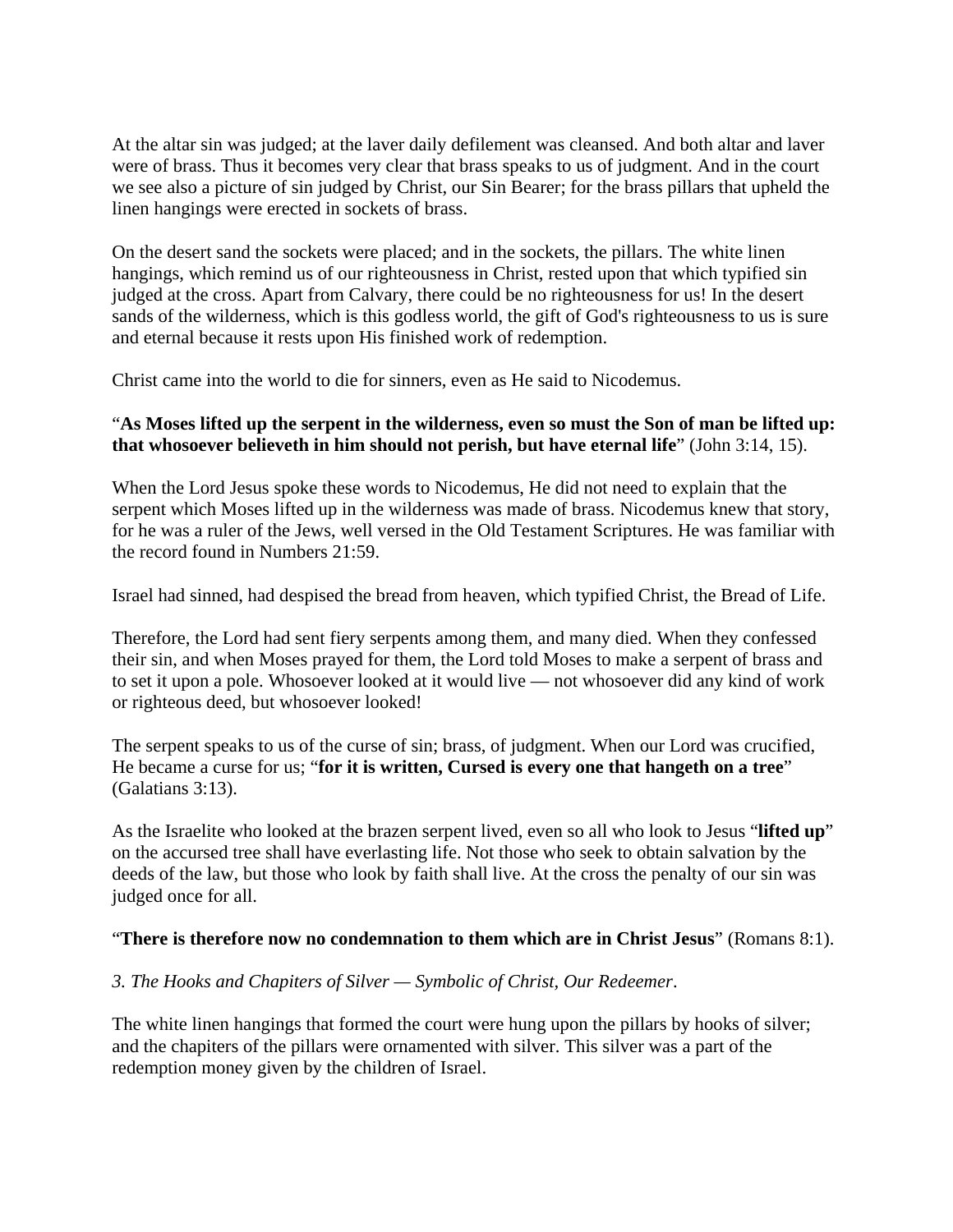At the altar sin was judged; at the laver daily defilement was cleansed. And both altar and laver were of brass. Thus it becomes very clear that brass speaks to us of judgment. And in the court we see also a picture of sin judged by Christ, our Sin Bearer; for the brass pillars that upheld the linen hangings were erected in sockets of brass.

On the desert sand the sockets were placed; and in the sockets, the pillars. The white linen hangings, which remind us of our righteousness in Christ, rested upon that which typified sin judged at the cross. Apart from Calvary, there could be no righteousness for us! In the desert sands of the wilderness, which is this godless world, the gift of God's righteousness to us is sure and eternal because it rests upon His finished work of redemption.

Christ came into the world to die for sinners, even as He said to Nicodemus.

## "**As Moses lifted up the serpent in the wilderness, even so must the Son of man be lifted up: that whosoever believeth in him should not perish, but have eternal life**" (John 3:14, 15).

When the Lord Jesus spoke these words to Nicodemus, He did not need to explain that the serpent which Moses lifted up in the wilderness was made of brass. Nicodemus knew that story, for he was a ruler of the Jews, well versed in the Old Testament Scriptures. He was familiar with the record found in Numbers 21:59.

Israel had sinned, had despised the bread from heaven, which typified Christ, the Bread of Life.

Therefore, the Lord had sent fiery serpents among them, and many died. When they confessed their sin, and when Moses prayed for them, the Lord told Moses to make a serpent of brass and to set it upon a pole. Whosoever looked at it would live — not whosoever did any kind of work or righteous deed, but whosoever looked!

The serpent speaks to us of the curse of sin; brass, of judgment. When our Lord was crucified, He became a curse for us; "**for it is written, Cursed is every one that hangeth on a tree**" (Galatians 3:13).

As the Israelite who looked at the brazen serpent lived, even so all who look to Jesus "**lifted up**" on the accursed tree shall have everlasting life. Not those who seek to obtain salvation by the deeds of the law, but those who look by faith shall live. At the cross the penalty of our sin was judged once for all.

## "**There is therefore now no condemnation to them which are in Christ Jesus**" (Romans 8:1).

## *3. The Hooks and Chapiters of Silver — Symbolic of Christ, Our Redeemer*.

The white linen hangings that formed the court were hung upon the pillars by hooks of silver; and the chapiters of the pillars were ornamented with silver. This silver was a part of the redemption money given by the children of Israel.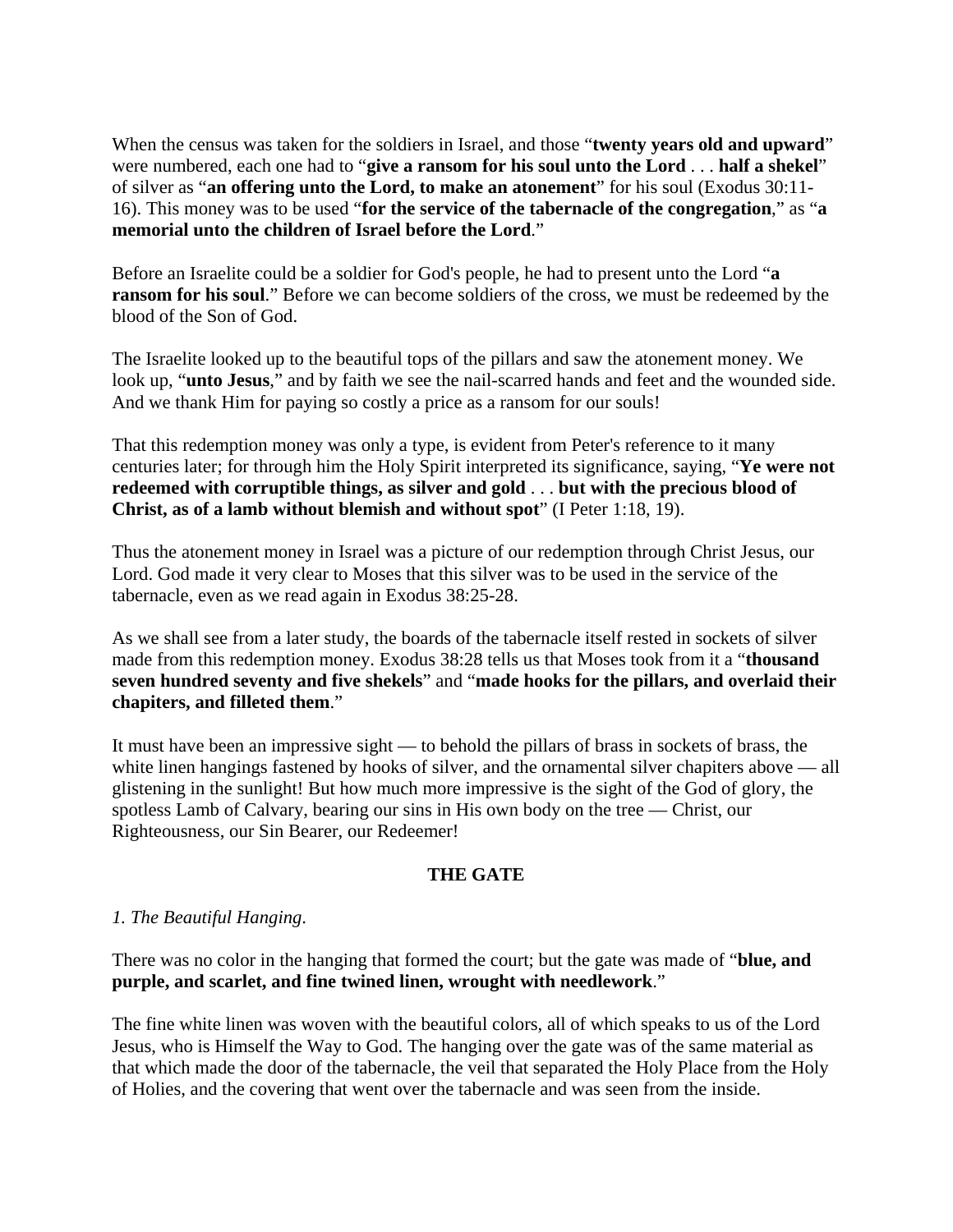When the census was taken for the soldiers in Israel, and those "**twenty years old and upward**" were numbered, each one had to "**give a ransom for his soul unto the Lord** . . . **half a shekel**" of silver as "**an offering unto the Lord, to make an atonement**" for his soul (Exodus 30:11- 16). This money was to be used "**for the service of the tabernacle of the congregation**," as "**a memorial unto the children of Israel before the Lord**."

Before an Israelite could be a soldier for God's people, he had to present unto the Lord "**a ransom for his soul.**" Before we can become soldiers of the cross, we must be redeemed by the blood of the Son of God.

The Israelite looked up to the beautiful tops of the pillars and saw the atonement money. We look up, "**unto Jesus**," and by faith we see the nail-scarred hands and feet and the wounded side. And we thank Him for paying so costly a price as a ransom for our souls!

That this redemption money was only a type, is evident from Peter's reference to it many centuries later; for through him the Holy Spirit interpreted its significance, saying, "**Ye were not redeemed with corruptible things, as silver and gold** . . . **but with the precious blood of Christ, as of a lamb without blemish and without spot**" (I Peter 1:18, 19).

Thus the atonement money in Israel was a picture of our redemption through Christ Jesus, our Lord. God made it very clear to Moses that this silver was to be used in the service of the tabernacle, even as we read again in Exodus 38:25-28.

As we shall see from a later study, the boards of the tabernacle itself rested in sockets of silver made from this redemption money. Exodus 38:28 tells us that Moses took from it a "**thousand seven hundred seventy and five shekels**" and "**made hooks for the pillars, and overlaid their chapiters, and filleted them**."

It must have been an impressive sight — to behold the pillars of brass in sockets of brass, the white linen hangings fastened by hooks of silver, and the ornamental silver chapiters above — all glistening in the sunlight! But how much more impressive is the sight of the God of glory, the spotless Lamb of Calvary, bearing our sins in His own body on the tree — Christ, our Righteousness, our Sin Bearer, our Redeemer!

## **THE GATE**

## *1. The Beautiful Hanging*.

There was no color in the hanging that formed the court; but the gate was made of "**blue, and purple, and scarlet, and fine twined linen, wrought with needlework**."

The fine white linen was woven with the beautiful colors, all of which speaks to us of the Lord Jesus, who is Himself the Way to God. The hanging over the gate was of the same material as that which made the door of the tabernacle, the veil that separated the Holy Place from the Holy of Holies, and the covering that went over the tabernacle and was seen from the inside.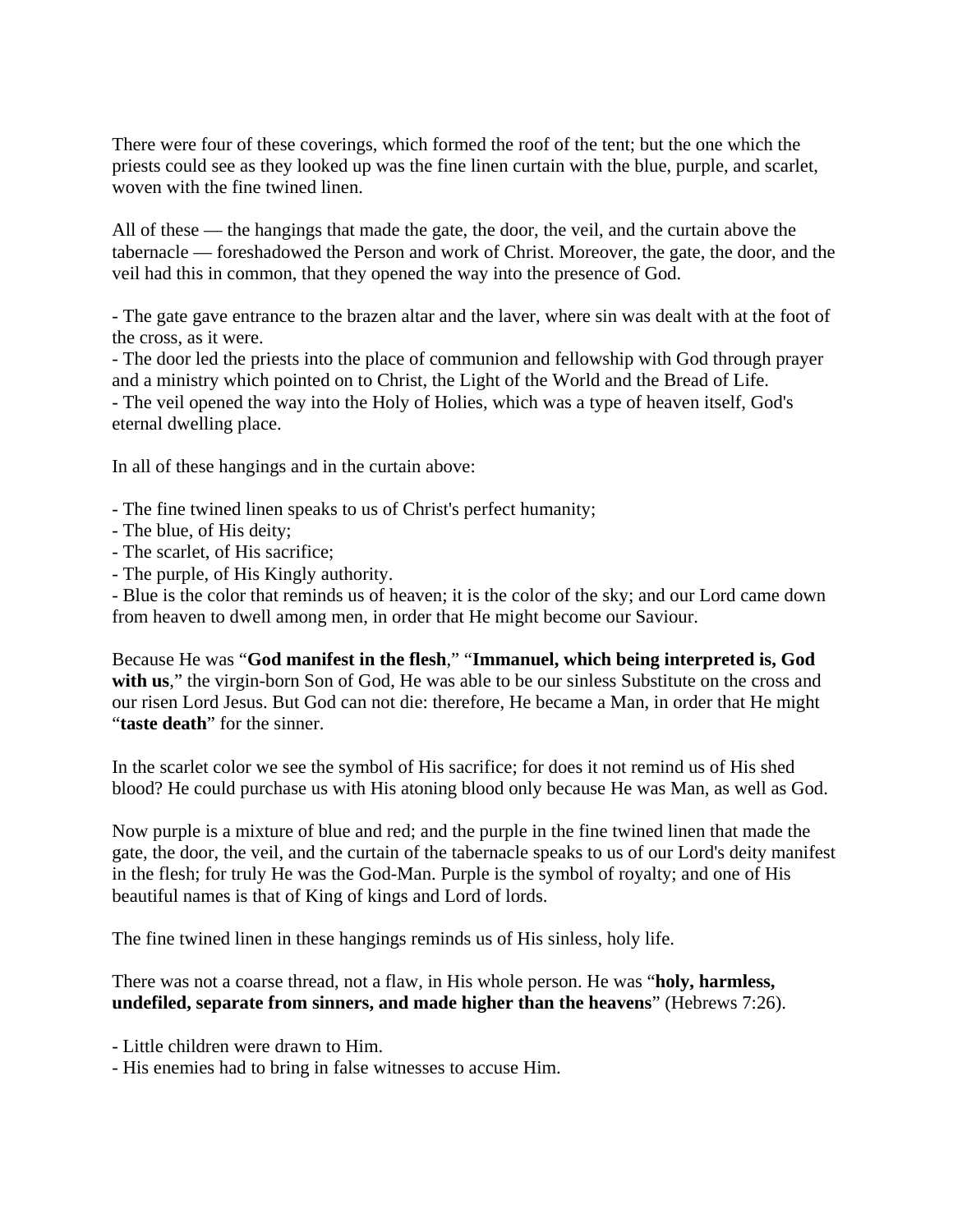There were four of these coverings, which formed the roof of the tent; but the one which the priests could see as they looked up was the fine linen curtain with the blue, purple, and scarlet, woven with the fine twined linen.

All of these — the hangings that made the gate, the door, the veil, and the curtain above the tabernacle — foreshadowed the Person and work of Christ. Moreover, the gate, the door, and the veil had this in common, that they opened the way into the presence of God.

- The gate gave entrance to the brazen altar and the laver, where sin was dealt with at the foot of the cross, as it were.

- The door led the priests into the place of communion and fellowship with God through prayer and a ministry which pointed on to Christ, the Light of the World and the Bread of Life. - The veil opened the way into the Holy of Holies, which was a type of heaven itself, God's eternal dwelling place.

In all of these hangings and in the curtain above:

- The fine twined linen speaks to us of Christ's perfect humanity;
- The blue, of His deity;
- The scarlet, of His sacrifice;
- The purple, of His Kingly authority.

- Blue is the color that reminds us of heaven; it is the color of the sky; and our Lord came down from heaven to dwell among men, in order that He might become our Saviour.

Because He was "**God manifest in the flesh**," "**Immanuel, which being interpreted is, God**  with us," the virgin-born Son of God, He was able to be our sinless Substitute on the cross and our risen Lord Jesus. But God can not die: therefore, He became a Man, in order that He might "**taste death**" for the sinner.

In the scarlet color we see the symbol of His sacrifice; for does it not remind us of His shed blood? He could purchase us with His atoning blood only because He was Man, as well as God.

Now purple is a mixture of blue and red; and the purple in the fine twined linen that made the gate, the door, the veil, and the curtain of the tabernacle speaks to us of our Lord's deity manifest in the flesh; for truly He was the God-Man. Purple is the symbol of royalty; and one of His beautiful names is that of King of kings and Lord of lords.

The fine twined linen in these hangings reminds us of His sinless, holy life.

There was not a coarse thread, not a flaw, in His whole person. He was "**holy, harmless, undefiled, separate from sinners, and made higher than the heavens**" (Hebrews 7:26).

- Little children were drawn to Him.

- His enemies had to bring in false witnesses to accuse Him.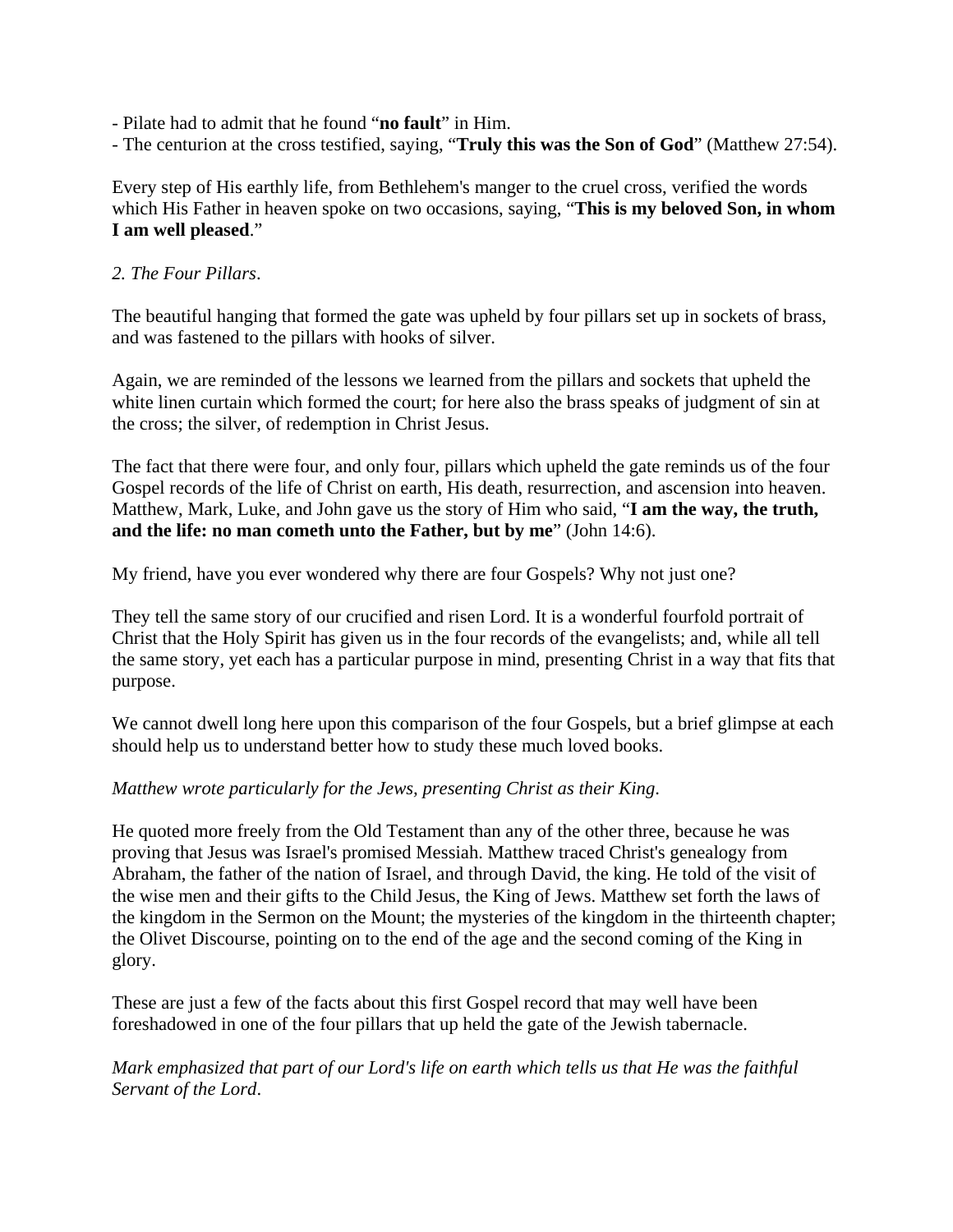- Pilate had to admit that he found "**no fault**" in Him.
- The centurion at the cross testified, saying, "**Truly this was the Son of God**" (Matthew 27:54).

Every step of His earthly life, from Bethlehem's manger to the cruel cross, verified the words which His Father in heaven spoke on two occasions, saying, "**This is my beloved Son, in whom I am well pleased**."

#### *2. The Four Pillars*.

The beautiful hanging that formed the gate was upheld by four pillars set up in sockets of brass, and was fastened to the pillars with hooks of silver.

Again, we are reminded of the lessons we learned from the pillars and sockets that upheld the white linen curtain which formed the court; for here also the brass speaks of judgment of sin at the cross; the silver, of redemption in Christ Jesus.

The fact that there were four, and only four, pillars which upheld the gate reminds us of the four Gospel records of the life of Christ on earth, His death, resurrection, and ascension into heaven. Matthew, Mark, Luke, and John gave us the story of Him who said, "**I am the way, the truth, and the life: no man cometh unto the Father, but by me**" (John 14:6).

My friend, have you ever wondered why there are four Gospels? Why not just one?

They tell the same story of our crucified and risen Lord. It is a wonderful fourfold portrait of Christ that the Holy Spirit has given us in the four records of the evangelists; and, while all tell the same story, yet each has a particular purpose in mind, presenting Christ in a way that fits that purpose.

We cannot dwell long here upon this comparison of the four Gospels, but a brief glimpse at each should help us to understand better how to study these much loved books.

#### *Matthew wrote particularly for the Jews, presenting Christ as their King*.

He quoted more freely from the Old Testament than any of the other three, because he was proving that Jesus was Israel's promised Messiah. Matthew traced Christ's genealogy from Abraham, the father of the nation of Israel, and through David, the king. He told of the visit of the wise men and their gifts to the Child Jesus, the King of Jews. Matthew set forth the laws of the kingdom in the Sermon on the Mount; the mysteries of the kingdom in the thirteenth chapter; the Olivet Discourse, pointing on to the end of the age and the second coming of the King in glory.

These are just a few of the facts about this first Gospel record that may well have been foreshadowed in one of the four pillars that up held the gate of the Jewish tabernacle.

*Mark emphasized that part of our Lord's life on earth which tells us that He was the faithful Servant of the Lord*.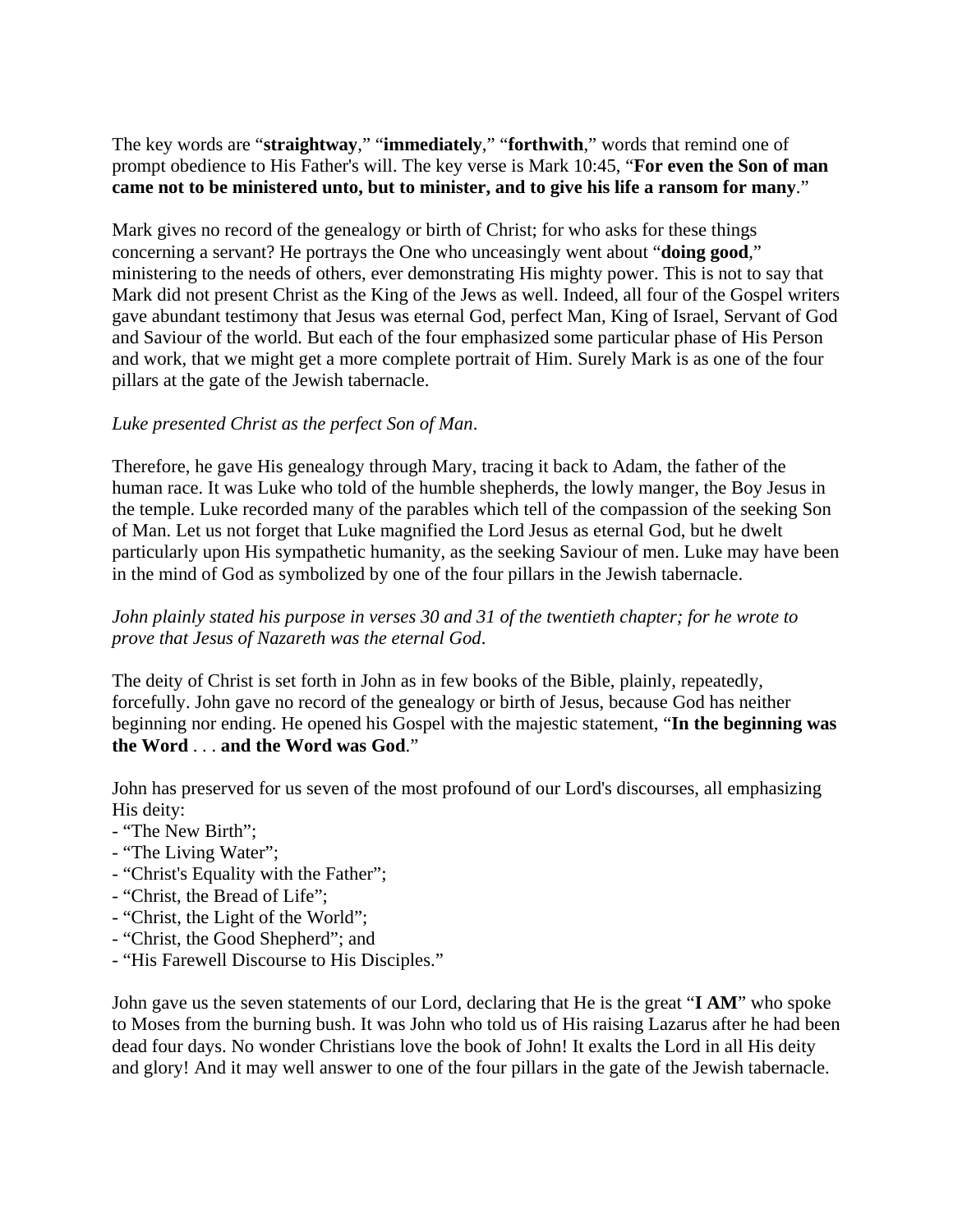The key words are "**straightway**," "**immediately**," "**forthwith**," words that remind one of prompt obedience to His Father's will. The key verse is Mark 10:45, "**For even the Son of man came not to be ministered unto, but to minister, and to give his life a ransom for many**."

Mark gives no record of the genealogy or birth of Christ; for who asks for these things concerning a servant? He portrays the One who unceasingly went about "**doing good**," ministering to the needs of others, ever demonstrating His mighty power. This is not to say that Mark did not present Christ as the King of the Jews as well. Indeed, all four of the Gospel writers gave abundant testimony that Jesus was eternal God, perfect Man, King of Israel, Servant of God and Saviour of the world. But each of the four emphasized some particular phase of His Person and work, that we might get a more complete portrait of Him. Surely Mark is as one of the four pillars at the gate of the Jewish tabernacle.

## *Luke presented Christ as the perfect Son of Man*.

Therefore, he gave His genealogy through Mary, tracing it back to Adam, the father of the human race. It was Luke who told of the humble shepherds, the lowly manger, the Boy Jesus in the temple. Luke recorded many of the parables which tell of the compassion of the seeking Son of Man. Let us not forget that Luke magnified the Lord Jesus as eternal God, but he dwelt particularly upon His sympathetic humanity, as the seeking Saviour of men. Luke may have been in the mind of God as symbolized by one of the four pillars in the Jewish tabernacle.

## *John plainly stated his purpose in verses 30 and 31 of the twentieth chapter; for he wrote to prove that Jesus of Nazareth was the eternal God*.

The deity of Christ is set forth in John as in few books of the Bible, plainly, repeatedly, forcefully. John gave no record of the genealogy or birth of Jesus, because God has neither beginning nor ending. He opened his Gospel with the majestic statement, "**In the beginning was the Word** . . . **and the Word was God**."

John has preserved for us seven of the most profound of our Lord's discourses, all emphasizing His deity:

- "The New Birth";
- "The Living Water";
- "Christ's Equality with the Father";
- "Christ, the Bread of Life";
- "Christ, the Light of the World";
- "Christ, the Good Shepherd"; and
- "His Farewell Discourse to His Disciples."

John gave us the seven statements of our Lord, declaring that He is the great "**I AM**" who spoke to Moses from the burning bush. It was John who told us of His raising Lazarus after he had been dead four days. No wonder Christians love the book of John! It exalts the Lord in all His deity and glory! And it may well answer to one of the four pillars in the gate of the Jewish tabernacle.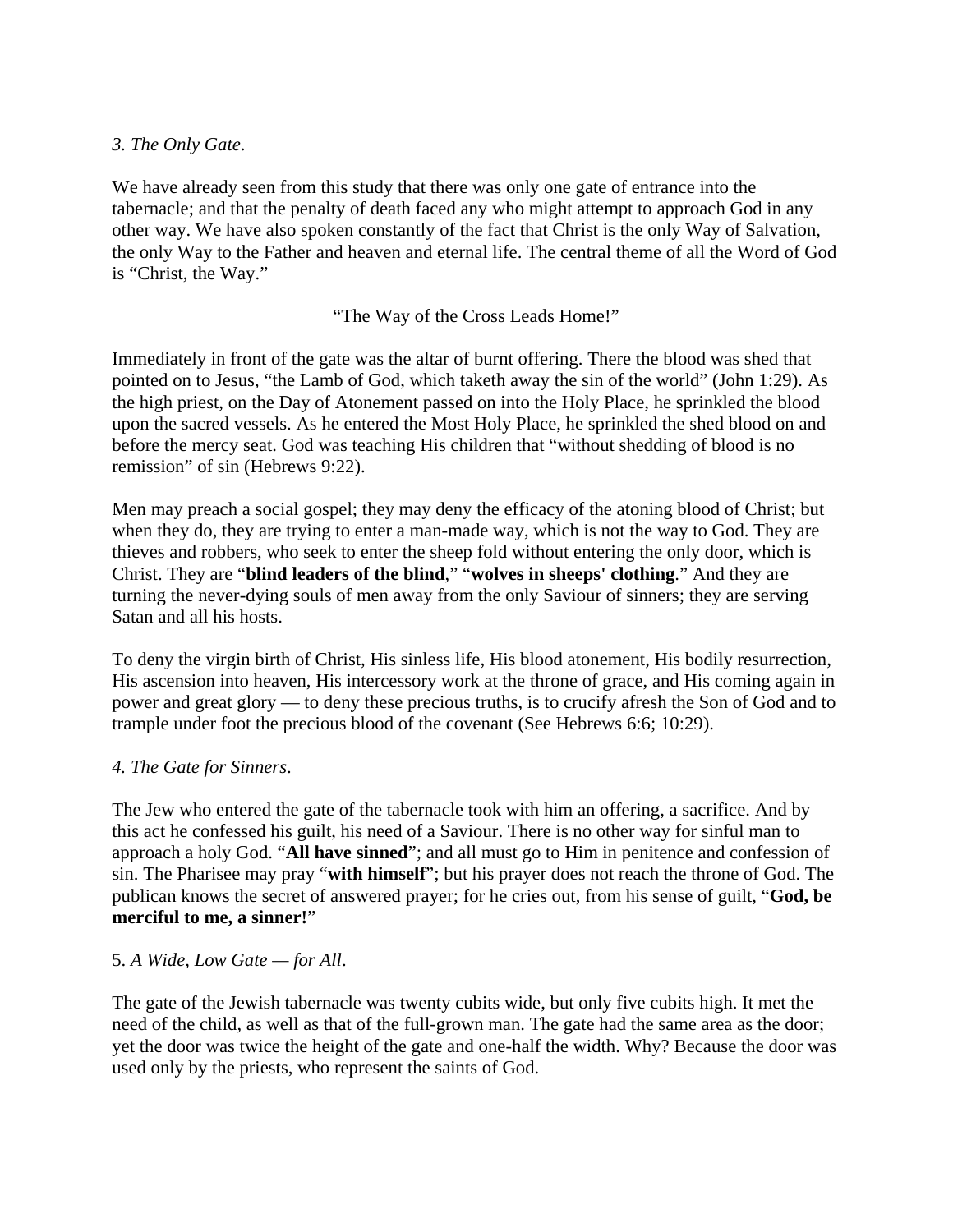#### *3. The Only Gate*.

We have already seen from this study that there was only one gate of entrance into the tabernacle; and that the penalty of death faced any who might attempt to approach God in any other way. We have also spoken constantly of the fact that Christ is the only Way of Salvation, the only Way to the Father and heaven and eternal life. The central theme of all the Word of God is "Christ, the Way."

### "The Way of the Cross Leads Home!"

Immediately in front of the gate was the altar of burnt offering. There the blood was shed that pointed on to Jesus, "the Lamb of God, which taketh away the sin of the world" (John 1:29). As the high priest, on the Day of Atonement passed on into the Holy Place, he sprinkled the blood upon the sacred vessels. As he entered the Most Holy Place, he sprinkled the shed blood on and before the mercy seat. God was teaching His children that "without shedding of blood is no remission" of sin (Hebrews 9:22).

Men may preach a social gospel; they may deny the efficacy of the atoning blood of Christ; but when they do, they are trying to enter a man-made way, which is not the way to God. They are thieves and robbers, who seek to enter the sheep fold without entering the only door, which is Christ. They are "**blind leaders of the blind**," "**wolves in sheeps' clothing**." And they are turning the never-dying souls of men away from the only Saviour of sinners; they are serving Satan and all his hosts.

To deny the virgin birth of Christ, His sinless life, His blood atonement, His bodily resurrection, His ascension into heaven, His intercessory work at the throne of grace, and His coming again in power and great glory — to deny these precious truths, is to crucify afresh the Son of God and to trample under foot the precious blood of the covenant (See Hebrews 6:6; 10:29).

## *4. The Gate for Sinners*.

The Jew who entered the gate of the tabernacle took with him an offering, a sacrifice. And by this act he confessed his guilt, his need of a Saviour. There is no other way for sinful man to approach a holy God. "**All have sinned**"; and all must go to Him in penitence and confession of sin. The Pharisee may pray "**with himself**"; but his prayer does not reach the throne of God. The publican knows the secret of answered prayer; for he cries out, from his sense of guilt, "**God, be merciful to me, a sinner!**"

## 5. *A Wide, Low Gate — for All*.

The gate of the Jewish tabernacle was twenty cubits wide, but only five cubits high. It met the need of the child, as well as that of the full-grown man. The gate had the same area as the door; yet the door was twice the height of the gate and one-half the width. Why? Because the door was used only by the priests, who represent the saints of God.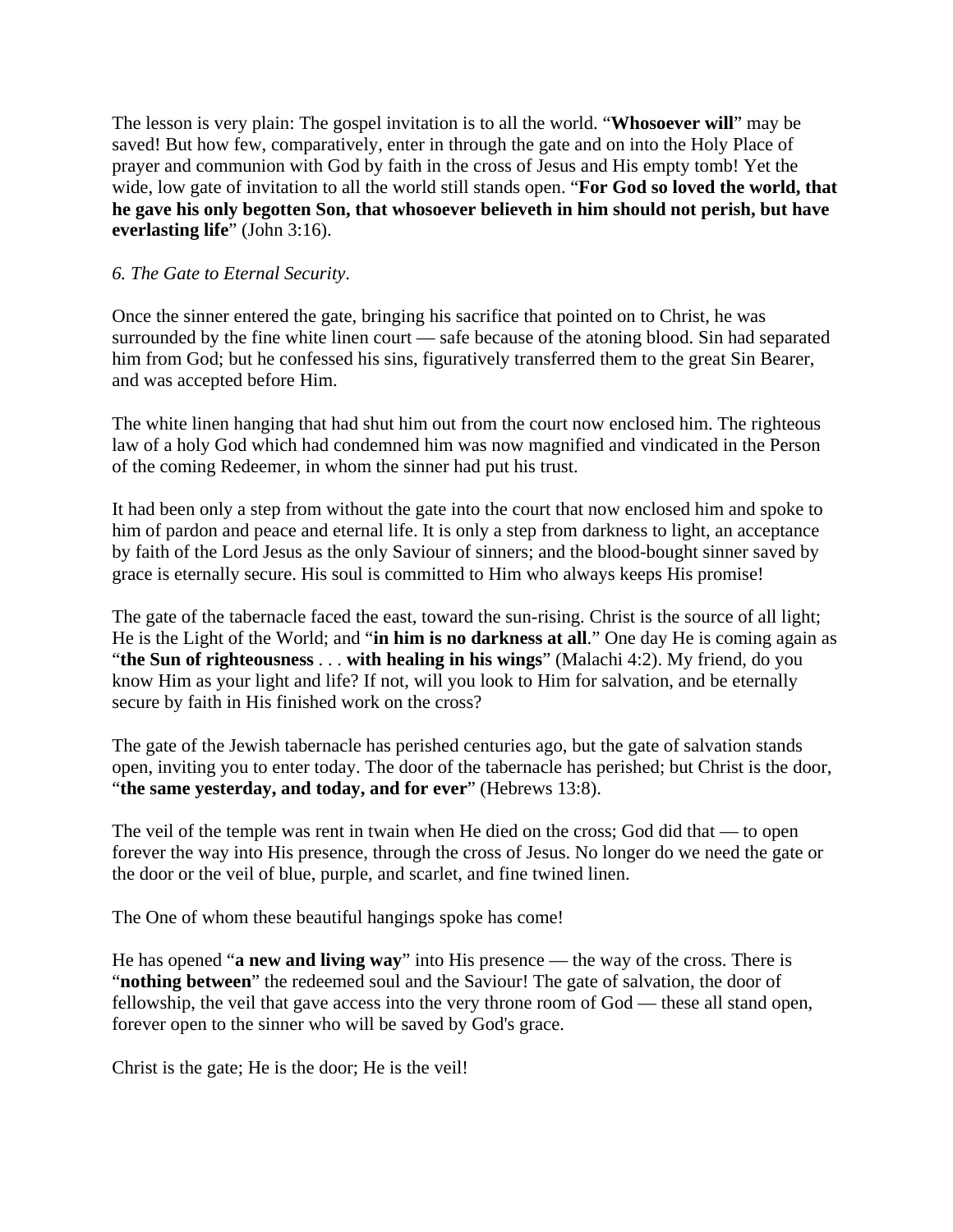The lesson is very plain: The gospel invitation is to all the world. "**Whosoever will**" may be saved! But how few, comparatively, enter in through the gate and on into the Holy Place of prayer and communion with God by faith in the cross of Jesus and His empty tomb! Yet the wide, low gate of invitation to all the world still stands open. "**For God so loved the world, that he gave his only begotten Son, that whosoever believeth in him should not perish, but have everlasting life**" (John 3:16).

## *6. The Gate to Eternal Security*.

Once the sinner entered the gate, bringing his sacrifice that pointed on to Christ, he was surrounded by the fine white linen court — safe because of the atoning blood. Sin had separated him from God; but he confessed his sins, figuratively transferred them to the great Sin Bearer, and was accepted before Him.

The white linen hanging that had shut him out from the court now enclosed him. The righteous law of a holy God which had condemned him was now magnified and vindicated in the Person of the coming Redeemer, in whom the sinner had put his trust.

It had been only a step from without the gate into the court that now enclosed him and spoke to him of pardon and peace and eternal life. It is only a step from darkness to light, an acceptance by faith of the Lord Jesus as the only Saviour of sinners; and the blood-bought sinner saved by grace is eternally secure. His soul is committed to Him who always keeps His promise!

The gate of the tabernacle faced the east, toward the sun-rising. Christ is the source of all light; He is the Light of the World; and "**in him is no darkness at all**." One day He is coming again as "**the Sun of righteousness** . . . **with healing in his wings**" (Malachi 4:2). My friend, do you know Him as your light and life? If not, will you look to Him for salvation, and be eternally secure by faith in His finished work on the cross?

The gate of the Jewish tabernacle has perished centuries ago, but the gate of salvation stands open, inviting you to enter today. The door of the tabernacle has perished; but Christ is the door, "**the same yesterday, and today, and for ever**" (Hebrews 13:8).

The veil of the temple was rent in twain when He died on the cross; God did that — to open forever the way into His presence, through the cross of Jesus. No longer do we need the gate or the door or the veil of blue, purple, and scarlet, and fine twined linen.

The One of whom these beautiful hangings spoke has come!

He has opened "**a new and living way**" into His presence — the way of the cross. There is "**nothing between**" the redeemed soul and the Saviour! The gate of salvation, the door of fellowship, the veil that gave access into the very throne room of God — these all stand open, forever open to the sinner who will be saved by God's grace.

Christ is the gate; He is the door; He is the veil!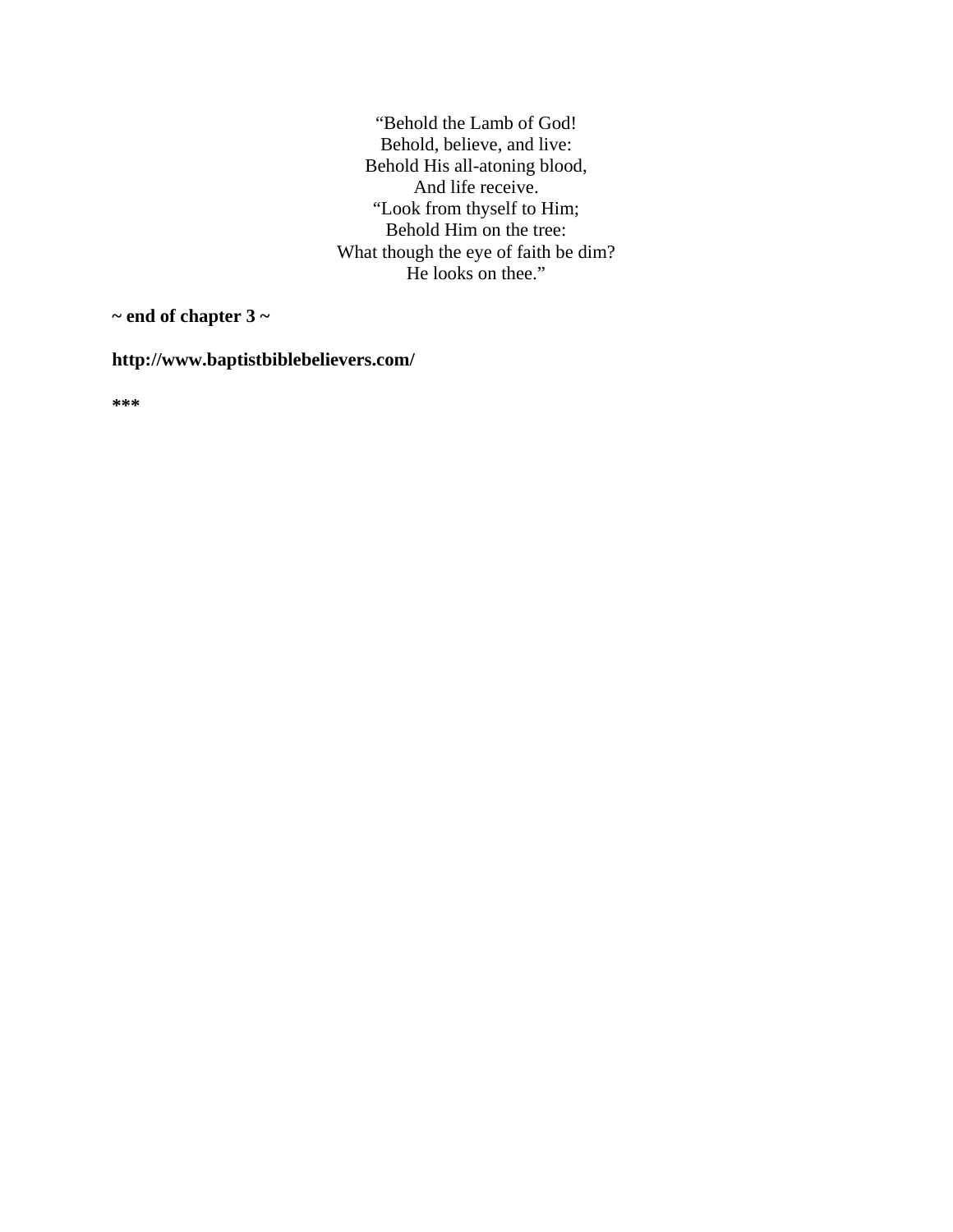"Behold the Lamb of God! Behold, believe, and live: Behold His all-atoning blood, And life receive. "Look from thyself to Him; Behold Him on the tree: What though the eye of faith be dim? He looks on thee."

**~ end of chapter 3 ~** 

**http://www.baptistbiblebelievers.com/** 

**\*\*\***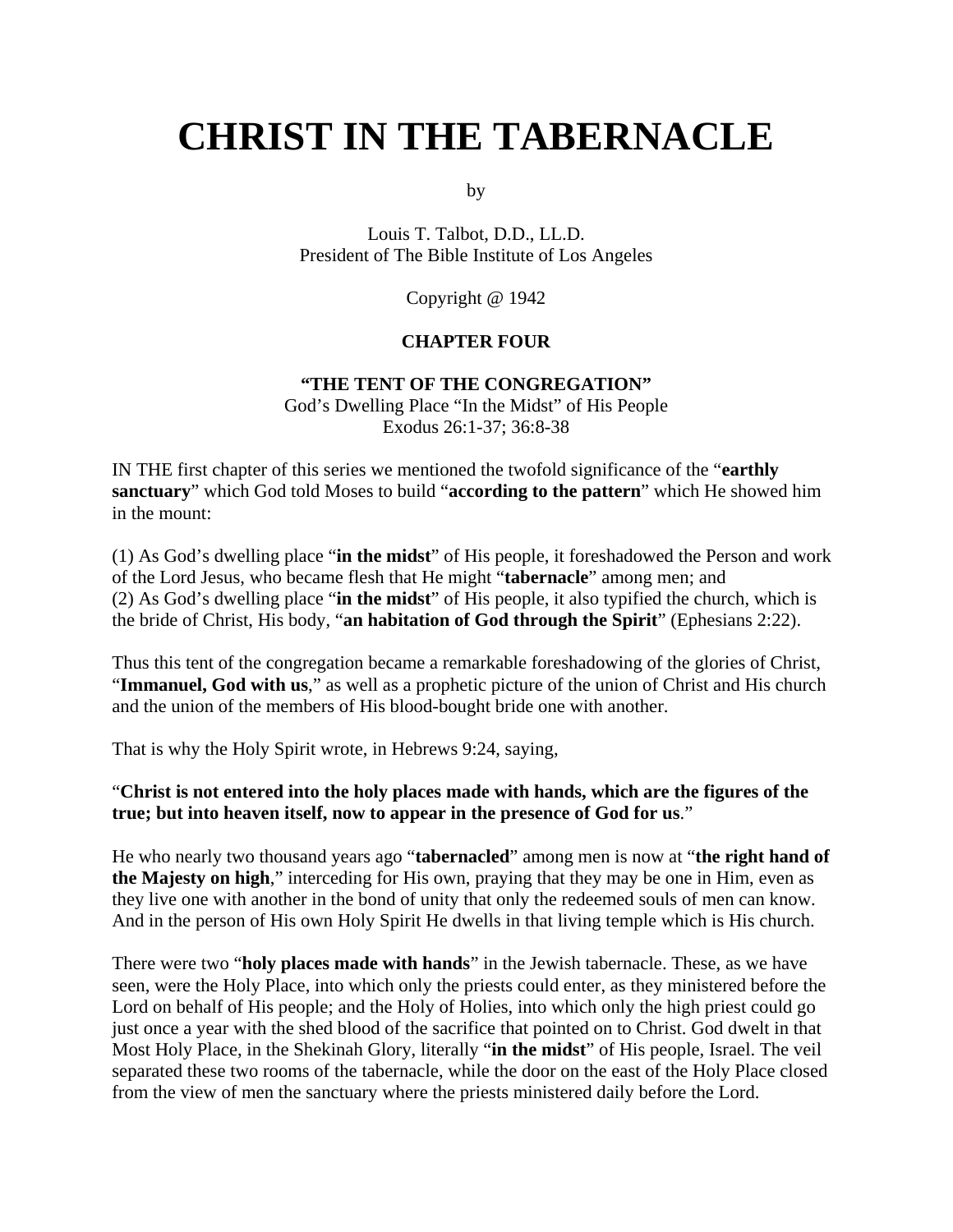# **CHRIST IN THE TABERNACLE**

by

Louis T. Talbot, D.D., LL.D. President of The Bible Institute of Los Angeles

Copyright @ 1942

### **CHAPTER FOUR**

#### **"THE TENT OF THE CONGREGATION"**

God's Dwelling Place "In the Midst" of His People Exodus 26:1-37; 36:8-38

IN THE first chapter of this series we mentioned the twofold significance of the "**earthly sanctuary**" which God told Moses to build "**according to the pattern**" which He showed him in the mount:

(1) As God's dwelling place "**in the midst**" of His people, it foreshadowed the Person and work of the Lord Jesus, who became flesh that He might "**tabernacle**" among men; and (2) As God's dwelling place "**in the midst**" of His people, it also typified the church, which is the bride of Christ, His body, "**an habitation of God through the Spirit**" (Ephesians 2:22).

Thus this tent of the congregation became a remarkable foreshadowing of the glories of Christ, "**Immanuel, God with us**," as well as a prophetic picture of the union of Christ and His church and the union of the members of His blood-bought bride one with another.

That is why the Holy Spirit wrote, in Hebrews 9:24, saying,

#### "**Christ is not entered into the holy places made with hands, which are the figures of the true; but into heaven itself, now to appear in the presence of God for us**."

He who nearly two thousand years ago "**tabernacled**" among men is now at "**the right hand of the Majesty on high**," interceding for His own, praying that they may be one in Him, even as they live one with another in the bond of unity that only the redeemed souls of men can know. And in the person of His own Holy Spirit He dwells in that living temple which is His church.

There were two "**holy places made with hands**" in the Jewish tabernacle. These, as we have seen, were the Holy Place, into which only the priests could enter, as they ministered before the Lord on behalf of His people; and the Holy of Holies, into which only the high priest could go just once a year with the shed blood of the sacrifice that pointed on to Christ. God dwelt in that Most Holy Place, in the Shekinah Glory, literally "**in the midst**" of His people, Israel. The veil separated these two rooms of the tabernacle, while the door on the east of the Holy Place closed from the view of men the sanctuary where the priests ministered daily before the Lord.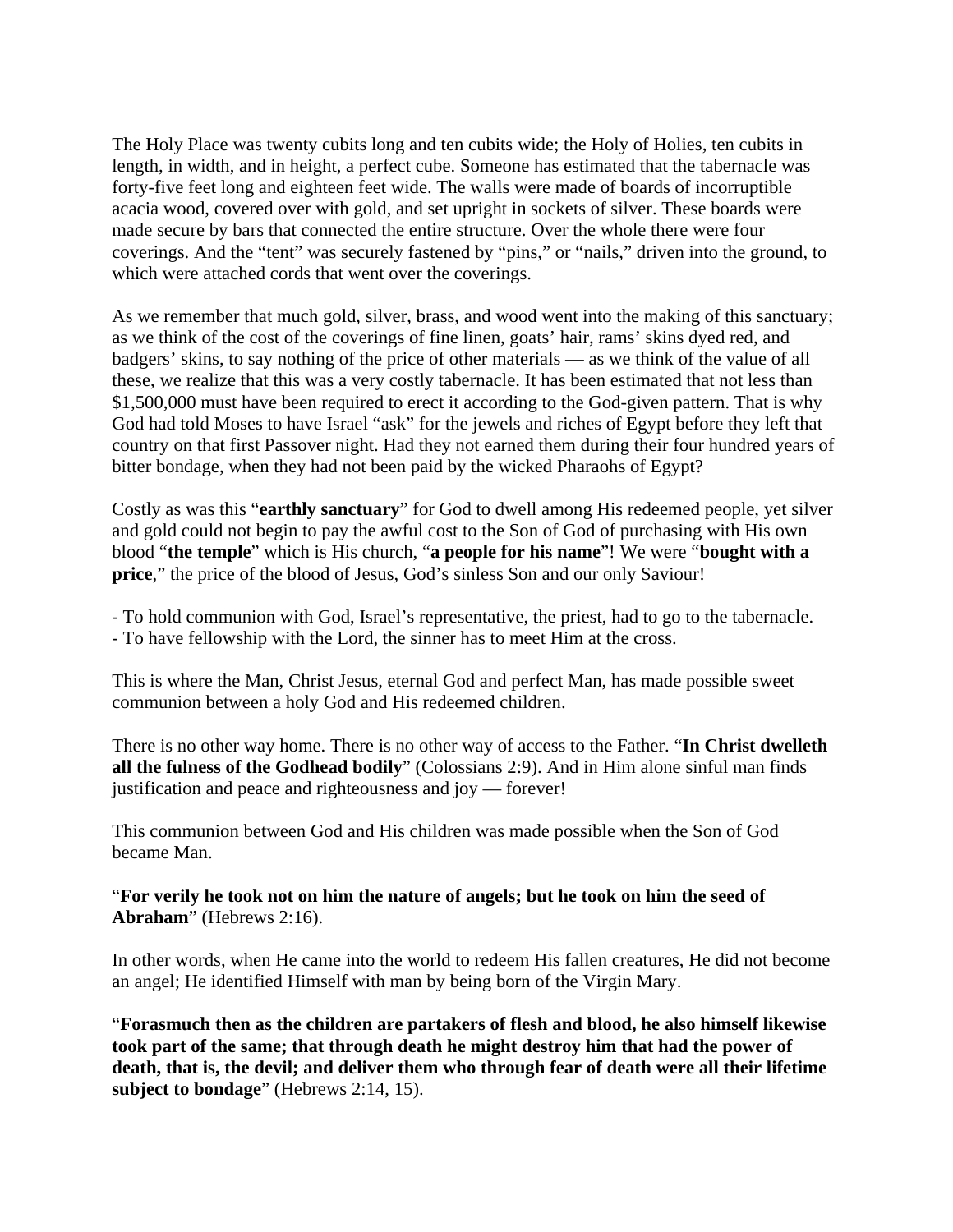The Holy Place was twenty cubits long and ten cubits wide; the Holy of Holies, ten cubits in length, in width, and in height, a perfect cube. Someone has estimated that the tabernacle was forty-five feet long and eighteen feet wide. The walls were made of boards of incorruptible acacia wood, covered over with gold, and set upright in sockets of silver. These boards were made secure by bars that connected the entire structure. Over the whole there were four coverings. And the "tent" was securely fastened by "pins," or "nails," driven into the ground, to which were attached cords that went over the coverings.

As we remember that much gold, silver, brass, and wood went into the making of this sanctuary; as we think of the cost of the coverings of fine linen, goats' hair, rams' skins dyed red, and badgers' skins, to say nothing of the price of other materials — as we think of the value of all these, we realize that this was a very costly tabernacle. It has been estimated that not less than \$1,500,000 must have been required to erect it according to the God-given pattern. That is why God had told Moses to have Israel "ask" for the jewels and riches of Egypt before they left that country on that first Passover night. Had they not earned them during their four hundred years of bitter bondage, when they had not been paid by the wicked Pharaohs of Egypt?

Costly as was this "**earthly sanctuary**" for God to dwell among His redeemed people, yet silver and gold could not begin to pay the awful cost to the Son of God of purchasing with His own blood "**the temple**" which is His church, "**a people for his name**"! We were "**bought with a price**," the price of the blood of Jesus, God's sinless Son and our only Saviour!

- To hold communion with God, Israel's representative, the priest, had to go to the tabernacle.
- To have fellowship with the Lord, the sinner has to meet Him at the cross.

This is where the Man, Christ Jesus, eternal God and perfect Man, has made possible sweet communion between a holy God and His redeemed children.

There is no other way home. There is no other way of access to the Father. "**In Christ dwelleth all the fulness of the Godhead bodily**" (Colossians 2:9). And in Him alone sinful man finds justification and peace and righteousness and joy — forever!

This communion between God and His children was made possible when the Son of God became Man.

### "**For verily he took not on him the nature of angels; but he took on him the seed of Abraham**" (Hebrews 2:16).

In other words, when He came into the world to redeem His fallen creatures, He did not become an angel; He identified Himself with man by being born of the Virgin Mary.

"**Forasmuch then as the children are partakers of flesh and blood, he also himself likewise took part of the same; that through death he might destroy him that had the power of death, that is, the devil; and deliver them who through fear of death were all their lifetime subject to bondage**" (Hebrews 2:14, 15).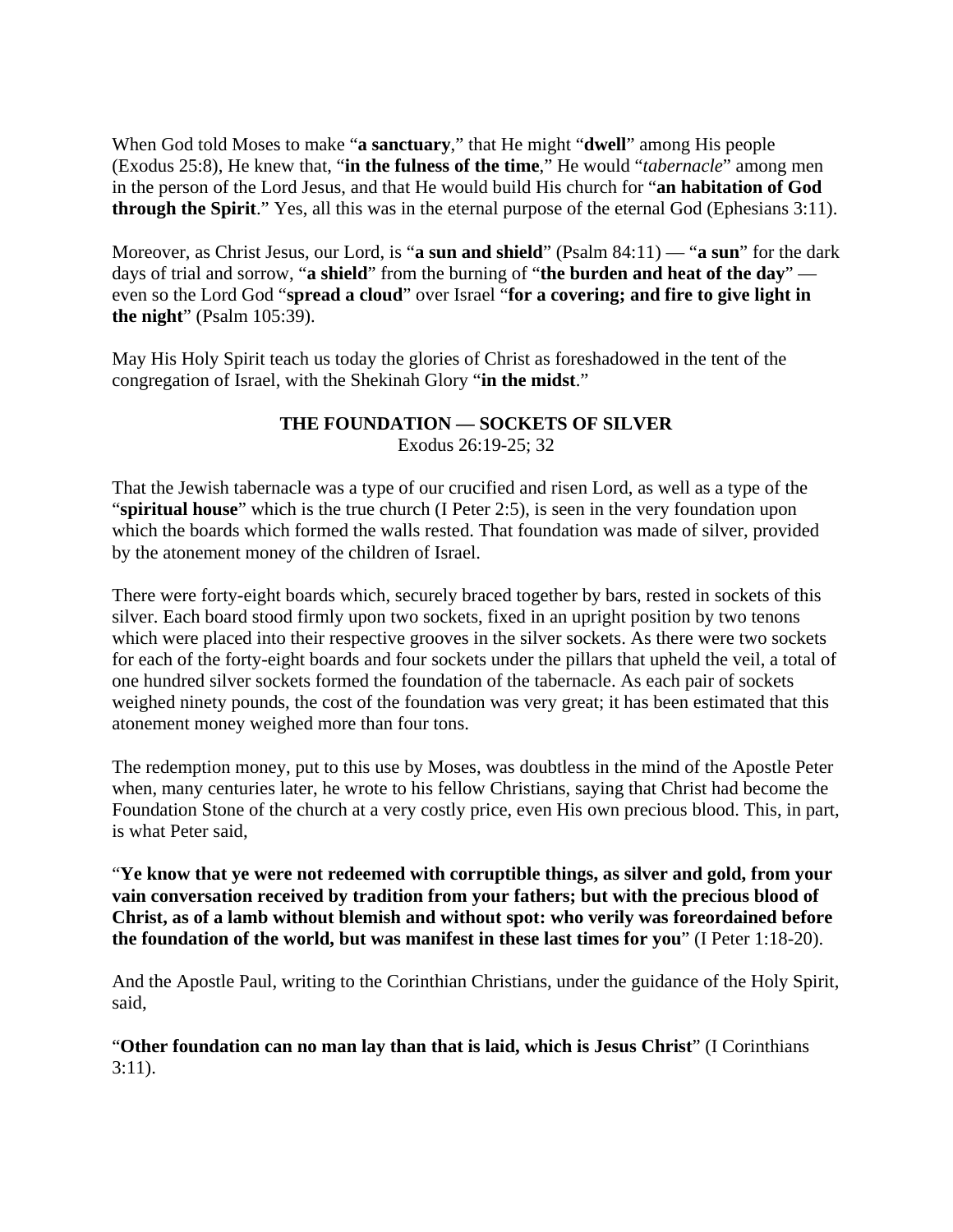When God told Moses to make "**a sanctuary**," that He might "**dwell**" among His people (Exodus 25:8), He knew that, "**in the fulness of the time**," He would "*tabernacle*" among men in the person of the Lord Jesus, and that He would build His church for "**an habitation of God through the Spirit**." Yes, all this was in the eternal purpose of the eternal God (Ephesians 3:11).

Moreover, as Christ Jesus, our Lord, is "**a sun and shield**" (Psalm 84:11) — "**a sun**" for the dark days of trial and sorrow, "**a shield**" from the burning of "**the burden and heat of the day**" even so the Lord God "**spread a cloud**" over Israel "**for a covering; and fire to give light in the night**" (Psalm 105:39).

May His Holy Spirit teach us today the glories of Christ as foreshadowed in the tent of the congregation of Israel, with the Shekinah Glory "**in the midst**."

#### **THE FOUNDATION — SOCKETS OF SILVER**  Exodus 26:19-25; 32

That the Jewish tabernacle was a type of our crucified and risen Lord, as well as a type of the "**spiritual house**" which is the true church (I Peter 2:5), is seen in the very foundation upon which the boards which formed the walls rested. That foundation was made of silver, provided by the atonement money of the children of Israel.

There were forty-eight boards which, securely braced together by bars, rested in sockets of this silver. Each board stood firmly upon two sockets, fixed in an upright position by two tenons which were placed into their respective grooves in the silver sockets. As there were two sockets for each of the forty-eight boards and four sockets under the pillars that upheld the veil, a total of one hundred silver sockets formed the foundation of the tabernacle. As each pair of sockets weighed ninety pounds, the cost of the foundation was very great; it has been estimated that this atonement money weighed more than four tons.

The redemption money, put to this use by Moses, was doubtless in the mind of the Apostle Peter when, many centuries later, he wrote to his fellow Christians, saying that Christ had become the Foundation Stone of the church at a very costly price, even His own precious blood. This, in part, is what Peter said,

"**Ye know that ye were not redeemed with corruptible things, as silver and gold, from your vain conversation received by tradition from your fathers; but with the precious blood of Christ, as of a lamb without blemish and without spot: who verily was foreordained before the foundation of the world, but was manifest in these last times for you**" (I Peter 1:18-20).

And the Apostle Paul, writing to the Corinthian Christians, under the guidance of the Holy Spirit, said,

"**Other foundation can no man lay than that is laid, which is Jesus Christ**" (I Corinthians 3:11).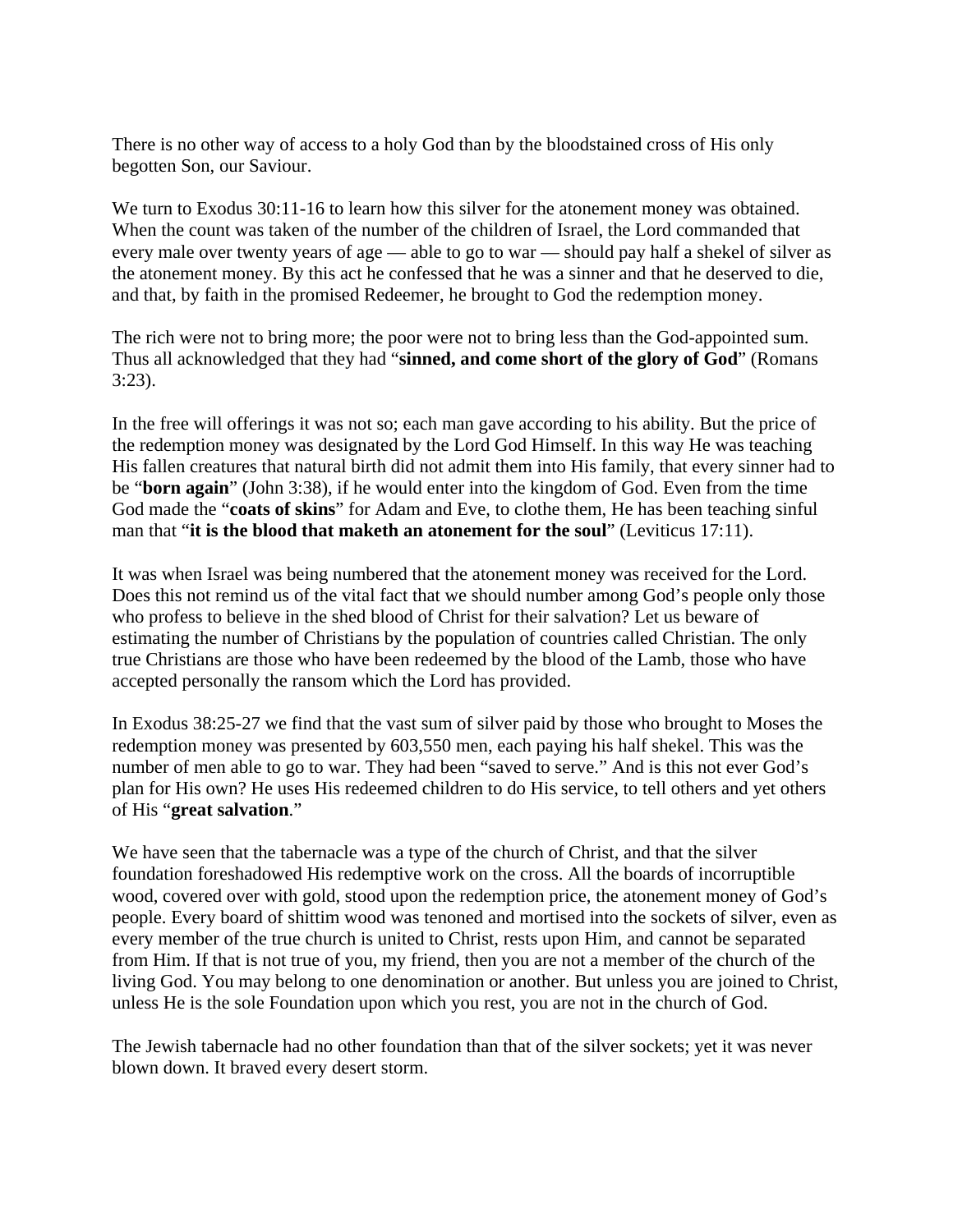There is no other way of access to a holy God than by the bloodstained cross of His only begotten Son, our Saviour.

We turn to Exodus 30:11-16 to learn how this silver for the atonement money was obtained. When the count was taken of the number of the children of Israel, the Lord commanded that every male over twenty years of age — able to go to war — should pay half a shekel of silver as the atonement money. By this act he confessed that he was a sinner and that he deserved to die, and that, by faith in the promised Redeemer, he brought to God the redemption money.

The rich were not to bring more; the poor were not to bring less than the God-appointed sum. Thus all acknowledged that they had "**sinned, and come short of the glory of God**" (Romans 3:23).

In the free will offerings it was not so; each man gave according to his ability. But the price of the redemption money was designated by the Lord God Himself. In this way He was teaching His fallen creatures that natural birth did not admit them into His family, that every sinner had to be "**born again**" (John 3:38), if he would enter into the kingdom of God. Even from the time God made the "**coats of skins**" for Adam and Eve, to clothe them, He has been teaching sinful man that "**it is the blood that maketh an atonement for the soul**" (Leviticus 17:11).

It was when Israel was being numbered that the atonement money was received for the Lord. Does this not remind us of the vital fact that we should number among God's people only those who profess to believe in the shed blood of Christ for their salvation? Let us beware of estimating the number of Christians by the population of countries called Christian. The only true Christians are those who have been redeemed by the blood of the Lamb, those who have accepted personally the ransom which the Lord has provided.

In Exodus 38:25-27 we find that the vast sum of silver paid by those who brought to Moses the redemption money was presented by 603,550 men, each paying his half shekel. This was the number of men able to go to war. They had been "saved to serve." And is this not ever God's plan for His own? He uses His redeemed children to do His service, to tell others and yet others of His "**great salvation**."

We have seen that the tabernacle was a type of the church of Christ, and that the silver foundation foreshadowed His redemptive work on the cross. All the boards of incorruptible wood, covered over with gold, stood upon the redemption price, the atonement money of God's people. Every board of shittim wood was tenoned and mortised into the sockets of silver, even as every member of the true church is united to Christ, rests upon Him, and cannot be separated from Him. If that is not true of you, my friend, then you are not a member of the church of the living God. You may belong to one denomination or another. But unless you are joined to Christ, unless He is the sole Foundation upon which you rest, you are not in the church of God.

The Jewish tabernacle had no other foundation than that of the silver sockets; yet it was never blown down. It braved every desert storm.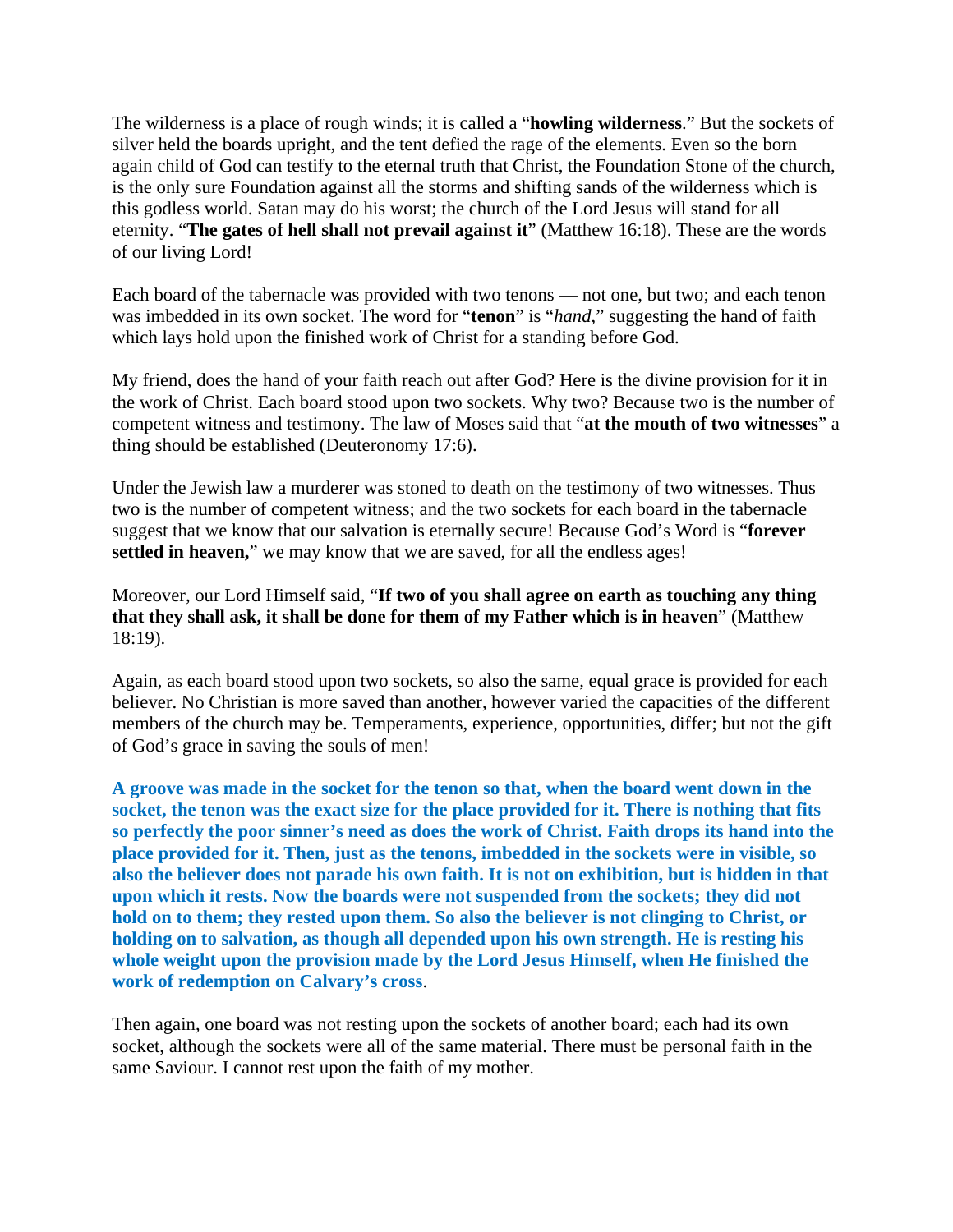The wilderness is a place of rough winds; it is called a "**howling wilderness**." But the sockets of silver held the boards upright, and the tent defied the rage of the elements. Even so the born again child of God can testify to the eternal truth that Christ, the Foundation Stone of the church, is the only sure Foundation against all the storms and shifting sands of the wilderness which is this godless world. Satan may do his worst; the church of the Lord Jesus will stand for all eternity. "**The gates of hell shall not prevail against it**" (Matthew 16:18). These are the words of our living Lord!

Each board of the tabernacle was provided with two tenons — not one, but two; and each tenon was imbedded in its own socket. The word for "**tenon**" is "*hand*," suggesting the hand of faith which lays hold upon the finished work of Christ for a standing before God.

My friend, does the hand of your faith reach out after God? Here is the divine provision for it in the work of Christ. Each board stood upon two sockets. Why two? Because two is the number of competent witness and testimony. The law of Moses said that "**at the mouth of two witnesses**" a thing should be established (Deuteronomy 17:6).

Under the Jewish law a murderer was stoned to death on the testimony of two witnesses. Thus two is the number of competent witness; and the two sockets for each board in the tabernacle suggest that we know that our salvation is eternally secure! Because God's Word is "**forever settled in heaven,**" we may know that we are saved, for all the endless ages!

Moreover, our Lord Himself said, "**If two of you shall agree on earth as touching any thing that they shall ask, it shall be done for them of my Father which is in heaven**" (Matthew 18:19).

Again, as each board stood upon two sockets, so also the same, equal grace is provided for each believer. No Christian is more saved than another, however varied the capacities of the different members of the church may be. Temperaments, experience, opportunities, differ; but not the gift of God's grace in saving the souls of men!

**A groove was made in the socket for the tenon so that, when the board went down in the socket, the tenon was the exact size for the place provided for it. There is nothing that fits so perfectly the poor sinner's need as does the work of Christ. Faith drops its hand into the place provided for it. Then, just as the tenons, imbedded in the sockets were in visible, so also the believer does not parade his own faith. It is not on exhibition, but is hidden in that upon which it rests. Now the boards were not suspended from the sockets; they did not hold on to them; they rested upon them. So also the believer is not clinging to Christ, or holding on to salvation, as though all depended upon his own strength. He is resting his whole weight upon the provision made by the Lord Jesus Himself, when He finished the work of redemption on Calvary's cross**.

Then again, one board was not resting upon the sockets of another board; each had its own socket, although the sockets were all of the same material. There must be personal faith in the same Saviour. I cannot rest upon the faith of my mother.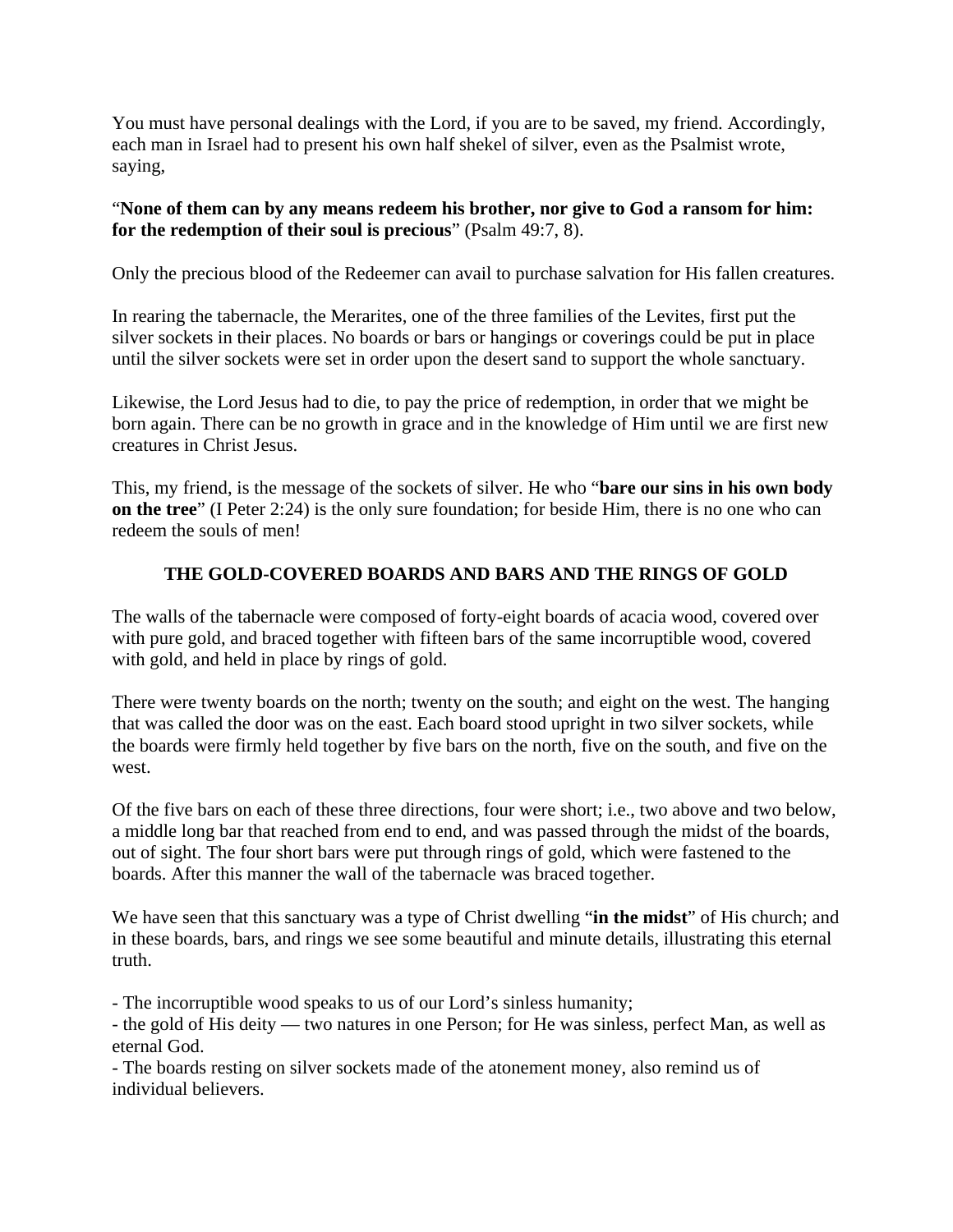You must have personal dealings with the Lord, if you are to be saved, my friend. Accordingly, each man in Israel had to present his own half shekel of silver, even as the Psalmist wrote, saying,

## "**None of them can by any means redeem his brother, nor give to God a ransom for him: for the redemption of their soul is precious**" (Psalm 49:7, 8).

Only the precious blood of the Redeemer can avail to purchase salvation for His fallen creatures.

In rearing the tabernacle, the Merarites, one of the three families of the Levites, first put the silver sockets in their places. No boards or bars or hangings or coverings could be put in place until the silver sockets were set in order upon the desert sand to support the whole sanctuary.

Likewise, the Lord Jesus had to die, to pay the price of redemption, in order that we might be born again. There can be no growth in grace and in the knowledge of Him until we are first new creatures in Christ Jesus.

This, my friend, is the message of the sockets of silver. He who "**bare our sins in his own body on the tree**" (I Peter 2:24) is the only sure foundation; for beside Him, there is no one who can redeem the souls of men!

## **THE GOLD-COVERED BOARDS AND BARS AND THE RINGS OF GOLD**

The walls of the tabernacle were composed of forty-eight boards of acacia wood, covered over with pure gold, and braced together with fifteen bars of the same incorruptible wood, covered with gold, and held in place by rings of gold.

There were twenty boards on the north; twenty on the south; and eight on the west. The hanging that was called the door was on the east. Each board stood upright in two silver sockets, while the boards were firmly held together by five bars on the north, five on the south, and five on the west.

Of the five bars on each of these three directions, four were short; i.e., two above and two below, a middle long bar that reached from end to end, and was passed through the midst of the boards, out of sight. The four short bars were put through rings of gold, which were fastened to the boards. After this manner the wall of the tabernacle was braced together.

We have seen that this sanctuary was a type of Christ dwelling "**in the midst**" of His church; and in these boards, bars, and rings we see some beautiful and minute details, illustrating this eternal truth.

- The incorruptible wood speaks to us of our Lord's sinless humanity;

- the gold of His deity — two natures in one Person; for He was sinless, perfect Man, as well as eternal God.

- The boards resting on silver sockets made of the atonement money, also remind us of individual believers.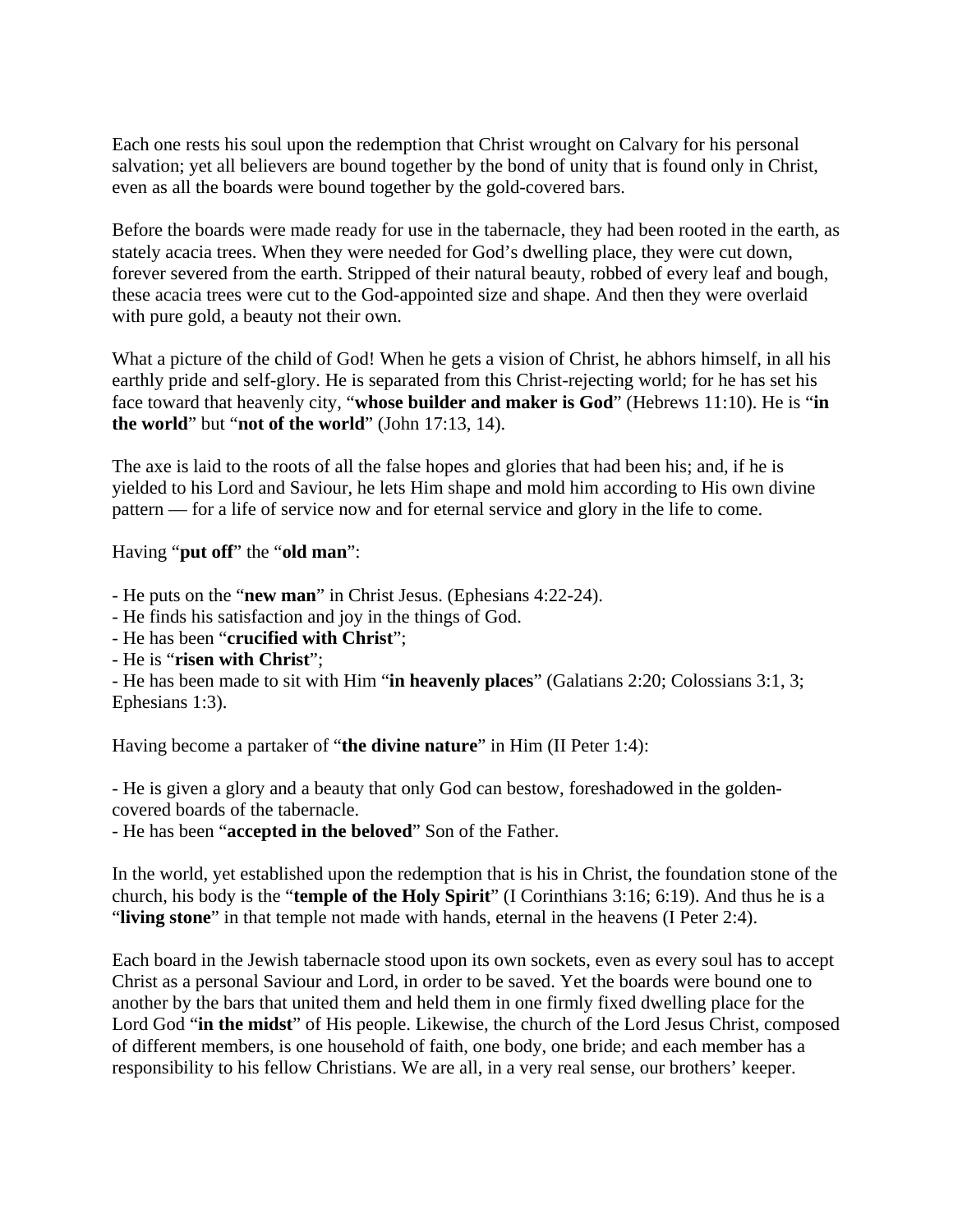Each one rests his soul upon the redemption that Christ wrought on Calvary for his personal salvation; yet all believers are bound together by the bond of unity that is found only in Christ, even as all the boards were bound together by the gold-covered bars.

Before the boards were made ready for use in the tabernacle, they had been rooted in the earth, as stately acacia trees. When they were needed for God's dwelling place, they were cut down, forever severed from the earth. Stripped of their natural beauty, robbed of every leaf and bough, these acacia trees were cut to the God-appointed size and shape. And then they were overlaid with pure gold, a beauty not their own.

What a picture of the child of God! When he gets a vision of Christ, he abhors himself, in all his earthly pride and self-glory. He is separated from this Christ-rejecting world; for he has set his face toward that heavenly city, "**whose builder and maker is God**" (Hebrews 11:10). He is "**in the world**" but "**not of the world**" (John 17:13, 14).

The axe is laid to the roots of all the false hopes and glories that had been his; and, if he is yielded to his Lord and Saviour, he lets Him shape and mold him according to His own divine pattern — for a life of service now and for eternal service and glory in the life to come.

Having "**put off**" the "**old man**":

- He puts on the "**new man**" in Christ Jesus. (Ephesians 4:22-24).

- He finds his satisfaction and joy in the things of God.
- He has been "**crucified with Christ**";
- He is "**risen with Christ**";

- He has been made to sit with Him "**in heavenly places**" (Galatians 2:20; Colossians 3:1, 3; Ephesians 1:3).

Having become a partaker of "**the divine nature**" in Him (II Peter 1:4):

- He is given a glory and a beauty that only God can bestow, foreshadowed in the goldencovered boards of the tabernacle.

- He has been "**accepted in the beloved**" Son of the Father.

In the world, yet established upon the redemption that is his in Christ, the foundation stone of the church, his body is the "**temple of the Holy Spirit**" (I Corinthians 3:16; 6:19). And thus he is a "**living stone**" in that temple not made with hands, eternal in the heavens (I Peter 2:4).

Each board in the Jewish tabernacle stood upon its own sockets, even as every soul has to accept Christ as a personal Saviour and Lord, in order to be saved. Yet the boards were bound one to another by the bars that united them and held them in one firmly fixed dwelling place for the Lord God "**in the midst**" of His people. Likewise, the church of the Lord Jesus Christ, composed of different members, is one household of faith, one body, one bride; and each member has a responsibility to his fellow Christians. We are all, in a very real sense, our brothers' keeper.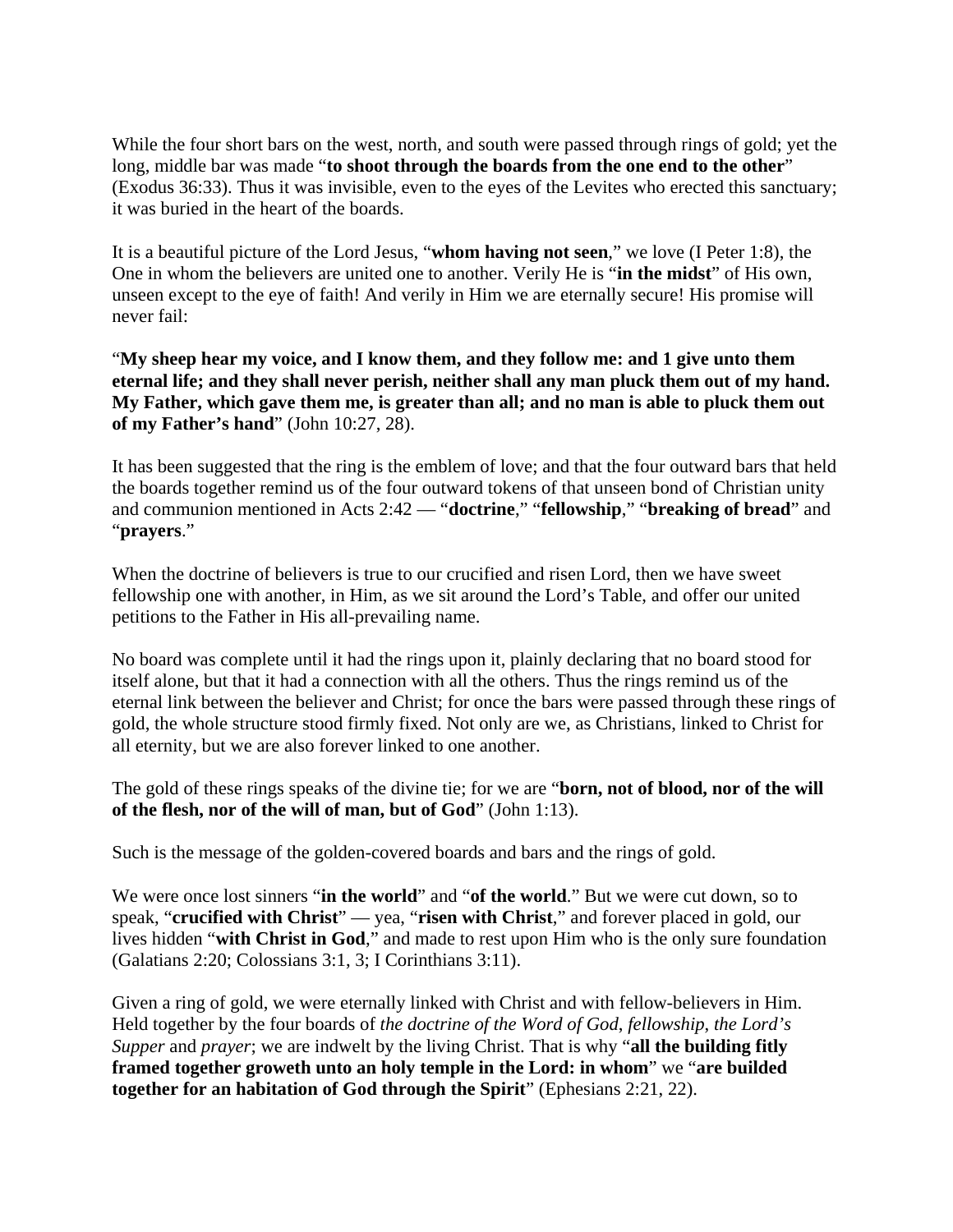While the four short bars on the west, north, and south were passed through rings of gold; yet the long, middle bar was made "**to shoot through the boards from the one end to the other**" (Exodus 36:33). Thus it was invisible, even to the eyes of the Levites who erected this sanctuary; it was buried in the heart of the boards.

It is a beautiful picture of the Lord Jesus, "**whom having not seen**," we love (I Peter 1:8), the One in whom the believers are united one to another. Verily He is "**in the midst**" of His own, unseen except to the eye of faith! And verily in Him we are eternally secure! His promise will never fail:

"**My sheep hear my voice, and I know them, and they follow me: and 1 give unto them eternal life; and they shall never perish, neither shall any man pluck them out of my hand. My Father, which gave them me, is greater than all; and no man is able to pluck them out of my Father's hand**" (John 10:27, 28).

It has been suggested that the ring is the emblem of love; and that the four outward bars that held the boards together remind us of the four outward tokens of that unseen bond of Christian unity and communion mentioned in Acts 2:42 — "**doctrine**," "**fellowship**," "**breaking of bread**" and "**prayers**."

When the doctrine of believers is true to our crucified and risen Lord, then we have sweet fellowship one with another, in Him, as we sit around the Lord's Table, and offer our united petitions to the Father in His all-prevailing name.

No board was complete until it had the rings upon it, plainly declaring that no board stood for itself alone, but that it had a connection with all the others. Thus the rings remind us of the eternal link between the believer and Christ; for once the bars were passed through these rings of gold, the whole structure stood firmly fixed. Not only are we, as Christians, linked to Christ for all eternity, but we are also forever linked to one another.

The gold of these rings speaks of the divine tie; for we are "**born, not of blood, nor of the will of the flesh, nor of the will of man, but of God**" (John 1:13).

Such is the message of the golden-covered boards and bars and the rings of gold.

We were once lost sinners "**in the world**" and "**of the world**." But we were cut down, so to speak, "**crucified with Christ**" — yea, "**risen with Christ**," and forever placed in gold, our lives hidden "**with Christ in God**," and made to rest upon Him who is the only sure foundation (Galatians 2:20; Colossians 3:1, 3; I Corinthians 3:11).

Given a ring of gold, we were eternally linked with Christ and with fellow-believers in Him. Held together by the four boards of *the doctrine of the Word of God*, *fellowship*, *the Lord's Supper* and *prayer*; we are indwelt by the living Christ. That is why "**all the building fitly framed together groweth unto an holy temple in the Lord: in whom**" we "**are builded together for an habitation of God through the Spirit**" (Ephesians 2:21, 22).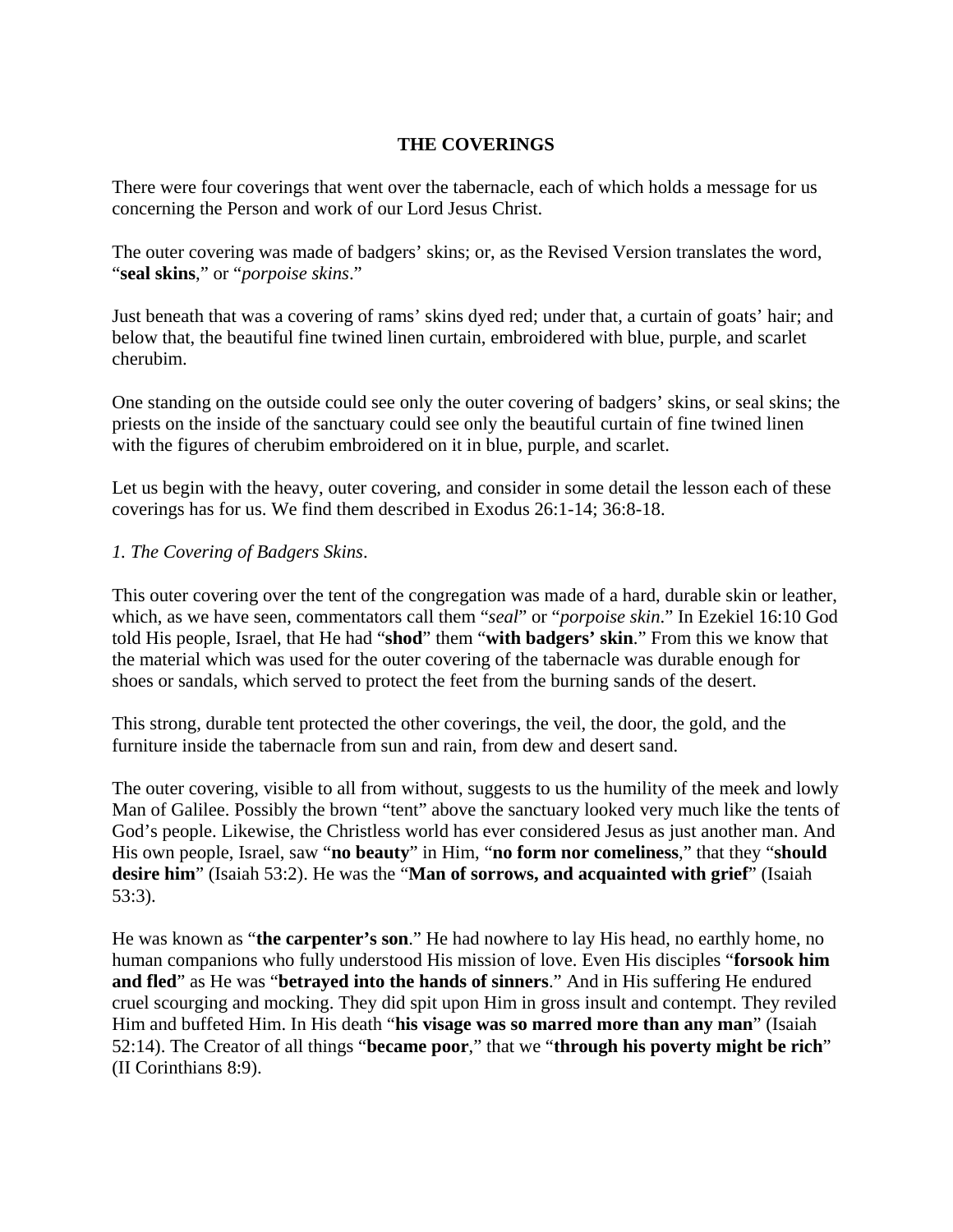### **THE COVERINGS**

There were four coverings that went over the tabernacle, each of which holds a message for us concerning the Person and work of our Lord Jesus Christ.

The outer covering was made of badgers' skins; or, as the Revised Version translates the word, "**seal skins**," or "*porpoise skins*."

Just beneath that was a covering of rams' skins dyed red; under that, a curtain of goats' hair; and below that, the beautiful fine twined linen curtain, embroidered with blue, purple, and scarlet cherubim.

One standing on the outside could see only the outer covering of badgers' skins, or seal skins; the priests on the inside of the sanctuary could see only the beautiful curtain of fine twined linen with the figures of cherubim embroidered on it in blue, purple, and scarlet.

Let us begin with the heavy, outer covering, and consider in some detail the lesson each of these coverings has for us. We find them described in Exodus 26:1-14; 36:8-18.

#### *1. The Covering of Badgers Skins*.

This outer covering over the tent of the congregation was made of a hard, durable skin or leather, which, as we have seen, commentators call them "*seal*" or "*porpoise skin*." In Ezekiel 16:10 God told His people, Israel, that He had "**shod**" them "**with badgers' skin**." From this we know that the material which was used for the outer covering of the tabernacle was durable enough for shoes or sandals, which served to protect the feet from the burning sands of the desert.

This strong, durable tent protected the other coverings, the veil, the door, the gold, and the furniture inside the tabernacle from sun and rain, from dew and desert sand.

The outer covering, visible to all from without, suggests to us the humility of the meek and lowly Man of Galilee. Possibly the brown "tent" above the sanctuary looked very much like the tents of God's people. Likewise, the Christless world has ever considered Jesus as just another man. And His own people, Israel, saw "**no beauty**" in Him, "**no form nor comeliness**," that they "**should desire him**" (Isaiah 53:2). He was the "**Man of sorrows, and acquainted with grief**" (Isaiah 53:3).

He was known as "**the carpenter's son**." He had nowhere to lay His head, no earthly home, no human companions who fully understood His mission of love. Even His disciples "**forsook him and fled**" as He was "**betrayed into the hands of sinners**." And in His suffering He endured cruel scourging and mocking. They did spit upon Him in gross insult and contempt. They reviled Him and buffeted Him. In His death "**his visage was so marred more than any man**" (Isaiah 52:14). The Creator of all things "**became poor**," that we "**through his poverty might be rich**" (II Corinthians 8:9).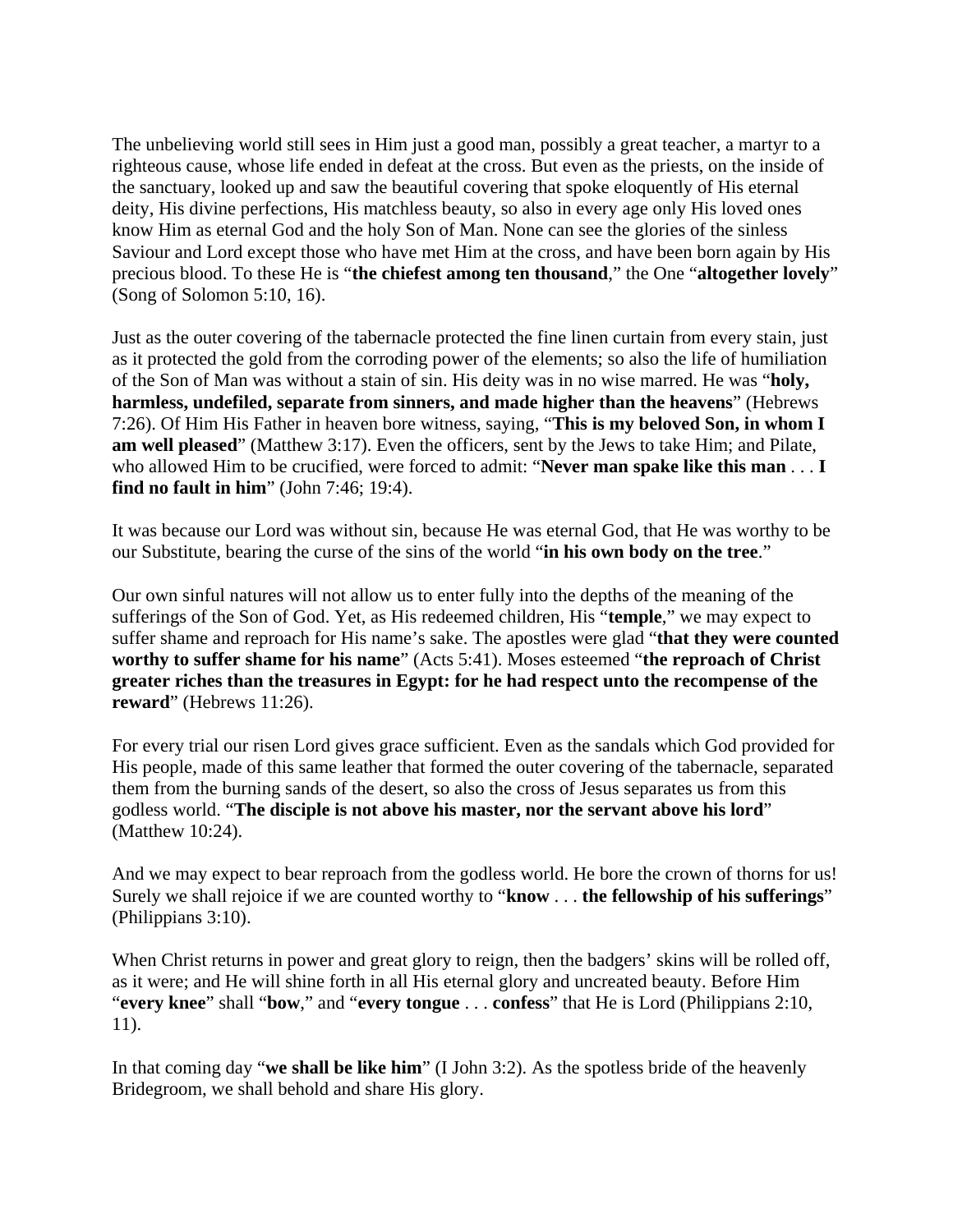The unbelieving world still sees in Him just a good man, possibly a great teacher, a martyr to a righteous cause, whose life ended in defeat at the cross. But even as the priests, on the inside of the sanctuary, looked up and saw the beautiful covering that spoke eloquently of His eternal deity, His divine perfections, His matchless beauty, so also in every age only His loved ones know Him as eternal God and the holy Son of Man. None can see the glories of the sinless Saviour and Lord except those who have met Him at the cross, and have been born again by His precious blood. To these He is "**the chiefest among ten thousand**," the One "**altogether lovely**" (Song of Solomon 5:10, 16).

Just as the outer covering of the tabernacle protected the fine linen curtain from every stain, just as it protected the gold from the corroding power of the elements; so also the life of humiliation of the Son of Man was without a stain of sin. His deity was in no wise marred. He was "**holy, harmless, undefiled, separate from sinners, and made higher than the heavens**" (Hebrews 7:26). Of Him His Father in heaven bore witness, saying, "**This is my beloved Son, in whom I am well pleased**" (Matthew 3:17). Even the officers, sent by the Jews to take Him; and Pilate, who allowed Him to be crucified, were forced to admit: "**Never man spake like this man** . . . **I find no fault in him**" (John 7:46; 19:4).

It was because our Lord was without sin, because He was eternal God, that He was worthy to be our Substitute, bearing the curse of the sins of the world "**in his own body on the tree**."

Our own sinful natures will not allow us to enter fully into the depths of the meaning of the sufferings of the Son of God. Yet, as His redeemed children, His "**temple**," we may expect to suffer shame and reproach for His name's sake. The apostles were glad "**that they were counted worthy to suffer shame for his name**" (Acts 5:41). Moses esteemed "**the reproach of Christ greater riches than the treasures in Egypt: for he had respect unto the recompense of the reward**" (Hebrews 11:26).

For every trial our risen Lord gives grace sufficient. Even as the sandals which God provided for His people, made of this same leather that formed the outer covering of the tabernacle, separated them from the burning sands of the desert, so also the cross of Jesus separates us from this godless world. "**The disciple is not above his master, nor the servant above his lord**" (Matthew 10:24).

And we may expect to bear reproach from the godless world. He bore the crown of thorns for us! Surely we shall rejoice if we are counted worthy to "**know** . . . **the fellowship of his sufferings**" (Philippians 3:10).

When Christ returns in power and great glory to reign, then the badgers' skins will be rolled off, as it were; and He will shine forth in all His eternal glory and uncreated beauty. Before Him "**every knee**" shall "**bow**," and "**every tongue** . . . **confess**" that He is Lord (Philippians 2:10, 11).

In that coming day "**we shall be like him**" (I John 3:2). As the spotless bride of the heavenly Bridegroom, we shall behold and share His glory.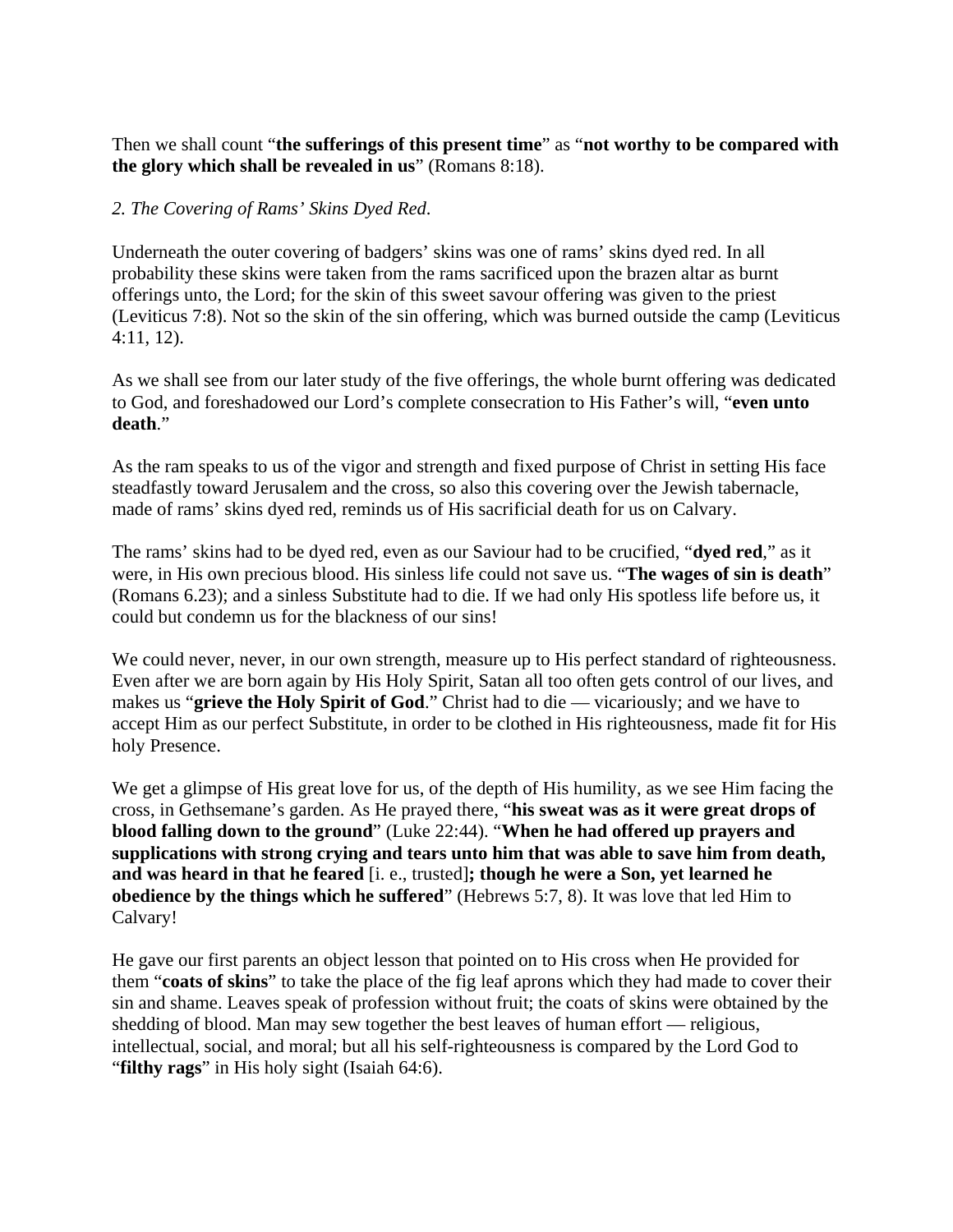## Then we shall count "**the sufferings of this present time**" as "**not worthy to be compared with the glory which shall be revealed in us**" (Romans 8:18).

## *2. The Covering of Rams' Skins Dyed Red*.

Underneath the outer covering of badgers' skins was one of rams' skins dyed red. In all probability these skins were taken from the rams sacrificed upon the brazen altar as burnt offerings unto, the Lord; for the skin of this sweet savour offering was given to the priest (Leviticus 7:8). Not so the skin of the sin offering, which was burned outside the camp (Leviticus 4:11, 12).

As we shall see from our later study of the five offerings, the whole burnt offering was dedicated to God, and foreshadowed our Lord's complete consecration to His Father's will, "**even unto death**."

As the ram speaks to us of the vigor and strength and fixed purpose of Christ in setting His face steadfastly toward Jerusalem and the cross, so also this covering over the Jewish tabernacle, made of rams' skins dyed red, reminds us of His sacrificial death for us on Calvary.

The rams' skins had to be dyed red, even as our Saviour had to be crucified, "**dyed red**," as it were, in His own precious blood. His sinless life could not save us. "**The wages of sin is death**" (Romans 6.23); and a sinless Substitute had to die. If we had only His spotless life before us, it could but condemn us for the blackness of our sins!

We could never, never, in our own strength, measure up to His perfect standard of righteousness. Even after we are born again by His Holy Spirit, Satan all too often gets control of our lives, and makes us "**grieve the Holy Spirit of God**." Christ had to die — vicariously; and we have to accept Him as our perfect Substitute, in order to be clothed in His righteousness, made fit for His holy Presence.

We get a glimpse of His great love for us, of the depth of His humility, as we see Him facing the cross, in Gethsemane's garden. As He prayed there, "**his sweat was as it were great drops of blood falling down to the ground**" (Luke 22:44). "**When he had offered up prayers and supplications with strong crying and tears unto him that was able to save him from death, and was heard in that he feared** [i. e., trusted]**; though he were a Son, yet learned he obedience by the things which he suffered**" (Hebrews 5:7, 8). It was love that led Him to Calvary!

He gave our first parents an object lesson that pointed on to His cross when He provided for them "**coats of skins**" to take the place of the fig leaf aprons which they had made to cover their sin and shame. Leaves speak of profession without fruit; the coats of skins were obtained by the shedding of blood. Man may sew together the best leaves of human effort — religious, intellectual, social, and moral; but all his self-righteousness is compared by the Lord God to "**filthy rags**" in His holy sight (Isaiah 64:6).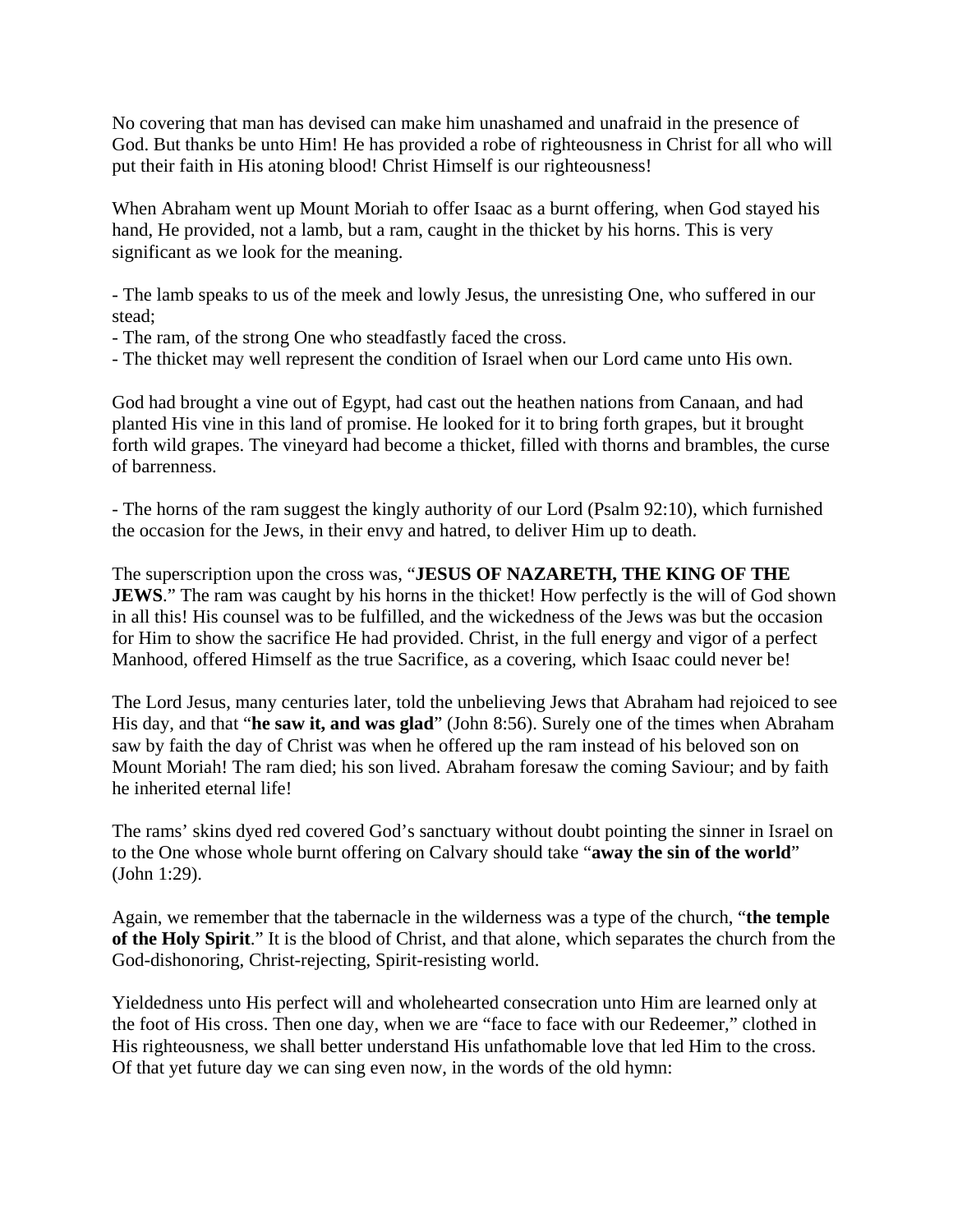No covering that man has devised can make him unashamed and unafraid in the presence of God. But thanks be unto Him! He has provided a robe of righteousness in Christ for all who will put their faith in His atoning blood! Christ Himself is our righteousness!

When Abraham went up Mount Moriah to offer Isaac as a burnt offering, when God stayed his hand, He provided, not a lamb, but a ram, caught in the thicket by his horns. This is very significant as we look for the meaning.

- The lamb speaks to us of the meek and lowly Jesus, the unresisting One, who suffered in our stead;

- The ram, of the strong One who steadfastly faced the cross.
- The thicket may well represent the condition of Israel when our Lord came unto His own.

God had brought a vine out of Egypt, had cast out the heathen nations from Canaan, and had planted His vine in this land of promise. He looked for it to bring forth grapes, but it brought forth wild grapes. The vineyard had become a thicket, filled with thorns and brambles, the curse of barrenness.

- The horns of the ram suggest the kingly authority of our Lord (Psalm 92:10), which furnished the occasion for the Jews, in their envy and hatred, to deliver Him up to death.

The superscription upon the cross was, "**JESUS OF NAZARETH, THE KING OF THE JEWS**." The ram was caught by his horns in the thicket! How perfectly is the will of God shown in all this! His counsel was to be fulfilled, and the wickedness of the Jews was but the occasion for Him to show the sacrifice He had provided. Christ, in the full energy and vigor of a perfect Manhood, offered Himself as the true Sacrifice, as a covering, which Isaac could never be!

The Lord Jesus, many centuries later, told the unbelieving Jews that Abraham had rejoiced to see His day, and that "**he saw it, and was glad**" (John 8:56). Surely one of the times when Abraham saw by faith the day of Christ was when he offered up the ram instead of his beloved son on Mount Moriah! The ram died; his son lived. Abraham foresaw the coming Saviour; and by faith he inherited eternal life!

The rams' skins dyed red covered God's sanctuary without doubt pointing the sinner in Israel on to the One whose whole burnt offering on Calvary should take "**away the sin of the world**" (John 1:29).

Again, we remember that the tabernacle in the wilderness was a type of the church, "**the temple of the Holy Spirit**." It is the blood of Christ, and that alone, which separates the church from the God-dishonoring, Christ-rejecting, Spirit-resisting world.

Yieldedness unto His perfect will and wholehearted consecration unto Him are learned only at the foot of His cross. Then one day, when we are "face to face with our Redeemer," clothed in His righteousness, we shall better understand His unfathomable love that led Him to the cross. Of that yet future day we can sing even now, in the words of the old hymn: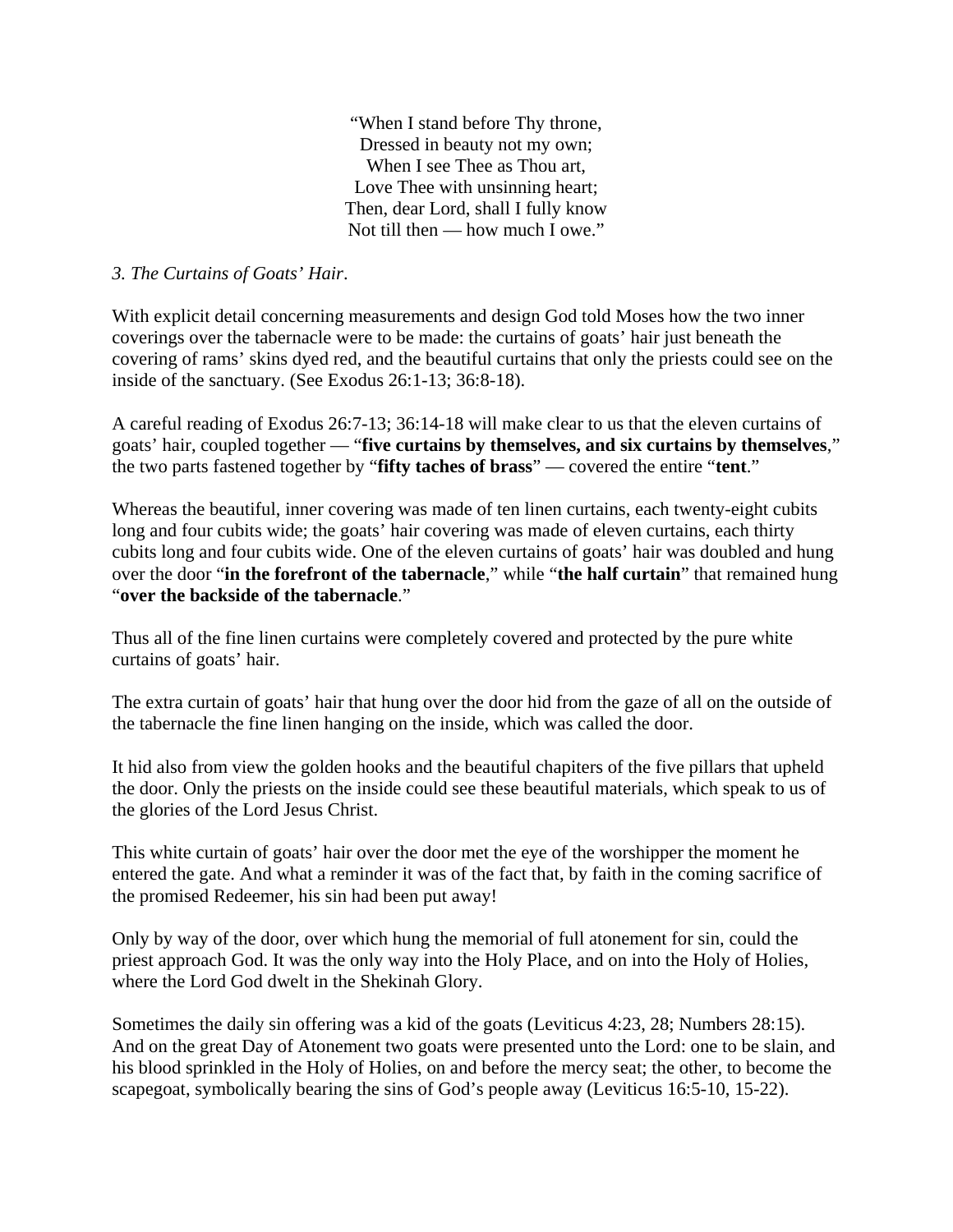"When I stand before Thy throne, Dressed in beauty not my own; When I see Thee as Thou art, Love Thee with unsinning heart; Then, dear Lord, shall I fully know Not till then — how much I owe."

### *3. The Curtains of Goats' Hair*.

With explicit detail concerning measurements and design God told Moses how the two inner coverings over the tabernacle were to be made: the curtains of goats' hair just beneath the covering of rams' skins dyed red, and the beautiful curtains that only the priests could see on the inside of the sanctuary. (See Exodus 26:1-13; 36:8-18).

A careful reading of Exodus 26:7-13; 36:14-18 will make clear to us that the eleven curtains of goats' hair, coupled together — "**five curtains by themselves, and six curtains by themselves**," the two parts fastened together by "**fifty taches of brass**" — covered the entire "**tent**."

Whereas the beautiful, inner covering was made of ten linen curtains, each twenty-eight cubits long and four cubits wide; the goats' hair covering was made of eleven curtains, each thirty cubits long and four cubits wide. One of the eleven curtains of goats' hair was doubled and hung over the door "**in the forefront of the tabernacle**," while "**the half curtain**" that remained hung "**over the backside of the tabernacle**."

Thus all of the fine linen curtains were completely covered and protected by the pure white curtains of goats' hair.

The extra curtain of goats' hair that hung over the door hid from the gaze of all on the outside of the tabernacle the fine linen hanging on the inside, which was called the door.

It hid also from view the golden hooks and the beautiful chapiters of the five pillars that upheld the door. Only the priests on the inside could see these beautiful materials, which speak to us of the glories of the Lord Jesus Christ.

This white curtain of goats' hair over the door met the eye of the worshipper the moment he entered the gate. And what a reminder it was of the fact that, by faith in the coming sacrifice of the promised Redeemer, his sin had been put away!

Only by way of the door, over which hung the memorial of full atonement for sin, could the priest approach God. It was the only way into the Holy Place, and on into the Holy of Holies, where the Lord God dwelt in the Shekinah Glory.

Sometimes the daily sin offering was a kid of the goats (Leviticus 4:23, 28; Numbers 28:15). And on the great Day of Atonement two goats were presented unto the Lord: one to be slain, and his blood sprinkled in the Holy of Holies, on and before the mercy seat; the other, to become the scapegoat, symbolically bearing the sins of God's people away (Leviticus 16:5-10, 15-22).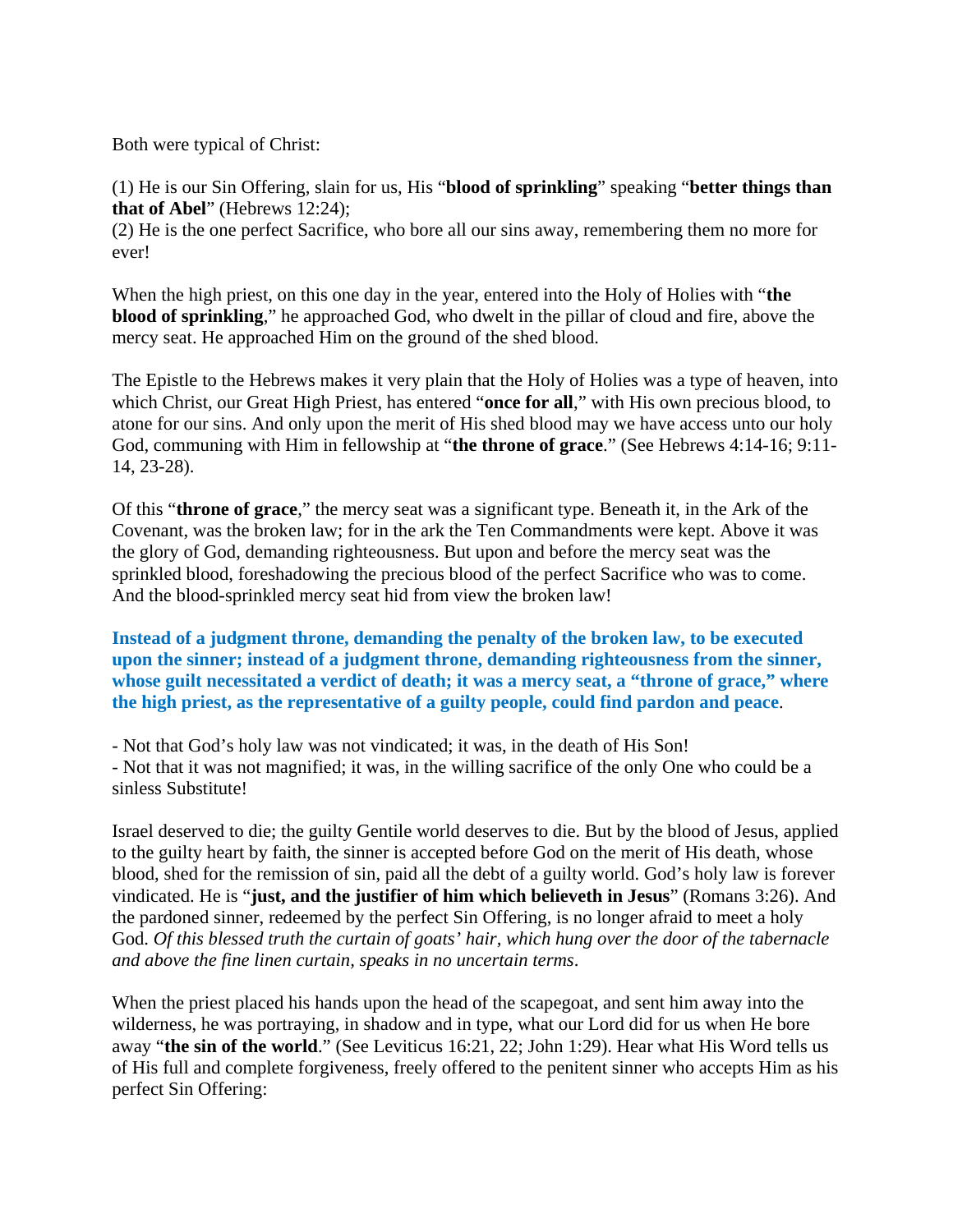Both were typical of Christ:

(1) He is our Sin Offering, slain for us, His "**blood of sprinkling**" speaking "**better things than that of Abel**" (Hebrews 12:24);

(2) He is the one perfect Sacrifice, who bore all our sins away, remembering them no more for ever!

When the high priest, on this one day in the year, entered into the Holy of Holies with "**the blood of sprinkling**," he approached God, who dwelt in the pillar of cloud and fire, above the mercy seat. He approached Him on the ground of the shed blood.

The Epistle to the Hebrews makes it very plain that the Holy of Holies was a type of heaven, into which Christ, our Great High Priest, has entered "**once for all**," with His own precious blood, to atone for our sins. And only upon the merit of His shed blood may we have access unto our holy God, communing with Him in fellowship at "**the throne of grace**." (See Hebrews 4:14-16; 9:11- 14, 23-28).

Of this "**throne of grace**," the mercy seat was a significant type. Beneath it, in the Ark of the Covenant, was the broken law; for in the ark the Ten Commandments were kept. Above it was the glory of God, demanding righteousness. But upon and before the mercy seat was the sprinkled blood, foreshadowing the precious blood of the perfect Sacrifice who was to come. And the blood-sprinkled mercy seat hid from view the broken law!

**Instead of a judgment throne, demanding the penalty of the broken law, to be executed upon the sinner; instead of a judgment throne, demanding righteousness from the sinner, whose guilt necessitated a verdict of death; it was a mercy seat, a "throne of grace," where the high priest, as the representative of a guilty people, could find pardon and peace**.

- Not that God's holy law was not vindicated; it was, in the death of His Son!

- Not that it was not magnified; it was, in the willing sacrifice of the only One who could be a sinless Substitute!

Israel deserved to die; the guilty Gentile world deserves to die. But by the blood of Jesus, applied to the guilty heart by faith, the sinner is accepted before God on the merit of His death, whose blood, shed for the remission of sin, paid all the debt of a guilty world. God's holy law is forever vindicated. He is "**just, and the justifier of him which believeth in Jesus**" (Romans 3:26). And the pardoned sinner, redeemed by the perfect Sin Offering, is no longer afraid to meet a holy God. *Of this blessed truth the curtain of goats' hair, which hung over the door of the tabernacle and above the fine linen curtain, speaks in no uncertain terms*.

When the priest placed his hands upon the head of the scapegoat, and sent him away into the wilderness, he was portraying, in shadow and in type, what our Lord did for us when He bore away "**the sin of the world**." (See Leviticus 16:21, 22; John 1:29). Hear what His Word tells us of His full and complete forgiveness, freely offered to the penitent sinner who accepts Him as his perfect Sin Offering: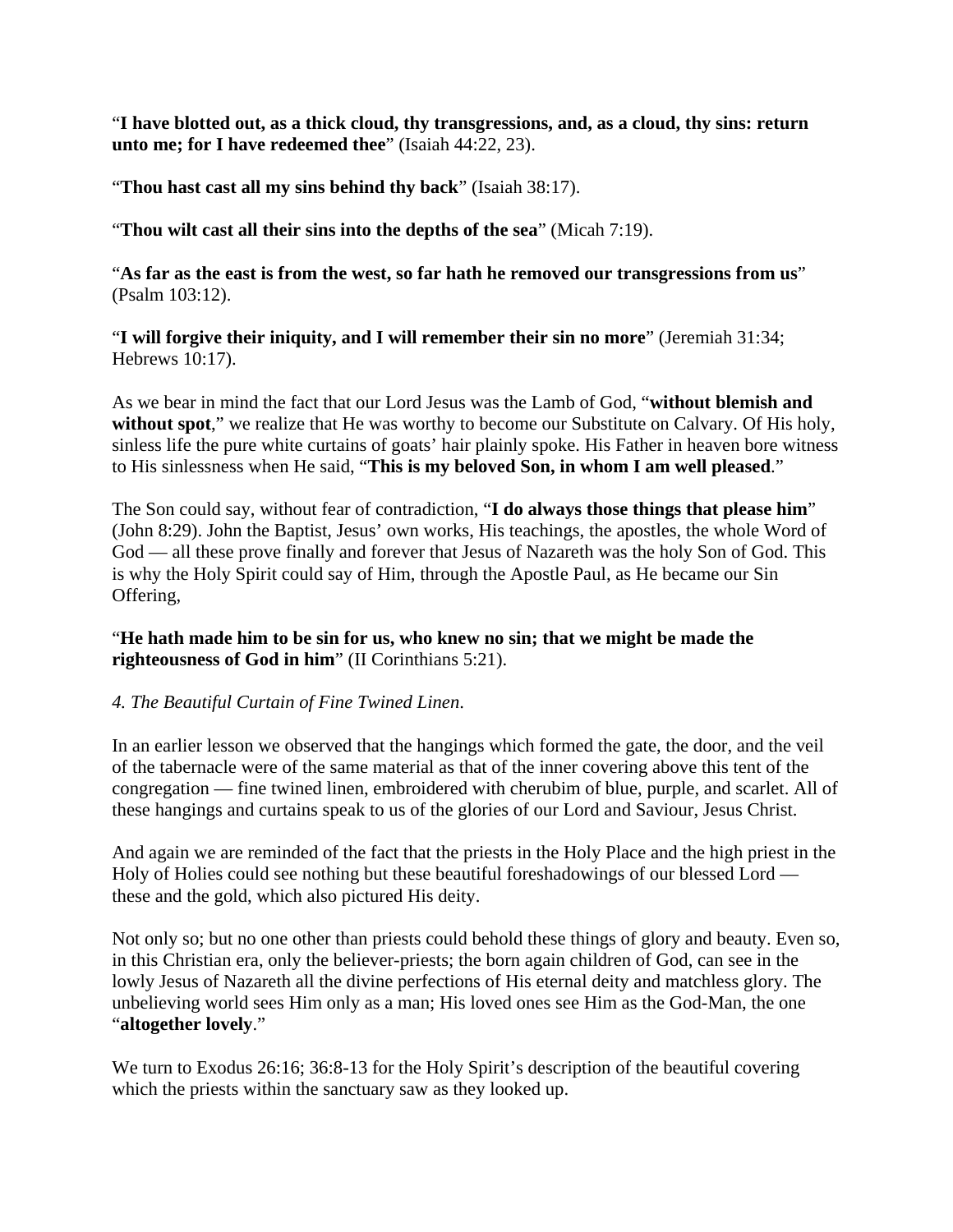"**I have blotted out, as a thick cloud, thy transgressions, and, as a cloud, thy sins: return unto me; for I have redeemed thee**" (Isaiah 44:22, 23).

"**Thou hast cast all my sins behind thy back**" (Isaiah 38:17).

"**Thou wilt cast all their sins into the depths of the sea**" (Micah 7:19).

"**As far as the east is from the west, so far hath he removed our transgressions from us**" (Psalm 103:12).

"**I will forgive their iniquity, and I will remember their sin no more**" (Jeremiah 31:34; Hebrews 10:17).

As we bear in mind the fact that our Lord Jesus was the Lamb of God, "**without blemish and without spot**," we realize that He was worthy to become our Substitute on Calvary. Of His holy, sinless life the pure white curtains of goats' hair plainly spoke. His Father in heaven bore witness to His sinlessness when He said, "**This is my beloved Son, in whom I am well pleased**."

The Son could say, without fear of contradiction, "**I do always those things that please him**" (John 8:29). John the Baptist, Jesus' own works, His teachings, the apostles, the whole Word of God — all these prove finally and forever that Jesus of Nazareth was the holy Son of God. This is why the Holy Spirit could say of Him, through the Apostle Paul, as He became our Sin Offering,

"**He hath made him to be sin for us, who knew no sin; that we might be made the righteousness of God in him**" (II Corinthians 5:21).

#### *4. The Beautiful Curtain of Fine Twined Linen*.

In an earlier lesson we observed that the hangings which formed the gate, the door, and the veil of the tabernacle were of the same material as that of the inner covering above this tent of the congregation — fine twined linen, embroidered with cherubim of blue, purple, and scarlet. All of these hangings and curtains speak to us of the glories of our Lord and Saviour, Jesus Christ.

And again we are reminded of the fact that the priests in the Holy Place and the high priest in the Holy of Holies could see nothing but these beautiful foreshadowings of our blessed Lord these and the gold, which also pictured His deity.

Not only so; but no one other than priests could behold these things of glory and beauty. Even so, in this Christian era, only the believer-priests; the born again children of God, can see in the lowly Jesus of Nazareth all the divine perfections of His eternal deity and matchless glory. The unbelieving world sees Him only as a man; His loved ones see Him as the God-Man, the one "**altogether lovely**."

We turn to Exodus 26:16; 36:8-13 for the Holy Spirit's description of the beautiful covering which the priests within the sanctuary saw as they looked up.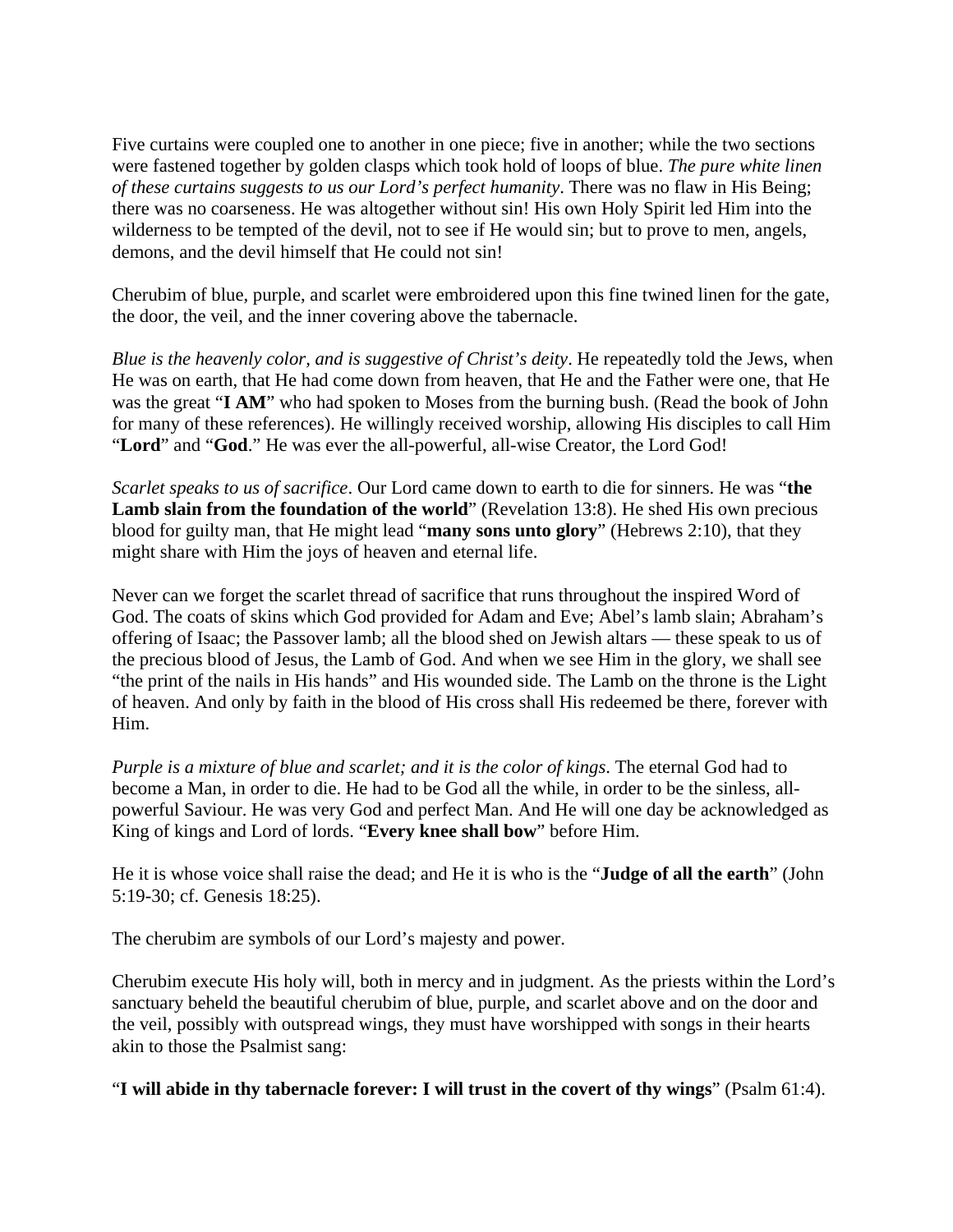Five curtains were coupled one to another in one piece; five in another; while the two sections were fastened together by golden clasps which took hold of loops of blue. *The pure white linen of these curtains suggests to us our Lord's perfect humanity*. There was no flaw in His Being; there was no coarseness. He was altogether without sin! His own Holy Spirit led Him into the wilderness to be tempted of the devil, not to see if He would sin; but to prove to men, angels, demons, and the devil himself that He could not sin!

Cherubim of blue, purple, and scarlet were embroidered upon this fine twined linen for the gate, the door, the veil, and the inner covering above the tabernacle.

*Blue is the heavenly color, and is suggestive of Christ's deity*. He repeatedly told the Jews, when He was on earth, that He had come down from heaven, that He and the Father were one, that He was the great "**I AM**" who had spoken to Moses from the burning bush. (Read the book of John for many of these references). He willingly received worship, allowing His disciples to call Him "**Lord**" and "**God**." He was ever the all-powerful, all-wise Creator, the Lord God!

*Scarlet speaks to us of sacrifice*. Our Lord came down to earth to die for sinners. He was "**the Lamb slain from the foundation of the world**" (Revelation 13:8). He shed His own precious blood for guilty man, that He might lead "**many sons unto glory**" (Hebrews 2:10), that they might share with Him the joys of heaven and eternal life.

Never can we forget the scarlet thread of sacrifice that runs throughout the inspired Word of God. The coats of skins which God provided for Adam and Eve; Abel's lamb slain; Abraham's offering of Isaac; the Passover lamb; all the blood shed on Jewish altars — these speak to us of the precious blood of Jesus, the Lamb of God. And when we see Him in the glory, we shall see "the print of the nails in His hands" and His wounded side. The Lamb on the throne is the Light of heaven. And only by faith in the blood of His cross shall His redeemed be there, forever with Him.

*Purple is a mixture of blue and scarlet; and it is the color of kings*. The eternal God had to become a Man, in order to die. He had to be God all the while, in order to be the sinless, allpowerful Saviour. He was very God and perfect Man. And He will one day be acknowledged as King of kings and Lord of lords. "**Every knee shall bow**" before Him.

He it is whose voice shall raise the dead; and He it is who is the "**Judge of all the earth**" (John 5:19-30; cf. Genesis 18:25).

The cherubim are symbols of our Lord's majesty and power.

Cherubim execute His holy will, both in mercy and in judgment. As the priests within the Lord's sanctuary beheld the beautiful cherubim of blue, purple, and scarlet above and on the door and the veil, possibly with outspread wings, they must have worshipped with songs in their hearts akin to those the Psalmist sang:

"**I will abide in thy tabernacle forever: I will trust in the covert of thy wings**" (Psalm 61:4).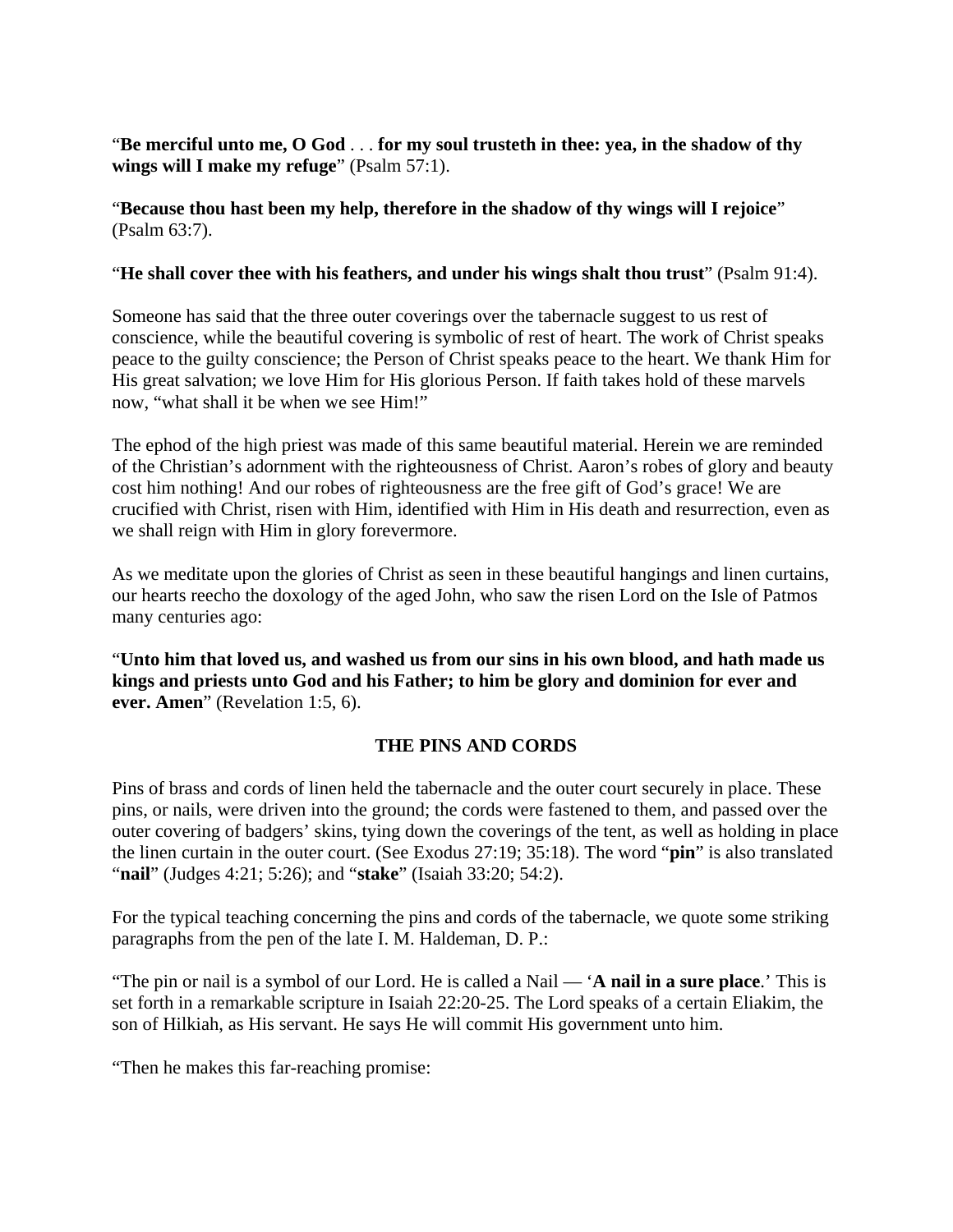"**Be merciful unto me, O God** . . . **for my soul trusteth in thee: yea, in the shadow of thy wings will I make my refuge**" (Psalm 57:1).

## "**Because thou hast been my help, therefore in the shadow of thy wings will I rejoice**" (Psalm 63:7).

#### "**He shall cover thee with his feathers, and under his wings shalt thou trust**" (Psalm 91:4).

Someone has said that the three outer coverings over the tabernacle suggest to us rest of conscience, while the beautiful covering is symbolic of rest of heart. The work of Christ speaks peace to the guilty conscience; the Person of Christ speaks peace to the heart. We thank Him for His great salvation; we love Him for His glorious Person. If faith takes hold of these marvels now, "what shall it be when we see Him!"

The ephod of the high priest was made of this same beautiful material. Herein we are reminded of the Christian's adornment with the righteousness of Christ. Aaron's robes of glory and beauty cost him nothing! And our robes of righteousness are the free gift of God's grace! We are crucified with Christ, risen with Him, identified with Him in His death and resurrection, even as we shall reign with Him in glory forevermore.

As we meditate upon the glories of Christ as seen in these beautiful hangings and linen curtains, our hearts reecho the doxology of the aged John, who saw the risen Lord on the Isle of Patmos many centuries ago:

"**Unto him that loved us, and washed us from our sins in his own blood, and hath made us kings and priests unto God and his Father; to him be glory and dominion for ever and ever. Amen**" (Revelation 1:5, 6).

## **THE PINS AND CORDS**

Pins of brass and cords of linen held the tabernacle and the outer court securely in place. These pins, or nails, were driven into the ground; the cords were fastened to them, and passed over the outer covering of badgers' skins, tying down the coverings of the tent, as well as holding in place the linen curtain in the outer court. (See Exodus 27:19; 35:18). The word "**pin**" is also translated "**nail**" (Judges 4:21; 5:26); and "**stake**" (Isaiah 33:20; 54:2).

For the typical teaching concerning the pins and cords of the tabernacle, we quote some striking paragraphs from the pen of the late I. M. Haldeman, D. P.:

"The pin or nail is a symbol of our Lord. He is called a Nail — '**A nail in a sure place**.' This is set forth in a remarkable scripture in Isaiah 22:20-25. The Lord speaks of a certain Eliakim, the son of Hilkiah, as His servant. He says He will commit His government unto him.

"Then he makes this far-reaching promise: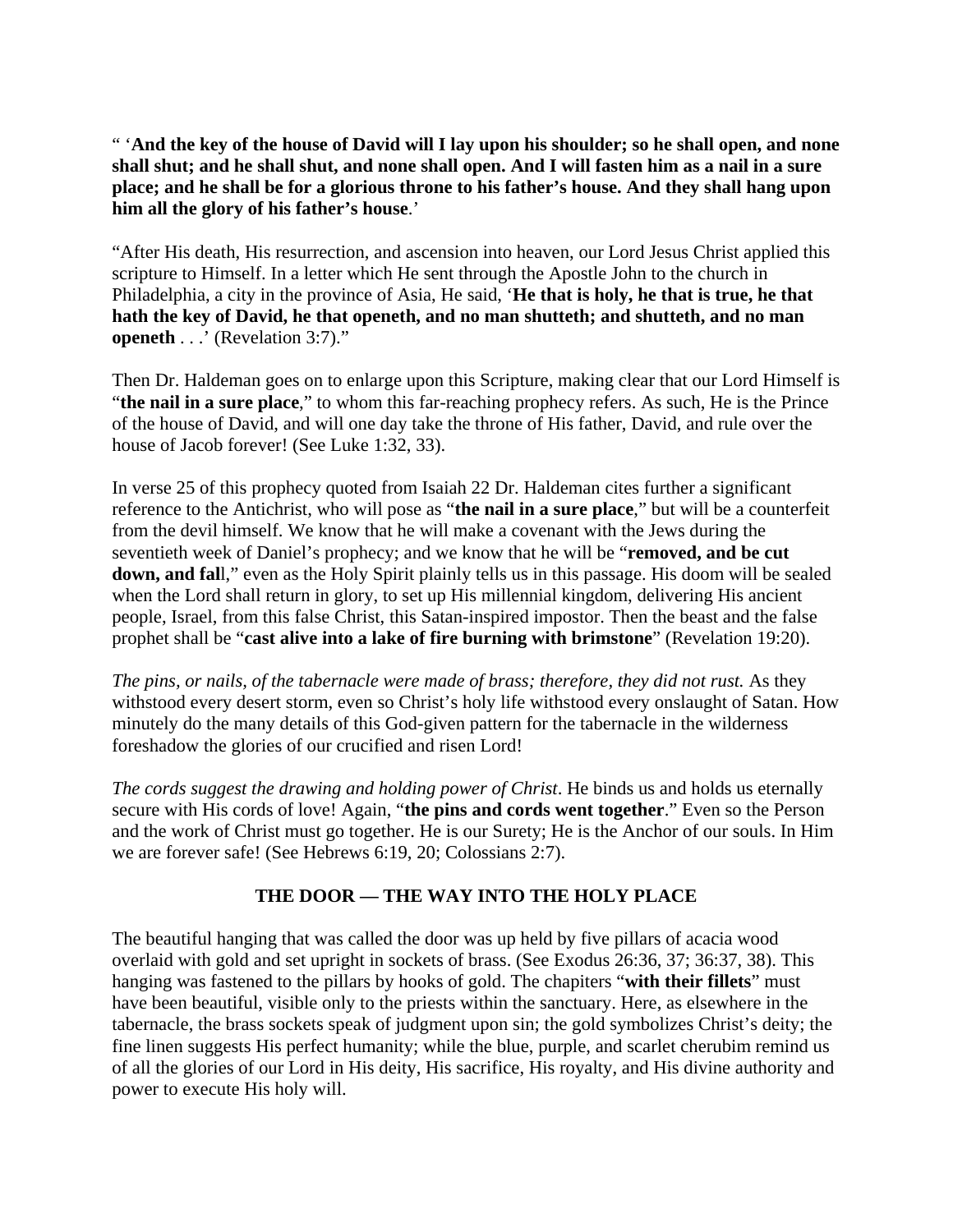" '**And the key of the house of David will I lay upon his shoulder; so he shall open, and none shall shut; and he shall shut, and none shall open. And I will fasten him as a nail in a sure place; and he shall be for a glorious throne to his father's house. And they shall hang upon him all the glory of his father's house**.'

"After His death, His resurrection, and ascension into heaven, our Lord Jesus Christ applied this scripture to Himself. In a letter which He sent through the Apostle John to the church in Philadelphia, a city in the province of Asia, He said, '**He that is holy, he that is true, he that hath the key of David, he that openeth, and no man shutteth; and shutteth, and no man openeth** . . .' (Revelation 3:7)."

Then Dr. Haldeman goes on to enlarge upon this Scripture, making clear that our Lord Himself is "**the nail in a sure place**," to whom this far-reaching prophecy refers. As such, He is the Prince of the house of David, and will one day take the throne of His father, David, and rule over the house of Jacob forever! (See Luke 1:32, 33).

In verse 25 of this prophecy quoted from Isaiah 22 Dr. Haldeman cites further a significant reference to the Antichrist, who will pose as "**the nail in a sure place**," but will be a counterfeit from the devil himself. We know that he will make a covenant with the Jews during the seventieth week of Daniel's prophecy; and we know that he will be "**removed, and be cut down, and fal**l," even as the Holy Spirit plainly tells us in this passage. His doom will be sealed when the Lord shall return in glory, to set up His millennial kingdom, delivering His ancient people, Israel, from this false Christ, this Satan-inspired impostor. Then the beast and the false prophet shall be "**cast alive into a lake of fire burning with brimstone**" (Revelation 19:20).

*The pins, or nails, of the tabernacle were made of brass; therefore, they did not rust.* As they withstood every desert storm, even so Christ's holy life withstood every onslaught of Satan. How minutely do the many details of this God-given pattern for the tabernacle in the wilderness foreshadow the glories of our crucified and risen Lord!

*The cords suggest the drawing and holding power of Christ*. He binds us and holds us eternally secure with His cords of love! Again, "**the pins and cords went together**." Even so the Person and the work of Christ must go together. He is our Surety; He is the Anchor of our souls. In Him we are forever safe! (See Hebrews 6:19, 20; Colossians 2:7).

## **THE DOOR — THE WAY INTO THE HOLY PLACE**

The beautiful hanging that was called the door was up held by five pillars of acacia wood overlaid with gold and set upright in sockets of brass. (See Exodus 26:36, 37; 36:37, 38). This hanging was fastened to the pillars by hooks of gold. The chapiters "**with their fillets**" must have been beautiful, visible only to the priests within the sanctuary. Here, as elsewhere in the tabernacle, the brass sockets speak of judgment upon sin; the gold symbolizes Christ's deity; the fine linen suggests His perfect humanity; while the blue, purple, and scarlet cherubim remind us of all the glories of our Lord in His deity, His sacrifice, His royalty, and His divine authority and power to execute His holy will.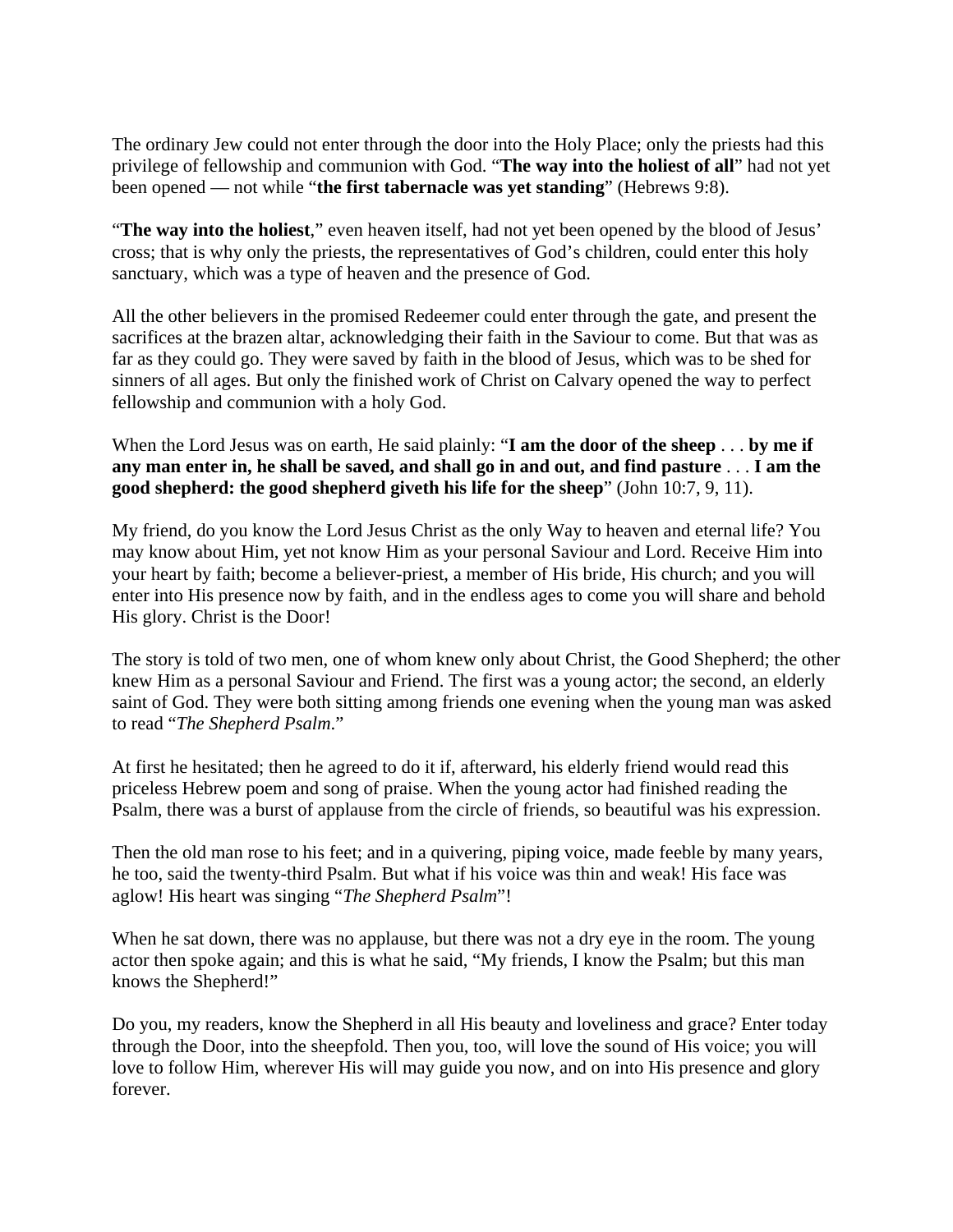The ordinary Jew could not enter through the door into the Holy Place; only the priests had this privilege of fellowship and communion with God. "**The way into the holiest of all**" had not yet been opened — not while "**the first tabernacle was yet standing**" (Hebrews 9:8).

"**The way into the holiest**," even heaven itself, had not yet been opened by the blood of Jesus' cross; that is why only the priests, the representatives of God's children, could enter this holy sanctuary, which was a type of heaven and the presence of God.

All the other believers in the promised Redeemer could enter through the gate, and present the sacrifices at the brazen altar, acknowledging their faith in the Saviour to come. But that was as far as they could go. They were saved by faith in the blood of Jesus, which was to be shed for sinners of all ages. But only the finished work of Christ on Calvary opened the way to perfect fellowship and communion with a holy God.

When the Lord Jesus was on earth, He said plainly: "**I am the door of the sheep** . . . **by me if any man enter in, he shall be saved, and shall go in and out, and find pasture** . . . **I am the good shepherd: the good shepherd giveth his life for the sheep**" (John 10:7, 9, 11).

My friend, do you know the Lord Jesus Christ as the only Way to heaven and eternal life? You may know about Him, yet not know Him as your personal Saviour and Lord. Receive Him into your heart by faith; become a believer-priest, a member of His bride, His church; and you will enter into His presence now by faith, and in the endless ages to come you will share and behold His glory. Christ is the Door!

The story is told of two men, one of whom knew only about Christ, the Good Shepherd; the other knew Him as a personal Saviour and Friend. The first was a young actor; the second, an elderly saint of God. They were both sitting among friends one evening when the young man was asked to read "*The Shepherd Psalm*."

At first he hesitated; then he agreed to do it if, afterward, his elderly friend would read this priceless Hebrew poem and song of praise. When the young actor had finished reading the Psalm, there was a burst of applause from the circle of friends, so beautiful was his expression.

Then the old man rose to his feet; and in a quivering, piping voice, made feeble by many years, he too, said the twenty-third Psalm. But what if his voice was thin and weak! His face was aglow! His heart was singing "*The Shepherd Psalm*"!

When he sat down, there was no applause, but there was not a dry eye in the room. The young actor then spoke again; and this is what he said, "My friends, I know the Psalm; but this man knows the Shepherd!"

Do you, my readers, know the Shepherd in all His beauty and loveliness and grace? Enter today through the Door, into the sheepfold. Then you, too, will love the sound of His voice; you will love to follow Him, wherever His will may guide you now, and on into His presence and glory forever.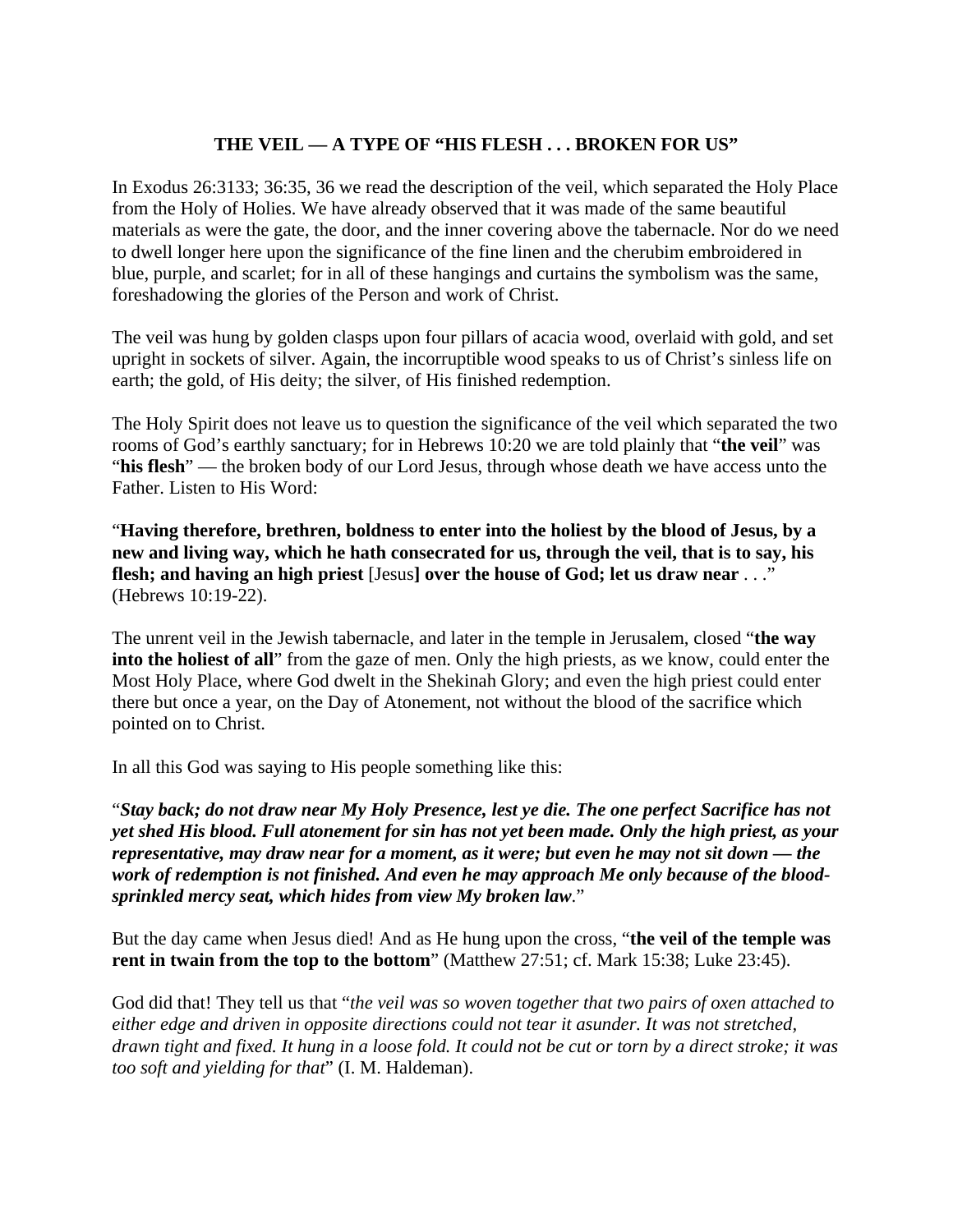## **THE VEIL — A TYPE OF "HIS FLESH . . . BROKEN FOR US"**

In Exodus 26:3133; 36:35, 36 we read the description of the veil, which separated the Holy Place from the Holy of Holies. We have already observed that it was made of the same beautiful materials as were the gate, the door, and the inner covering above the tabernacle. Nor do we need to dwell longer here upon the significance of the fine linen and the cherubim embroidered in blue, purple, and scarlet; for in all of these hangings and curtains the symbolism was the same, foreshadowing the glories of the Person and work of Christ.

The veil was hung by golden clasps upon four pillars of acacia wood, overlaid with gold, and set upright in sockets of silver. Again, the incorruptible wood speaks to us of Christ's sinless life on earth; the gold, of His deity; the silver, of His finished redemption.

The Holy Spirit does not leave us to question the significance of the veil which separated the two rooms of God's earthly sanctuary; for in Hebrews 10:20 we are told plainly that "**the veil**" was "**his flesh**" — the broken body of our Lord Jesus, through whose death we have access unto the Father. Listen to His Word:

"**Having therefore, brethren, boldness to enter into the holiest by the blood of Jesus, by a new and living way, which he hath consecrated for us, through the veil, that is to say, his flesh; and having an high priest** [Jesus**] over the house of God; let us draw near** . . ." (Hebrews 10:19-22).

The unrent veil in the Jewish tabernacle, and later in the temple in Jerusalem, closed "**the way into the holiest of all**" from the gaze of men. Only the high priests, as we know, could enter the Most Holy Place, where God dwelt in the Shekinah Glory; and even the high priest could enter there but once a year, on the Day of Atonement, not without the blood of the sacrifice which pointed on to Christ.

In all this God was saying to His people something like this:

"*Stay back; do not draw near My Holy Presence, lest ye die. The one perfect Sacrifice has not yet shed His blood. Full atonement for sin has not yet been made. Only the high priest, as your representative, may draw near for a moment, as it were; but even he may not sit down — the work of redemption is not finished. And even he may approach Me only because of the bloodsprinkled mercy seat, which hides from view My broken law*."

But the day came when Jesus died! And as He hung upon the cross, "**the veil of the temple was rent in twain from the top to the bottom**" (Matthew 27:51; cf. Mark 15:38; Luke 23:45).

God did that! They tell us that "*the veil was so woven together that two pairs of oxen attached to either edge and driven in opposite directions could not tear it asunder. It was not stretched, drawn tight and fixed. It hung in a loose fold. It could not be cut or torn by a direct stroke; it was too soft and yielding for that*" (I. M. Haldeman).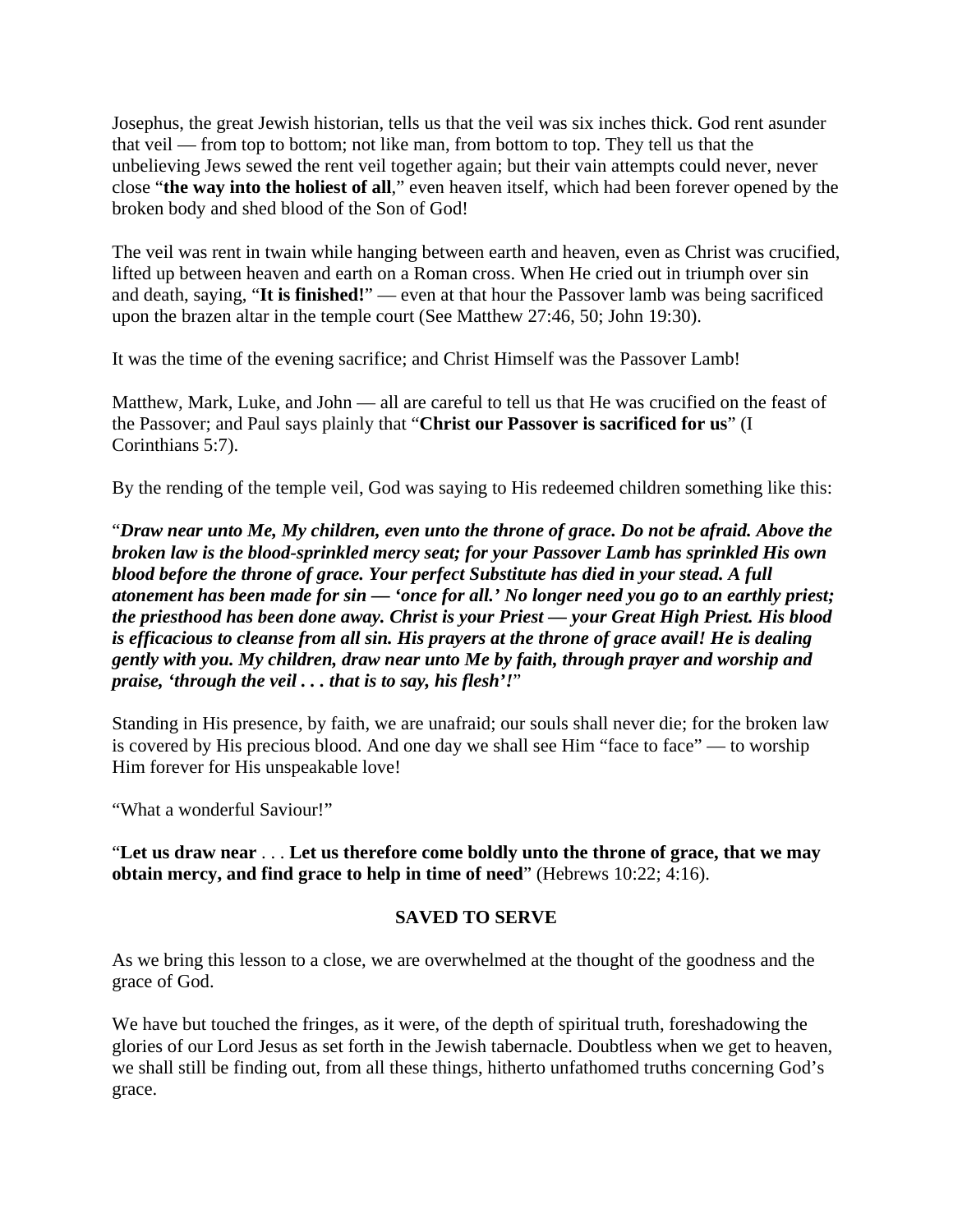Josephus, the great Jewish historian, tells us that the veil was six inches thick. God rent asunder that veil — from top to bottom; not like man, from bottom to top. They tell us that the unbelieving Jews sewed the rent veil together again; but their vain attempts could never, never close "**the way into the holiest of all**," even heaven itself, which had been forever opened by the broken body and shed blood of the Son of God!

The veil was rent in twain while hanging between earth and heaven, even as Christ was crucified, lifted up between heaven and earth on a Roman cross. When He cried out in triumph over sin and death, saying, "**It is finished!**" — even at that hour the Passover lamb was being sacrificed upon the brazen altar in the temple court (See Matthew 27:46, 50; John 19:30).

It was the time of the evening sacrifice; and Christ Himself was the Passover Lamb!

Matthew, Mark, Luke, and John — all are careful to tell us that He was crucified on the feast of the Passover; and Paul says plainly that "**Christ our Passover is sacrificed for us**" (I Corinthians 5:7).

By the rending of the temple veil, God was saying to His redeemed children something like this:

"*Draw near unto Me, My children, even unto the throne of grace. Do not be afraid. Above the broken law is the blood-sprinkled mercy seat; for your Passover Lamb has sprinkled His own blood before the throne of grace. Your perfect Substitute has died in your stead. A full atonement has been made for sin — 'once for all.' No longer need you go to an earthly priest; the priesthood has been done away. Christ is your Priest — your Great High Priest. His blood is efficacious to cleanse from all sin. His prayers at the throne of grace avail! He is dealing gently with you. My children, draw near unto Me by faith, through prayer and worship and praise, 'through the veil . . . that is to say, his flesh'!*"

Standing in His presence, by faith, we are unafraid; our souls shall never die; for the broken law is covered by His precious blood. And one day we shall see Him "face to face" — to worship Him forever for His unspeakable love!

"What a wonderful Saviour!"

"**Let us draw near** . . . **Let us therefore come boldly unto the throne of grace, that we may obtain mercy, and find grace to help in time of need**" (Hebrews 10:22; 4:16).

#### **SAVED TO SERVE**

As we bring this lesson to a close, we are overwhelmed at the thought of the goodness and the grace of God.

We have but touched the fringes, as it were, of the depth of spiritual truth, foreshadowing the glories of our Lord Jesus as set forth in the Jewish tabernacle. Doubtless when we get to heaven, we shall still be finding out, from all these things, hitherto unfathomed truths concerning God's grace.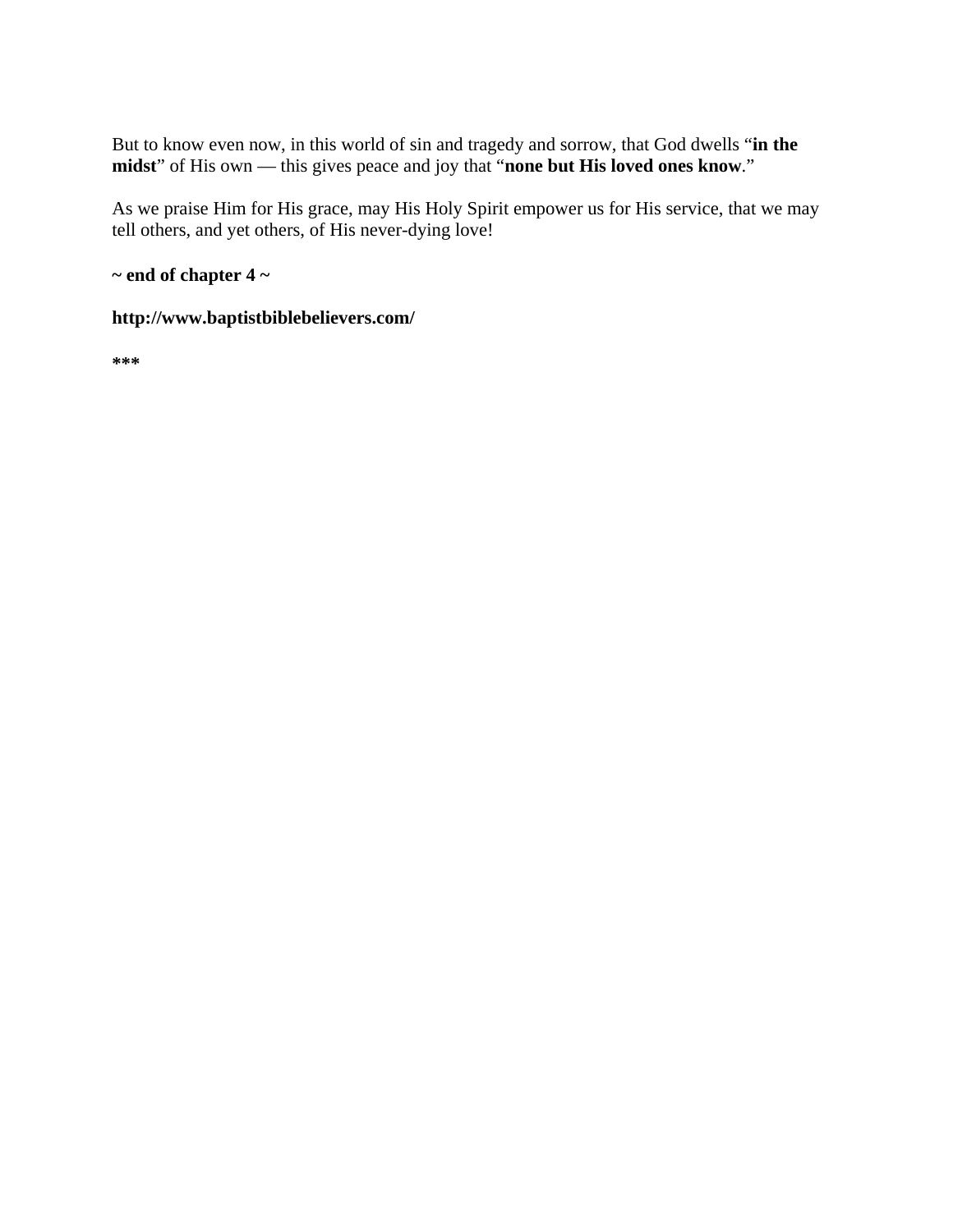But to know even now, in this world of sin and tragedy and sorrow, that God dwells "**in the midst**" of His own — this gives peace and joy that "**none but His loved ones know**."

As we praise Him for His grace, may His Holy Spirit empower us for His service, that we may tell others, and yet others, of His never-dying love!

**~ end of chapter 4 ~** 

### **http://www.baptistbiblebelievers.com/**

**\*\*\***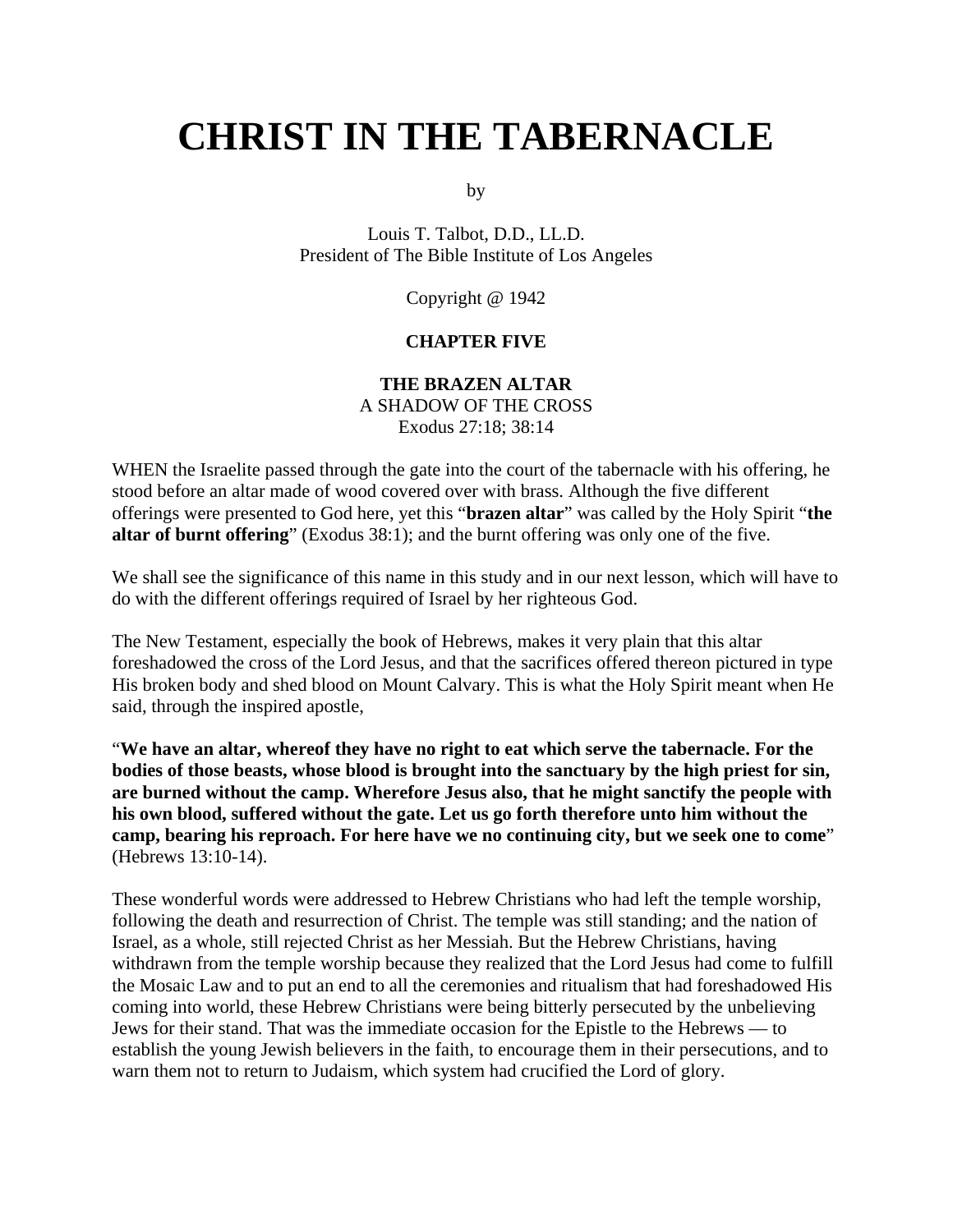# **CHRIST IN THE TABERNACLE**

by

Louis T. Talbot, D.D., LL.D. President of The Bible Institute of Los Angeles

Copyright @ 1942

#### **CHAPTER FIVE**

## **THE BRAZEN ALTAR**

A SHADOW OF THE CROSS Exodus 27:18; 38:14

WHEN the Israelite passed through the gate into the court of the tabernacle with his offering, he stood before an altar made of wood covered over with brass. Although the five different offerings were presented to God here, yet this "**brazen altar**" was called by the Holy Spirit "**the altar of burnt offering**" (Exodus 38:1); and the burnt offering was only one of the five.

We shall see the significance of this name in this study and in our next lesson, which will have to do with the different offerings required of Israel by her righteous God.

The New Testament, especially the book of Hebrews, makes it very plain that this altar foreshadowed the cross of the Lord Jesus, and that the sacrifices offered thereon pictured in type His broken body and shed blood on Mount Calvary. This is what the Holy Spirit meant when He said, through the inspired apostle,

"**We have an altar, whereof they have no right to eat which serve the tabernacle. For the bodies of those beasts, whose blood is brought into the sanctuary by the high priest for sin, are burned without the camp. Wherefore Jesus also, that he might sanctify the people with his own blood, suffered without the gate. Let us go forth therefore unto him without the camp, bearing his reproach. For here have we no continuing city, but we seek one to come**" (Hebrews 13:10-14).

These wonderful words were addressed to Hebrew Christians who had left the temple worship, following the death and resurrection of Christ. The temple was still standing; and the nation of Israel, as a whole, still rejected Christ as her Messiah. But the Hebrew Christians, having withdrawn from the temple worship because they realized that the Lord Jesus had come to fulfill the Mosaic Law and to put an end to all the ceremonies and ritualism that had foreshadowed His coming into world, these Hebrew Christians were being bitterly persecuted by the unbelieving Jews for their stand. That was the immediate occasion for the Epistle to the Hebrews — to establish the young Jewish believers in the faith, to encourage them in their persecutions, and to warn them not to return to Judaism, which system had crucified the Lord of glory.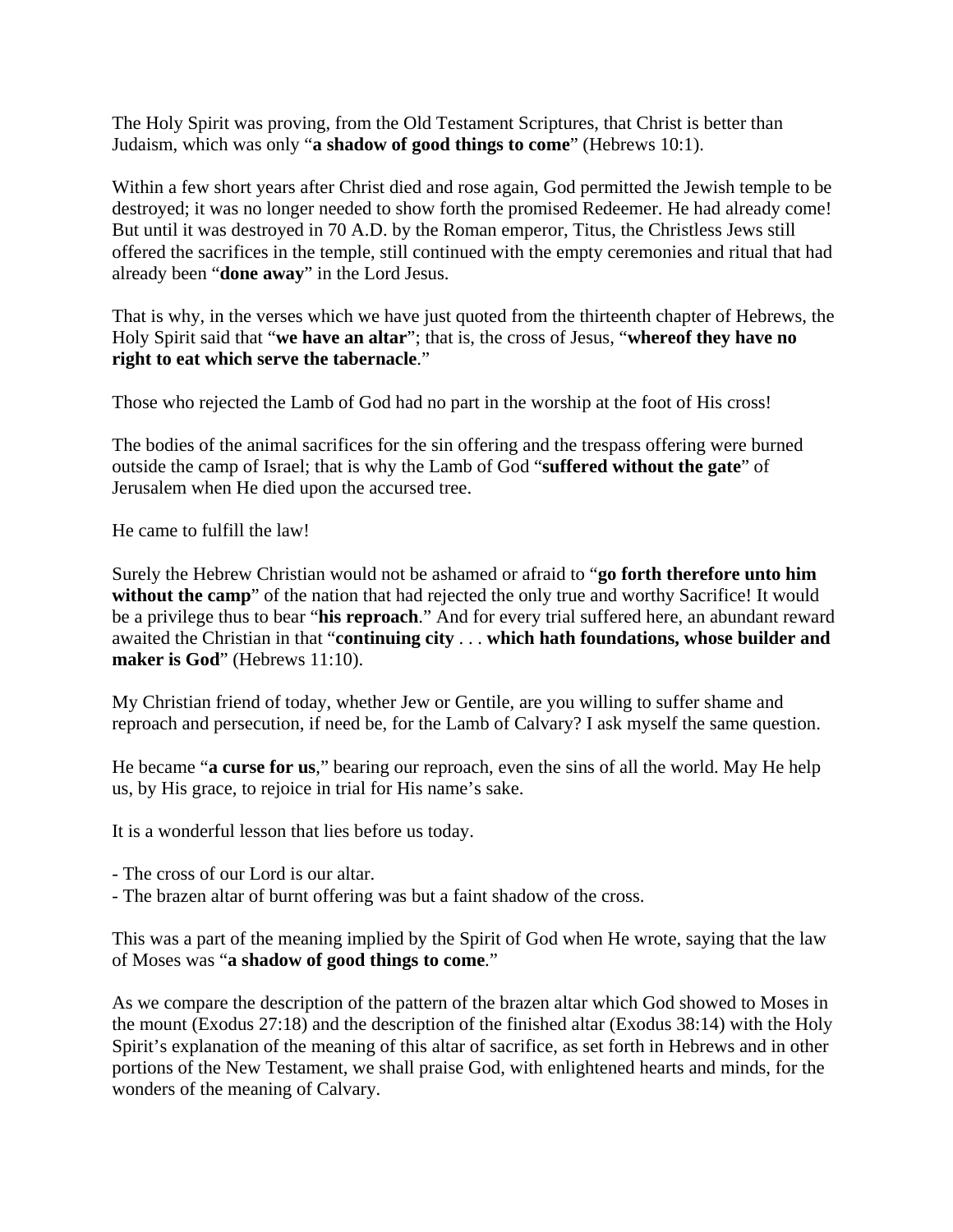The Holy Spirit was proving, from the Old Testament Scriptures, that Christ is better than Judaism, which was only "**a shadow of good things to come**" (Hebrews 10:1).

Within a few short years after Christ died and rose again, God permitted the Jewish temple to be destroyed; it was no longer needed to show forth the promised Redeemer. He had already come! But until it was destroyed in 70 A.D. by the Roman emperor, Titus, the Christless Jews still offered the sacrifices in the temple, still continued with the empty ceremonies and ritual that had already been "**done away**" in the Lord Jesus.

That is why, in the verses which we have just quoted from the thirteenth chapter of Hebrews, the Holy Spirit said that "**we have an altar**"; that is, the cross of Jesus, "**whereof they have no right to eat which serve the tabernacle**."

Those who rejected the Lamb of God had no part in the worship at the foot of His cross!

The bodies of the animal sacrifices for the sin offering and the trespass offering were burned outside the camp of Israel; that is why the Lamb of God "**suffered without the gate**" of Jerusalem when He died upon the accursed tree.

He came to fulfill the law!

Surely the Hebrew Christian would not be ashamed or afraid to "**go forth therefore unto him**  without the camp<sup>"</sup> of the nation that had rejected the only true and worthy Sacrifice! It would be a privilege thus to bear "**his reproach**." And for every trial suffered here, an abundant reward awaited the Christian in that "**continuing city** . . . **which hath foundations, whose builder and maker is God**" (Hebrews 11:10).

My Christian friend of today, whether Jew or Gentile, are you willing to suffer shame and reproach and persecution, if need be, for the Lamb of Calvary? I ask myself the same question.

He became "**a curse for us**," bearing our reproach, even the sins of all the world. May He help us, by His grace, to rejoice in trial for His name's sake.

It is a wonderful lesson that lies before us today.

- The cross of our Lord is our altar.
- The brazen altar of burnt offering was but a faint shadow of the cross.

This was a part of the meaning implied by the Spirit of God when He wrote, saying that the law of Moses was "**a shadow of good things to come**."

As we compare the description of the pattern of the brazen altar which God showed to Moses in the mount (Exodus 27:18) and the description of the finished altar (Exodus 38:14) with the Holy Spirit's explanation of the meaning of this altar of sacrifice, as set forth in Hebrews and in other portions of the New Testament, we shall praise God, with enlightened hearts and minds, for the wonders of the meaning of Calvary.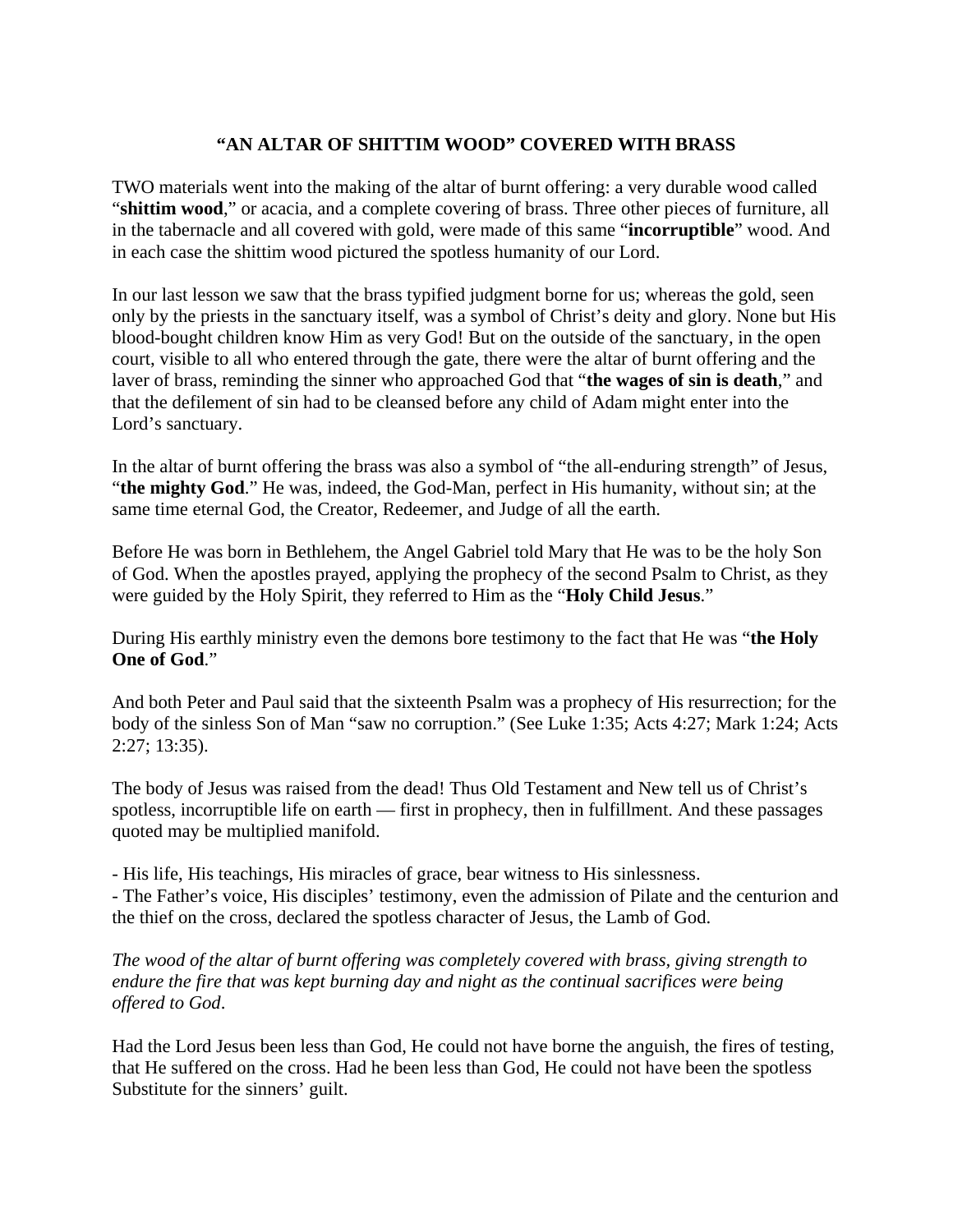## **"AN ALTAR OF SHITTIM WOOD" COVERED WITH BRASS**

TWO materials went into the making of the altar of burnt offering: a very durable wood called "**shittim wood**," or acacia, and a complete covering of brass. Three other pieces of furniture, all in the tabernacle and all covered with gold, were made of this same "**incorruptible**" wood. And in each case the shittim wood pictured the spotless humanity of our Lord.

In our last lesson we saw that the brass typified judgment borne for us; whereas the gold, seen only by the priests in the sanctuary itself, was a symbol of Christ's deity and glory. None but His blood-bought children know Him as very God! But on the outside of the sanctuary, in the open court, visible to all who entered through the gate, there were the altar of burnt offering and the laver of brass, reminding the sinner who approached God that "**the wages of sin is death**," and that the defilement of sin had to be cleansed before any child of Adam might enter into the Lord's sanctuary.

In the altar of burnt offering the brass was also a symbol of "the all-enduring strength" of Jesus, "**the mighty God**." He was, indeed, the God-Man, perfect in His humanity, without sin; at the same time eternal God, the Creator, Redeemer, and Judge of all the earth.

Before He was born in Bethlehem, the Angel Gabriel told Mary that He was to be the holy Son of God. When the apostles prayed, applying the prophecy of the second Psalm to Christ, as they were guided by the Holy Spirit, they referred to Him as the "**Holy Child Jesus**."

During His earthly ministry even the demons bore testimony to the fact that He was "**the Holy One of God**."

And both Peter and Paul said that the sixteenth Psalm was a prophecy of His resurrection; for the body of the sinless Son of Man "saw no corruption." (See Luke 1:35; Acts 4:27; Mark 1:24; Acts 2:27; 13:35).

The body of Jesus was raised from the dead! Thus Old Testament and New tell us of Christ's spotless, incorruptible life on earth — first in prophecy, then in fulfillment. And these passages quoted may be multiplied manifold.

- His life, His teachings, His miracles of grace, bear witness to His sinlessness.

- The Father's voice, His disciples' testimony, even the admission of Pilate and the centurion and the thief on the cross, declared the spotless character of Jesus, the Lamb of God.

*The wood of the altar of burnt offering was completely covered with brass, giving strength to endure the fire that was kept burning day and night as the continual sacrifices were being offered to God*.

Had the Lord Jesus been less than God, He could not have borne the anguish, the fires of testing, that He suffered on the cross. Had he been less than God, He could not have been the spotless Substitute for the sinners' guilt.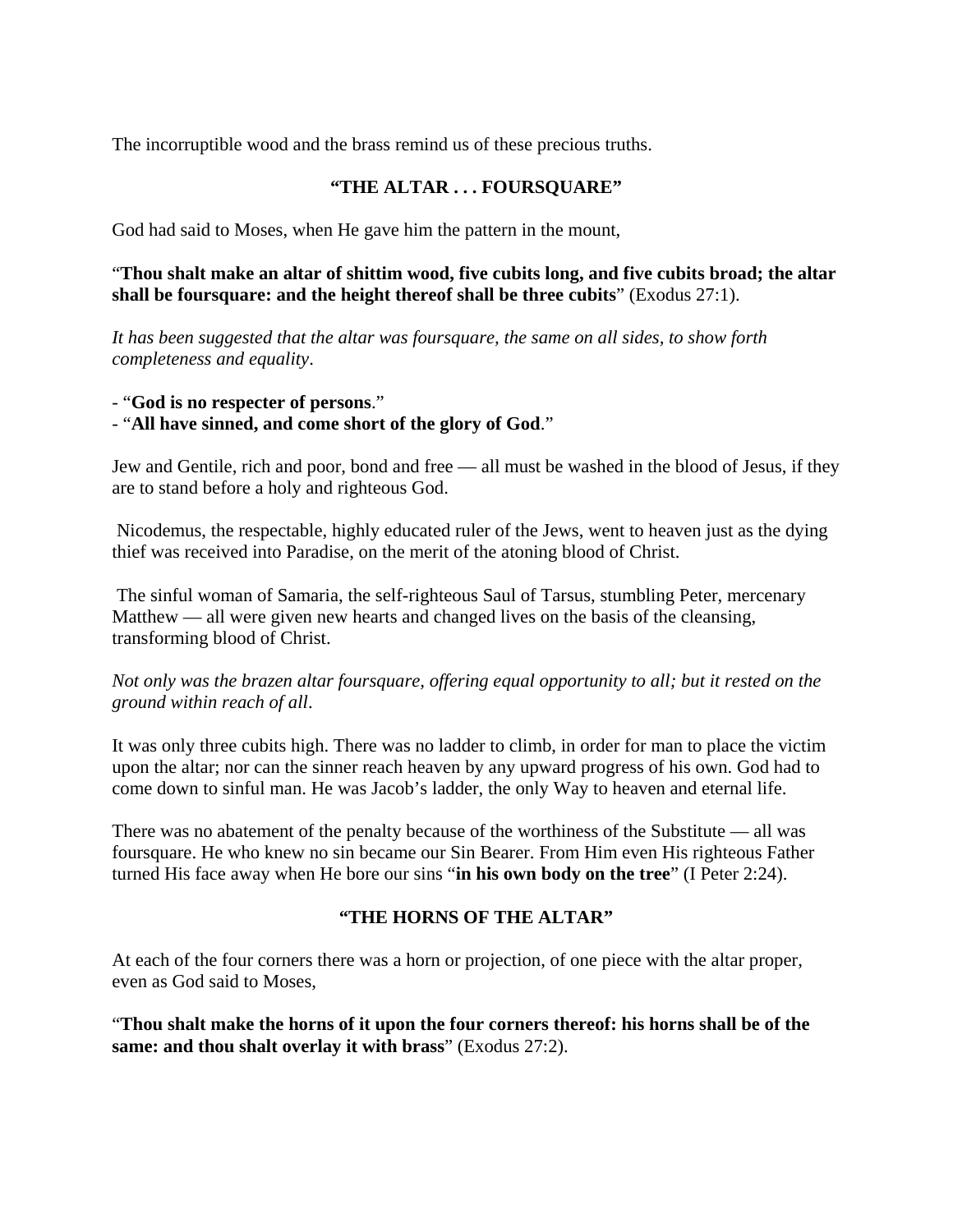The incorruptible wood and the brass remind us of these precious truths.

# **"THE ALTAR . . . FOURSQUARE"**

God had said to Moses, when He gave him the pattern in the mount,

"**Thou shalt make an altar of shittim wood, five cubits long, and five cubits broad; the altar shall be foursquare: and the height thereof shall be three cubits**" (Exodus 27:1).

*It has been suggested that the altar was foursquare, the same on all sides, to show forth completeness and equality*.

- "**God is no respecter of persons**."

- "**All have sinned, and come short of the glory of God**."

Jew and Gentile, rich and poor, bond and free — all must be washed in the blood of Jesus, if they are to stand before a holy and righteous God.

 Nicodemus, the respectable, highly educated ruler of the Jews, went to heaven just as the dying thief was received into Paradise, on the merit of the atoning blood of Christ.

 The sinful woman of Samaria, the self-righteous Saul of Tarsus, stumbling Peter, mercenary Matthew — all were given new hearts and changed lives on the basis of the cleansing, transforming blood of Christ.

## *Not only was the brazen altar foursquare, offering equal opportunity to all; but it rested on the ground within reach of all*.

It was only three cubits high. There was no ladder to climb, in order for man to place the victim upon the altar; nor can the sinner reach heaven by any upward progress of his own. God had to come down to sinful man. He was Jacob's ladder, the only Way to heaven and eternal life.

There was no abatement of the penalty because of the worthiness of the Substitute — all was foursquare. He who knew no sin became our Sin Bearer. From Him even His righteous Father turned His face away when He bore our sins "**in his own body on the tree**" (I Peter 2:24).

## **"THE HORNS OF THE ALTAR"**

At each of the four corners there was a horn or projection, of one piece with the altar proper, even as God said to Moses,

"**Thou shalt make the horns of it upon the four corners thereof: his horns shall be of the same: and thou shalt overlay it with brass**" (Exodus 27:2).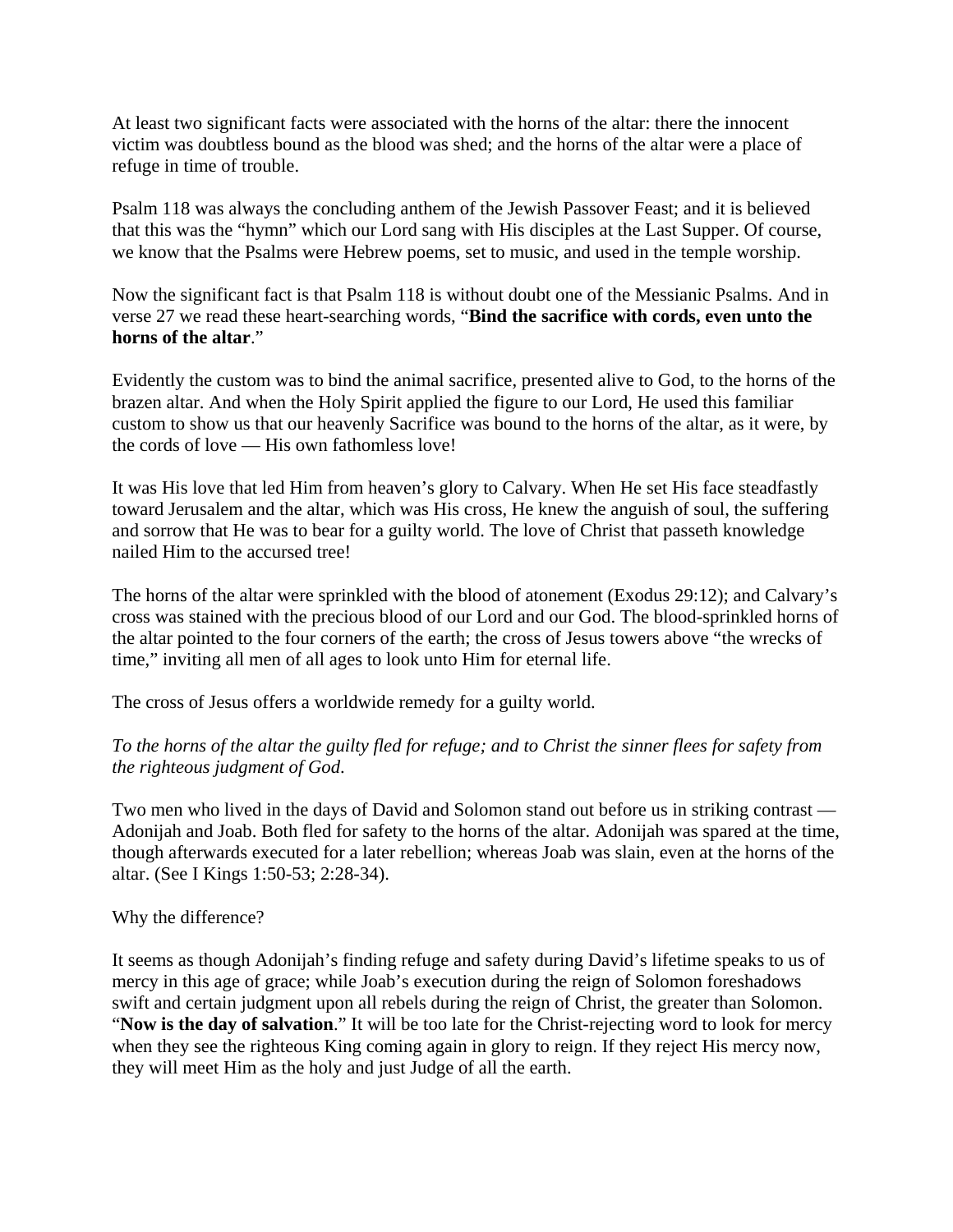At least two significant facts were associated with the horns of the altar: there the innocent victim was doubtless bound as the blood was shed; and the horns of the altar were a place of refuge in time of trouble.

Psalm 118 was always the concluding anthem of the Jewish Passover Feast; and it is believed that this was the "hymn" which our Lord sang with His disciples at the Last Supper. Of course, we know that the Psalms were Hebrew poems, set to music, and used in the temple worship.

Now the significant fact is that Psalm 118 is without doubt one of the Messianic Psalms. And in verse 27 we read these heart-searching words, "**Bind the sacrifice with cords, even unto the horns of the altar**."

Evidently the custom was to bind the animal sacrifice, presented alive to God, to the horns of the brazen altar. And when the Holy Spirit applied the figure to our Lord, He used this familiar custom to show us that our heavenly Sacrifice was bound to the horns of the altar, as it were, by the cords of love — His own fathomless love!

It was His love that led Him from heaven's glory to Calvary. When He set His face steadfastly toward Jerusalem and the altar, which was His cross, He knew the anguish of soul, the suffering and sorrow that He was to bear for a guilty world. The love of Christ that passeth knowledge nailed Him to the accursed tree!

The horns of the altar were sprinkled with the blood of atonement (Exodus 29:12); and Calvary's cross was stained with the precious blood of our Lord and our God. The blood-sprinkled horns of the altar pointed to the four corners of the earth; the cross of Jesus towers above "the wrecks of time," inviting all men of all ages to look unto Him for eternal life.

The cross of Jesus offers a worldwide remedy for a guilty world.

## *To the horns of the altar the guilty fled for refuge; and to Christ the sinner flees for safety from the righteous judgment of God*.

Two men who lived in the days of David and Solomon stand out before us in striking contrast — Adonijah and Joab. Both fled for safety to the horns of the altar. Adonijah was spared at the time, though afterwards executed for a later rebellion; whereas Joab was slain, even at the horns of the altar. (See I Kings 1:50-53; 2:28-34).

## Why the difference?

It seems as though Adonijah's finding refuge and safety during David's lifetime speaks to us of mercy in this age of grace; while Joab's execution during the reign of Solomon foreshadows swift and certain judgment upon all rebels during the reign of Christ, the greater than Solomon. "**Now is the day of salvation**." It will be too late for the Christ-rejecting word to look for mercy when they see the righteous King coming again in glory to reign. If they reject His mercy now, they will meet Him as the holy and just Judge of all the earth.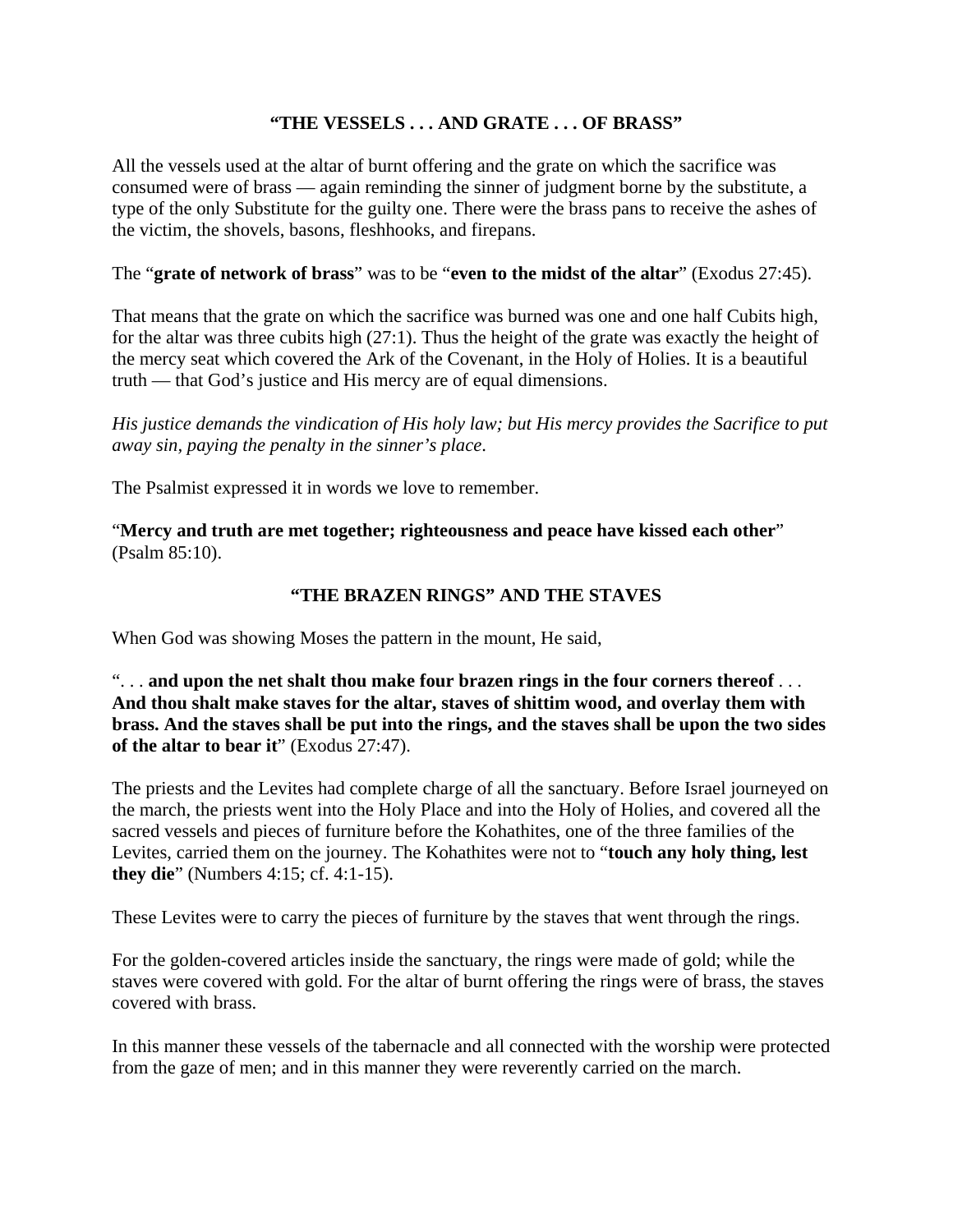## **"THE VESSELS . . . AND GRATE . . . OF BRASS"**

All the vessels used at the altar of burnt offering and the grate on which the sacrifice was consumed were of brass — again reminding the sinner of judgment borne by the substitute, a type of the only Substitute for the guilty one. There were the brass pans to receive the ashes of the victim, the shovels, basons, fleshhooks, and firepans.

#### The "**grate of network of brass**" was to be "**even to the midst of the altar**" (Exodus 27:45).

That means that the grate on which the sacrifice was burned was one and one half Cubits high, for the altar was three cubits high (27:1). Thus the height of the grate was exactly the height of the mercy seat which covered the Ark of the Covenant, in the Holy of Holies. It is a beautiful truth — that God's justice and His mercy are of equal dimensions.

*His justice demands the vindication of His holy law; but His mercy provides the Sacrifice to put away sin, paying the penalty in the sinner's place*.

The Psalmist expressed it in words we love to remember.

"**Mercy and truth are met together; righteousness and peace have kissed each other**" (Psalm 85:10).

#### **"THE BRAZEN RINGS" AND THE STAVES**

When God was showing Moses the pattern in the mount, He said,

". . . **and upon the net shalt thou make four brazen rings in the four corners thereof** . . . **And thou shalt make staves for the altar, staves of shittim wood, and overlay them with brass. And the staves shall be put into the rings, and the staves shall be upon the two sides of the altar to bear it**" (Exodus 27:47).

The priests and the Levites had complete charge of all the sanctuary. Before Israel journeyed on the march, the priests went into the Holy Place and into the Holy of Holies, and covered all the sacred vessels and pieces of furniture before the Kohathites, one of the three families of the Levites, carried them on the journey. The Kohathites were not to "**touch any holy thing, lest they die**" (Numbers 4:15; cf. 4:1-15).

These Levites were to carry the pieces of furniture by the staves that went through the rings.

For the golden-covered articles inside the sanctuary, the rings were made of gold; while the staves were covered with gold. For the altar of burnt offering the rings were of brass, the staves covered with brass.

In this manner these vessels of the tabernacle and all connected with the worship were protected from the gaze of men; and in this manner they were reverently carried on the march.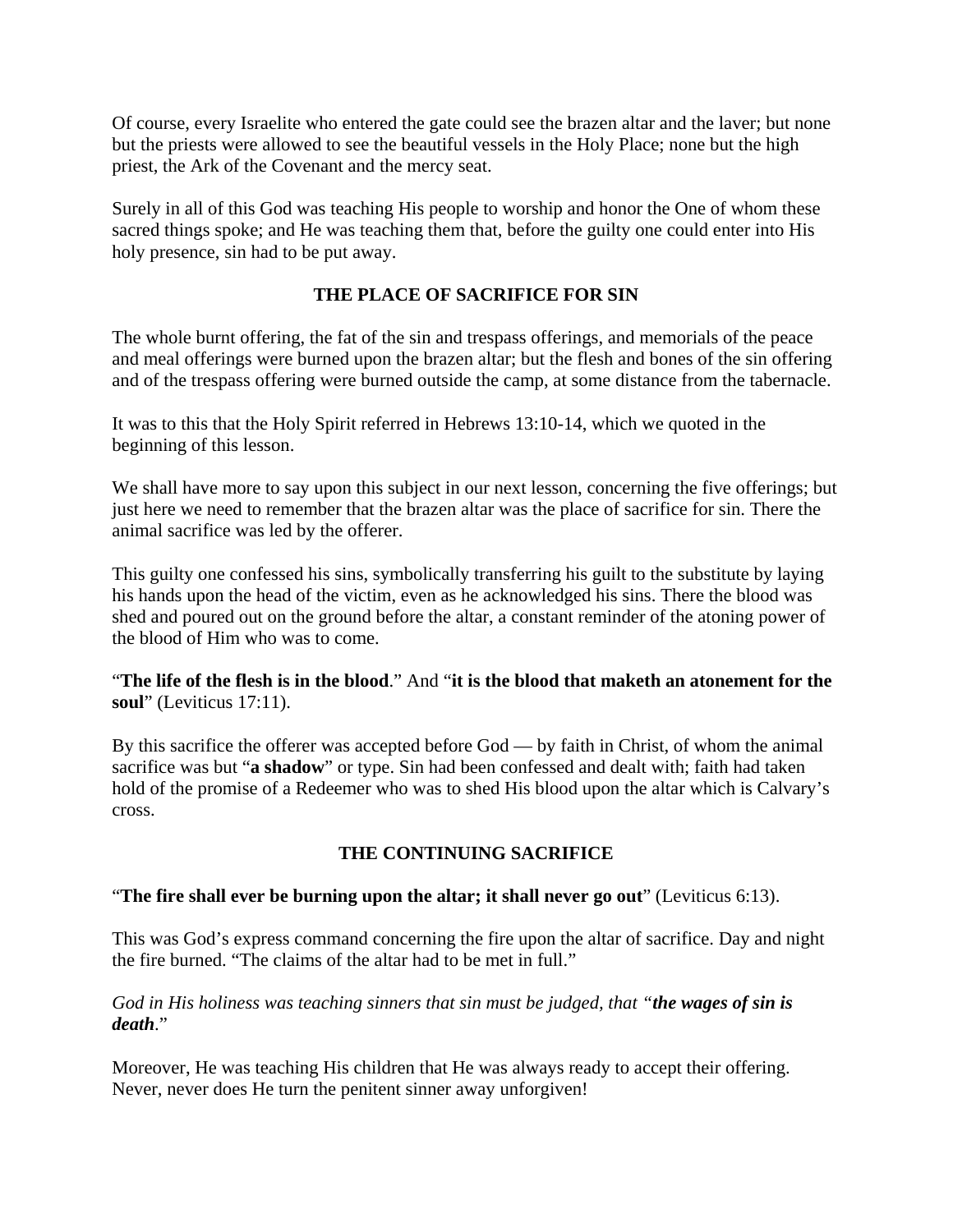Of course, every Israelite who entered the gate could see the brazen altar and the laver; but none but the priests were allowed to see the beautiful vessels in the Holy Place; none but the high priest, the Ark of the Covenant and the mercy seat.

Surely in all of this God was teaching His people to worship and honor the One of whom these sacred things spoke; and He was teaching them that, before the guilty one could enter into His holy presence, sin had to be put away.

# **THE PLACE OF SACRIFICE FOR SIN**

The whole burnt offering, the fat of the sin and trespass offerings, and memorials of the peace and meal offerings were burned upon the brazen altar; but the flesh and bones of the sin offering and of the trespass offering were burned outside the camp, at some distance from the tabernacle.

It was to this that the Holy Spirit referred in Hebrews 13:10-14, which we quoted in the beginning of this lesson.

We shall have more to say upon this subject in our next lesson, concerning the five offerings; but just here we need to remember that the brazen altar was the place of sacrifice for sin. There the animal sacrifice was led by the offerer.

This guilty one confessed his sins, symbolically transferring his guilt to the substitute by laying his hands upon the head of the victim, even as he acknowledged his sins. There the blood was shed and poured out on the ground before the altar, a constant reminder of the atoning power of the blood of Him who was to come.

"**The life of the flesh is in the blood**." And "**it is the blood that maketh an atonement for the soul**" (Leviticus 17:11).

By this sacrifice the offerer was accepted before God — by faith in Christ, of whom the animal sacrifice was but "**a shadow**" or type. Sin had been confessed and dealt with; faith had taken hold of the promise of a Redeemer who was to shed His blood upon the altar which is Calvary's cross.

## **THE CONTINUING SACRIFICE**

#### "**The fire shall ever be burning upon the altar; it shall never go out**" (Leviticus 6:13).

This was God's express command concerning the fire upon the altar of sacrifice. Day and night the fire burned. "The claims of the altar had to be met in full."

#### *God in His holiness was teaching sinners that sin must be judged, that "the wages of sin is death*."

Moreover, He was teaching His children that He was always ready to accept their offering. Never, never does He turn the penitent sinner away unforgiven!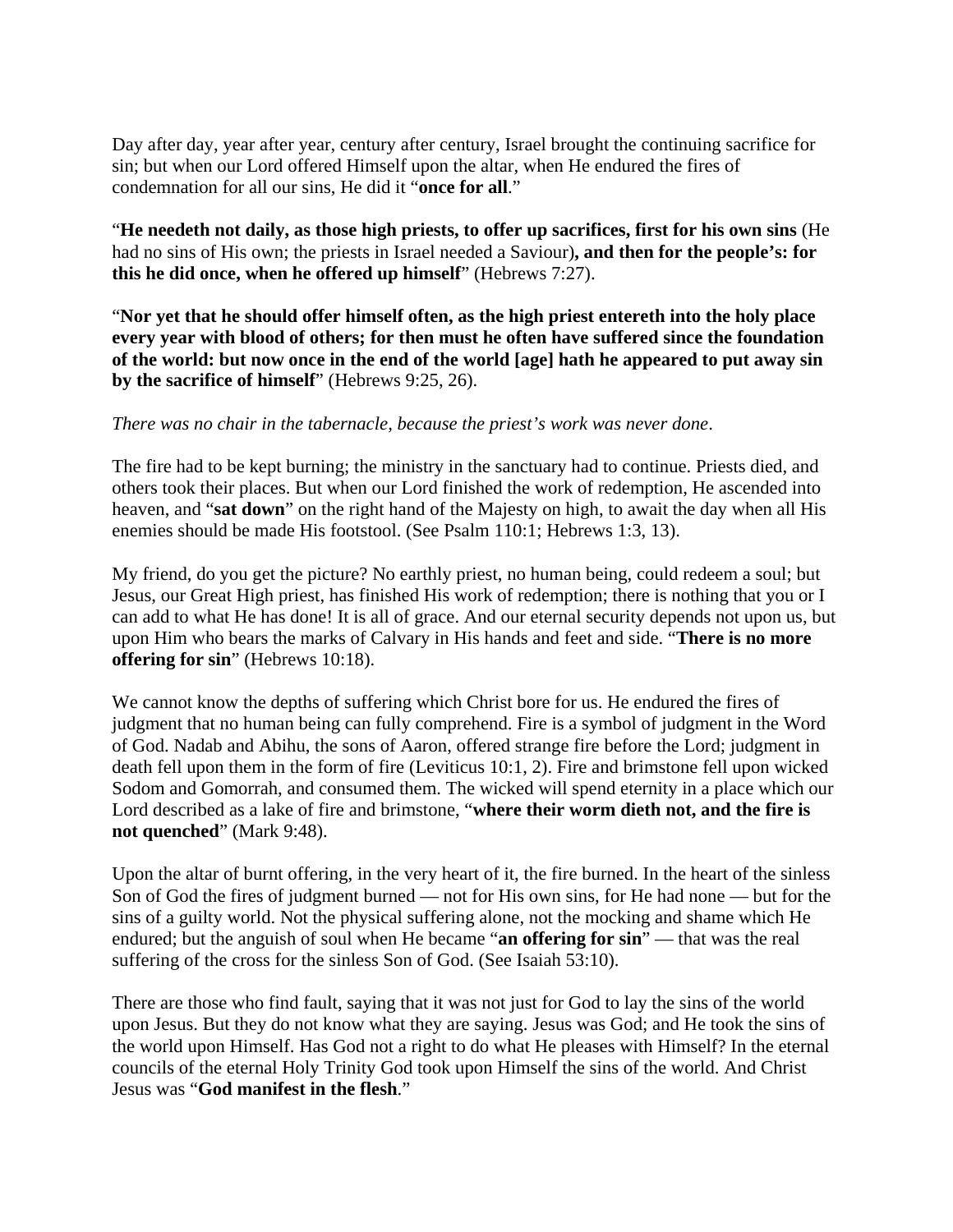Day after day, year after year, century after century, Israel brought the continuing sacrifice for sin; but when our Lord offered Himself upon the altar, when He endured the fires of condemnation for all our sins, He did it "**once for all**."

"**He needeth not daily, as those high priests, to offer up sacrifices, first for his own sins** (He had no sins of His own; the priests in Israel needed a Saviour)**, and then for the people's: for this he did once, when he offered up himself**" (Hebrews 7:27).

"**Nor yet that he should offer himself often, as the high priest entereth into the holy place every year with blood of others; for then must he often have suffered since the foundation of the world: but now once in the end of the world [age] hath he appeared to put away sin by the sacrifice of himself**" (Hebrews 9:25, 26).

#### *There was no chair in the tabernacle, because the priest's work was never done*.

The fire had to be kept burning; the ministry in the sanctuary had to continue. Priests died, and others took their places. But when our Lord finished the work of redemption, He ascended into heaven, and "**sat down**" on the right hand of the Majesty on high, to await the day when all His enemies should be made His footstool. (See Psalm 110:1; Hebrews 1:3, 13).

My friend, do you get the picture? No earthly priest, no human being, could redeem a soul; but Jesus, our Great High priest, has finished His work of redemption; there is nothing that you or I can add to what He has done! It is all of grace. And our eternal security depends not upon us, but upon Him who bears the marks of Calvary in His hands and feet and side. "**There is no more offering for sin**" (Hebrews 10:18).

We cannot know the depths of suffering which Christ bore for us. He endured the fires of judgment that no human being can fully comprehend. Fire is a symbol of judgment in the Word of God. Nadab and Abihu, the sons of Aaron, offered strange fire before the Lord; judgment in death fell upon them in the form of fire (Leviticus 10:1, 2). Fire and brimstone fell upon wicked Sodom and Gomorrah, and consumed them. The wicked will spend eternity in a place which our Lord described as a lake of fire and brimstone, "**where their worm dieth not, and the fire is not quenched**" (Mark 9:48).

Upon the altar of burnt offering, in the very heart of it, the fire burned. In the heart of the sinless Son of God the fires of judgment burned — not for His own sins, for He had none — but for the sins of a guilty world. Not the physical suffering alone, not the mocking and shame which He endured; but the anguish of soul when He became "**an offering for sin**" — that was the real suffering of the cross for the sinless Son of God. (See Isaiah 53:10).

There are those who find fault, saying that it was not just for God to lay the sins of the world upon Jesus. But they do not know what they are saying. Jesus was God; and He took the sins of the world upon Himself. Has God not a right to do what He pleases with Himself? In the eternal councils of the eternal Holy Trinity God took upon Himself the sins of the world. And Christ Jesus was "**God manifest in the flesh**."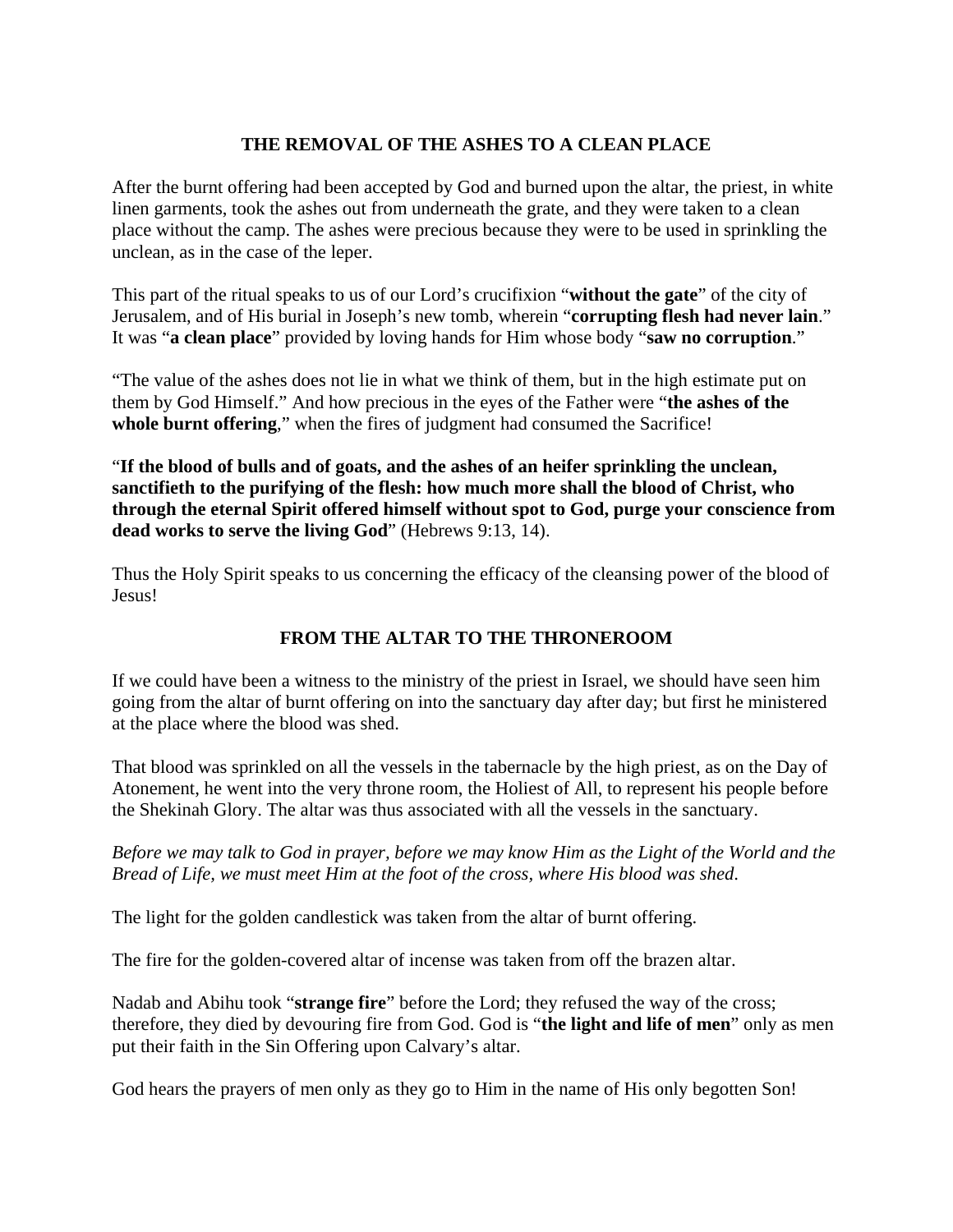## **THE REMOVAL OF THE ASHES TO A CLEAN PLACE**

After the burnt offering had been accepted by God and burned upon the altar, the priest, in white linen garments, took the ashes out from underneath the grate, and they were taken to a clean place without the camp. The ashes were precious because they were to be used in sprinkling the unclean, as in the case of the leper.

This part of the ritual speaks to us of our Lord's crucifixion "**without the gate**" of the city of Jerusalem, and of His burial in Joseph's new tomb, wherein "**corrupting flesh had never lain**." It was "**a clean place**" provided by loving hands for Him whose body "**saw no corruption**."

"The value of the ashes does not lie in what we think of them, but in the high estimate put on them by God Himself." And how precious in the eyes of the Father were "**the ashes of the whole burnt offering**," when the fires of judgment had consumed the Sacrifice!

"**If the blood of bulls and of goats, and the ashes of an heifer sprinkling the unclean, sanctifieth to the purifying of the flesh: how much more shall the blood of Christ, who through the eternal Spirit offered himself without spot to God, purge your conscience from dead works to serve the living God**" (Hebrews 9:13, 14).

Thus the Holy Spirit speaks to us concerning the efficacy of the cleansing power of the blood of Jesus!

## **FROM THE ALTAR TO THE THRONEROOM**

If we could have been a witness to the ministry of the priest in Israel, we should have seen him going from the altar of burnt offering on into the sanctuary day after day; but first he ministered at the place where the blood was shed.

That blood was sprinkled on all the vessels in the tabernacle by the high priest, as on the Day of Atonement, he went into the very throne room, the Holiest of All, to represent his people before the Shekinah Glory. The altar was thus associated with all the vessels in the sanctuary.

*Before we may talk to God in prayer, before we may know Him as the Light of the World and the Bread of Life, we must meet Him at the foot of the cross, where His blood was shed*.

The light for the golden candlestick was taken from the altar of burnt offering.

The fire for the golden-covered altar of incense was taken from off the brazen altar.

Nadab and Abihu took "**strange fire**" before the Lord; they refused the way of the cross; therefore, they died by devouring fire from God. God is "**the light and life of men**" only as men put their faith in the Sin Offering upon Calvary's altar.

God hears the prayers of men only as they go to Him in the name of His only begotten Son!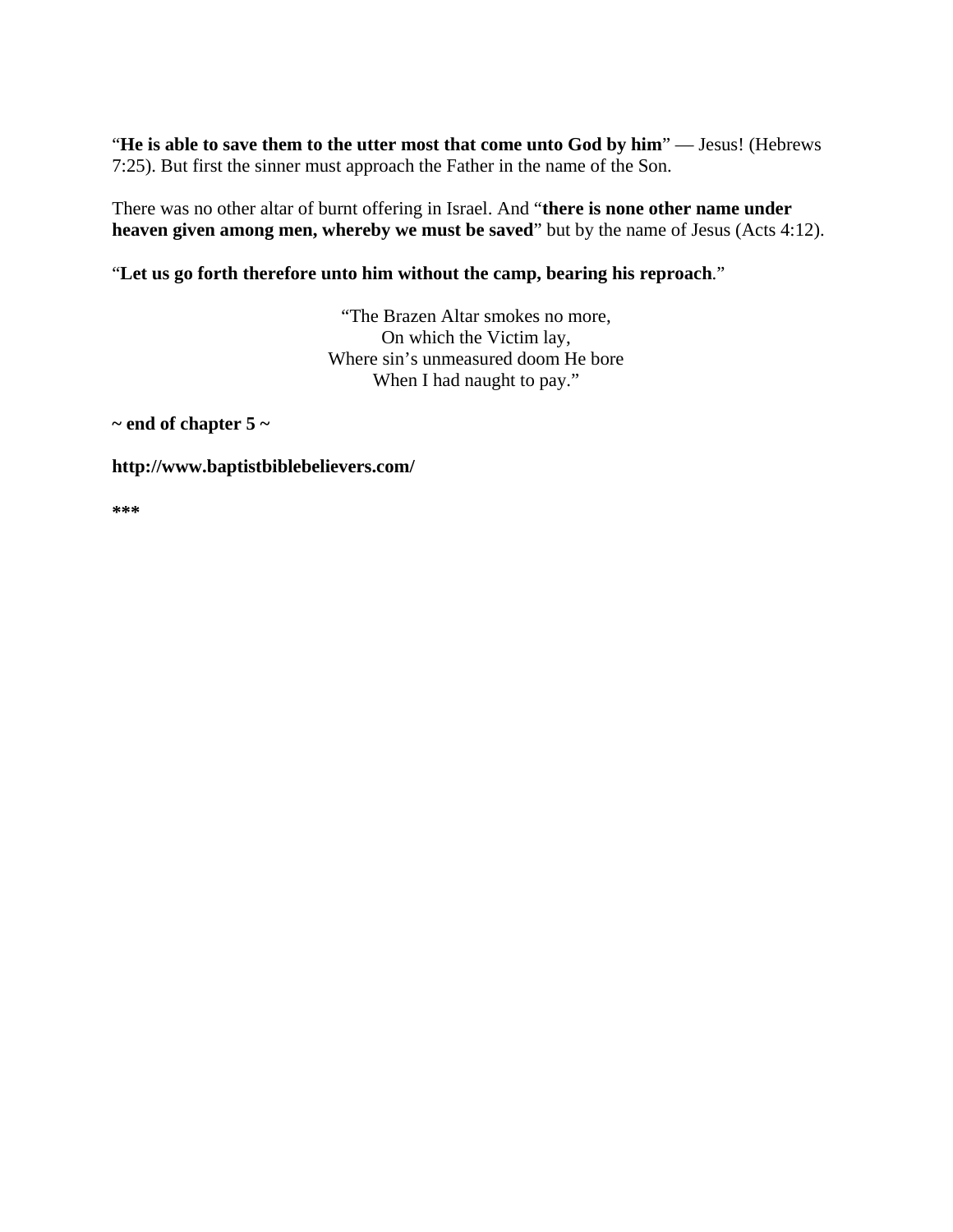"**He is able to save them to the utter most that come unto God by him**" — Jesus! (Hebrews 7:25). But first the sinner must approach the Father in the name of the Son.

There was no other altar of burnt offering in Israel. And "**there is none other name under heaven given among men, whereby we must be saved**" but by the name of Jesus (Acts 4:12).

## "**Let us go forth therefore unto him without the camp, bearing his reproach**."

"The Brazen Altar smokes no more, On which the Victim lay, Where sin's unmeasured doom He bore When I had naught to pay."

**~ end of chapter 5 ~** 

#### **http://www.baptistbiblebelievers.com/**

**\*\*\***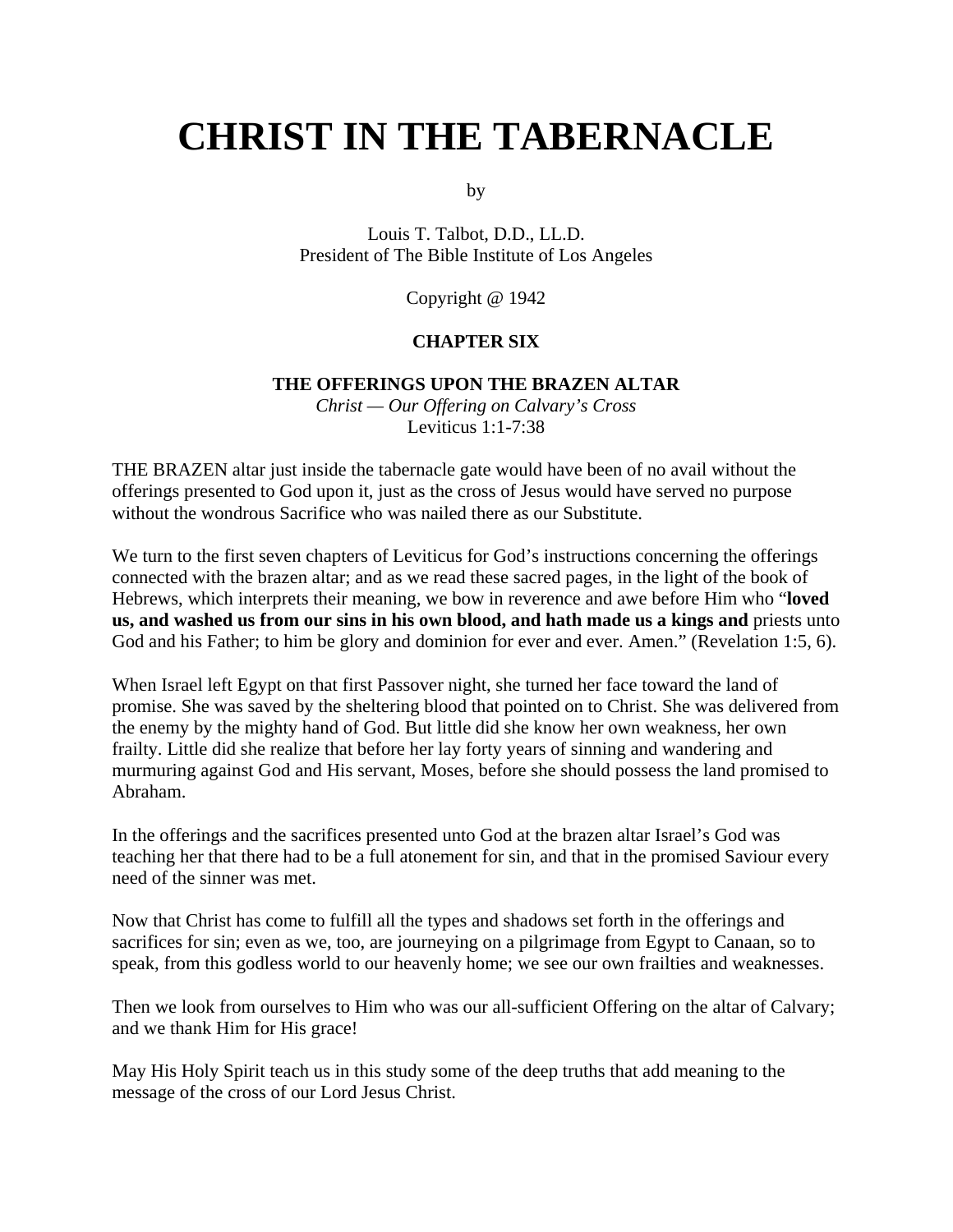# **CHRIST IN THE TABERNACLE**

by

Louis T. Talbot, D.D., LL.D. President of The Bible Institute of Los Angeles

Copyright @ 1942

#### **CHAPTER SIX**

#### **THE OFFERINGS UPON THE BRAZEN ALTAR**

*Christ — Our Offering on Calvary's Cross* Leviticus 1:1-7:38

THE BRAZEN altar just inside the tabernacle gate would have been of no avail without the offerings presented to God upon it, just as the cross of Jesus would have served no purpose without the wondrous Sacrifice who was nailed there as our Substitute.

We turn to the first seven chapters of Leviticus for God's instructions concerning the offerings connected with the brazen altar; and as we read these sacred pages, in the light of the book of Hebrews, which interprets their meaning, we bow in reverence and awe before Him who "**loved us, and washed us from our sins in his own blood, and hath made us a kings and** priests unto God and his Father; to him be glory and dominion for ever and ever. Amen." (Revelation 1:5, 6).

When Israel left Egypt on that first Passover night, she turned her face toward the land of promise. She was saved by the sheltering blood that pointed on to Christ. She was delivered from the enemy by the mighty hand of God. But little did she know her own weakness, her own frailty. Little did she realize that before her lay forty years of sinning and wandering and murmuring against God and His servant, Moses, before she should possess the land promised to Abraham.

In the offerings and the sacrifices presented unto God at the brazen altar Israel's God was teaching her that there had to be a full atonement for sin, and that in the promised Saviour every need of the sinner was met.

Now that Christ has come to fulfill all the types and shadows set forth in the offerings and sacrifices for sin; even as we, too, are journeying on a pilgrimage from Egypt to Canaan, so to speak, from this godless world to our heavenly home; we see our own frailties and weaknesses.

Then we look from ourselves to Him who was our all-sufficient Offering on the altar of Calvary; and we thank Him for His grace!

May His Holy Spirit teach us in this study some of the deep truths that add meaning to the message of the cross of our Lord Jesus Christ.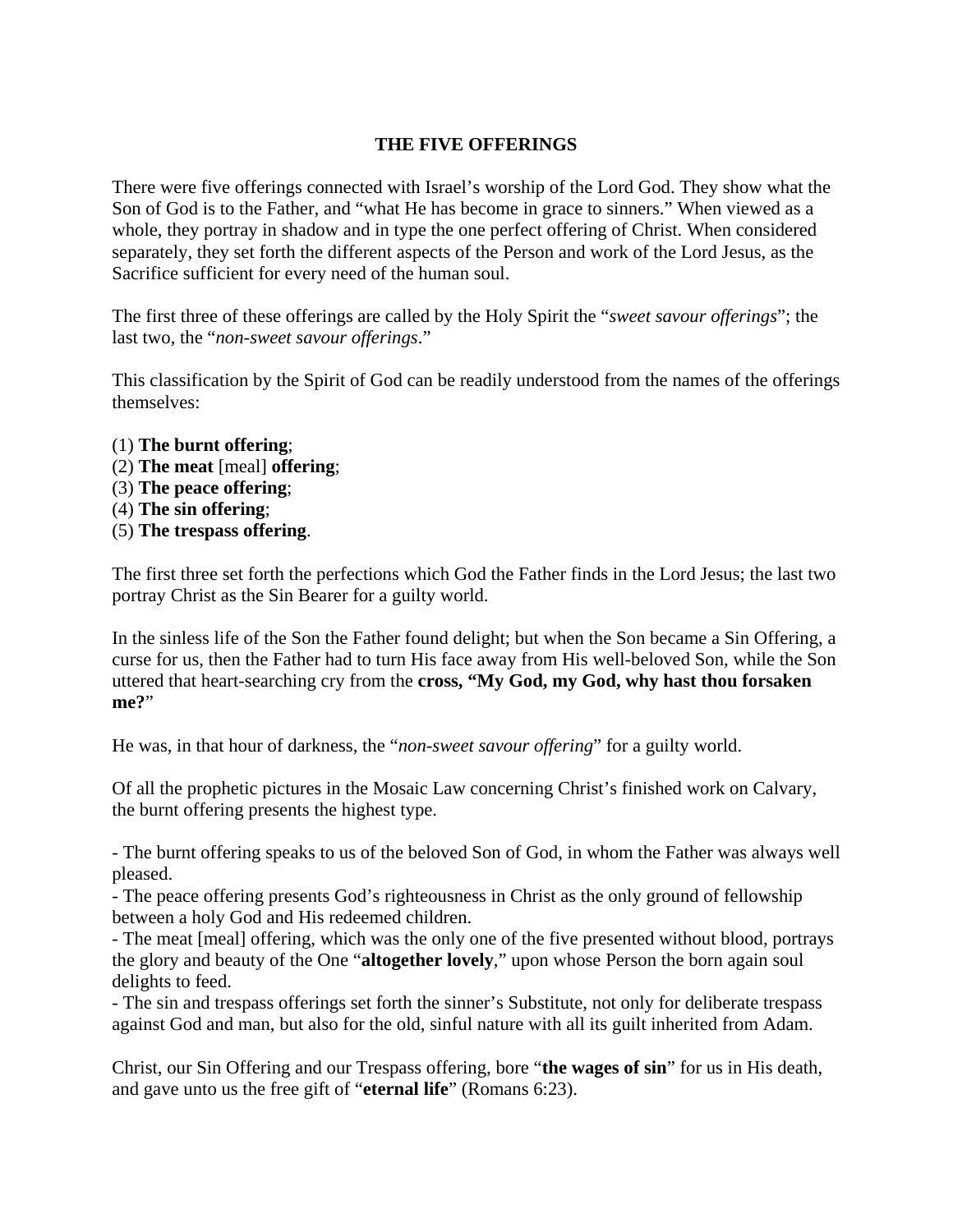## **THE FIVE OFFERINGS**

There were five offerings connected with Israel's worship of the Lord God. They show what the Son of God is to the Father, and "what He has become in grace to sinners." When viewed as a whole, they portray in shadow and in type the one perfect offering of Christ. When considered separately, they set forth the different aspects of the Person and work of the Lord Jesus, as the Sacrifice sufficient for every need of the human soul.

The first three of these offerings are called by the Holy Spirit the "*sweet savour offerings*"; the last two, the "*non-sweet savour offerings*."

This classification by the Spirit of God can be readily understood from the names of the offerings themselves:

- (1) **The burnt offering**;
- (2) **The meat** [meal] **offering**;
- (3) **The peace offering**;
- (4) **The sin offering**;
- (5) **The trespass offering**.

The first three set forth the perfections which God the Father finds in the Lord Jesus; the last two portray Christ as the Sin Bearer for a guilty world.

In the sinless life of the Son the Father found delight; but when the Son became a Sin Offering, a curse for us, then the Father had to turn His face away from His well-beloved Son, while the Son uttered that heart-searching cry from the **cross, "My God, my God, why hast thou forsaken me?**"

He was, in that hour of darkness, the "*non-sweet savour offering*" for a guilty world.

Of all the prophetic pictures in the Mosaic Law concerning Christ's finished work on Calvary, the burnt offering presents the highest type.

- The burnt offering speaks to us of the beloved Son of God, in whom the Father was always well pleased.

- The peace offering presents God's righteousness in Christ as the only ground of fellowship between a holy God and His redeemed children.

- The meat [meal] offering, which was the only one of the five presented without blood, portrays the glory and beauty of the One "**altogether lovely**," upon whose Person the born again soul delights to feed.

- The sin and trespass offerings set forth the sinner's Substitute, not only for deliberate trespass against God and man, but also for the old, sinful nature with all its guilt inherited from Adam.

Christ, our Sin Offering and our Trespass offering, bore "**the wages of sin**" for us in His death, and gave unto us the free gift of "**eternal life**" (Romans 6:23).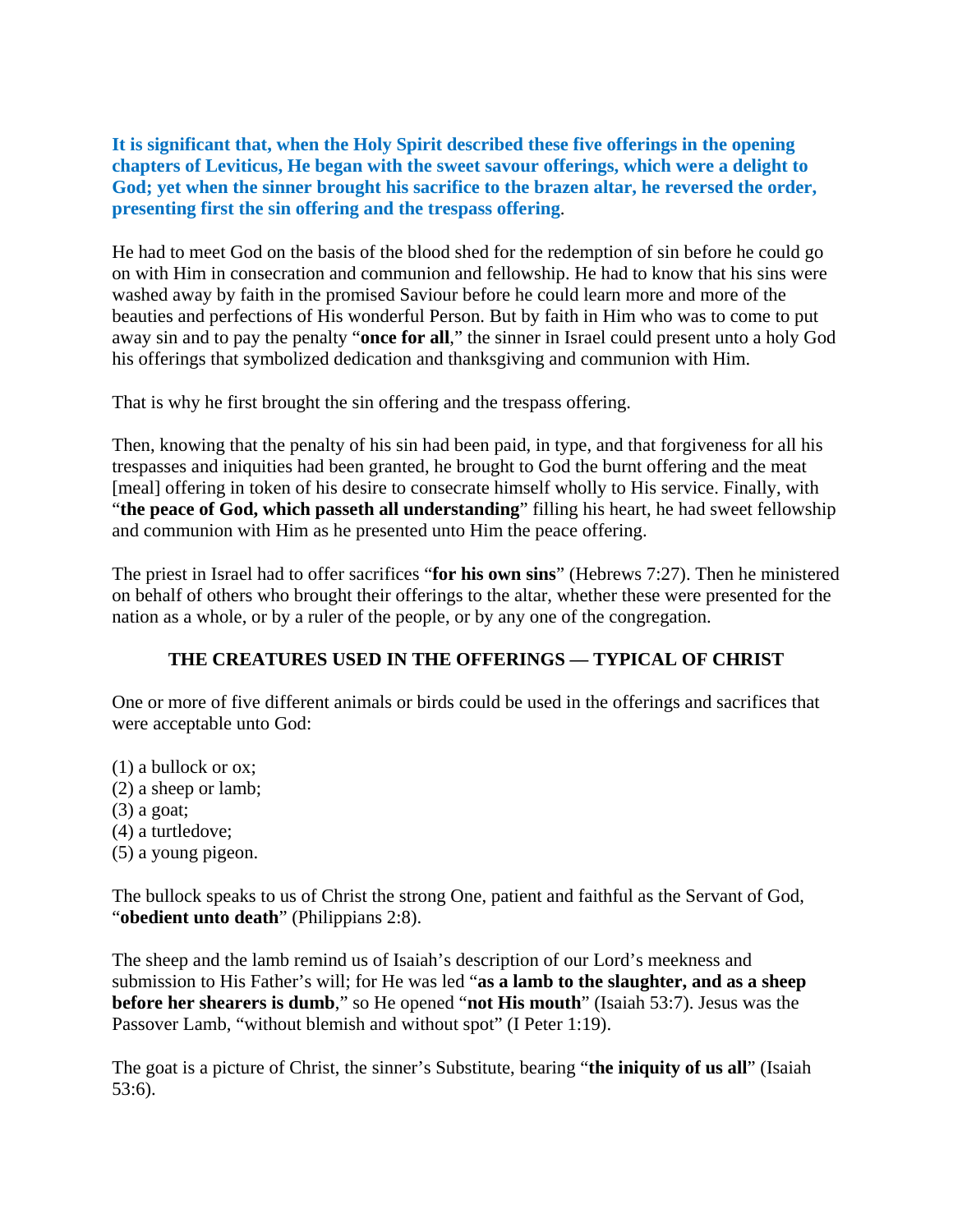**It is significant that, when the Holy Spirit described these five offerings in the opening chapters of Leviticus, He began with the sweet savour offerings, which were a delight to God; yet when the sinner brought his sacrifice to the brazen altar, he reversed the order, presenting first the sin offering and the trespass offering**.

He had to meet God on the basis of the blood shed for the redemption of sin before he could go on with Him in consecration and communion and fellowship. He had to know that his sins were washed away by faith in the promised Saviour before he could learn more and more of the beauties and perfections of His wonderful Person. But by faith in Him who was to come to put away sin and to pay the penalty "**once for all**," the sinner in Israel could present unto a holy God his offerings that symbolized dedication and thanksgiving and communion with Him.

That is why he first brought the sin offering and the trespass offering.

Then, knowing that the penalty of his sin had been paid, in type, and that forgiveness for all his trespasses and iniquities had been granted, he brought to God the burnt offering and the meat [meal] offering in token of his desire to consecrate himself wholly to His service. Finally, with "**the peace of God, which passeth all understanding**" filling his heart, he had sweet fellowship and communion with Him as he presented unto Him the peace offering.

The priest in Israel had to offer sacrifices "**for his own sins**" (Hebrews 7:27). Then he ministered on behalf of others who brought their offerings to the altar, whether these were presented for the nation as a whole, or by a ruler of the people, or by any one of the congregation.

## **THE CREATURES USED IN THE OFFERINGS — TYPICAL OF CHRIST**

One or more of five different animals or birds could be used in the offerings and sacrifices that were acceptable unto God:

- (1) a bullock or ox;
- (2) a sheep or lamb;
- (3) a goat;
- (4) a turtledove;
- (5) a young pigeon.

The bullock speaks to us of Christ the strong One, patient and faithful as the Servant of God, "**obedient unto death**" (Philippians 2:8).

The sheep and the lamb remind us of Isaiah's description of our Lord's meekness and submission to His Father's will; for He was led "**as a lamb to the slaughter, and as a sheep before her shearers is dumb**," so He opened "**not His mouth**" (Isaiah 53:7). Jesus was the Passover Lamb, "without blemish and without spot" (I Peter 1:19).

The goat is a picture of Christ, the sinner's Substitute, bearing "**the iniquity of us all**" (Isaiah 53:6).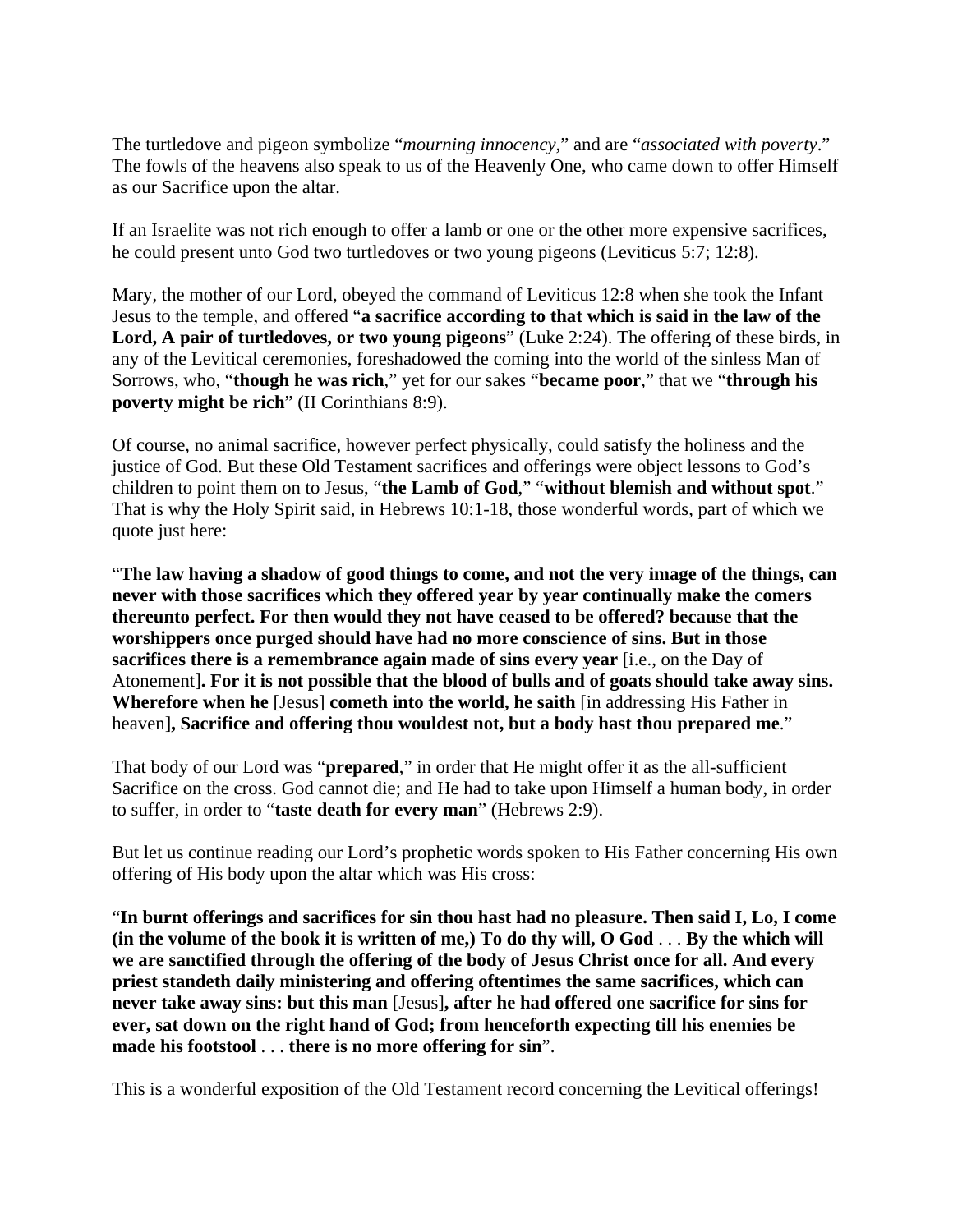The turtledove and pigeon symbolize "*mourning innocency*," and are "*associated with poverty*." The fowls of the heavens also speak to us of the Heavenly One, who came down to offer Himself as our Sacrifice upon the altar.

If an Israelite was not rich enough to offer a lamb or one or the other more expensive sacrifices, he could present unto God two turtledoves or two young pigeons (Leviticus 5:7; 12:8).

Mary, the mother of our Lord, obeyed the command of Leviticus 12:8 when she took the Infant Jesus to the temple, and offered "**a sacrifice according to that which is said in the law of the Lord, A pair of turtledoves, or two young pigeons**" (Luke 2:24). The offering of these birds, in any of the Levitical ceremonies, foreshadowed the coming into the world of the sinless Man of Sorrows, who, "**though he was rich**," yet for our sakes "**became poor**," that we "**through his poverty might be rich**" (II Corinthians 8:9).

Of course, no animal sacrifice, however perfect physically, could satisfy the holiness and the justice of God. But these Old Testament sacrifices and offerings were object lessons to God's children to point them on to Jesus, "**the Lamb of God**," "**without blemish and without spot**." That is why the Holy Spirit said, in Hebrews 10:1-18, those wonderful words, part of which we quote just here:

"**The law having a shadow of good things to come, and not the very image of the things, can never with those sacrifices which they offered year by year continually make the comers thereunto perfect. For then would they not have ceased to be offered? because that the worshippers once purged should have had no more conscience of sins. But in those sacrifices there is a remembrance again made of sins every year** [i.e., on the Day of Atonement]**. For it is not possible that the blood of bulls and of goats should take away sins. Wherefore when he** [Jesus] **cometh into the world, he saith** [in addressing His Father in heaven]**, Sacrifice and offering thou wouldest not, but a body hast thou prepared me**."

That body of our Lord was "**prepared**," in order that He might offer it as the all-sufficient Sacrifice on the cross. God cannot die; and He had to take upon Himself a human body, in order to suffer, in order to "**taste death for every man**" (Hebrews 2:9).

But let us continue reading our Lord's prophetic words spoken to His Father concerning His own offering of His body upon the altar which was His cross:

"**In burnt offerings and sacrifices for sin thou hast had no pleasure. Then said I, Lo, I come (in the volume of the book it is written of me,) To do thy will, O God** . . . **By the which will we are sanctified through the offering of the body of Jesus Christ once for all. And every priest standeth daily ministering and offering oftentimes the same sacrifices, which can never take away sins: but this man** [Jesus]**, after he had offered one sacrifice for sins for ever, sat down on the right hand of God; from henceforth expecting till his enemies be made his footstool** . . . **there is no more offering for sin**".

This is a wonderful exposition of the Old Testament record concerning the Levitical offerings!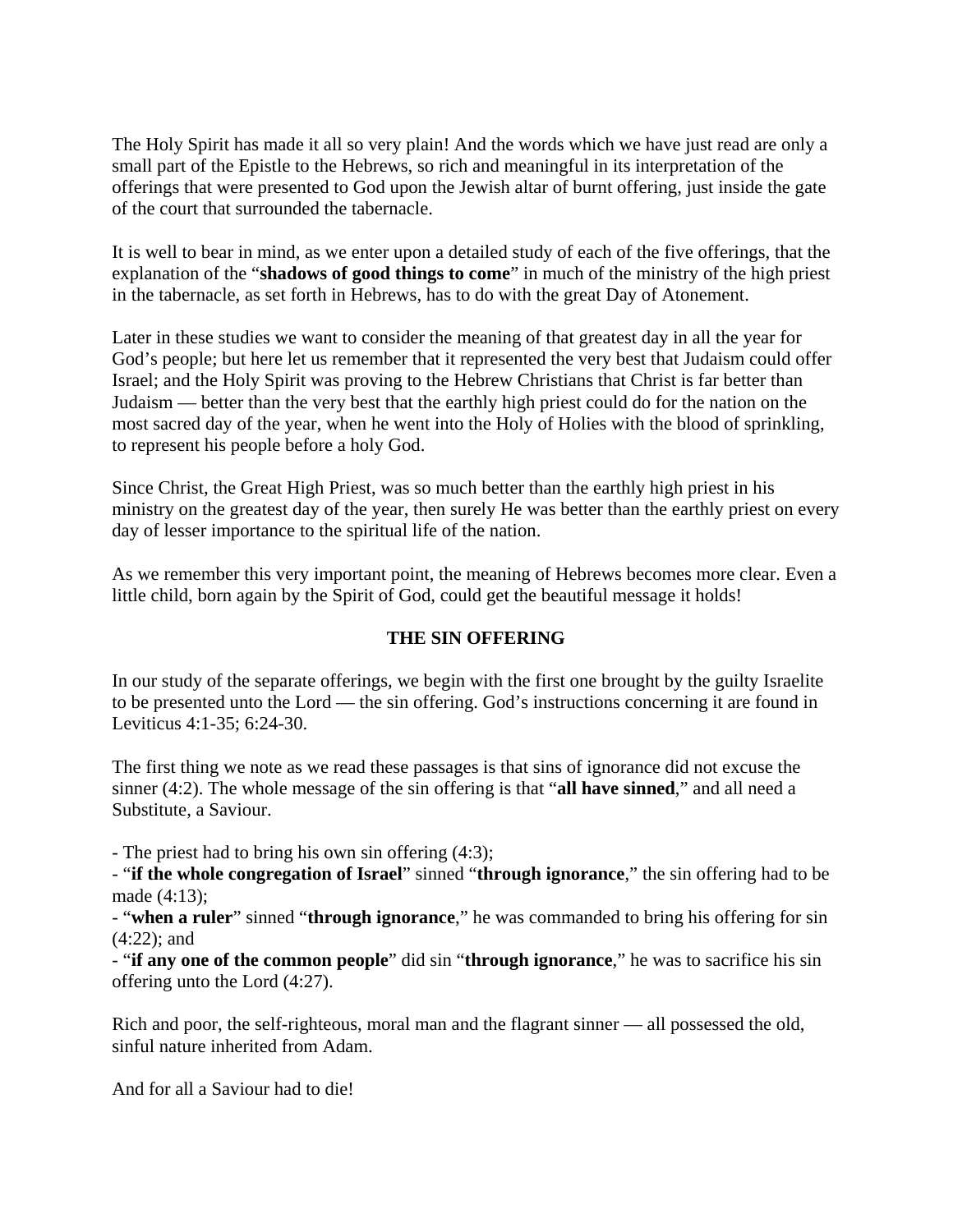The Holy Spirit has made it all so very plain! And the words which we have just read are only a small part of the Epistle to the Hebrews, so rich and meaningful in its interpretation of the offerings that were presented to God upon the Jewish altar of burnt offering, just inside the gate of the court that surrounded the tabernacle.

It is well to bear in mind, as we enter upon a detailed study of each of the five offerings, that the explanation of the "**shadows of good things to come**" in much of the ministry of the high priest in the tabernacle, as set forth in Hebrews, has to do with the great Day of Atonement.

Later in these studies we want to consider the meaning of that greatest day in all the year for God's people; but here let us remember that it represented the very best that Judaism could offer Israel; and the Holy Spirit was proving to the Hebrew Christians that Christ is far better than Judaism — better than the very best that the earthly high priest could do for the nation on the most sacred day of the year, when he went into the Holy of Holies with the blood of sprinkling, to represent his people before a holy God.

Since Christ, the Great High Priest, was so much better than the earthly high priest in his ministry on the greatest day of the year, then surely He was better than the earthly priest on every day of lesser importance to the spiritual life of the nation.

As we remember this very important point, the meaning of Hebrews becomes more clear. Even a little child, born again by the Spirit of God, could get the beautiful message it holds!

## **THE SIN OFFERING**

In our study of the separate offerings, we begin with the first one brought by the guilty Israelite to be presented unto the Lord — the sin offering. God's instructions concerning it are found in Leviticus 4:1-35; 6:24-30.

The first thing we note as we read these passages is that sins of ignorance did not excuse the sinner (4:2). The whole message of the sin offering is that "**all have sinned**," and all need a Substitute, a Saviour.

- The priest had to bring his own sin offering (4:3);

- "**if the whole congregation of Israel**" sinned "**through ignorance**," the sin offering had to be made (4:13):

- "**when a ruler**" sinned "**through ignorance**," he was commanded to bring his offering for sin (4:22); and

- "**if any one of the common people**" did sin "**through ignorance**," he was to sacrifice his sin offering unto the Lord (4:27).

Rich and poor, the self-righteous, moral man and the flagrant sinner — all possessed the old, sinful nature inherited from Adam.

And for all a Saviour had to die!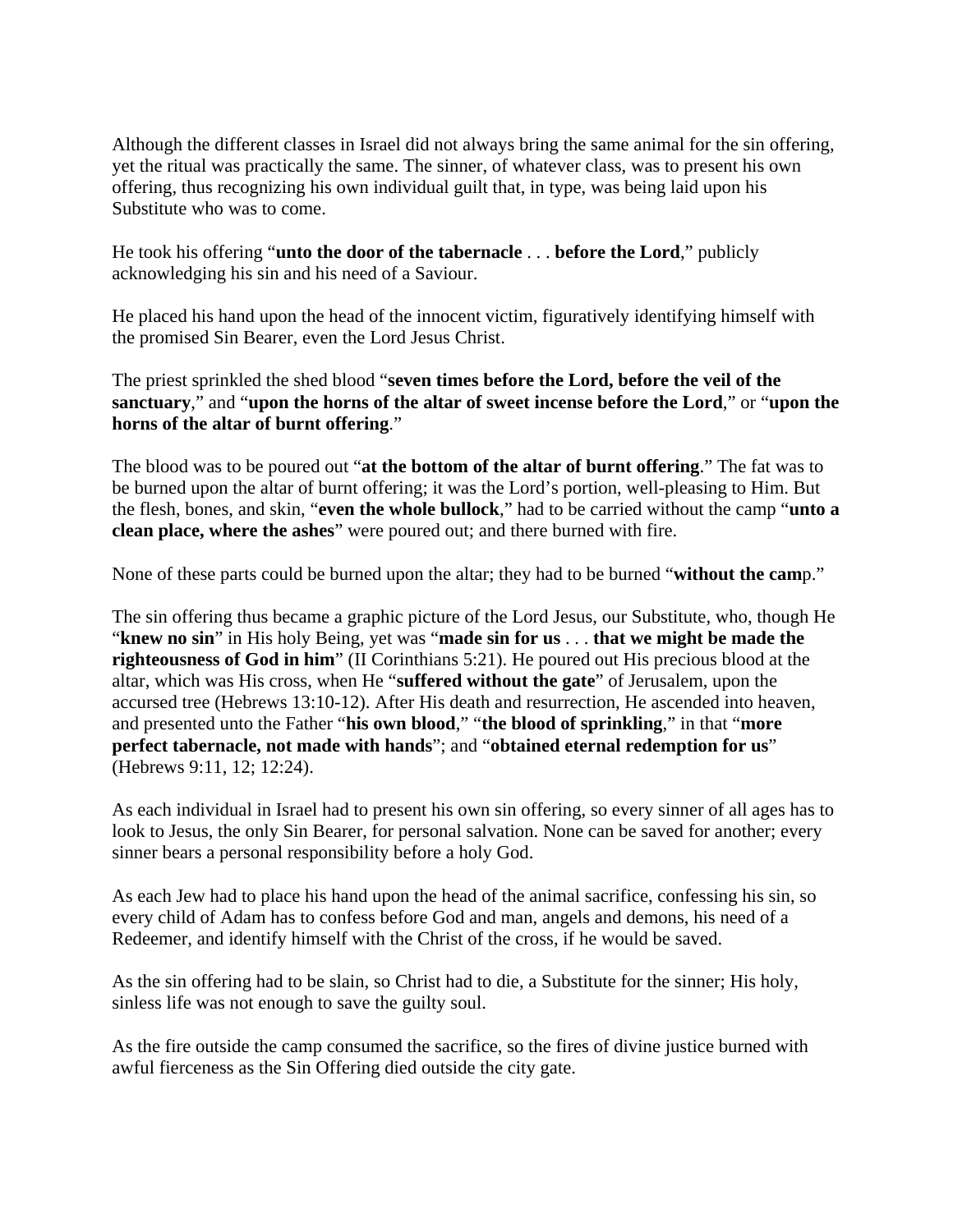Although the different classes in Israel did not always bring the same animal for the sin offering, yet the ritual was practically the same. The sinner, of whatever class, was to present his own offering, thus recognizing his own individual guilt that, in type, was being laid upon his Substitute who was to come.

He took his offering "**unto the door of the tabernacle** . . . **before the Lord**," publicly acknowledging his sin and his need of a Saviour.

He placed his hand upon the head of the innocent victim, figuratively identifying himself with the promised Sin Bearer, even the Lord Jesus Christ.

The priest sprinkled the shed blood "**seven times before the Lord, before the veil of the sanctuary**," and "**upon the horns of the altar of sweet incense before the Lord**," or "**upon the horns of the altar of burnt offering**."

The blood was to be poured out "**at the bottom of the altar of burnt offering**." The fat was to be burned upon the altar of burnt offering; it was the Lord's portion, well-pleasing to Him. But the flesh, bones, and skin, "**even the whole bullock**," had to be carried without the camp "**unto a clean place, where the ashes**" were poured out; and there burned with fire.

None of these parts could be burned upon the altar; they had to be burned "**without the cam**p."

The sin offering thus became a graphic picture of the Lord Jesus, our Substitute, who, though He "**knew no sin**" in His holy Being, yet was "**made sin for us** . . . **that we might be made the righteousness of God in him**" (II Corinthians 5:21). He poured out His precious blood at the altar, which was His cross, when He "**suffered without the gate**" of Jerusalem, upon the accursed tree (Hebrews 13:10-12). After His death and resurrection, He ascended into heaven, and presented unto the Father "**his own blood**," "**the blood of sprinkling**," in that "**more perfect tabernacle, not made with hands**"; and "**obtained eternal redemption for us**" (Hebrews 9:11, 12; 12:24).

As each individual in Israel had to present his own sin offering, so every sinner of all ages has to look to Jesus, the only Sin Bearer, for personal salvation. None can be saved for another; every sinner bears a personal responsibility before a holy God.

As each Jew had to place his hand upon the head of the animal sacrifice, confessing his sin, so every child of Adam has to confess before God and man, angels and demons, his need of a Redeemer, and identify himself with the Christ of the cross, if he would be saved.

As the sin offering had to be slain, so Christ had to die, a Substitute for the sinner; His holy, sinless life was not enough to save the guilty soul.

As the fire outside the camp consumed the sacrifice, so the fires of divine justice burned with awful fierceness as the Sin Offering died outside the city gate.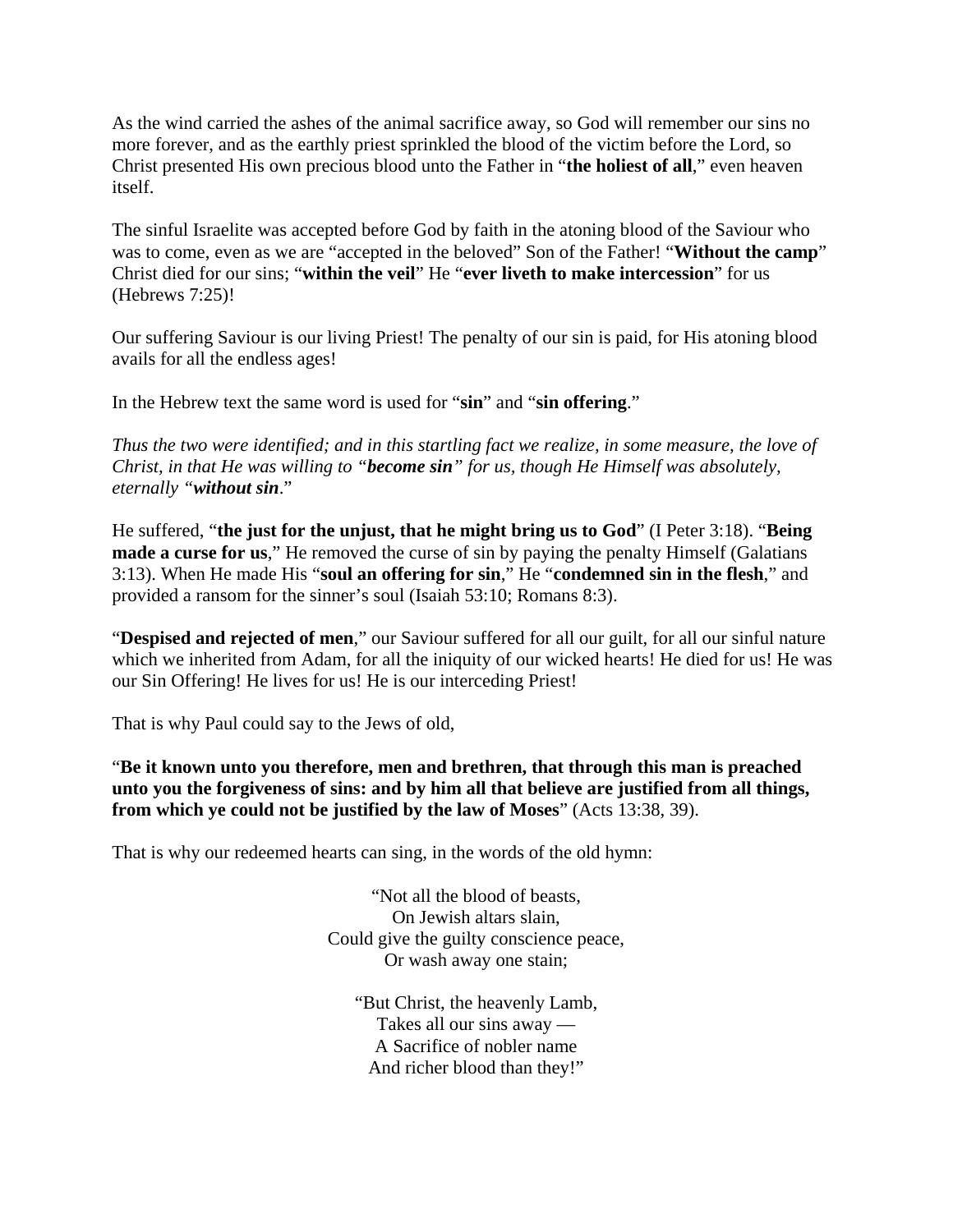As the wind carried the ashes of the animal sacrifice away, so God will remember our sins no more forever, and as the earthly priest sprinkled the blood of the victim before the Lord, so Christ presented His own precious blood unto the Father in "**the holiest of all**," even heaven itself.

The sinful Israelite was accepted before God by faith in the atoning blood of the Saviour who was to come, even as we are "accepted in the beloved" Son of the Father! "**Without the camp**" Christ died for our sins; "**within the veil**" He "**ever liveth to make intercession**" for us (Hebrews 7:25)!

Our suffering Saviour is our living Priest! The penalty of our sin is paid, for His atoning blood avails for all the endless ages!

In the Hebrew text the same word is used for "**sin**" and "**sin offering**."

*Thus the two were identified; and in this startling fact we realize, in some measure, the love of Christ, in that He was willing to "become sin" for us, though He Himself was absolutely, eternally "without sin*."

He suffered, "**the just for the unjust, that he might bring us to God**" (I Peter 3:18). "**Being made a curse for us**," He removed the curse of sin by paying the penalty Himself (Galatians 3:13). When He made His "**soul an offering for sin**," He "**condemned sin in the flesh**," and provided a ransom for the sinner's soul (Isaiah 53:10; Romans 8:3).

"**Despised and rejected of men**," our Saviour suffered for all our guilt, for all our sinful nature which we inherited from Adam, for all the iniquity of our wicked hearts! He died for us! He was our Sin Offering! He lives for us! He is our interceding Priest!

That is why Paul could say to the Jews of old,

"**Be it known unto you therefore, men and brethren, that through this man is preached unto you the forgiveness of sins: and by him all that believe are justified from all things, from which ye could not be justified by the law of Moses**" (Acts 13:38, 39).

That is why our redeemed hearts can sing, in the words of the old hymn:

"Not all the blood of beasts, On Jewish altars slain, Could give the guilty conscience peace, Or wash away one stain;

"But Christ, the heavenly Lamb, Takes all our sins away — A Sacrifice of nobler name And richer blood than they!"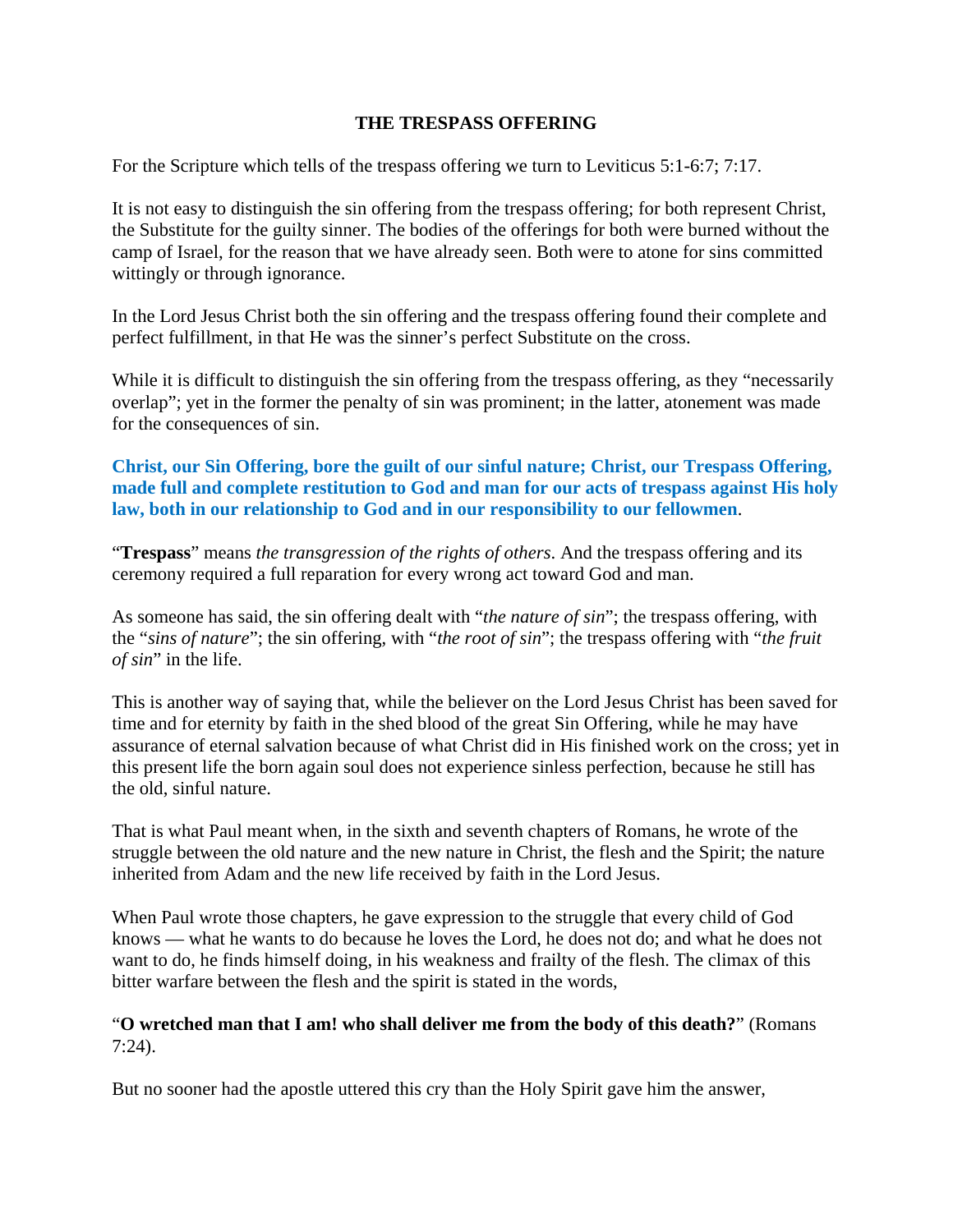#### **THE TRESPASS OFFERING**

For the Scripture which tells of the trespass offering we turn to Leviticus 5:1-6:7; 7:17.

It is not easy to distinguish the sin offering from the trespass offering; for both represent Christ, the Substitute for the guilty sinner. The bodies of the offerings for both were burned without the camp of Israel, for the reason that we have already seen. Both were to atone for sins committed wittingly or through ignorance.

In the Lord Jesus Christ both the sin offering and the trespass offering found their complete and perfect fulfillment, in that He was the sinner's perfect Substitute on the cross.

While it is difficult to distinguish the sin offering from the trespass offering, as they "necessarily overlap"; yet in the former the penalty of sin was prominent; in the latter, atonement was made for the consequences of sin.

## **Christ, our Sin Offering, bore the guilt of our sinful nature; Christ, our Trespass Offering, made full and complete restitution to God and man for our acts of trespass against His holy law, both in our relationship to God and in our responsibility to our fellowmen**.

"**Trespass**" means *the transgression of the rights of others*. And the trespass offering and its ceremony required a full reparation for every wrong act toward God and man.

As someone has said, the sin offering dealt with "*the nature of sin*"; the trespass offering, with the "*sins of nature*"; the sin offering, with "*the root of sin*"; the trespass offering with "*the fruit of sin*" in the life.

This is another way of saying that, while the believer on the Lord Jesus Christ has been saved for time and for eternity by faith in the shed blood of the great Sin Offering, while he may have assurance of eternal salvation because of what Christ did in His finished work on the cross; yet in this present life the born again soul does not experience sinless perfection, because he still has the old, sinful nature.

That is what Paul meant when, in the sixth and seventh chapters of Romans, he wrote of the struggle between the old nature and the new nature in Christ, the flesh and the Spirit; the nature inherited from Adam and the new life received by faith in the Lord Jesus.

When Paul wrote those chapters, he gave expression to the struggle that every child of God knows — what he wants to do because he loves the Lord, he does not do; and what he does not want to do, he finds himself doing, in his weakness and frailty of the flesh. The climax of this bitter warfare between the flesh and the spirit is stated in the words,

#### "**O wretched man that I am! who shall deliver me from the body of this death?**" (Romans 7:24).

But no sooner had the apostle uttered this cry than the Holy Spirit gave him the answer,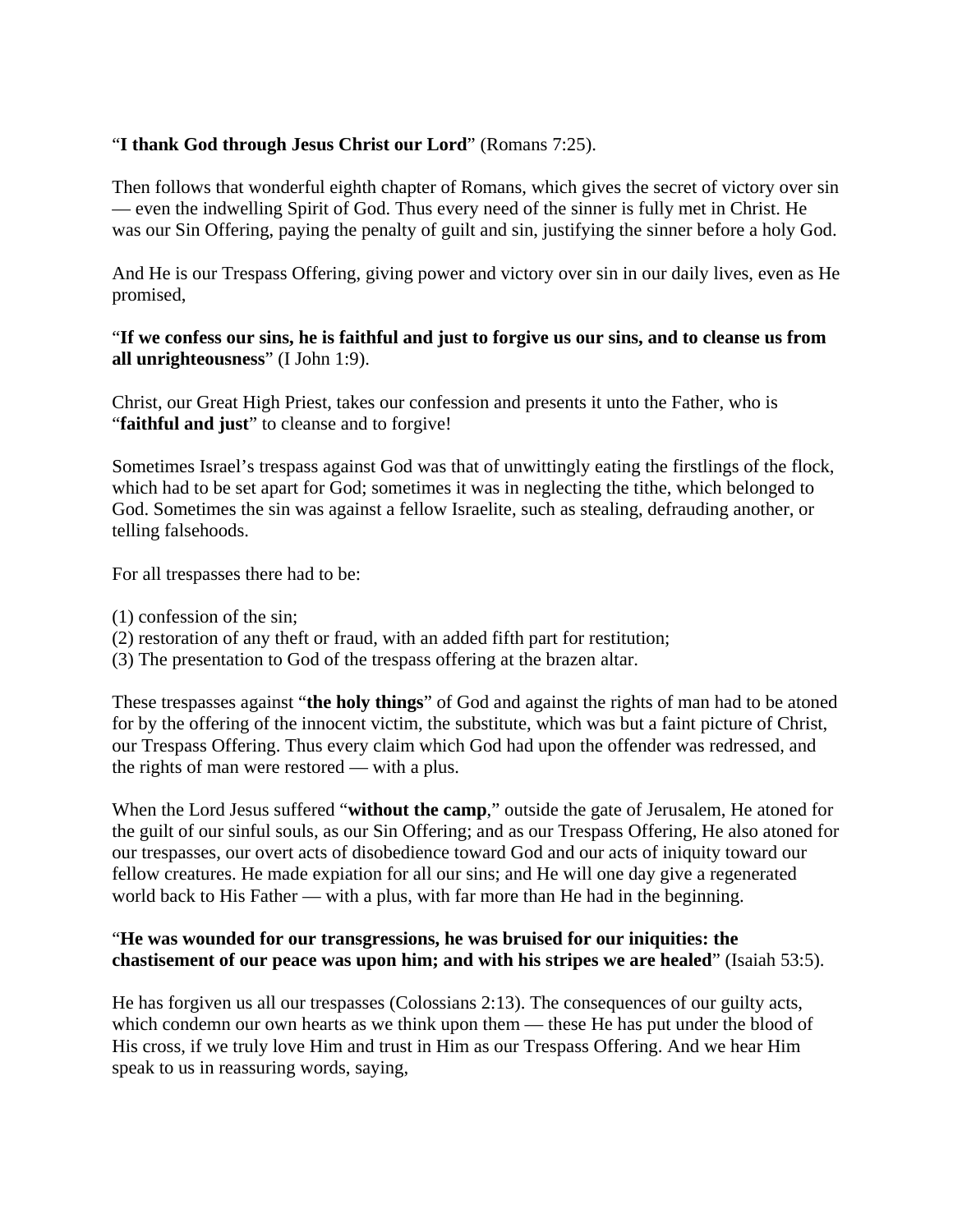## "**I thank God through Jesus Christ our Lord**" (Romans 7:25).

Then follows that wonderful eighth chapter of Romans, which gives the secret of victory over sin — even the indwelling Spirit of God. Thus every need of the sinner is fully met in Christ. He was our Sin Offering, paying the penalty of guilt and sin, justifying the sinner before a holy God.

And He is our Trespass Offering, giving power and victory over sin in our daily lives, even as He promised,

#### "**If we confess our sins, he is faithful and just to forgive us our sins, and to cleanse us from all unrighteousness**" (I John 1:9).

Christ, our Great High Priest, takes our confession and presents it unto the Father, who is "**faithful and just**" to cleanse and to forgive!

Sometimes Israel's trespass against God was that of unwittingly eating the firstlings of the flock, which had to be set apart for God; sometimes it was in neglecting the tithe, which belonged to God. Sometimes the sin was against a fellow Israelite, such as stealing, defrauding another, or telling falsehoods.

For all trespasses there had to be:

- (1) confession of the sin;
- (2) restoration of any theft or fraud, with an added fifth part for restitution;
- (3) The presentation to God of the trespass offering at the brazen altar.

These trespasses against "**the holy things**" of God and against the rights of man had to be atoned for by the offering of the innocent victim, the substitute, which was but a faint picture of Christ, our Trespass Offering. Thus every claim which God had upon the offender was redressed, and the rights of man were restored — with a plus.

When the Lord Jesus suffered "**without the camp**," outside the gate of Jerusalem, He atoned for the guilt of our sinful souls, as our Sin Offering; and as our Trespass Offering, He also atoned for our trespasses, our overt acts of disobedience toward God and our acts of iniquity toward our fellow creatures. He made expiation for all our sins; and He will one day give a regenerated world back to His Father — with a plus, with far more than He had in the beginning.

#### "**He was wounded for our transgressions, he was bruised for our iniquities: the chastisement of our peace was upon him; and with his stripes we are healed**" (Isaiah 53:5).

He has forgiven us all our trespasses (Colossians 2:13). The consequences of our guilty acts, which condemn our own hearts as we think upon them — these He has put under the blood of His cross, if we truly love Him and trust in Him as our Trespass Offering. And we hear Him speak to us in reassuring words, saying,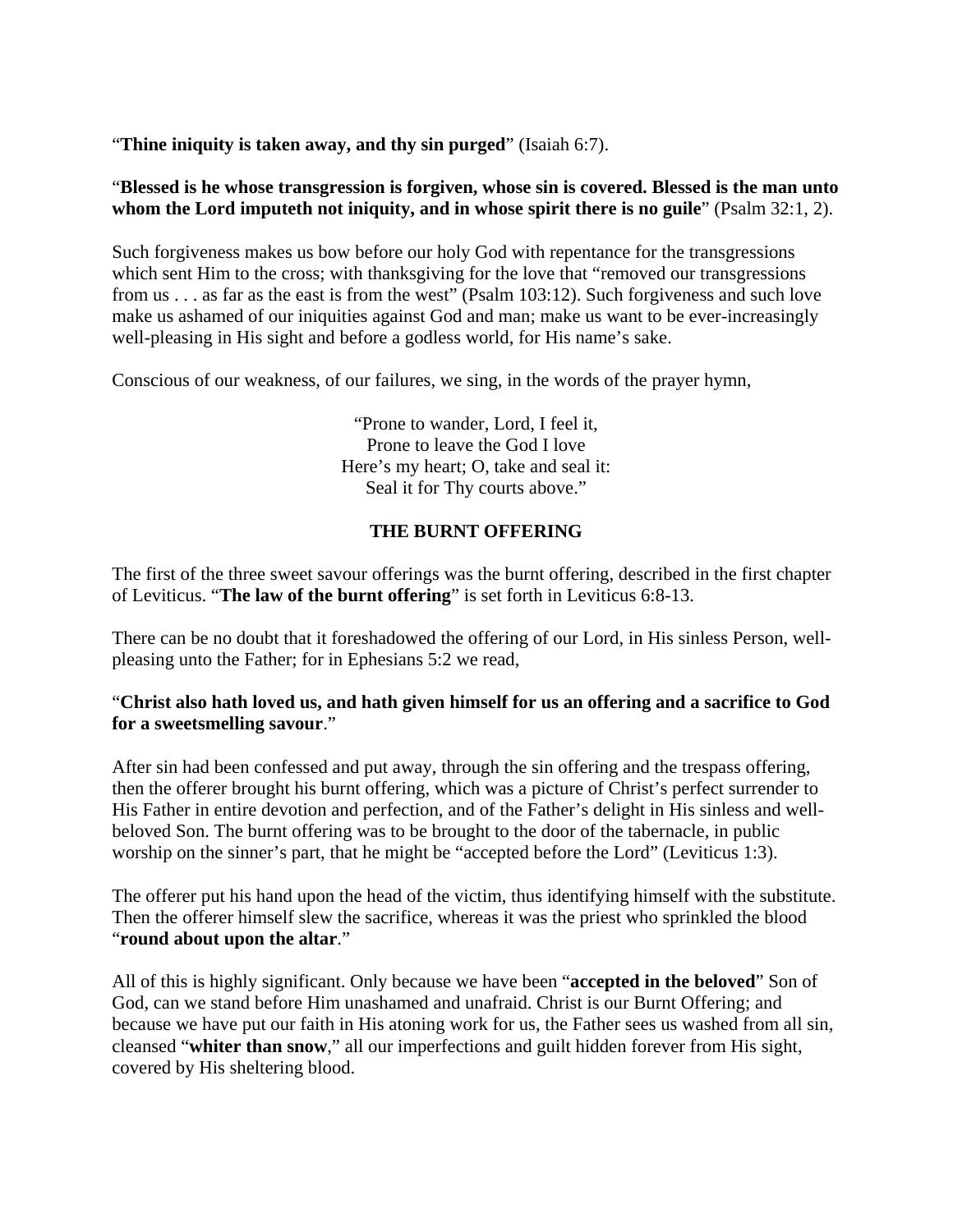"**Thine iniquity is taken away, and thy sin purged**" (Isaiah 6:7).

#### "**Blessed is he whose transgression is forgiven, whose sin is covered. Blessed is the man unto whom the Lord imputeth not iniquity, and in whose spirit there is no guile**" (Psalm 32:1, 2).

Such forgiveness makes us bow before our holy God with repentance for the transgressions which sent Him to the cross; with thanksgiving for the love that "removed our transgressions" from us . . . as far as the east is from the west" (Psalm 103:12). Such forgiveness and such love make us ashamed of our iniquities against God and man; make us want to be ever-increasingly well-pleasing in His sight and before a godless world, for His name's sake.

Conscious of our weakness, of our failures, we sing, in the words of the prayer hymn,

"Prone to wander, Lord, I feel it, Prone to leave the God I love Here's my heart; O, take and seal it: Seal it for Thy courts above."

## **THE BURNT OFFERING**

The first of the three sweet savour offerings was the burnt offering, described in the first chapter of Leviticus. "**The law of the burnt offering**" is set forth in Leviticus 6:8-13.

There can be no doubt that it foreshadowed the offering of our Lord, in His sinless Person, wellpleasing unto the Father; for in Ephesians 5:2 we read,

## "**Christ also hath loved us, and hath given himself for us an offering and a sacrifice to God for a sweetsmelling savour**."

After sin had been confessed and put away, through the sin offering and the trespass offering, then the offerer brought his burnt offering, which was a picture of Christ's perfect surrender to His Father in entire devotion and perfection, and of the Father's delight in His sinless and wellbeloved Son. The burnt offering was to be brought to the door of the tabernacle, in public worship on the sinner's part, that he might be "accepted before the Lord" (Leviticus 1:3).

The offerer put his hand upon the head of the victim, thus identifying himself with the substitute. Then the offerer himself slew the sacrifice, whereas it was the priest who sprinkled the blood "**round about upon the altar**."

All of this is highly significant. Only because we have been "**accepted in the beloved**" Son of God, can we stand before Him unashamed and unafraid. Christ is our Burnt Offering; and because we have put our faith in His atoning work for us, the Father sees us washed from all sin, cleansed "**whiter than snow**," all our imperfections and guilt hidden forever from His sight, covered by His sheltering blood.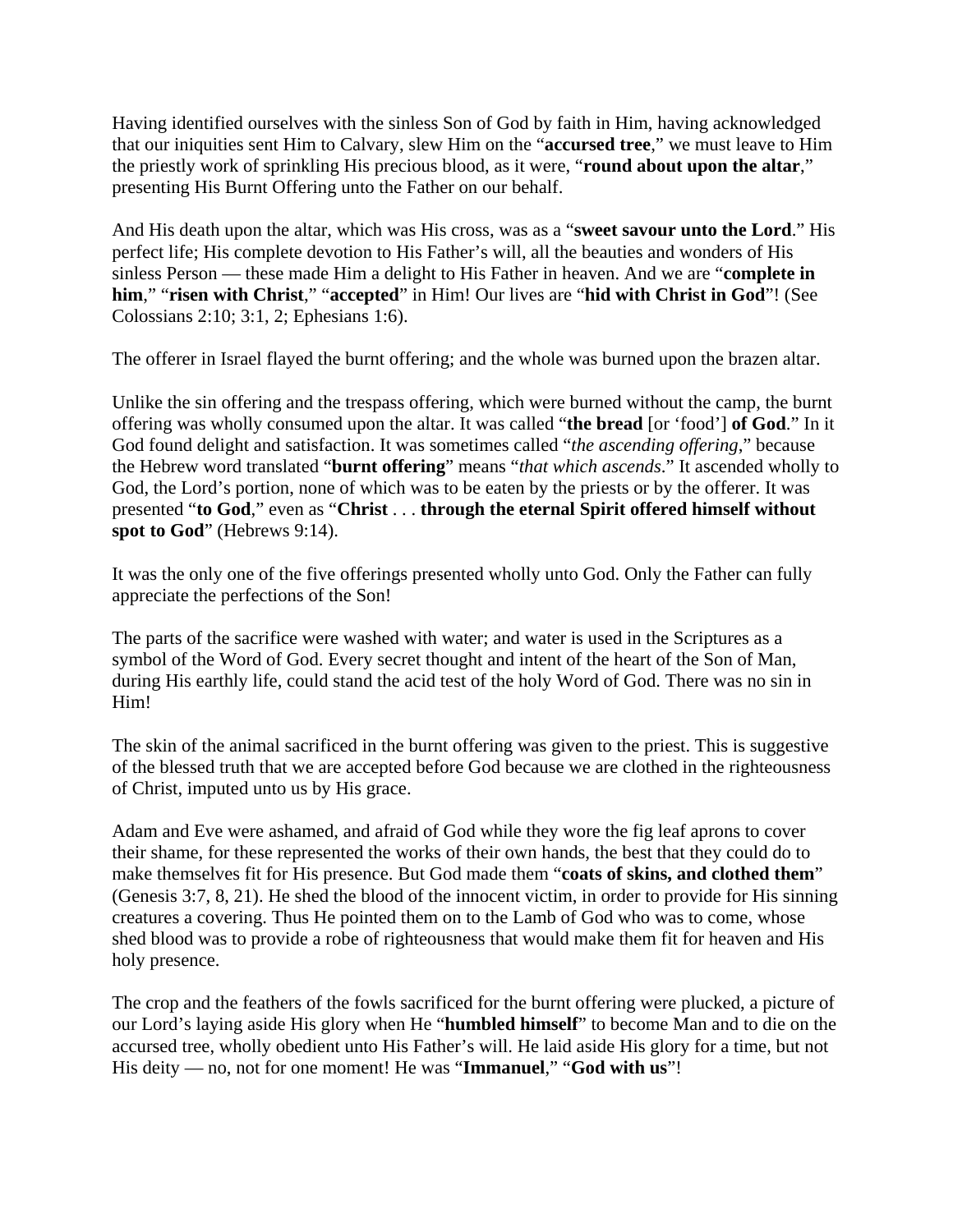Having identified ourselves with the sinless Son of God by faith in Him, having acknowledged that our iniquities sent Him to Calvary, slew Him on the "**accursed tree**," we must leave to Him the priestly work of sprinkling His precious blood, as it were, "**round about upon the altar**," presenting His Burnt Offering unto the Father on our behalf.

And His death upon the altar, which was His cross, was as a "**sweet savour unto the Lord**." His perfect life; His complete devotion to His Father's will, all the beauties and wonders of His sinless Person — these made Him a delight to His Father in heaven. And we are "**complete in him**," "**risen with Christ**," "**accepted**" in Him! Our lives are "**hid with Christ in God**"! (See Colossians 2:10; 3:1, 2; Ephesians 1:6).

The offerer in Israel flayed the burnt offering; and the whole was burned upon the brazen altar.

Unlike the sin offering and the trespass offering, which were burned without the camp, the burnt offering was wholly consumed upon the altar. It was called "**the bread** [or 'food'] **of God**." In it God found delight and satisfaction. It was sometimes called "*the ascending offering*," because the Hebrew word translated "**burnt offering**" means "*that which ascends*." It ascended wholly to God, the Lord's portion, none of which was to be eaten by the priests or by the offerer. It was presented "**to God**," even as "**Christ** . . . **through the eternal Spirit offered himself without spot to God**" (Hebrews 9:14).

It was the only one of the five offerings presented wholly unto God. Only the Father can fully appreciate the perfections of the Son!

The parts of the sacrifice were washed with water; and water is used in the Scriptures as a symbol of the Word of God. Every secret thought and intent of the heart of the Son of Man, during His earthly life, could stand the acid test of the holy Word of God. There was no sin in Him!

The skin of the animal sacrificed in the burnt offering was given to the priest. This is suggestive of the blessed truth that we are accepted before God because we are clothed in the righteousness of Christ, imputed unto us by His grace.

Adam and Eve were ashamed, and afraid of God while they wore the fig leaf aprons to cover their shame, for these represented the works of their own hands, the best that they could do to make themselves fit for His presence. But God made them "**coats of skins, and clothed them**" (Genesis 3:7, 8, 21). He shed the blood of the innocent victim, in order to provide for His sinning creatures a covering. Thus He pointed them on to the Lamb of God who was to come, whose shed blood was to provide a robe of righteousness that would make them fit for heaven and His holy presence.

The crop and the feathers of the fowls sacrificed for the burnt offering were plucked, a picture of our Lord's laying aside His glory when He "**humbled himself**" to become Man and to die on the accursed tree, wholly obedient unto His Father's will. He laid aside His glory for a time, but not His deity — no, not for one moment! He was "**Immanuel**," "**God with us**"!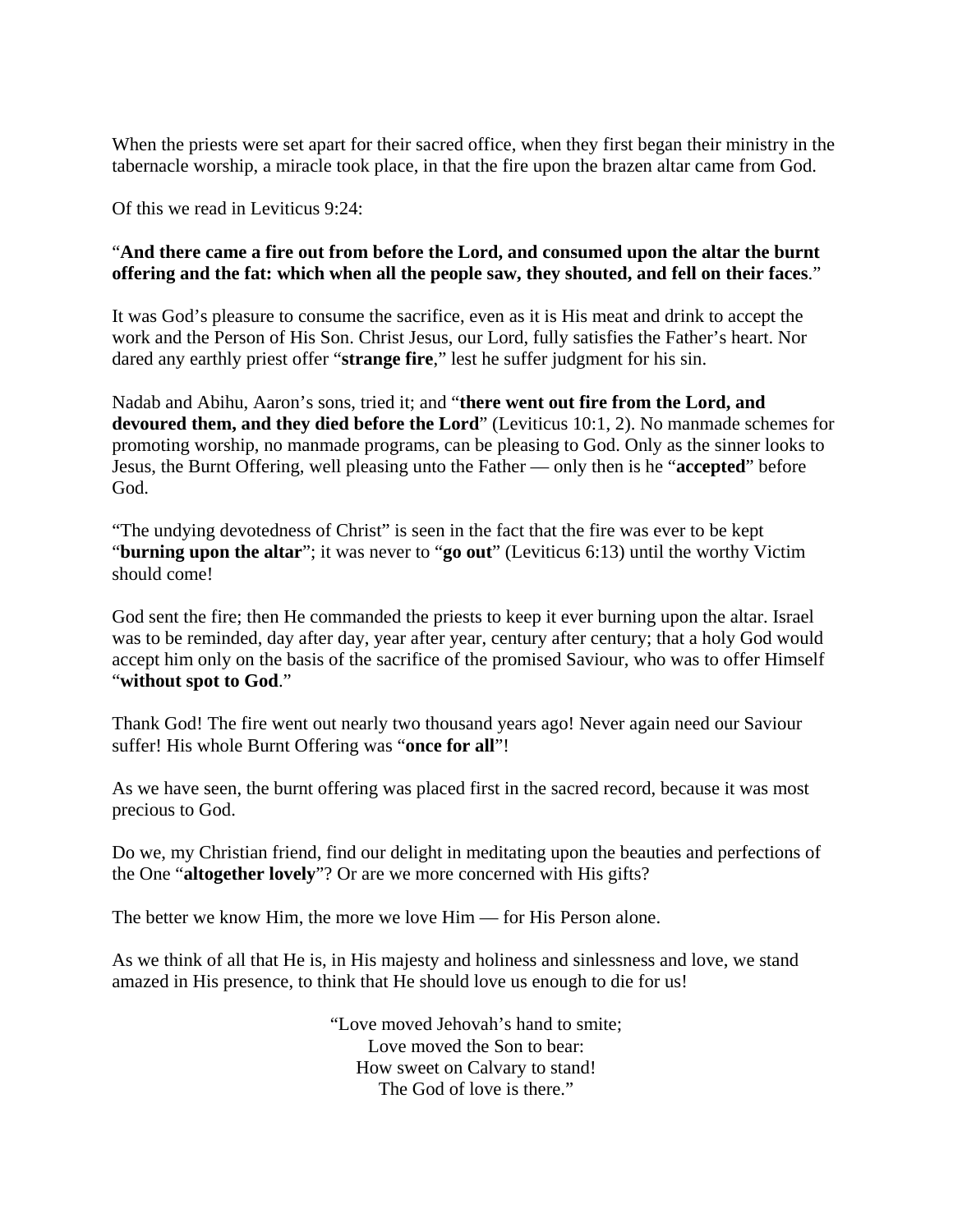When the priests were set apart for their sacred office, when they first began their ministry in the tabernacle worship, a miracle took place, in that the fire upon the brazen altar came from God.

Of this we read in Leviticus 9:24:

## "**And there came a fire out from before the Lord, and consumed upon the altar the burnt offering and the fat: which when all the people saw, they shouted, and fell on their faces**."

It was God's pleasure to consume the sacrifice, even as it is His meat and drink to accept the work and the Person of His Son. Christ Jesus, our Lord, fully satisfies the Father's heart. Nor dared any earthly priest offer "**strange fire**," lest he suffer judgment for his sin.

Nadab and Abihu, Aaron's sons, tried it; and "**there went out fire from the Lord, and devoured them, and they died before the Lord**" (Leviticus 10:1, 2). No manmade schemes for promoting worship, no manmade programs, can be pleasing to God. Only as the sinner looks to Jesus, the Burnt Offering, well pleasing unto the Father — only then is he "**accepted**" before God.

"The undying devotedness of Christ" is seen in the fact that the fire was ever to be kept "**burning upon the altar**"; it was never to "**go out**" (Leviticus 6:13) until the worthy Victim should come!

God sent the fire; then He commanded the priests to keep it ever burning upon the altar. Israel was to be reminded, day after day, year after year, century after century; that a holy God would accept him only on the basis of the sacrifice of the promised Saviour, who was to offer Himself "**without spot to God**."

Thank God! The fire went out nearly two thousand years ago! Never again need our Saviour suffer! His whole Burnt Offering was "**once for all**"!

As we have seen, the burnt offering was placed first in the sacred record, because it was most precious to God.

Do we, my Christian friend, find our delight in meditating upon the beauties and perfections of the One "**altogether lovely**"? Or are we more concerned with His gifts?

The better we know Him, the more we love Him — for His Person alone.

As we think of all that He is, in His majesty and holiness and sinlessness and love, we stand amazed in His presence, to think that He should love us enough to die for us!

> "Love moved Jehovah's hand to smite; Love moved the Son to bear: How sweet on Calvary to stand! The God of love is there."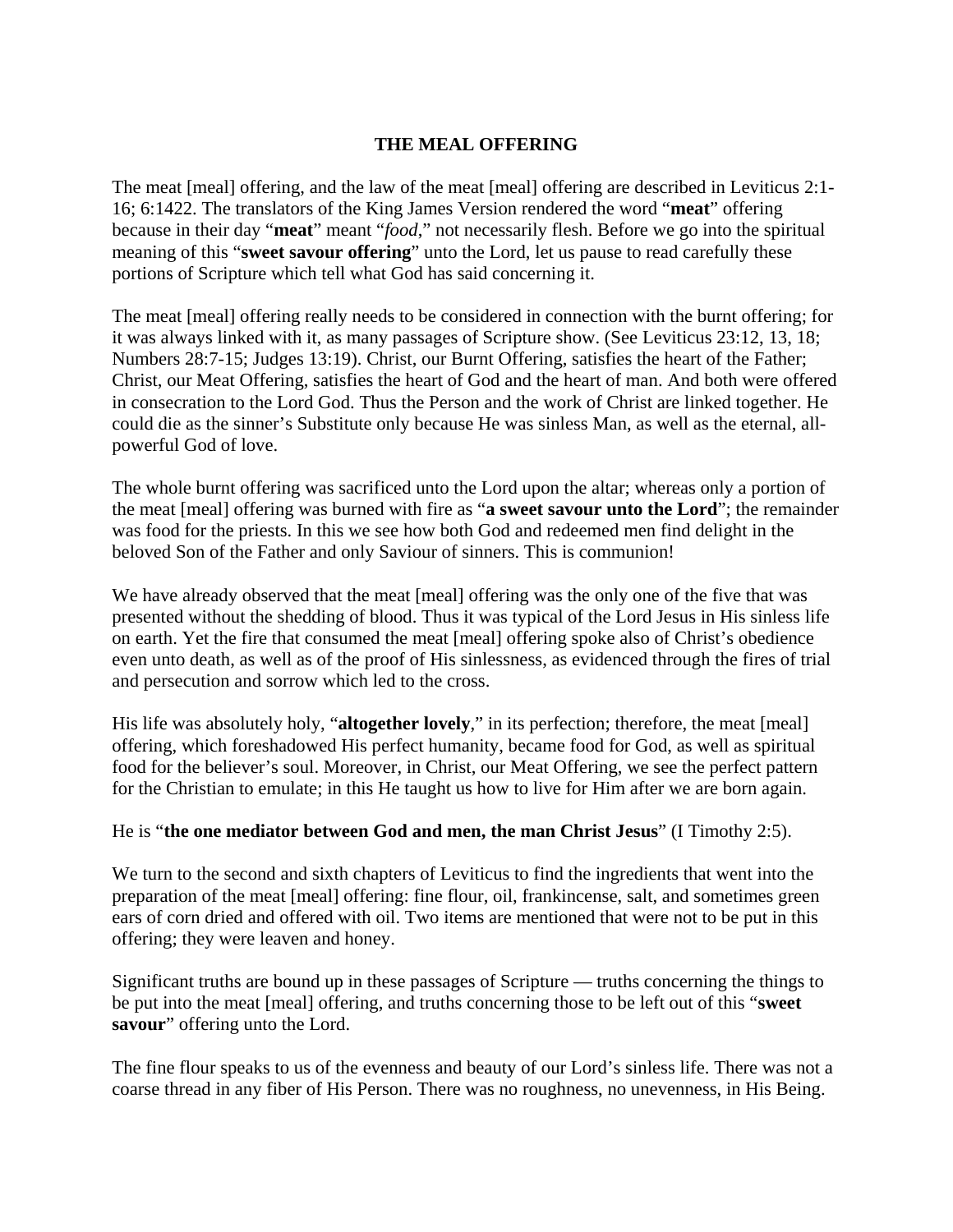#### **THE MEAL OFFERING**

The meat [meal] offering, and the law of the meat [meal] offering are described in Leviticus 2:1- 16; 6:1422. The translators of the King James Version rendered the word "**meat**" offering because in their day "**meat**" meant "*food*," not necessarily flesh. Before we go into the spiritual meaning of this "**sweet savour offering**" unto the Lord, let us pause to read carefully these portions of Scripture which tell what God has said concerning it.

The meat [meal] offering really needs to be considered in connection with the burnt offering; for it was always linked with it, as many passages of Scripture show. (See Leviticus 23:12, 13, 18; Numbers 28:7-15; Judges 13:19). Christ, our Burnt Offering, satisfies the heart of the Father; Christ, our Meat Offering, satisfies the heart of God and the heart of man. And both were offered in consecration to the Lord God. Thus the Person and the work of Christ are linked together. He could die as the sinner's Substitute only because He was sinless Man, as well as the eternal, allpowerful God of love.

The whole burnt offering was sacrificed unto the Lord upon the altar; whereas only a portion of the meat [meal] offering was burned with fire as "**a sweet savour unto the Lord**"; the remainder was food for the priests. In this we see how both God and redeemed men find delight in the beloved Son of the Father and only Saviour of sinners. This is communion!

We have already observed that the meat [meal] offering was the only one of the five that was presented without the shedding of blood. Thus it was typical of the Lord Jesus in His sinless life on earth. Yet the fire that consumed the meat [meal] offering spoke also of Christ's obedience even unto death, as well as of the proof of His sinlessness, as evidenced through the fires of trial and persecution and sorrow which led to the cross.

His life was absolutely holy, "**altogether lovely**," in its perfection; therefore, the meat [meal] offering, which foreshadowed His perfect humanity, became food for God, as well as spiritual food for the believer's soul. Moreover, in Christ, our Meat Offering, we see the perfect pattern for the Christian to emulate; in this He taught us how to live for Him after we are born again.

#### He is "**the one mediator between God and men, the man Christ Jesus**" (I Timothy 2:5).

We turn to the second and sixth chapters of Leviticus to find the ingredients that went into the preparation of the meat [meal] offering: fine flour, oil, frankincense, salt, and sometimes green ears of corn dried and offered with oil. Two items are mentioned that were not to be put in this offering; they were leaven and honey.

Significant truths are bound up in these passages of Scripture — truths concerning the things to be put into the meat [meal] offering, and truths concerning those to be left out of this "**sweet savour**" offering unto the Lord.

The fine flour speaks to us of the evenness and beauty of our Lord's sinless life. There was not a coarse thread in any fiber of His Person. There was no roughness, no unevenness, in His Being.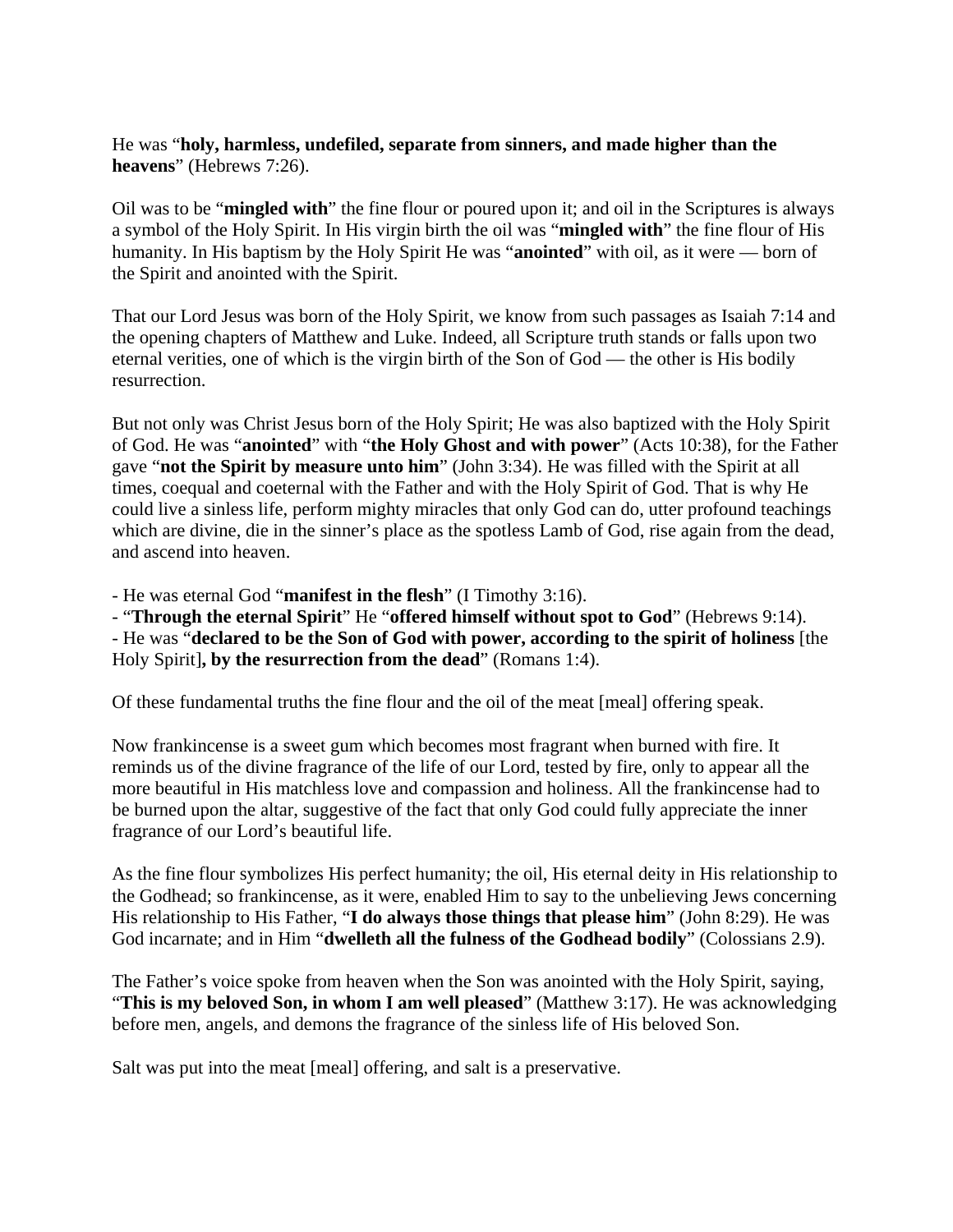## He was "**holy, harmless, undefiled, separate from sinners, and made higher than the heavens**" (Hebrews 7:26).

Oil was to be "**mingled with**" the fine flour or poured upon it; and oil in the Scriptures is always a symbol of the Holy Spirit. In His virgin birth the oil was "**mingled with**" the fine flour of His humanity. In His baptism by the Holy Spirit He was "**anointed**" with oil, as it were — born of the Spirit and anointed with the Spirit.

That our Lord Jesus was born of the Holy Spirit, we know from such passages as Isaiah 7:14 and the opening chapters of Matthew and Luke. Indeed, all Scripture truth stands or falls upon two eternal verities, one of which is the virgin birth of the Son of God — the other is His bodily resurrection.

But not only was Christ Jesus born of the Holy Spirit; He was also baptized with the Holy Spirit of God. He was "**anointed**" with "**the Holy Ghost and with power**" (Acts 10:38), for the Father gave "**not the Spirit by measure unto him**" (John 3:34). He was filled with the Spirit at all times, coequal and coeternal with the Father and with the Holy Spirit of God. That is why He could live a sinless life, perform mighty miracles that only God can do, utter profound teachings which are divine, die in the sinner's place as the spotless Lamb of God, rise again from the dead, and ascend into heaven.

- He was eternal God "**manifest in the flesh**" (I Timothy 3:16).

- "**Through the eternal Spirit**" He "**offered himself without spot to God**" (Hebrews 9:14). - He was "**declared to be the Son of God with power, according to the spirit of holiness** [the Holy Spirit]**, by the resurrection from the dead**" (Romans 1:4).

Of these fundamental truths the fine flour and the oil of the meat [meal] offering speak.

Now frankincense is a sweet gum which becomes most fragrant when burned with fire. It reminds us of the divine fragrance of the life of our Lord, tested by fire, only to appear all the more beautiful in His matchless love and compassion and holiness. All the frankincense had to be burned upon the altar, suggestive of the fact that only God could fully appreciate the inner fragrance of our Lord's beautiful life.

As the fine flour symbolizes His perfect humanity; the oil, His eternal deity in His relationship to the Godhead; so frankincense, as it were, enabled Him to say to the unbelieving Jews concerning His relationship to His Father, "**I do always those things that please him**" (John 8:29). He was God incarnate; and in Him "**dwelleth all the fulness of the Godhead bodily**" (Colossians 2.9).

The Father's voice spoke from heaven when the Son was anointed with the Holy Spirit, saying, "**This is my beloved Son, in whom I am well pleased**" (Matthew 3:17). He was acknowledging before men, angels, and demons the fragrance of the sinless life of His beloved Son.

Salt was put into the meat [meal] offering, and salt is a preservative.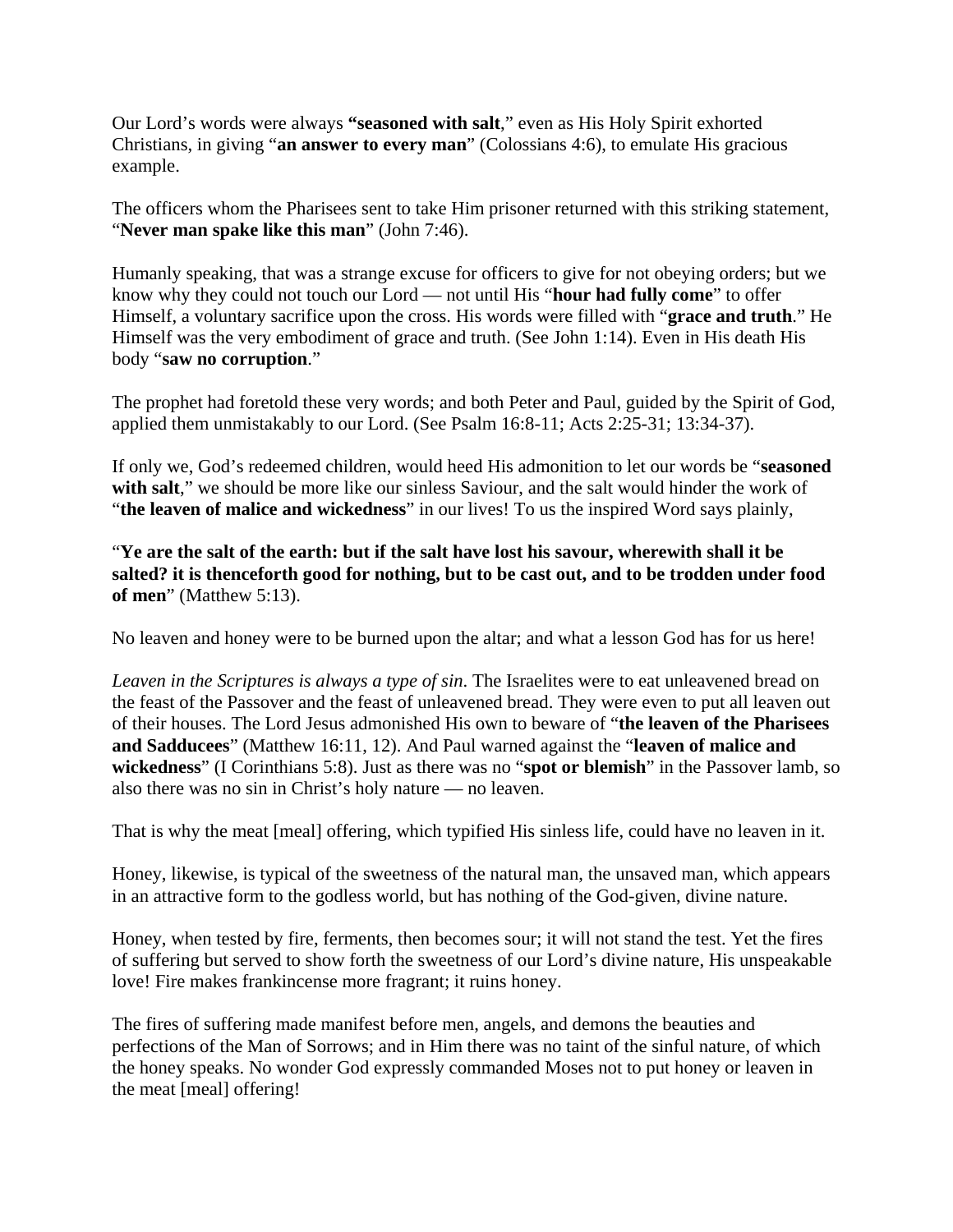Our Lord's words were always **"seasoned with salt**," even as His Holy Spirit exhorted Christians, in giving "**an answer to every man**" (Colossians 4:6), to emulate His gracious example.

The officers whom the Pharisees sent to take Him prisoner returned with this striking statement, "**Never man spake like this man**" (John 7:46).

Humanly speaking, that was a strange excuse for officers to give for not obeying orders; but we know why they could not touch our Lord — not until His "**hour had fully come**" to offer Himself, a voluntary sacrifice upon the cross. His words were filled with "**grace and truth**." He Himself was the very embodiment of grace and truth. (See John 1:14). Even in His death His body "**saw no corruption**."

The prophet had foretold these very words; and both Peter and Paul, guided by the Spirit of God, applied them unmistakably to our Lord. (See Psalm 16:8-11; Acts 2:25-31; 13:34-37).

If only we, God's redeemed children, would heed His admonition to let our words be "**seasoned**  with salt," we should be more like our sinless Saviour, and the salt would hinder the work of "**the leaven of malice and wickedness**" in our lives! To us the inspired Word says plainly,

"**Ye are the salt of the earth: but if the salt have lost his savour, wherewith shall it be salted? it is thenceforth good for nothing, but to be cast out, and to be trodden under food of men**" (Matthew 5:13).

No leaven and honey were to be burned upon the altar; and what a lesson God has for us here!

*Leaven in the Scriptures is always a type of sin*. The Israelites were to eat unleavened bread on the feast of the Passover and the feast of unleavened bread. They were even to put all leaven out of their houses. The Lord Jesus admonished His own to beware of "**the leaven of the Pharisees and Sadducees**" (Matthew 16:11, 12). And Paul warned against the "**leaven of malice and wickedness**" (I Corinthians 5:8). Just as there was no "**spot or blemish**" in the Passover lamb, so also there was no sin in Christ's holy nature — no leaven.

That is why the meat [meal] offering, which typified His sinless life, could have no leaven in it.

Honey, likewise, is typical of the sweetness of the natural man, the unsaved man, which appears in an attractive form to the godless world, but has nothing of the God-given, divine nature.

Honey, when tested by fire, ferments, then becomes sour; it will not stand the test. Yet the fires of suffering but served to show forth the sweetness of our Lord's divine nature, His unspeakable love! Fire makes frankincense more fragrant; it ruins honey.

The fires of suffering made manifest before men, angels, and demons the beauties and perfections of the Man of Sorrows; and in Him there was no taint of the sinful nature, of which the honey speaks. No wonder God expressly commanded Moses not to put honey or leaven in the meat [meal] offering!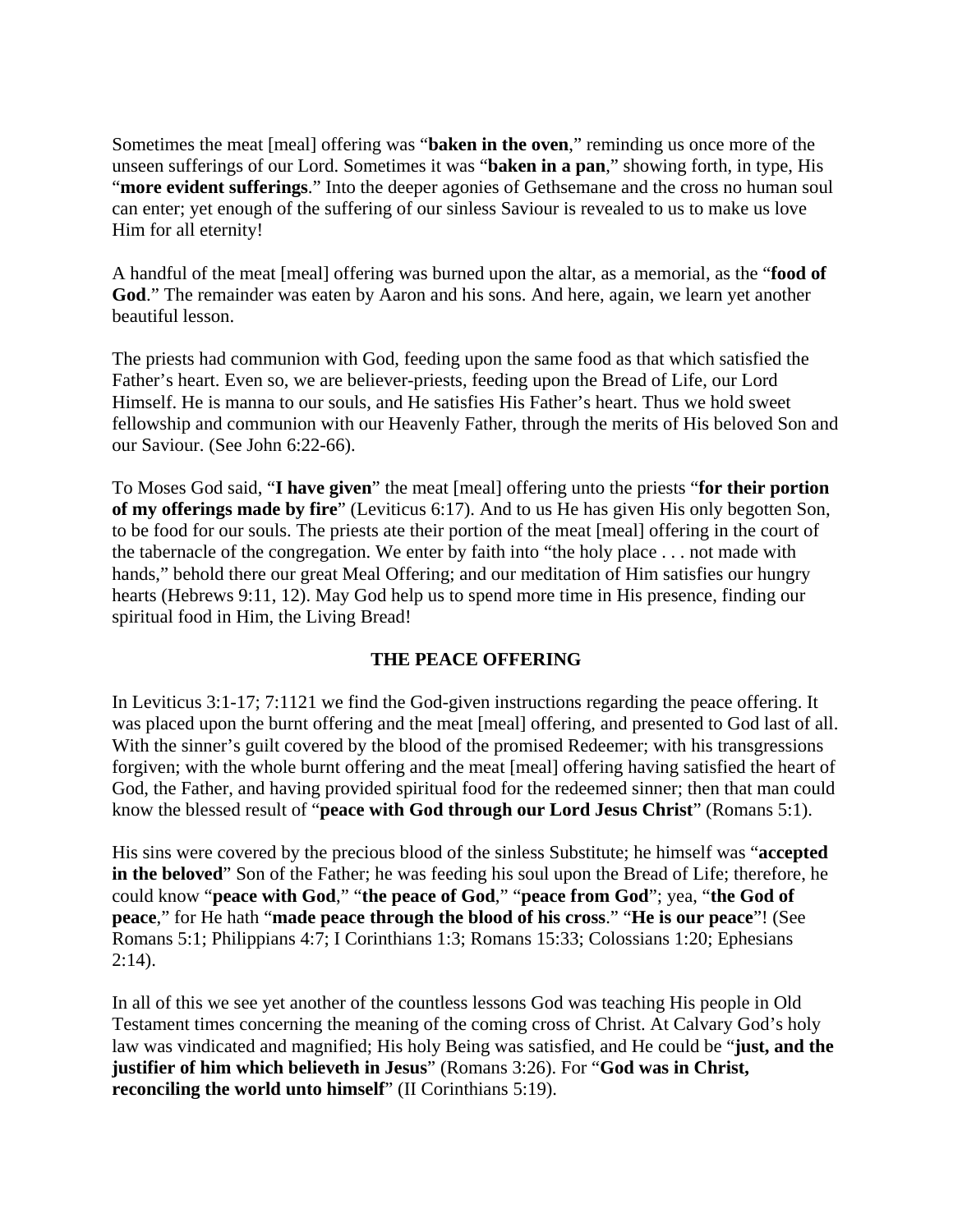Sometimes the meat [meal] offering was "**baken in the oven**," reminding us once more of the unseen sufferings of our Lord. Sometimes it was "**baken in a pan**," showing forth, in type, His "**more evident sufferings**." Into the deeper agonies of Gethsemane and the cross no human soul can enter; yet enough of the suffering of our sinless Saviour is revealed to us to make us love Him for all eternity!

A handful of the meat [meal] offering was burned upon the altar, as a memorial, as the "**food of God**." The remainder was eaten by Aaron and his sons. And here, again, we learn yet another beautiful lesson.

The priests had communion with God, feeding upon the same food as that which satisfied the Father's heart. Even so, we are believer-priests, feeding upon the Bread of Life, our Lord Himself. He is manna to our souls, and He satisfies His Father's heart. Thus we hold sweet fellowship and communion with our Heavenly Father, through the merits of His beloved Son and our Saviour. (See John 6:22-66).

To Moses God said, "**I have given**" the meat [meal] offering unto the priests "**for their portion of my offerings made by fire**" (Leviticus 6:17). And to us He has given His only begotten Son, to be food for our souls. The priests ate their portion of the meat [meal] offering in the court of the tabernacle of the congregation. We enter by faith into "the holy place . . . not made with hands," behold there our great Meal Offering; and our meditation of Him satisfies our hungry hearts (Hebrews 9:11, 12). May God help us to spend more time in His presence, finding our spiritual food in Him, the Living Bread!

#### **THE PEACE OFFERING**

In Leviticus 3:1-17; 7:1121 we find the God-given instructions regarding the peace offering. It was placed upon the burnt offering and the meat [meal] offering, and presented to God last of all. With the sinner's guilt covered by the blood of the promised Redeemer; with his transgressions forgiven; with the whole burnt offering and the meat [meal] offering having satisfied the heart of God, the Father, and having provided spiritual food for the redeemed sinner; then that man could know the blessed result of "**peace with God through our Lord Jesus Christ**" (Romans 5:1).

His sins were covered by the precious blood of the sinless Substitute; he himself was "**accepted in the beloved**" Son of the Father; he was feeding his soul upon the Bread of Life; therefore, he could know "**peace with God**," "**the peace of God**," "**peace from God**"; yea, "**the God of peace**," for He hath "**made peace through the blood of his cross**." "**He is our peace**"! (See Romans 5:1; Philippians 4:7; I Corinthians 1:3; Romans 15:33; Colossians 1:20; Ephesians  $2:14$ ).

In all of this we see yet another of the countless lessons God was teaching His people in Old Testament times concerning the meaning of the coming cross of Christ. At Calvary God's holy law was vindicated and magnified; His holy Being was satisfied, and He could be "**just, and the justifier of him which believeth in Jesus**" (Romans 3:26). For "**God was in Christ, reconciling the world unto himself**" (II Corinthians 5:19).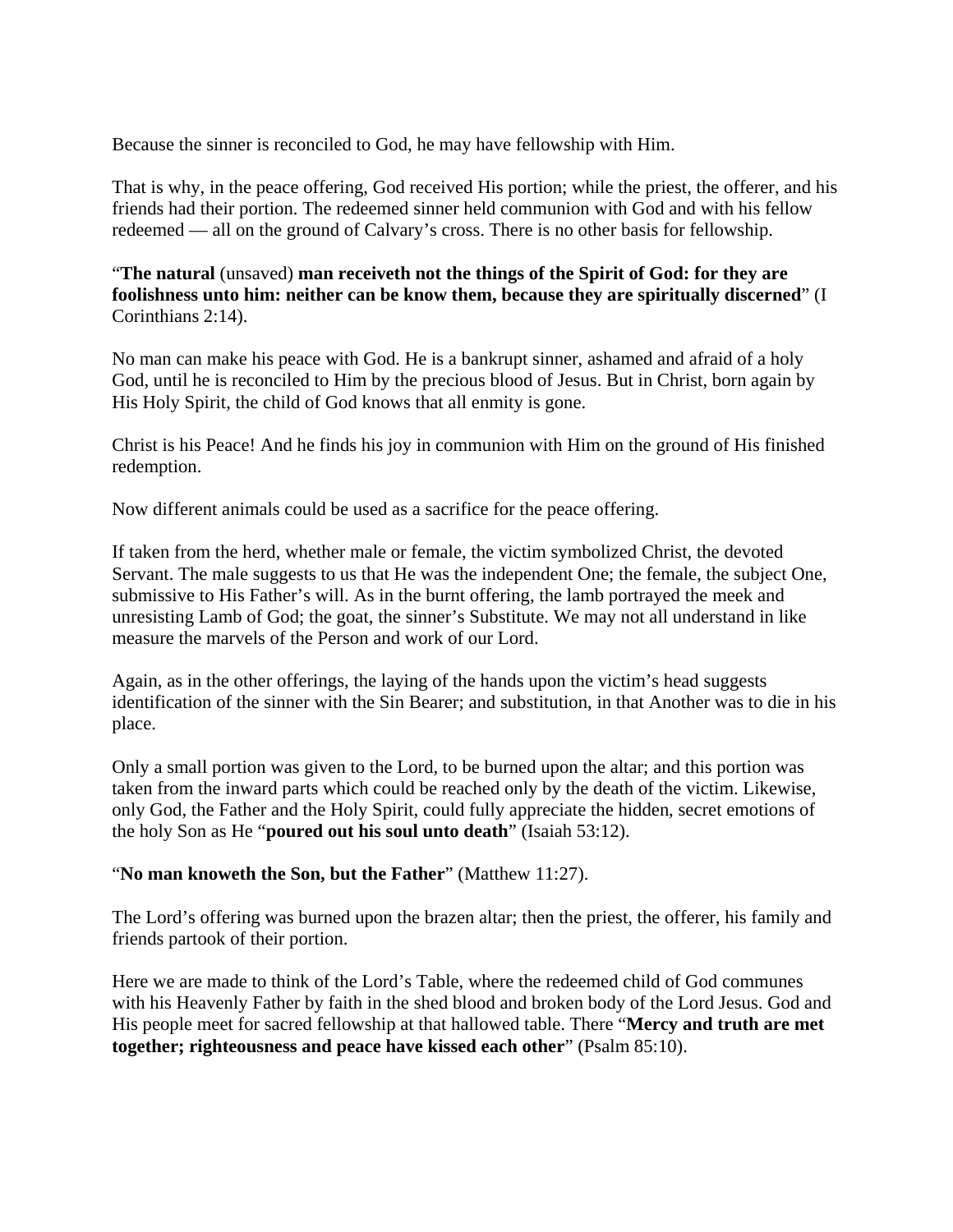Because the sinner is reconciled to God, he may have fellowship with Him.

That is why, in the peace offering, God received His portion; while the priest, the offerer, and his friends had their portion. The redeemed sinner held communion with God and with his fellow redeemed — all on the ground of Calvary's cross. There is no other basis for fellowship.

"**The natural** (unsaved) **man receiveth not the things of the Spirit of God: for they are foolishness unto him: neither can be know them, because they are spiritually discerned**" (I Corinthians 2:14).

No man can make his peace with God. He is a bankrupt sinner, ashamed and afraid of a holy God, until he is reconciled to Him by the precious blood of Jesus. But in Christ, born again by His Holy Spirit, the child of God knows that all enmity is gone.

Christ is his Peace! And he finds his joy in communion with Him on the ground of His finished redemption.

Now different animals could be used as a sacrifice for the peace offering.

If taken from the herd, whether male or female, the victim symbolized Christ, the devoted Servant. The male suggests to us that He was the independent One; the female, the subject One, submissive to His Father's will. As in the burnt offering, the lamb portrayed the meek and unresisting Lamb of God; the goat, the sinner's Substitute. We may not all understand in like measure the marvels of the Person and work of our Lord.

Again, as in the other offerings, the laying of the hands upon the victim's head suggests identification of the sinner with the Sin Bearer; and substitution, in that Another was to die in his place.

Only a small portion was given to the Lord, to be burned upon the altar; and this portion was taken from the inward parts which could be reached only by the death of the victim. Likewise, only God, the Father and the Holy Spirit, could fully appreciate the hidden, secret emotions of the holy Son as He "**poured out his soul unto death**" (Isaiah 53:12).

## "**No man knoweth the Son, but the Father**" (Matthew 11:27).

The Lord's offering was burned upon the brazen altar; then the priest, the offerer, his family and friends partook of their portion.

Here we are made to think of the Lord's Table, where the redeemed child of God communes with his Heavenly Father by faith in the shed blood and broken body of the Lord Jesus. God and His people meet for sacred fellowship at that hallowed table. There "**Mercy and truth are met together; righteousness and peace have kissed each other**" (Psalm 85:10).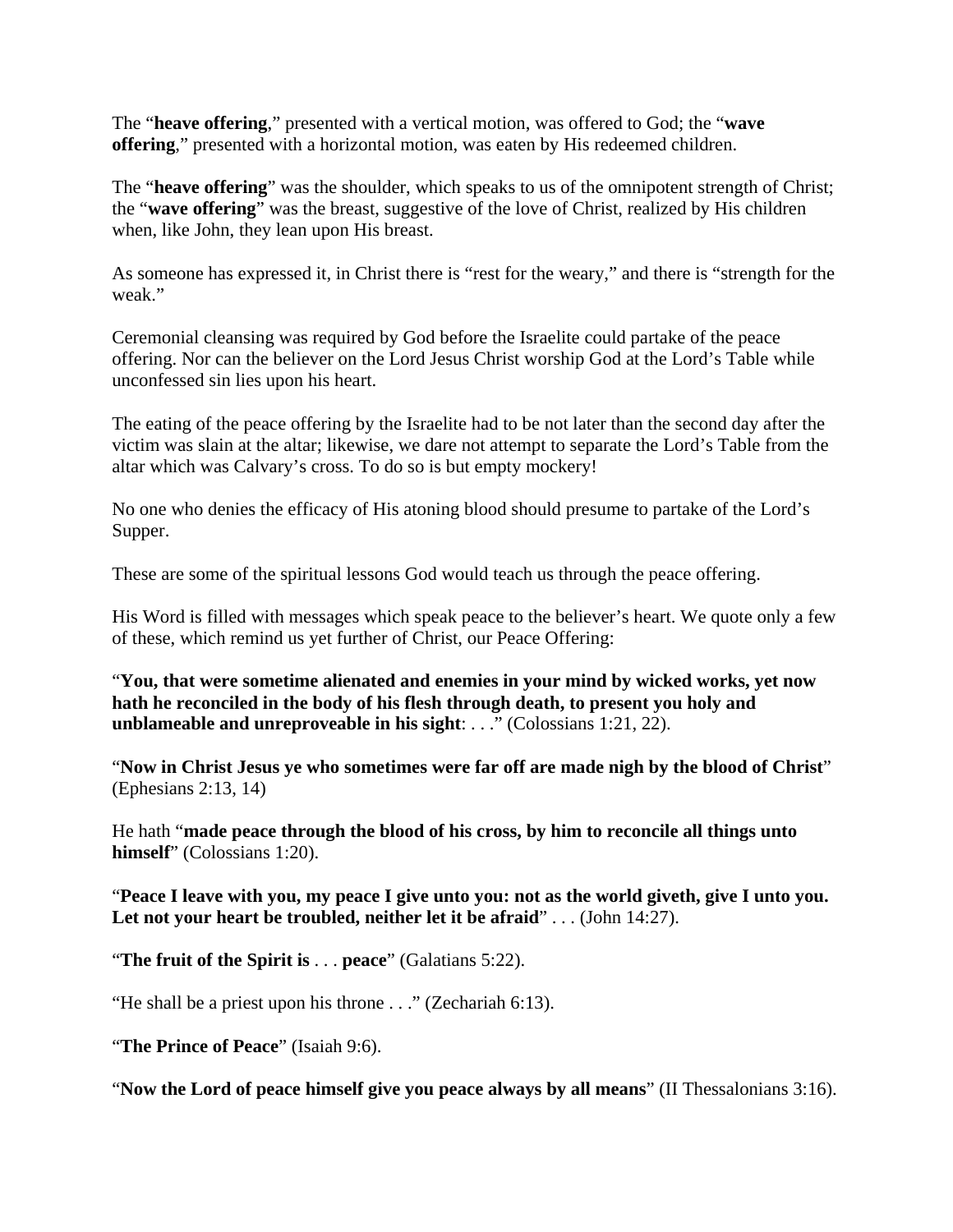The "**heave offering**," presented with a vertical motion, was offered to God; the "**wave offering**," presented with a horizontal motion, was eaten by His redeemed children.

The "**heave offering**" was the shoulder, which speaks to us of the omnipotent strength of Christ; the "**wave offering**" was the breast, suggestive of the love of Christ, realized by His children when, like John, they lean upon His breast.

As someone has expressed it, in Christ there is "rest for the weary," and there is "strength for the weak."

Ceremonial cleansing was required by God before the Israelite could partake of the peace offering. Nor can the believer on the Lord Jesus Christ worship God at the Lord's Table while unconfessed sin lies upon his heart.

The eating of the peace offering by the Israelite had to be not later than the second day after the victim was slain at the altar; likewise, we dare not attempt to separate the Lord's Table from the altar which was Calvary's cross. To do so is but empty mockery!

No one who denies the efficacy of His atoning blood should presume to partake of the Lord's Supper.

These are some of the spiritual lessons God would teach us through the peace offering.

His Word is filled with messages which speak peace to the believer's heart. We quote only a few of these, which remind us yet further of Christ, our Peace Offering:

"**You, that were sometime alienated and enemies in your mind by wicked works, yet now hath he reconciled in the body of his flesh through death, to present you holy and unblameable and unreproveable in his sight**: . . ." (Colossians 1:21, 22).

"**Now in Christ Jesus ye who sometimes were far off are made nigh by the blood of Christ**" (Ephesians 2:13, 14)

He hath "**made peace through the blood of his cross, by him to reconcile all things unto himself**" (Colossians 1:20).

"**Peace I leave with you, my peace I give unto you: not as the world giveth, give I unto you. Let not your heart be troubled, neither let it be afraid**" . . . (John 14:27).

"**The fruit of the Spirit is** . . . **peace**" (Galatians 5:22).

"He shall be a priest upon his throne . . ." (Zechariah 6:13).

"**The Prince of Peace**" (Isaiah 9:6).

"**Now the Lord of peace himself give you peace always by all means**" (II Thessalonians 3:16).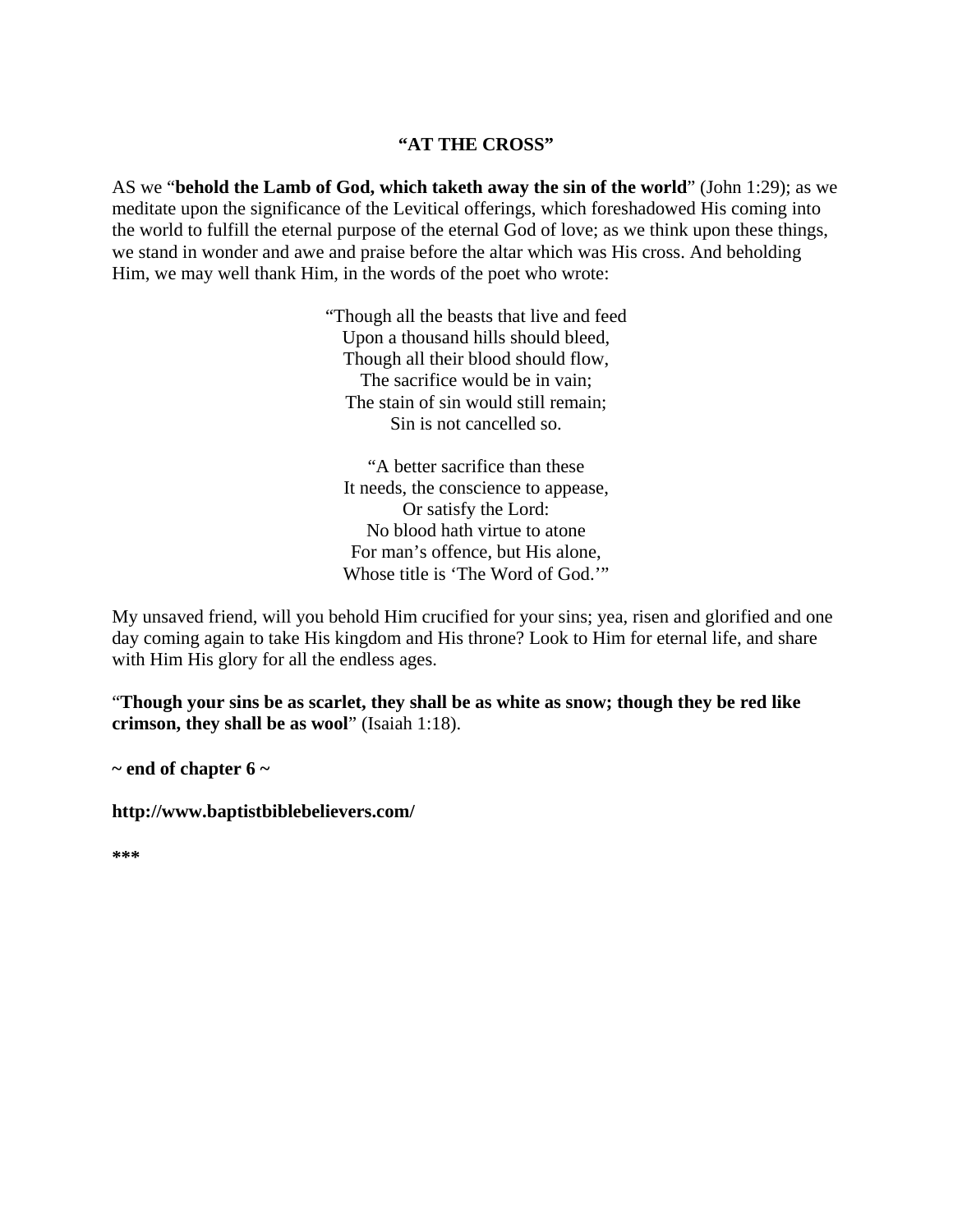#### **"AT THE CROSS"**

AS we "**behold the Lamb of God, which taketh away the sin of the world**" (John 1:29); as we meditate upon the significance of the Levitical offerings, which foreshadowed His coming into the world to fulfill the eternal purpose of the eternal God of love; as we think upon these things, we stand in wonder and awe and praise before the altar which was His cross. And beholding Him, we may well thank Him, in the words of the poet who wrote:

> "Though all the beasts that live and feed Upon a thousand hills should bleed, Though all their blood should flow, The sacrifice would be in vain; The stain of sin would still remain; Sin is not cancelled so.

"A better sacrifice than these It needs, the conscience to appease, Or satisfy the Lord: No blood hath virtue to atone For man's offence, but His alone, Whose title is 'The Word of God.'"

My unsaved friend, will you behold Him crucified for your sins; yea, risen and glorified and one day coming again to take His kingdom and His throne? Look to Him for eternal life, and share with Him His glory for all the endless ages.

"**Though your sins be as scarlet, they shall be as white as snow; though they be red like crimson, they shall be as wool**" (Isaiah 1:18).

**~ end of chapter 6 ~** 

**http://www.baptistbiblebelievers.com/** 

**\*\*\***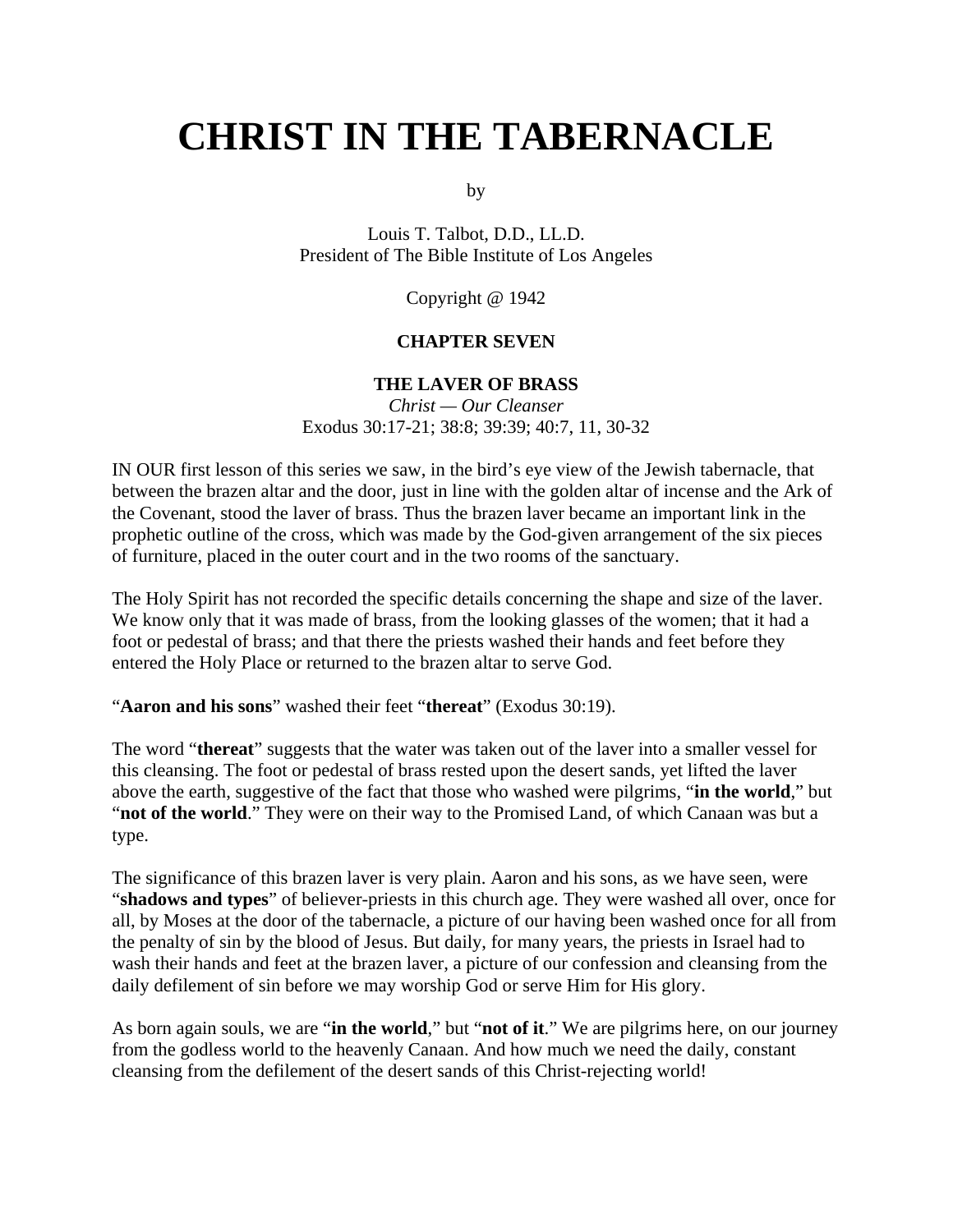# **CHRIST IN THE TABERNACLE**

by

Louis T. Talbot, D.D., LL.D. President of The Bible Institute of Los Angeles

Copyright @ 1942

#### **CHAPTER SEVEN**

#### **THE LAVER OF BRASS**

*Christ — Our Cleanser* Exodus 30:17-21; 38:8; 39:39; 40:7, 11, 30-32

IN OUR first lesson of this series we saw, in the bird's eye view of the Jewish tabernacle, that between the brazen altar and the door, just in line with the golden altar of incense and the Ark of the Covenant, stood the laver of brass. Thus the brazen laver became an important link in the prophetic outline of the cross, which was made by the God-given arrangement of the six pieces of furniture, placed in the outer court and in the two rooms of the sanctuary.

The Holy Spirit has not recorded the specific details concerning the shape and size of the laver. We know only that it was made of brass, from the looking glasses of the women; that it had a foot or pedestal of brass; and that there the priests washed their hands and feet before they entered the Holy Place or returned to the brazen altar to serve God.

"**Aaron and his sons**" washed their feet "**thereat**" (Exodus 30:19).

The word "**thereat**" suggests that the water was taken out of the laver into a smaller vessel for this cleansing. The foot or pedestal of brass rested upon the desert sands, yet lifted the laver above the earth, suggestive of the fact that those who washed were pilgrims, "**in the world**," but "**not of the world**." They were on their way to the Promised Land, of which Canaan was but a type.

The significance of this brazen laver is very plain. Aaron and his sons, as we have seen, were "**shadows and types**" of believer-priests in this church age. They were washed all over, once for all, by Moses at the door of the tabernacle, a picture of our having been washed once for all from the penalty of sin by the blood of Jesus. But daily, for many years, the priests in Israel had to wash their hands and feet at the brazen laver, a picture of our confession and cleansing from the daily defilement of sin before we may worship God or serve Him for His glory.

As born again souls, we are "**in the world**," but "**not of it**." We are pilgrims here, on our journey from the godless world to the heavenly Canaan. And how much we need the daily, constant cleansing from the defilement of the desert sands of this Christ-rejecting world!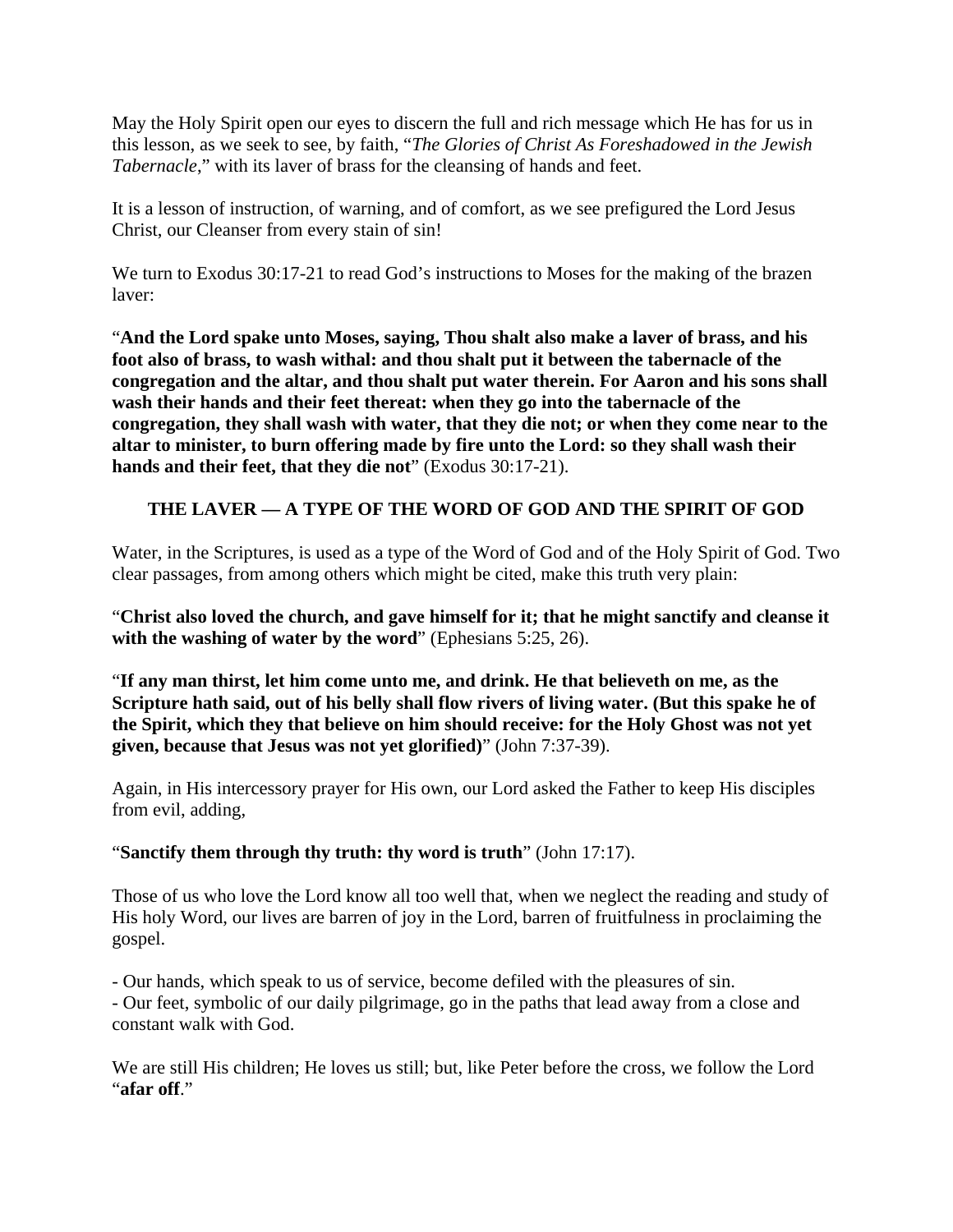May the Holy Spirit open our eyes to discern the full and rich message which He has for us in this lesson, as we seek to see, by faith, "*The Glories of Christ As Foreshadowed in the Jewish Tabernacle*," with its laver of brass for the cleansing of hands and feet.

It is a lesson of instruction, of warning, and of comfort, as we see prefigured the Lord Jesus Christ, our Cleanser from every stain of sin!

We turn to Exodus 30:17-21 to read God's instructions to Moses for the making of the brazen laver:

"**And the Lord spake unto Moses, saying, Thou shalt also make a laver of brass, and his foot also of brass, to wash withal: and thou shalt put it between the tabernacle of the congregation and the altar, and thou shalt put water therein. For Aaron and his sons shall wash their hands and their feet thereat: when they go into the tabernacle of the congregation, they shall wash with water, that they die not; or when they come near to the altar to minister, to burn offering made by fire unto the Lord: so they shall wash their hands and their feet, that they die not**" (Exodus 30:17-21).

# **THE LAVER — A TYPE OF THE WORD OF GOD AND THE SPIRIT OF GOD**

Water, in the Scriptures, is used as a type of the Word of God and of the Holy Spirit of God. Two clear passages, from among others which might be cited, make this truth very plain:

"**Christ also loved the church, and gave himself for it; that he might sanctify and cleanse it with the washing of water by the word**" (Ephesians 5:25, 26).

"**If any man thirst, let him come unto me, and drink. He that believeth on me, as the Scripture hath said, out of his belly shall flow rivers of living water. (But this spake he of the Spirit, which they that believe on him should receive: for the Holy Ghost was not yet given, because that Jesus was not yet glorified)**" (John 7:37-39).

Again, in His intercessory prayer for His own, our Lord asked the Father to keep His disciples from evil, adding,

## "**Sanctify them through thy truth: thy word is truth**" (John 17:17).

Those of us who love the Lord know all too well that, when we neglect the reading and study of His holy Word, our lives are barren of joy in the Lord, barren of fruitfulness in proclaiming the gospel.

- Our hands, which speak to us of service, become defiled with the pleasures of sin.

- Our feet, symbolic of our daily pilgrimage, go in the paths that lead away from a close and constant walk with God.

We are still His children; He loves us still; but, like Peter before the cross, we follow the Lord "**afar off**."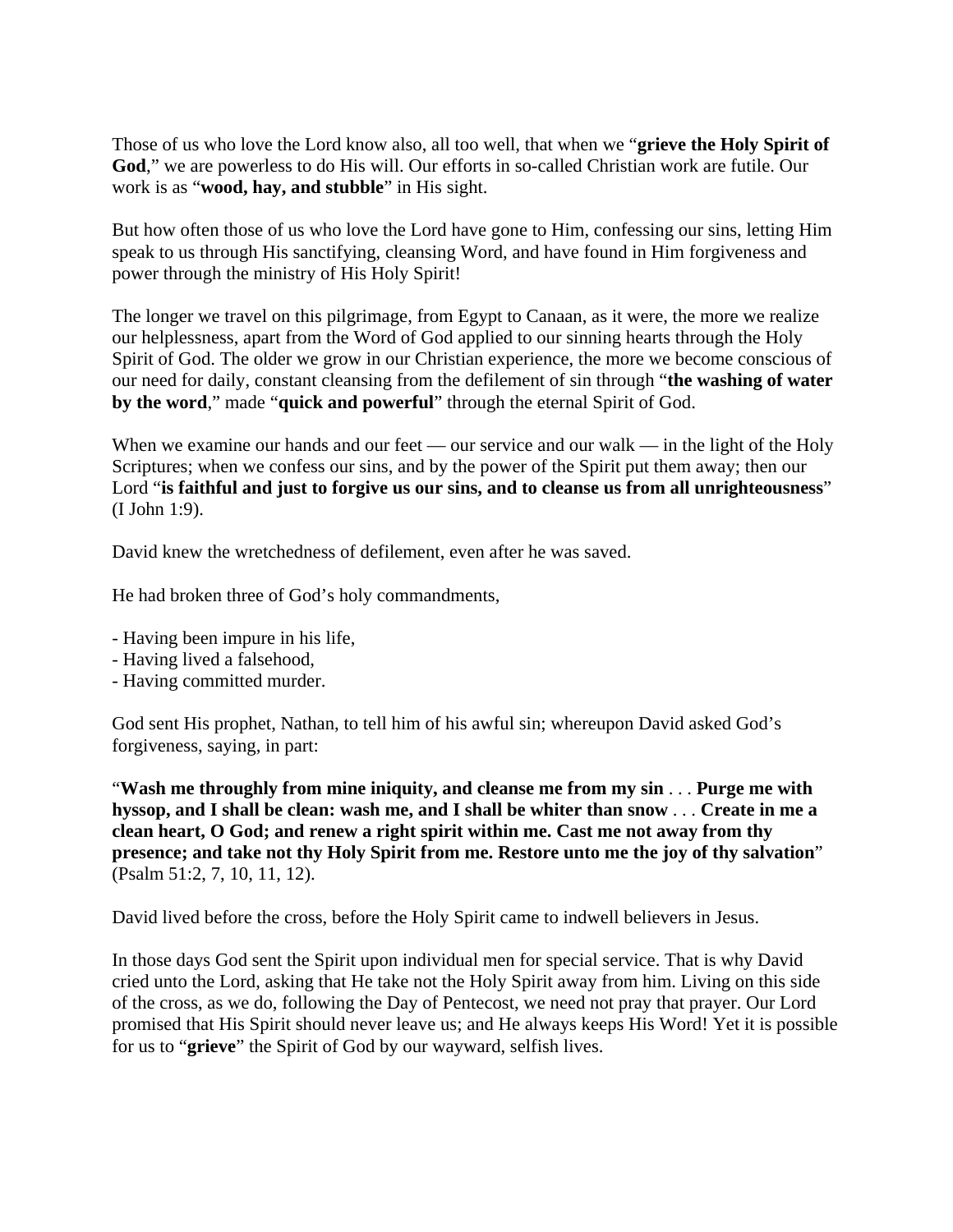Those of us who love the Lord know also, all too well, that when we "**grieve the Holy Spirit of God**," we are powerless to do His will. Our efforts in so-called Christian work are futile. Our work is as "**wood, hay, and stubble**" in His sight.

But how often those of us who love the Lord have gone to Him, confessing our sins, letting Him speak to us through His sanctifying, cleansing Word, and have found in Him forgiveness and power through the ministry of His Holy Spirit!

The longer we travel on this pilgrimage, from Egypt to Canaan, as it were, the more we realize our helplessness, apart from the Word of God applied to our sinning hearts through the Holy Spirit of God. The older we grow in our Christian experience, the more we become conscious of our need for daily, constant cleansing from the defilement of sin through "**the washing of water by the word**," made "**quick and powerful**" through the eternal Spirit of God.

When we examine our hands and our feet — our service and our walk — in the light of the Holy Scriptures; when we confess our sins, and by the power of the Spirit put them away; then our Lord "**is faithful and just to forgive us our sins, and to cleanse us from all unrighteousness**" (I John 1:9).

David knew the wretchedness of defilement, even after he was saved.

He had broken three of God's holy commandments,

- Having been impure in his life,
- Having lived a falsehood,
- Having committed murder.

God sent His prophet, Nathan, to tell him of his awful sin; whereupon David asked God's forgiveness, saying, in part:

"**Wash me throughly from mine iniquity, and cleanse me from my sin** . . . **Purge me with hyssop, and I shall be clean: wash me, and I shall be whiter than snow** . . . **Create in me a clean heart, O God; and renew a right spirit within me. Cast me not away from thy presence; and take not thy Holy Spirit from me. Restore unto me the joy of thy salvation**" (Psalm 51:2, 7, 10, 11, 12).

David lived before the cross, before the Holy Spirit came to indwell believers in Jesus.

In those days God sent the Spirit upon individual men for special service. That is why David cried unto the Lord, asking that He take not the Holy Spirit away from him. Living on this side of the cross, as we do, following the Day of Pentecost, we need not pray that prayer. Our Lord promised that His Spirit should never leave us; and He always keeps His Word! Yet it is possible for us to "**grieve**" the Spirit of God by our wayward, selfish lives.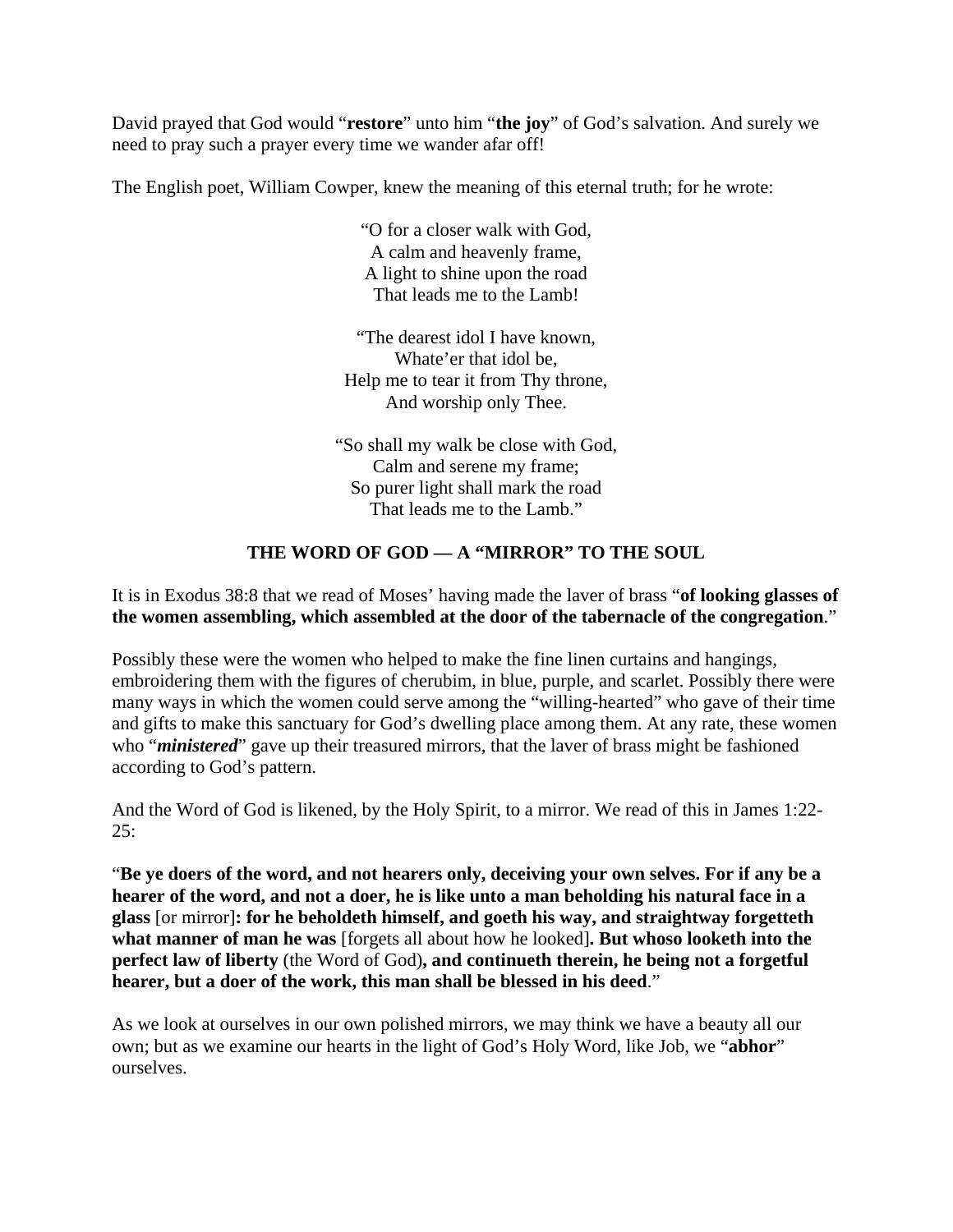David prayed that God would "**restore**" unto him "**the joy**" of God's salvation. And surely we need to pray such a prayer every time we wander afar off!

The English poet, William Cowper, knew the meaning of this eternal truth; for he wrote:

"O for a closer walk with God, A calm and heavenly frame, A light to shine upon the road That leads me to the Lamb!

"The dearest idol I have known, Whate'er that idol be, Help me to tear it from Thy throne, And worship only Thee.

"So shall my walk be close with God, Calm and serene my frame; So purer light shall mark the road That leads me to the Lamb."

# **THE WORD OF GOD — A "MIRROR" TO THE SOUL**

It is in Exodus 38:8 that we read of Moses' having made the laver of brass "**of looking glasses of the women assembling, which assembled at the door of the tabernacle of the congregation**."

Possibly these were the women who helped to make the fine linen curtains and hangings, embroidering them with the figures of cherubim, in blue, purple, and scarlet. Possibly there were many ways in which the women could serve among the "willing-hearted" who gave of their time and gifts to make this sanctuary for God's dwelling place among them. At any rate, these women who "*ministered*" gave up their treasured mirrors, that the laver of brass might be fashioned according to God's pattern.

And the Word of God is likened, by the Holy Spirit, to a mirror. We read of this in James 1:22- 25:

"**Be ye doers of the word, and not hearers only, deceiving your own selves. For if any be a hearer of the word, and not a doer, he is like unto a man beholding his natural face in a glass** [or mirror]**: for he beholdeth himself, and goeth his way, and straightway forgetteth what manner of man he was** [forgets all about how he looked]**. But whoso looketh into the perfect law of liberty** (the Word of God)**, and continueth therein, he being not a forgetful hearer, but a doer of the work, this man shall be blessed in his deed**."

As we look at ourselves in our own polished mirrors, we may think we have a beauty all our own; but as we examine our hearts in the light of God's Holy Word, like Job, we "**abhor**" ourselves.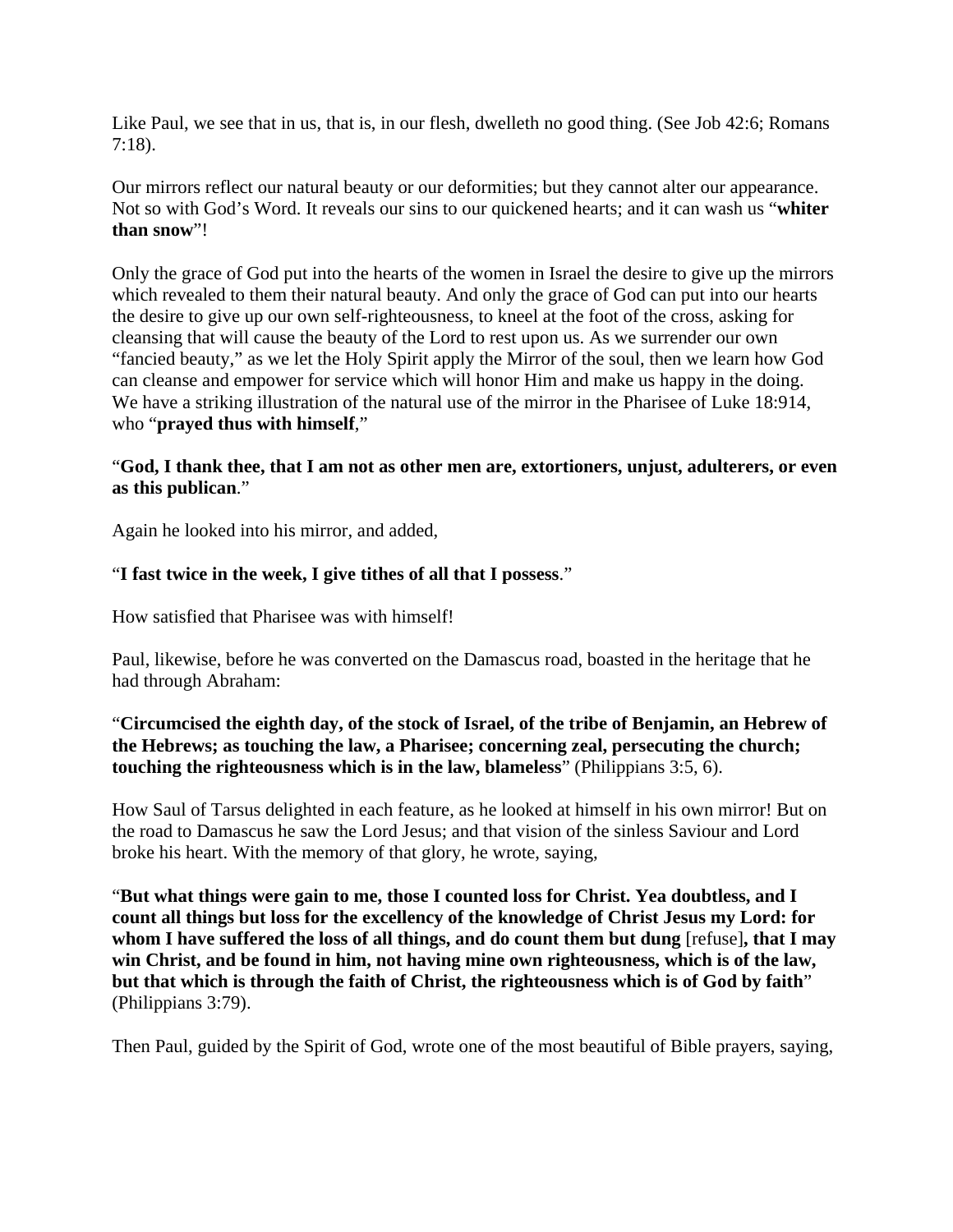Like Paul, we see that in us, that is, in our flesh, dwelleth no good thing. (See Job 42:6; Romans 7:18).

Our mirrors reflect our natural beauty or our deformities; but they cannot alter our appearance. Not so with God's Word. It reveals our sins to our quickened hearts; and it can wash us "**whiter than snow**"!

Only the grace of God put into the hearts of the women in Israel the desire to give up the mirrors which revealed to them their natural beauty. And only the grace of God can put into our hearts the desire to give up our own self-righteousness, to kneel at the foot of the cross, asking for cleansing that will cause the beauty of the Lord to rest upon us. As we surrender our own "fancied beauty," as we let the Holy Spirit apply the Mirror of the soul, then we learn how God can cleanse and empower for service which will honor Him and make us happy in the doing. We have a striking illustration of the natural use of the mirror in the Pharisee of Luke 18:914, who "**prayed thus with himself**,"

#### "**God, I thank thee, that I am not as other men are, extortioners, unjust, adulterers, or even as this publican**."

Again he looked into his mirror, and added,

#### "**I fast twice in the week, I give tithes of all that I possess**."

How satisfied that Pharisee was with himself!

Paul, likewise, before he was converted on the Damascus road, boasted in the heritage that he had through Abraham:

## "**Circumcised the eighth day, of the stock of Israel, of the tribe of Benjamin, an Hebrew of the Hebrews; as touching the law, a Pharisee; concerning zeal, persecuting the church; touching the righteousness which is in the law, blameless**" (Philippians 3:5, 6).

How Saul of Tarsus delighted in each feature, as he looked at himself in his own mirror! But on the road to Damascus he saw the Lord Jesus; and that vision of the sinless Saviour and Lord broke his heart. With the memory of that glory, he wrote, saying,

"**But what things were gain to me, those I counted loss for Christ. Yea doubtless, and I count all things but loss for the excellency of the knowledge of Christ Jesus my Lord: for whom I have suffered the loss of all things, and do count them but dung** [refuse]**, that I may win Christ, and be found in him, not having mine own righteousness, which is of the law, but that which is through the faith of Christ, the righteousness which is of God by faith**" (Philippians 3:79).

Then Paul, guided by the Spirit of God, wrote one of the most beautiful of Bible prayers, saying,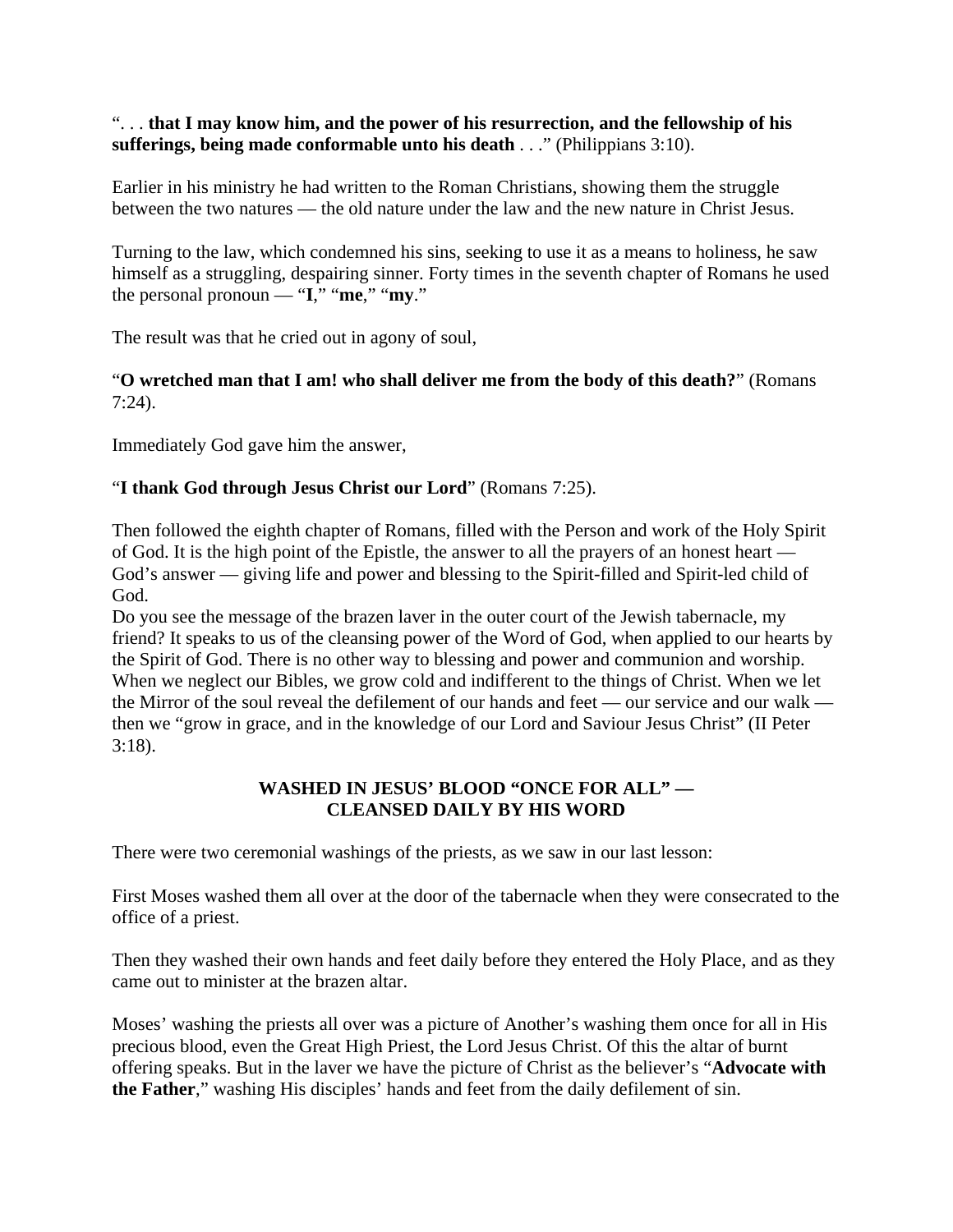#### ". . . **that I may know him, and the power of his resurrection, and the fellowship of his sufferings, being made conformable unto his death** . . ." (Philippians 3:10).

Earlier in his ministry he had written to the Roman Christians, showing them the struggle between the two natures — the old nature under the law and the new nature in Christ Jesus.

Turning to the law, which condemned his sins, seeking to use it as a means to holiness, he saw himself as a struggling, despairing sinner. Forty times in the seventh chapter of Romans he used the personal pronoun — " $I$ ," "**me**," "**my**."

The result was that he cried out in agony of soul,

## "**O wretched man that I am! who shall deliver me from the body of this death?**" (Romans 7:24).

Immediately God gave him the answer,

## "**I thank God through Jesus Christ our Lord**" (Romans 7:25).

Then followed the eighth chapter of Romans, filled with the Person and work of the Holy Spirit of God. It is the high point of the Epistle, the answer to all the prayers of an honest heart — God's answer — giving life and power and blessing to the Spirit-filled and Spirit-led child of God.

Do you see the message of the brazen laver in the outer court of the Jewish tabernacle, my friend? It speaks to us of the cleansing power of the Word of God, when applied to our hearts by the Spirit of God. There is no other way to blessing and power and communion and worship. When we neglect our Bibles, we grow cold and indifferent to the things of Christ. When we let the Mirror of the soul reveal the defilement of our hands and feet — our service and our walk then we "grow in grace, and in the knowledge of our Lord and Saviour Jesus Christ" (II Peter 3:18).

# **WASHED IN JESUS' BLOOD "ONCE FOR ALL" — CLEANSED DAILY BY HIS WORD**

There were two ceremonial washings of the priests, as we saw in our last lesson:

First Moses washed them all over at the door of the tabernacle when they were consecrated to the office of a priest.

Then they washed their own hands and feet daily before they entered the Holy Place, and as they came out to minister at the brazen altar.

Moses' washing the priests all over was a picture of Another's washing them once for all in His precious blood, even the Great High Priest, the Lord Jesus Christ. Of this the altar of burnt offering speaks. But in the laver we have the picture of Christ as the believer's "**Advocate with the Father**," washing His disciples' hands and feet from the daily defilement of sin.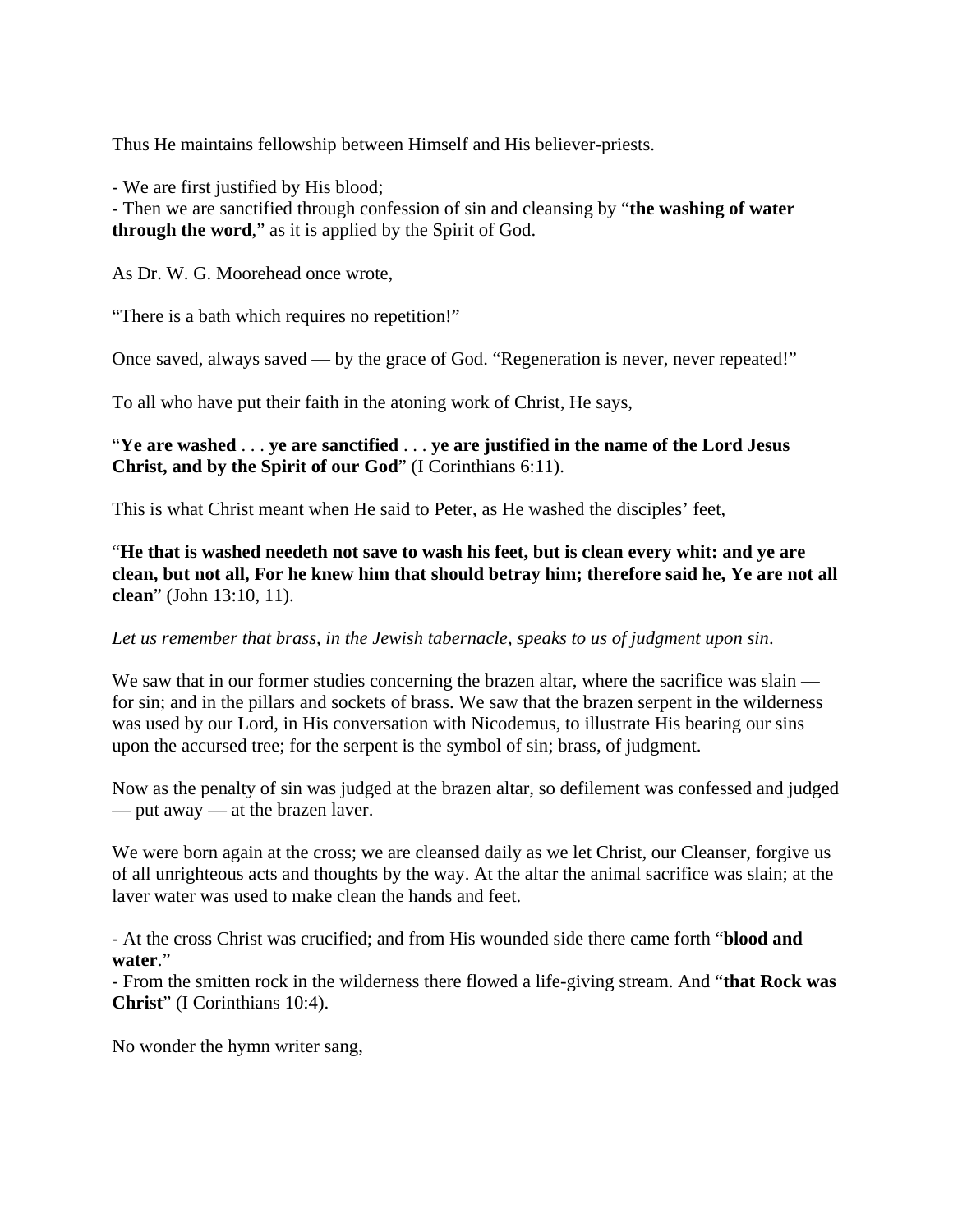Thus He maintains fellowship between Himself and His believer-priests.

- We are first justified by His blood;

- Then we are sanctified through confession of sin and cleansing by "**the washing of water through the word**," as it is applied by the Spirit of God.

As Dr. W. G. Moorehead once wrote,

"There is a bath which requires no repetition!"

Once saved, always saved — by the grace of God. "Regeneration is never, never repeated!"

To all who have put their faith in the atoning work of Christ, He says,

## "**Ye are washed** . . . **ye are sanctified** . . . **ye are justified in the name of the Lord Jesus Christ, and by the Spirit of our God**" (I Corinthians 6:11).

This is what Christ meant when He said to Peter, as He washed the disciples' feet,

"**He that is washed needeth not save to wash his feet, but is clean every whit: and ye are clean, but not all, For he knew him that should betray him; therefore said he, Ye are not all clean**" (John 13:10, 11).

#### *Let us remember that brass, in the Jewish tabernacle, speaks to us of judgment upon sin*.

We saw that in our former studies concerning the brazen altar, where the sacrifice was slain for sin; and in the pillars and sockets of brass. We saw that the brazen serpent in the wilderness was used by our Lord, in His conversation with Nicodemus, to illustrate His bearing our sins upon the accursed tree; for the serpent is the symbol of sin; brass, of judgment.

Now as the penalty of sin was judged at the brazen altar, so defilement was confessed and judged — put away — at the brazen laver.

We were born again at the cross; we are cleansed daily as we let Christ, our Cleanser, forgive us of all unrighteous acts and thoughts by the way. At the altar the animal sacrifice was slain; at the laver water was used to make clean the hands and feet.

- At the cross Christ was crucified; and from His wounded side there came forth "**blood and water**."

- From the smitten rock in the wilderness there flowed a life-giving stream. And "**that Rock was Christ**" (I Corinthians 10:4).

No wonder the hymn writer sang,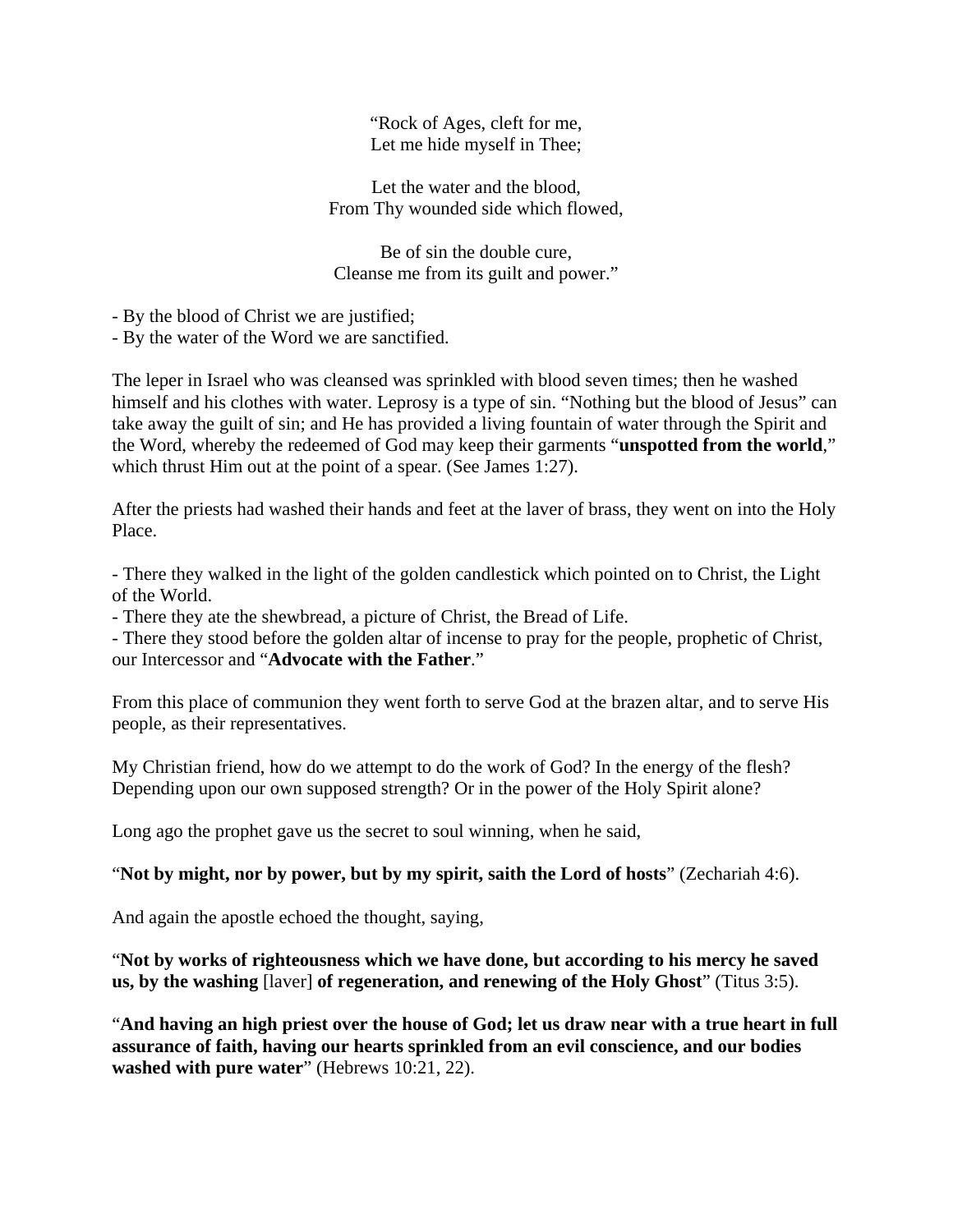"Rock of Ages, cleft for me, Let me hide myself in Thee;

Let the water and the blood, From Thy wounded side which flowed,

Be of sin the double cure, Cleanse me from its guilt and power."

- By the blood of Christ we are justified;

- By the water of the Word we are sanctified.

The leper in Israel who was cleansed was sprinkled with blood seven times; then he washed himself and his clothes with water. Leprosy is a type of sin. "Nothing but the blood of Jesus" can take away the guilt of sin; and He has provided a living fountain of water through the Spirit and the Word, whereby the redeemed of God may keep their garments "**unspotted from the world**," which thrust Him out at the point of a spear. (See James 1:27).

After the priests had washed their hands and feet at the laver of brass, they went on into the Holy Place.

- There they walked in the light of the golden candlestick which pointed on to Christ, the Light of the World.

- There they ate the shewbread, a picture of Christ, the Bread of Life.

- There they stood before the golden altar of incense to pray for the people, prophetic of Christ, our Intercessor and "**Advocate with the Father**."

From this place of communion they went forth to serve God at the brazen altar, and to serve His people, as their representatives.

My Christian friend, how do we attempt to do the work of God? In the energy of the flesh? Depending upon our own supposed strength? Or in the power of the Holy Spirit alone?

Long ago the prophet gave us the secret to soul winning, when he said,

"**Not by might, nor by power, but by my spirit, saith the Lord of hosts**" (Zechariah 4:6).

And again the apostle echoed the thought, saying,

"**Not by works of righteousness which we have done, but according to his mercy he saved us, by the washing** [laver] **of regeneration, and renewing of the Holy Ghost**" (Titus 3:5).

"**And having an high priest over the house of God; let us draw near with a true heart in full assurance of faith, having our hearts sprinkled from an evil conscience, and our bodies washed with pure water**" (Hebrews 10:21, 22).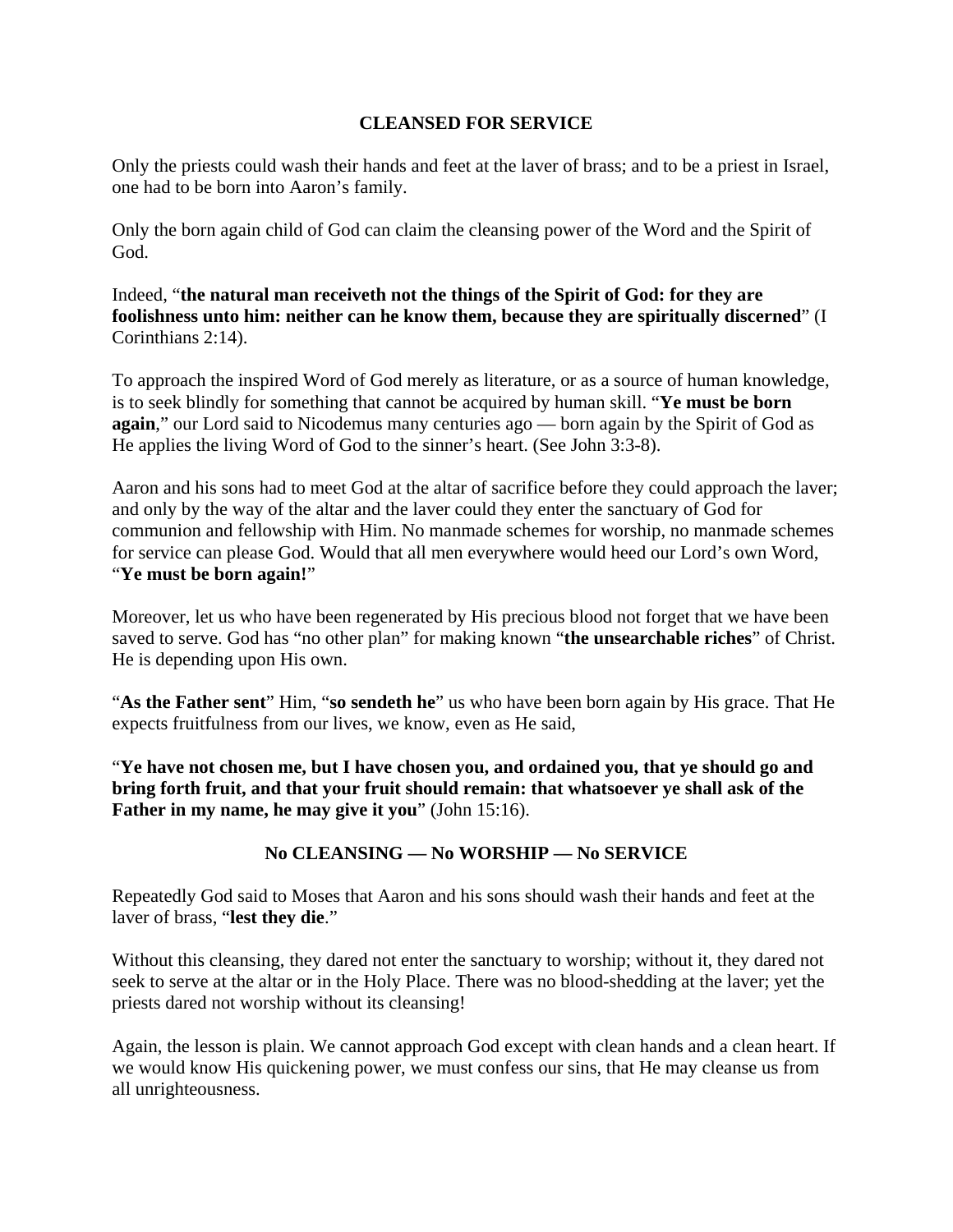## **CLEANSED FOR SERVICE**

Only the priests could wash their hands and feet at the laver of brass; and to be a priest in Israel, one had to be born into Aaron's family.

Only the born again child of God can claim the cleansing power of the Word and the Spirit of God.

Indeed, "**the natural man receiveth not the things of the Spirit of God: for they are foolishness unto him: neither can he know them, because they are spiritually discerned**" (I Corinthians 2:14).

To approach the inspired Word of God merely as literature, or as a source of human knowledge, is to seek blindly for something that cannot be acquired by human skill. "**Ye must be born again**," our Lord said to Nicodemus many centuries ago — born again by the Spirit of God as He applies the living Word of God to the sinner's heart. (See John 3:3-8).

Aaron and his sons had to meet God at the altar of sacrifice before they could approach the laver; and only by the way of the altar and the laver could they enter the sanctuary of God for communion and fellowship with Him. No manmade schemes for worship, no manmade schemes for service can please God. Would that all men everywhere would heed our Lord's own Word, "**Ye must be born again!**"

Moreover, let us who have been regenerated by His precious blood not forget that we have been saved to serve. God has "no other plan" for making known "**the unsearchable riches**" of Christ. He is depending upon His own.

"**As the Father sent**" Him, "**so sendeth he**" us who have been born again by His grace. That He expects fruitfulness from our lives, we know, even as He said,

"**Ye have not chosen me, but I have chosen you, and ordained you, that ye should go and bring forth fruit, and that your fruit should remain: that whatsoever ye shall ask of the Father in my name, he may give it you**" (John 15:16).

## **No CLEANSING — No WORSHIP — No SERVICE**

Repeatedly God said to Moses that Aaron and his sons should wash their hands and feet at the laver of brass, "**lest they die**."

Without this cleansing, they dared not enter the sanctuary to worship; without it, they dared not seek to serve at the altar or in the Holy Place. There was no blood-shedding at the laver; yet the priests dared not worship without its cleansing!

Again, the lesson is plain. We cannot approach God except with clean hands and a clean heart. If we would know His quickening power, we must confess our sins, that He may cleanse us from all unrighteousness.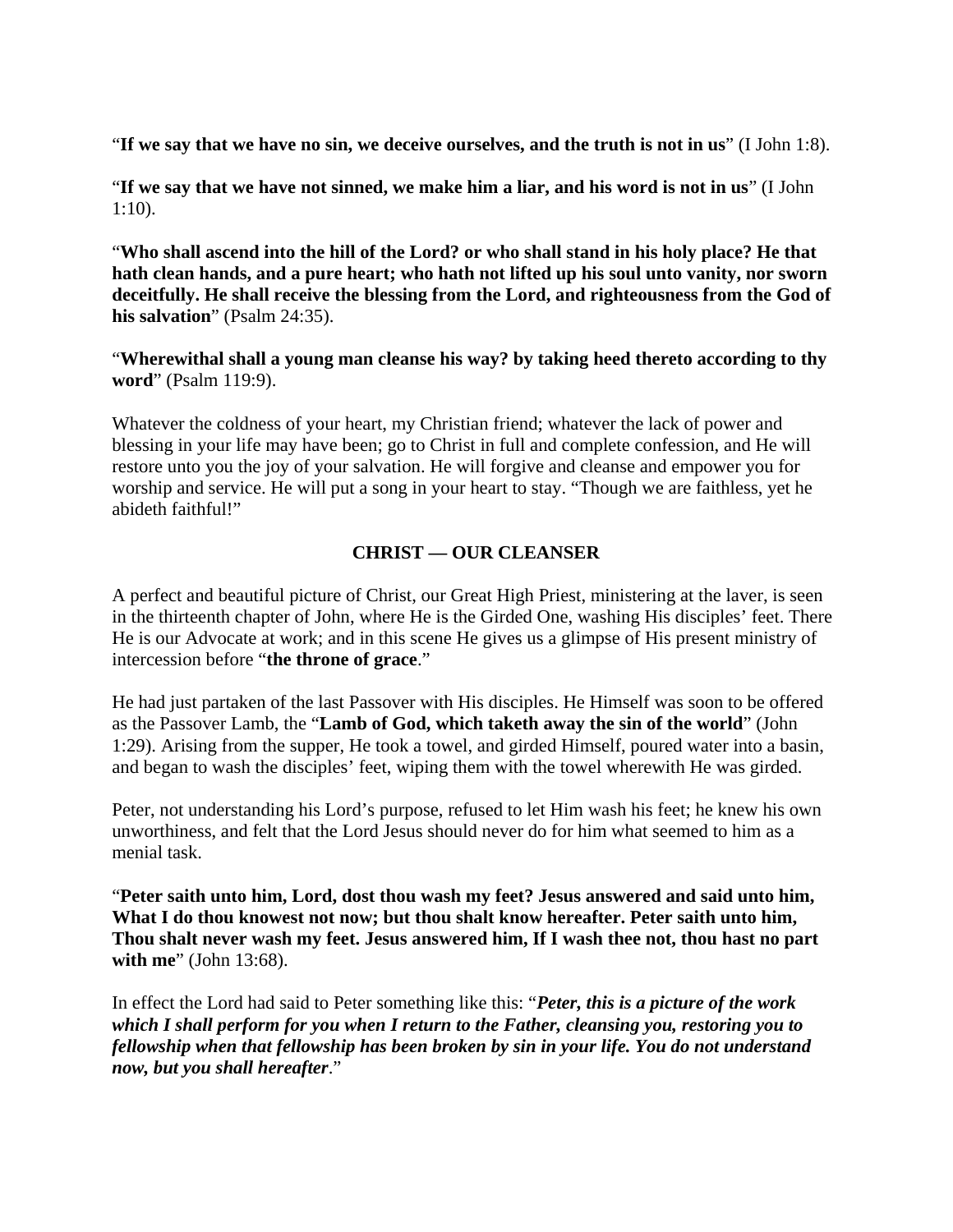"**If we say that we have no sin, we deceive ourselves, and the truth is not in us**" (I John 1:8).

"**If we say that we have not sinned, we make him a liar, and his word is not in us**" (I John 1:10).

"**Who shall ascend into the hill of the Lord? or who shall stand in his holy place? He that hath clean hands, and a pure heart; who hath not lifted up his soul unto vanity, nor sworn deceitfully. He shall receive the blessing from the Lord, and righteousness from the God of his salvation**" (Psalm 24:35).

"**Wherewithal shall a young man cleanse his way? by taking heed thereto according to thy word**" (Psalm 119:9).

Whatever the coldness of your heart, my Christian friend; whatever the lack of power and blessing in your life may have been; go to Christ in full and complete confession, and He will restore unto you the joy of your salvation. He will forgive and cleanse and empower you for worship and service. He will put a song in your heart to stay. "Though we are faithless, yet he abideth faithful!"

# **CHRIST — OUR CLEANSER**

A perfect and beautiful picture of Christ, our Great High Priest, ministering at the laver, is seen in the thirteenth chapter of John, where He is the Girded One, washing His disciples' feet. There He is our Advocate at work; and in this scene He gives us a glimpse of His present ministry of intercession before "**the throne of grace**."

He had just partaken of the last Passover with His disciples. He Himself was soon to be offered as the Passover Lamb, the "**Lamb of God, which taketh away the sin of the world**" (John 1:29). Arising from the supper, He took a towel, and girded Himself, poured water into a basin, and began to wash the disciples' feet, wiping them with the towel wherewith He was girded.

Peter, not understanding his Lord's purpose, refused to let Him wash his feet; he knew his own unworthiness, and felt that the Lord Jesus should never do for him what seemed to him as a menial task.

"**Peter saith unto him, Lord, dost thou wash my feet? Jesus answered and said unto him, What I do thou knowest not now; but thou shalt know hereafter. Peter saith unto him, Thou shalt never wash my feet. Jesus answered him, If I wash thee not, thou hast no part with me**" (John 13:68).

In effect the Lord had said to Peter something like this: "*Peter, this is a picture of the work which I shall perform for you when I return to the Father, cleansing you, restoring you to fellowship when that fellowship has been broken by sin in your life. You do not understand now, but you shall hereafter*."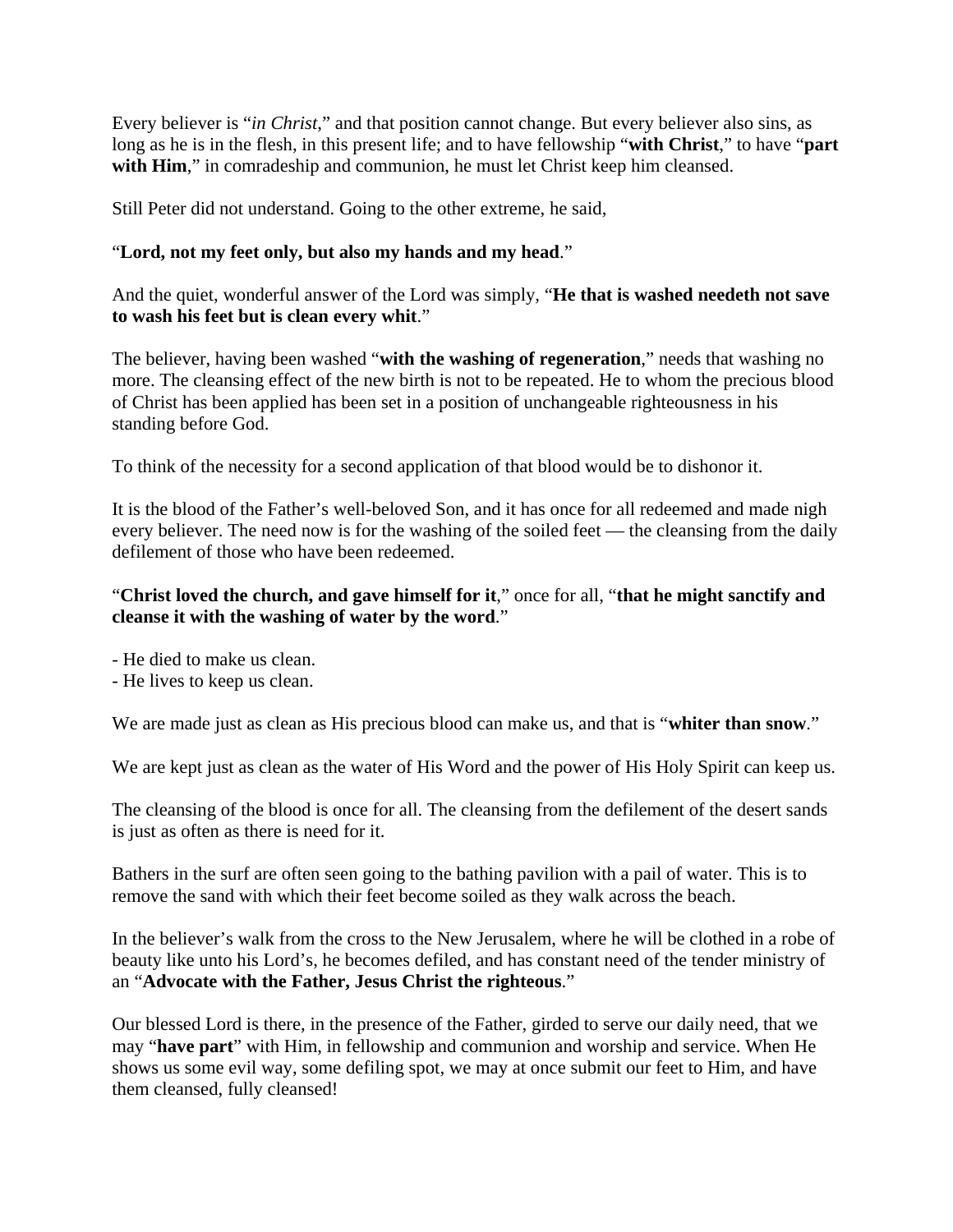Every believer is "*in Christ*," and that position cannot change. But every believer also sins, as long as he is in the flesh, in this present life; and to have fellowship "**with Christ**," to have "**part**  with Him," in comradeship and communion, he must let Christ keep him cleansed.

Still Peter did not understand. Going to the other extreme, he said,

## "**Lord, not my feet only, but also my hands and my head**."

And the quiet, wonderful answer of the Lord was simply, "**He that is washed needeth not save to wash his feet but is clean every whit**."

The believer, having been washed "**with the washing of regeneration**," needs that washing no more. The cleansing effect of the new birth is not to be repeated. He to whom the precious blood of Christ has been applied has been set in a position of unchangeable righteousness in his standing before God.

To think of the necessity for a second application of that blood would be to dishonor it.

It is the blood of the Father's well-beloved Son, and it has once for all redeemed and made nigh every believer. The need now is for the washing of the soiled feet — the cleansing from the daily defilement of those who have been redeemed.

## "**Christ loved the church, and gave himself for it**," once for all, "**that he might sanctify and cleanse it with the washing of water by the word**."

- He died to make us clean.

- He lives to keep us clean.

We are made just as clean as His precious blood can make us, and that is "**whiter than snow**."

We are kept just as clean as the water of His Word and the power of His Holy Spirit can keep us.

The cleansing of the blood is once for all. The cleansing from the defilement of the desert sands is just as often as there is need for it.

Bathers in the surf are often seen going to the bathing pavilion with a pail of water. This is to remove the sand with which their feet become soiled as they walk across the beach.

In the believer's walk from the cross to the New Jerusalem, where he will be clothed in a robe of beauty like unto his Lord's, he becomes defiled, and has constant need of the tender ministry of an "**Advocate with the Father, Jesus Christ the righteous**."

Our blessed Lord is there, in the presence of the Father, girded to serve our daily need, that we may "**have part**" with Him, in fellowship and communion and worship and service. When He shows us some evil way, some defiling spot, we may at once submit our feet to Him, and have them cleansed, fully cleansed!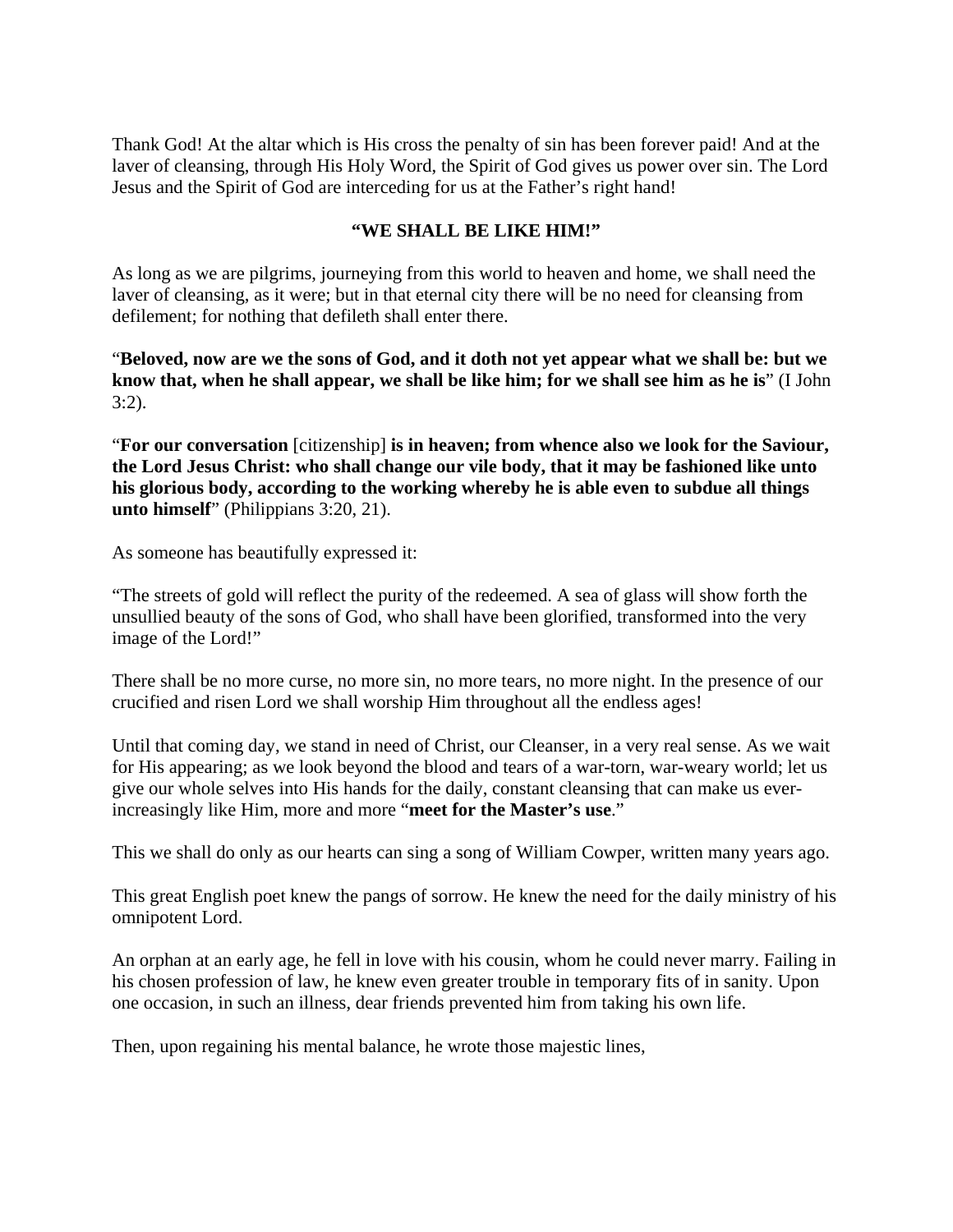Thank God! At the altar which is His cross the penalty of sin has been forever paid! And at the laver of cleansing, through His Holy Word, the Spirit of God gives us power over sin. The Lord Jesus and the Spirit of God are interceding for us at the Father's right hand!

#### **"WE SHALL BE LIKE HIM!"**

As long as we are pilgrims, journeying from this world to heaven and home, we shall need the laver of cleansing, as it were; but in that eternal city there will be no need for cleansing from defilement; for nothing that defileth shall enter there.

"**Beloved, now are we the sons of God, and it doth not yet appear what we shall be: but we know that, when he shall appear, we shall be like him; for we shall see him as he is**" (I John 3:2).

"**For our conversation** [citizenship] **is in heaven; from whence also we look for the Saviour, the Lord Jesus Christ: who shall change our vile body, that it may be fashioned like unto his glorious body, according to the working whereby he is able even to subdue all things unto himself**" (Philippians 3:20, 21).

As someone has beautifully expressed it:

"The streets of gold will reflect the purity of the redeemed. A sea of glass will show forth the unsullied beauty of the sons of God, who shall have been glorified, transformed into the very image of the Lord!"

There shall be no more curse, no more sin, no more tears, no more night. In the presence of our crucified and risen Lord we shall worship Him throughout all the endless ages!

Until that coming day, we stand in need of Christ, our Cleanser, in a very real sense. As we wait for His appearing; as we look beyond the blood and tears of a war-torn, war-weary world; let us give our whole selves into His hands for the daily, constant cleansing that can make us everincreasingly like Him, more and more "**meet for the Master's use**."

This we shall do only as our hearts can sing a song of William Cowper, written many years ago.

This great English poet knew the pangs of sorrow. He knew the need for the daily ministry of his omnipotent Lord.

An orphan at an early age, he fell in love with his cousin, whom he could never marry. Failing in his chosen profession of law, he knew even greater trouble in temporary fits of in sanity. Upon one occasion, in such an illness, dear friends prevented him from taking his own life.

Then, upon regaining his mental balance, he wrote those majestic lines,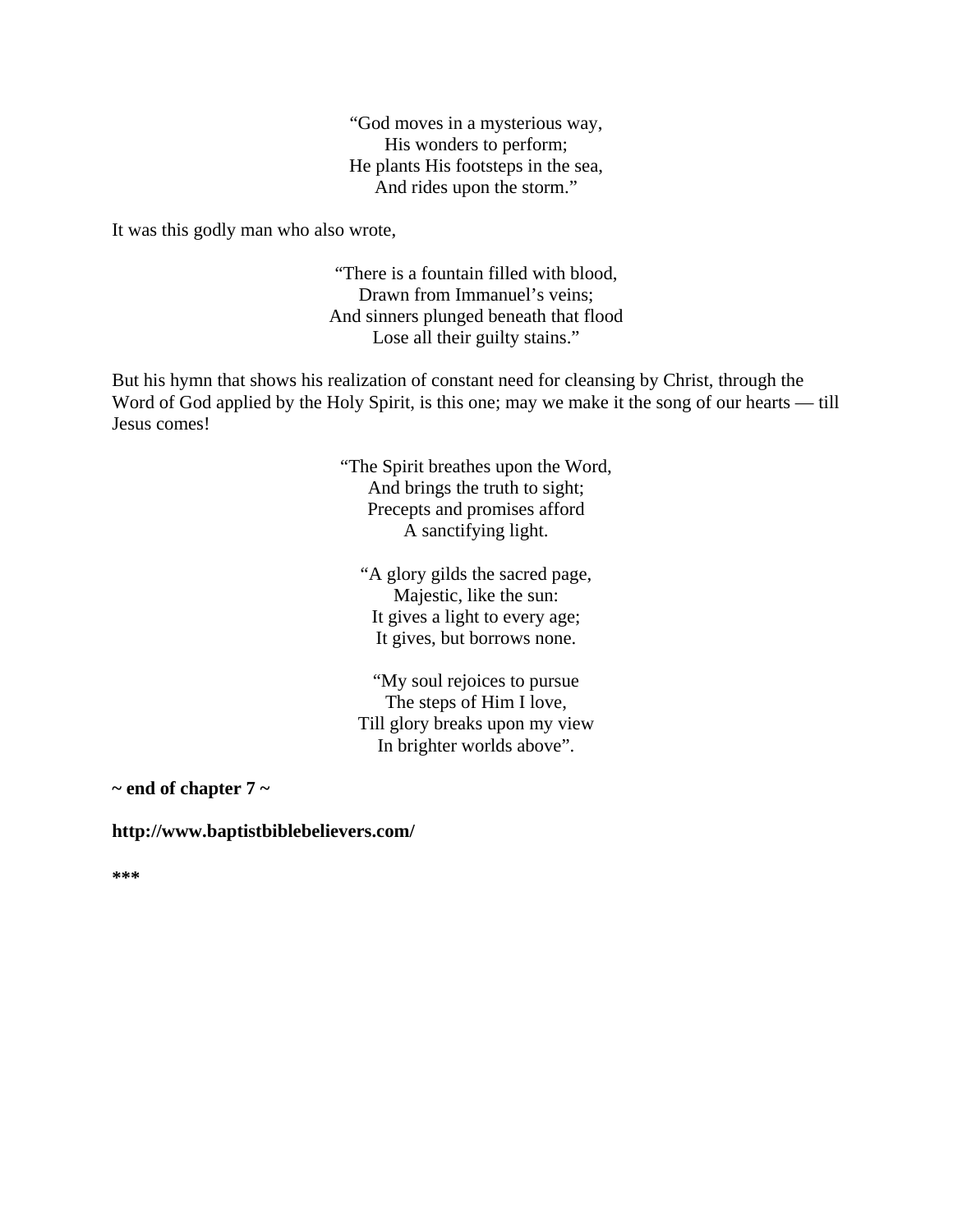"God moves in a mysterious way, His wonders to perform; He plants His footsteps in the sea, And rides upon the storm."

It was this godly man who also wrote,

"There is a fountain filled with blood, Drawn from Immanuel's veins; And sinners plunged beneath that flood Lose all their guilty stains."

But his hymn that shows his realization of constant need for cleansing by Christ, through the Word of God applied by the Holy Spirit, is this one; may we make it the song of our hearts — till Jesus comes!

> "The Spirit breathes upon the Word, And brings the truth to sight; Precepts and promises afford A sanctifying light.

"A glory gilds the sacred page, Majestic, like the sun: It gives a light to every age; It gives, but borrows none.

"My soul rejoices to pursue The steps of Him I love, Till glory breaks upon my view In brighter worlds above".

**~ end of chapter 7 ~** 

#### **http://www.baptistbiblebelievers.com/**

**\*\*\***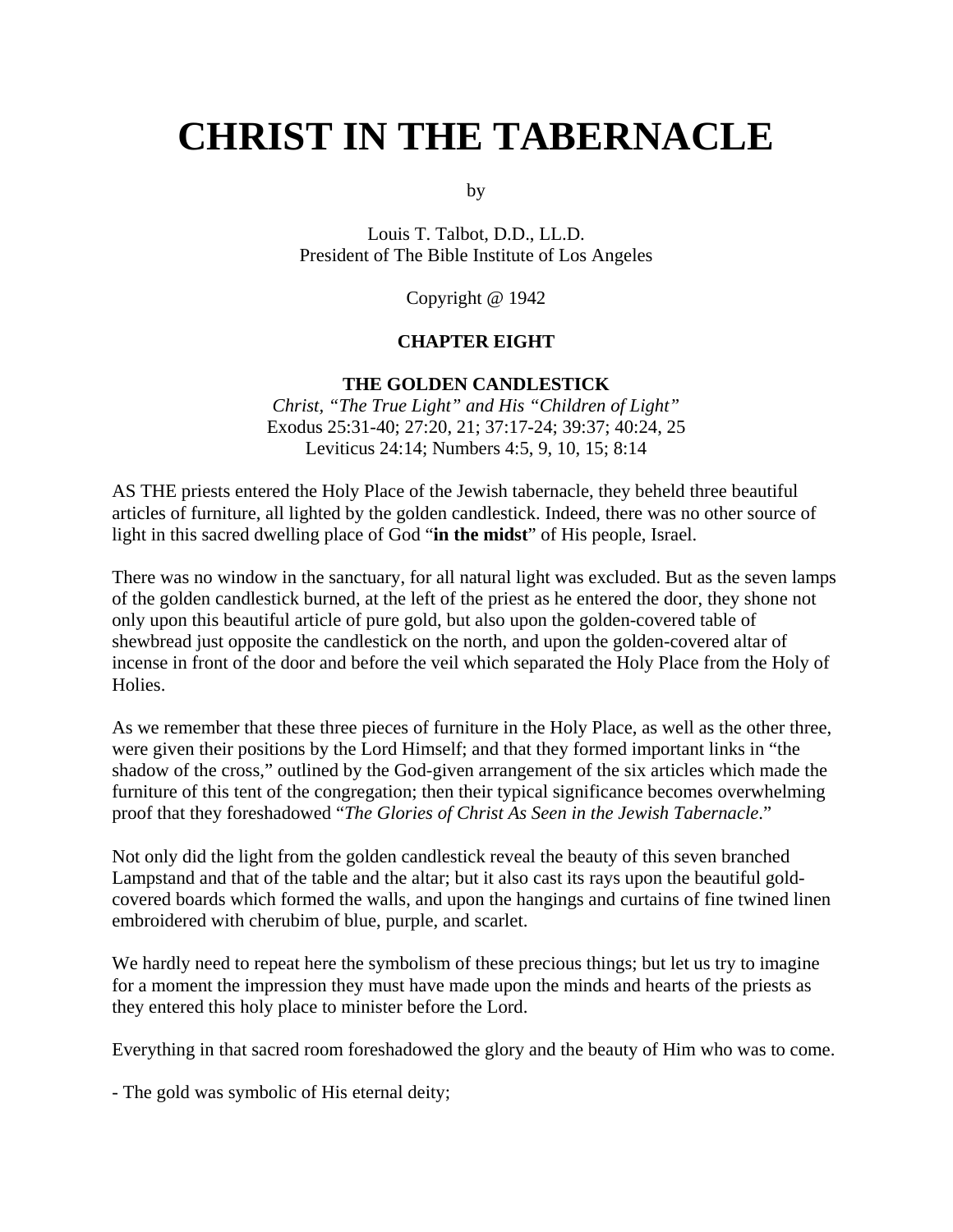# **CHRIST IN THE TABERNACLE**

by

Louis T. Talbot, D.D., LL.D. President of The Bible Institute of Los Angeles

Copyright @ 1942

#### **CHAPTER EIGHT**

#### **THE GOLDEN CANDLESTICK**

*Christ, "The True Light" and His "Children of Light"* Exodus 25:31-40; 27:20, 21; 37:17-24; 39:37; 40:24, 25 Leviticus 24:14; Numbers 4:5, 9, 10, 15; 8:14

AS THE priests entered the Holy Place of the Jewish tabernacle, they beheld three beautiful articles of furniture, all lighted by the golden candlestick. Indeed, there was no other source of light in this sacred dwelling place of God "**in the midst**" of His people, Israel.

There was no window in the sanctuary, for all natural light was excluded. But as the seven lamps of the golden candlestick burned, at the left of the priest as he entered the door, they shone not only upon this beautiful article of pure gold, but also upon the golden-covered table of shewbread just opposite the candlestick on the north, and upon the golden-covered altar of incense in front of the door and before the veil which separated the Holy Place from the Holy of Holies.

As we remember that these three pieces of furniture in the Holy Place, as well as the other three, were given their positions by the Lord Himself; and that they formed important links in "the shadow of the cross," outlined by the God-given arrangement of the six articles which made the furniture of this tent of the congregation; then their typical significance becomes overwhelming proof that they foreshadowed "*The Glories of Christ As Seen in the Jewish Tabernacle*."

Not only did the light from the golden candlestick reveal the beauty of this seven branched Lampstand and that of the table and the altar; but it also cast its rays upon the beautiful goldcovered boards which formed the walls, and upon the hangings and curtains of fine twined linen embroidered with cherubim of blue, purple, and scarlet.

We hardly need to repeat here the symbolism of these precious things; but let us try to imagine for a moment the impression they must have made upon the minds and hearts of the priests as they entered this holy place to minister before the Lord.

Everything in that sacred room foreshadowed the glory and the beauty of Him who was to come.

- The gold was symbolic of His eternal deity;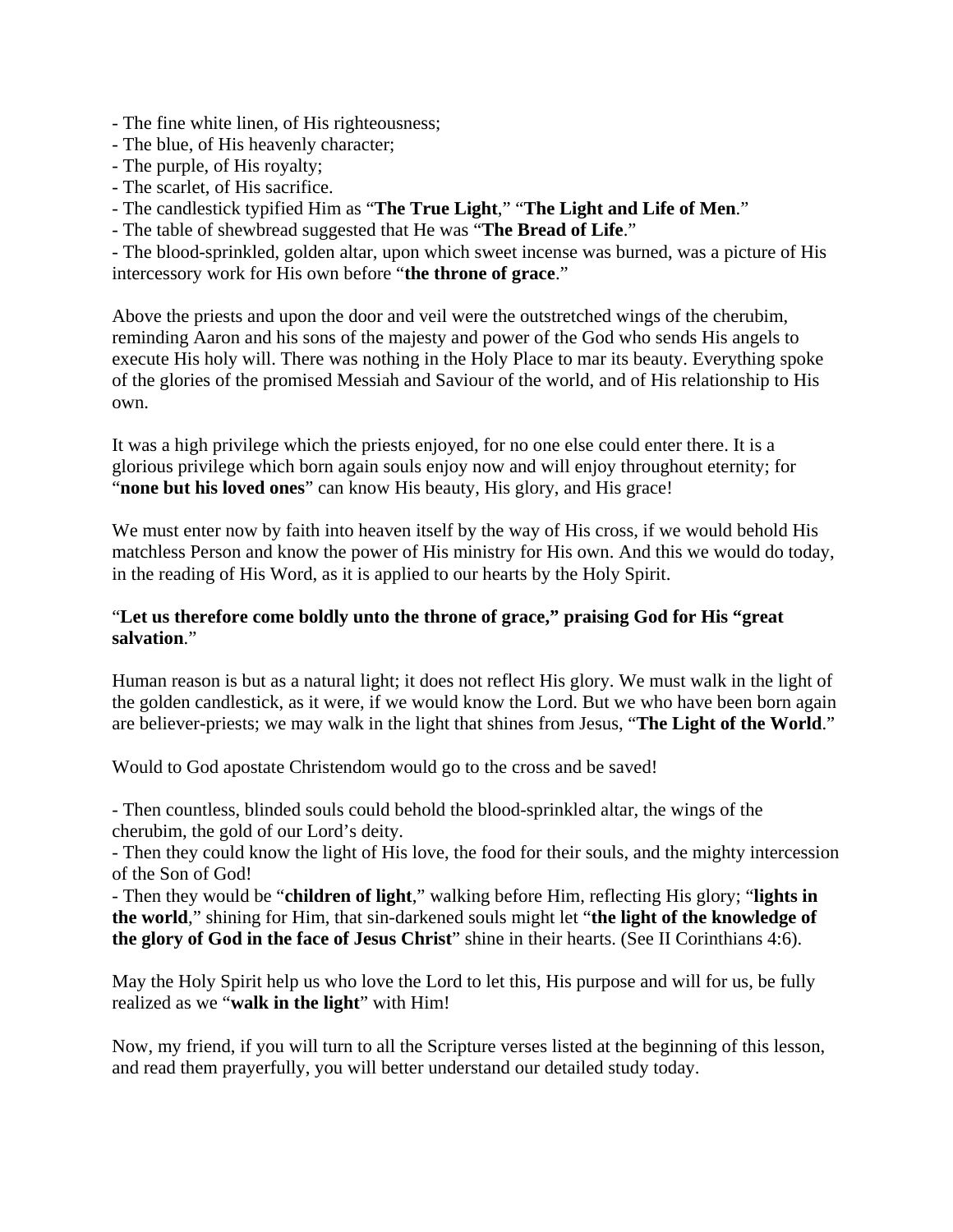- The fine white linen, of His righteousness;
- The blue, of His heavenly character;
- The purple, of His royalty;
- The scarlet, of His sacrifice.
- The candlestick typified Him as "**The True Light**," "**The Light and Life of Men**."
- The table of shewbread suggested that He was "**The Bread of Life**."

- The blood-sprinkled, golden altar, upon which sweet incense was burned, was a picture of His intercessory work for His own before "**the throne of grace**."

Above the priests and upon the door and veil were the outstretched wings of the cherubim, reminding Aaron and his sons of the majesty and power of the God who sends His angels to execute His holy will. There was nothing in the Holy Place to mar its beauty. Everything spoke of the glories of the promised Messiah and Saviour of the world, and of His relationship to His own.

It was a high privilege which the priests enjoyed, for no one else could enter there. It is a glorious privilege which born again souls enjoy now and will enjoy throughout eternity; for "**none but his loved ones**" can know His beauty, His glory, and His grace!

We must enter now by faith into heaven itself by the way of His cross, if we would behold His matchless Person and know the power of His ministry for His own. And this we would do today, in the reading of His Word, as it is applied to our hearts by the Holy Spirit.

# "**Let us therefore come boldly unto the throne of grace," praising God for His "great salvation**."

Human reason is but as a natural light; it does not reflect His glory. We must walk in the light of the golden candlestick, as it were, if we would know the Lord. But we who have been born again are believer-priests; we may walk in the light that shines from Jesus, "**The Light of the World**."

Would to God apostate Christendom would go to the cross and be saved!

- Then countless, blinded souls could behold the blood-sprinkled altar, the wings of the cherubim, the gold of our Lord's deity.

- Then they could know the light of His love, the food for their souls, and the mighty intercession of the Son of God!

- Then they would be "**children of light**," walking before Him, reflecting His glory; "**lights in the world**," shining for Him, that sin-darkened souls might let "**the light of the knowledge of the glory of God in the face of Jesus Christ**" shine in their hearts. (See II Corinthians 4:6).

May the Holy Spirit help us who love the Lord to let this, His purpose and will for us, be fully realized as we "**walk in the light**" with Him!

Now, my friend, if you will turn to all the Scripture verses listed at the beginning of this lesson, and read them prayerfully, you will better understand our detailed study today.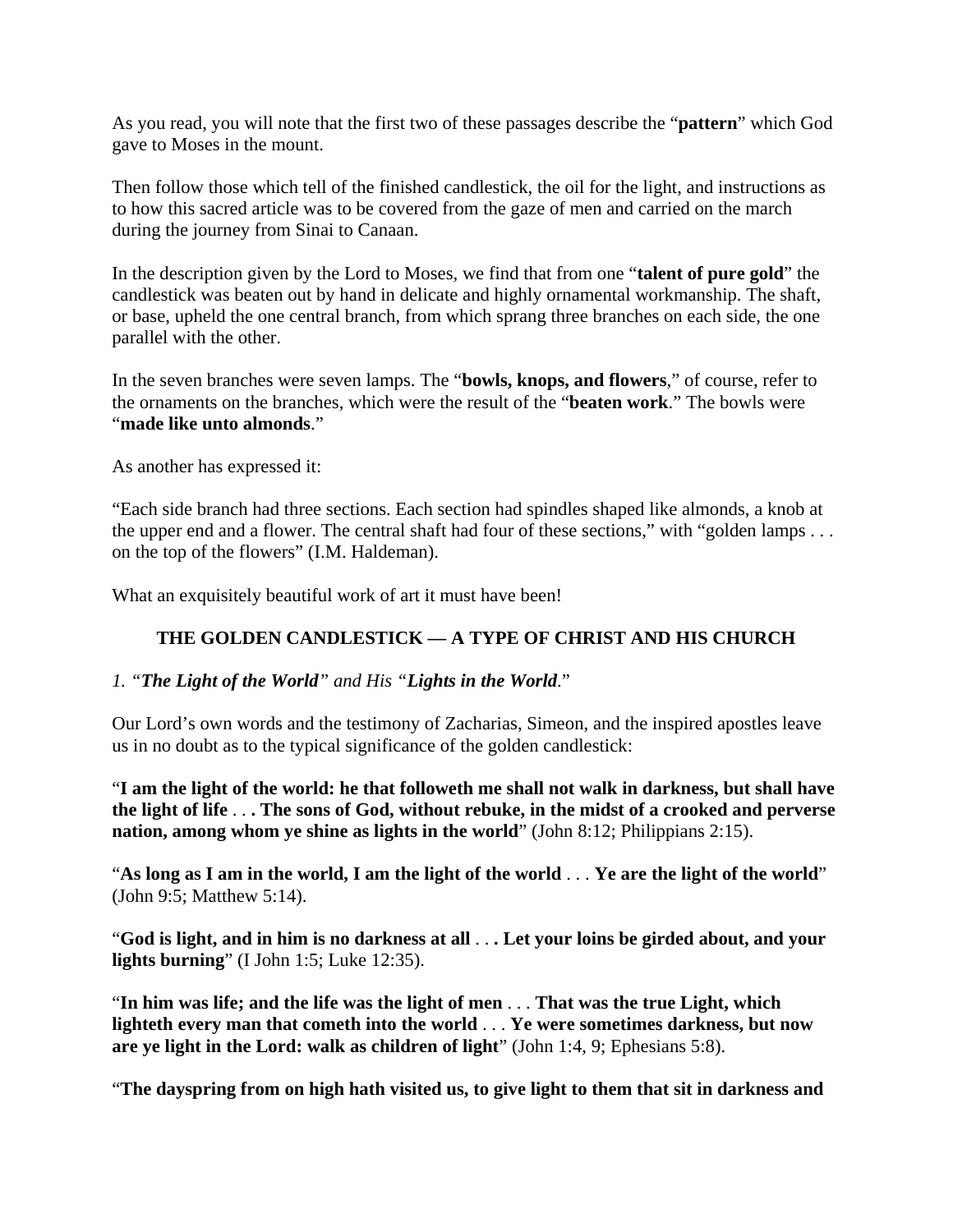As you read, you will note that the first two of these passages describe the "**pattern**" which God gave to Moses in the mount.

Then follow those which tell of the finished candlestick, the oil for the light, and instructions as to how this sacred article was to be covered from the gaze of men and carried on the march during the journey from Sinai to Canaan.

In the description given by the Lord to Moses, we find that from one "**talent of pure gold**" the candlestick was beaten out by hand in delicate and highly ornamental workmanship. The shaft, or base, upheld the one central branch, from which sprang three branches on each side, the one parallel with the other.

In the seven branches were seven lamps. The "**bowls, knops, and flowers**," of course, refer to the ornaments on the branches, which were the result of the "**beaten work**." The bowls were "**made like unto almonds**."

As another has expressed it:

"Each side branch had three sections. Each section had spindles shaped like almonds, a knob at the upper end and a flower. The central shaft had four of these sections," with "golden lamps . . . on the top of the flowers" (I.M. Haldeman).

What an exquisitely beautiful work of art it must have been!

# **THE GOLDEN CANDLESTICK — A TYPE OF CHRIST AND HIS CHURCH**

# *1. "The Light of the World" and His "Lights in the World*."

Our Lord's own words and the testimony of Zacharias, Simeon, and the inspired apostles leave us in no doubt as to the typical significance of the golden candlestick:

"**I am the light of the world: he that followeth me shall not walk in darkness, but shall have the light of life** . . **. The sons of God, without rebuke, in the midst of a crooked and perverse nation, among whom ye shine as lights in the world**" (John 8:12; Philippians 2:15).

"**As long as I am in the world, I am the light of the world** . . . **Ye are the light of the world**" (John 9:5; Matthew 5:14).

"**God is light, and in him is no darkness at all** . . **. Let your loins be girded about, and your lights burning**" (I John 1:5; Luke 12:35).

"**In him was life; and the life was the light of men** . . . **That was the true Light, which lighteth every man that cometh into the world** . . . **Ye were sometimes darkness, but now are ye light in the Lord: walk as children of light**" (John 1:4, 9; Ephesians 5:8).

"**The dayspring from on high hath visited us, to give light to them that sit in darkness and**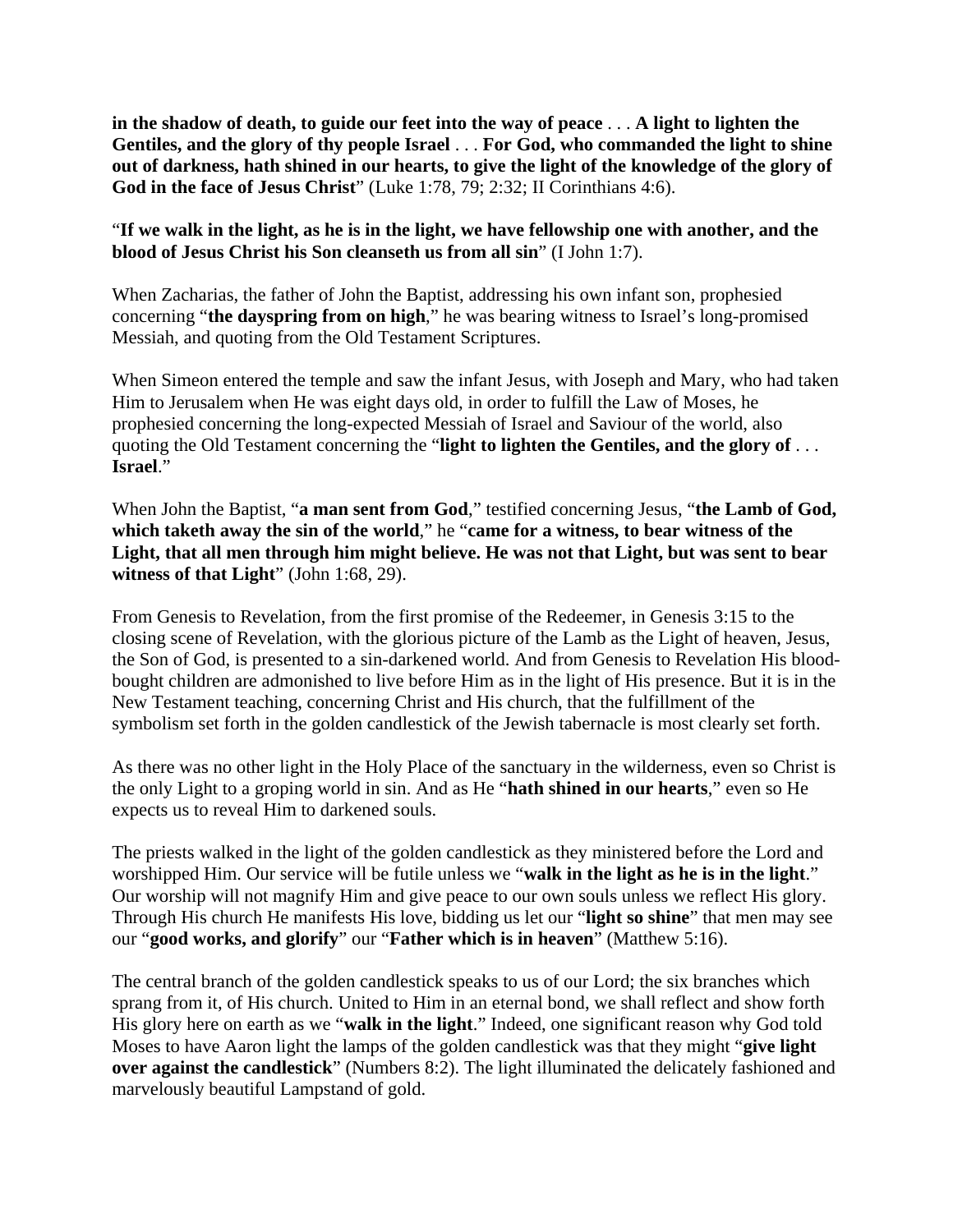**in the shadow of death, to guide our feet into the way of peace** . . . **A light to lighten the Gentiles, and the glory of thy people Israel** . . . **For God, who commanded the light to shine out of darkness, hath shined in our hearts, to give the light of the knowledge of the glory of God in the face of Jesus Christ**" (Luke 1:78, 79; 2:32; II Corinthians 4:6).

"**If we walk in the light, as he is in the light, we have fellowship one with another, and the blood of Jesus Christ his Son cleanseth us from all sin**" (I John 1:7).

When Zacharias, the father of John the Baptist, addressing his own infant son, prophesied concerning "**the dayspring from on high**," he was bearing witness to Israel's long-promised Messiah, and quoting from the Old Testament Scriptures.

When Simeon entered the temple and saw the infant Jesus, with Joseph and Mary, who had taken Him to Jerusalem when He was eight days old, in order to fulfill the Law of Moses, he prophesied concerning the long-expected Messiah of Israel and Saviour of the world, also quoting the Old Testament concerning the "**light to lighten the Gentiles, and the glory of** . . . **Israel**."

When John the Baptist, "**a man sent from God**," testified concerning Jesus, "**the Lamb of God, which taketh away the sin of the world**," he "**came for a witness, to bear witness of the Light, that all men through him might believe. He was not that Light, but was sent to bear witness of that Light**" (John 1:68, 29).

From Genesis to Revelation, from the first promise of the Redeemer, in Genesis 3:15 to the closing scene of Revelation, with the glorious picture of the Lamb as the Light of heaven, Jesus, the Son of God, is presented to a sin-darkened world. And from Genesis to Revelation His bloodbought children are admonished to live before Him as in the light of His presence. But it is in the New Testament teaching, concerning Christ and His church, that the fulfillment of the symbolism set forth in the golden candlestick of the Jewish tabernacle is most clearly set forth.

As there was no other light in the Holy Place of the sanctuary in the wilderness, even so Christ is the only Light to a groping world in sin. And as He "**hath shined in our hearts**," even so He expects us to reveal Him to darkened souls.

The priests walked in the light of the golden candlestick as they ministered before the Lord and worshipped Him. Our service will be futile unless we "**walk in the light as he is in the light**." Our worship will not magnify Him and give peace to our own souls unless we reflect His glory. Through His church He manifests His love, bidding us let our "**light so shine**" that men may see our "**good works, and glorify**" our "**Father which is in heaven**" (Matthew 5:16).

The central branch of the golden candlestick speaks to us of our Lord; the six branches which sprang from it, of His church. United to Him in an eternal bond, we shall reflect and show forth His glory here on earth as we "**walk in the light**." Indeed, one significant reason why God told Moses to have Aaron light the lamps of the golden candlestick was that they might "**give light over against the candlestick**" (Numbers 8:2). The light illuminated the delicately fashioned and marvelously beautiful Lampstand of gold.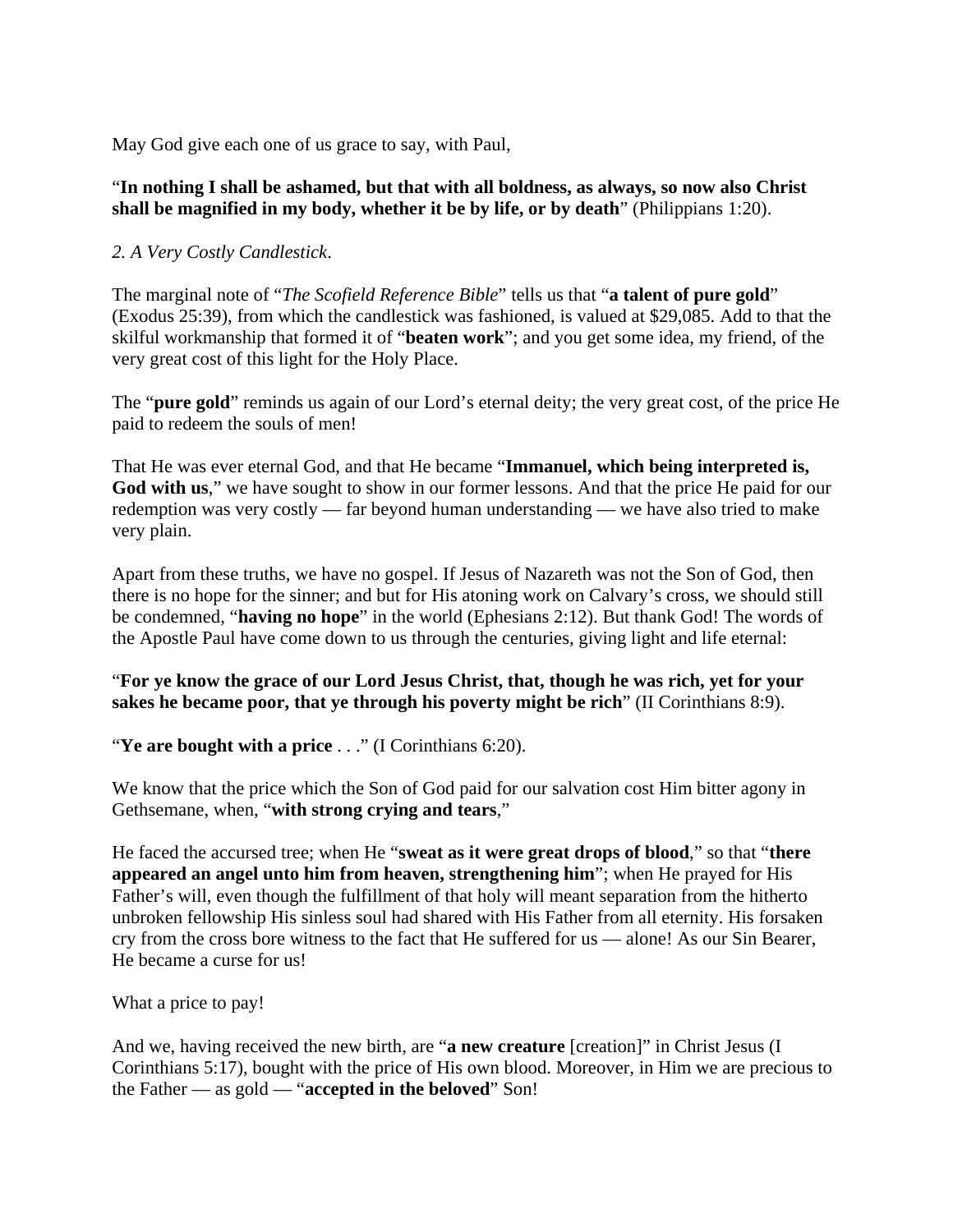May God give each one of us grace to say, with Paul,

#### "**In nothing I shall be ashamed, but that with all boldness, as always, so now also Christ shall be magnified in my body, whether it be by life, or by death**" (Philippians 1:20).

## *2. A Very Costly Candlestick*.

The marginal note of "*The Scofield Reference Bible*" tells us that "**a talent of pure gold**" (Exodus 25:39), from which the candlestick was fashioned, is valued at \$29,085. Add to that the skilful workmanship that formed it of "**beaten work**"; and you get some idea, my friend, of the very great cost of this light for the Holy Place.

The "**pure gold**" reminds us again of our Lord's eternal deity; the very great cost, of the price He paid to redeem the souls of men!

That He was ever eternal God, and that He became "**Immanuel, which being interpreted is,**  God with us," we have sought to show in our former lessons. And that the price He paid for our redemption was very costly — far beyond human understanding — we have also tried to make very plain.

Apart from these truths, we have no gospel. If Jesus of Nazareth was not the Son of God, then there is no hope for the sinner; and but for His atoning work on Calvary's cross, we should still be condemned, "**having no hope**" in the world (Ephesians 2:12). But thank God! The words of the Apostle Paul have come down to us through the centuries, giving light and life eternal:

#### "**For ye know the grace of our Lord Jesus Christ, that, though he was rich, yet for your sakes he became poor, that ye through his poverty might be rich**" (II Corinthians 8:9).

"**Ye are bought with a price** . . ." (I Corinthians 6:20).

We know that the price which the Son of God paid for our salvation cost Him bitter agony in Gethsemane, when, "**with strong crying and tears**,"

He faced the accursed tree; when He "**sweat as it were great drops of blood**," so that "**there appeared an angel unto him from heaven, strengthening him**"; when He prayed for His Father's will, even though the fulfillment of that holy will meant separation from the hitherto unbroken fellowship His sinless soul had shared with His Father from all eternity. His forsaken cry from the cross bore witness to the fact that He suffered for us — alone! As our Sin Bearer, He became a curse for us!

What a price to pay!

And we, having received the new birth, are "**a new creature** [creation]" in Christ Jesus (I Corinthians 5:17), bought with the price of His own blood. Moreover, in Him we are precious to the Father — as gold — "**accepted in the beloved**" Son!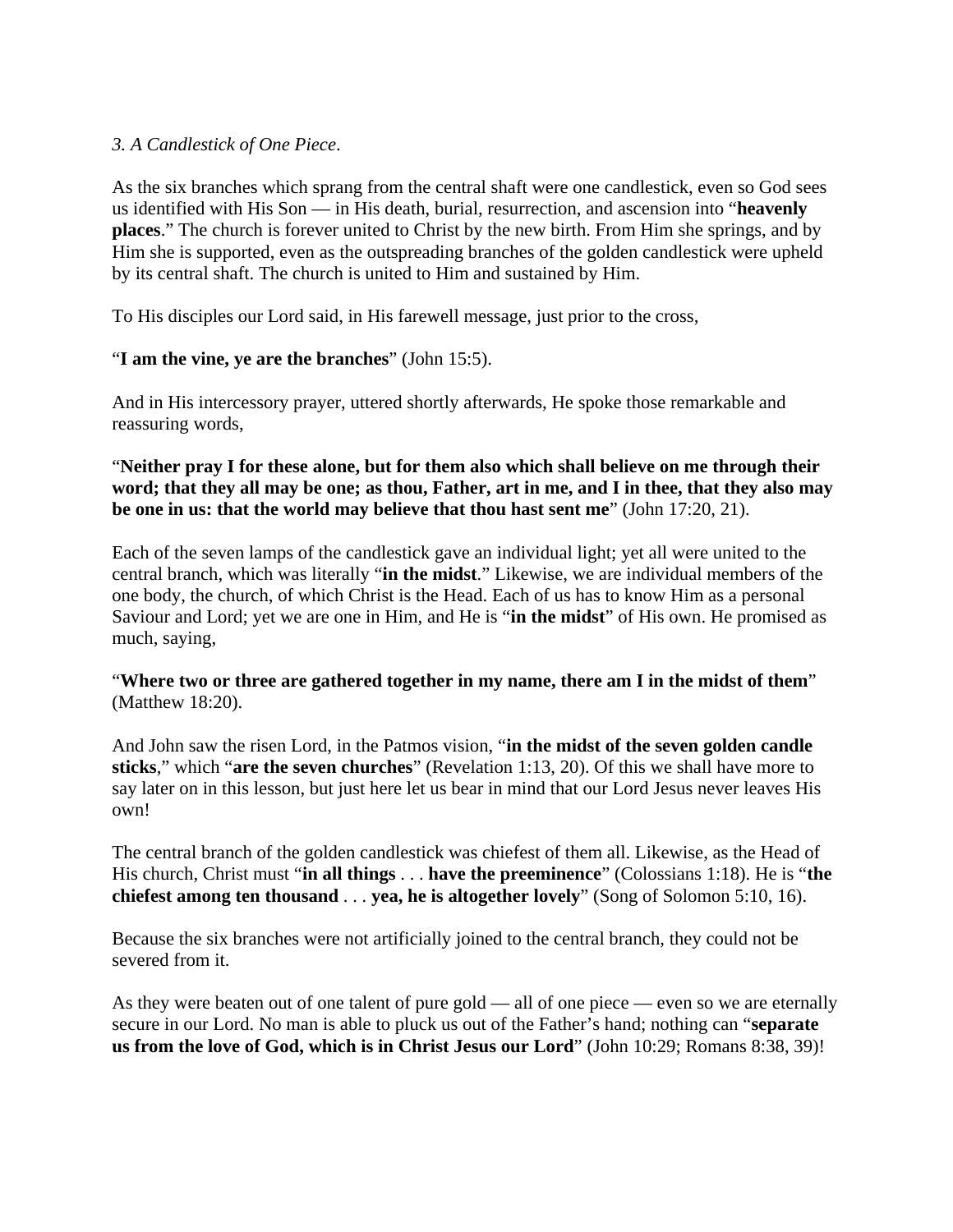## *3. A Candlestick of One Piece*.

As the six branches which sprang from the central shaft were one candlestick, even so God sees us identified with His Son — in His death, burial, resurrection, and ascension into "**heavenly places**." The church is forever united to Christ by the new birth. From Him she springs, and by Him she is supported, even as the outspreading branches of the golden candlestick were upheld by its central shaft. The church is united to Him and sustained by Him.

To His disciples our Lord said, in His farewell message, just prior to the cross,

### "**I am the vine, ye are the branches**" (John 15:5).

And in His intercessory prayer, uttered shortly afterwards, He spoke those remarkable and reassuring words,

### "**Neither pray I for these alone, but for them also which shall believe on me through their word; that they all may be one; as thou, Father, art in me, and I in thee, that they also may be one in us: that the world may believe that thou hast sent me**" (John 17:20, 21).

Each of the seven lamps of the candlestick gave an individual light; yet all were united to the central branch, which was literally "**in the midst**." Likewise, we are individual members of the one body, the church, of which Christ is the Head. Each of us has to know Him as a personal Saviour and Lord; yet we are one in Him, and He is "**in the midst**" of His own. He promised as much, saying,

### "**Where two or three are gathered together in my name, there am I in the midst of them**" (Matthew 18:20).

And John saw the risen Lord, in the Patmos vision, "**in the midst of the seven golden candle sticks**," which "**are the seven churches**" (Revelation 1:13, 20). Of this we shall have more to say later on in this lesson, but just here let us bear in mind that our Lord Jesus never leaves His own!

The central branch of the golden candlestick was chiefest of them all. Likewise, as the Head of His church, Christ must "**in all things** . . . **have the preeminence**" (Colossians 1:18). He is "**the chiefest among ten thousand** . . . **yea, he is altogether lovely**" (Song of Solomon 5:10, 16).

Because the six branches were not artificially joined to the central branch, they could not be severed from it.

As they were beaten out of one talent of pure gold — all of one piece — even so we are eternally secure in our Lord. No man is able to pluck us out of the Father's hand; nothing can "**separate us from the love of God, which is in Christ Jesus our Lord**" (John 10:29; Romans 8:38, 39)!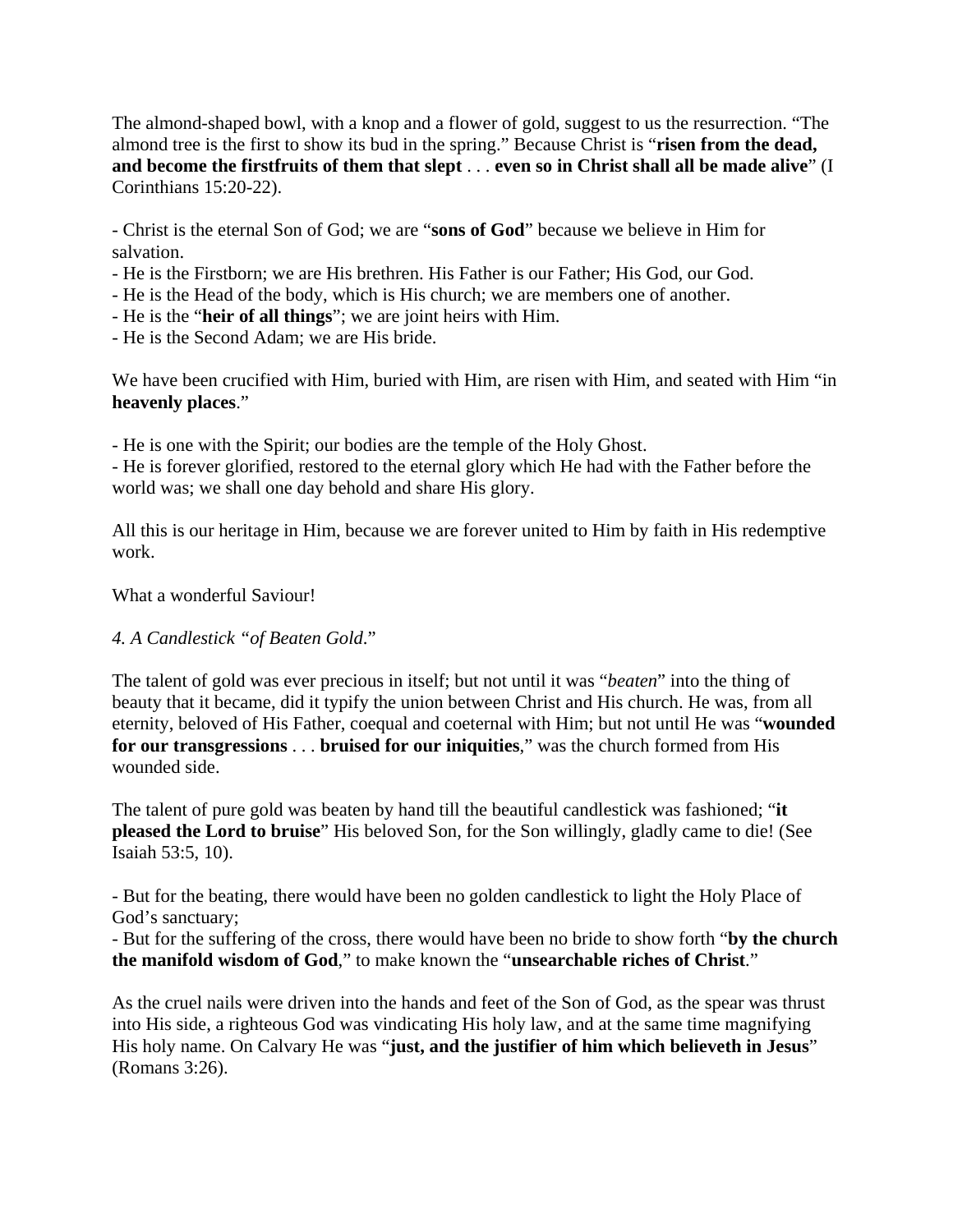The almond-shaped bowl, with a knop and a flower of gold, suggest to us the resurrection. "The almond tree is the first to show its bud in the spring." Because Christ is "**risen from the dead, and become the firstfruits of them that slept** . . . **even so in Christ shall all be made alive**" (I Corinthians 15:20-22).

- Christ is the eternal Son of God; we are "**sons of God**" because we believe in Him for salvation.

- He is the Firstborn; we are His brethren. His Father is our Father; His God, our God.
- He is the Head of the body, which is His church; we are members one of another.
- He is the "**heir of all things**"; we are joint heirs with Him.
- He is the Second Adam; we are His bride.

We have been crucified with Him, buried with Him, are risen with Him, and seated with Him "in" **heavenly places**."

- He is one with the Spirit; our bodies are the temple of the Holy Ghost.

- He is forever glorified, restored to the eternal glory which He had with the Father before the world was; we shall one day behold and share His glory.

All this is our heritage in Him, because we are forever united to Him by faith in His redemptive work.

What a wonderful Saviour!

# *4. A Candlestick "of Beaten Gold*."

The talent of gold was ever precious in itself; but not until it was "*beaten*" into the thing of beauty that it became, did it typify the union between Christ and His church. He was, from all eternity, beloved of His Father, coequal and coeternal with Him; but not until He was "**wounded for our transgressions** . . . **bruised for our iniquities**," was the church formed from His wounded side.

The talent of pure gold was beaten by hand till the beautiful candlestick was fashioned; "**it pleased the Lord to bruise**" His beloved Son, for the Son willingly, gladly came to die! (See Isaiah 53:5, 10).

- But for the beating, there would have been no golden candlestick to light the Holy Place of God's sanctuary;

- But for the suffering of the cross, there would have been no bride to show forth "**by the church the manifold wisdom of God**," to make known the "**unsearchable riches of Christ**."

As the cruel nails were driven into the hands and feet of the Son of God, as the spear was thrust into His side, a righteous God was vindicating His holy law, and at the same time magnifying His holy name. On Calvary He was "**just, and the justifier of him which believeth in Jesus**" (Romans 3:26).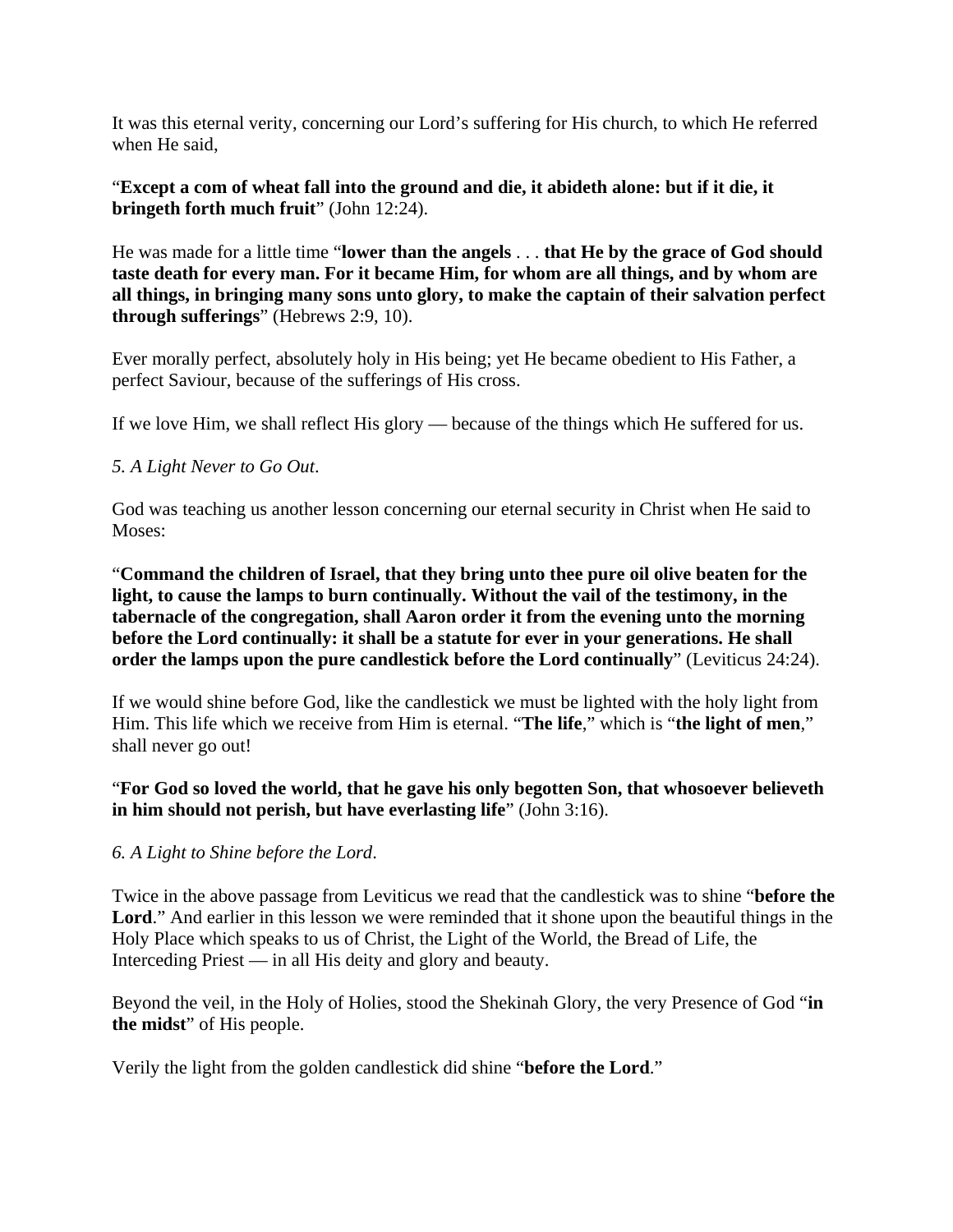It was this eternal verity, concerning our Lord's suffering for His church, to which He referred when He said,

"**Except a com of wheat fall into the ground and die, it abideth alone: but if it die, it bringeth forth much fruit**" (John 12:24).

He was made for a little time "**lower than the angels** . . . **that He by the grace of God should taste death for every man. For it became Him, for whom are all things, and by whom are all things, in bringing many sons unto glory, to make the captain of their salvation perfect through sufferings**" (Hebrews 2:9, 10).

Ever morally perfect, absolutely holy in His being; yet He became obedient to His Father, a perfect Saviour, because of the sufferings of His cross.

If we love Him, we shall reflect His glory — because of the things which He suffered for us.

### *5. A Light Never to Go Out*.

God was teaching us another lesson concerning our eternal security in Christ when He said to Moses:

"**Command the children of Israel, that they bring unto thee pure oil olive beaten for the light, to cause the lamps to burn continually. Without the vail of the testimony, in the tabernacle of the congregation, shall Aaron order it from the evening unto the morning before the Lord continually: it shall be a statute for ever in your generations. He shall order the lamps upon the pure candlestick before the Lord continually**" (Leviticus 24:24).

If we would shine before God, like the candlestick we must be lighted with the holy light from Him. This life which we receive from Him is eternal. "**The life**," which is "**the light of men**," shall never go out!

"**For God so loved the world, that he gave his only begotten Son, that whosoever believeth in him should not perish, but have everlasting life**" (John 3:16).

#### *6. A Light to Shine before the Lord*.

Twice in the above passage from Leviticus we read that the candlestick was to shine "**before the**  Lord." And earlier in this lesson we were reminded that it shone upon the beautiful things in the Holy Place which speaks to us of Christ, the Light of the World, the Bread of Life, the Interceding Priest — in all His deity and glory and beauty.

Beyond the veil, in the Holy of Holies, stood the Shekinah Glory, the very Presence of God "**in the midst**" of His people.

Verily the light from the golden candlestick did shine "**before the Lord**."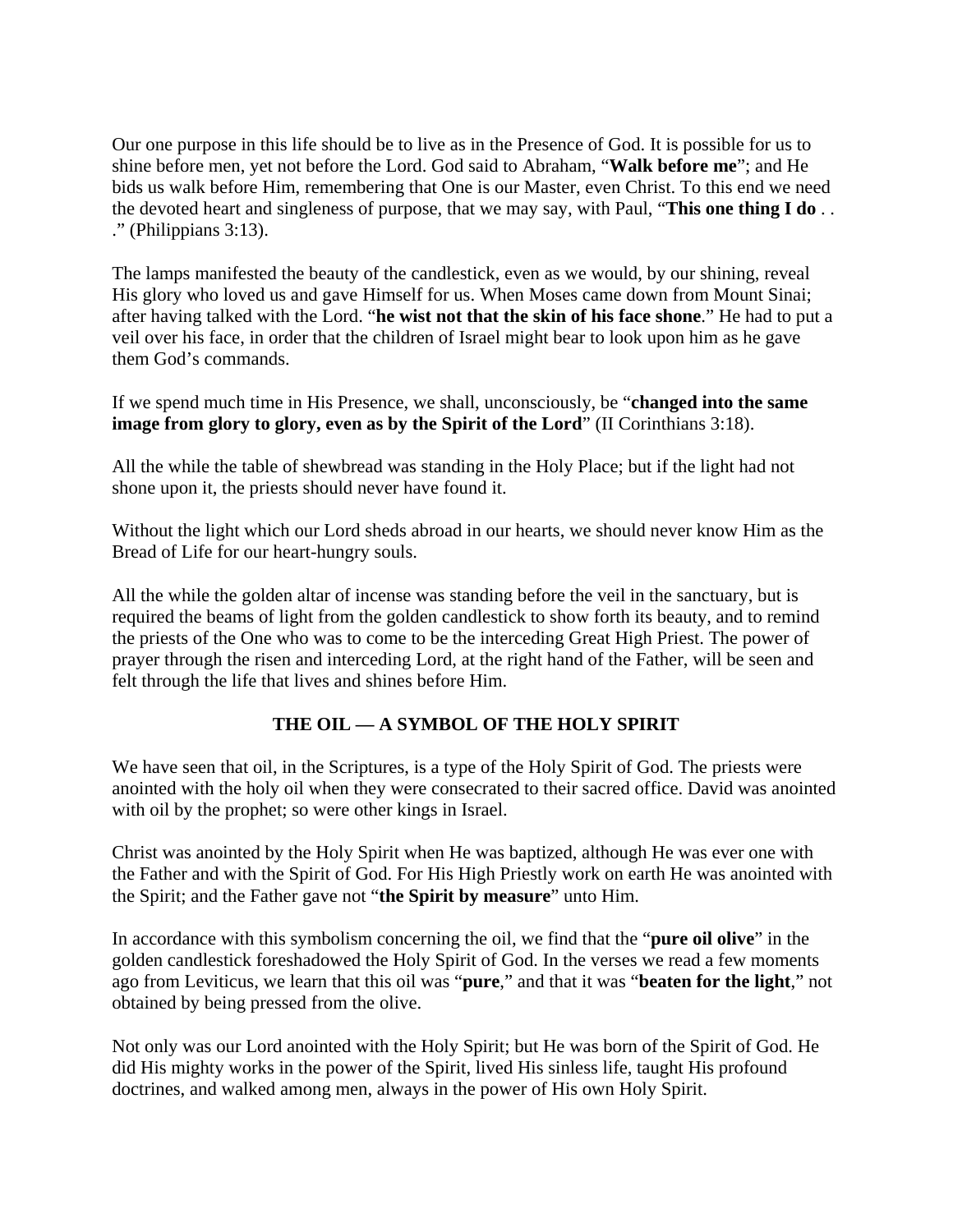Our one purpose in this life should be to live as in the Presence of God. It is possible for us to shine before men, yet not before the Lord. God said to Abraham, "**Walk before me**"; and He bids us walk before Him, remembering that One is our Master, even Christ. To this end we need the devoted heart and singleness of purpose, that we may say, with Paul, "**This one thing I do** . . ." (Philippians 3:13).

The lamps manifested the beauty of the candlestick, even as we would, by our shining, reveal His glory who loved us and gave Himself for us. When Moses came down from Mount Sinai; after having talked with the Lord. "**he wist not that the skin of his face shone**." He had to put a veil over his face, in order that the children of Israel might bear to look upon him as he gave them God's commands.

If we spend much time in His Presence, we shall, unconsciously, be "**changed into the same image from glory to glory, even as by the Spirit of the Lord**" (II Corinthians 3:18).

All the while the table of shewbread was standing in the Holy Place; but if the light had not shone upon it, the priests should never have found it.

Without the light which our Lord sheds abroad in our hearts, we should never know Him as the Bread of Life for our heart-hungry souls.

All the while the golden altar of incense was standing before the veil in the sanctuary, but is required the beams of light from the golden candlestick to show forth its beauty, and to remind the priests of the One who was to come to be the interceding Great High Priest. The power of prayer through the risen and interceding Lord, at the right hand of the Father, will be seen and felt through the life that lives and shines before Him.

# **THE OIL — A SYMBOL OF THE HOLY SPIRIT**

We have seen that oil, in the Scriptures, is a type of the Holy Spirit of God. The priests were anointed with the holy oil when they were consecrated to their sacred office. David was anointed with oil by the prophet; so were other kings in Israel.

Christ was anointed by the Holy Spirit when He was baptized, although He was ever one with the Father and with the Spirit of God. For His High Priestly work on earth He was anointed with the Spirit; and the Father gave not "**the Spirit by measure**" unto Him.

In accordance with this symbolism concerning the oil, we find that the "**pure oil olive**" in the golden candlestick foreshadowed the Holy Spirit of God. In the verses we read a few moments ago from Leviticus, we learn that this oil was "**pure**," and that it was "**beaten for the light**," not obtained by being pressed from the olive.

Not only was our Lord anointed with the Holy Spirit; but He was born of the Spirit of God. He did His mighty works in the power of the Spirit, lived His sinless life, taught His profound doctrines, and walked among men, always in the power of His own Holy Spirit.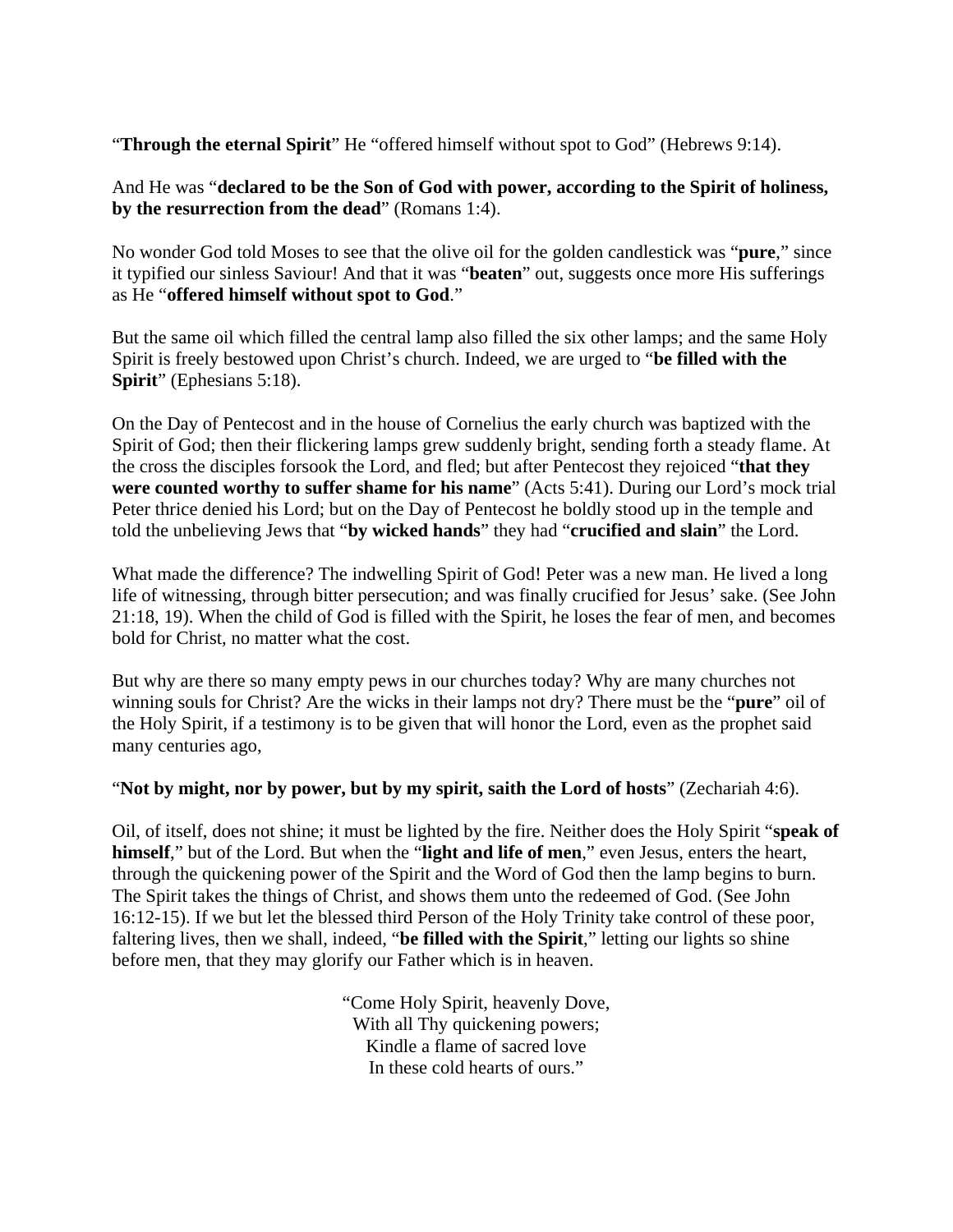"**Through the eternal Spirit**" He "offered himself without spot to God" (Hebrews 9:14).

And He was "**declared to be the Son of God with power, according to the Spirit of holiness, by the resurrection from the dead**" (Romans 1:4).

No wonder God told Moses to see that the olive oil for the golden candlestick was "**pure**," since it typified our sinless Saviour! And that it was "**beaten**" out, suggests once more His sufferings as He "**offered himself without spot to God**."

But the same oil which filled the central lamp also filled the six other lamps; and the same Holy Spirit is freely bestowed upon Christ's church. Indeed, we are urged to "**be filled with the Spirit**" (Ephesians 5:18).

On the Day of Pentecost and in the house of Cornelius the early church was baptized with the Spirit of God; then their flickering lamps grew suddenly bright, sending forth a steady flame. At the cross the disciples forsook the Lord, and fled; but after Pentecost they rejoiced "**that they were counted worthy to suffer shame for his name**" (Acts 5:41). During our Lord's mock trial Peter thrice denied his Lord; but on the Day of Pentecost he boldly stood up in the temple and told the unbelieving Jews that "**by wicked hands**" they had "**crucified and slain**" the Lord.

What made the difference? The indwelling Spirit of God! Peter was a new man. He lived a long life of witnessing, through bitter persecution; and was finally crucified for Jesus' sake. (See John 21:18, 19). When the child of God is filled with the Spirit, he loses the fear of men, and becomes bold for Christ, no matter what the cost.

But why are there so many empty pews in our churches today? Why are many churches not winning souls for Christ? Are the wicks in their lamps not dry? There must be the "**pure**" oil of the Holy Spirit, if a testimony is to be given that will honor the Lord, even as the prophet said many centuries ago,

"**Not by might, nor by power, but by my spirit, saith the Lord of hosts**" (Zechariah 4:6).

Oil, of itself, does not shine; it must be lighted by the fire. Neither does the Holy Spirit "**speak of himself**," but of the Lord. But when the "**light and life of men**," even Jesus, enters the heart, through the quickening power of the Spirit and the Word of God then the lamp begins to burn. The Spirit takes the things of Christ, and shows them unto the redeemed of God. (See John 16:12-15). If we but let the blessed third Person of the Holy Trinity take control of these poor, faltering lives, then we shall, indeed, "**be filled with the Spirit**," letting our lights so shine before men, that they may glorify our Father which is in heaven.

> "Come Holy Spirit, heavenly Dove, With all Thy quickening powers; Kindle a flame of sacred love In these cold hearts of ours."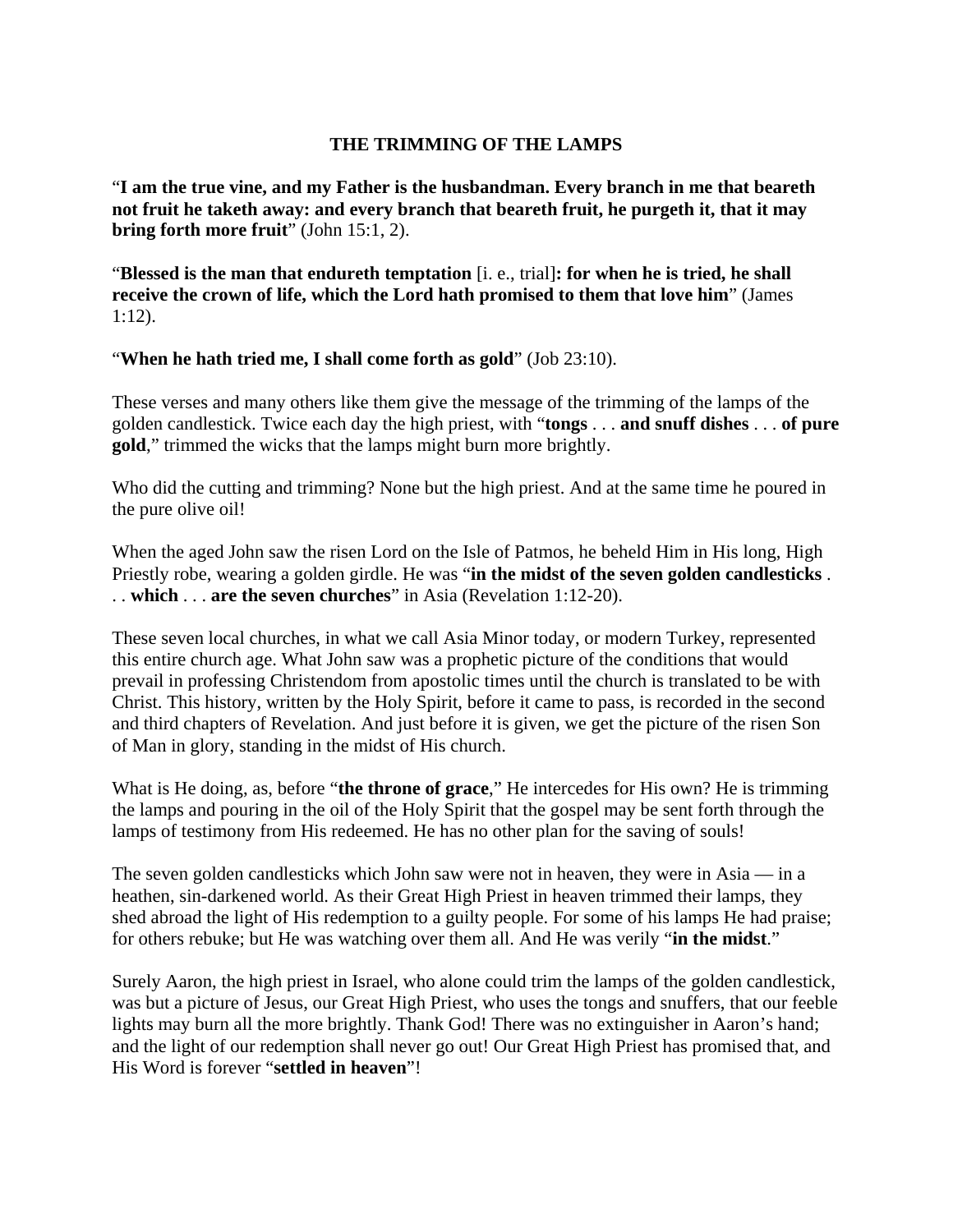## **THE TRIMMING OF THE LAMPS**

"**I am the true vine, and my Father is the husbandman. Every branch in me that beareth not fruit he taketh away: and every branch that beareth fruit, he purgeth it, that it may bring forth more fruit**" (John 15:1, 2).

"**Blessed is the man that endureth temptation** [i. e., trial]**: for when he is tried, he shall receive the crown of life, which the Lord hath promised to them that love him**" (James 1:12).

"**When he hath tried me, I shall come forth as gold**" (Job 23:10).

These verses and many others like them give the message of the trimming of the lamps of the golden candlestick. Twice each day the high priest, with "**tongs** . . . **and snuff dishes** . . . **of pure gold**," trimmed the wicks that the lamps might burn more brightly.

Who did the cutting and trimming? None but the high priest. And at the same time he poured in the pure olive oil!

When the aged John saw the risen Lord on the Isle of Patmos, he beheld Him in His long, High Priestly robe, wearing a golden girdle. He was "**in the midst of the seven golden candlesticks** . . . **which** . . . **are the seven churches**" in Asia (Revelation 1:12-20).

These seven local churches, in what we call Asia Minor today, or modern Turkey, represented this entire church age. What John saw was a prophetic picture of the conditions that would prevail in professing Christendom from apostolic times until the church is translated to be with Christ. This history, written by the Holy Spirit, before it came to pass, is recorded in the second and third chapters of Revelation. And just before it is given, we get the picture of the risen Son of Man in glory, standing in the midst of His church.

What is He doing, as, before "**the throne of grace**," He intercedes for His own? He is trimming the lamps and pouring in the oil of the Holy Spirit that the gospel may be sent forth through the lamps of testimony from His redeemed. He has no other plan for the saving of souls!

The seven golden candlesticks which John saw were not in heaven, they were in Asia — in a heathen, sin-darkened world. As their Great High Priest in heaven trimmed their lamps, they shed abroad the light of His redemption to a guilty people. For some of his lamps He had praise; for others rebuke; but He was watching over them all. And He was verily "**in the midst**."

Surely Aaron, the high priest in Israel, who alone could trim the lamps of the golden candlestick, was but a picture of Jesus, our Great High Priest, who uses the tongs and snuffers, that our feeble lights may burn all the more brightly. Thank God! There was no extinguisher in Aaron's hand; and the light of our redemption shall never go out! Our Great High Priest has promised that, and His Word is forever "**settled in heaven**"!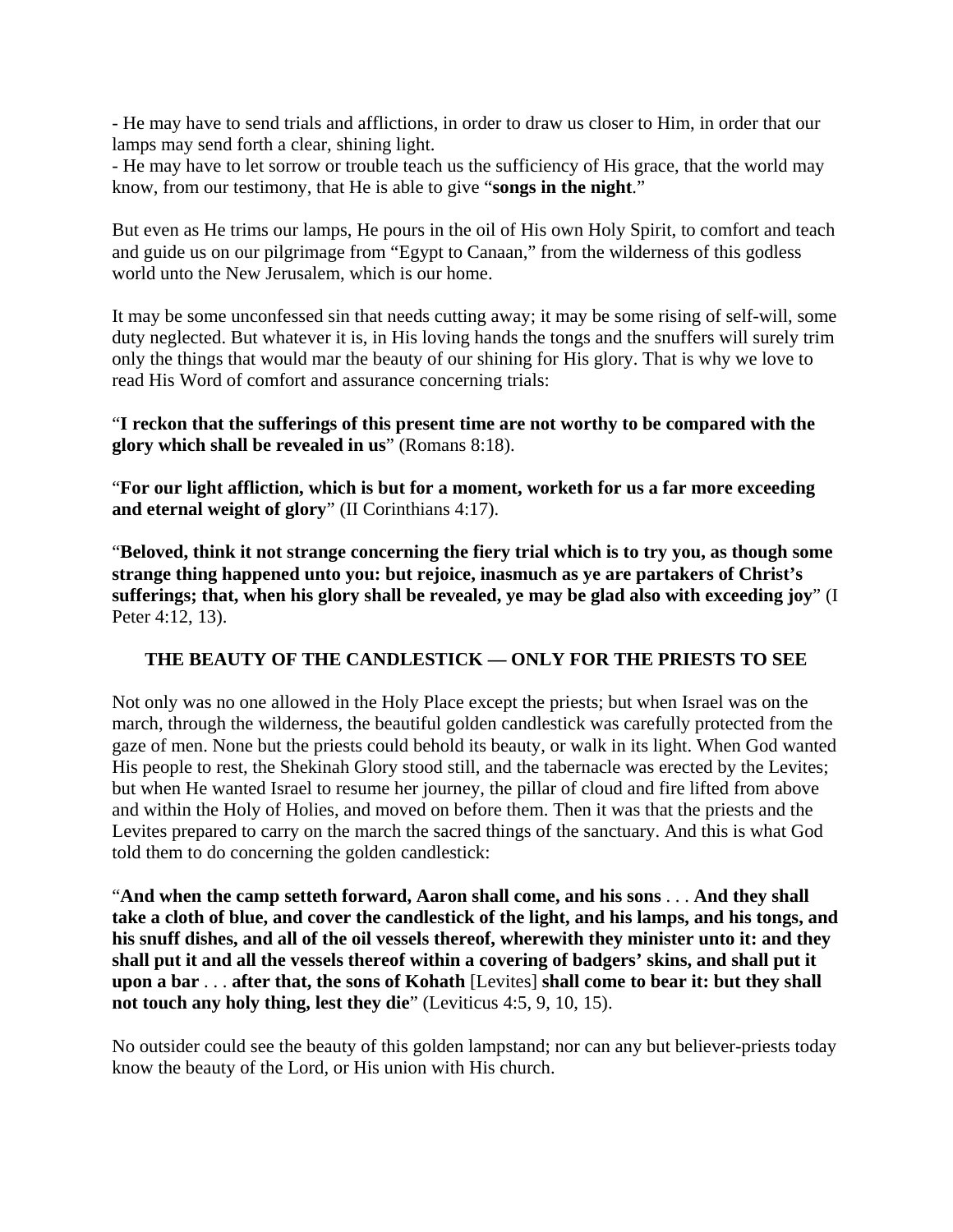- He may have to send trials and afflictions, in order to draw us closer to Him, in order that our lamps may send forth a clear, shining light.

- He may have to let sorrow or trouble teach us the sufficiency of His grace, that the world may know, from our testimony, that He is able to give "**songs in the night**."

But even as He trims our lamps, He pours in the oil of His own Holy Spirit, to comfort and teach and guide us on our pilgrimage from "Egypt to Canaan," from the wilderness of this godless world unto the New Jerusalem, which is our home.

It may be some unconfessed sin that needs cutting away; it may be some rising of self-will, some duty neglected. But whatever it is, in His loving hands the tongs and the snuffers will surely trim only the things that would mar the beauty of our shining for His glory. That is why we love to read His Word of comfort and assurance concerning trials:

"**I reckon that the sufferings of this present time are not worthy to be compared with the glory which shall be revealed in us**" (Romans 8:18).

"**For our light affliction, which is but for a moment, worketh for us a far more exceeding and eternal weight of glory**" (II Corinthians 4:17).

"**Beloved, think it not strange concerning the fiery trial which is to try you, as though some strange thing happened unto you: but rejoice, inasmuch as ye are partakers of Christ's sufferings; that, when his glory shall be revealed, ye may be glad also with exceeding joy**" (I Peter 4:12, 13).

# **THE BEAUTY OF THE CANDLESTICK — ONLY FOR THE PRIESTS TO SEE**

Not only was no one allowed in the Holy Place except the priests; but when Israel was on the march, through the wilderness, the beautiful golden candlestick was carefully protected from the gaze of men. None but the priests could behold its beauty, or walk in its light. When God wanted His people to rest, the Shekinah Glory stood still, and the tabernacle was erected by the Levites; but when He wanted Israel to resume her journey, the pillar of cloud and fire lifted from above and within the Holy of Holies, and moved on before them. Then it was that the priests and the Levites prepared to carry on the march the sacred things of the sanctuary. And this is what God told them to do concerning the golden candlestick:

"**And when the camp setteth forward, Aaron shall come, and his sons** . . . **And they shall take a cloth of blue, and cover the candlestick of the light, and his lamps, and his tongs, and his snuff dishes, and all of the oil vessels thereof, wherewith they minister unto it: and they shall put it and all the vessels thereof within a covering of badgers' skins, and shall put it upon a bar** . . . **after that, the sons of Kohath** [Levites] **shall come to bear it: but they shall not touch any holy thing, lest they die**" (Leviticus 4:5, 9, 10, 15).

No outsider could see the beauty of this golden lampstand; nor can any but believer-priests today know the beauty of the Lord, or His union with His church.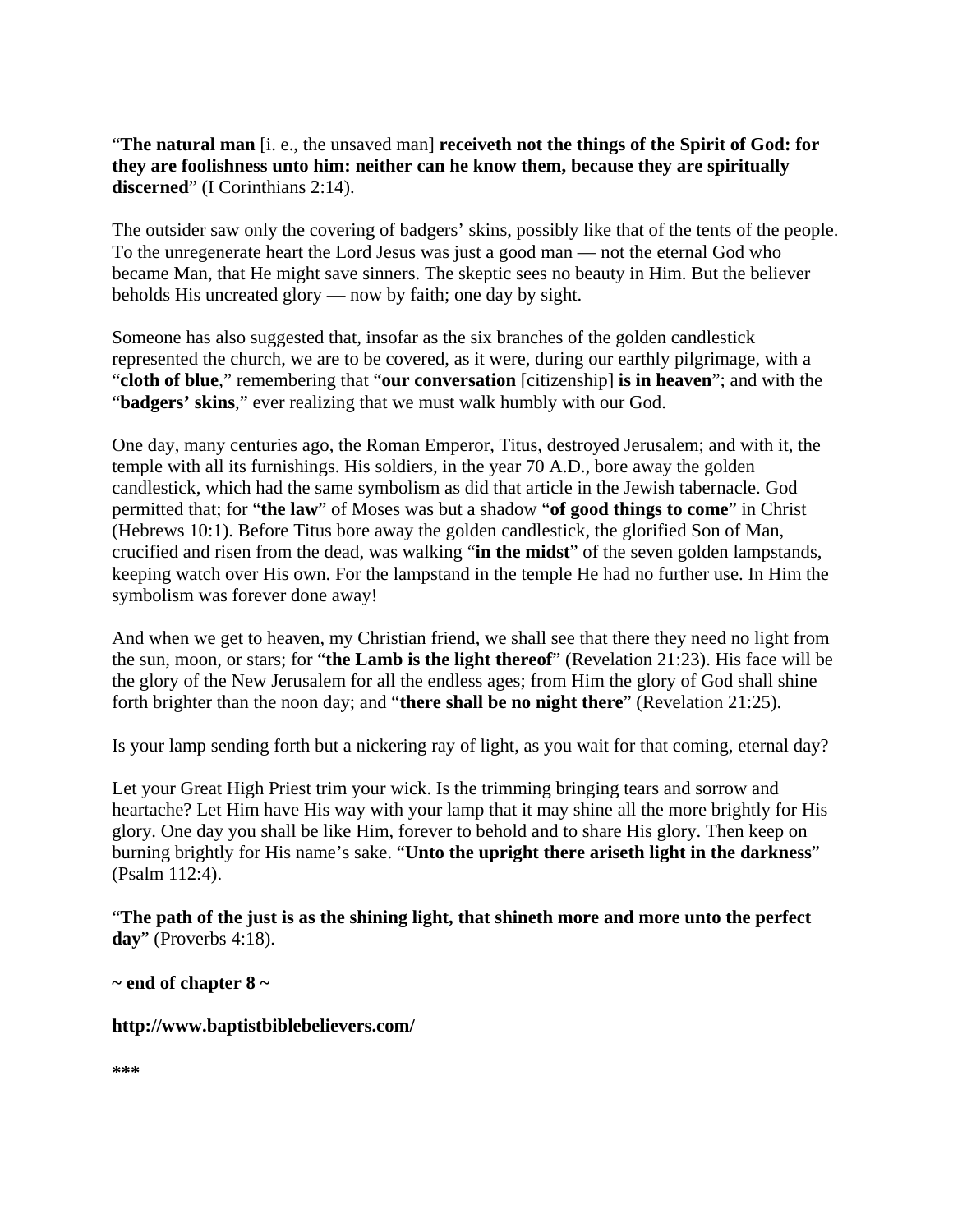"**The natural man** [i. e., the unsaved man] **receiveth not the things of the Spirit of God: for they are foolishness unto him: neither can he know them, because they are spiritually discerned**" (I Corinthians 2:14).

The outsider saw only the covering of badgers' skins, possibly like that of the tents of the people. To the unregenerate heart the Lord Jesus was just a good man — not the eternal God who became Man, that He might save sinners. The skeptic sees no beauty in Him. But the believer beholds His uncreated glory — now by faith; one day by sight.

Someone has also suggested that, insofar as the six branches of the golden candlestick represented the church, we are to be covered, as it were, during our earthly pilgrimage, with a "**cloth of blue**," remembering that "**our conversation** [citizenship] **is in heaven**"; and with the "**badgers' skins**," ever realizing that we must walk humbly with our God.

One day, many centuries ago, the Roman Emperor, Titus, destroyed Jerusalem; and with it, the temple with all its furnishings. His soldiers, in the year 70 A.D., bore away the golden candlestick, which had the same symbolism as did that article in the Jewish tabernacle. God permitted that; for "**the law**" of Moses was but a shadow "**of good things to come**" in Christ (Hebrews 10:1). Before Titus bore away the golden candlestick, the glorified Son of Man, crucified and risen from the dead, was walking "**in the midst**" of the seven golden lampstands, keeping watch over His own. For the lampstand in the temple He had no further use. In Him the symbolism was forever done away!

And when we get to heaven, my Christian friend, we shall see that there they need no light from the sun, moon, or stars; for "**the Lamb is the light thereof**" (Revelation 21:23). His face will be the glory of the New Jerusalem for all the endless ages; from Him the glory of God shall shine forth brighter than the noon day; and "**there shall be no night there**" (Revelation 21:25).

Is your lamp sending forth but a nickering ray of light, as you wait for that coming, eternal day?

Let your Great High Priest trim your wick. Is the trimming bringing tears and sorrow and heartache? Let Him have His way with your lamp that it may shine all the more brightly for His glory. One day you shall be like Him, forever to behold and to share His glory. Then keep on burning brightly for His name's sake. "**Unto the upright there ariseth light in the darkness**" (Psalm 112:4).

"**The path of the just is as the shining light, that shineth more and more unto the perfect day**" (Proverbs 4:18).

**~ end of chapter 8 ~** 

**http://www.baptistbiblebelievers.com/** 

```
***
```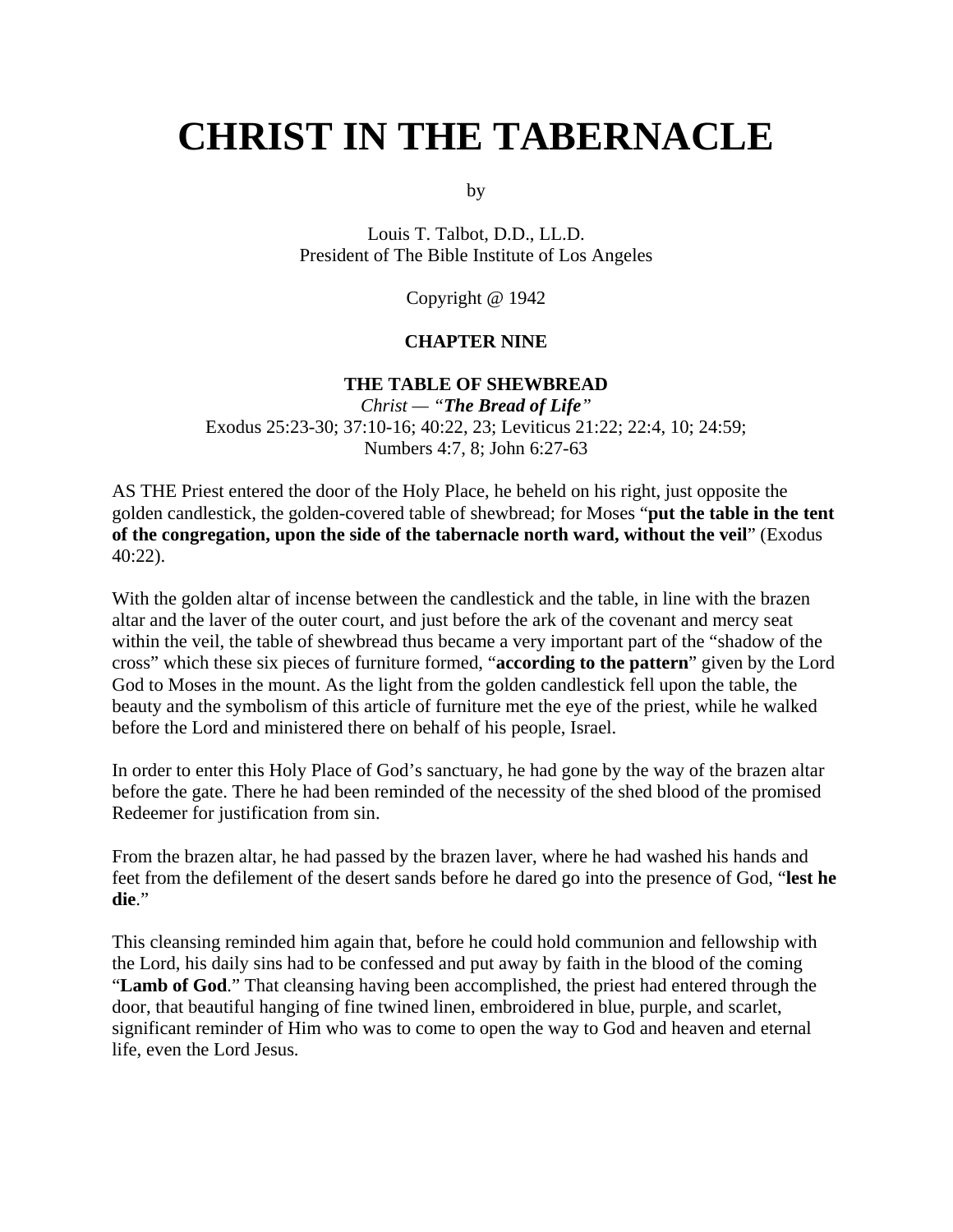# **CHRIST IN THE TABERNACLE**

by

Louis T. Talbot, D.D., LL.D. President of The Bible Institute of Los Angeles

Copyright @ 1942

#### **CHAPTER NINE**

### **THE TABLE OF SHEWBREAD**

*Christ — "The Bread of Life"* Exodus 25:23-30; 37:10-16; 40:22, 23; Leviticus 21:22; 22:4, 10; 24:59; Numbers 4:7, 8; John 6:27-63

AS THE Priest entered the door of the Holy Place, he beheld on his right, just opposite the golden candlestick, the golden-covered table of shewbread; for Moses "**put the table in the tent of the congregation, upon the side of the tabernacle north ward, without the veil**" (Exodus 40:22).

With the golden altar of incense between the candlestick and the table, in line with the brazen altar and the laver of the outer court, and just before the ark of the covenant and mercy seat within the veil, the table of shewbread thus became a very important part of the "shadow of the cross" which these six pieces of furniture formed, "**according to the pattern**" given by the Lord God to Moses in the mount. As the light from the golden candlestick fell upon the table, the beauty and the symbolism of this article of furniture met the eye of the priest, while he walked before the Lord and ministered there on behalf of his people, Israel.

In order to enter this Holy Place of God's sanctuary, he had gone by the way of the brazen altar before the gate. There he had been reminded of the necessity of the shed blood of the promised Redeemer for justification from sin.

From the brazen altar, he had passed by the brazen laver, where he had washed his hands and feet from the defilement of the desert sands before he dared go into the presence of God, "**lest he die**."

This cleansing reminded him again that, before he could hold communion and fellowship with the Lord, his daily sins had to be confessed and put away by faith in the blood of the coming "**Lamb of God**." That cleansing having been accomplished, the priest had entered through the door, that beautiful hanging of fine twined linen, embroidered in blue, purple, and scarlet, significant reminder of Him who was to come to open the way to God and heaven and eternal life, even the Lord Jesus.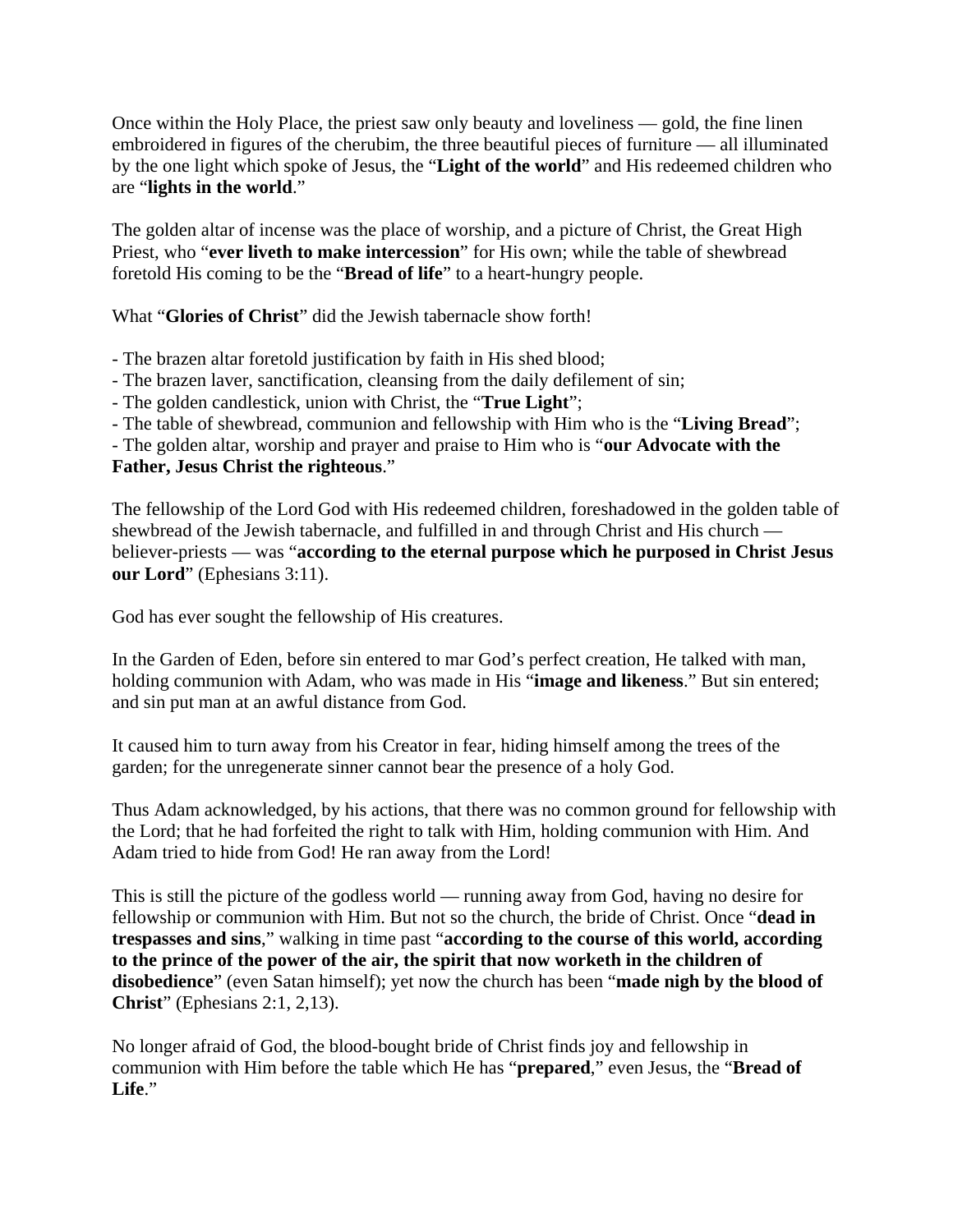Once within the Holy Place, the priest saw only beauty and loveliness — gold, the fine linen embroidered in figures of the cherubim, the three beautiful pieces of furniture — all illuminated by the one light which spoke of Jesus, the "**Light of the world**" and His redeemed children who are "**lights in the world**."

The golden altar of incense was the place of worship, and a picture of Christ, the Great High Priest, who "**ever liveth to make intercession**" for His own; while the table of shewbread foretold His coming to be the "**Bread of life**" to a heart-hungry people.

What "**Glories of Christ**" did the Jewish tabernacle show forth!

- The brazen altar foretold justification by faith in His shed blood;

- The brazen laver, sanctification, cleansing from the daily defilement of sin;

- The golden candlestick, union with Christ, the "**True Light**";

- The table of shewbread, communion and fellowship with Him who is the "**Living Bread**";

- The golden altar, worship and prayer and praise to Him who is "**our Advocate with the Father, Jesus Christ the righteous**."

The fellowship of the Lord God with His redeemed children, foreshadowed in the golden table of shewbread of the Jewish tabernacle, and fulfilled in and through Christ and His church believer-priests — was "**according to the eternal purpose which he purposed in Christ Jesus our Lord**" (Ephesians 3:11).

God has ever sought the fellowship of His creatures.

In the Garden of Eden, before sin entered to mar God's perfect creation, He talked with man, holding communion with Adam, who was made in His "**image and likeness**." But sin entered; and sin put man at an awful distance from God.

It caused him to turn away from his Creator in fear, hiding himself among the trees of the garden; for the unregenerate sinner cannot bear the presence of a holy God.

Thus Adam acknowledged, by his actions, that there was no common ground for fellowship with the Lord; that he had forfeited the right to talk with Him, holding communion with Him. And Adam tried to hide from God! He ran away from the Lord!

This is still the picture of the godless world — running away from God, having no desire for fellowship or communion with Him. But not so the church, the bride of Christ. Once "**dead in trespasses and sins**," walking in time past "**according to the course of this world, according to the prince of the power of the air, the spirit that now worketh in the children of disobedience**" (even Satan himself); yet now the church has been "**made nigh by the blood of Christ**" (Ephesians 2:1, 2,13).

No longer afraid of God, the blood-bought bride of Christ finds joy and fellowship in communion with Him before the table which He has "**prepared**," even Jesus, the "**Bread of Life**."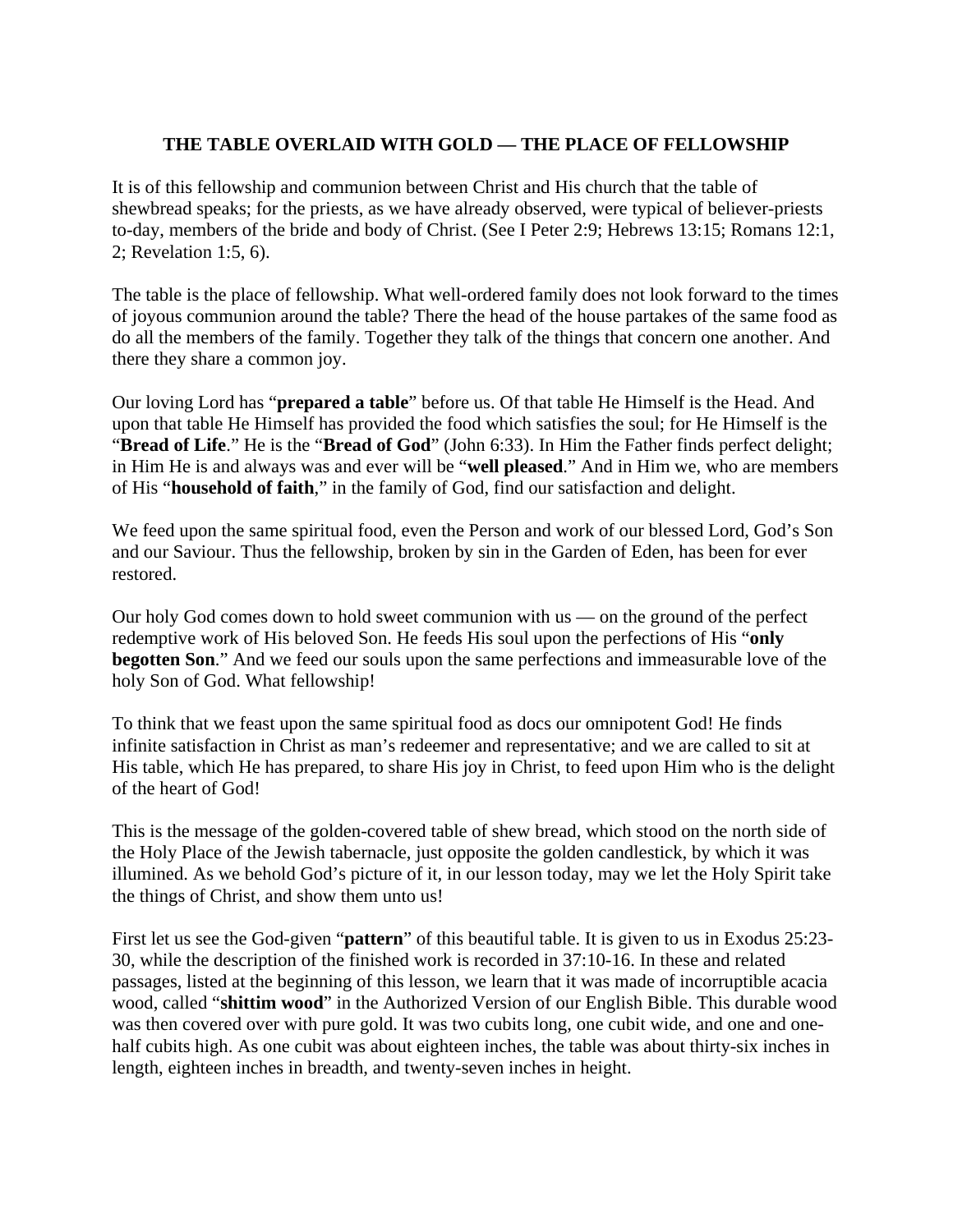# **THE TABLE OVERLAID WITH GOLD — THE PLACE OF FELLOWSHIP**

It is of this fellowship and communion between Christ and His church that the table of shewbread speaks; for the priests, as we have already observed, were typical of believer-priests to-day, members of the bride and body of Christ. (See I Peter 2:9; Hebrews 13:15; Romans 12:1, 2; Revelation 1:5, 6).

The table is the place of fellowship. What well-ordered family does not look forward to the times of joyous communion around the table? There the head of the house partakes of the same food as do all the members of the family. Together they talk of the things that concern one another. And there they share a common joy.

Our loving Lord has "**prepared a table**" before us. Of that table He Himself is the Head. And upon that table He Himself has provided the food which satisfies the soul; for He Himself is the "**Bread of Life**." He is the "**Bread of God**" (John 6:33). In Him the Father finds perfect delight; in Him He is and always was and ever will be "**well pleased**." And in Him we, who are members of His "**household of faith**," in the family of God, find our satisfaction and delight.

We feed upon the same spiritual food, even the Person and work of our blessed Lord, God's Son and our Saviour. Thus the fellowship, broken by sin in the Garden of Eden, has been for ever restored.

Our holy God comes down to hold sweet communion with us — on the ground of the perfect redemptive work of His beloved Son. He feeds His soul upon the perfections of His "**only begotten Son.**" And we feed our souls upon the same perfections and immeasurable love of the holy Son of God. What fellowship!

To think that we feast upon the same spiritual food as docs our omnipotent God! He finds infinite satisfaction in Christ as man's redeemer and representative; and we are called to sit at His table, which He has prepared, to share His joy in Christ, to feed upon Him who is the delight of the heart of God!

This is the message of the golden-covered table of shew bread, which stood on the north side of the Holy Place of the Jewish tabernacle, just opposite the golden candlestick, by which it was illumined. As we behold God's picture of it, in our lesson today, may we let the Holy Spirit take the things of Christ, and show them unto us!

First let us see the God-given "**pattern**" of this beautiful table. It is given to us in Exodus 25:23- 30, while the description of the finished work is recorded in 37:10-16. In these and related passages, listed at the beginning of this lesson, we learn that it was made of incorruptible acacia wood, called "**shittim wood**" in the Authorized Version of our English Bible. This durable wood was then covered over with pure gold. It was two cubits long, one cubit wide, and one and onehalf cubits high. As one cubit was about eighteen inches, the table was about thirty-six inches in length, eighteen inches in breadth, and twenty-seven inches in height.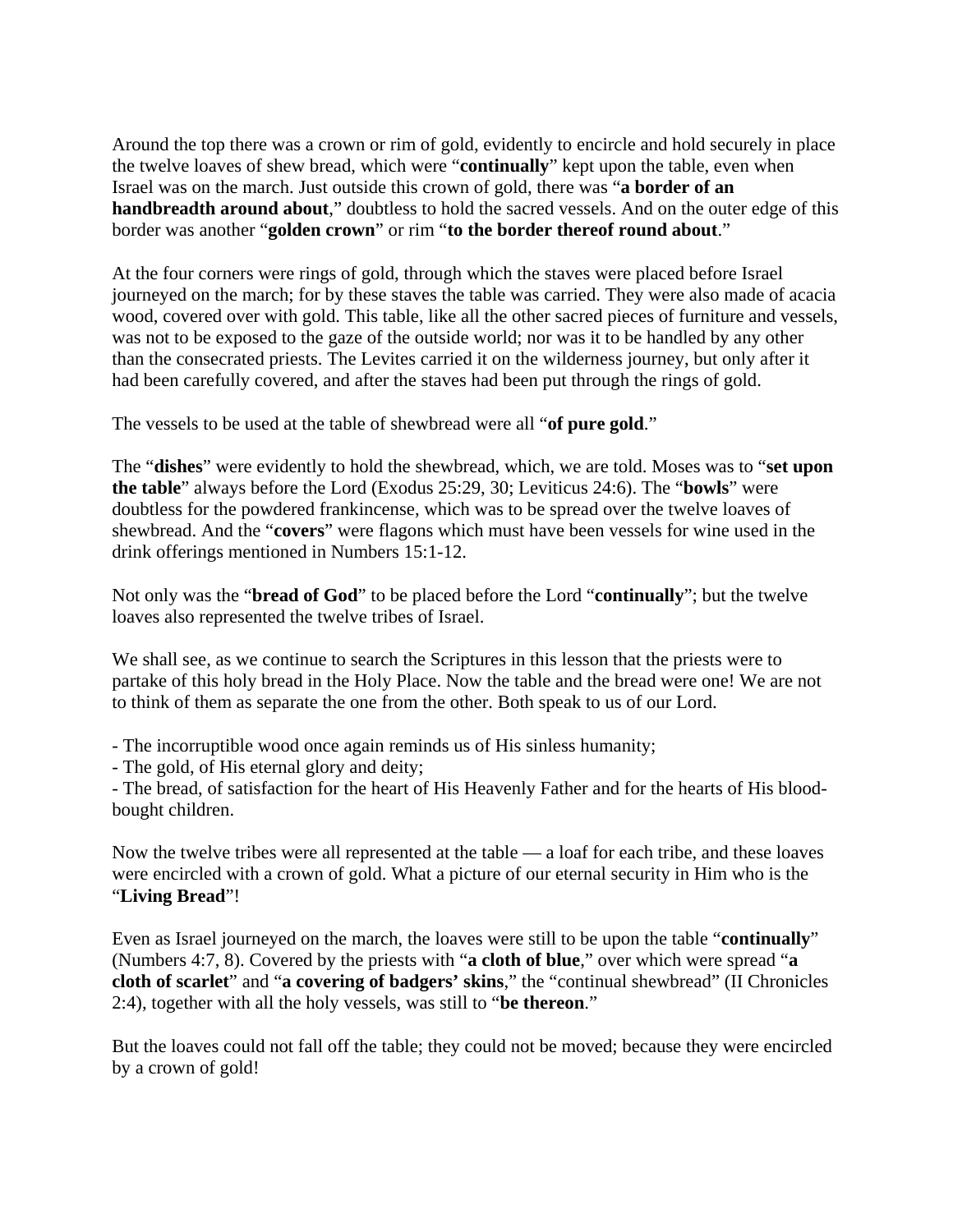Around the top there was a crown or rim of gold, evidently to encircle and hold securely in place the twelve loaves of shew bread, which were "**continually**" kept upon the table, even when Israel was on the march. Just outside this crown of gold, there was "**a border of an handbreadth around about**," doubtless to hold the sacred vessels. And on the outer edge of this border was another "**golden crown**" or rim "**to the border thereof round about**."

At the four corners were rings of gold, through which the staves were placed before Israel journeyed on the march; for by these staves the table was carried. They were also made of acacia wood, covered over with gold. This table, like all the other sacred pieces of furniture and vessels, was not to be exposed to the gaze of the outside world; nor was it to be handled by any other than the consecrated priests. The Levites carried it on the wilderness journey, but only after it had been carefully covered, and after the staves had been put through the rings of gold.

The vessels to be used at the table of shewbread were all "**of pure gold**."

The "**dishes**" were evidently to hold the shewbread, which, we are told. Moses was to "**set upon the table**" always before the Lord (Exodus 25:29, 30; Leviticus 24:6). The "**bowls**" were doubtless for the powdered frankincense, which was to be spread over the twelve loaves of shewbread. And the "**covers**" were flagons which must have been vessels for wine used in the drink offerings mentioned in Numbers 15:1-12.

Not only was the "**bread of God**" to be placed before the Lord "**continually**"; but the twelve loaves also represented the twelve tribes of Israel.

We shall see, as we continue to search the Scriptures in this lesson that the priests were to partake of this holy bread in the Holy Place. Now the table and the bread were one! We are not to think of them as separate the one from the other. Both speak to us of our Lord.

- The incorruptible wood once again reminds us of His sinless humanity;

- The gold, of His eternal glory and deity;

- The bread, of satisfaction for the heart of His Heavenly Father and for the hearts of His bloodbought children.

Now the twelve tribes were all represented at the table — a loaf for each tribe, and these loaves were encircled with a crown of gold. What a picture of our eternal security in Him who is the "**Living Bread**"!

Even as Israel journeyed on the march, the loaves were still to be upon the table "**continually**" (Numbers 4:7, 8). Covered by the priests with "**a cloth of blue**," over which were spread "**a cloth of scarlet**" and "**a covering of badgers' skins**," the "continual shewbread" (II Chronicles 2:4), together with all the holy vessels, was still to "**be thereon**."

But the loaves could not fall off the table; they could not be moved; because they were encircled by a crown of gold!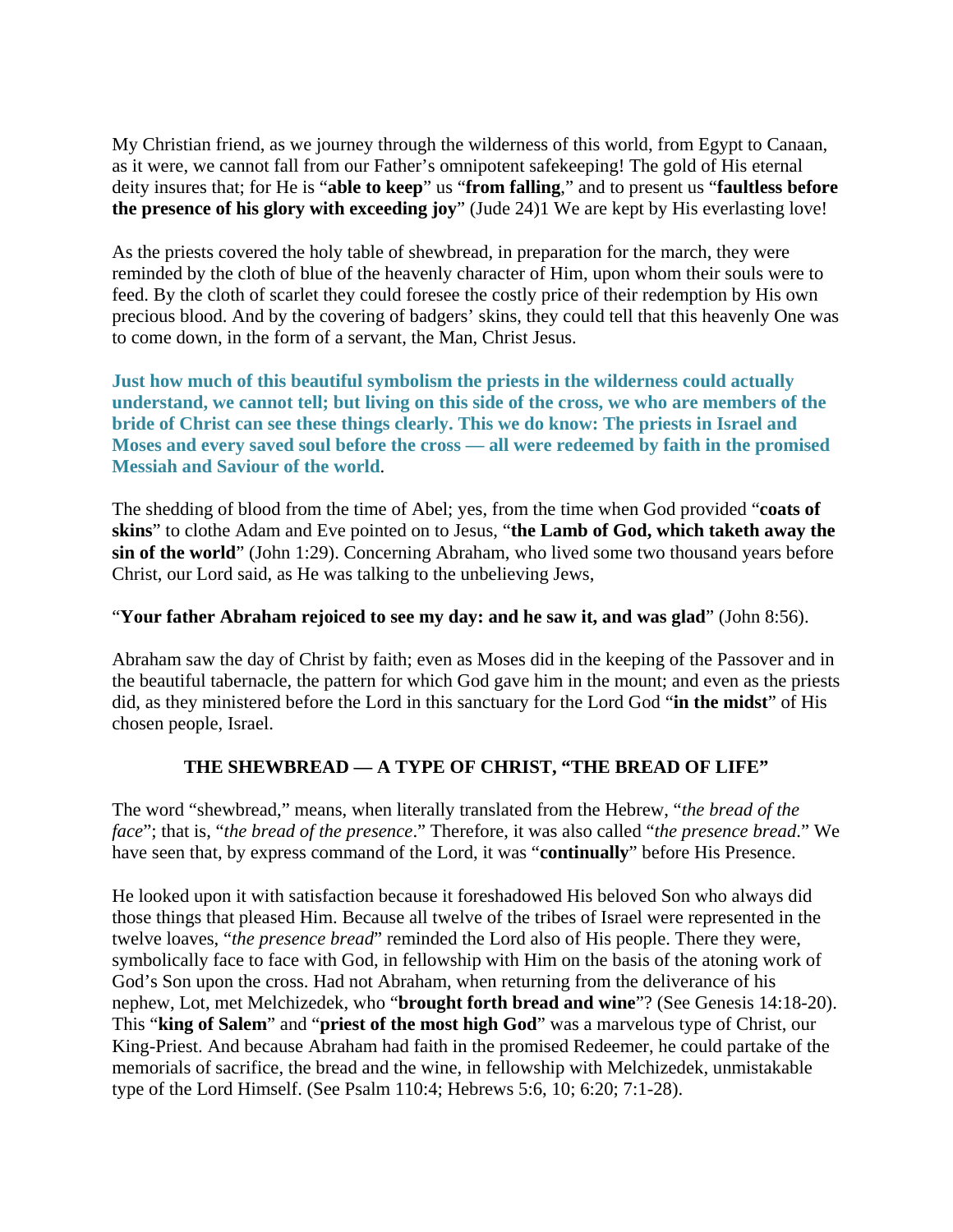My Christian friend, as we journey through the wilderness of this world, from Egypt to Canaan, as it were, we cannot fall from our Father's omnipotent safekeeping! The gold of His eternal deity insures that; for He is "**able to keep**" us "**from falling**," and to present us "**faultless before the presence of his glory with exceeding joy**" (Jude 24)1 We are kept by His everlasting love!

As the priests covered the holy table of shewbread, in preparation for the march, they were reminded by the cloth of blue of the heavenly character of Him, upon whom their souls were to feed. By the cloth of scarlet they could foresee the costly price of their redemption by His own precious blood. And by the covering of badgers' skins, they could tell that this heavenly One was to come down, in the form of a servant, the Man, Christ Jesus.

**Just how much of this beautiful symbolism the priests in the wilderness could actually understand, we cannot tell; but living on this side of the cross, we who are members of the bride of Christ can see these things clearly. This we do know: The priests in Israel and Moses and every saved soul before the cross — all were redeemed by faith in the promised Messiah and Saviour of the world**.

The shedding of blood from the time of Abel; yes, from the time when God provided "**coats of skins**" to clothe Adam and Eve pointed on to Jesus, "**the Lamb of God, which taketh away the sin of the world**" (John 1:29). Concerning Abraham, who lived some two thousand years before Christ, our Lord said, as He was talking to the unbelieving Jews,

#### "**Your father Abraham rejoiced to see my day: and he saw it, and was glad**" (John 8:56).

Abraham saw the day of Christ by faith; even as Moses did in the keeping of the Passover and in the beautiful tabernacle, the pattern for which God gave him in the mount; and even as the priests did, as they ministered before the Lord in this sanctuary for the Lord God "**in the midst**" of His chosen people, Israel.

# **THE SHEWBREAD — A TYPE OF CHRIST, "THE BREAD OF LIFE"**

The word "shewbread," means, when literally translated from the Hebrew, "*the bread of the face*"; that is, "*the bread of the presence*." Therefore, it was also called "*the presence bread*." We have seen that, by express command of the Lord, it was "**continually**" before His Presence.

He looked upon it with satisfaction because it foreshadowed His beloved Son who always did those things that pleased Him. Because all twelve of the tribes of Israel were represented in the twelve loaves, "*the presence bread*" reminded the Lord also of His people. There they were, symbolically face to face with God, in fellowship with Him on the basis of the atoning work of God's Son upon the cross. Had not Abraham, when returning from the deliverance of his nephew, Lot, met Melchizedek, who "**brought forth bread and wine**"? (See Genesis 14:18-20). This "**king of Salem**" and "**priest of the most high God**" was a marvelous type of Christ, our King-Priest. And because Abraham had faith in the promised Redeemer, he could partake of the memorials of sacrifice, the bread and the wine, in fellowship with Melchizedek, unmistakable type of the Lord Himself. (See Psalm 110:4; Hebrews 5:6, 10; 6:20; 7:1-28).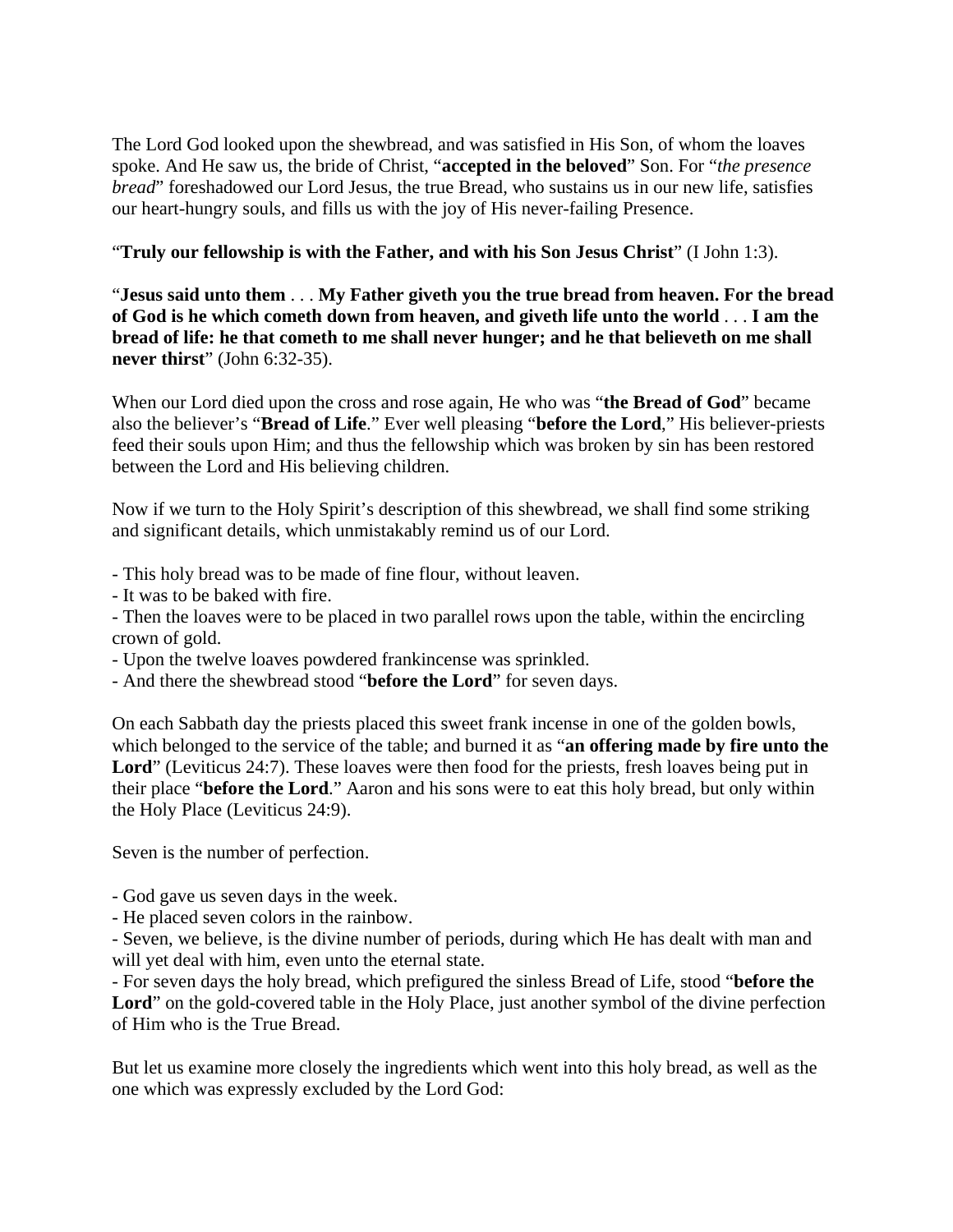The Lord God looked upon the shewbread, and was satisfied in His Son, of whom the loaves spoke. And He saw us, the bride of Christ, "**accepted in the beloved**" Son. For "*the presence bread*" foreshadowed our Lord Jesus, the true Bread, who sustains us in our new life, satisfies our heart-hungry souls, and fills us with the joy of His never-failing Presence.

"**Truly our fellowship is with the Father, and with his Son Jesus Christ**" (I John 1:3).

"**Jesus said unto them** . . . **My Father giveth you the true bread from heaven. For the bread of God is he which cometh down from heaven, and giveth life unto the world** . . . **I am the bread of life: he that cometh to me shall never hunger; and he that believeth on me shall never thirst**" (John 6:32-35).

When our Lord died upon the cross and rose again, He who was "**the Bread of God**" became also the believer's "**Bread of Life**." Ever well pleasing "**before the Lord**," His believer-priests feed their souls upon Him; and thus the fellowship which was broken by sin has been restored between the Lord and His believing children.

Now if we turn to the Holy Spirit's description of this shewbread, we shall find some striking and significant details, which unmistakably remind us of our Lord.

- This holy bread was to be made of fine flour, without leaven.
- It was to be baked with fire.
- Then the loaves were to be placed in two parallel rows upon the table, within the encircling crown of gold.
- Upon the twelve loaves powdered frankincense was sprinkled.
- And there the shewbread stood "**before the Lord**" for seven days.

On each Sabbath day the priests placed this sweet frank incense in one of the golden bowls, which belonged to the service of the table; and burned it as "**an offering made by fire unto the**  Lord<sup>"</sup> (Leviticus 24:7). These loaves were then food for the priests, fresh loaves being put in their place "**before the Lord**." Aaron and his sons were to eat this holy bread, but only within the Holy Place (Leviticus 24:9).

Seven is the number of perfection.

- God gave us seven days in the week.
- He placed seven colors in the rainbow.

- Seven, we believe, is the divine number of periods, during which He has dealt with man and will yet deal with him, even unto the eternal state.

- For seven days the holy bread, which prefigured the sinless Bread of Life, stood "**before the**  Lord<sup>"</sup> on the gold-covered table in the Holy Place, just another symbol of the divine perfection of Him who is the True Bread.

But let us examine more closely the ingredients which went into this holy bread, as well as the one which was expressly excluded by the Lord God: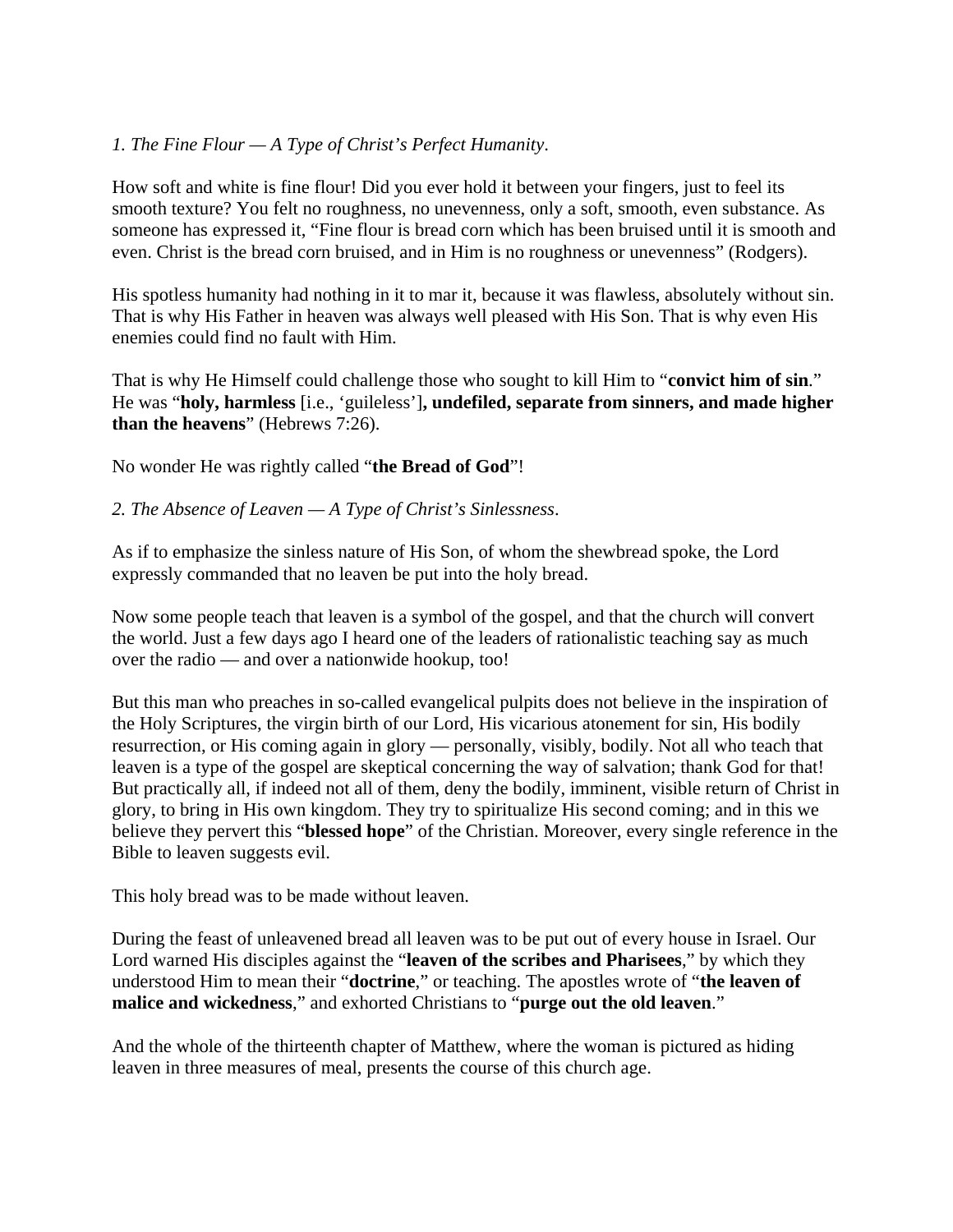# *1. The Fine Flour — A Type of Christ's Perfect Humanity*.

How soft and white is fine flour! Did you ever hold it between your fingers, just to feel its smooth texture? You felt no roughness, no unevenness, only a soft, smooth, even substance. As someone has expressed it, "Fine flour is bread corn which has been bruised until it is smooth and even. Christ is the bread corn bruised, and in Him is no roughness or unevenness" (Rodgers).

His spotless humanity had nothing in it to mar it, because it was flawless, absolutely without sin. That is why His Father in heaven was always well pleased with His Son. That is why even His enemies could find no fault with Him.

That is why He Himself could challenge those who sought to kill Him to "**convict him of sin**." He was "**holy, harmless** [i.e., 'guileless']**, undefiled, separate from sinners, and made higher than the heavens**" (Hebrews 7:26).

No wonder He was rightly called "**the Bread of God**"!

### *2. The Absence of Leaven — A Type of Christ's Sinlessness*.

As if to emphasize the sinless nature of His Son, of whom the shewbread spoke, the Lord expressly commanded that no leaven be put into the holy bread.

Now some people teach that leaven is a symbol of the gospel, and that the church will convert the world. Just a few days ago I heard one of the leaders of rationalistic teaching say as much over the radio — and over a nationwide hookup, too!

But this man who preaches in so-called evangelical pulpits does not believe in the inspiration of the Holy Scriptures, the virgin birth of our Lord, His vicarious atonement for sin, His bodily resurrection, or His coming again in glory — personally, visibly, bodily. Not all who teach that leaven is a type of the gospel are skeptical concerning the way of salvation; thank God for that! But practically all, if indeed not all of them, deny the bodily, imminent, visible return of Christ in glory, to bring in His own kingdom. They try to spiritualize His second coming; and in this we believe they pervert this "**blessed hope**" of the Christian. Moreover, every single reference in the Bible to leaven suggests evil.

This holy bread was to be made without leaven.

During the feast of unleavened bread all leaven was to be put out of every house in Israel. Our Lord warned His disciples against the "**leaven of the scribes and Pharisees**," by which they understood Him to mean their "**doctrine**," or teaching. The apostles wrote of "**the leaven of malice and wickedness**," and exhorted Christians to "**purge out the old leaven**."

And the whole of the thirteenth chapter of Matthew, where the woman is pictured as hiding leaven in three measures of meal, presents the course of this church age.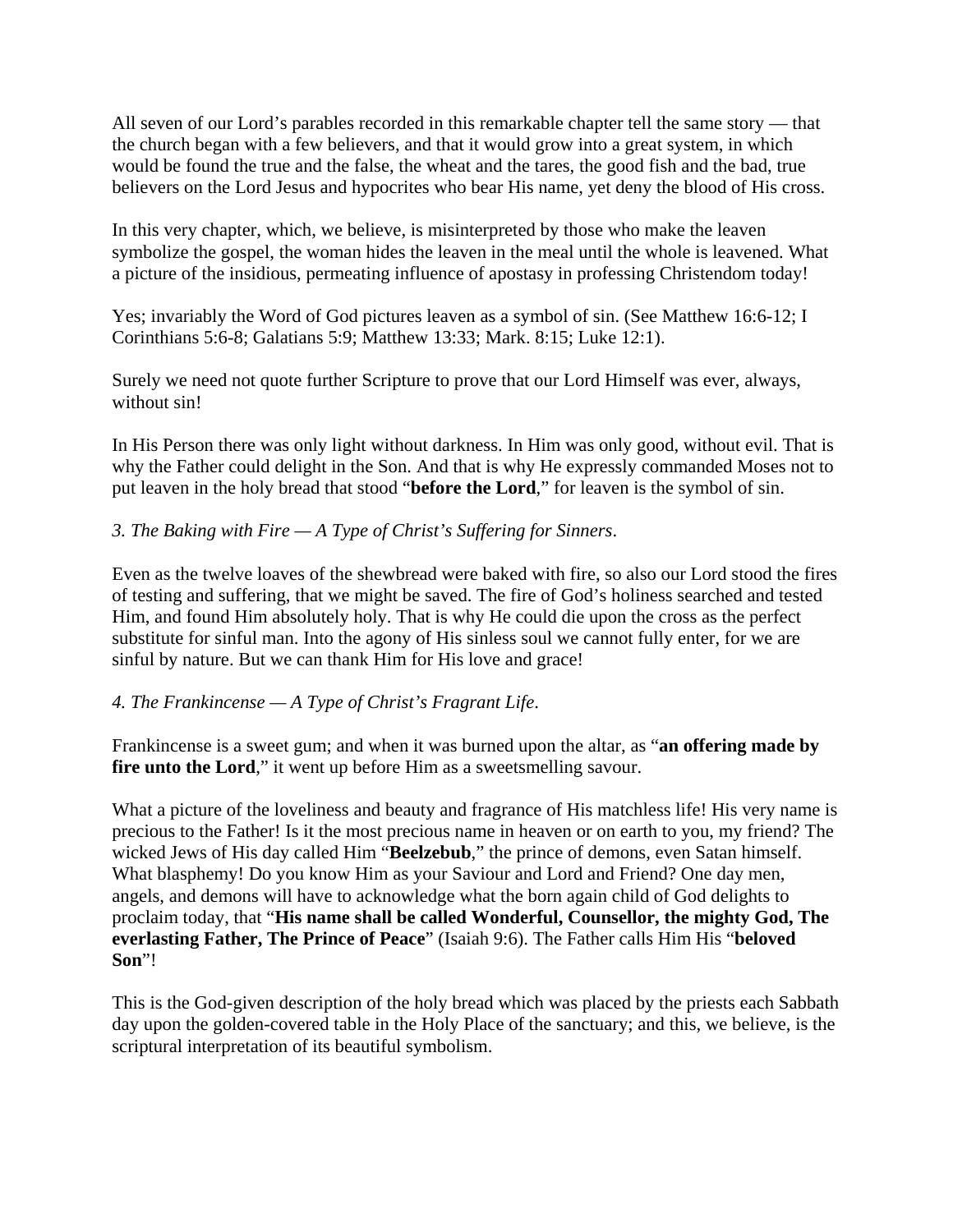All seven of our Lord's parables recorded in this remarkable chapter tell the same story — that the church began with a few believers, and that it would grow into a great system, in which would be found the true and the false, the wheat and the tares, the good fish and the bad, true believers on the Lord Jesus and hypocrites who bear His name, yet deny the blood of His cross.

In this very chapter, which, we believe, is misinterpreted by those who make the leaven symbolize the gospel, the woman hides the leaven in the meal until the whole is leavened. What a picture of the insidious, permeating influence of apostasy in professing Christendom today!

Yes; invariably the Word of God pictures leaven as a symbol of sin. (See Matthew 16:6-12; I Corinthians 5:6-8; Galatians 5:9; Matthew 13:33; Mark. 8:15; Luke 12:1).

Surely we need not quote further Scripture to prove that our Lord Himself was ever, always, without sin!

In His Person there was only light without darkness. In Him was only good, without evil. That is why the Father could delight in the Son. And that is why He expressly commanded Moses not to put leaven in the holy bread that stood "**before the Lord**," for leaven is the symbol of sin.

# *3. The Baking with Fire — A Type of Christ's Suffering for Sinners*.

Even as the twelve loaves of the shewbread were baked with fire, so also our Lord stood the fires of testing and suffering, that we might be saved. The fire of God's holiness searched and tested Him, and found Him absolutely holy. That is why He could die upon the cross as the perfect substitute for sinful man. Into the agony of His sinless soul we cannot fully enter, for we are sinful by nature. But we can thank Him for His love and grace!

# *4. The Frankincense — A Type of Christ's Fragrant Life*.

Frankincense is a sweet gum; and when it was burned upon the altar, as "**an offering made by fire unto the Lord**," it went up before Him as a sweetsmelling savour.

What a picture of the loveliness and beauty and fragrance of His matchless life! His very name is precious to the Father! Is it the most precious name in heaven or on earth to you, my friend? The wicked Jews of His day called Him "**Beelzebub**," the prince of demons, even Satan himself. What blasphemy! Do you know Him as your Saviour and Lord and Friend? One day men, angels, and demons will have to acknowledge what the born again child of God delights to proclaim today, that "**His name shall be called Wonderful, Counsellor, the mighty God, The everlasting Father, The Prince of Peace**" (Isaiah 9:6). The Father calls Him His "**beloved Son**"!

This is the God-given description of the holy bread which was placed by the priests each Sabbath day upon the golden-covered table in the Holy Place of the sanctuary; and this, we believe, is the scriptural interpretation of its beautiful symbolism.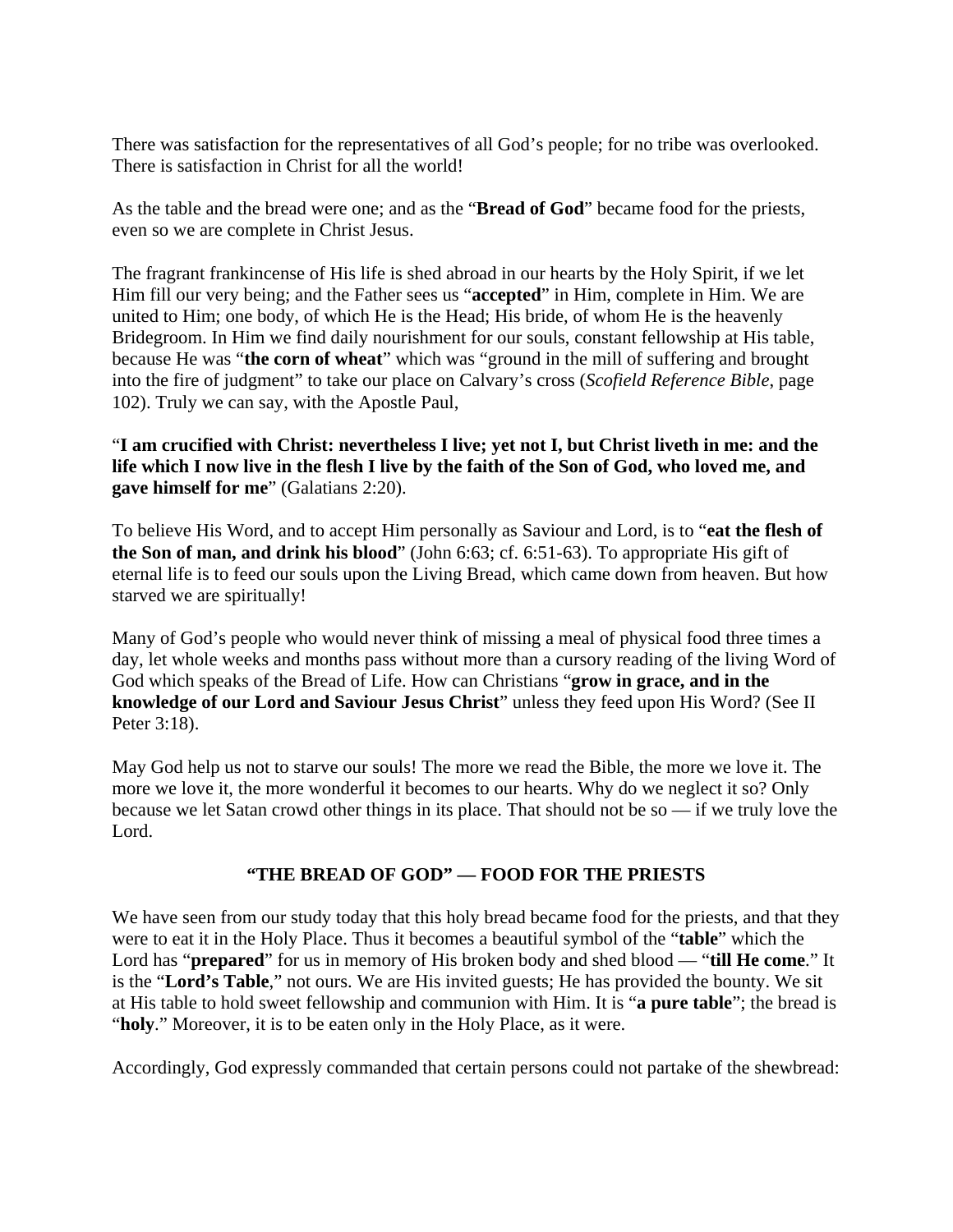There was satisfaction for the representatives of all God's people; for no tribe was overlooked. There is satisfaction in Christ for all the world!

As the table and the bread were one; and as the "**Bread of God**" became food for the priests, even so we are complete in Christ Jesus.

The fragrant frankincense of His life is shed abroad in our hearts by the Holy Spirit, if we let Him fill our very being; and the Father sees us "**accepted**" in Him, complete in Him. We are united to Him; one body, of which He is the Head; His bride, of whom He is the heavenly Bridegroom. In Him we find daily nourishment for our souls, constant fellowship at His table, because He was "**the corn of wheat**" which was "ground in the mill of suffering and brought into the fire of judgment" to take our place on Calvary's cross (*Scofield Reference Bible*, page 102). Truly we can say, with the Apostle Paul,

"**I am crucified with Christ: nevertheless I live; yet not I, but Christ liveth in me: and the life which I now live in the flesh I live by the faith of the Son of God, who loved me, and gave himself for me**" (Galatians 2:20).

To believe His Word, and to accept Him personally as Saviour and Lord, is to "**eat the flesh of the Son of man, and drink his blood**" (John 6:63; cf. 6:51-63). To appropriate His gift of eternal life is to feed our souls upon the Living Bread, which came down from heaven. But how starved we are spiritually!

Many of God's people who would never think of missing a meal of physical food three times a day, let whole weeks and months pass without more than a cursory reading of the living Word of God which speaks of the Bread of Life. How can Christians "**grow in grace, and in the knowledge of our Lord and Saviour Jesus Christ**" unless they feed upon His Word? (See II Peter 3:18).

May God help us not to starve our souls! The more we read the Bible, the more we love it. The more we love it, the more wonderful it becomes to our hearts. Why do we neglect it so? Only because we let Satan crowd other things in its place. That should not be so — if we truly love the Lord.

# **"THE BREAD OF GOD" — FOOD FOR THE PRIESTS**

We have seen from our study today that this holy bread became food for the priests, and that they were to eat it in the Holy Place. Thus it becomes a beautiful symbol of the "**table**" which the Lord has "**prepared**" for us in memory of His broken body and shed blood — "**till He come**." It is the "**Lord's Table**," not ours. We are His invited guests; He has provided the bounty. We sit at His table to hold sweet fellowship and communion with Him. It is "**a pure table**"; the bread is "**holy**." Moreover, it is to be eaten only in the Holy Place, as it were.

Accordingly, God expressly commanded that certain persons could not partake of the shewbread: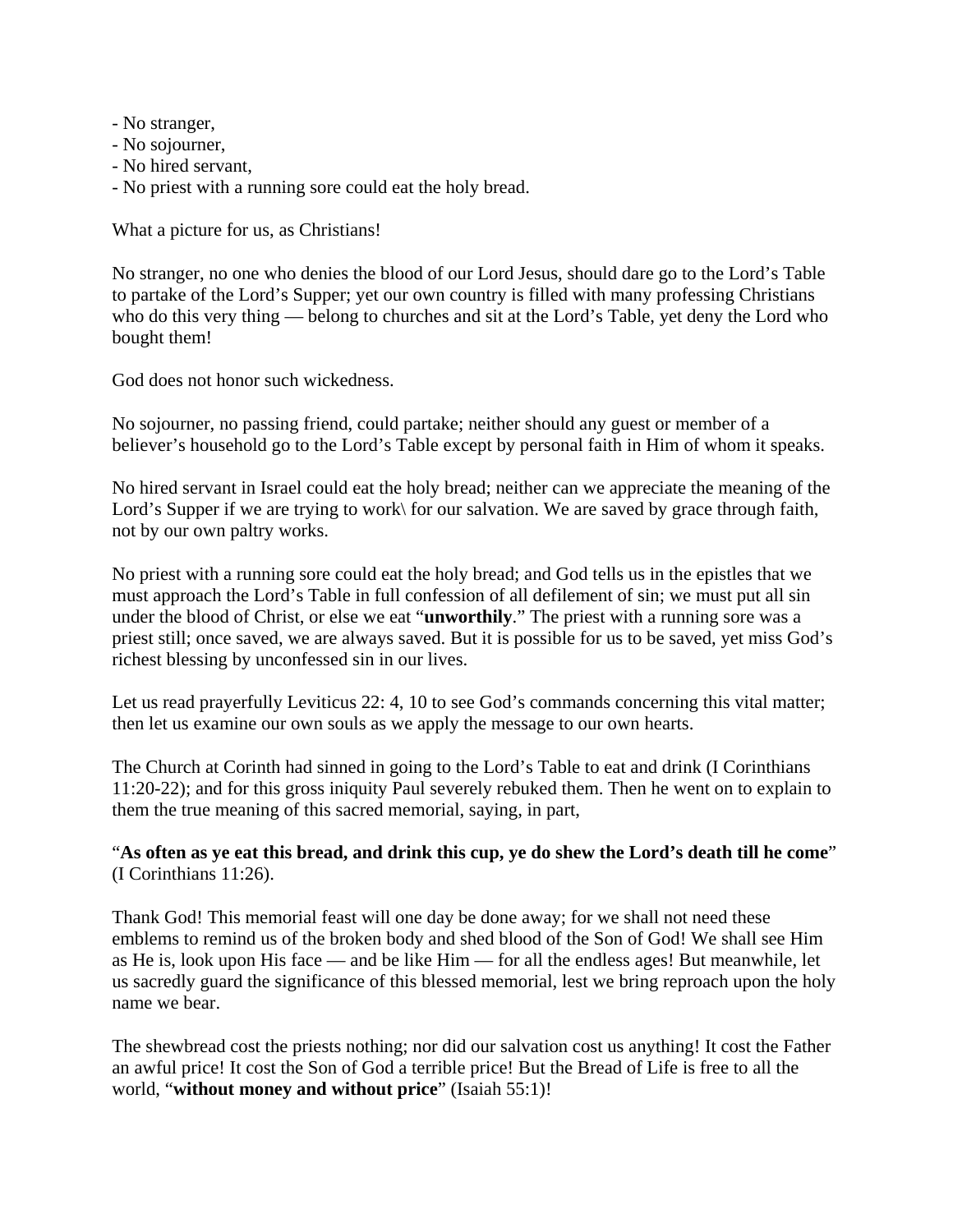- No stranger,
- No sojourner,
- No hired servant,
- No priest with a running sore could eat the holy bread.

What a picture for us, as Christians!

No stranger, no one who denies the blood of our Lord Jesus, should dare go to the Lord's Table to partake of the Lord's Supper; yet our own country is filled with many professing Christians who do this very thing — belong to churches and sit at the Lord's Table, yet deny the Lord who bought them!

God does not honor such wickedness.

No sojourner, no passing friend, could partake; neither should any guest or member of a believer's household go to the Lord's Table except by personal faith in Him of whom it speaks.

No hired servant in Israel could eat the holy bread; neither can we appreciate the meaning of the Lord's Supper if we are trying to work\ for our salvation. We are saved by grace through faith, not by our own paltry works.

No priest with a running sore could eat the holy bread; and God tells us in the epistles that we must approach the Lord's Table in full confession of all defilement of sin; we must put all sin under the blood of Christ, or else we eat "**unworthily**." The priest with a running sore was a priest still; once saved, we are always saved. But it is possible for us to be saved, yet miss God's richest blessing by unconfessed sin in our lives.

Let us read prayerfully Leviticus 22: 4, 10 to see God's commands concerning this vital matter; then let us examine our own souls as we apply the message to our own hearts.

The Church at Corinth had sinned in going to the Lord's Table to eat and drink (I Corinthians 11:20-22); and for this gross iniquity Paul severely rebuked them. Then he went on to explain to them the true meaning of this sacred memorial, saying, in part,

"**As often as ye eat this bread, and drink this cup, ye do shew the Lord's death till he come**" (I Corinthians 11:26).

Thank God! This memorial feast will one day be done away; for we shall not need these emblems to remind us of the broken body and shed blood of the Son of God! We shall see Him as He is, look upon His face — and be like Him — for all the endless ages! But meanwhile, let us sacredly guard the significance of this blessed memorial, lest we bring reproach upon the holy name we bear.

The shewbread cost the priests nothing; nor did our salvation cost us anything! It cost the Father an awful price! It cost the Son of God a terrible price! But the Bread of Life is free to all the world, "**without money and without price**" (Isaiah 55:1)!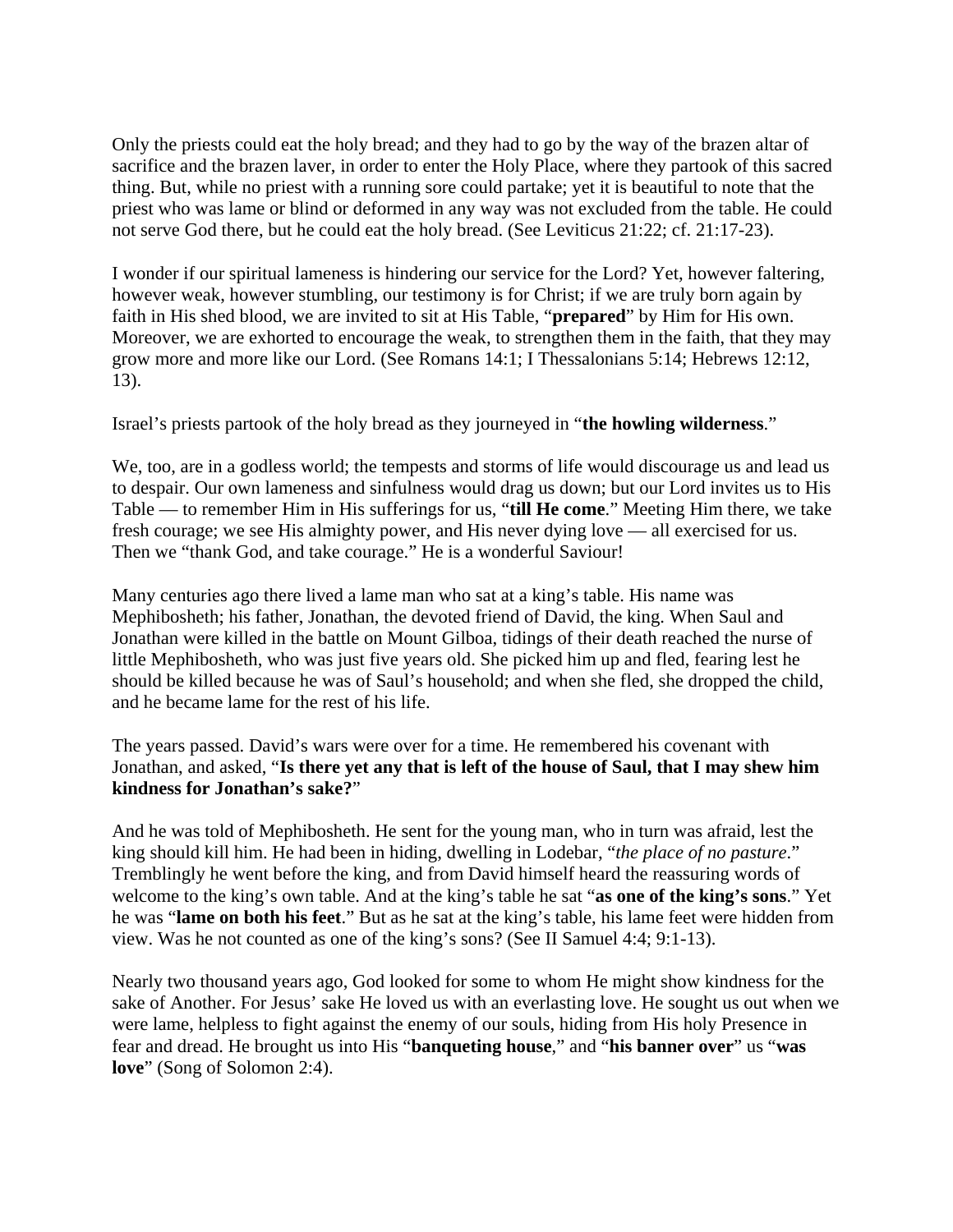Only the priests could eat the holy bread; and they had to go by the way of the brazen altar of sacrifice and the brazen laver, in order to enter the Holy Place, where they partook of this sacred thing. But, while no priest with a running sore could partake; yet it is beautiful to note that the priest who was lame or blind or deformed in any way was not excluded from the table. He could not serve God there, but he could eat the holy bread. (See Leviticus 21:22; cf. 21:17-23).

I wonder if our spiritual lameness is hindering our service for the Lord? Yet, however faltering, however weak, however stumbling, our testimony is for Christ; if we are truly born again by faith in His shed blood, we are invited to sit at His Table, "**prepared**" by Him for His own. Moreover, we are exhorted to encourage the weak, to strengthen them in the faith, that they may grow more and more like our Lord. (See Romans 14:1; I Thessalonians 5:14; Hebrews 12:12, 13).

Israel's priests partook of the holy bread as they journeyed in "**the howling wilderness**."

We, too, are in a godless world; the tempests and storms of life would discourage us and lead us to despair. Our own lameness and sinfulness would drag us down; but our Lord invites us to His Table — to remember Him in His sufferings for us, "**till He come**." Meeting Him there, we take fresh courage; we see His almighty power, and His never dying love — all exercised for us. Then we "thank God, and take courage." He is a wonderful Saviour!

Many centuries ago there lived a lame man who sat at a king's table. His name was Mephibosheth; his father, Jonathan, the devoted friend of David, the king. When Saul and Jonathan were killed in the battle on Mount Gilboa, tidings of their death reached the nurse of little Mephibosheth, who was just five years old. She picked him up and fled, fearing lest he should be killed because he was of Saul's household; and when she fled, she dropped the child, and he became lame for the rest of his life.

The years passed. David's wars were over for a time. He remembered his covenant with Jonathan, and asked, "**Is there yet any that is left of the house of Saul, that I may shew him kindness for Jonathan's sake?**"

And he was told of Mephibosheth. He sent for the young man, who in turn was afraid, lest the king should kill him. He had been in hiding, dwelling in Lodebar, "*the place of no pasture*." Tremblingly he went before the king, and from David himself heard the reassuring words of welcome to the king's own table. And at the king's table he sat "**as one of the king's sons**." Yet he was "**lame on both his feet**." But as he sat at the king's table, his lame feet were hidden from view. Was he not counted as one of the king's sons? (See II Samuel 4:4; 9:1-13).

Nearly two thousand years ago, God looked for some to whom He might show kindness for the sake of Another. For Jesus' sake He loved us with an everlasting love. He sought us out when we were lame, helpless to fight against the enemy of our souls, hiding from His holy Presence in fear and dread. He brought us into His "**banqueting house**," and "**his banner over**" us "**was love**" (Song of Solomon 2:4).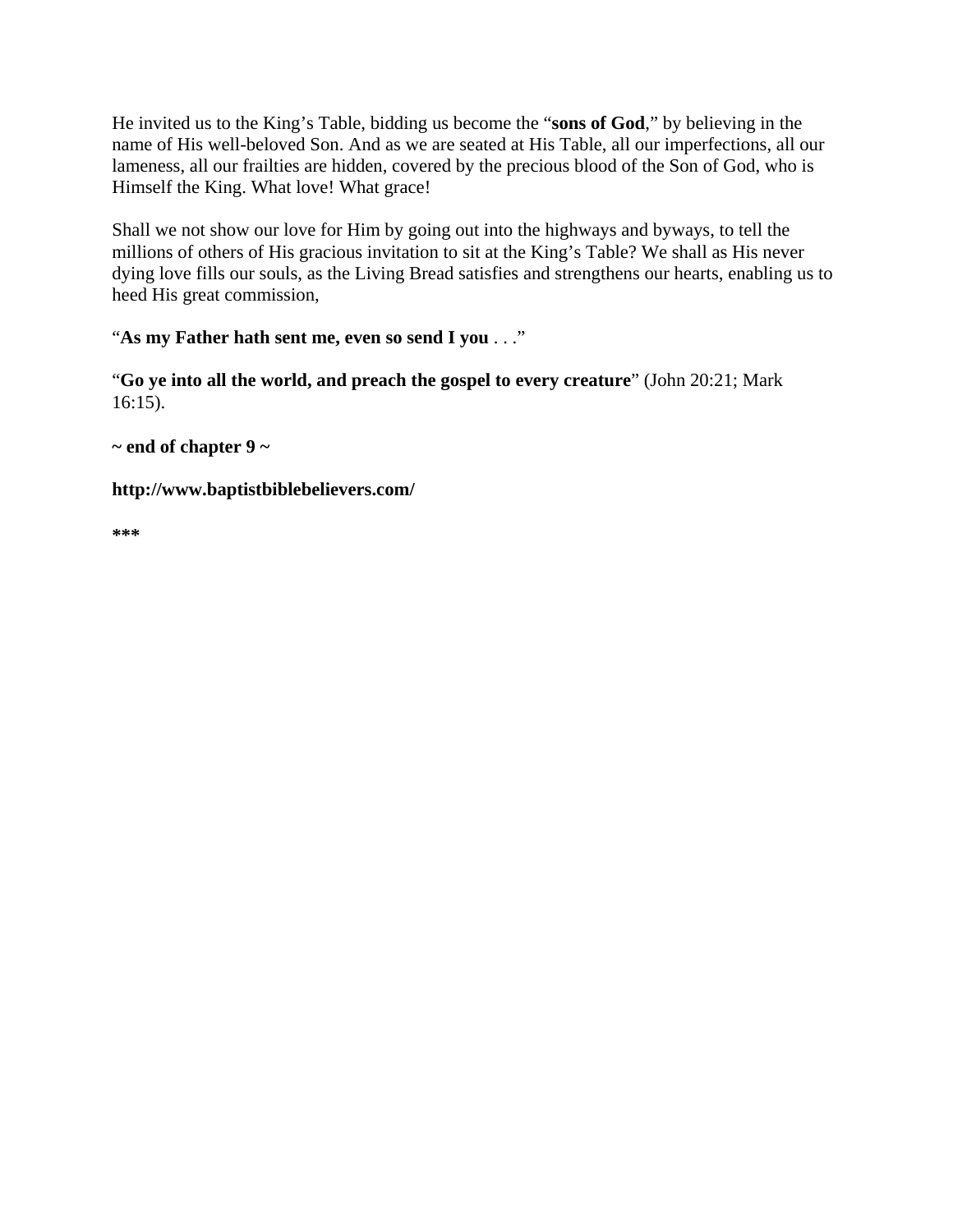He invited us to the King's Table, bidding us become the "**sons of God**," by believing in the name of His well-beloved Son. And as we are seated at His Table, all our imperfections, all our lameness, all our frailties are hidden, covered by the precious blood of the Son of God, who is Himself the King. What love! What grace!

Shall we not show our love for Him by going out into the highways and byways, to tell the millions of others of His gracious invitation to sit at the King's Table? We shall as His never dying love fills our souls, as the Living Bread satisfies and strengthens our hearts, enabling us to heed His great commission,

"**As my Father hath sent me, even so send I you** . . ."

"**Go ye into all the world, and preach the gospel to every creature**" (John 20:21; Mark 16:15).

**~ end of chapter 9 ~** 

**http://www.baptistbiblebelievers.com/** 

**\*\*\***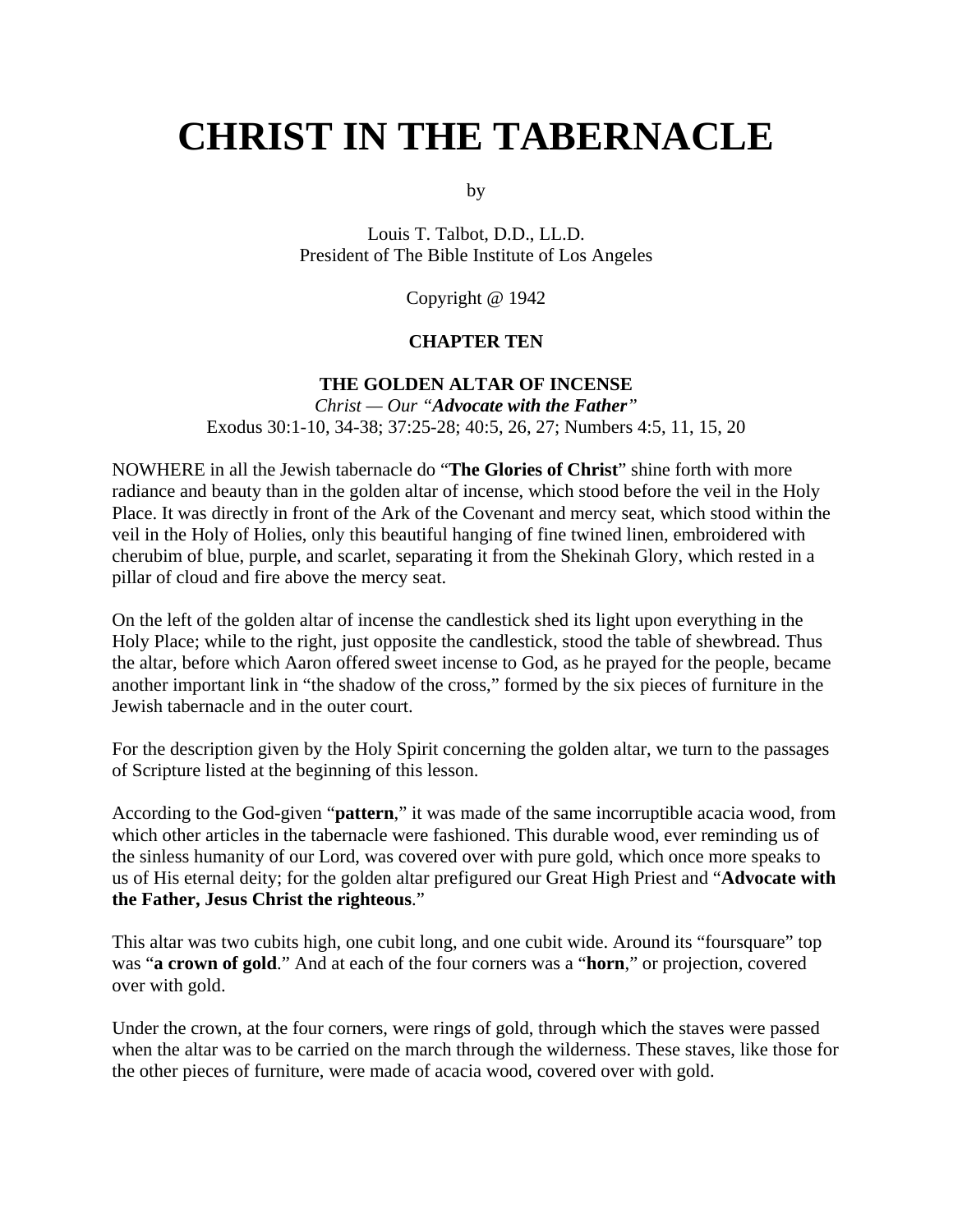# **CHRIST IN THE TABERNACLE**

by

Louis T. Talbot, D.D., LL.D. President of The Bible Institute of Los Angeles

Copyright @ 1942

#### **CHAPTER TEN**

# **THE GOLDEN ALTAR OF INCENSE**

*Christ — Our "Advocate with the Father"*  Exodus 30:1-10, 34-38; 37:25-28; 40:5, 26, 27; Numbers 4:5, 11, 15, 20

NOWHERE in all the Jewish tabernacle do "**The Glories of Christ**" shine forth with more radiance and beauty than in the golden altar of incense, which stood before the veil in the Holy Place. It was directly in front of the Ark of the Covenant and mercy seat, which stood within the veil in the Holy of Holies, only this beautiful hanging of fine twined linen, embroidered with cherubim of blue, purple, and scarlet, separating it from the Shekinah Glory, which rested in a pillar of cloud and fire above the mercy seat.

On the left of the golden altar of incense the candlestick shed its light upon everything in the Holy Place; while to the right, just opposite the candlestick, stood the table of shewbread. Thus the altar, before which Aaron offered sweet incense to God, as he prayed for the people, became another important link in "the shadow of the cross," formed by the six pieces of furniture in the Jewish tabernacle and in the outer court.

For the description given by the Holy Spirit concerning the golden altar, we turn to the passages of Scripture listed at the beginning of this lesson.

According to the God-given "**pattern**," it was made of the same incorruptible acacia wood, from which other articles in the tabernacle were fashioned. This durable wood, ever reminding us of the sinless humanity of our Lord, was covered over with pure gold, which once more speaks to us of His eternal deity; for the golden altar prefigured our Great High Priest and "**Advocate with the Father, Jesus Christ the righteous**."

This altar was two cubits high, one cubit long, and one cubit wide. Around its "foursquare" top was "**a crown of gold**." And at each of the four corners was a "**horn**," or projection, covered over with gold.

Under the crown, at the four corners, were rings of gold, through which the staves were passed when the altar was to be carried on the march through the wilderness. These staves, like those for the other pieces of furniture, were made of acacia wood, covered over with gold.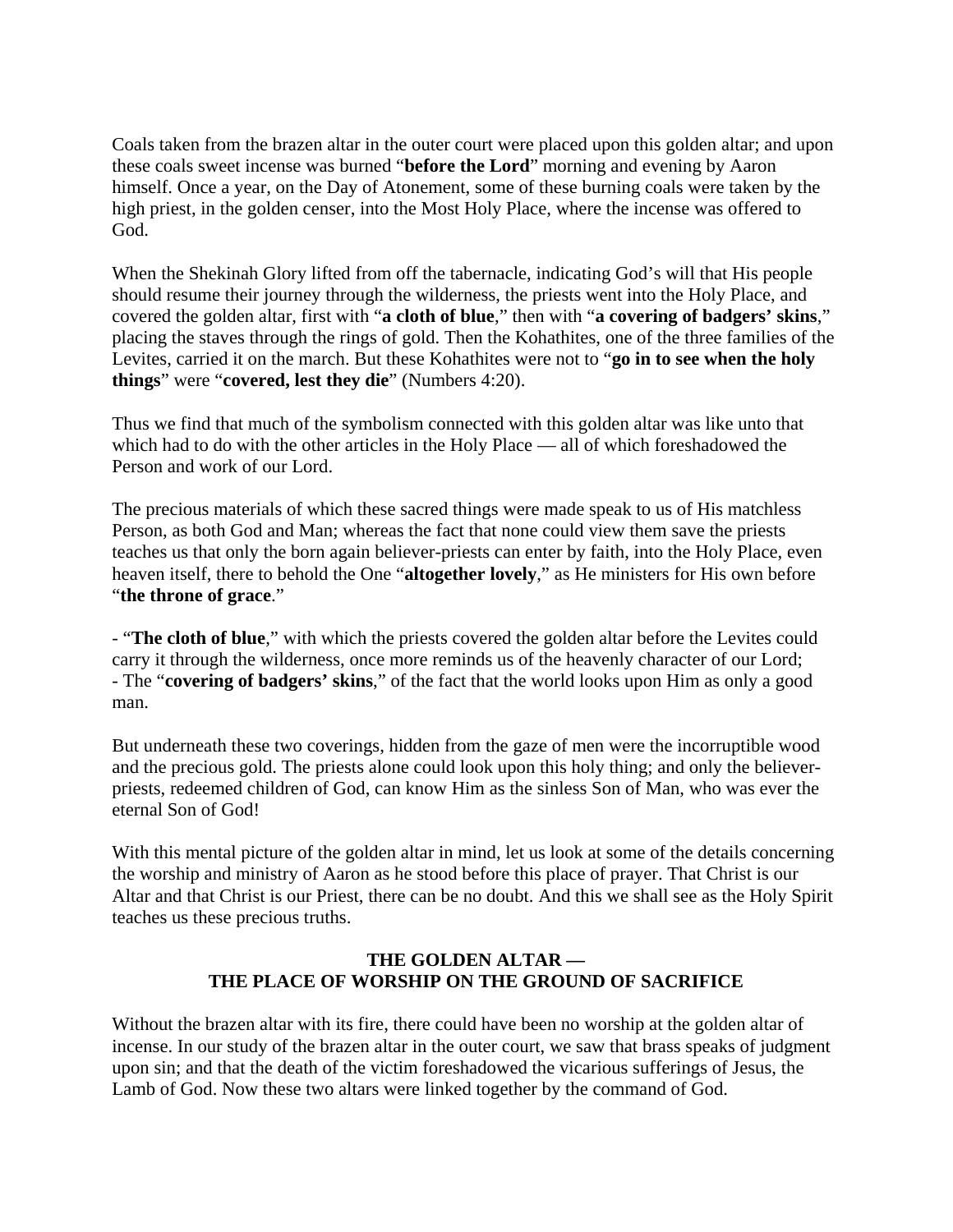Coals taken from the brazen altar in the outer court were placed upon this golden altar; and upon these coals sweet incense was burned "**before the Lord**" morning and evening by Aaron himself. Once a year, on the Day of Atonement, some of these burning coals were taken by the high priest, in the golden censer, into the Most Holy Place, where the incense was offered to God.

When the Shekinah Glory lifted from off the tabernacle, indicating God's will that His people should resume their journey through the wilderness, the priests went into the Holy Place, and covered the golden altar, first with "**a cloth of blue**," then with "**a covering of badgers' skins**," placing the staves through the rings of gold. Then the Kohathites, one of the three families of the Levites, carried it on the march. But these Kohathites were not to "**go in to see when the holy things**" were "**covered, lest they die**" (Numbers 4:20).

Thus we find that much of the symbolism connected with this golden altar was like unto that which had to do with the other articles in the Holy Place — all of which foreshadowed the Person and work of our Lord.

The precious materials of which these sacred things were made speak to us of His matchless Person, as both God and Man; whereas the fact that none could view them save the priests teaches us that only the born again believer-priests can enter by faith, into the Holy Place, even heaven itself, there to behold the One "**altogether lovely**," as He ministers for His own before "**the throne of grace**."

- "**The cloth of blue**," with which the priests covered the golden altar before the Levites could carry it through the wilderness, once more reminds us of the heavenly character of our Lord; - The "**covering of badgers' skins**," of the fact that the world looks upon Him as only a good man.

But underneath these two coverings, hidden from the gaze of men were the incorruptible wood and the precious gold. The priests alone could look upon this holy thing; and only the believerpriests, redeemed children of God, can know Him as the sinless Son of Man, who was ever the eternal Son of God!

With this mental picture of the golden altar in mind, let us look at some of the details concerning the worship and ministry of Aaron as he stood before this place of prayer. That Christ is our Altar and that Christ is our Priest, there can be no doubt. And this we shall see as the Holy Spirit teaches us these precious truths.

# **THE GOLDEN ALTAR — THE PLACE OF WORSHIP ON THE GROUND OF SACRIFICE**

Without the brazen altar with its fire, there could have been no worship at the golden altar of incense. In our study of the brazen altar in the outer court, we saw that brass speaks of judgment upon sin; and that the death of the victim foreshadowed the vicarious sufferings of Jesus, the Lamb of God. Now these two altars were linked together by the command of God.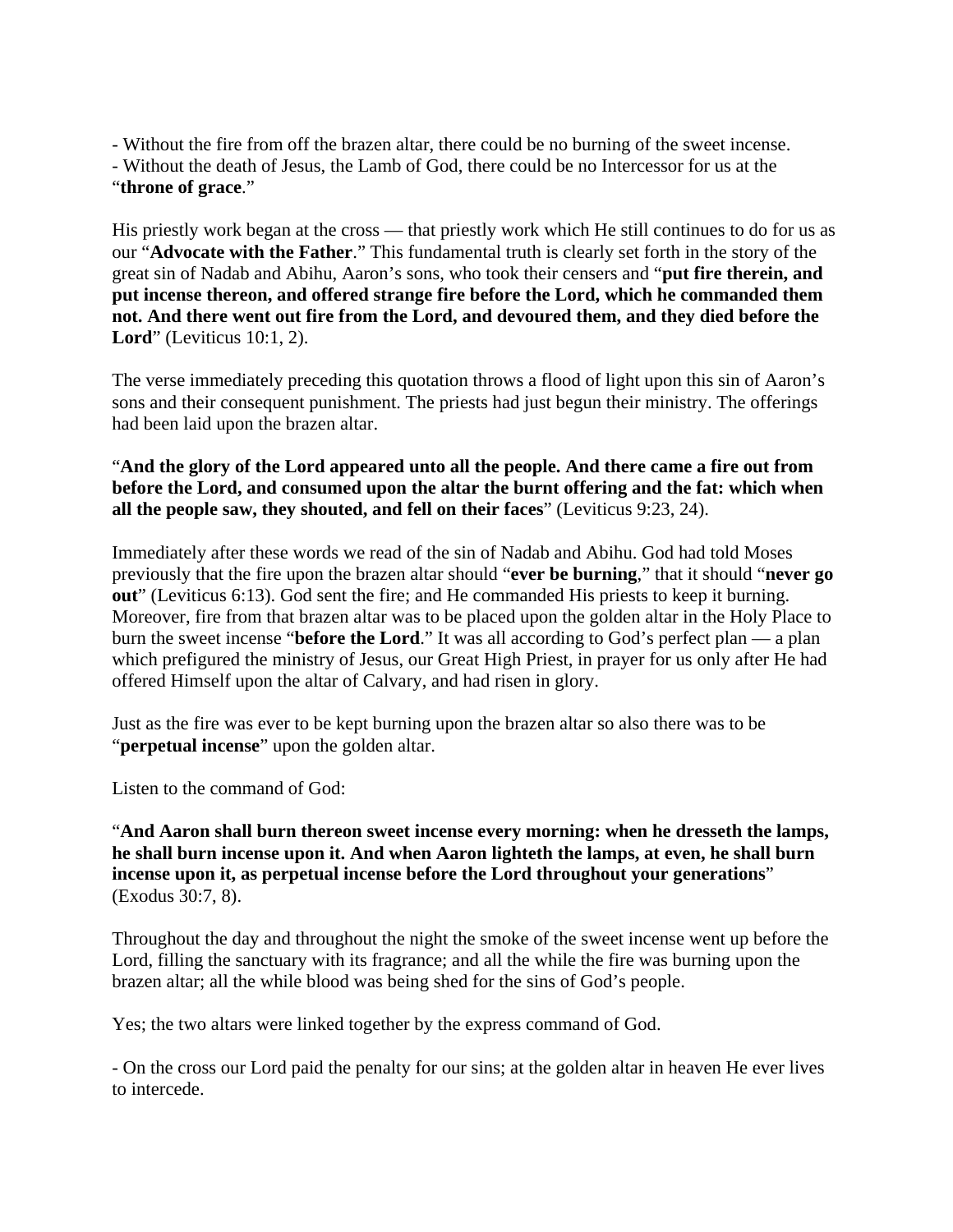- Without the fire from off the brazen altar, there could be no burning of the sweet incense.

- Without the death of Jesus, the Lamb of God, there could be no Intercessor for us at the "**throne of grace**."

His priestly work began at the cross — that priestly work which He still continues to do for us as our "**Advocate with the Father**." This fundamental truth is clearly set forth in the story of the great sin of Nadab and Abihu, Aaron's sons, who took their censers and "**put fire therein, and put incense thereon, and offered strange fire before the Lord, which he commanded them not. And there went out fire from the Lord, and devoured them, and they died before the Lord**" (Leviticus 10:1, 2).

The verse immediately preceding this quotation throws a flood of light upon this sin of Aaron's sons and their consequent punishment. The priests had just begun their ministry. The offerings had been laid upon the brazen altar.

# "**And the glory of the Lord appeared unto all the people. And there came a fire out from before the Lord, and consumed upon the altar the burnt offering and the fat: which when all the people saw, they shouted, and fell on their faces**" (Leviticus 9:23, 24).

Immediately after these words we read of the sin of Nadab and Abihu. God had told Moses previously that the fire upon the brazen altar should "**ever be burning**," that it should "**never go out**" (Leviticus 6:13). God sent the fire; and He commanded His priests to keep it burning. Moreover, fire from that brazen altar was to be placed upon the golden altar in the Holy Place to burn the sweet incense "**before the Lord**." It was all according to God's perfect plan — a plan which prefigured the ministry of Jesus, our Great High Priest, in prayer for us only after He had offered Himself upon the altar of Calvary, and had risen in glory.

Just as the fire was ever to be kept burning upon the brazen altar so also there was to be "**perpetual incense**" upon the golden altar.

Listen to the command of God:

## "**And Aaron shall burn thereon sweet incense every morning: when he dresseth the lamps, he shall burn incense upon it. And when Aaron lighteth the lamps, at even, he shall burn incense upon it, as perpetual incense before the Lord throughout your generations**" (Exodus 30:7, 8).

Throughout the day and throughout the night the smoke of the sweet incense went up before the Lord, filling the sanctuary with its fragrance; and all the while the fire was burning upon the brazen altar; all the while blood was being shed for the sins of God's people.

Yes; the two altars were linked together by the express command of God.

- On the cross our Lord paid the penalty for our sins; at the golden altar in heaven He ever lives to intercede.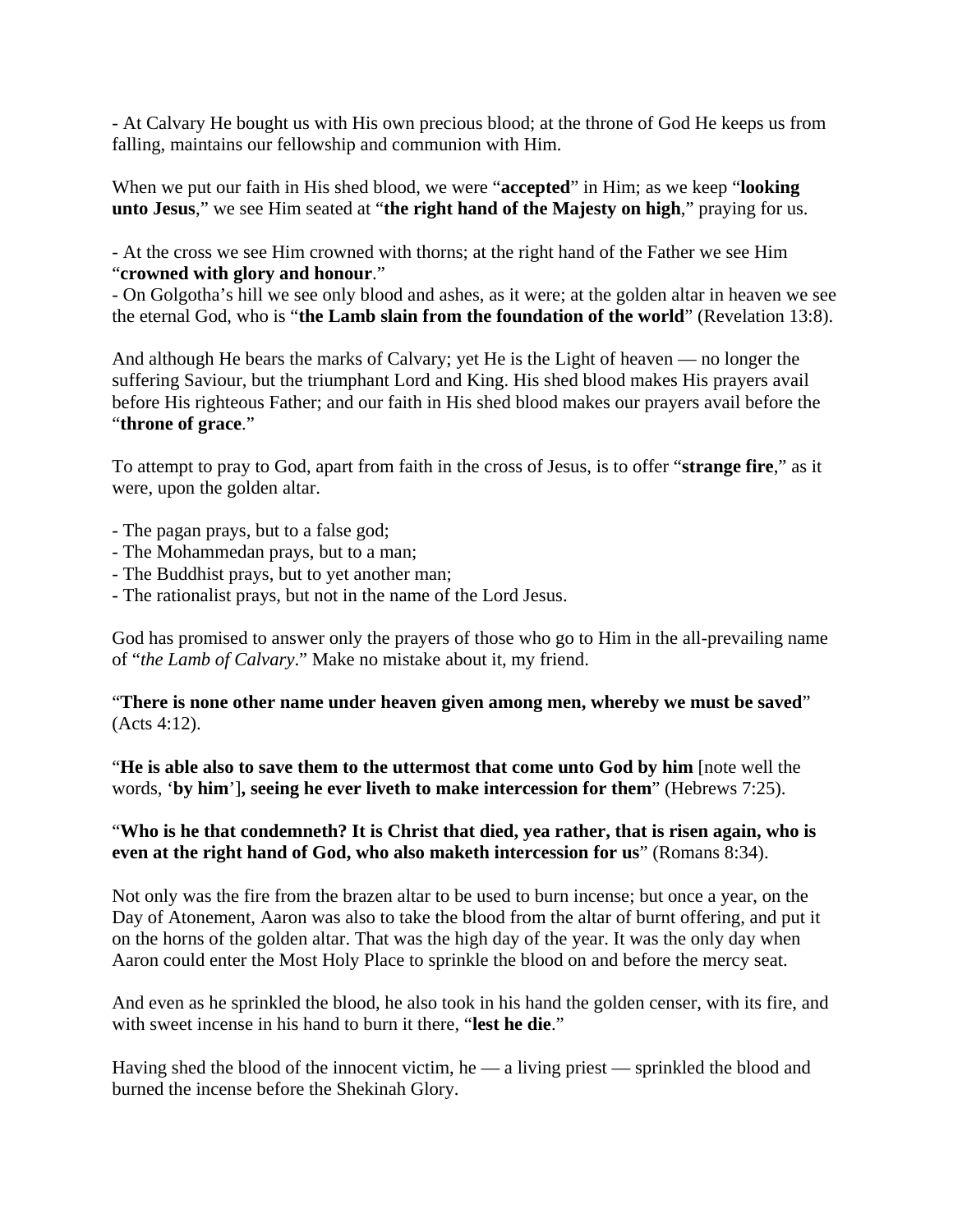- At Calvary He bought us with His own precious blood; at the throne of God He keeps us from falling, maintains our fellowship and communion with Him.

When we put our faith in His shed blood, we were "**accepted**" in Him; as we keep "**looking unto Jesus**," we see Him seated at "**the right hand of the Majesty on high**," praying for us.

- At the cross we see Him crowned with thorns; at the right hand of the Father we see Him "**crowned with glory and honour**."

- On Golgotha's hill we see only blood and ashes, as it were; at the golden altar in heaven we see the eternal God, who is "**the Lamb slain from the foundation of the world**" (Revelation 13:8).

And although He bears the marks of Calvary; yet He is the Light of heaven — no longer the suffering Saviour, but the triumphant Lord and King. His shed blood makes His prayers avail before His righteous Father; and our faith in His shed blood makes our prayers avail before the "**throne of grace**."

To attempt to pray to God, apart from faith in the cross of Jesus, is to offer "**strange fire**," as it were, upon the golden altar.

- The pagan prays, but to a false god;
- The Mohammedan prays, but to a man;
- The Buddhist prays, but to yet another man;
- The rationalist prays, but not in the name of the Lord Jesus.

God has promised to answer only the prayers of those who go to Him in the all-prevailing name of "*the Lamb of Calvary*." Make no mistake about it, my friend.

"**There is none other name under heaven given among men, whereby we must be saved**" (Acts 4:12).

"**He is able also to save them to the uttermost that come unto God by him** [note well the words, '**by him**']**, seeing he ever liveth to make intercession for them**" (Hebrews 7:25).

### "**Who is he that condemneth? It is Christ that died, yea rather, that is risen again, who is even at the right hand of God, who also maketh intercession for us**" (Romans 8:34).

Not only was the fire from the brazen altar to be used to burn incense; but once a year, on the Day of Atonement, Aaron was also to take the blood from the altar of burnt offering, and put it on the horns of the golden altar. That was the high day of the year. It was the only day when Aaron could enter the Most Holy Place to sprinkle the blood on and before the mercy seat.

And even as he sprinkled the blood, he also took in his hand the golden censer, with its fire, and with sweet incense in his hand to burn it there, "**lest he die**."

Having shed the blood of the innocent victim, he — a living priest — sprinkled the blood and burned the incense before the Shekinah Glory.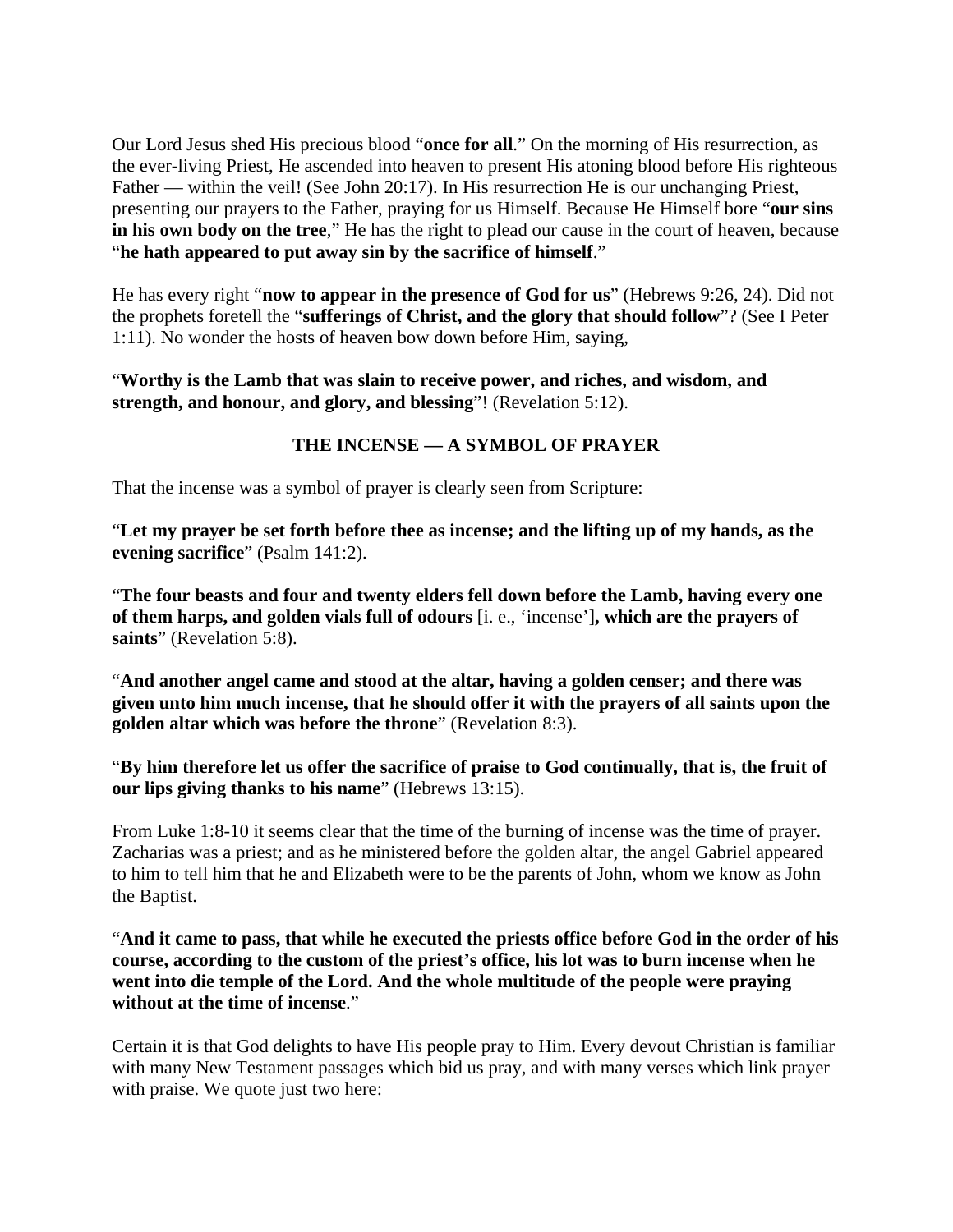Our Lord Jesus shed His precious blood "**once for all**." On the morning of His resurrection, as the ever-living Priest, He ascended into heaven to present His atoning blood before His righteous Father — within the veil! (See John 20:17). In His resurrection He is our unchanging Priest, presenting our prayers to the Father, praying for us Himself. Because He Himself bore "**our sins in his own body on the tree**," He has the right to plead our cause in the court of heaven, because "**he hath appeared to put away sin by the sacrifice of himself**."

He has every right "**now to appear in the presence of God for us**" (Hebrews 9:26, 24). Did not the prophets foretell the "**sufferings of Christ, and the glory that should follow**"? (See I Peter 1:11). No wonder the hosts of heaven bow down before Him, saying,

"**Worthy is the Lamb that was slain to receive power, and riches, and wisdom, and strength, and honour, and glory, and blessing**"! (Revelation 5:12).

# **THE INCENSE — A SYMBOL OF PRAYER**

That the incense was a symbol of prayer is clearly seen from Scripture:

"**Let my prayer be set forth before thee as incense; and the lifting up of my hands, as the evening sacrifice**" (Psalm 141:2).

"**The four beasts and four and twenty elders fell down before the Lamb, having every one of them harps, and golden vials full of odours** [i. e., 'incense']**, which are the prayers of saints**" (Revelation 5:8).

"**And another angel came and stood at the altar, having a golden censer; and there was given unto him much incense, that he should offer it with the prayers of all saints upon the golden altar which was before the throne**" (Revelation 8:3).

"**By him therefore let us offer the sacrifice of praise to God continually, that is, the fruit of our lips giving thanks to his name**" (Hebrews 13:15).

From Luke 1:8-10 it seems clear that the time of the burning of incense was the time of prayer. Zacharias was a priest; and as he ministered before the golden altar, the angel Gabriel appeared to him to tell him that he and Elizabeth were to be the parents of John, whom we know as John the Baptist.

"**And it came to pass, that while he executed the priests office before God in the order of his course, according to the custom of the priest's office, his lot was to burn incense when he went into die temple of the Lord. And the whole multitude of the people were praying without at the time of incense**."

Certain it is that God delights to have His people pray to Him. Every devout Christian is familiar with many New Testament passages which bid us pray, and with many verses which link prayer with praise. We quote just two here: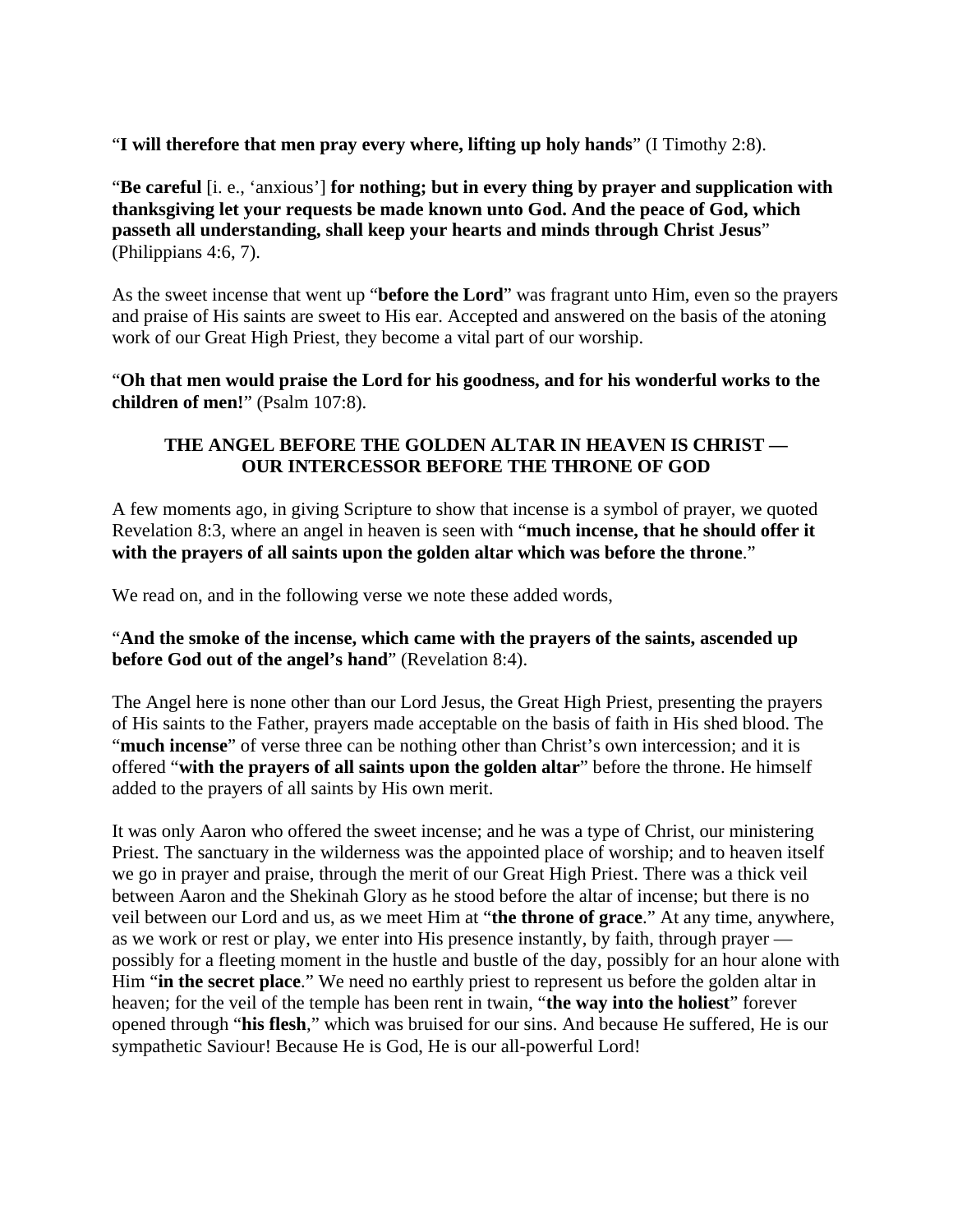"**I will therefore that men pray every where, lifting up holy hands**" (I Timothy 2:8).

"**Be careful** [i. e., 'anxious'] **for nothing; but in every thing by prayer and supplication with thanksgiving let your requests be made known unto God. And the peace of God, which passeth all understanding, shall keep your hearts and minds through Christ Jesus**" (Philippians 4:6, 7).

As the sweet incense that went up "**before the Lord**" was fragrant unto Him, even so the prayers and praise of His saints are sweet to His ear. Accepted and answered on the basis of the atoning work of our Great High Priest, they become a vital part of our worship.

"**Oh that men would praise the Lord for his goodness, and for his wonderful works to the children of men!**" (Psalm 107:8).

## **THE ANGEL BEFORE THE GOLDEN ALTAR IN HEAVEN IS CHRIST — OUR INTERCESSOR BEFORE THE THRONE OF GOD**

A few moments ago, in giving Scripture to show that incense is a symbol of prayer, we quoted Revelation 8:3, where an angel in heaven is seen with "**much incense, that he should offer it with the prayers of all saints upon the golden altar which was before the throne**."

We read on, and in the following verse we note these added words,

### "**And the smoke of the incense, which came with the prayers of the saints, ascended up before God out of the angel's hand**" (Revelation 8:4).

The Angel here is none other than our Lord Jesus, the Great High Priest, presenting the prayers of His saints to the Father, prayers made acceptable on the basis of faith in His shed blood. The "much incense" of verse three can be nothing other than Christ's own intercession; and it is offered "**with the prayers of all saints upon the golden altar**" before the throne. He himself added to the prayers of all saints by His own merit.

It was only Aaron who offered the sweet incense; and he was a type of Christ, our ministering Priest. The sanctuary in the wilderness was the appointed place of worship; and to heaven itself we go in prayer and praise, through the merit of our Great High Priest. There was a thick veil between Aaron and the Shekinah Glory as he stood before the altar of incense; but there is no veil between our Lord and us, as we meet Him at "**the throne of grace**." At any time, anywhere, as we work or rest or play, we enter into His presence instantly, by faith, through prayer possibly for a fleeting moment in the hustle and bustle of the day, possibly for an hour alone with Him "**in the secret place**." We need no earthly priest to represent us before the golden altar in heaven; for the veil of the temple has been rent in twain, "**the way into the holiest**" forever opened through "**his flesh**," which was bruised for our sins. And because He suffered, He is our sympathetic Saviour! Because He is God, He is our all-powerful Lord!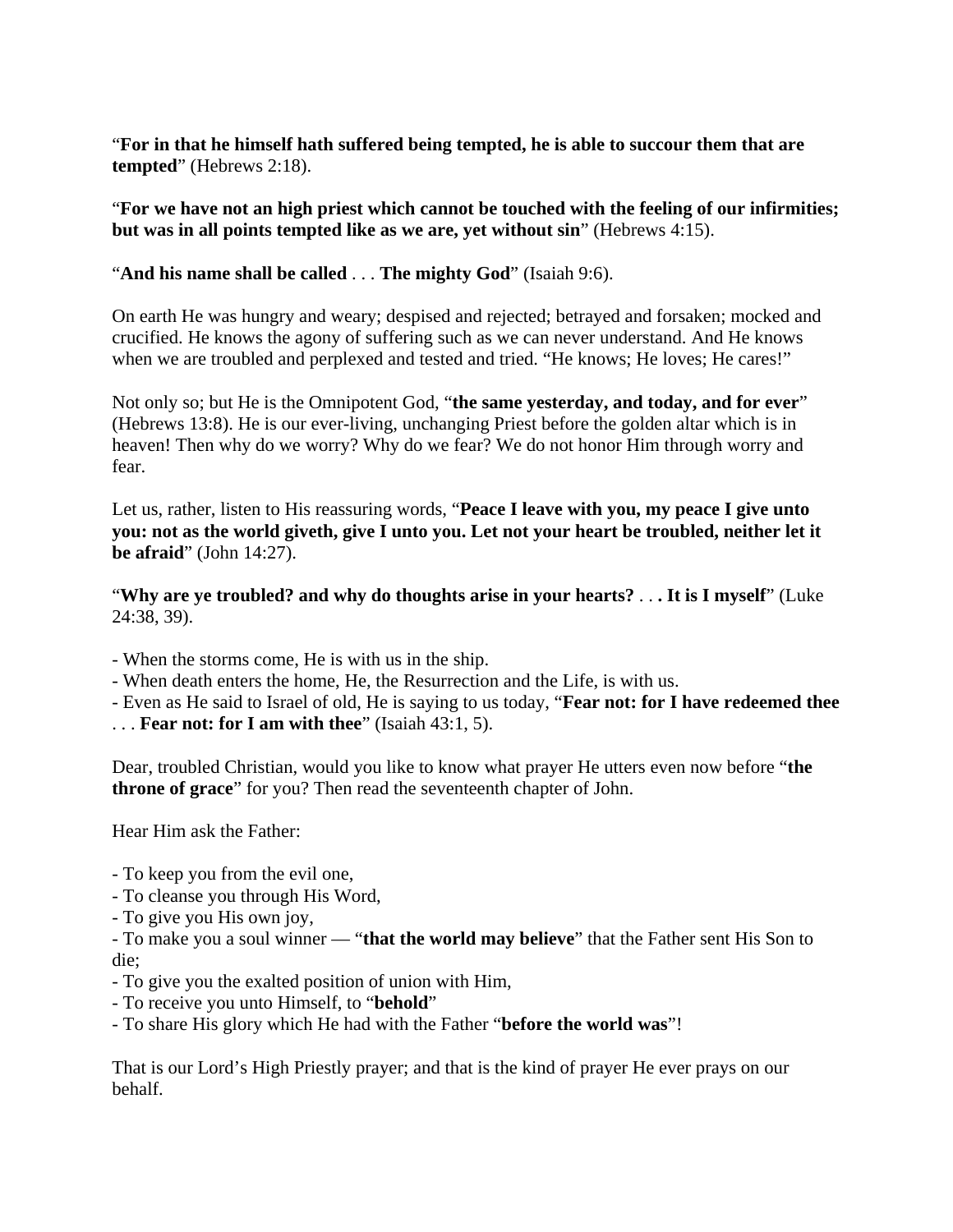"**For in that he himself hath suffered being tempted, he is able to succour them that are tempted**" (Hebrews 2:18).

"**For we have not an high priest which cannot be touched with the feeling of our infirmities; but was in all points tempted like as we are, yet without sin**" (Hebrews 4:15).

"**And his name shall be called** . . . **The mighty God**" (Isaiah 9:6).

On earth He was hungry and weary; despised and rejected; betrayed and forsaken; mocked and crucified. He knows the agony of suffering such as we can never understand. And He knows when we are troubled and perplexed and tested and tried. "He knows; He loves; He cares!"

Not only so; but He is the Omnipotent God, "**the same yesterday, and today, and for ever**" (Hebrews 13:8). He is our ever-living, unchanging Priest before the golden altar which is in heaven! Then why do we worry? Why do we fear? We do not honor Him through worry and fear.

Let us, rather, listen to His reassuring words, "**Peace I leave with you, my peace I give unto you: not as the world giveth, give I unto you. Let not your heart be troubled, neither let it be afraid**" (John 14:27).

"**Why are ye troubled? and why do thoughts arise in your hearts?** . . **. It is I myself**" (Luke 24:38, 39).

- When the storms come, He is with us in the ship.
- When death enters the home, He, the Resurrection and the Life, is with us.
- Even as He said to Israel of old, He is saying to us today, "**Fear not: for I have redeemed thee**
- . . . **Fear not: for I am with thee**" (Isaiah 43:1, 5).

Dear, troubled Christian, would you like to know what prayer He utters even now before "**the throne of grace**" for you? Then read the seventeenth chapter of John.

Hear Him ask the Father:

- To keep you from the evil one,
- To cleanse you through His Word,
- To give you His own joy,

- To make you a soul winner — "**that the world may believe**" that the Father sent His Son to die;

- To give you the exalted position of union with Him,
- To receive you unto Himself, to "**behold**"
- To share His glory which He had with the Father "**before the world was**"!

That is our Lord's High Priestly prayer; and that is the kind of prayer He ever prays on our behalf.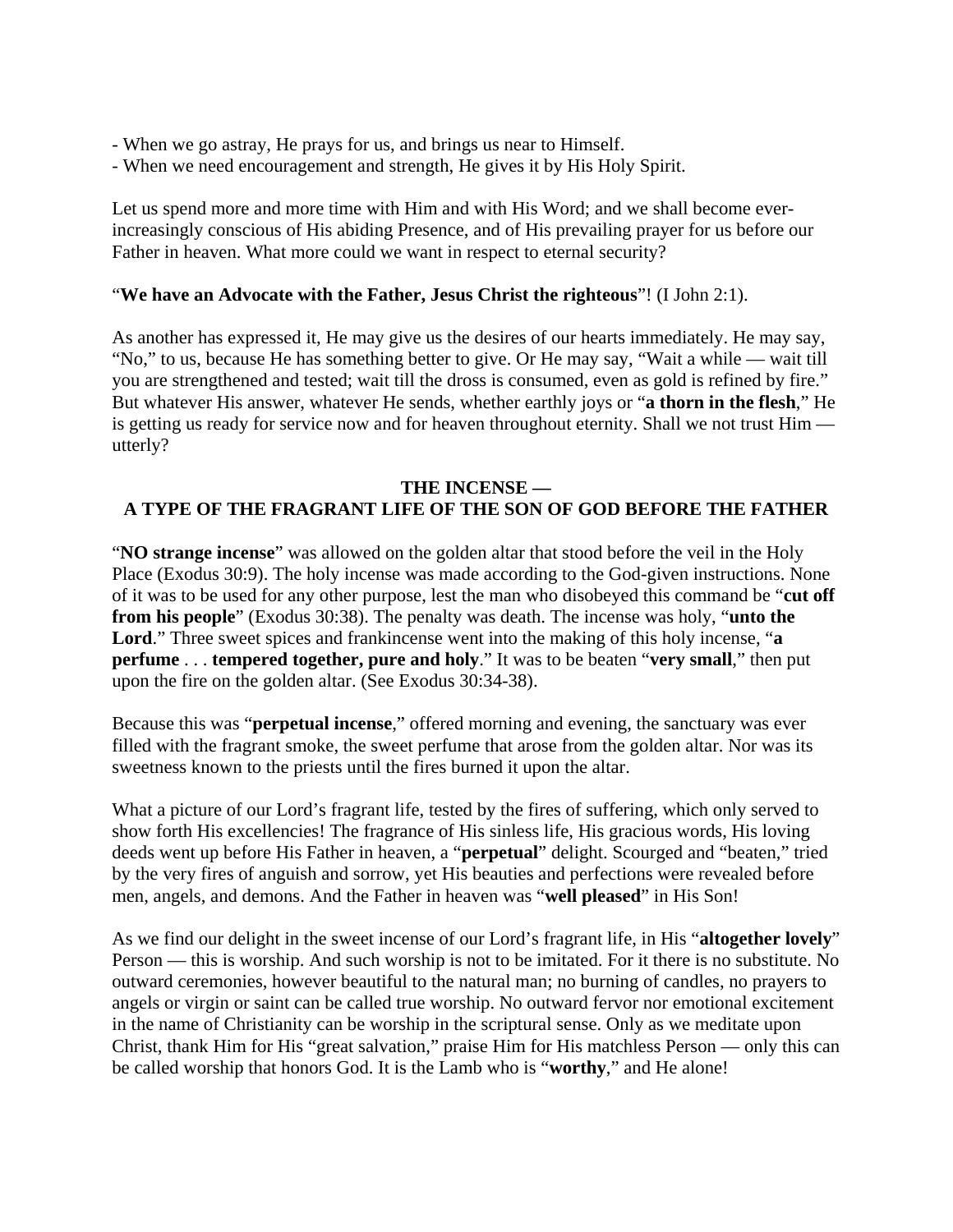- When we go astray, He prays for us, and brings us near to Himself.
- When we need encouragement and strength, He gives it by His Holy Spirit.

Let us spend more and more time with Him and with His Word; and we shall become everincreasingly conscious of His abiding Presence, and of His prevailing prayer for us before our Father in heaven. What more could we want in respect to eternal security?

#### "**We have an Advocate with the Father, Jesus Christ the righteous**"! (I John 2:1).

As another has expressed it, He may give us the desires of our hearts immediately. He may say, "No," to us, because He has something better to give. Or He may say, "Wait a while — wait till you are strengthened and tested; wait till the dross is consumed, even as gold is refined by fire." But whatever His answer, whatever He sends, whether earthly joys or "**a thorn in the flesh**," He is getting us ready for service now and for heaven throughout eternity. Shall we not trust Him utterly?

#### **THE INCENSE — A TYPE OF THE FRAGRANT LIFE OF THE SON OF GOD BEFORE THE FATHER**

"**NO strange incense**" was allowed on the golden altar that stood before the veil in the Holy Place (Exodus 30:9). The holy incense was made according to the God-given instructions. None of it was to be used for any other purpose, lest the man who disobeyed this command be "**cut off from his people**" (Exodus 30:38). The penalty was death. The incense was holy, "**unto the Lord**." Three sweet spices and frankincense went into the making of this holy incense, "**a perfume** . . . **tempered together, pure and holy**." It was to be beaten "**very small**," then put upon the fire on the golden altar. (See Exodus 30:34-38).

Because this was "**perpetual incense**," offered morning and evening, the sanctuary was ever filled with the fragrant smoke, the sweet perfume that arose from the golden altar. Nor was its sweetness known to the priests until the fires burned it upon the altar.

What a picture of our Lord's fragrant life, tested by the fires of suffering, which only served to show forth His excellencies! The fragrance of His sinless life, His gracious words, His loving deeds went up before His Father in heaven, a "**perpetual**" delight. Scourged and "beaten," tried by the very fires of anguish and sorrow, yet His beauties and perfections were revealed before men, angels, and demons. And the Father in heaven was "**well pleased**" in His Son!

As we find our delight in the sweet incense of our Lord's fragrant life, in His "**altogether lovely**" Person — this is worship. And such worship is not to be imitated. For it there is no substitute. No outward ceremonies, however beautiful to the natural man; no burning of candles, no prayers to angels or virgin or saint can be called true worship. No outward fervor nor emotional excitement in the name of Christianity can be worship in the scriptural sense. Only as we meditate upon Christ, thank Him for His "great salvation," praise Him for His matchless Person — only this can be called worship that honors God. It is the Lamb who is "**worthy**," and He alone!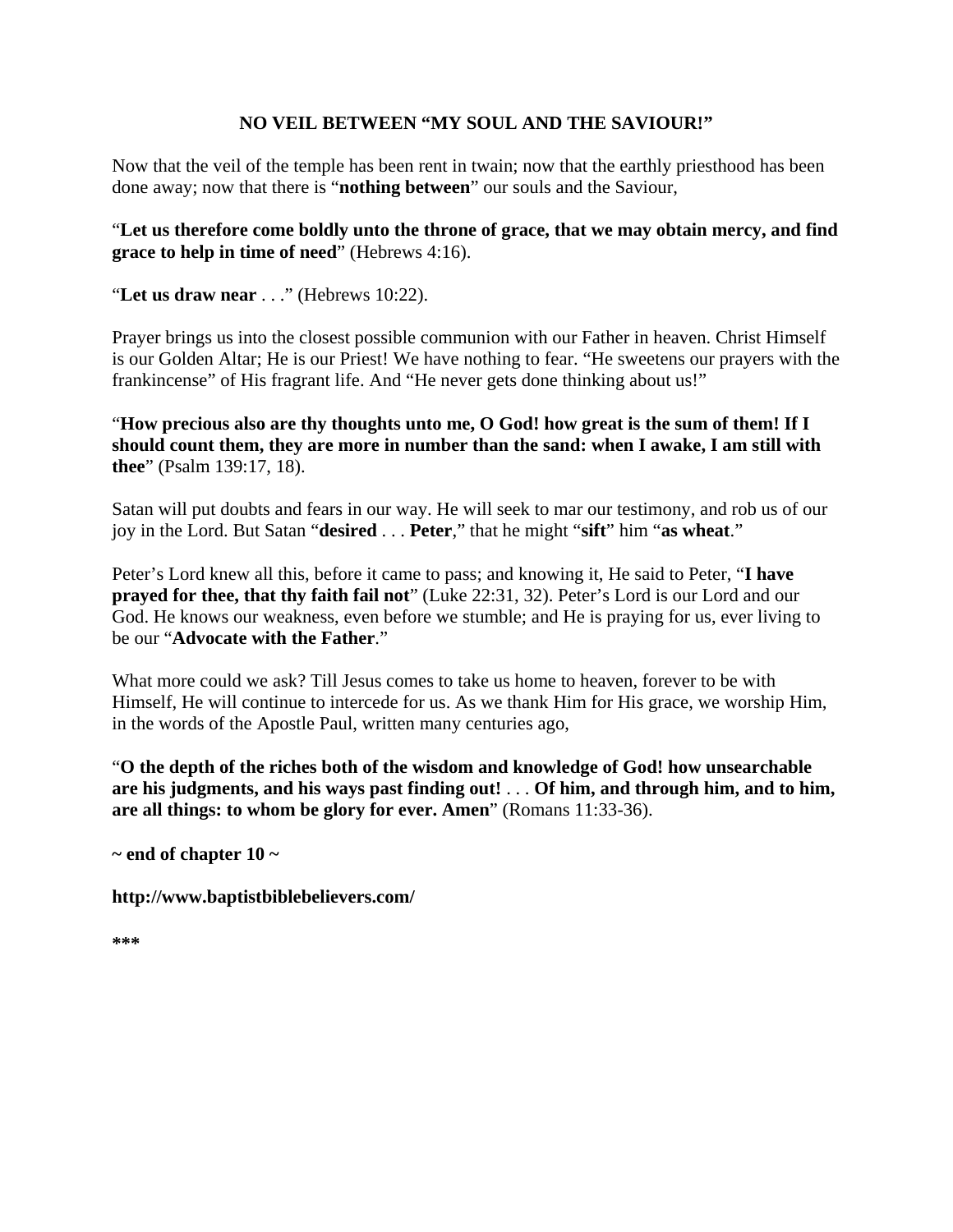## **NO VEIL BETWEEN "MY SOUL AND THE SAVIOUR!"**

Now that the veil of the temple has been rent in twain; now that the earthly priesthood has been done away; now that there is "**nothing between**" our souls and the Saviour,

## "**Let us therefore come boldly unto the throne of grace, that we may obtain mercy, and find grace to help in time of need**" (Hebrews 4:16).

"**Let us draw near** . . ." (Hebrews 10:22).

Prayer brings us into the closest possible communion with our Father in heaven. Christ Himself is our Golden Altar; He is our Priest! We have nothing to fear. "He sweetens our prayers with the frankincense" of His fragrant life. And "He never gets done thinking about us!"

"**How precious also are thy thoughts unto me, O God! how great is the sum of them! If I should count them, they are more in number than the sand: when I awake, I am still with thee**" (Psalm 139:17, 18).

Satan will put doubts and fears in our way. He will seek to mar our testimony, and rob us of our joy in the Lord. But Satan "**desired** . . . **Peter**," that he might "**sift**" him "**as wheat**."

Peter's Lord knew all this, before it came to pass; and knowing it, He said to Peter, "**I have prayed for thee, that thy faith fail not**" (Luke 22:31, 32). Peter's Lord is our Lord and our God. He knows our weakness, even before we stumble; and He is praying for us, ever living to be our "**Advocate with the Father**."

What more could we ask? Till Jesus comes to take us home to heaven, forever to be with Himself, He will continue to intercede for us. As we thank Him for His grace, we worship Him, in the words of the Apostle Paul, written many centuries ago,

"**O the depth of the riches both of the wisdom and knowledge of God! how unsearchable are his judgments, and his ways past finding out!** . . . **Of him, and through him, and to him, are all things: to whom be glory for ever. Amen**" (Romans 11:33-36).

**~ end of chapter 10 ~** 

**http://www.baptistbiblebelievers.com/** 

**\*\*\***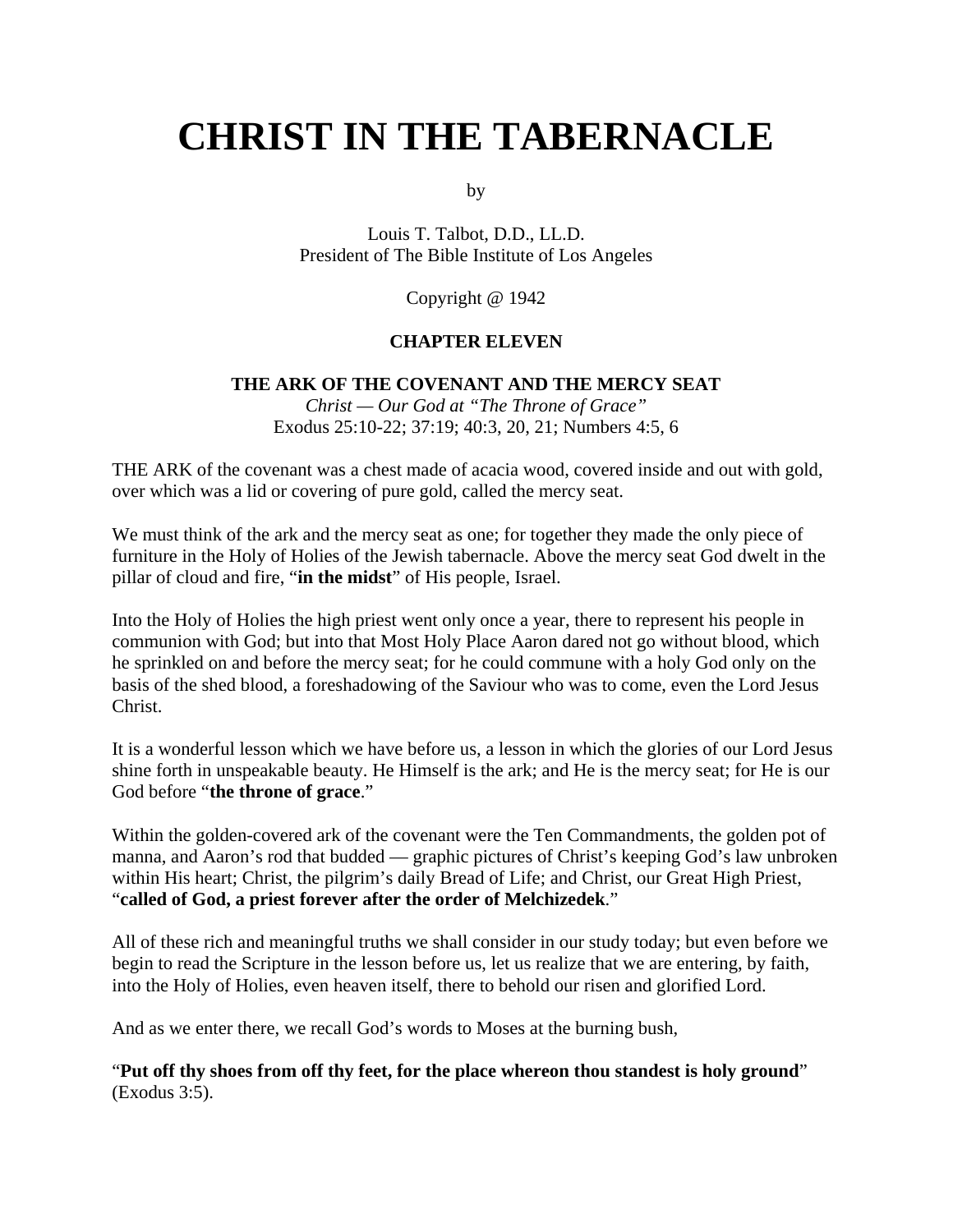# **CHRIST IN THE TABERNACLE**

by

Louis T. Talbot, D.D., LL.D. President of The Bible Institute of Los Angeles

Copyright @ 1942

#### **CHAPTER ELEVEN**

#### **THE ARK OF THE COVENANT AND THE MERCY SEAT**

*Christ — Our God at "The Throne of Grace"* Exodus 25:10-22; 37:19; 40:3, 20, 21; Numbers 4:5, 6

THE ARK of the covenant was a chest made of acacia wood, covered inside and out with gold, over which was a lid or covering of pure gold, called the mercy seat.

We must think of the ark and the mercy seat as one; for together they made the only piece of furniture in the Holy of Holies of the Jewish tabernacle. Above the mercy seat God dwelt in the pillar of cloud and fire, "**in the midst**" of His people, Israel.

Into the Holy of Holies the high priest went only once a year, there to represent his people in communion with God; but into that Most Holy Place Aaron dared not go without blood, which he sprinkled on and before the mercy seat; for he could commune with a holy God only on the basis of the shed blood, a foreshadowing of the Saviour who was to come, even the Lord Jesus Christ.

It is a wonderful lesson which we have before us, a lesson in which the glories of our Lord Jesus shine forth in unspeakable beauty. He Himself is the ark; and He is the mercy seat; for He is our God before "**the throne of grace**."

Within the golden-covered ark of the covenant were the Ten Commandments, the golden pot of manna, and Aaron's rod that budded — graphic pictures of Christ's keeping God's law unbroken within His heart; Christ, the pilgrim's daily Bread of Life; and Christ, our Great High Priest, "**called of God, a priest forever after the order of Melchizedek**."

All of these rich and meaningful truths we shall consider in our study today; but even before we begin to read the Scripture in the lesson before us, let us realize that we are entering, by faith, into the Holy of Holies, even heaven itself, there to behold our risen and glorified Lord.

And as we enter there, we recall God's words to Moses at the burning bush,

"**Put off thy shoes from off thy feet, for the place whereon thou standest is holy ground**" (Exodus 3:5).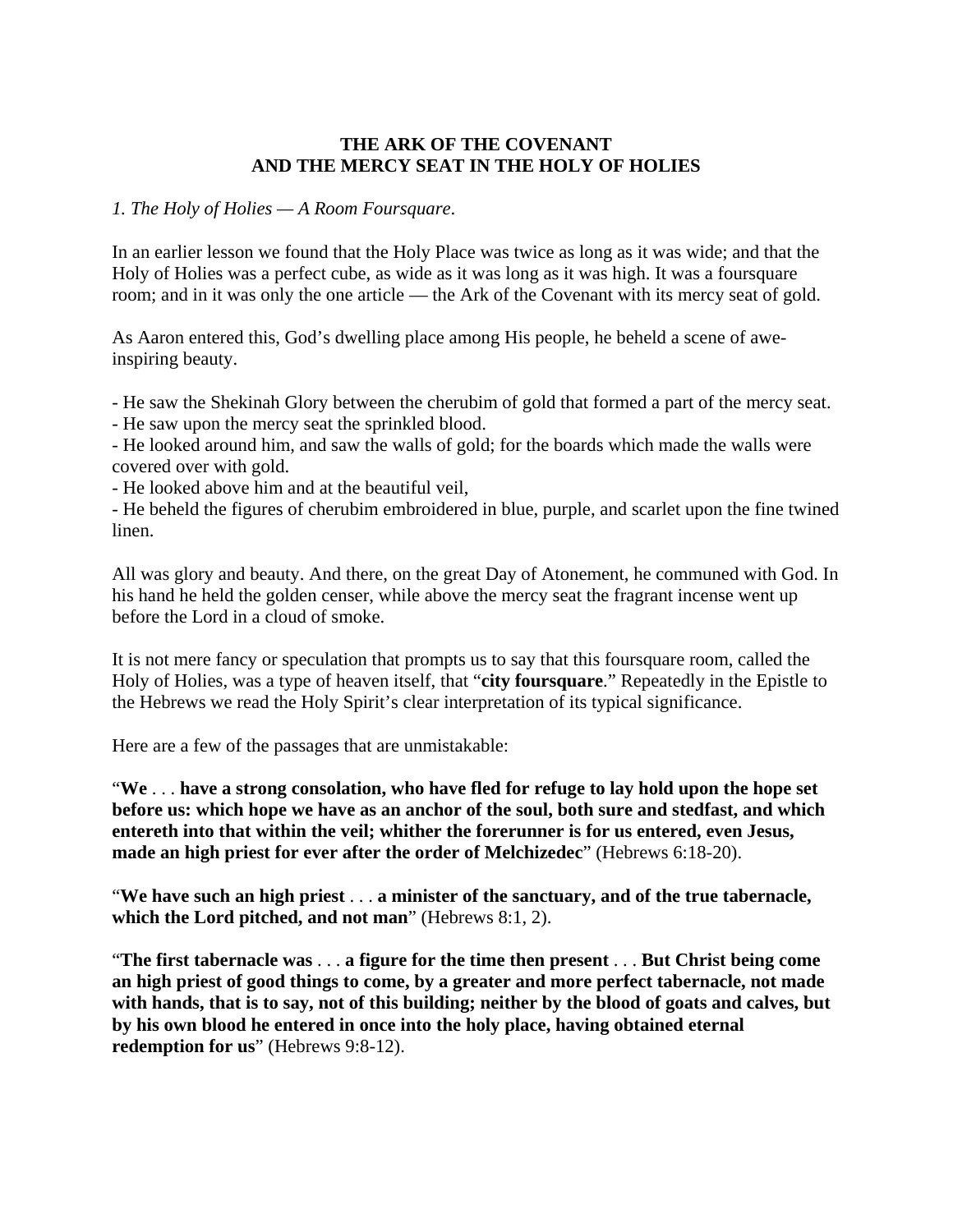# **THE ARK OF THE COVENANT AND THE MERCY SEAT IN THE HOLY OF HOLIES**

#### *1. The Holy of Holies — A Room Foursquare*.

In an earlier lesson we found that the Holy Place was twice as long as it was wide; and that the Holy of Holies was a perfect cube, as wide as it was long as it was high. It was a foursquare room; and in it was only the one article — the Ark of the Covenant with its mercy seat of gold.

As Aaron entered this, God's dwelling place among His people, he beheld a scene of aweinspiring beauty.

- He saw the Shekinah Glory between the cherubim of gold that formed a part of the mercy seat.

- He saw upon the mercy seat the sprinkled blood.

- He looked around him, and saw the walls of gold; for the boards which made the walls were covered over with gold.

- He looked above him and at the beautiful veil,

- He beheld the figures of cherubim embroidered in blue, purple, and scarlet upon the fine twined linen.

All was glory and beauty. And there, on the great Day of Atonement, he communed with God. In his hand he held the golden censer, while above the mercy seat the fragrant incense went up before the Lord in a cloud of smoke.

It is not mere fancy or speculation that prompts us to say that this foursquare room, called the Holy of Holies, was a type of heaven itself, that "**city foursquare**." Repeatedly in the Epistle to the Hebrews we read the Holy Spirit's clear interpretation of its typical significance.

Here are a few of the passages that are unmistakable:

"**We** . . . **have a strong consolation, who have fled for refuge to lay hold upon the hope set before us: which hope we have as an anchor of the soul, both sure and stedfast, and which entereth into that within the veil; whither the forerunner is for us entered, even Jesus, made an high priest for ever after the order of Melchizedec**" (Hebrews 6:18-20).

"**We have such an high priest** . . . **a minister of the sanctuary, and of the true tabernacle, which the Lord pitched, and not man**" (Hebrews 8:1, 2).

"**The first tabernacle was** . . . **a figure for the time then present** . . . **But Christ being come an high priest of good things to come, by a greater and more perfect tabernacle, not made with hands, that is to say, not of this building; neither by the blood of goats and calves, but by his own blood he entered in once into the holy place, having obtained eternal redemption for us**" (Hebrews 9:8-12).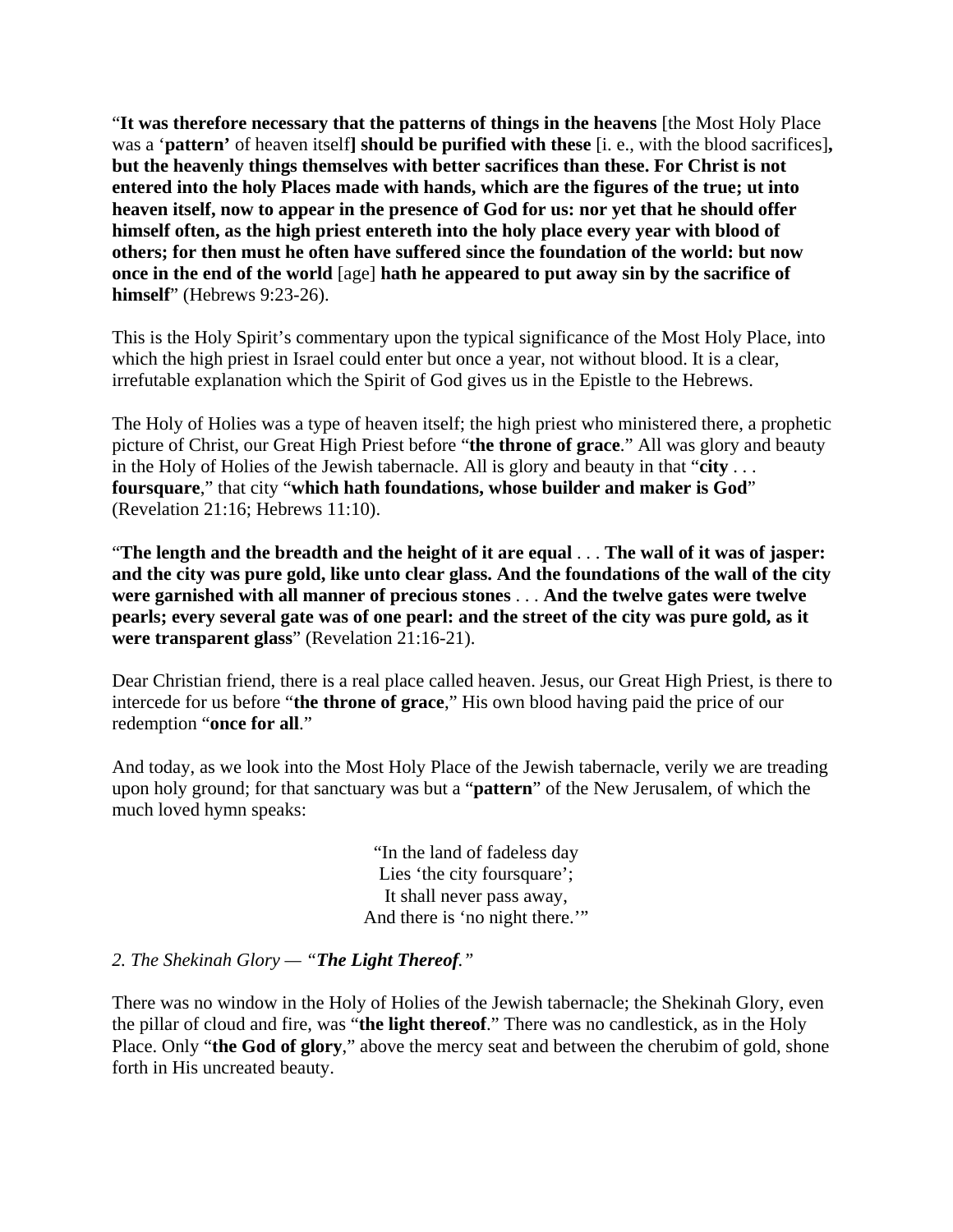"**It was therefore necessary that the patterns of things in the heavens** [the Most Holy Place was a '**pattern'** of heaven itself**] should be purified with these** [i. e., with the blood sacrifices]**, but the heavenly things themselves with better sacrifices than these. For Christ is not entered into the holy Places made with hands, which are the figures of the true; ut into heaven itself, now to appear in the presence of God for us: nor yet that he should offer himself often, as the high priest entereth into the holy place every year with blood of others; for then must he often have suffered since the foundation of the world: but now once in the end of the world** [age] **hath he appeared to put away sin by the sacrifice of himself**" (Hebrews 9:23-26).

This is the Holy Spirit's commentary upon the typical significance of the Most Holy Place, into which the high priest in Israel could enter but once a year, not without blood. It is a clear, irrefutable explanation which the Spirit of God gives us in the Epistle to the Hebrews.

The Holy of Holies was a type of heaven itself; the high priest who ministered there, a prophetic picture of Christ, our Great High Priest before "**the throne of grace**." All was glory and beauty in the Holy of Holies of the Jewish tabernacle. All is glory and beauty in that "**city** . . . **foursquare**," that city "**which hath foundations, whose builder and maker is God**" (Revelation 21:16; Hebrews 11:10).

"**The length and the breadth and the height of it are equal** . . . **The wall of it was of jasper: and the city was pure gold, like unto clear glass. And the foundations of the wall of the city were garnished with all manner of precious stones** . . . **And the twelve gates were twelve pearls; every several gate was of one pearl: and the street of the city was pure gold, as it were transparent glass**" (Revelation 21:16-21).

Dear Christian friend, there is a real place called heaven. Jesus, our Great High Priest, is there to intercede for us before "**the throne of grace**," His own blood having paid the price of our redemption "**once for all**."

And today, as we look into the Most Holy Place of the Jewish tabernacle, verily we are treading upon holy ground; for that sanctuary was but a "**pattern**" of the New Jerusalem, of which the much loved hymn speaks:

> "In the land of fadeless day Lies 'the city foursquare'; It shall never pass away, And there is 'no night there."

#### *2. The Shekinah Glory — "The Light Thereof."*

There was no window in the Holy of Holies of the Jewish tabernacle; the Shekinah Glory, even the pillar of cloud and fire, was "**the light thereof**." There was no candlestick, as in the Holy Place. Only "**the God of glory**," above the mercy seat and between the cherubim of gold, shone forth in His uncreated beauty.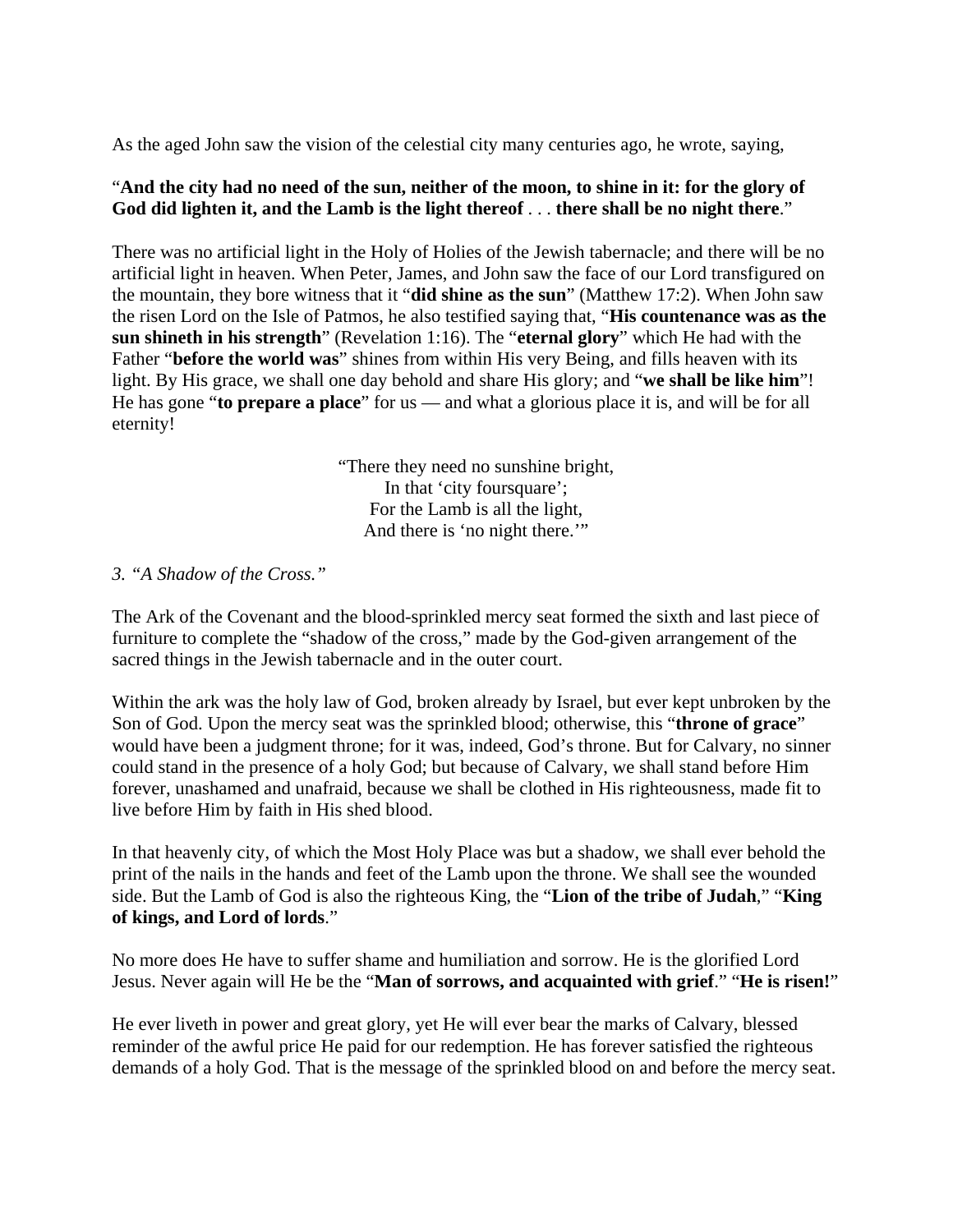As the aged John saw the vision of the celestial city many centuries ago, he wrote, saying,

# "**And the city had no need of the sun, neither of the moon, to shine in it: for the glory of God did lighten it, and the Lamb is the light thereof** . . . **there shall be no night there**."

There was no artificial light in the Holy of Holies of the Jewish tabernacle; and there will be no artificial light in heaven. When Peter, James, and John saw the face of our Lord transfigured on the mountain, they bore witness that it "**did shine as the sun**" (Matthew 17:2). When John saw the risen Lord on the Isle of Patmos, he also testified saying that, "**His countenance was as the sun shineth in his strength**" (Revelation 1:16). The "**eternal glory**" which He had with the Father "**before the world was**" shines from within His very Being, and fills heaven with its light. By His grace, we shall one day behold and share His glory; and "**we shall be like him**"! He has gone "**to prepare a place**" for us — and what a glorious place it is, and will be for all eternity!

> "There they need no sunshine bright, In that 'city foursquare'; For the Lamb is all the light, And there is 'no night there."

## *3. "A Shadow of the Cross."*

The Ark of the Covenant and the blood-sprinkled mercy seat formed the sixth and last piece of furniture to complete the "shadow of the cross," made by the God-given arrangement of the sacred things in the Jewish tabernacle and in the outer court.

Within the ark was the holy law of God, broken already by Israel, but ever kept unbroken by the Son of God. Upon the mercy seat was the sprinkled blood; otherwise, this "**throne of grace**" would have been a judgment throne; for it was, indeed, God's throne. But for Calvary, no sinner could stand in the presence of a holy God; but because of Calvary, we shall stand before Him forever, unashamed and unafraid, because we shall be clothed in His righteousness, made fit to live before Him by faith in His shed blood.

In that heavenly city, of which the Most Holy Place was but a shadow, we shall ever behold the print of the nails in the hands and feet of the Lamb upon the throne. We shall see the wounded side. But the Lamb of God is also the righteous King, the "**Lion of the tribe of Judah**," "**King of kings, and Lord of lords**."

No more does He have to suffer shame and humiliation and sorrow. He is the glorified Lord Jesus. Never again will He be the "**Man of sorrows, and acquainted with grief**." "**He is risen!**"

He ever liveth in power and great glory, yet He will ever bear the marks of Calvary, blessed reminder of the awful price He paid for our redemption. He has forever satisfied the righteous demands of a holy God. That is the message of the sprinkled blood on and before the mercy seat.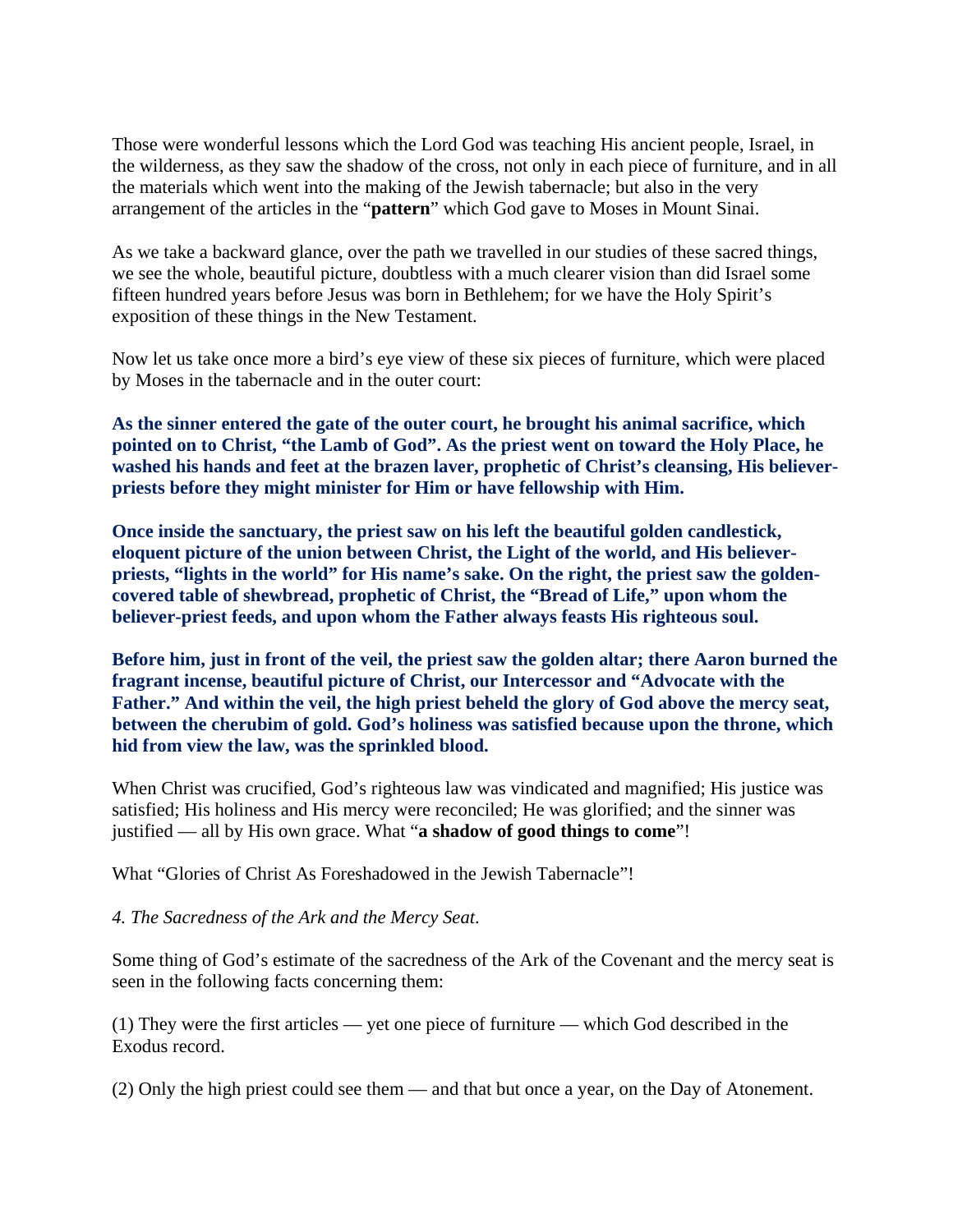Those were wonderful lessons which the Lord God was teaching His ancient people, Israel, in the wilderness, as they saw the shadow of the cross, not only in each piece of furniture, and in all the materials which went into the making of the Jewish tabernacle; but also in the very arrangement of the articles in the "**pattern**" which God gave to Moses in Mount Sinai.

As we take a backward glance, over the path we travelled in our studies of these sacred things, we see the whole, beautiful picture, doubtless with a much clearer vision than did Israel some fifteen hundred years before Jesus was born in Bethlehem; for we have the Holy Spirit's exposition of these things in the New Testament.

Now let us take once more a bird's eye view of these six pieces of furniture, which were placed by Moses in the tabernacle and in the outer court:

**As the sinner entered the gate of the outer court, he brought his animal sacrifice, which pointed on to Christ, "the Lamb of God". As the priest went on toward the Holy Place, he washed his hands and feet at the brazen laver, prophetic of Christ's cleansing, His believerpriests before they might minister for Him or have fellowship with Him.** 

**Once inside the sanctuary, the priest saw on his left the beautiful golden candlestick, eloquent picture of the union between Christ, the Light of the world, and His believerpriests, "lights in the world" for His name's sake. On the right, the priest saw the goldencovered table of shewbread, prophetic of Christ, the "Bread of Life," upon whom the believer-priest feeds, and upon whom the Father always feasts His righteous soul.** 

**Before him, just in front of the veil, the priest saw the golden altar; there Aaron burned the fragrant incense, beautiful picture of Christ, our Intercessor and "Advocate with the Father." And within the veil, the high priest beheld the glory of God above the mercy seat, between the cherubim of gold. God's holiness was satisfied because upon the throne, which hid from view the law, was the sprinkled blood.** 

When Christ was crucified, God's righteous law was vindicated and magnified; His justice was satisfied; His holiness and His mercy were reconciled; He was glorified; and the sinner was justified — all by His own grace. What "**a shadow of good things to come**"!

What "Glories of Christ As Foreshadowed in the Jewish Tabernacle"!

#### *4. The Sacredness of the Ark and the Mercy Seat*.

Some thing of God's estimate of the sacredness of the Ark of the Covenant and the mercy seat is seen in the following facts concerning them:

(1) They were the first articles — yet one piece of furniture — which God described in the Exodus record.

(2) Only the high priest could see them — and that but once a year, on the Day of Atonement.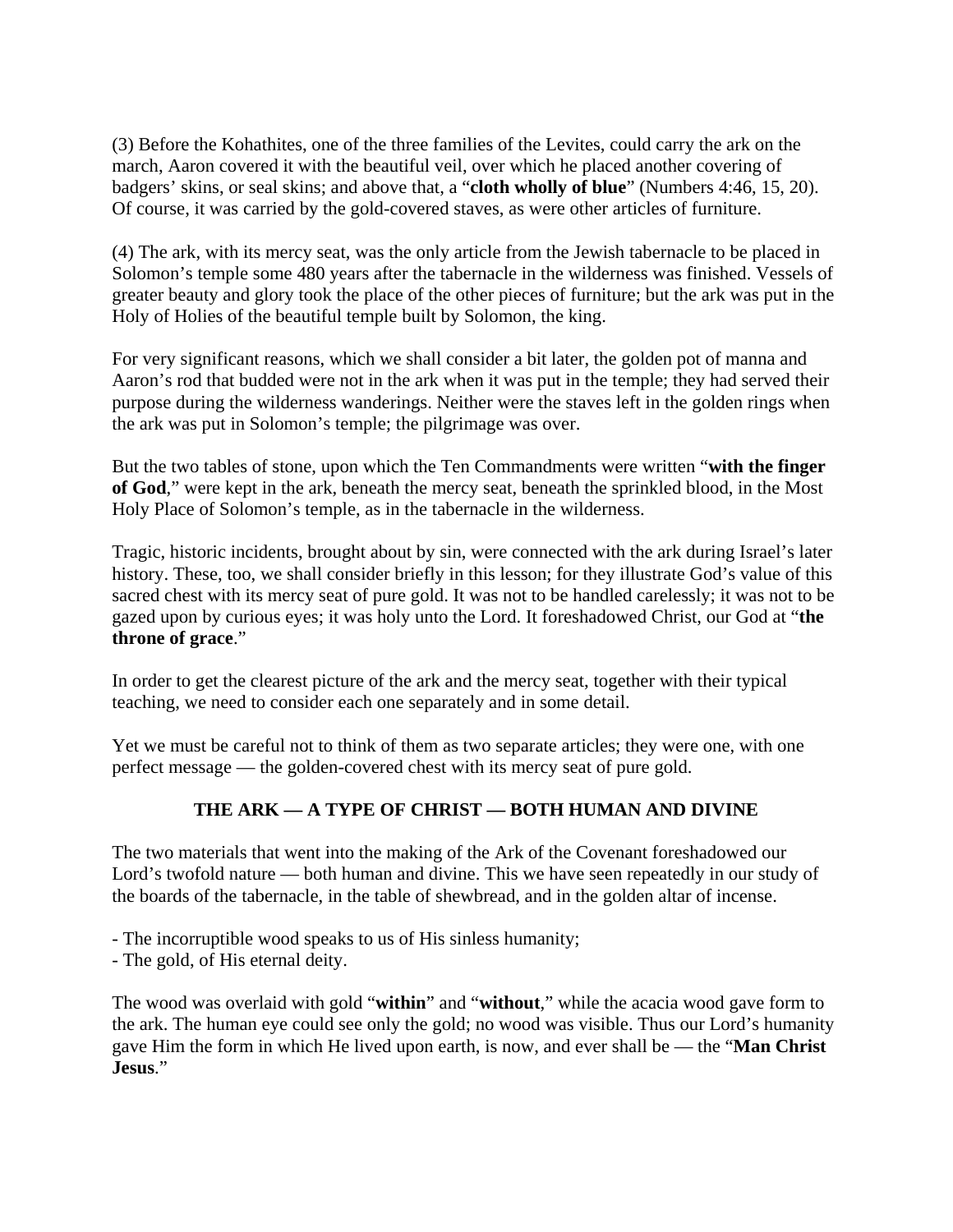(3) Before the Kohathites, one of the three families of the Levites, could carry the ark on the march, Aaron covered it with the beautiful veil, over which he placed another covering of badgers' skins, or seal skins; and above that, a "**cloth wholly of blue**" (Numbers 4:46, 15, 20). Of course, it was carried by the gold-covered staves, as were other articles of furniture.

(4) The ark, with its mercy seat, was the only article from the Jewish tabernacle to be placed in Solomon's temple some 480 years after the tabernacle in the wilderness was finished. Vessels of greater beauty and glory took the place of the other pieces of furniture; but the ark was put in the Holy of Holies of the beautiful temple built by Solomon, the king.

For very significant reasons, which we shall consider a bit later, the golden pot of manna and Aaron's rod that budded were not in the ark when it was put in the temple; they had served their purpose during the wilderness wanderings. Neither were the staves left in the golden rings when the ark was put in Solomon's temple; the pilgrimage was over.

But the two tables of stone, upon which the Ten Commandments were written "**with the finger of God**," were kept in the ark, beneath the mercy seat, beneath the sprinkled blood, in the Most Holy Place of Solomon's temple, as in the tabernacle in the wilderness.

Tragic, historic incidents, brought about by sin, were connected with the ark during Israel's later history. These, too, we shall consider briefly in this lesson; for they illustrate God's value of this sacred chest with its mercy seat of pure gold. It was not to be handled carelessly; it was not to be gazed upon by curious eyes; it was holy unto the Lord. It foreshadowed Christ, our God at "**the throne of grace**."

In order to get the clearest picture of the ark and the mercy seat, together with their typical teaching, we need to consider each one separately and in some detail.

Yet we must be careful not to think of them as two separate articles; they were one, with one perfect message — the golden-covered chest with its mercy seat of pure gold.

# **THE ARK — A TYPE OF CHRIST — BOTH HUMAN AND DIVINE**

The two materials that went into the making of the Ark of the Covenant foreshadowed our Lord's twofold nature — both human and divine. This we have seen repeatedly in our study of the boards of the tabernacle, in the table of shewbread, and in the golden altar of incense.

- The incorruptible wood speaks to us of His sinless humanity;
- The gold, of His eternal deity.

The wood was overlaid with gold "**within**" and "**without**," while the acacia wood gave form to the ark. The human eye could see only the gold; no wood was visible. Thus our Lord's humanity gave Him the form in which He lived upon earth, is now, and ever shall be — the "**Man Christ Jesus**."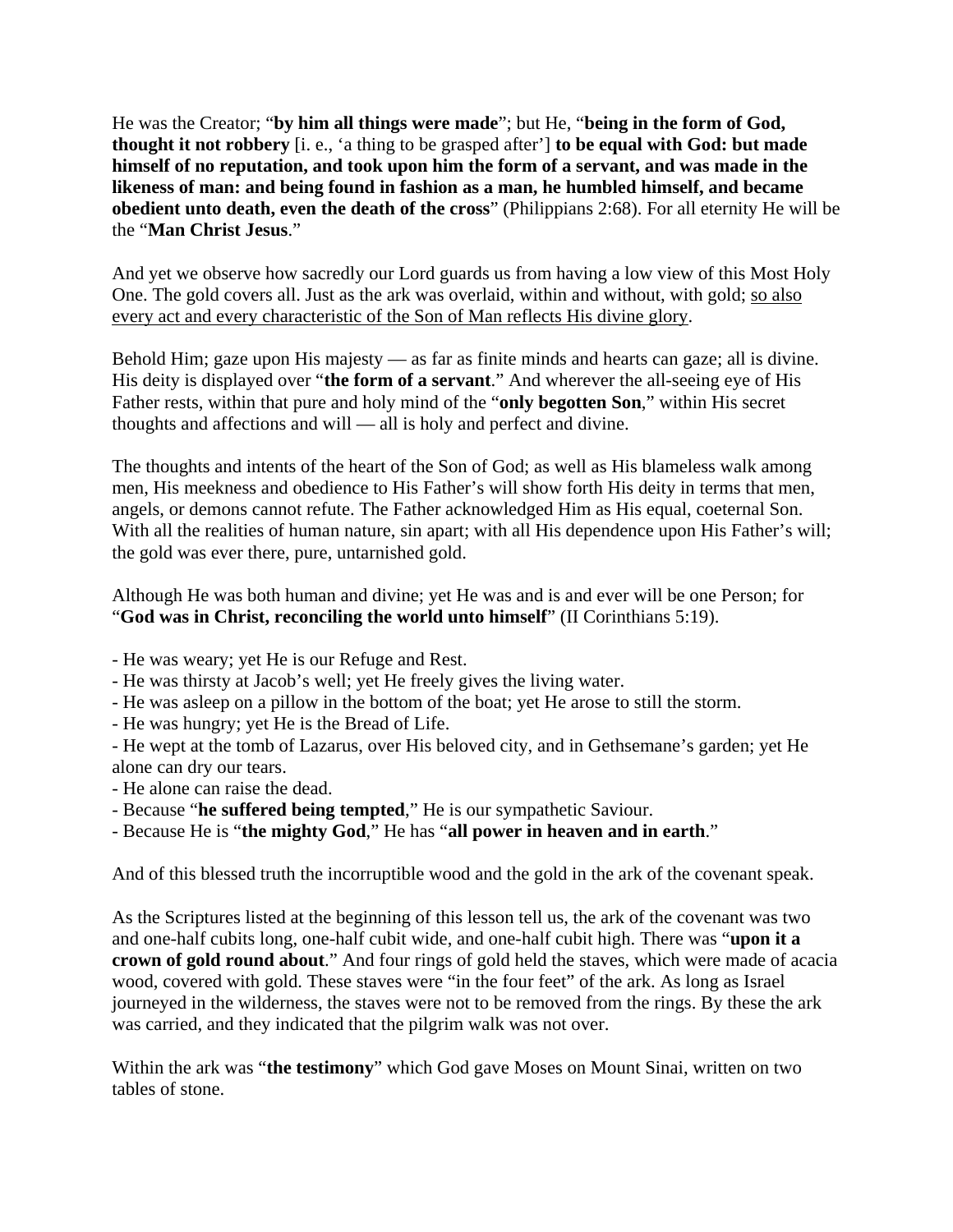He was the Creator; "**by him all things were made**"; but He, "**being in the form of God, thought it not robbery** [i. e., 'a thing to be grasped after'] **to be equal with God: but made himself of no reputation, and took upon him the form of a servant, and was made in the likeness of man: and being found in fashion as a man, he humbled himself, and became obedient unto death, even the death of the cross**" (Philippians 2:68). For all eternity He will be the "**Man Christ Jesus**."

And yet we observe how sacredly our Lord guards us from having a low view of this Most Holy One. The gold covers all. Just as the ark was overlaid, within and without, with gold; so also every act and every characteristic of the Son of Man reflects His divine glory.

Behold Him; gaze upon His majesty — as far as finite minds and hearts can gaze; all is divine. His deity is displayed over "**the form of a servant**." And wherever the all-seeing eye of His Father rests, within that pure and holy mind of the "**only begotten Son**," within His secret thoughts and affections and will — all is holy and perfect and divine.

The thoughts and intents of the heart of the Son of God; as well as His blameless walk among men, His meekness and obedience to His Father's will show forth His deity in terms that men, angels, or demons cannot refute. The Father acknowledged Him as His equal, coeternal Son. With all the realities of human nature, sin apart; with all His dependence upon His Father's will; the gold was ever there, pure, untarnished gold.

Although He was both human and divine; yet He was and is and ever will be one Person; for "**God was in Christ, reconciling the world unto himself**" (II Corinthians 5:19).

- He was weary; yet He is our Refuge and Rest.

- He was thirsty at Jacob's well; yet He freely gives the living water.
- He was asleep on a pillow in the bottom of the boat; yet He arose to still the storm.
- He was hungry; yet He is the Bread of Life.
- He wept at the tomb of Lazarus, over His beloved city, and in Gethsemane's garden; yet He alone can dry our tears.
- He alone can raise the dead.
- Because "**he suffered being tempted**," He is our sympathetic Saviour.
- Because He is "**the mighty God**," He has "**all power in heaven and in earth**."

And of this blessed truth the incorruptible wood and the gold in the ark of the covenant speak.

As the Scriptures listed at the beginning of this lesson tell us, the ark of the covenant was two and one-half cubits long, one-half cubit wide, and one-half cubit high. There was "**upon it a crown of gold round about**." And four rings of gold held the staves, which were made of acacia wood, covered with gold. These staves were "in the four feet" of the ark. As long as Israel journeyed in the wilderness, the staves were not to be removed from the rings. By these the ark was carried, and they indicated that the pilgrim walk was not over.

Within the ark was "**the testimony**" which God gave Moses on Mount Sinai, written on two tables of stone.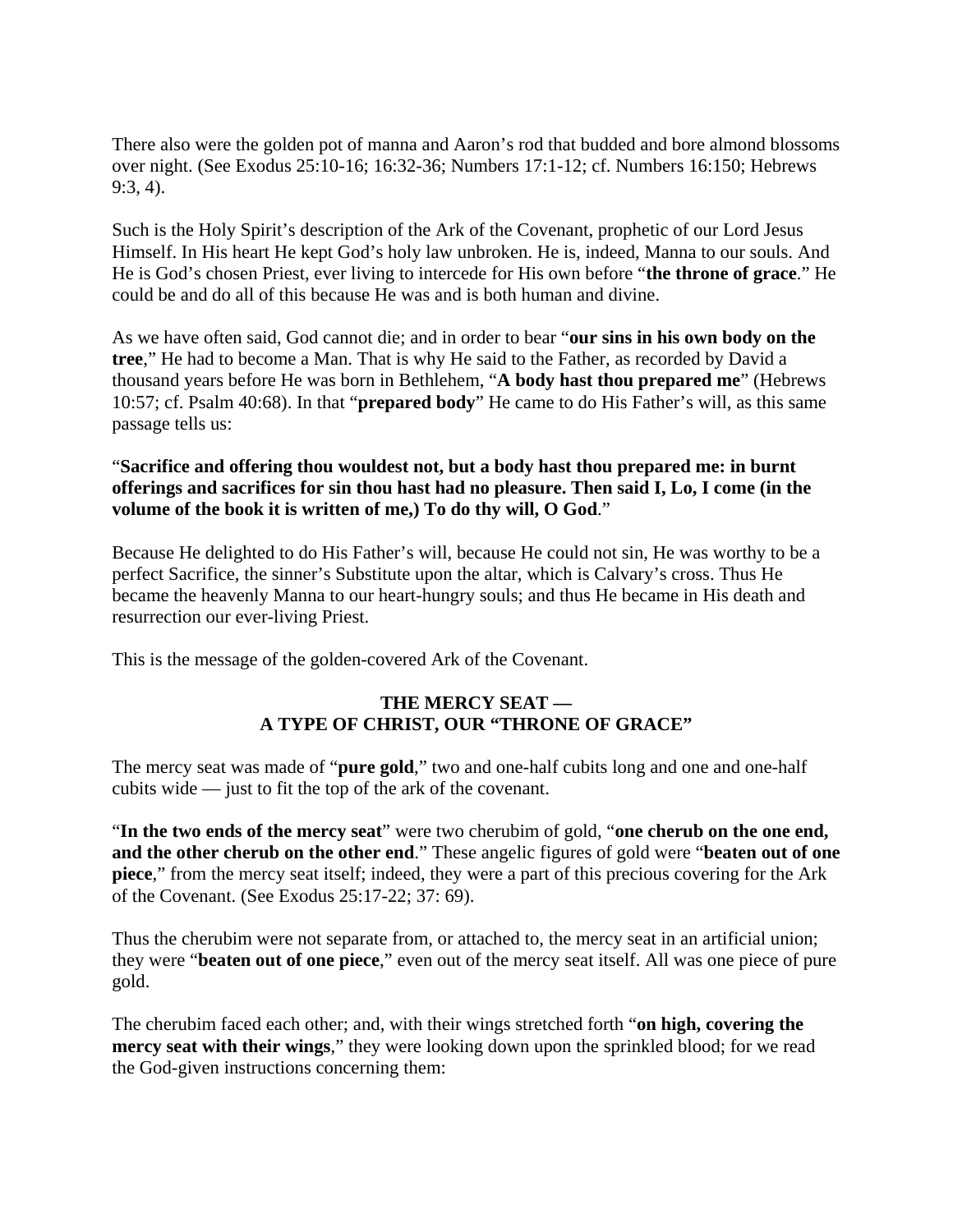There also were the golden pot of manna and Aaron's rod that budded and bore almond blossoms over night. (See Exodus 25:10-16; 16:32-36; Numbers 17:1-12; cf. Numbers 16:150; Hebrews 9:3, 4).

Such is the Holy Spirit's description of the Ark of the Covenant, prophetic of our Lord Jesus Himself. In His heart He kept God's holy law unbroken. He is, indeed, Manna to our souls. And He is God's chosen Priest, ever living to intercede for His own before "**the throne of grace**." He could be and do all of this because He was and is both human and divine.

As we have often said, God cannot die; and in order to bear "**our sins in his own body on the tree**," He had to become a Man. That is why He said to the Father, as recorded by David a thousand years before He was born in Bethlehem, "**A body hast thou prepared me**" (Hebrews 10:57; cf. Psalm 40:68). In that "**prepared body**" He came to do His Father's will, as this same passage tells us:

## "**Sacrifice and offering thou wouldest not, but a body hast thou prepared me: in burnt offerings and sacrifices for sin thou hast had no pleasure. Then said I, Lo, I come (in the volume of the book it is written of me,) To do thy will, O God**."

Because He delighted to do His Father's will, because He could not sin, He was worthy to be a perfect Sacrifice, the sinner's Substitute upon the altar, which is Calvary's cross. Thus He became the heavenly Manna to our heart-hungry souls; and thus He became in His death and resurrection our ever-living Priest.

This is the message of the golden-covered Ark of the Covenant.

## **THE MERCY SEAT — A TYPE OF CHRIST, OUR "THRONE OF GRACE"**

The mercy seat was made of "**pure gold**," two and one-half cubits long and one and one-half cubits wide — just to fit the top of the ark of the covenant.

"**In the two ends of the mercy seat**" were two cherubim of gold, "**one cherub on the one end, and the other cherub on the other end**." These angelic figures of gold were "**beaten out of one piece**," from the mercy seat itself; indeed, they were a part of this precious covering for the Ark of the Covenant. (See Exodus 25:17-22; 37: 69).

Thus the cherubim were not separate from, or attached to, the mercy seat in an artificial union; they were "**beaten out of one piece**," even out of the mercy seat itself. All was one piece of pure gold.

The cherubim faced each other; and, with their wings stretched forth "**on high, covering the mercy seat with their wings**," they were looking down upon the sprinkled blood; for we read the God-given instructions concerning them: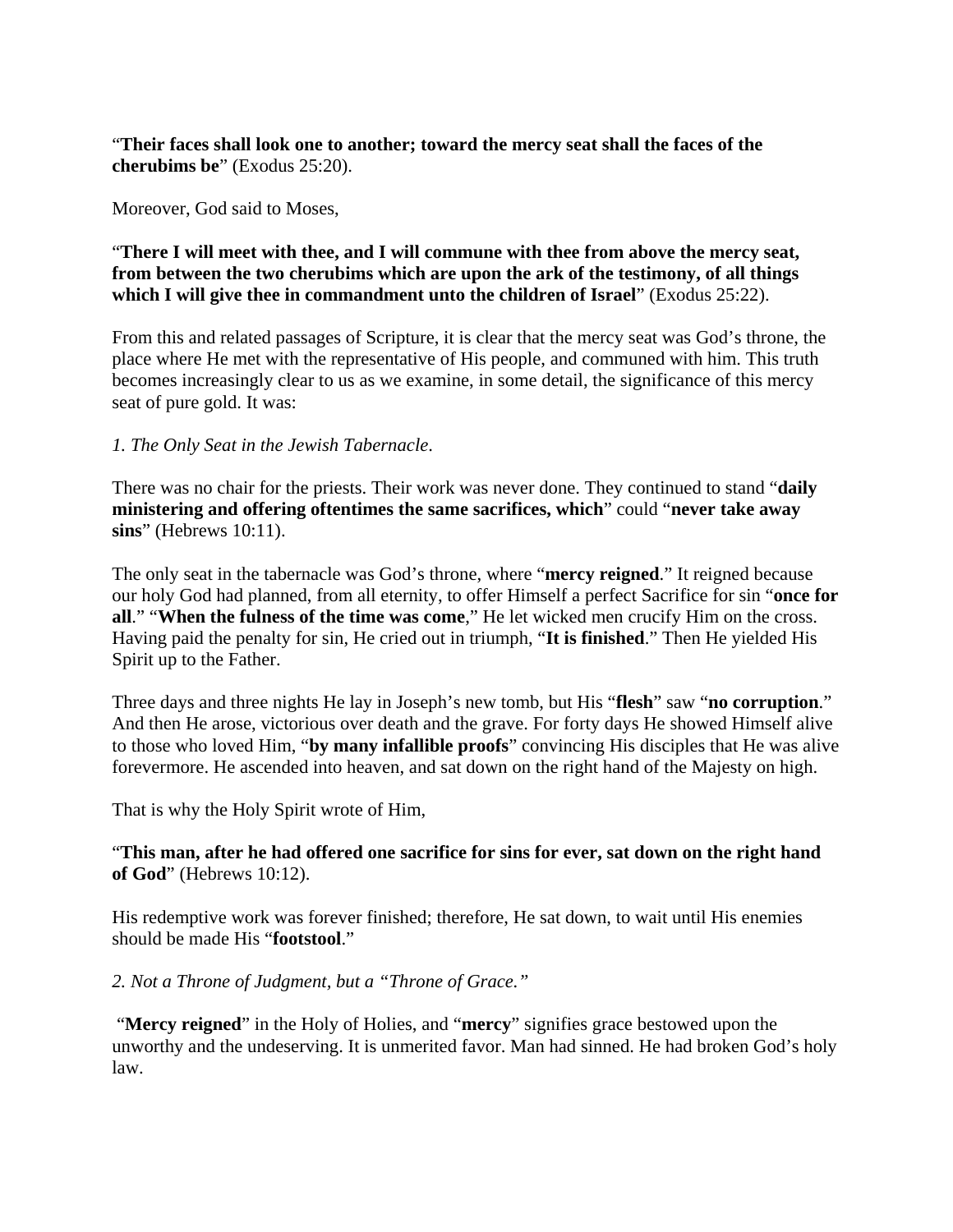"**Their faces shall look one to another; toward the mercy seat shall the faces of the cherubims be**" (Exodus 25:20).

Moreover, God said to Moses,

# "**There I will meet with thee, and I will commune with thee from above the mercy seat, from between the two cherubims which are upon the ark of the testimony, of all things which I will give thee in commandment unto the children of Israel**" (Exodus 25:22).

From this and related passages of Scripture, it is clear that the mercy seat was God's throne, the place where He met with the representative of His people, and communed with him. This truth becomes increasingly clear to us as we examine, in some detail, the significance of this mercy seat of pure gold. It was:

## *1. The Only Seat in the Jewish Tabernacle*.

There was no chair for the priests. Their work was never done. They continued to stand "**daily ministering and offering oftentimes the same sacrifices, which**" could "**never take away sins**" (Hebrews 10:11).

The only seat in the tabernacle was God's throne, where "**mercy reigned**." It reigned because our holy God had planned, from all eternity, to offer Himself a perfect Sacrifice for sin "**once for all**." "**When the fulness of the time was come**," He let wicked men crucify Him on the cross. Having paid the penalty for sin, He cried out in triumph, "**It is finished**." Then He yielded His Spirit up to the Father.

Three days and three nights He lay in Joseph's new tomb, but His "**flesh**" saw "**no corruption**." And then He arose, victorious over death and the grave. For forty days He showed Himself alive to those who loved Him, "**by many infallible proofs**" convincing His disciples that He was alive forevermore. He ascended into heaven, and sat down on the right hand of the Majesty on high.

That is why the Holy Spirit wrote of Him,

# "**This man, after he had offered one sacrifice for sins for ever, sat down on the right hand of God**" (Hebrews 10:12).

His redemptive work was forever finished; therefore, He sat down, to wait until His enemies should be made His "**footstool**."

#### *2. Not a Throne of Judgment, but a "Throne of Grace."*

 "**Mercy reigned**" in the Holy of Holies, and "**mercy**" signifies grace bestowed upon the unworthy and the undeserving. It is unmerited favor. Man had sinned. He had broken God's holy law.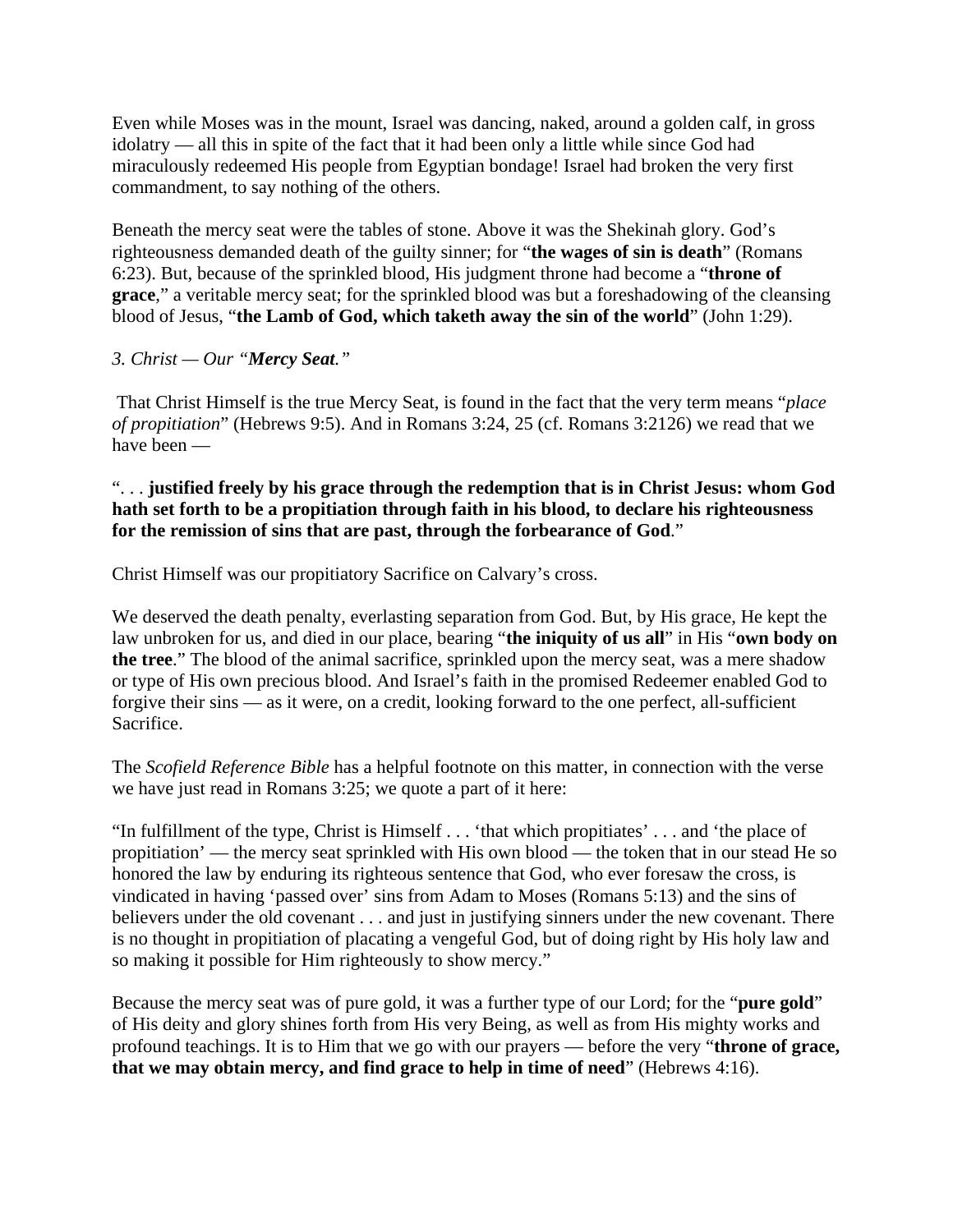Even while Moses was in the mount, Israel was dancing, naked, around a golden calf, in gross idolatry — all this in spite of the fact that it had been only a little while since God had miraculously redeemed His people from Egyptian bondage! Israel had broken the very first commandment, to say nothing of the others.

Beneath the mercy seat were the tables of stone. Above it was the Shekinah glory. God's righteousness demanded death of the guilty sinner; for "**the wages of sin is death**" (Romans 6:23). But, because of the sprinkled blood, His judgment throne had become a "**throne of grace**," a veritable mercy seat; for the sprinkled blood was but a foreshadowing of the cleansing blood of Jesus, "**the Lamb of God, which taketh away the sin of the world**" (John 1:29).

# *3. Christ — Our "Mercy Seat."*

 That Christ Himself is the true Mercy Seat, is found in the fact that the very term means "*place of propitiation*" (Hebrews 9:5). And in Romans 3:24, 25 (cf. Romans 3:2126) we read that we have been —

# ". . . **justified freely by his grace through the redemption that is in Christ Jesus: whom God hath set forth to be a propitiation through faith in his blood, to declare his righteousness for the remission of sins that are past, through the forbearance of God**."

Christ Himself was our propitiatory Sacrifice on Calvary's cross.

We deserved the death penalty, everlasting separation from God. But, by His grace, He kept the law unbroken for us, and died in our place, bearing "**the iniquity of us all**" in His "**own body on the tree**." The blood of the animal sacrifice, sprinkled upon the mercy seat, was a mere shadow or type of His own precious blood. And Israel's faith in the promised Redeemer enabled God to forgive their sins — as it were, on a credit, looking forward to the one perfect, all-sufficient Sacrifice.

The *Scofield Reference Bible* has a helpful footnote on this matter, in connection with the verse we have just read in Romans 3:25; we quote a part of it here:

"In fulfillment of the type, Christ is Himself . . . 'that which propitiates' . . . and 'the place of propitiation' — the mercy seat sprinkled with His own blood — the token that in our stead He so honored the law by enduring its righteous sentence that God, who ever foresaw the cross, is vindicated in having 'passed over' sins from Adam to Moses (Romans 5:13) and the sins of believers under the old covenant . . . and just in justifying sinners under the new covenant. There is no thought in propitiation of placating a vengeful God, but of doing right by His holy law and so making it possible for Him righteously to show mercy."

Because the mercy seat was of pure gold, it was a further type of our Lord; for the "**pure gold**" of His deity and glory shines forth from His very Being, as well as from His mighty works and profound teachings. It is to Him that we go with our prayers — before the very "**throne of grace, that we may obtain mercy, and find grace to help in time of need**" (Hebrews 4:16).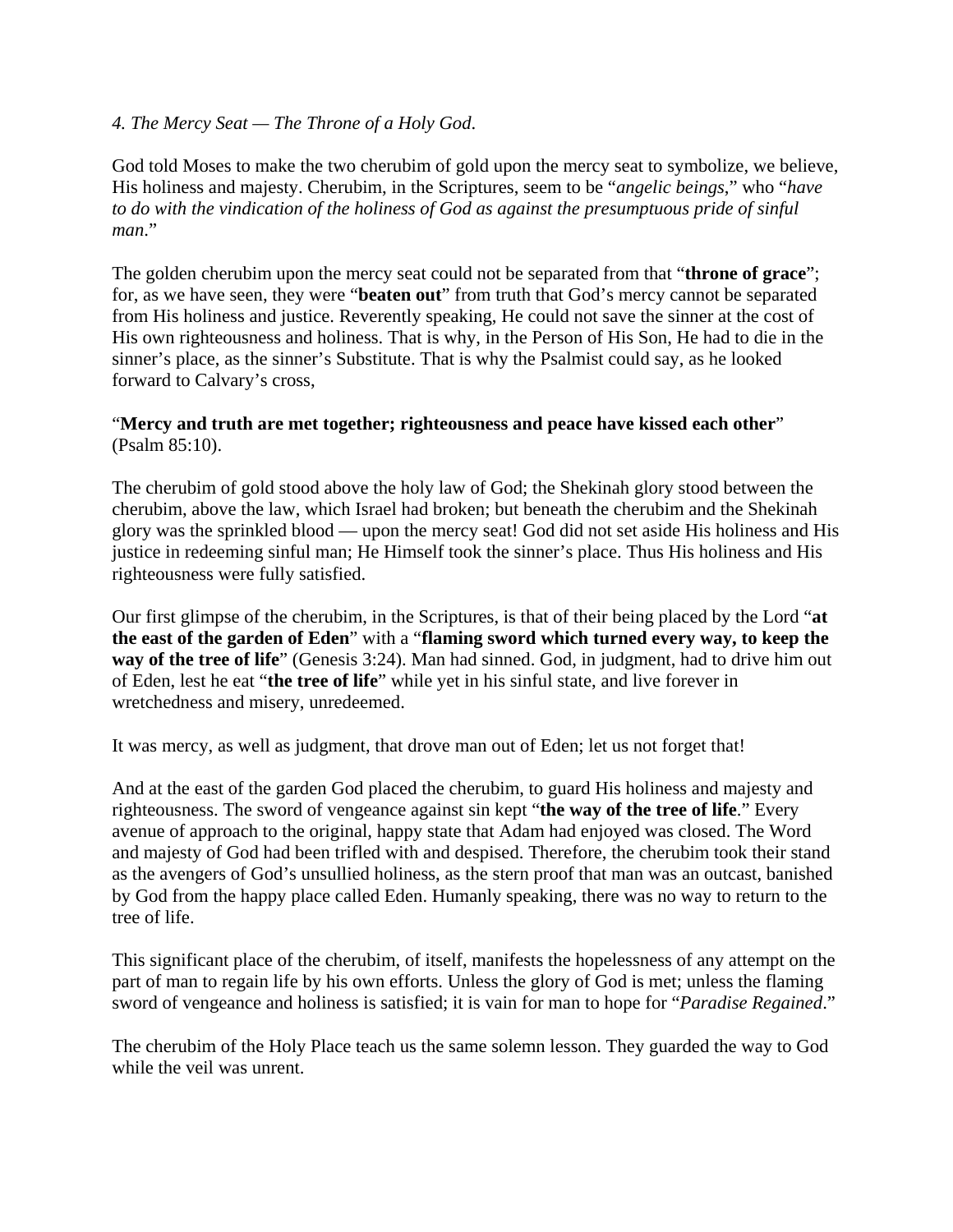## *4. The Mercy Seat — The Throne of a Holy God*.

God told Moses to make the two cherubim of gold upon the mercy seat to symbolize, we believe, His holiness and majesty. Cherubim, in the Scriptures, seem to be "*angelic beings*," who "*have to do with the vindication of the holiness of God as against the presumptuous pride of sinful man*."

The golden cherubim upon the mercy seat could not be separated from that "**throne of grace**"; for, as we have seen, they were "**beaten out**" from truth that God's mercy cannot be separated from His holiness and justice. Reverently speaking, He could not save the sinner at the cost of His own righteousness and holiness. That is why, in the Person of His Son, He had to die in the sinner's place, as the sinner's Substitute. That is why the Psalmist could say, as he looked forward to Calvary's cross,

## "**Mercy and truth are met together; righteousness and peace have kissed each other**" (Psalm 85:10).

The cherubim of gold stood above the holy law of God; the Shekinah glory stood between the cherubim, above the law, which Israel had broken; but beneath the cherubim and the Shekinah glory was the sprinkled blood — upon the mercy seat! God did not set aside His holiness and His justice in redeeming sinful man; He Himself took the sinner's place. Thus His holiness and His righteousness were fully satisfied.

Our first glimpse of the cherubim, in the Scriptures, is that of their being placed by the Lord "**at the east of the garden of Eden**" with a "**flaming sword which turned every way, to keep the way of the tree of life**" (Genesis 3:24). Man had sinned. God, in judgment, had to drive him out of Eden, lest he eat "**the tree of life**" while yet in his sinful state, and live forever in wretchedness and misery, unredeemed.

It was mercy, as well as judgment, that drove man out of Eden; let us not forget that!

And at the east of the garden God placed the cherubim, to guard His holiness and majesty and righteousness. The sword of vengeance against sin kept "**the way of the tree of life**." Every avenue of approach to the original, happy state that Adam had enjoyed was closed. The Word and majesty of God had been trifled with and despised. Therefore, the cherubim took their stand as the avengers of God's unsullied holiness, as the stern proof that man was an outcast, banished by God from the happy place called Eden. Humanly speaking, there was no way to return to the tree of life.

This significant place of the cherubim, of itself, manifests the hopelessness of any attempt on the part of man to regain life by his own efforts. Unless the glory of God is met; unless the flaming sword of vengeance and holiness is satisfied; it is vain for man to hope for "*Paradise Regained*."

The cherubim of the Holy Place teach us the same solemn lesson. They guarded the way to God while the veil was unrent.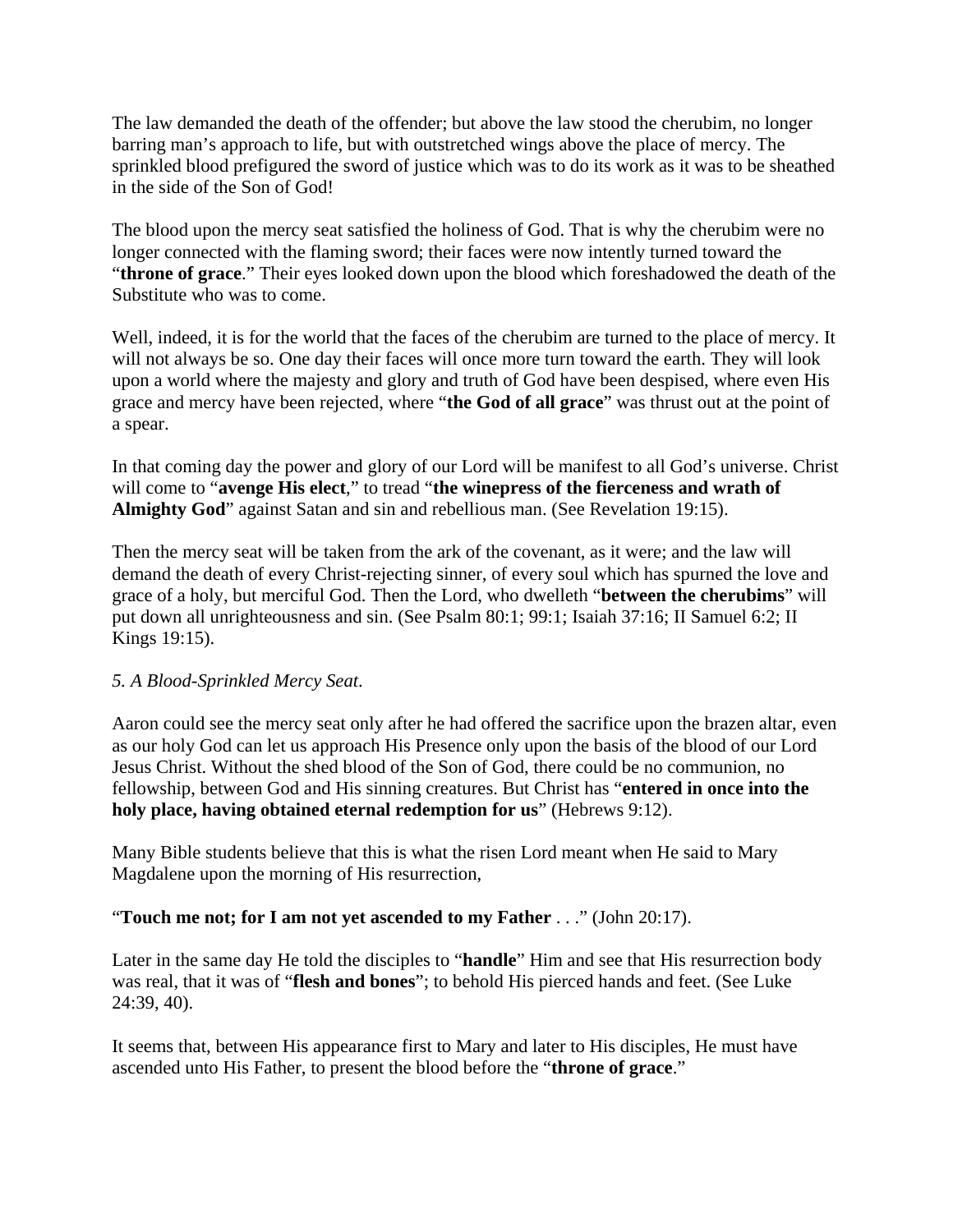The law demanded the death of the offender; but above the law stood the cherubim, no longer barring man's approach to life, but with outstretched wings above the place of mercy. The sprinkled blood prefigured the sword of justice which was to do its work as it was to be sheathed in the side of the Son of God!

The blood upon the mercy seat satisfied the holiness of God. That is why the cherubim were no longer connected with the flaming sword; their faces were now intently turned toward the "**throne of grace**." Their eyes looked down upon the blood which foreshadowed the death of the Substitute who was to come.

Well, indeed, it is for the world that the faces of the cherubim are turned to the place of mercy. It will not always be so. One day their faces will once more turn toward the earth. They will look upon a world where the majesty and glory and truth of God have been despised, where even His grace and mercy have been rejected, where "**the God of all grace**" was thrust out at the point of a spear.

In that coming day the power and glory of our Lord will be manifest to all God's universe. Christ will come to "**avenge His elect**," to tread "**the winepress of the fierceness and wrath of Almighty God**" against Satan and sin and rebellious man. (See Revelation 19:15).

Then the mercy seat will be taken from the ark of the covenant, as it were; and the law will demand the death of every Christ-rejecting sinner, of every soul which has spurned the love and grace of a holy, but merciful God. Then the Lord, who dwelleth "**between the cherubims**" will put down all unrighteousness and sin. (See Psalm 80:1; 99:1; Isaiah 37:16; II Samuel 6:2; II Kings 19:15).

# *5. A Blood-Sprinkled Mercy Seat*.

Aaron could see the mercy seat only after he had offered the sacrifice upon the brazen altar, even as our holy God can let us approach His Presence only upon the basis of the blood of our Lord Jesus Christ. Without the shed blood of the Son of God, there could be no communion, no fellowship, between God and His sinning creatures. But Christ has "**entered in once into the holy place, having obtained eternal redemption for us**" (Hebrews 9:12).

Many Bible students believe that this is what the risen Lord meant when He said to Mary Magdalene upon the morning of His resurrection,

# "**Touch me not; for I am not yet ascended to my Father** . . ." (John 20:17).

Later in the same day He told the disciples to "**handle**" Him and see that His resurrection body was real, that it was of "**flesh and bones**"; to behold His pierced hands and feet. (See Luke 24:39, 40).

It seems that, between His appearance first to Mary and later to His disciples, He must have ascended unto His Father, to present the blood before the "**throne of grace**."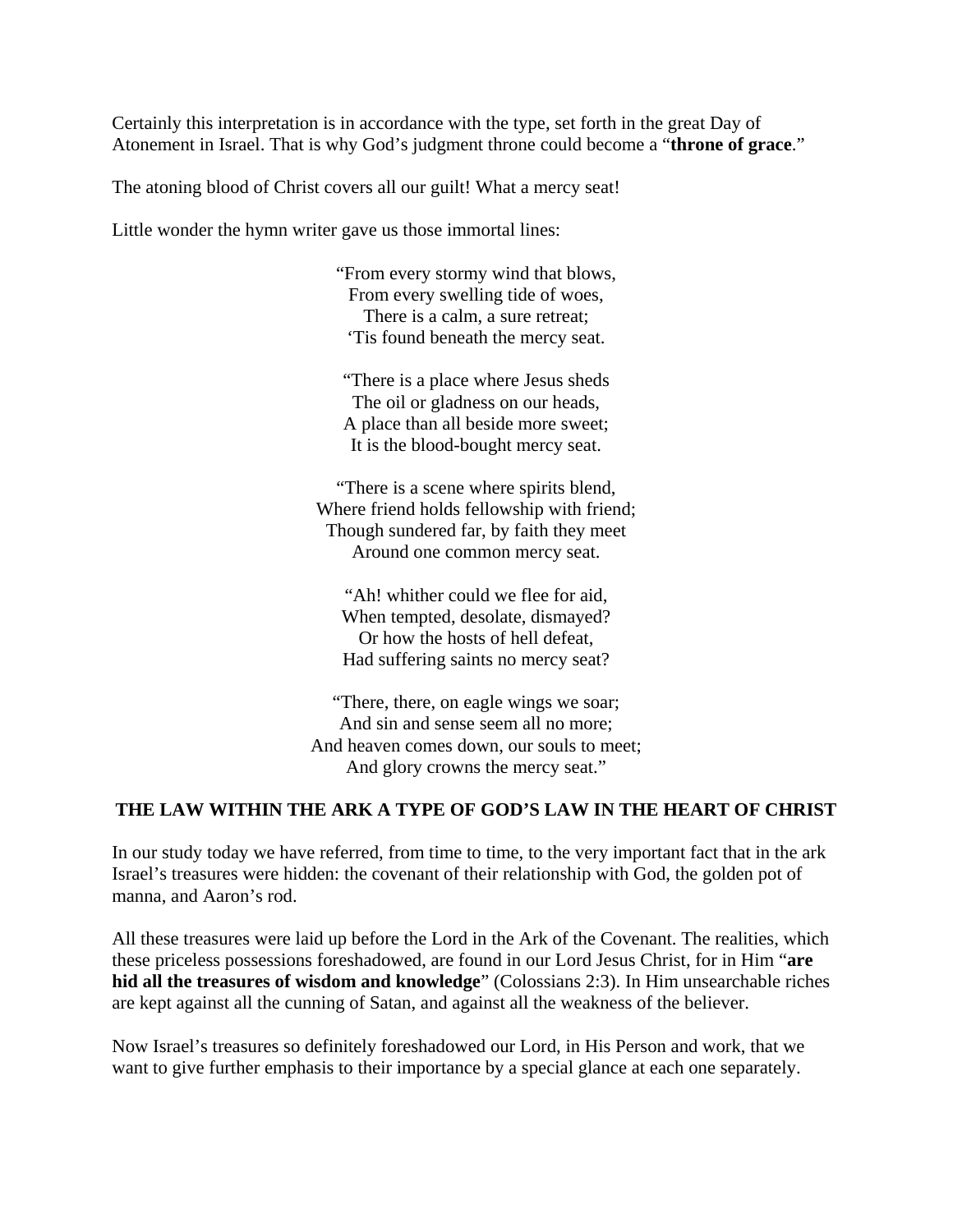Certainly this interpretation is in accordance with the type, set forth in the great Day of Atonement in Israel. That is why God's judgment throne could become a "**throne of grace**."

The atoning blood of Christ covers all our guilt! What a mercy seat!

Little wonder the hymn writer gave us those immortal lines:

"From every stormy wind that blows, From every swelling tide of woes, There is a calm, a sure retreat; 'Tis found beneath the mercy seat.

"There is a place where Jesus sheds The oil or gladness on our heads, A place than all beside more sweet; It is the blood-bought mercy seat.

"There is a scene where spirits blend, Where friend holds fellowship with friend; Though sundered far, by faith they meet Around one common mercy seat.

"Ah! whither could we flee for aid, When tempted, desolate, dismayed? Or how the hosts of hell defeat, Had suffering saints no mercy seat?

"There, there, on eagle wings we soar; And sin and sense seem all no more; And heaven comes down, our souls to meet; And glory crowns the mercy seat."

#### **THE LAW WITHIN THE ARK A TYPE OF GOD'S LAW IN THE HEART OF CHRIST**

In our study today we have referred, from time to time, to the very important fact that in the ark Israel's treasures were hidden: the covenant of their relationship with God, the golden pot of manna, and Aaron's rod.

All these treasures were laid up before the Lord in the Ark of the Covenant. The realities, which these priceless possessions foreshadowed, are found in our Lord Jesus Christ, for in Him "**are hid all the treasures of wisdom and knowledge**" (Colossians 2:3). In Him unsearchable riches are kept against all the cunning of Satan, and against all the weakness of the believer.

Now Israel's treasures so definitely foreshadowed our Lord, in His Person and work, that we want to give further emphasis to their importance by a special glance at each one separately.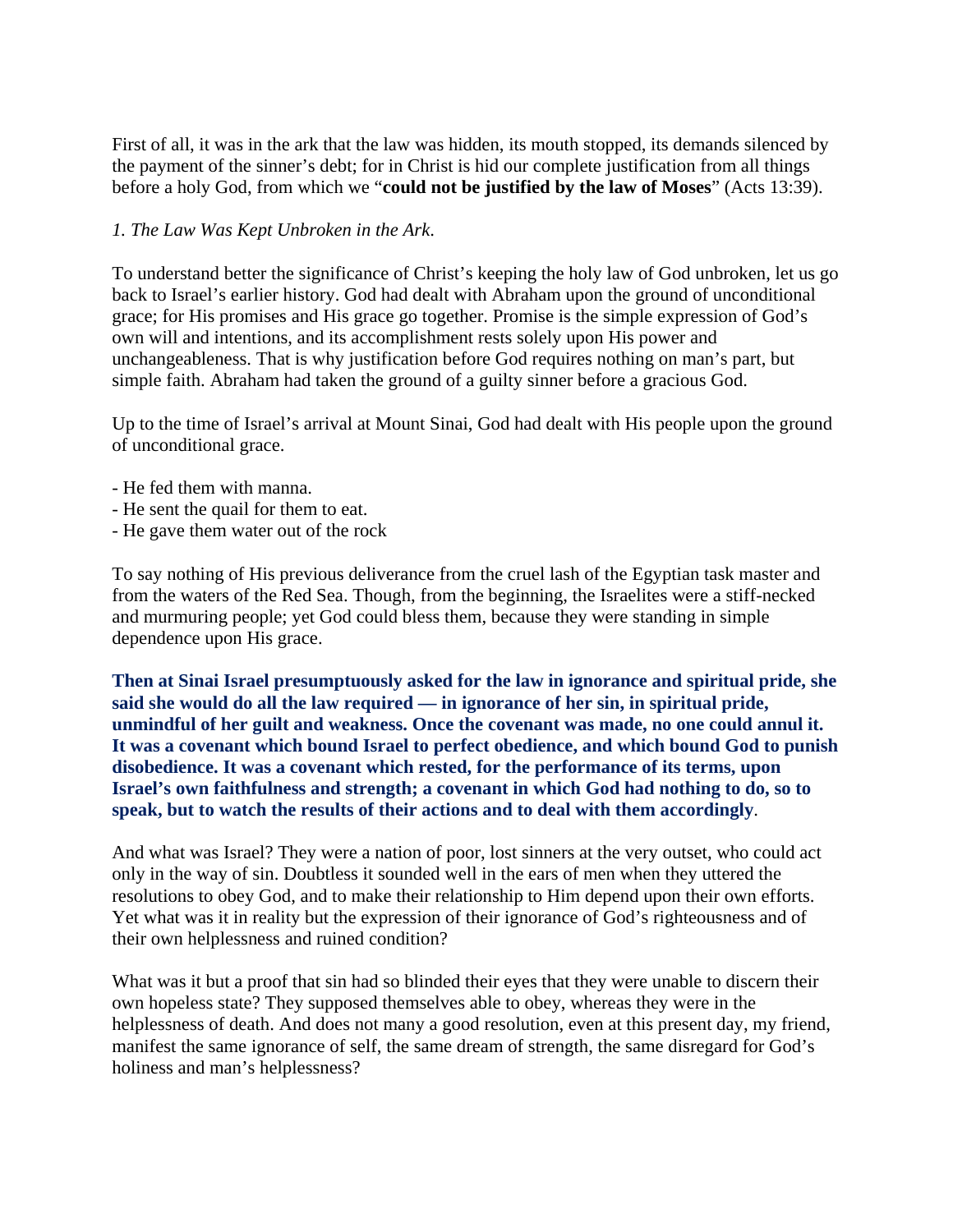First of all, it was in the ark that the law was hidden, its mouth stopped, its demands silenced by the payment of the sinner's debt; for in Christ is hid our complete justification from all things before a holy God, from which we "**could not be justified by the law of Moses**" (Acts 13:39).

# *1. The Law Was Kept Unbroken in the Ark*.

To understand better the significance of Christ's keeping the holy law of God unbroken, let us go back to Israel's earlier history. God had dealt with Abraham upon the ground of unconditional grace; for His promises and His grace go together. Promise is the simple expression of God's own will and intentions, and its accomplishment rests solely upon His power and unchangeableness. That is why justification before God requires nothing on man's part, but simple faith. Abraham had taken the ground of a guilty sinner before a gracious God.

Up to the time of Israel's arrival at Mount Sinai, God had dealt with His people upon the ground of unconditional grace.

- He fed them with manna.
- He sent the quail for them to eat.
- He gave them water out of the rock

To say nothing of His previous deliverance from the cruel lash of the Egyptian task master and from the waters of the Red Sea. Though, from the beginning, the Israelites were a stiff-necked and murmuring people; yet God could bless them, because they were standing in simple dependence upon His grace.

**Then at Sinai Israel presumptuously asked for the law in ignorance and spiritual pride, she said she would do all the law required — in ignorance of her sin, in spiritual pride, unmindful of her guilt and weakness. Once the covenant was made, no one could annul it. It was a covenant which bound Israel to perfect obedience, and which bound God to punish disobedience. It was a covenant which rested, for the performance of its terms, upon Israel's own faithfulness and strength; a covenant in which God had nothing to do, so to speak, but to watch the results of their actions and to deal with them accordingly**.

And what was Israel? They were a nation of poor, lost sinners at the very outset, who could act only in the way of sin. Doubtless it sounded well in the ears of men when they uttered the resolutions to obey God, and to make their relationship to Him depend upon their own efforts. Yet what was it in reality but the expression of their ignorance of God's righteousness and of their own helplessness and ruined condition?

What was it but a proof that sin had so blinded their eyes that they were unable to discern their own hopeless state? They supposed themselves able to obey, whereas they were in the helplessness of death. And does not many a good resolution, even at this present day, my friend, manifest the same ignorance of self, the same dream of strength, the same disregard for God's holiness and man's helplessness?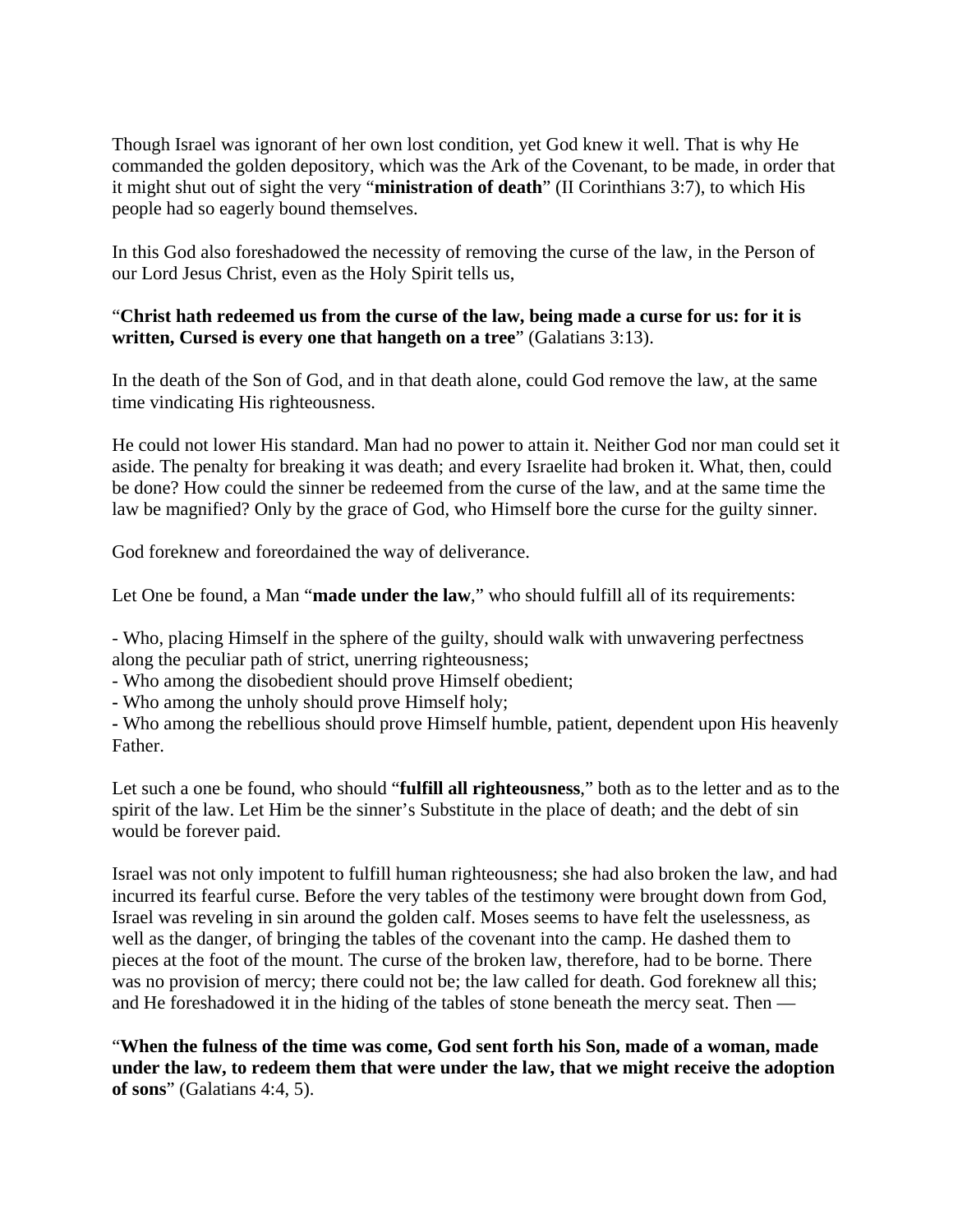Though Israel was ignorant of her own lost condition, yet God knew it well. That is why He commanded the golden depository, which was the Ark of the Covenant, to be made, in order that it might shut out of sight the very "**ministration of death**" (II Corinthians 3:7), to which His people had so eagerly bound themselves.

In this God also foreshadowed the necessity of removing the curse of the law, in the Person of our Lord Jesus Christ, even as the Holy Spirit tells us,

# "**Christ hath redeemed us from the curse of the law, being made a curse for us: for it is written, Cursed is every one that hangeth on a tree**" (Galatians 3:13).

In the death of the Son of God, and in that death alone, could God remove the law, at the same time vindicating His righteousness.

He could not lower His standard. Man had no power to attain it. Neither God nor man could set it aside. The penalty for breaking it was death; and every Israelite had broken it. What, then, could be done? How could the sinner be redeemed from the curse of the law, and at the same time the law be magnified? Only by the grace of God, who Himself bore the curse for the guilty sinner.

God foreknew and foreordained the way of deliverance.

Let One be found, a Man "**made under the law**," who should fulfill all of its requirements:

- Who, placing Himself in the sphere of the guilty, should walk with unwavering perfectness along the peculiar path of strict, unerring righteousness;

- Who among the disobedient should prove Himself obedient;

**-** Who among the unholy should prove Himself holy;

**-** Who among the rebellious should prove Himself humble, patient, dependent upon His heavenly Father.

Let such a one be found, who should "**fulfill all righteousness**," both as to the letter and as to the spirit of the law. Let Him be the sinner's Substitute in the place of death; and the debt of sin would be forever paid.

Israel was not only impotent to fulfill human righteousness; she had also broken the law, and had incurred its fearful curse. Before the very tables of the testimony were brought down from God, Israel was reveling in sin around the golden calf. Moses seems to have felt the uselessness, as well as the danger, of bringing the tables of the covenant into the camp. He dashed them to pieces at the foot of the mount. The curse of the broken law, therefore, had to be borne. There was no provision of mercy; there could not be; the law called for death. God foreknew all this; and He foreshadowed it in the hiding of the tables of stone beneath the mercy seat. Then —

"**When the fulness of the time was come, God sent forth his Son, made of a woman, made under the law, to redeem them that were under the law, that we might receive the adoption of sons**" (Galatians 4:4, 5).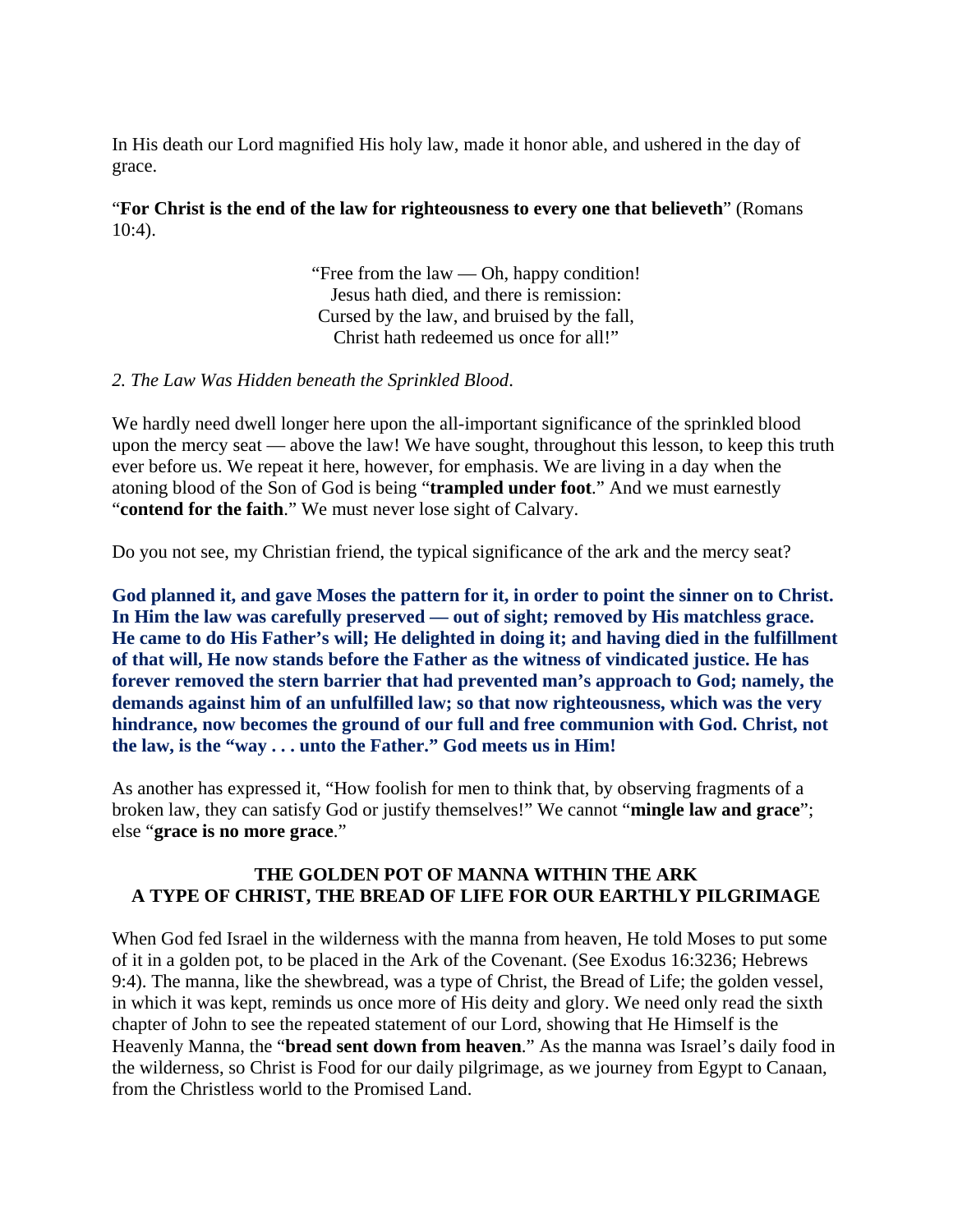In His death our Lord magnified His holy law, made it honor able, and ushered in the day of grace.

# "**For Christ is the end of the law for righteousness to every one that believeth**" (Romans 10:4).

"Free from the law — Oh, happy condition! Jesus hath died, and there is remission: Cursed by the law, and bruised by the fall, Christ hath redeemed us once for all!"

# *2. The Law Was Hidden beneath the Sprinkled Blood*.

We hardly need dwell longer here upon the all-important significance of the sprinkled blood upon the mercy seat — above the law! We have sought, throughout this lesson, to keep this truth ever before us. We repeat it here, however, for emphasis. We are living in a day when the atoning blood of the Son of God is being "**trampled under foot**." And we must earnestly "**contend for the faith**." We must never lose sight of Calvary.

Do you not see, my Christian friend, the typical significance of the ark and the mercy seat?

**God planned it, and gave Moses the pattern for it, in order to point the sinner on to Christ. In Him the law was carefully preserved — out of sight; removed by His matchless grace. He came to do His Father's will; He delighted in doing it; and having died in the fulfillment of that will, He now stands before the Father as the witness of vindicated justice. He has forever removed the stern barrier that had prevented man's approach to God; namely, the demands against him of an unfulfilled law; so that now righteousness, which was the very hindrance, now becomes the ground of our full and free communion with God. Christ, not the law, is the "way . . . unto the Father." God meets us in Him!**

As another has expressed it, "How foolish for men to think that, by observing fragments of a broken law, they can satisfy God or justify themselves!" We cannot "**mingle law and grace**"; else "**grace is no more grace**."

## **THE GOLDEN POT OF MANNA WITHIN THE ARK A TYPE OF CHRIST, THE BREAD OF LIFE FOR OUR EARTHLY PILGRIMAGE**

When God fed Israel in the wilderness with the manna from heaven, He told Moses to put some of it in a golden pot, to be placed in the Ark of the Covenant. (See Exodus 16:3236; Hebrews 9:4). The manna, like the shewbread, was a type of Christ, the Bread of Life; the golden vessel, in which it was kept, reminds us once more of His deity and glory. We need only read the sixth chapter of John to see the repeated statement of our Lord, showing that He Himself is the Heavenly Manna, the "**bread sent down from heaven**." As the manna was Israel's daily food in the wilderness, so Christ is Food for our daily pilgrimage, as we journey from Egypt to Canaan, from the Christless world to the Promised Land.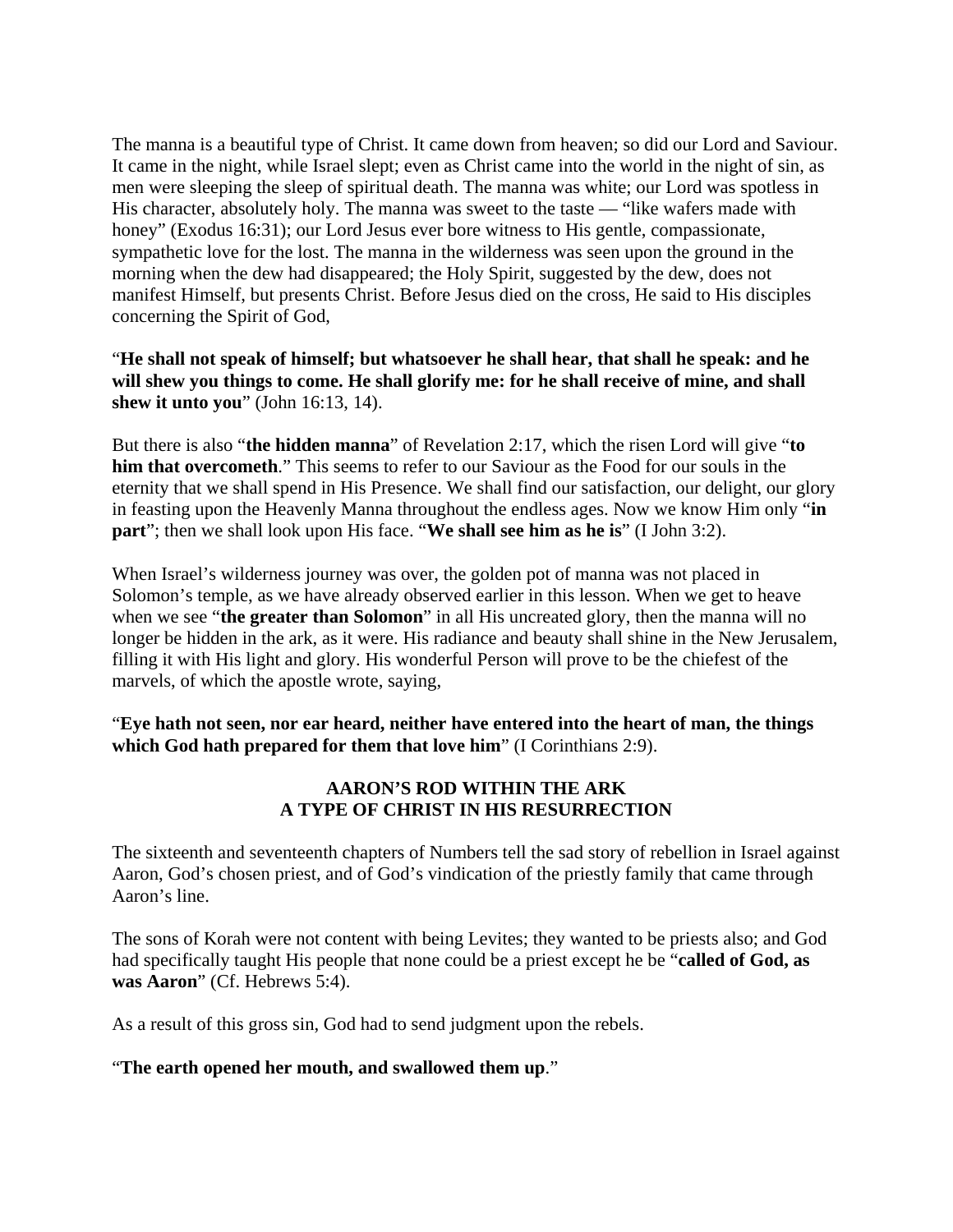The manna is a beautiful type of Christ. It came down from heaven; so did our Lord and Saviour. It came in the night, while Israel slept; even as Christ came into the world in the night of sin, as men were sleeping the sleep of spiritual death. The manna was white; our Lord was spotless in His character, absolutely holy. The manna was sweet to the taste — "like wafers made with honey" (Exodus 16:31); our Lord Jesus ever bore witness to His gentle, compassionate, sympathetic love for the lost. The manna in the wilderness was seen upon the ground in the morning when the dew had disappeared; the Holy Spirit, suggested by the dew, does not manifest Himself, but presents Christ. Before Jesus died on the cross, He said to His disciples concerning the Spirit of God,

"**He shall not speak of himself; but whatsoever he shall hear, that shall he speak: and he will shew you things to come. He shall glorify me: for he shall receive of mine, and shall shew it unto you**" (John 16:13, 14).

But there is also "**the hidden manna**" of Revelation 2:17, which the risen Lord will give "**to him that overcometh**." This seems to refer to our Saviour as the Food for our souls in the eternity that we shall spend in His Presence. We shall find our satisfaction, our delight, our glory in feasting upon the Heavenly Manna throughout the endless ages. Now we know Him only "**in part**"; then we shall look upon His face. "**We shall see him as he is**" (I John 3:2).

When Israel's wilderness journey was over, the golden pot of manna was not placed in Solomon's temple, as we have already observed earlier in this lesson. When we get to heave when we see "**the greater than Solomon**" in all His uncreated glory, then the manna will no longer be hidden in the ark, as it were. His radiance and beauty shall shine in the New Jerusalem, filling it with His light and glory. His wonderful Person will prove to be the chiefest of the marvels, of which the apostle wrote, saying,

"**Eye hath not seen, nor ear heard, neither have entered into the heart of man, the things which God hath prepared for them that love him**" (I Corinthians 2:9).

# **AARON'S ROD WITHIN THE ARK A TYPE OF CHRIST IN HIS RESURRECTION**

The sixteenth and seventeenth chapters of Numbers tell the sad story of rebellion in Israel against Aaron, God's chosen priest, and of God's vindication of the priestly family that came through Aaron's line.

The sons of Korah were not content with being Levites; they wanted to be priests also; and God had specifically taught His people that none could be a priest except he be "**called of God, as was Aaron**" (Cf. Hebrews 5:4).

As a result of this gross sin, God had to send judgment upon the rebels.

# "**The earth opened her mouth, and swallowed them up**."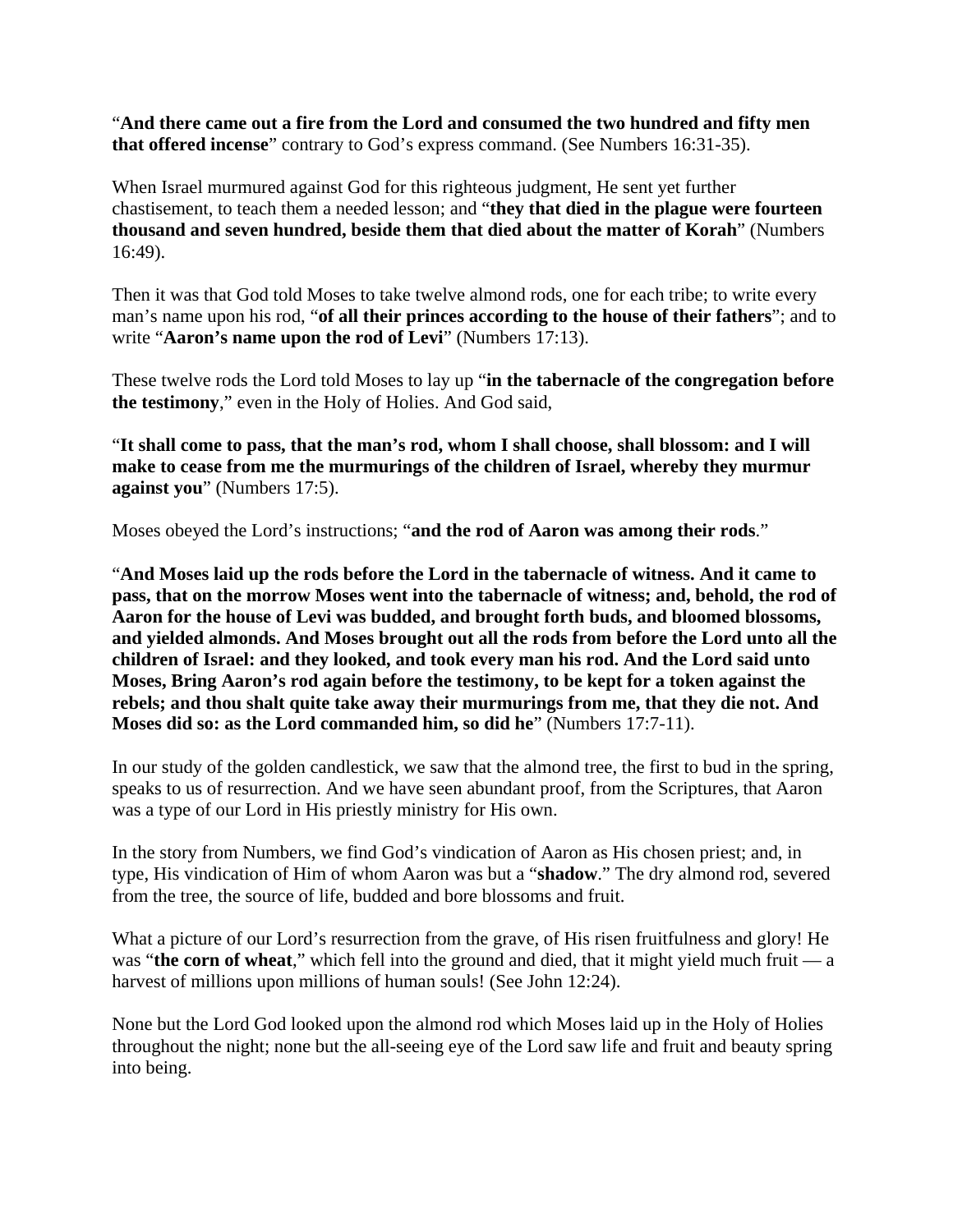"**And there came out a fire from the Lord and consumed the two hundred and fifty men that offered incense**" contrary to God's express command. (See Numbers 16:31-35).

When Israel murmured against God for this righteous judgment, He sent yet further chastisement, to teach them a needed lesson; and "**they that died in the plague were fourteen thousand and seven hundred, beside them that died about the matter of Korah**" (Numbers 16:49).

Then it was that God told Moses to take twelve almond rods, one for each tribe; to write every man's name upon his rod, "**of all their princes according to the house of their fathers**"; and to write "**Aaron's name upon the rod of Levi**" (Numbers 17:13).

These twelve rods the Lord told Moses to lay up "**in the tabernacle of the congregation before the testimony**," even in the Holy of Holies. And God said,

"**It shall come to pass, that the man's rod, whom I shall choose, shall blossom: and I will make to cease from me the murmurings of the children of Israel, whereby they murmur against you**" (Numbers 17:5).

Moses obeyed the Lord's instructions; "**and the rod of Aaron was among their rods**."

"**And Moses laid up the rods before the Lord in the tabernacle of witness. And it came to pass, that on the morrow Moses went into the tabernacle of witness; and, behold, the rod of Aaron for the house of Levi was budded, and brought forth buds, and bloomed blossoms, and yielded almonds. And Moses brought out all the rods from before the Lord unto all the children of Israel: and they looked, and took every man his rod. And the Lord said unto Moses, Bring Aaron's rod again before the testimony, to be kept for a token against the rebels; and thou shalt quite take away their murmurings from me, that they die not. And Moses did so: as the Lord commanded him, so did he**" (Numbers 17:7-11).

In our study of the golden candlestick, we saw that the almond tree, the first to bud in the spring, speaks to us of resurrection. And we have seen abundant proof, from the Scriptures, that Aaron was a type of our Lord in His priestly ministry for His own.

In the story from Numbers, we find God's vindication of Aaron as His chosen priest; and, in type, His vindication of Him of whom Aaron was but a "**shadow**." The dry almond rod, severed from the tree, the source of life, budded and bore blossoms and fruit.

What a picture of our Lord's resurrection from the grave, of His risen fruitfulness and glory! He was "**the corn of wheat**," which fell into the ground and died, that it might yield much fruit — a harvest of millions upon millions of human souls! (See John 12:24).

None but the Lord God looked upon the almond rod which Moses laid up in the Holy of Holies throughout the night; none but the all-seeing eye of the Lord saw life and fruit and beauty spring into being.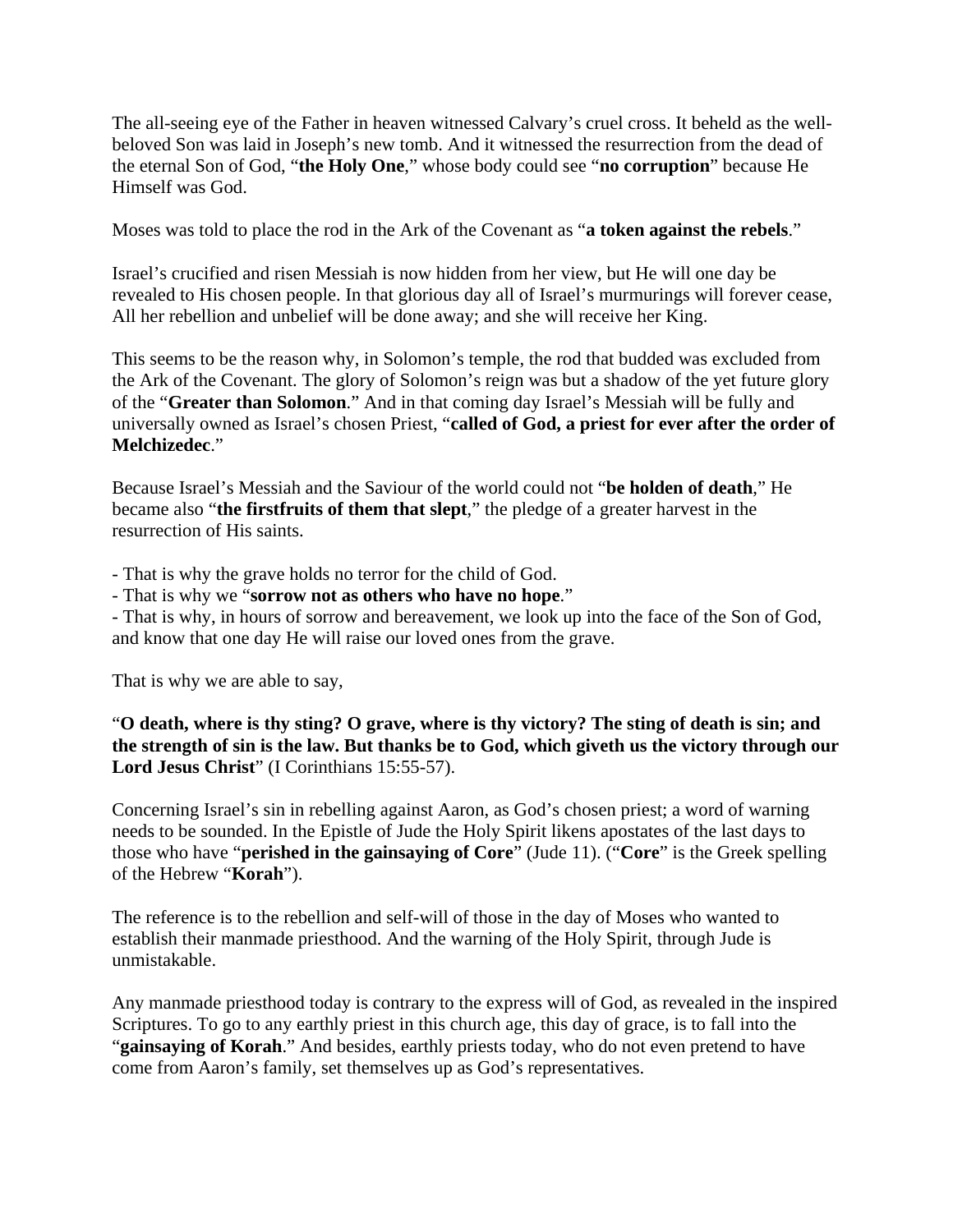The all-seeing eye of the Father in heaven witnessed Calvary's cruel cross. It beheld as the wellbeloved Son was laid in Joseph's new tomb. And it witnessed the resurrection from the dead of the eternal Son of God, "**the Holy One**," whose body could see "**no corruption**" because He Himself was God.

Moses was told to place the rod in the Ark of the Covenant as "**a token against the rebels**."

Israel's crucified and risen Messiah is now hidden from her view, but He will one day be revealed to His chosen people. In that glorious day all of Israel's murmurings will forever cease, All her rebellion and unbelief will be done away; and she will receive her King.

This seems to be the reason why, in Solomon's temple, the rod that budded was excluded from the Ark of the Covenant. The glory of Solomon's reign was but a shadow of the yet future glory of the "**Greater than Solomon**." And in that coming day Israel's Messiah will be fully and universally owned as Israel's chosen Priest, "**called of God, a priest for ever after the order of Melchizedec**."

Because Israel's Messiah and the Saviour of the world could not "**be holden of death**," He became also "**the firstfruits of them that slept**," the pledge of a greater harvest in the resurrection of His saints.

- That is why the grave holds no terror for the child of God.

- That is why we "**sorrow not as others who have no hope**."

- That is why, in hours of sorrow and bereavement, we look up into the face of the Son of God, and know that one day He will raise our loved ones from the grave.

That is why we are able to say,

"**O death, where is thy sting? O grave, where is thy victory? The sting of death is sin; and the strength of sin is the law. But thanks be to God, which giveth us the victory through our Lord Jesus Christ**" (I Corinthians 15:55-57).

Concerning Israel's sin in rebelling against Aaron, as God's chosen priest; a word of warning needs to be sounded. In the Epistle of Jude the Holy Spirit likens apostates of the last days to those who have "**perished in the gainsaying of Core**" (Jude 11). ("**Core**" is the Greek spelling of the Hebrew "**Korah**").

The reference is to the rebellion and self-will of those in the day of Moses who wanted to establish their manmade priesthood. And the warning of the Holy Spirit, through Jude is unmistakable.

Any manmade priesthood today is contrary to the express will of God, as revealed in the inspired Scriptures. To go to any earthly priest in this church age, this day of grace, is to fall into the "**gainsaying of Korah**." And besides, earthly priests today, who do not even pretend to have come from Aaron's family, set themselves up as God's representatives.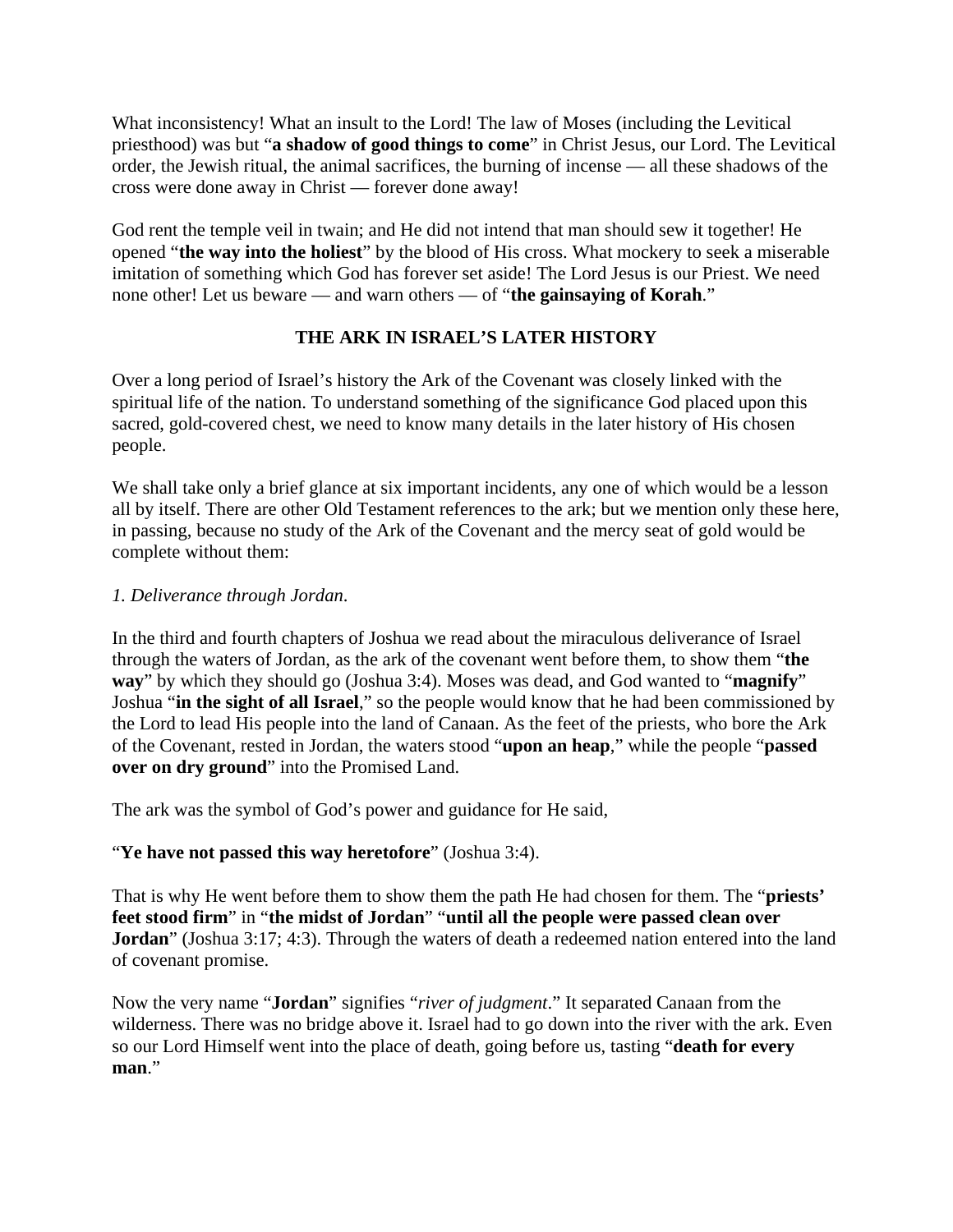What inconsistency! What an insult to the Lord! The law of Moses (including the Levitical priesthood) was but "**a shadow of good things to come**" in Christ Jesus, our Lord. The Levitical order, the Jewish ritual, the animal sacrifices, the burning of incense — all these shadows of the cross were done away in Christ — forever done away!

God rent the temple veil in twain; and He did not intend that man should sew it together! He opened "**the way into the holiest**" by the blood of His cross. What mockery to seek a miserable imitation of something which God has forever set aside! The Lord Jesus is our Priest. We need none other! Let us beware — and warn others — of "**the gainsaying of Korah**."

# **THE ARK IN ISRAEL'S LATER HISTORY**

Over a long period of Israel's history the Ark of the Covenant was closely linked with the spiritual life of the nation. To understand something of the significance God placed upon this sacred, gold-covered chest, we need to know many details in the later history of His chosen people.

We shall take only a brief glance at six important incidents, any one of which would be a lesson all by itself. There are other Old Testament references to the ark; but we mention only these here, in passing, because no study of the Ark of the Covenant and the mercy seat of gold would be complete without them:

# *1. Deliverance through Jordan*.

In the third and fourth chapters of Joshua we read about the miraculous deliverance of Israel through the waters of Jordan, as the ark of the covenant went before them, to show them "**the way**" by which they should go (Joshua 3:4). Moses was dead, and God wanted to "**magnify**" Joshua "**in the sight of all Israel**," so the people would know that he had been commissioned by the Lord to lead His people into the land of Canaan. As the feet of the priests, who bore the Ark of the Covenant, rested in Jordan, the waters stood "**upon an heap**," while the people "**passed over on dry ground**" into the Promised Land.

The ark was the symbol of God's power and guidance for He said,

# "**Ye have not passed this way heretofore**" (Joshua 3:4).

That is why He went before them to show them the path He had chosen for them. The "**priests' feet stood firm**" in "**the midst of Jordan**" "**until all the people were passed clean over Jordan**" (Joshua 3:17; 4:3). Through the waters of death a redeemed nation entered into the land of covenant promise.

Now the very name "**Jordan**" signifies "*river of judgment*." It separated Canaan from the wilderness. There was no bridge above it. Israel had to go down into the river with the ark. Even so our Lord Himself went into the place of death, going before us, tasting "**death for every man**."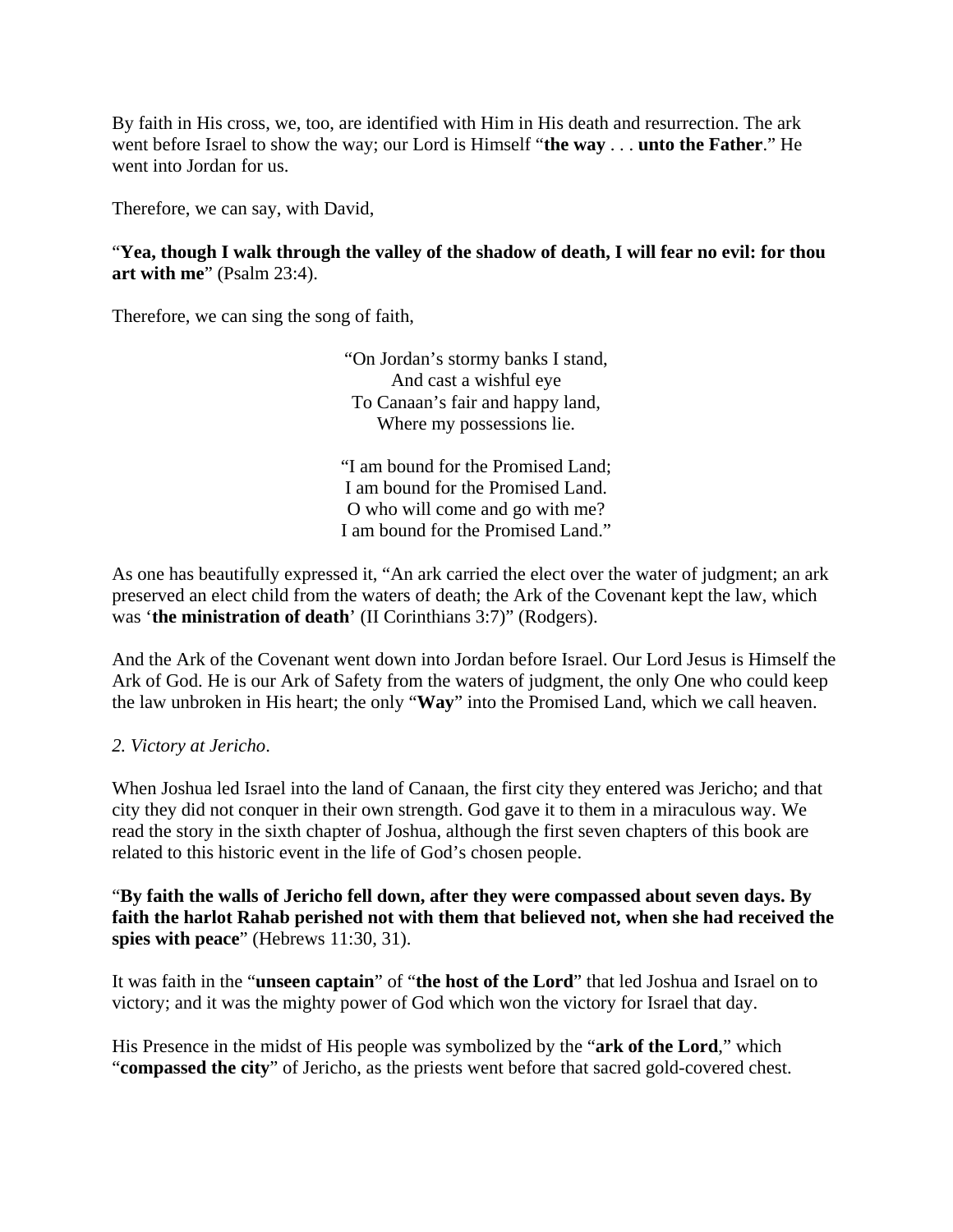By faith in His cross, we, too, are identified with Him in His death and resurrection. The ark went before Israel to show the way; our Lord is Himself "**the way** . . . **unto the Father**." He went into Jordan for us.

Therefore, we can say, with David,

"**Yea, though I walk through the valley of the shadow of death, I will fear no evil: for thou art with me**" (Psalm 23:4).

Therefore, we can sing the song of faith,

"On Jordan's stormy banks I stand, And cast a wishful eye To Canaan's fair and happy land, Where my possessions lie.

"I am bound for the Promised Land; I am bound for the Promised Land. O who will come and go with me? I am bound for the Promised Land."

As one has beautifully expressed it, "An ark carried the elect over the water of judgment; an ark preserved an elect child from the waters of death; the Ark of the Covenant kept the law, which was '**the ministration of death**' (II Corinthians 3:7)" (Rodgers).

And the Ark of the Covenant went down into Jordan before Israel. Our Lord Jesus is Himself the Ark of God. He is our Ark of Safety from the waters of judgment, the only One who could keep the law unbroken in His heart; the only "**Way**" into the Promised Land, which we call heaven.

*2. Victory at Jericho*.

When Joshua led Israel into the land of Canaan, the first city they entered was Jericho; and that city they did not conquer in their own strength. God gave it to them in a miraculous way. We read the story in the sixth chapter of Joshua, although the first seven chapters of this book are related to this historic event in the life of God's chosen people.

"**By faith the walls of Jericho fell down, after they were compassed about seven days. By faith the harlot Rahab perished not with them that believed not, when she had received the spies with peace**" (Hebrews 11:30, 31).

It was faith in the "**unseen captain**" of "**the host of the Lord**" that led Joshua and Israel on to victory; and it was the mighty power of God which won the victory for Israel that day.

His Presence in the midst of His people was symbolized by the "**ark of the Lord**," which "**compassed the city**" of Jericho, as the priests went before that sacred gold-covered chest.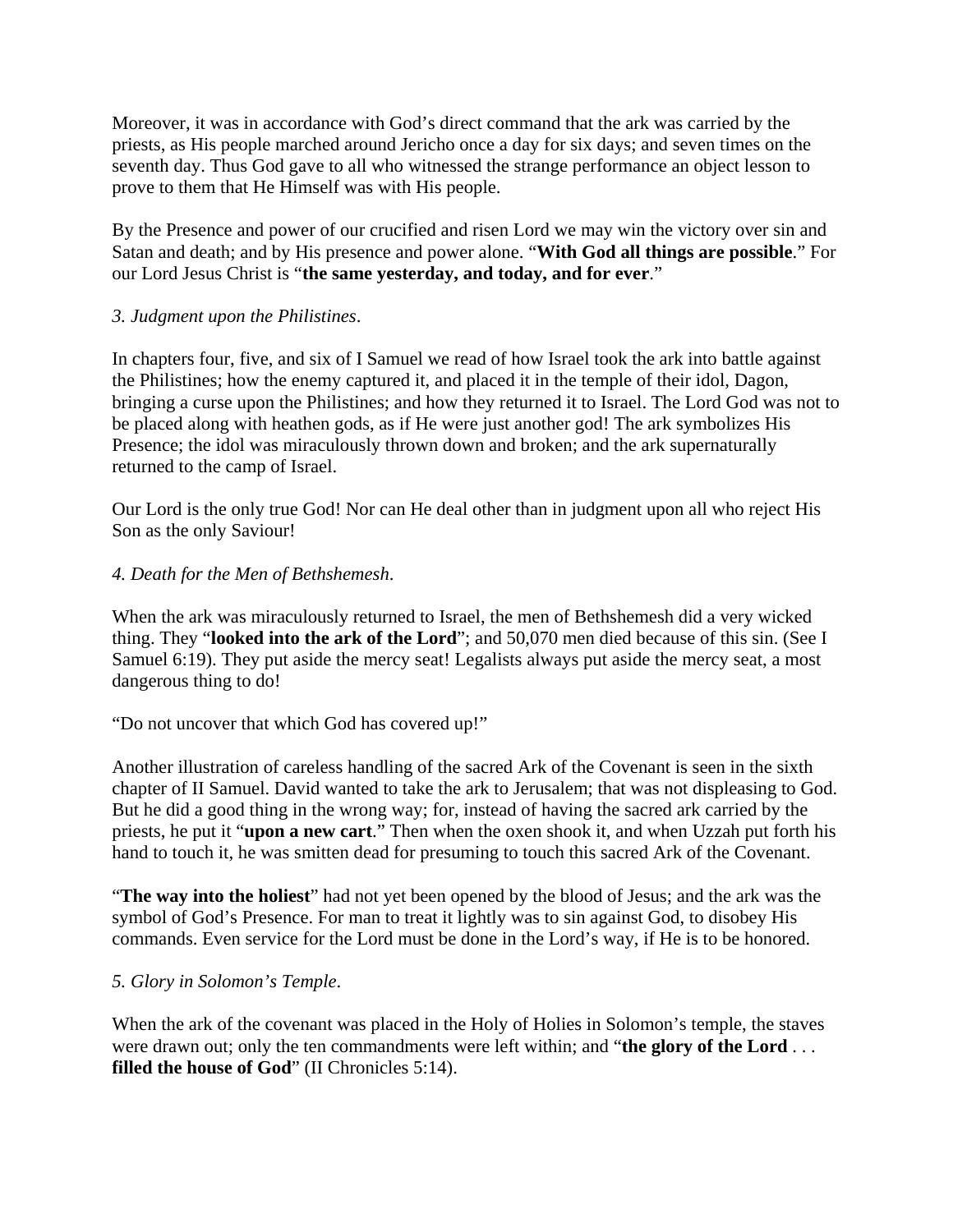Moreover, it was in accordance with God's direct command that the ark was carried by the priests, as His people marched around Jericho once a day for six days; and seven times on the seventh day. Thus God gave to all who witnessed the strange performance an object lesson to prove to them that He Himself was with His people.

By the Presence and power of our crucified and risen Lord we may win the victory over sin and Satan and death; and by His presence and power alone. "**With God all things are possible**." For our Lord Jesus Christ is "**the same yesterday, and today, and for ever**."

## *3. Judgment upon the Philistines*.

In chapters four, five, and six of I Samuel we read of how Israel took the ark into battle against the Philistines; how the enemy captured it, and placed it in the temple of their idol, Dagon, bringing a curse upon the Philistines; and how they returned it to Israel. The Lord God was not to be placed along with heathen gods, as if He were just another god! The ark symbolizes His Presence; the idol was miraculously thrown down and broken; and the ark supernaturally returned to the camp of Israel.

Our Lord is the only true God! Nor can He deal other than in judgment upon all who reject His Son as the only Saviour!

## *4. Death for the Men of Bethshemesh*.

When the ark was miraculously returned to Israel, the men of Bethshemesh did a very wicked thing. They "**looked into the ark of the Lord**"; and 50,070 men died because of this sin. (See I Samuel 6:19). They put aside the mercy seat! Legalists always put aside the mercy seat, a most dangerous thing to do!

#### "Do not uncover that which God has covered up!"

Another illustration of careless handling of the sacred Ark of the Covenant is seen in the sixth chapter of II Samuel. David wanted to take the ark to Jerusalem; that was not displeasing to God. But he did a good thing in the wrong way; for, instead of having the sacred ark carried by the priests, he put it "**upon a new cart**." Then when the oxen shook it, and when Uzzah put forth his hand to touch it, he was smitten dead for presuming to touch this sacred Ark of the Covenant.

"**The way into the holiest**" had not yet been opened by the blood of Jesus; and the ark was the symbol of God's Presence. For man to treat it lightly was to sin against God, to disobey His commands. Even service for the Lord must be done in the Lord's way, if He is to be honored.

#### *5. Glory in Solomon's Temple*.

When the ark of the covenant was placed in the Holy of Holies in Solomon's temple, the staves were drawn out; only the ten commandments were left within; and "**the glory of the Lord** . . . **filled the house of God**" (II Chronicles 5:14).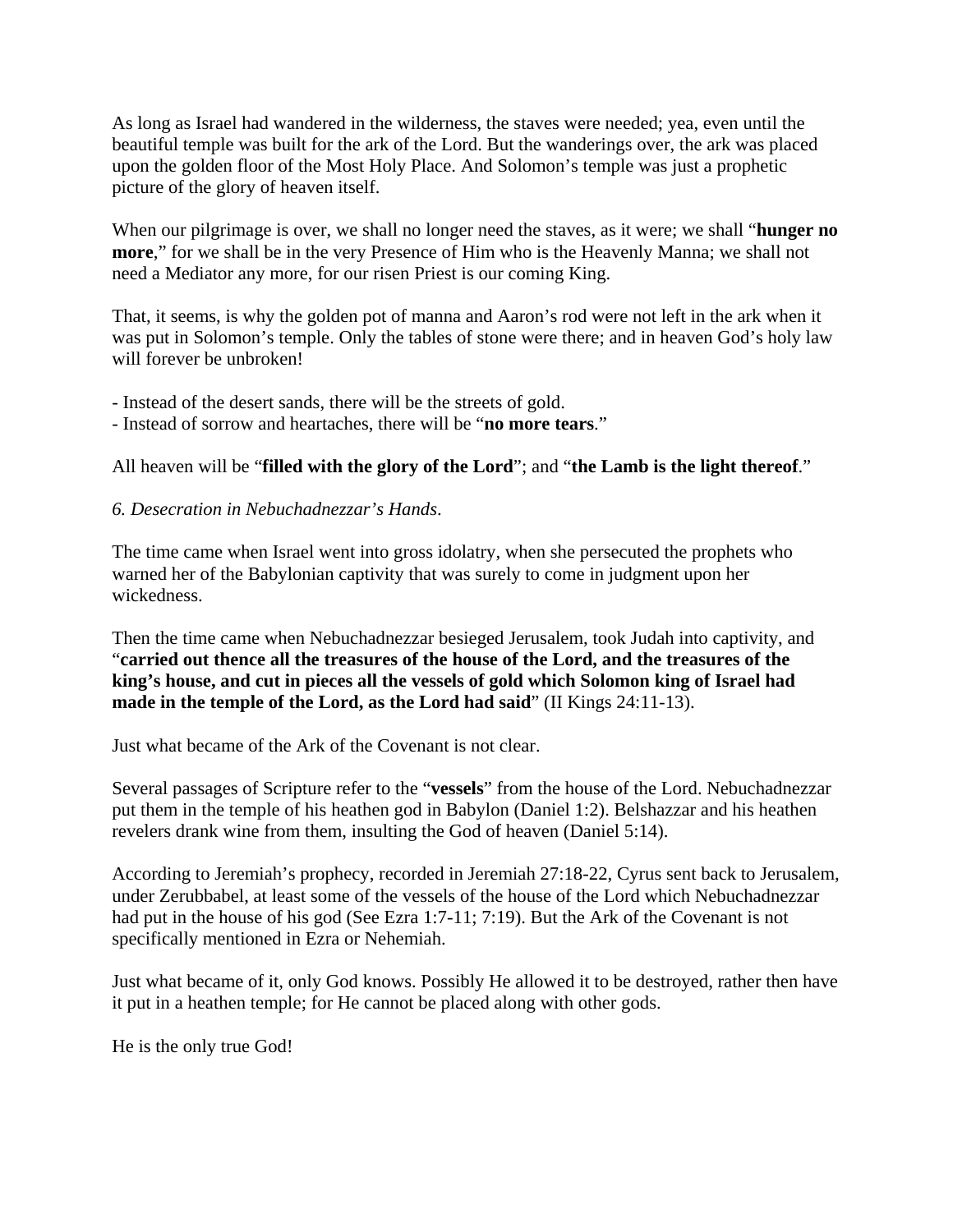As long as Israel had wandered in the wilderness, the staves were needed; yea, even until the beautiful temple was built for the ark of the Lord. But the wanderings over, the ark was placed upon the golden floor of the Most Holy Place. And Solomon's temple was just a prophetic picture of the glory of heaven itself.

When our pilgrimage is over, we shall no longer need the staves, as it were; we shall "**hunger no more**," for we shall be in the very Presence of Him who is the Heavenly Manna; we shall not need a Mediator any more, for our risen Priest is our coming King.

That, it seems, is why the golden pot of manna and Aaron's rod were not left in the ark when it was put in Solomon's temple. Only the tables of stone were there; and in heaven God's holy law will forever be unbroken!

- Instead of the desert sands, there will be the streets of gold.
- Instead of sorrow and heartaches, there will be "**no more tears**."

# All heaven will be "**filled with the glory of the Lord**"; and "**the Lamb is the light thereof**."

# *6. Desecration in Nebuchadnezzar's Hands*.

The time came when Israel went into gross idolatry, when she persecuted the prophets who warned her of the Babylonian captivity that was surely to come in judgment upon her wickedness.

Then the time came when Nebuchadnezzar besieged Jerusalem, took Judah into captivity, and "**carried out thence all the treasures of the house of the Lord, and the treasures of the king's house, and cut in pieces all the vessels of gold which Solomon king of Israel had made in the temple of the Lord, as the Lord had said**" (II Kings 24:11-13).

Just what became of the Ark of the Covenant is not clear.

Several passages of Scripture refer to the "**vessels**" from the house of the Lord. Nebuchadnezzar put them in the temple of his heathen god in Babylon (Daniel 1:2). Belshazzar and his heathen revelers drank wine from them, insulting the God of heaven (Daniel 5:14).

According to Jeremiah's prophecy, recorded in Jeremiah 27:18-22, Cyrus sent back to Jerusalem, under Zerubbabel, at least some of the vessels of the house of the Lord which Nebuchadnezzar had put in the house of his god (See Ezra 1:7-11; 7:19). But the Ark of the Covenant is not specifically mentioned in Ezra or Nehemiah.

Just what became of it, only God knows. Possibly He allowed it to be destroyed, rather then have it put in a heathen temple; for He cannot be placed along with other gods.

He is the only true God!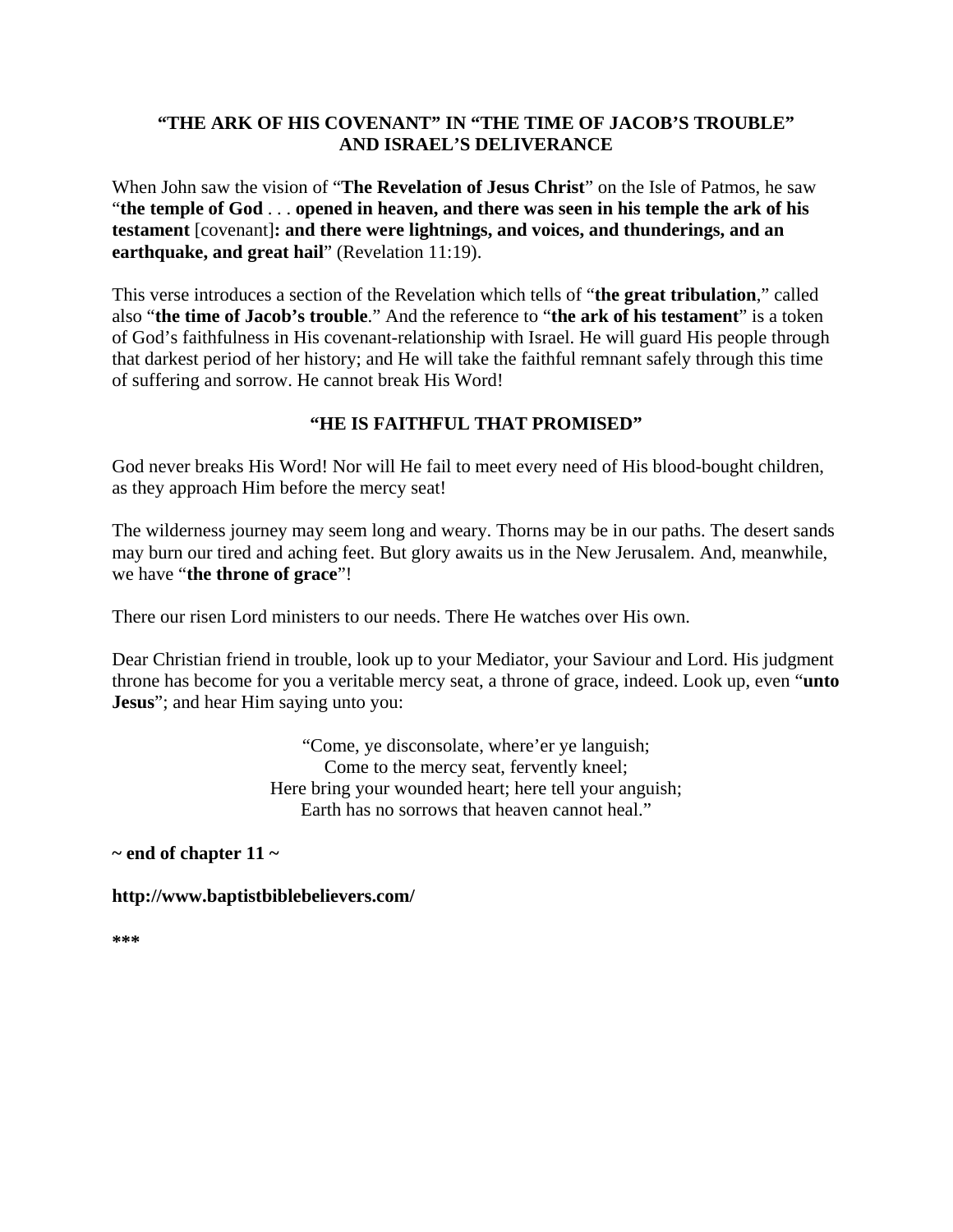# **"THE ARK OF HIS COVENANT" IN "THE TIME OF JACOB'S TROUBLE" AND ISRAEL'S DELIVERANCE**

When John saw the vision of "**The Revelation of Jesus Christ**" on the Isle of Patmos, he saw "**the temple of God** . . . **opened in heaven, and there was seen in his temple the ark of his testament** [covenant]**: and there were lightnings, and voices, and thunderings, and an earthquake, and great hail**" (Revelation 11:19).

This verse introduces a section of the Revelation which tells of "**the great tribulation**," called also "**the time of Jacob's trouble**." And the reference to "**the ark of his testament**" is a token of God's faithfulness in His covenant-relationship with Israel. He will guard His people through that darkest period of her history; and He will take the faithful remnant safely through this time of suffering and sorrow. He cannot break His Word!

# **"HE IS FAITHFUL THAT PROMISED"**

God never breaks His Word! Nor will He fail to meet every need of His blood-bought children, as they approach Him before the mercy seat!

The wilderness journey may seem long and weary. Thorns may be in our paths. The desert sands may burn our tired and aching feet. But glory awaits us in the New Jerusalem. And, meanwhile, we have "**the throne of grace**"!

There our risen Lord ministers to our needs. There He watches over His own.

Dear Christian friend in trouble, look up to your Mediator, your Saviour and Lord. His judgment throne has become for you a veritable mercy seat, a throne of grace, indeed. Look up, even "**unto Jesus**"; and hear Him saying unto you:

> "Come, ye disconsolate, where'er ye languish; Come to the mercy seat, fervently kneel; Here bring your wounded heart; here tell your anguish; Earth has no sorrows that heaven cannot heal."

**~ end of chapter 11 ~** 

**http://www.baptistbiblebelievers.com/** 

**\*\*\***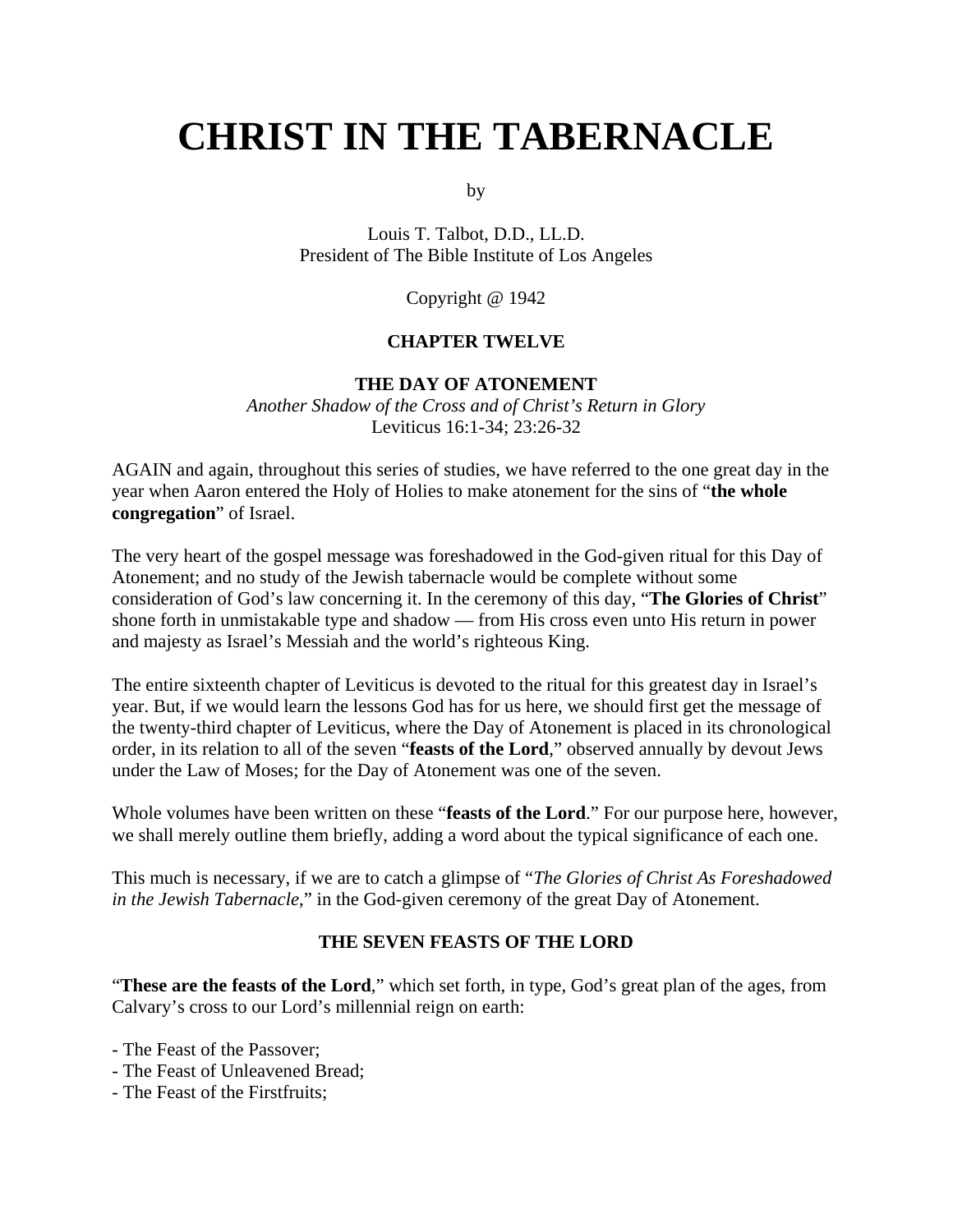# **CHRIST IN THE TABERNACLE**

by

Louis T. Talbot, D.D., LL.D. President of The Bible Institute of Los Angeles

Copyright @ 1942

#### **CHAPTER TWELVE**

#### **THE DAY OF ATONEMENT**

*Another Shadow of the Cross and of Christ's Return in Glory* Leviticus 16:1-34; 23:26-32

AGAIN and again, throughout this series of studies, we have referred to the one great day in the year when Aaron entered the Holy of Holies to make atonement for the sins of "**the whole congregation**" of Israel.

The very heart of the gospel message was foreshadowed in the God-given ritual for this Day of Atonement; and no study of the Jewish tabernacle would be complete without some consideration of God's law concerning it. In the ceremony of this day, "**The Glories of Christ**" shone forth in unmistakable type and shadow — from His cross even unto His return in power and majesty as Israel's Messiah and the world's righteous King.

The entire sixteenth chapter of Leviticus is devoted to the ritual for this greatest day in Israel's year. But, if we would learn the lessons God has for us here, we should first get the message of the twenty-third chapter of Leviticus, where the Day of Atonement is placed in its chronological order, in its relation to all of the seven "**feasts of the Lord**," observed annually by devout Jews under the Law of Moses; for the Day of Atonement was one of the seven.

Whole volumes have been written on these "**feasts of the Lord**." For our purpose here, however, we shall merely outline them briefly, adding a word about the typical significance of each one.

This much is necessary, if we are to catch a glimpse of "*The Glories of Christ As Foreshadowed in the Jewish Tabernacle*," in the God-given ceremony of the great Day of Atonement.

#### **THE SEVEN FEASTS OF THE LORD**

"**These are the feasts of the Lord**," which set forth, in type, God's great plan of the ages, from Calvary's cross to our Lord's millennial reign on earth:

- The Feast of the Passover;

- The Feast of Unleavened Bread;
- The Feast of the Firstfruits;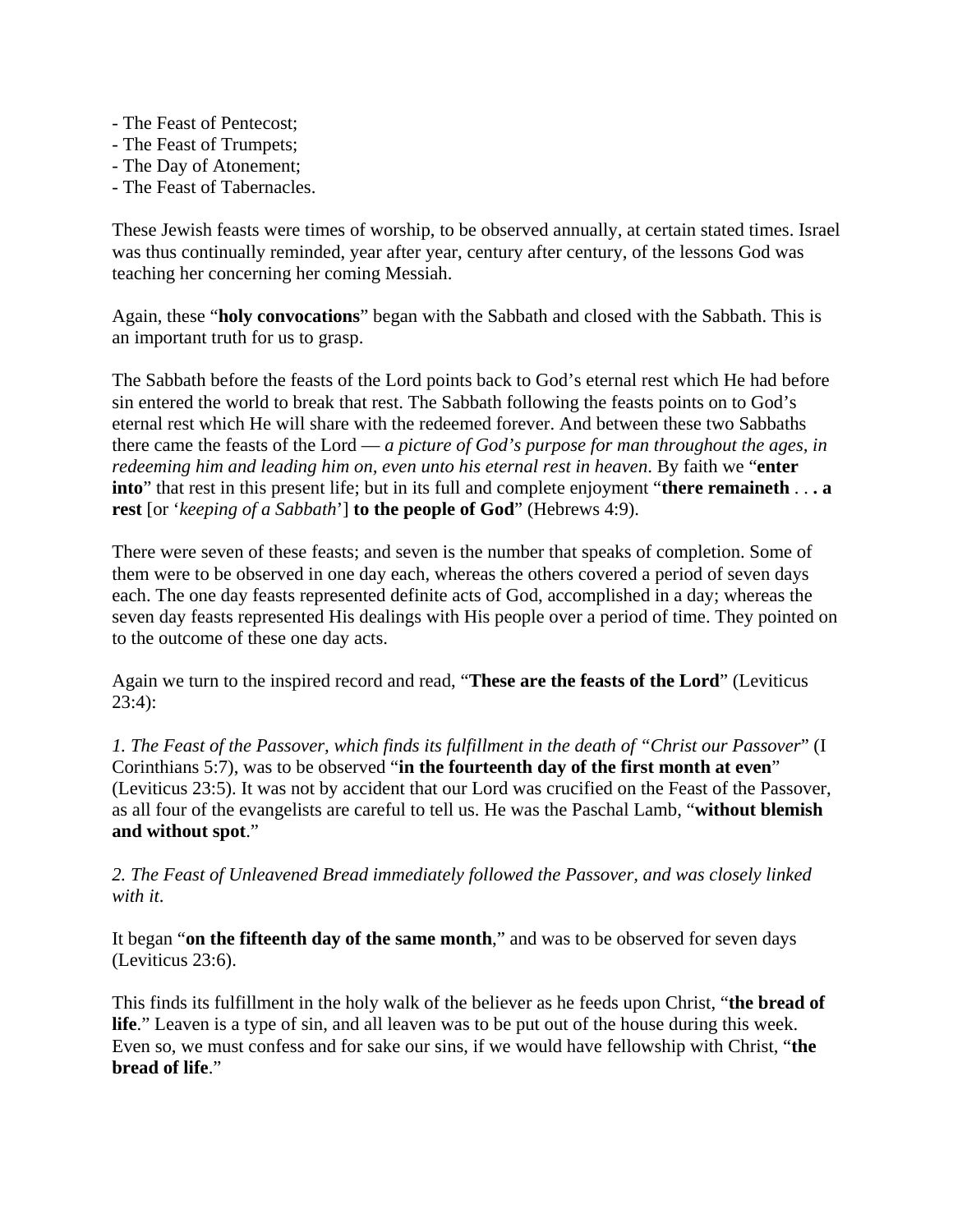- The Feast of Pentecost;
- The Feast of Trumpets;
- The Day of Atonement;
- The Feast of Tabernacles.

These Jewish feasts were times of worship, to be observed annually, at certain stated times. Israel was thus continually reminded, year after year, century after century, of the lessons God was teaching her concerning her coming Messiah.

Again, these "**holy convocations**" began with the Sabbath and closed with the Sabbath. This is an important truth for us to grasp.

The Sabbath before the feasts of the Lord points back to God's eternal rest which He had before sin entered the world to break that rest. The Sabbath following the feasts points on to God's eternal rest which He will share with the redeemed forever. And between these two Sabbaths there came the feasts of the Lord — *a picture of God's purpose for man throughout the ages, in redeeming him and leading him on, even unto his eternal rest in heaven*. By faith we "**enter into**" that rest in this present life; but in its full and complete enjoyment "**there remaineth** . . **. a rest** [or '*keeping of a Sabbath*'] **to the people of God**" (Hebrews 4:9).

There were seven of these feasts; and seven is the number that speaks of completion. Some of them were to be observed in one day each, whereas the others covered a period of seven days each. The one day feasts represented definite acts of God, accomplished in a day; whereas the seven day feasts represented His dealings with His people over a period of time. They pointed on to the outcome of these one day acts.

Again we turn to the inspired record and read, "**These are the feasts of the Lord**" (Leviticus  $23:4$ :

*1. The Feast of the Passover, which finds its fulfillment in the death of "Christ our Passover*" (I Corinthians 5:7), was to be observed "**in the fourteenth day of the first month at even**" (Leviticus 23:5). It was not by accident that our Lord was crucified on the Feast of the Passover, as all four of the evangelists are careful to tell us. He was the Paschal Lamb, "**without blemish and without spot**."

*2. The Feast of Unleavened Bread immediately followed the Passover, and was closely linked with it*.

It began "**on the fifteenth day of the same month**," and was to be observed for seven days (Leviticus 23:6).

This finds its fulfillment in the holy walk of the believer as he feeds upon Christ, "**the bread of life**." Leaven is a type of sin, and all leaven was to be put out of the house during this week. Even so, we must confess and for sake our sins, if we would have fellowship with Christ, "**the bread of life**."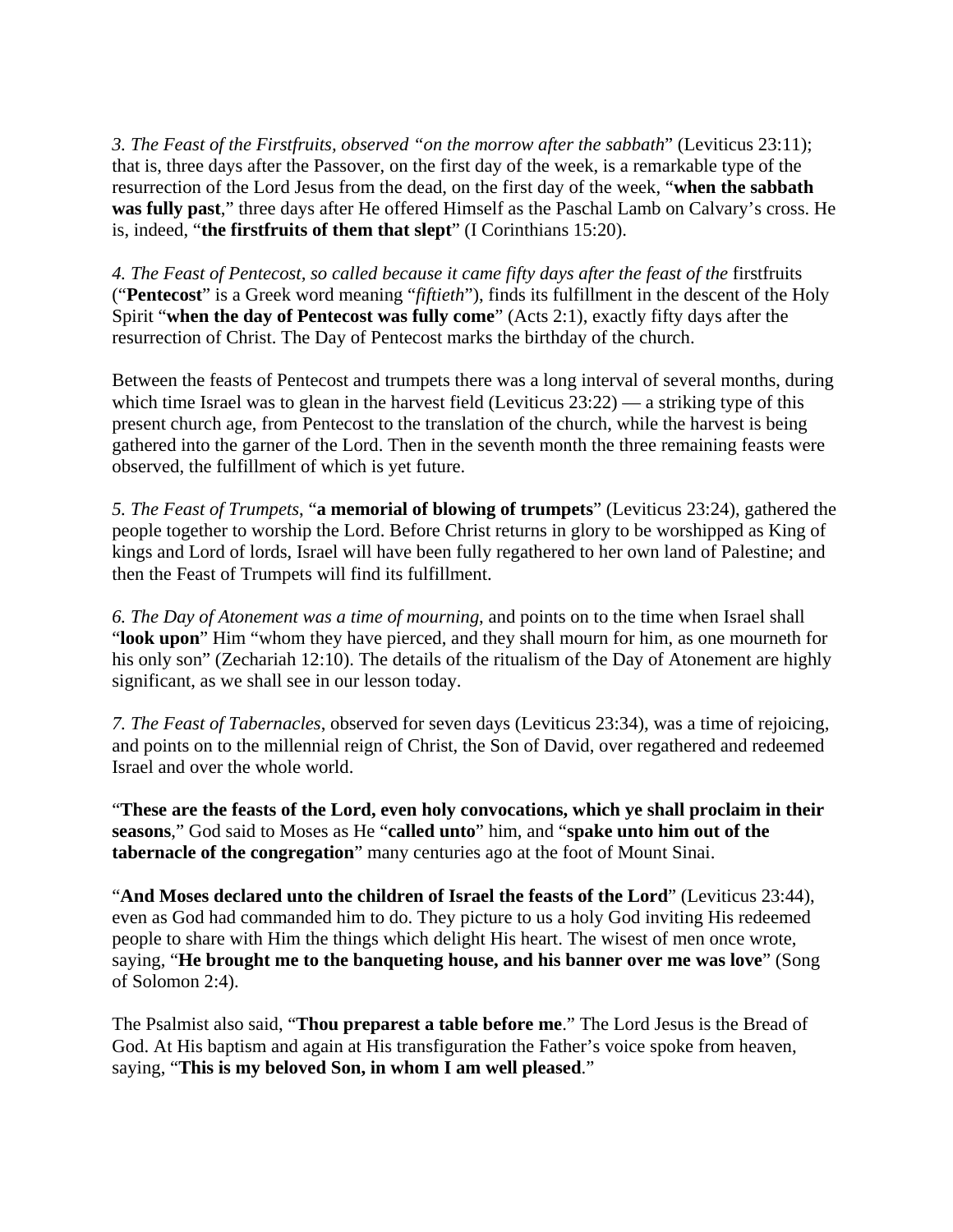*3. The Feast of the Firstfruits, observed "on the morrow after the sabbath*" (Leviticus 23:11); that is, three days after the Passover, on the first day of the week, is a remarkable type of the resurrection of the Lord Jesus from the dead, on the first day of the week, "**when the sabbath was fully past**," three days after He offered Himself as the Paschal Lamb on Calvary's cross. He is, indeed, "**the firstfruits of them that slept**" (I Corinthians 15:20).

*4. The Feast of Pentecost, so called because it came fifty days after the feast of the* firstfruits ("**Pentecost**" is a Greek word meaning "*fiftieth*"), finds its fulfillment in the descent of the Holy Spirit "**when the day of Pentecost was fully come**" (Acts 2:1), exactly fifty days after the resurrection of Christ. The Day of Pentecost marks the birthday of the church.

Between the feasts of Pentecost and trumpets there was a long interval of several months, during which time Israel was to glean in the harvest field (Leviticus 23:22) — a striking type of this present church age, from Pentecost to the translation of the church, while the harvest is being gathered into the garner of the Lord. Then in the seventh month the three remaining feasts were observed, the fulfillment of which is yet future.

*5. The Feast of Trumpets*, "**a memorial of blowing of trumpets**" (Leviticus 23:24), gathered the people together to worship the Lord. Before Christ returns in glory to be worshipped as King of kings and Lord of lords, Israel will have been fully regathered to her own land of Palestine; and then the Feast of Trumpets will find its fulfillment.

*6. The Day of Atonement was a time of mourning*, and points on to the time when Israel shall "**look upon**" Him "whom they have pierced, and they shall mourn for him, as one mourneth for his only son" (Zechariah 12:10). The details of the ritualism of the Day of Atonement are highly significant, as we shall see in our lesson today.

*7. The Feast of Tabernacles*, observed for seven days (Leviticus 23:34), was a time of rejoicing, and points on to the millennial reign of Christ, the Son of David, over regathered and redeemed Israel and over the whole world.

"**These are the feasts of the Lord, even holy convocations, which ye shall proclaim in their seasons**," God said to Moses as He "**called unto**" him, and "**spake unto him out of the tabernacle of the congregation**" many centuries ago at the foot of Mount Sinai.

"**And Moses declared unto the children of Israel the feasts of the Lord**" (Leviticus 23:44), even as God had commanded him to do. They picture to us a holy God inviting His redeemed people to share with Him the things which delight His heart. The wisest of men once wrote, saying, "**He brought me to the banqueting house, and his banner over me was love**" (Song of Solomon 2:4).

The Psalmist also said, "**Thou preparest a table before me**." The Lord Jesus is the Bread of God. At His baptism and again at His transfiguration the Father's voice spoke from heaven, saying, "**This is my beloved Son, in whom I am well pleased**."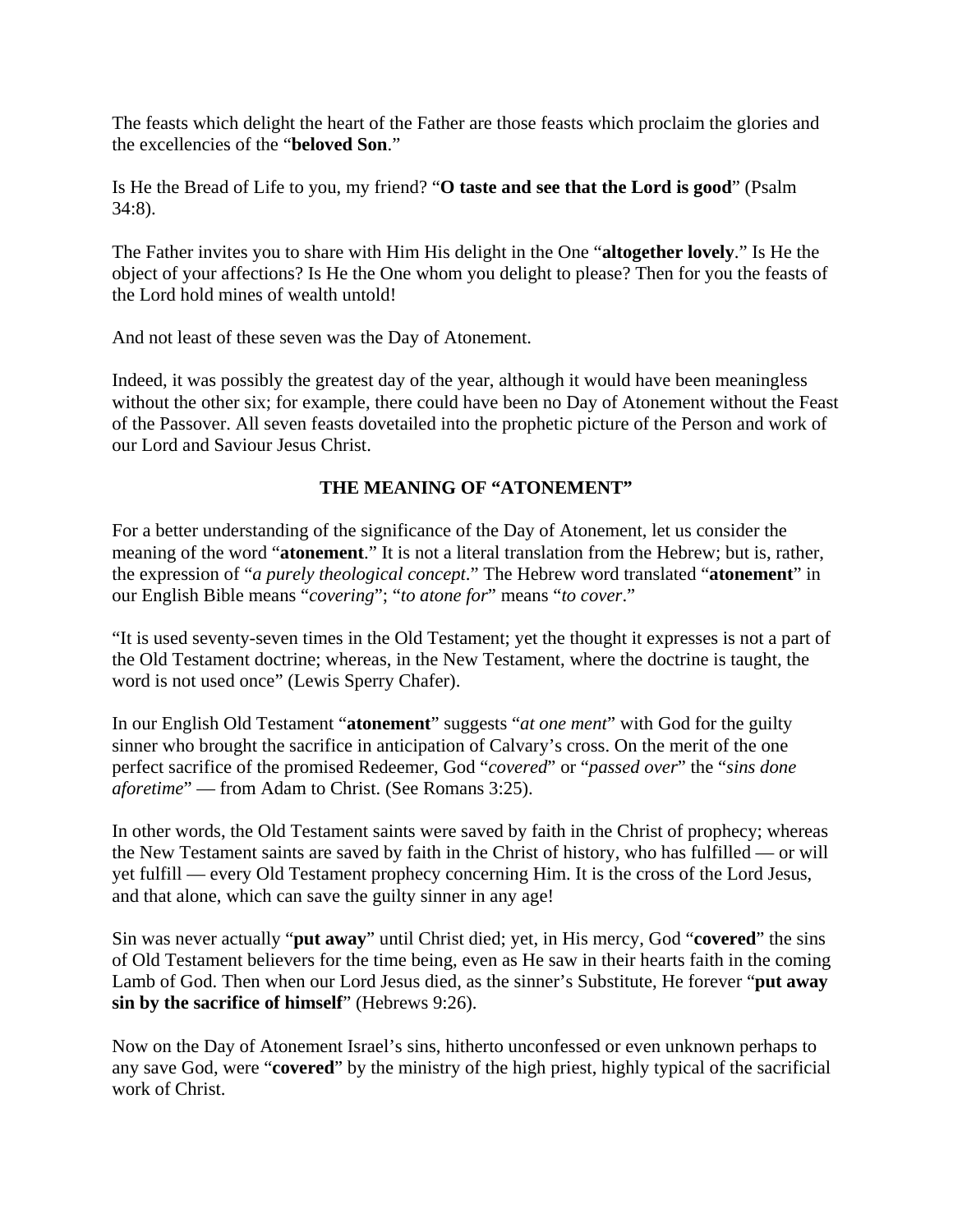The feasts which delight the heart of the Father are those feasts which proclaim the glories and the excellencies of the "**beloved Son**."

Is He the Bread of Life to you, my friend? "**O taste and see that the Lord is good**" (Psalm 34:8).

The Father invites you to share with Him His delight in the One "**altogether lovely**." Is He the object of your affections? Is He the One whom you delight to please? Then for you the feasts of the Lord hold mines of wealth untold!

And not least of these seven was the Day of Atonement.

Indeed, it was possibly the greatest day of the year, although it would have been meaningless without the other six; for example, there could have been no Day of Atonement without the Feast of the Passover. All seven feasts dovetailed into the prophetic picture of the Person and work of our Lord and Saviour Jesus Christ.

## **THE MEANING OF "ATONEMENT"**

For a better understanding of the significance of the Day of Atonement, let us consider the meaning of the word "**atonement**." It is not a literal translation from the Hebrew; but is, rather, the expression of "*a purely theological concept*." The Hebrew word translated "**atonement**" in our English Bible means "*covering*"; "*to atone for*" means "*to cover*."

"It is used seventy-seven times in the Old Testament; yet the thought it expresses is not a part of the Old Testament doctrine; whereas, in the New Testament, where the doctrine is taught, the word is not used once" (Lewis Sperry Chafer).

In our English Old Testament "**atonement**" suggests "*at one ment*" with God for the guilty sinner who brought the sacrifice in anticipation of Calvary's cross. On the merit of the one perfect sacrifice of the promised Redeemer, God "*covered*" or "*passed over*" the "*sins done aforetime*" — from Adam to Christ. (See Romans 3:25).

In other words, the Old Testament saints were saved by faith in the Christ of prophecy; whereas the New Testament saints are saved by faith in the Christ of history, who has fulfilled — or will yet fulfill — every Old Testament prophecy concerning Him. It is the cross of the Lord Jesus, and that alone, which can save the guilty sinner in any age!

Sin was never actually "**put away**" until Christ died; yet, in His mercy, God "**covered**" the sins of Old Testament believers for the time being, even as He saw in their hearts faith in the coming Lamb of God. Then when our Lord Jesus died, as the sinner's Substitute, He forever "**put away sin by the sacrifice of himself**" (Hebrews 9:26).

Now on the Day of Atonement Israel's sins, hitherto unconfessed or even unknown perhaps to any save God, were "**covered**" by the ministry of the high priest, highly typical of the sacrificial work of Christ.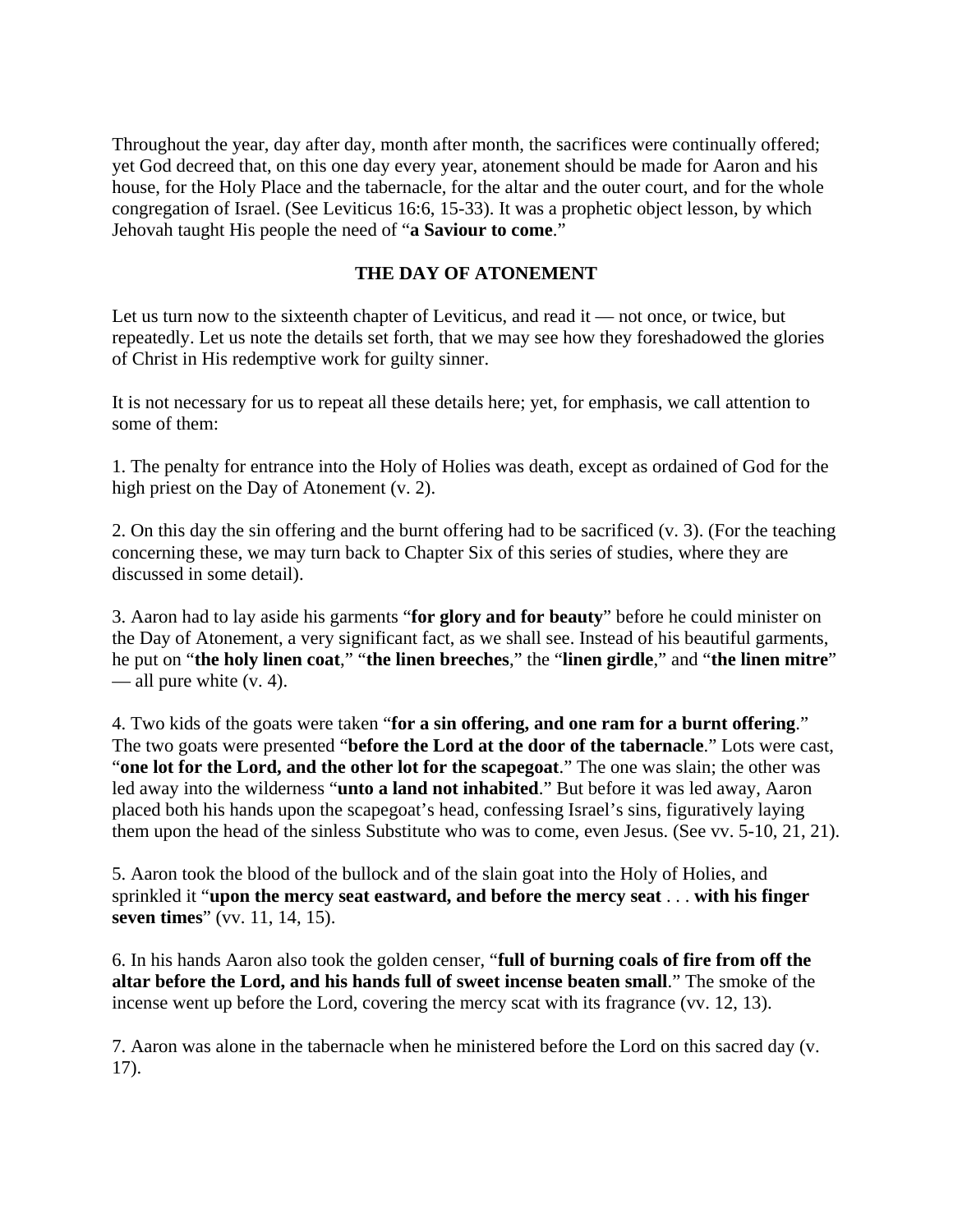Throughout the year, day after day, month after month, the sacrifices were continually offered; yet God decreed that, on this one day every year, atonement should be made for Aaron and his house, for the Holy Place and the tabernacle, for the altar and the outer court, and for the whole congregation of Israel. (See Leviticus 16:6, 15-33). It was a prophetic object lesson, by which Jehovah taught His people the need of "**a Saviour to come**."

## **THE DAY OF ATONEMENT**

Let us turn now to the sixteenth chapter of Leviticus, and read it — not once, or twice, but repeatedly. Let us note the details set forth, that we may see how they foreshadowed the glories of Christ in His redemptive work for guilty sinner.

It is not necessary for us to repeat all these details here; yet, for emphasis, we call attention to some of them:

1. The penalty for entrance into the Holy of Holies was death, except as ordained of God for the high priest on the Day of Atonement (v. 2).

2. On this day the sin offering and the burnt offering had to be sacrificed (v. 3). (For the teaching concerning these, we may turn back to Chapter Six of this series of studies, where they are discussed in some detail).

3. Aaron had to lay aside his garments "**for glory and for beauty**" before he could minister on the Day of Atonement, a very significant fact, as we shall see. Instead of his beautiful garments, he put on "**the holy linen coat**," "**the linen breeches**," the "**linen girdle**," and "**the linen mitre**" — all pure white (v. 4).

4. Two kids of the goats were taken "**for a sin offering, and one ram for a burnt offering**." The two goats were presented "**before the Lord at the door of the tabernacle**." Lots were cast, "**one lot for the Lord, and the other lot for the scapegoat**." The one was slain; the other was led away into the wilderness "**unto a land not inhabited**." But before it was led away, Aaron placed both his hands upon the scapegoat's head, confessing Israel's sins, figuratively laying them upon the head of the sinless Substitute who was to come, even Jesus. (See vv. 5-10, 21, 21).

5. Aaron took the blood of the bullock and of the slain goat into the Holy of Holies, and sprinkled it "**upon the mercy seat eastward, and before the mercy seat** . . . **with his finger seven times**" (vv. 11, 14, 15).

6. In his hands Aaron also took the golden censer, "**full of burning coals of fire from off the altar before the Lord, and his hands full of sweet incense beaten small**." The smoke of the incense went up before the Lord, covering the mercy scat with its fragrance (vv. 12, 13).

7. Aaron was alone in the tabernacle when he ministered before the Lord on this sacred day (v. 17).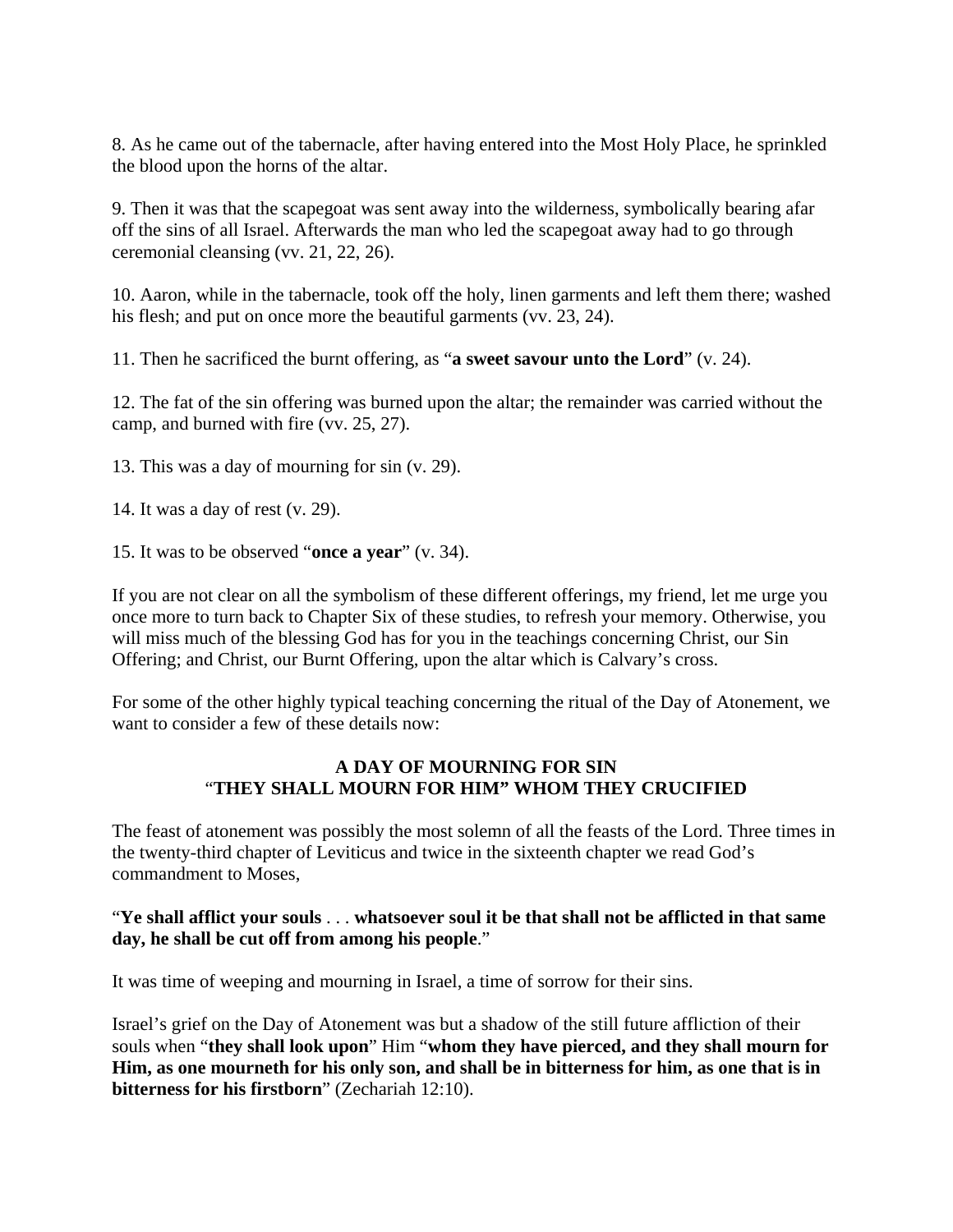8. As he came out of the tabernacle, after having entered into the Most Holy Place, he sprinkled the blood upon the horns of the altar.

9. Then it was that the scapegoat was sent away into the wilderness, symbolically bearing afar off the sins of all Israel. Afterwards the man who led the scapegoat away had to go through ceremonial cleansing (vv. 21, 22, 26).

10. Aaron, while in the tabernacle, took off the holy, linen garments and left them there; washed his flesh; and put on once more the beautiful garments (vv. 23, 24).

11. Then he sacrificed the burnt offering, as "**a sweet savour unto the Lord**" (v. 24).

12. The fat of the sin offering was burned upon the altar; the remainder was carried without the camp, and burned with fire (vv. 25, 27).

13. This was a day of mourning for sin (v. 29).

14. It was a day of rest (v. 29).

15. It was to be observed "**once a year**" (v. 34).

If you are not clear on all the symbolism of these different offerings, my friend, let me urge you once more to turn back to Chapter Six of these studies, to refresh your memory. Otherwise, you will miss much of the blessing God has for you in the teachings concerning Christ, our Sin Offering; and Christ, our Burnt Offering, upon the altar which is Calvary's cross.

For some of the other highly typical teaching concerning the ritual of the Day of Atonement, we want to consider a few of these details now.

## **A DAY OF MOURNING FOR SIN** "**THEY SHALL MOURN FOR HIM" WHOM THEY CRUCIFIED**

The feast of atonement was possibly the most solemn of all the feasts of the Lord. Three times in the twenty-third chapter of Leviticus and twice in the sixteenth chapter we read God's commandment to Moses,

## "**Ye shall afflict your souls** . . . **whatsoever soul it be that shall not be afflicted in that same day, he shall be cut off from among his people**."

It was time of weeping and mourning in Israel, a time of sorrow for their sins.

Israel's grief on the Day of Atonement was but a shadow of the still future affliction of their souls when "**they shall look upon**" Him "**whom they have pierced, and they shall mourn for Him, as one mourneth for his only son, and shall be in bitterness for him, as one that is in bitterness for his firstborn**" (Zechariah 12:10).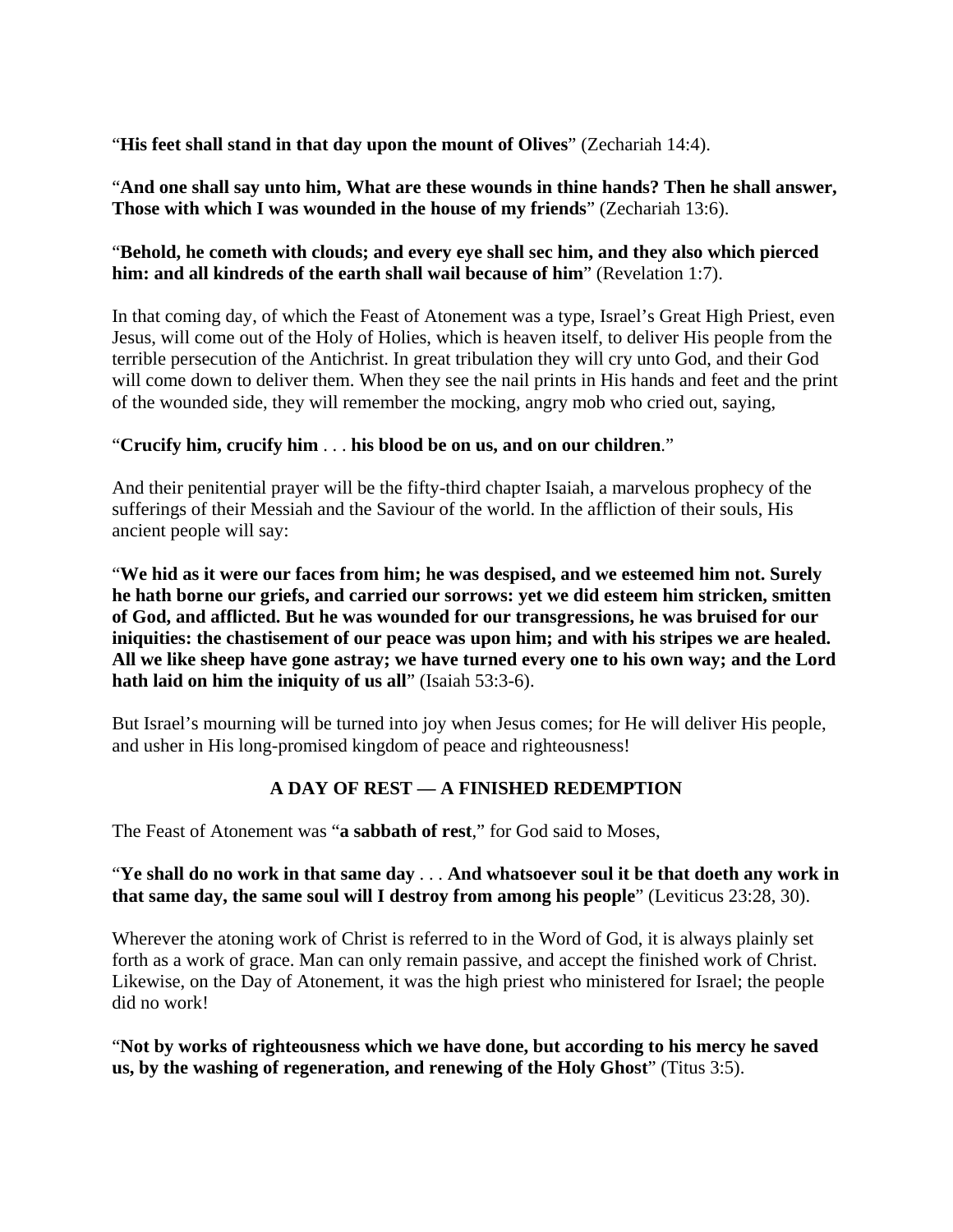"**His feet shall stand in that day upon the mount of Olives**" (Zechariah 14:4).

"**And one shall say unto him, What are these wounds in thine hands? Then he shall answer, Those with which I was wounded in the house of my friends**" (Zechariah 13:6).

# "**Behold, he cometh with clouds; and every eye shall sec him, and they also which pierced him: and all kindreds of the earth shall wail because of him**" (Revelation 1:7).

In that coming day, of which the Feast of Atonement was a type, Israel's Great High Priest, even Jesus, will come out of the Holy of Holies, which is heaven itself, to deliver His people from the terrible persecution of the Antichrist. In great tribulation they will cry unto God, and their God will come down to deliver them. When they see the nail prints in His hands and feet and the print of the wounded side, they will remember the mocking, angry mob who cried out, saying,

## "**Crucify him, crucify him** . . . **his blood be on us, and on our children**."

And their penitential prayer will be the fifty-third chapter Isaiah, a marvelous prophecy of the sufferings of their Messiah and the Saviour of the world. In the affliction of their souls, His ancient people will say:

"**We hid as it were our faces from him; he was despised, and we esteemed him not. Surely he hath borne our griefs, and carried our sorrows: yet we did esteem him stricken, smitten of God, and afflicted. But he was wounded for our transgressions, he was bruised for our iniquities: the chastisement of our peace was upon him; and with his stripes we are healed. All we like sheep have gone astray; we have turned every one to his own way; and the Lord hath laid on him the iniquity of us all**" (Isaiah 53:3-6).

But Israel's mourning will be turned into joy when Jesus comes; for He will deliver His people, and usher in His long-promised kingdom of peace and righteousness!

# **A DAY OF REST — A FINISHED REDEMPTION**

The Feast of Atonement was "**a sabbath of rest**," for God said to Moses,

# "**Ye shall do no work in that same day** . . . **And whatsoever soul it be that doeth any work in that same day, the same soul will I destroy from among his people**" (Leviticus 23:28, 30).

Wherever the atoning work of Christ is referred to in the Word of God, it is always plainly set forth as a work of grace. Man can only remain passive, and accept the finished work of Christ. Likewise, on the Day of Atonement, it was the high priest who ministered for Israel; the people did no work!

"**Not by works of righteousness which we have done, but according to his mercy he saved us, by the washing of regeneration, and renewing of the Holy Ghost**" (Titus 3:5).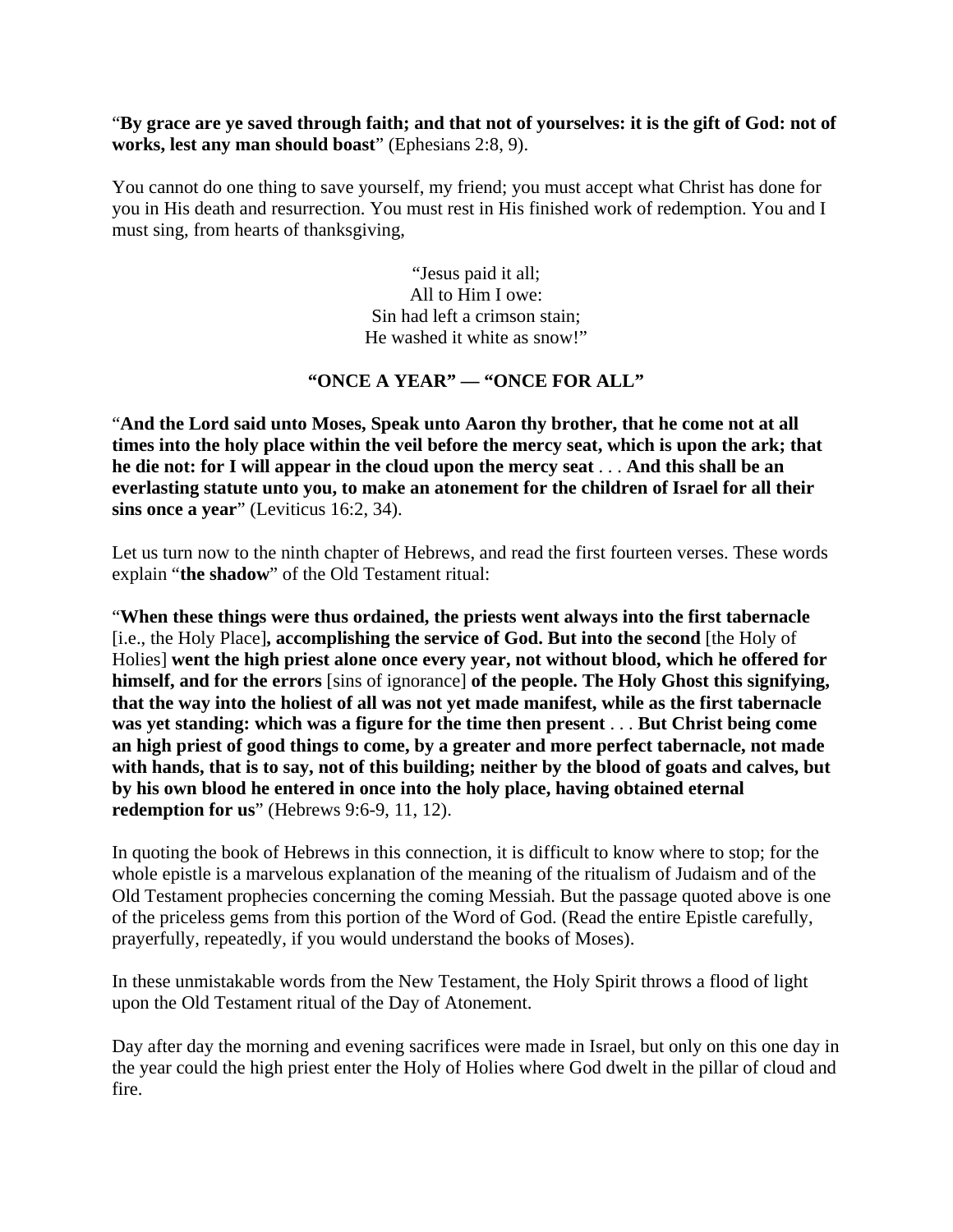#### "**By grace are ye saved through faith; and that not of yourselves: it is the gift of God: not of works, lest any man should boast**" (Ephesians 2:8, 9).

You cannot do one thing to save yourself, my friend; you must accept what Christ has done for you in His death and resurrection. You must rest in His finished work of redemption. You and I must sing, from hearts of thanksgiving,

> "Jesus paid it all; All to Him I owe: Sin had left a crimson stain; He washed it white as snow!"

#### **"ONCE A YEAR" — "ONCE FOR ALL"**

"**And the Lord said unto Moses, Speak unto Aaron thy brother, that he come not at all times into the holy place within the veil before the mercy seat, which is upon the ark; that he die not: for I will appear in the cloud upon the mercy seat** . . . **And this shall be an everlasting statute unto you, to make an atonement for the children of Israel for all their sins once a year**" (Leviticus 16:2, 34).

Let us turn now to the ninth chapter of Hebrews, and read the first fourteen verses. These words explain "**the shadow**" of the Old Testament ritual:

"**When these things were thus ordained, the priests went always into the first tabernacle** [i.e., the Holy Place]**, accomplishing the service of God. But into the second** [the Holy of Holies] **went the high priest alone once every year, not without blood, which he offered for himself, and for the errors** [sins of ignorance] **of the people. The Holy Ghost this signifying, that the way into the holiest of all was not yet made manifest, while as the first tabernacle was yet standing: which was a figure for the time then present** . . . **But Christ being come an high priest of good things to come, by a greater and more perfect tabernacle, not made with hands, that is to say, not of this building; neither by the blood of goats and calves, but by his own blood he entered in once into the holy place, having obtained eternal redemption for us**" (Hebrews 9:6-9, 11, 12).

In quoting the book of Hebrews in this connection, it is difficult to know where to stop; for the whole epistle is a marvelous explanation of the meaning of the ritualism of Judaism and of the Old Testament prophecies concerning the coming Messiah. But the passage quoted above is one of the priceless gems from this portion of the Word of God. (Read the entire Epistle carefully, prayerfully, repeatedly, if you would understand the books of Moses).

In these unmistakable words from the New Testament, the Holy Spirit throws a flood of light upon the Old Testament ritual of the Day of Atonement.

Day after day the morning and evening sacrifices were made in Israel, but only on this one day in the year could the high priest enter the Holy of Holies where God dwelt in the pillar of cloud and fire.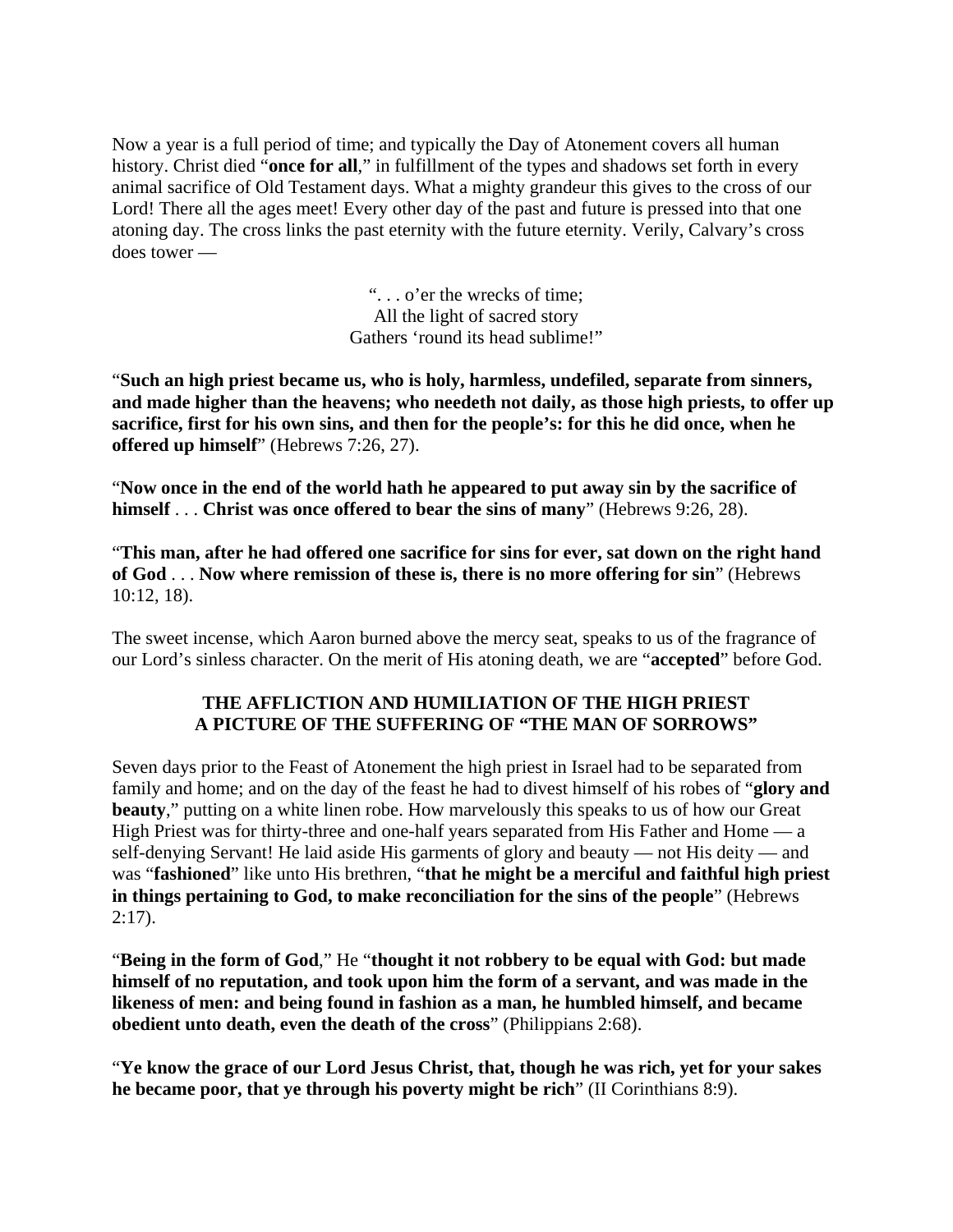Now a year is a full period of time; and typically the Day of Atonement covers all human history. Christ died "**once for all**," in fulfillment of the types and shadows set forth in every animal sacrifice of Old Testament days. What a mighty grandeur this gives to the cross of our Lord! There all the ages meet! Every other day of the past and future is pressed into that one atoning day. The cross links the past eternity with the future eternity. Verily, Calvary's cross does tower —

> ". . . o'er the wrecks of time; All the light of sacred story Gathers 'round its head sublime!"

"**Such an high priest became us, who is holy, harmless, undefiled, separate from sinners, and made higher than the heavens; who needeth not daily, as those high priests, to offer up sacrifice, first for his own sins, and then for the people's: for this he did once, when he offered up himself**" (Hebrews 7:26, 27).

"**Now once in the end of the world hath he appeared to put away sin by the sacrifice of himself** . . . **Christ was once offered to bear the sins of many**" (Hebrews 9:26, 28).

"**This man, after he had offered one sacrifice for sins for ever, sat down on the right hand of God** . . . **Now where remission of these is, there is no more offering for sin**" (Hebrews 10:12, 18).

The sweet incense, which Aaron burned above the mercy seat, speaks to us of the fragrance of our Lord's sinless character. On the merit of His atoning death, we are "**accepted**" before God.

## **THE AFFLICTION AND HUMILIATION OF THE HIGH PRIEST A PICTURE OF THE SUFFERING OF "THE MAN OF SORROWS"**

Seven days prior to the Feast of Atonement the high priest in Israel had to be separated from family and home; and on the day of the feast he had to divest himself of his robes of "**glory and beauty**," putting on a white linen robe. How marvelously this speaks to us of how our Great High Priest was for thirty-three and one-half years separated from His Father and Home — a self-denying Servant! He laid aside His garments of glory and beauty — not His deity — and was "**fashioned**" like unto His brethren, "**that he might be a merciful and faithful high priest in things pertaining to God, to make reconciliation for the sins of the people**" (Hebrews  $2:17$ ).

"**Being in the form of God**," He "**thought it not robbery to be equal with God: but made himself of no reputation, and took upon him the form of a servant, and was made in the likeness of men: and being found in fashion as a man, he humbled himself, and became obedient unto death, even the death of the cross**" (Philippians 2:68).

"**Ye know the grace of our Lord Jesus Christ, that, though he was rich, yet for your sakes he became poor, that ye through his poverty might be rich**" (II Corinthians 8:9).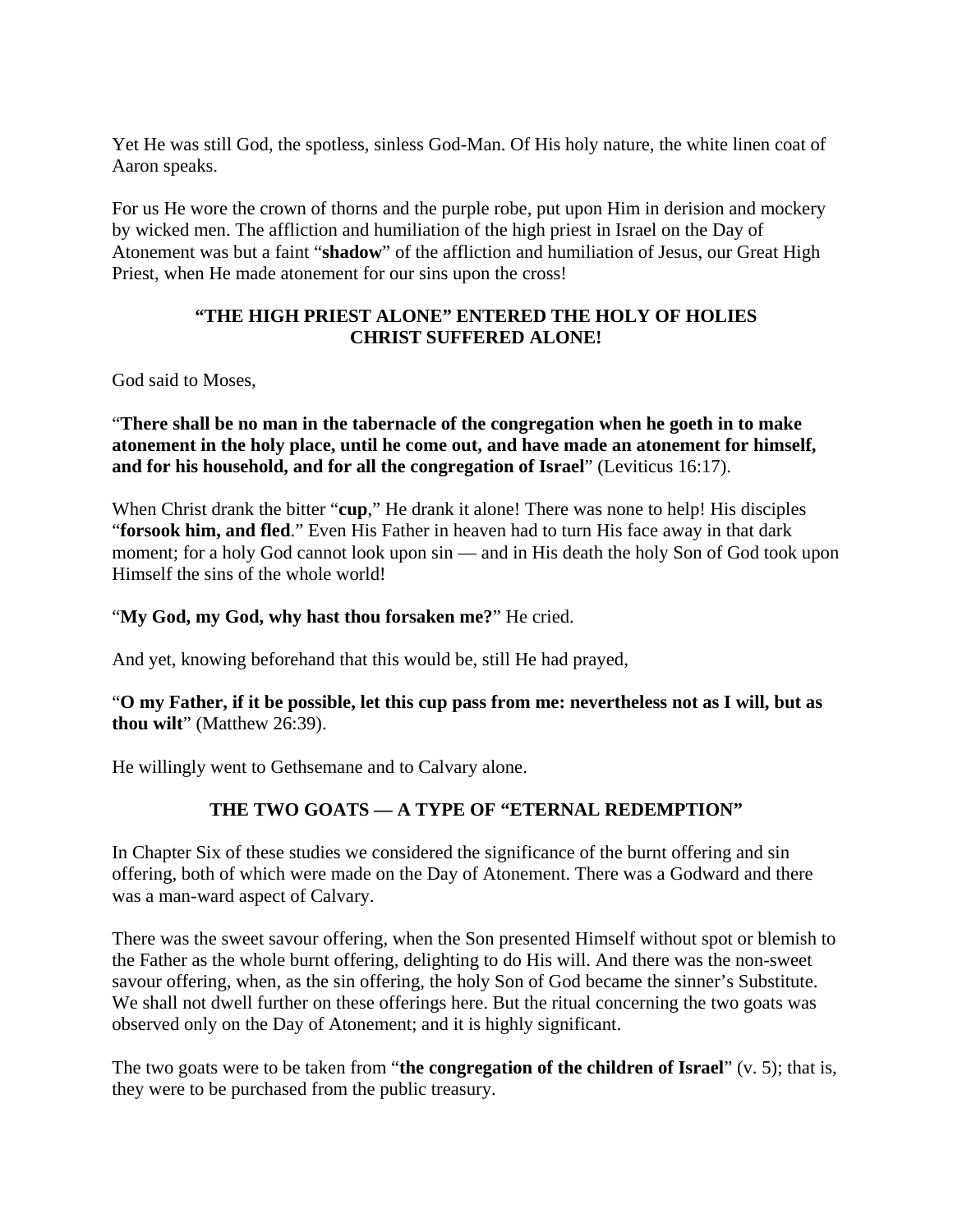Yet He was still God, the spotless, sinless God-Man. Of His holy nature, the white linen coat of Aaron speaks.

For us He wore the crown of thorns and the purple robe, put upon Him in derision and mockery by wicked men. The affliction and humiliation of the high priest in Israel on the Day of Atonement was but a faint "**shadow**" of the affliction and humiliation of Jesus, our Great High Priest, when He made atonement for our sins upon the cross!

# **"THE HIGH PRIEST ALONE" ENTERED THE HOLY OF HOLIES CHRIST SUFFERED ALONE!**

God said to Moses,

"**There shall be no man in the tabernacle of the congregation when he goeth in to make atonement in the holy place, until he come out, and have made an atonement for himself, and for his household, and for all the congregation of Israel**" (Leviticus 16:17).

When Christ drank the bitter "**cup**," He drank it alone! There was none to help! His disciples "**forsook him, and fled**." Even His Father in heaven had to turn His face away in that dark moment; for a holy God cannot look upon sin — and in His death the holy Son of God took upon Himself the sins of the whole world!

# "**My God, my God, why hast thou forsaken me?**" He cried.

And yet, knowing beforehand that this would be, still He had prayed,

## "**O my Father, if it be possible, let this cup pass from me: nevertheless not as I will, but as thou wilt**" (Matthew 26:39).

He willingly went to Gethsemane and to Calvary alone.

# **THE TWO GOATS — A TYPE OF "ETERNAL REDEMPTION"**

In Chapter Six of these studies we considered the significance of the burnt offering and sin offering, both of which were made on the Day of Atonement. There was a Godward and there was a man-ward aspect of Calvary.

There was the sweet savour offering, when the Son presented Himself without spot or blemish to the Father as the whole burnt offering, delighting to do His will. And there was the non-sweet savour offering, when, as the sin offering, the holy Son of God became the sinner's Substitute. We shall not dwell further on these offerings here. But the ritual concerning the two goats was observed only on the Day of Atonement; and it is highly significant.

The two goats were to be taken from "**the congregation of the children of Israel**" (v. 5); that is, they were to be purchased from the public treasury.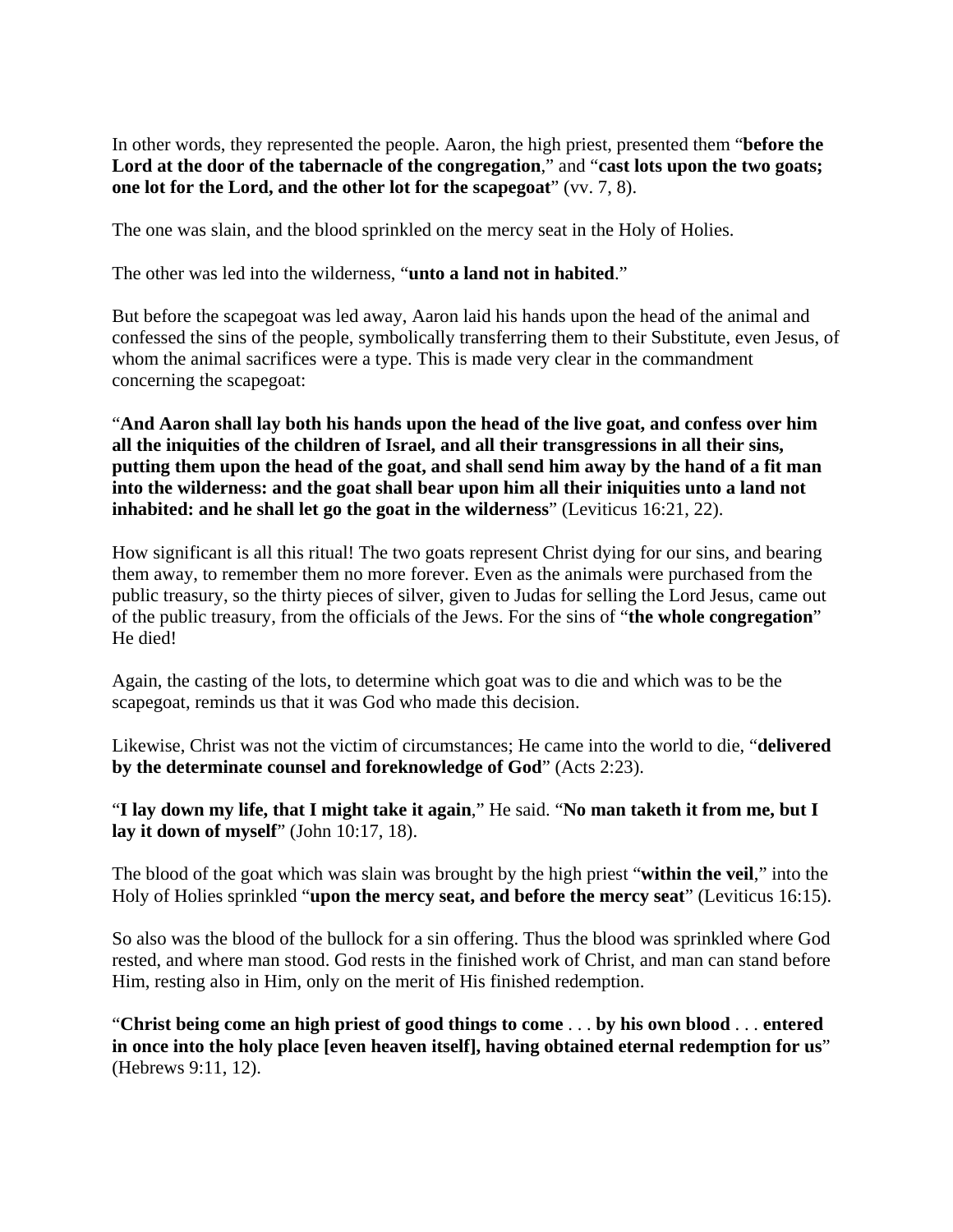In other words, they represented the people. Aaron, the high priest, presented them "**before the Lord at the door of the tabernacle of the congregation**," and "**cast lots upon the two goats; one lot for the Lord, and the other lot for the scapegoat**" (vv. 7, 8).

The one was slain, and the blood sprinkled on the mercy seat in the Holy of Holies.

The other was led into the wilderness, "**unto a land not in habited**."

But before the scapegoat was led away, Aaron laid his hands upon the head of the animal and confessed the sins of the people, symbolically transferring them to their Substitute, even Jesus, of whom the animal sacrifices were a type. This is made very clear in the commandment concerning the scapegoat:

"**And Aaron shall lay both his hands upon the head of the live goat, and confess over him all the iniquities of the children of Israel, and all their transgressions in all their sins, putting them upon the head of the goat, and shall send him away by the hand of a fit man into the wilderness: and the goat shall bear upon him all their iniquities unto a land not inhabited: and he shall let go the goat in the wilderness**" (Leviticus 16:21, 22).

How significant is all this ritual! The two goats represent Christ dying for our sins, and bearing them away, to remember them no more forever. Even as the animals were purchased from the public treasury, so the thirty pieces of silver, given to Judas for selling the Lord Jesus, came out of the public treasury, from the officials of the Jews. For the sins of "**the whole congregation**" He died!

Again, the casting of the lots, to determine which goat was to die and which was to be the scapegoat, reminds us that it was God who made this decision.

Likewise, Christ was not the victim of circumstances; He came into the world to die, "**delivered by the determinate counsel and foreknowledge of God**" (Acts 2:23).

"**I lay down my life, that I might take it again**," He said. "**No man taketh it from me, but I lay it down of myself**" (John 10:17, 18).

The blood of the goat which was slain was brought by the high priest "**within the veil**," into the Holy of Holies sprinkled "**upon the mercy seat, and before the mercy seat**" (Leviticus 16:15).

So also was the blood of the bullock for a sin offering. Thus the blood was sprinkled where God rested, and where man stood. God rests in the finished work of Christ, and man can stand before Him, resting also in Him, only on the merit of His finished redemption.

"**Christ being come an high priest of good things to come** . . . **by his own blood** . . . **entered in once into the holy place [even heaven itself], having obtained eternal redemption for us**" (Hebrews 9:11, 12).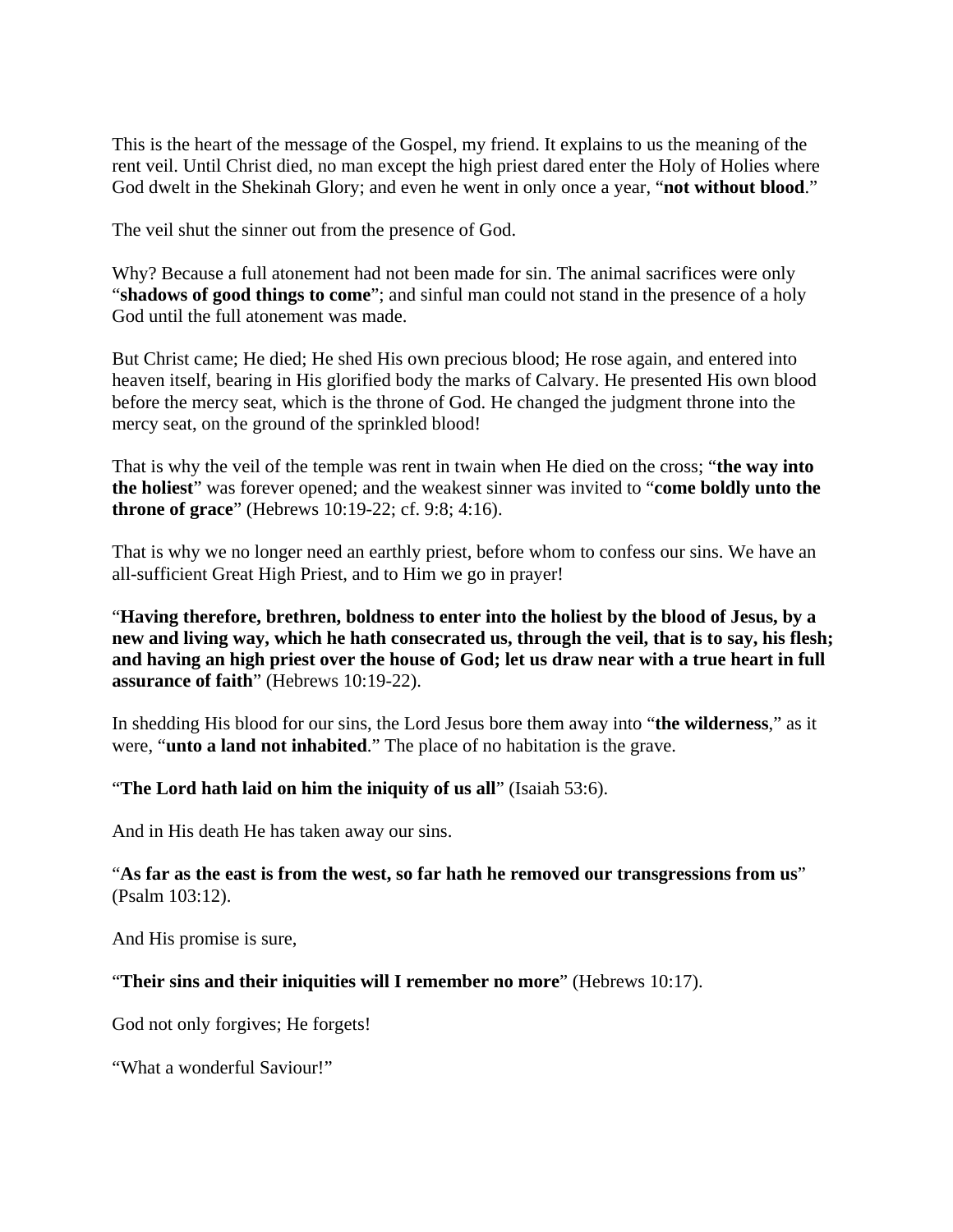This is the heart of the message of the Gospel, my friend. It explains to us the meaning of the rent veil. Until Christ died, no man except the high priest dared enter the Holy of Holies where God dwelt in the Shekinah Glory; and even he went in only once a year, "**not without blood**."

The veil shut the sinner out from the presence of God.

Why? Because a full atonement had not been made for sin. The animal sacrifices were only "**shadows of good things to come**"; and sinful man could not stand in the presence of a holy God until the full atonement was made.

But Christ came; He died; He shed His own precious blood; He rose again, and entered into heaven itself, bearing in His glorified body the marks of Calvary. He presented His own blood before the mercy seat, which is the throne of God. He changed the judgment throne into the mercy seat, on the ground of the sprinkled blood!

That is why the veil of the temple was rent in twain when He died on the cross; "**the way into the holiest**" was forever opened; and the weakest sinner was invited to "**come boldly unto the throne of grace**" (Hebrews 10:19-22; cf. 9:8; 4:16).

That is why we no longer need an earthly priest, before whom to confess our sins. We have an all-sufficient Great High Priest, and to Him we go in prayer!

"**Having therefore, brethren, boldness to enter into the holiest by the blood of Jesus, by a new and living way, which he hath consecrated us, through the veil, that is to say, his flesh; and having an high priest over the house of God; let us draw near with a true heart in full assurance of faith**" (Hebrews 10:19-22).

In shedding His blood for our sins, the Lord Jesus bore them away into "**the wilderness**," as it were, "**unto a land not inhabited**." The place of no habitation is the grave.

"**The Lord hath laid on him the iniquity of us all**" (Isaiah 53:6).

And in His death He has taken away our sins.

"**As far as the east is from the west, so far hath he removed our transgressions from us**" (Psalm 103:12).

And His promise is sure,

"**Their sins and their iniquities will I remember no more**" (Hebrews 10:17).

God not only forgives; He forgets!

"What a wonderful Saviour!"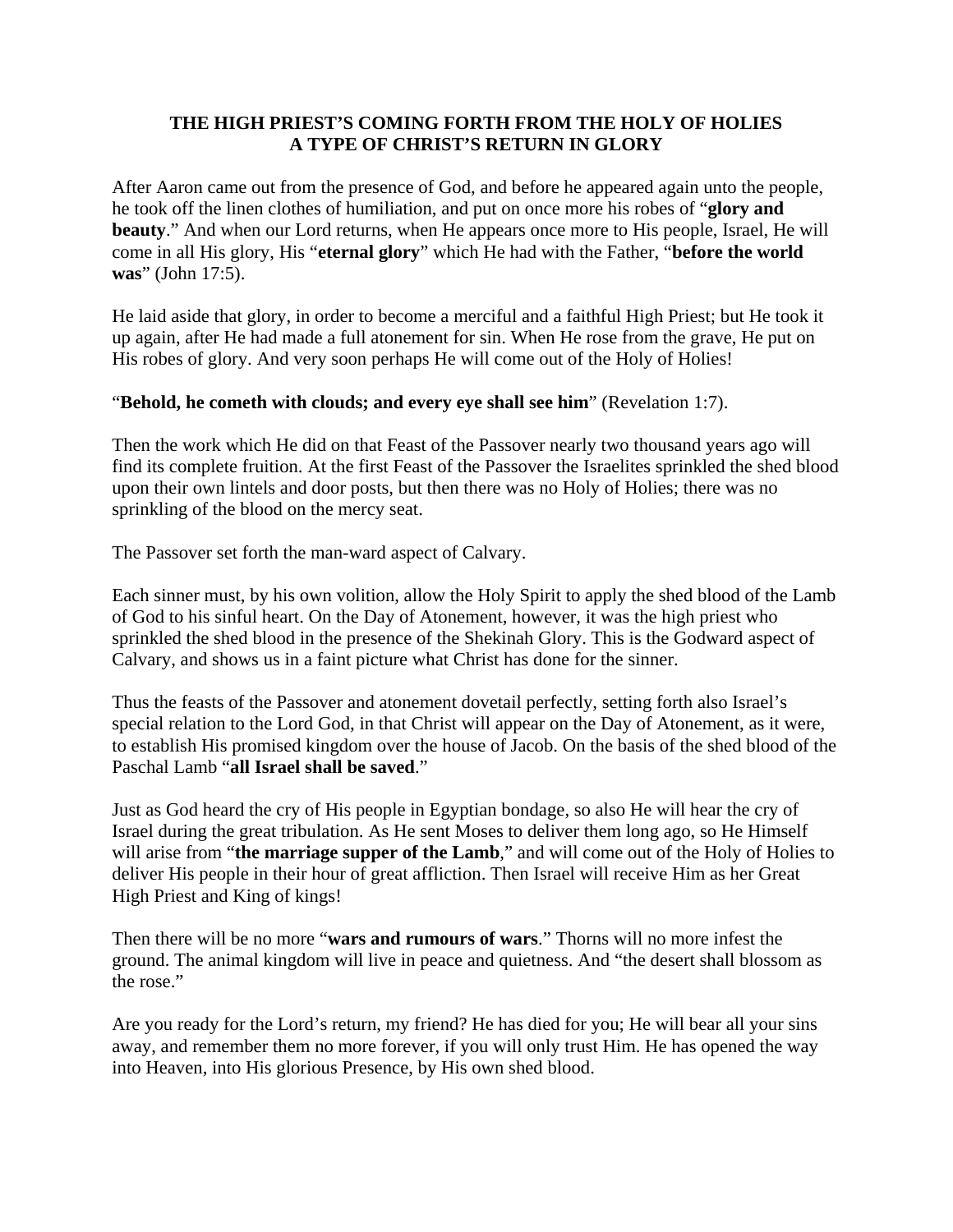## **THE HIGH PRIEST'S COMING FORTH FROM THE HOLY OF HOLIES A TYPE OF CHRIST'S RETURN IN GLORY**

After Aaron came out from the presence of God, and before he appeared again unto the people, he took off the linen clothes of humiliation, and put on once more his robes of "**glory and beauty**." And when our Lord returns, when He appears once more to His people, Israel, He will come in all His glory, His "**eternal glory**" which He had with the Father, "**before the world was**" (John 17:5).

He laid aside that glory, in order to become a merciful and a faithful High Priest; but He took it up again, after He had made a full atonement for sin. When He rose from the grave, He put on His robes of glory. And very soon perhaps He will come out of the Holy of Holies!

## "**Behold, he cometh with clouds; and every eye shall see him**" (Revelation 1:7).

Then the work which He did on that Feast of the Passover nearly two thousand years ago will find its complete fruition. At the first Feast of the Passover the Israelites sprinkled the shed blood upon their own lintels and door posts, but then there was no Holy of Holies; there was no sprinkling of the blood on the mercy seat.

The Passover set forth the man-ward aspect of Calvary.

Each sinner must, by his own volition, allow the Holy Spirit to apply the shed blood of the Lamb of God to his sinful heart. On the Day of Atonement, however, it was the high priest who sprinkled the shed blood in the presence of the Shekinah Glory. This is the Godward aspect of Calvary, and shows us in a faint picture what Christ has done for the sinner.

Thus the feasts of the Passover and atonement dovetail perfectly, setting forth also Israel's special relation to the Lord God, in that Christ will appear on the Day of Atonement, as it were, to establish His promised kingdom over the house of Jacob. On the basis of the shed blood of the Paschal Lamb "**all Israel shall be saved**."

Just as God heard the cry of His people in Egyptian bondage, so also He will hear the cry of Israel during the great tribulation. As He sent Moses to deliver them long ago, so He Himself will arise from "**the marriage supper of the Lamb**," and will come out of the Holy of Holies to deliver His people in their hour of great affliction. Then Israel will receive Him as her Great High Priest and King of kings!

Then there will be no more "**wars and rumours of wars**." Thorns will no more infest the ground. The animal kingdom will live in peace and quietness. And "the desert shall blossom as the rose."

Are you ready for the Lord's return, my friend? He has died for you; He will bear all your sins away, and remember them no more forever, if you will only trust Him. He has opened the way into Heaven, into His glorious Presence, by His own shed blood.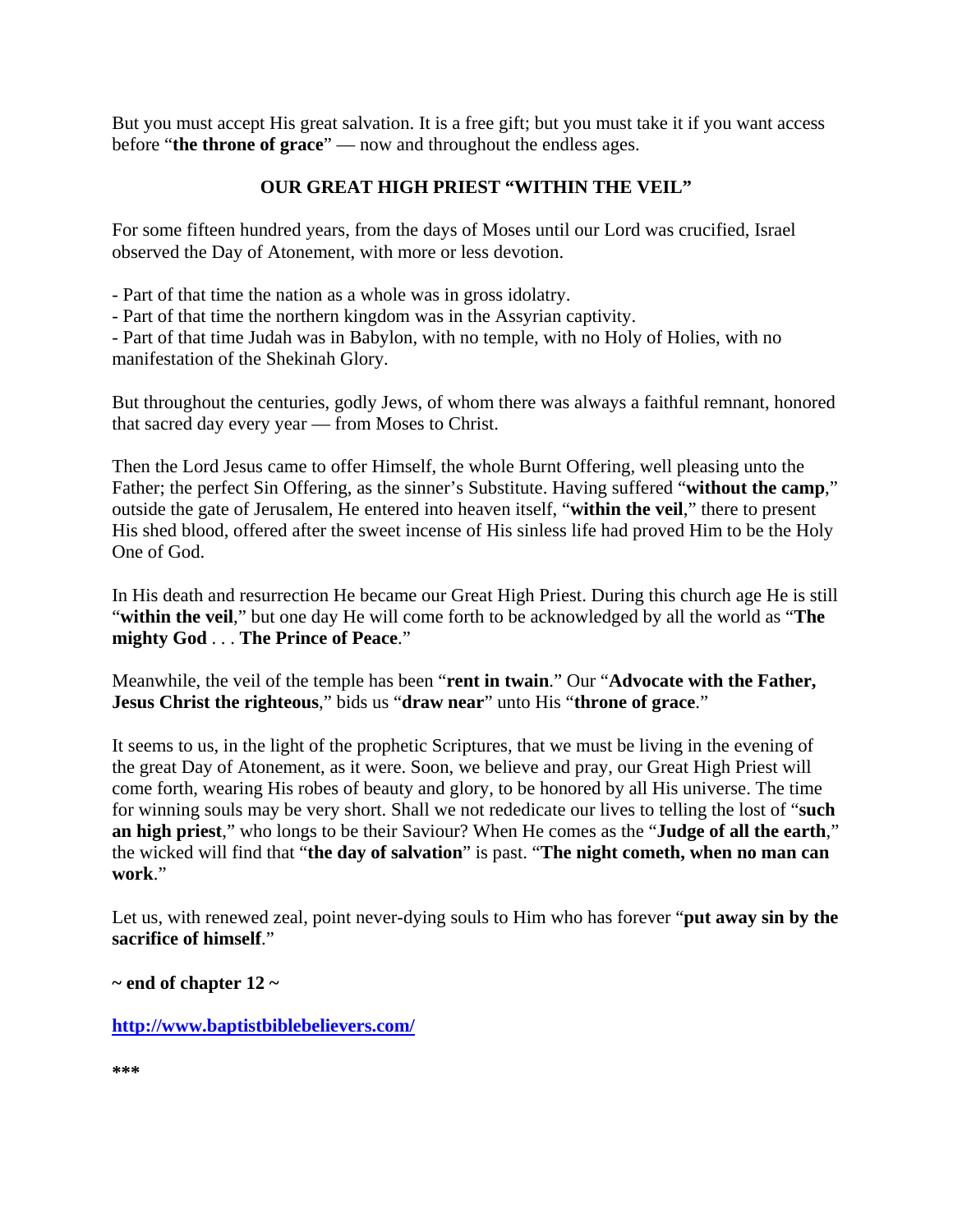But you must accept His great salvation. It is a free gift; but you must take it if you want access before "**the throne of grace**" — now and throughout the endless ages.

## **OUR GREAT HIGH PRIEST "WITHIN THE VEIL"**

For some fifteen hundred years, from the days of Moses until our Lord was crucified, Israel observed the Day of Atonement, with more or less devotion.

- Part of that time the nation as a whole was in gross idolatry.

- Part of that time the northern kingdom was in the Assyrian captivity.

- Part of that time Judah was in Babylon, with no temple, with no Holy of Holies, with no manifestation of the Shekinah Glory.

But throughout the centuries, godly Jews, of whom there was always a faithful remnant, honored that sacred day every year — from Moses to Christ.

Then the Lord Jesus came to offer Himself, the whole Burnt Offering, well pleasing unto the Father; the perfect Sin Offering, as the sinner's Substitute. Having suffered "**without the camp**," outside the gate of Jerusalem, He entered into heaven itself, "**within the veil**," there to present His shed blood, offered after the sweet incense of His sinless life had proved Him to be the Holy One of God.

In His death and resurrection He became our Great High Priest. During this church age He is still "**within the veil**," but one day He will come forth to be acknowledged by all the world as "**The mighty God** . . . **The Prince of Peace**."

Meanwhile, the veil of the temple has been "**rent in twain**." Our "**Advocate with the Father, Jesus Christ the righteous**," bids us "**draw near**" unto His "**throne of grace**."

It seems to us, in the light of the prophetic Scriptures, that we must be living in the evening of the great Day of Atonement, as it were. Soon, we believe and pray, our Great High Priest will come forth, wearing His robes of beauty and glory, to be honored by all His universe. The time for winning souls may be very short. Shall we not rededicate our lives to telling the lost of "**such an high priest**," who longs to be their Saviour? When He comes as the "**Judge of all the earth**," the wicked will find that "**the day of salvation**" is past. "**The night cometh, when no man can work**."

Let us, with renewed zeal, point never-dying souls to Him who has forever "**put away sin by the sacrifice of himself**."

**~ end of chapter 12 ~** 

**http://www.baptistbiblebelievers.com/**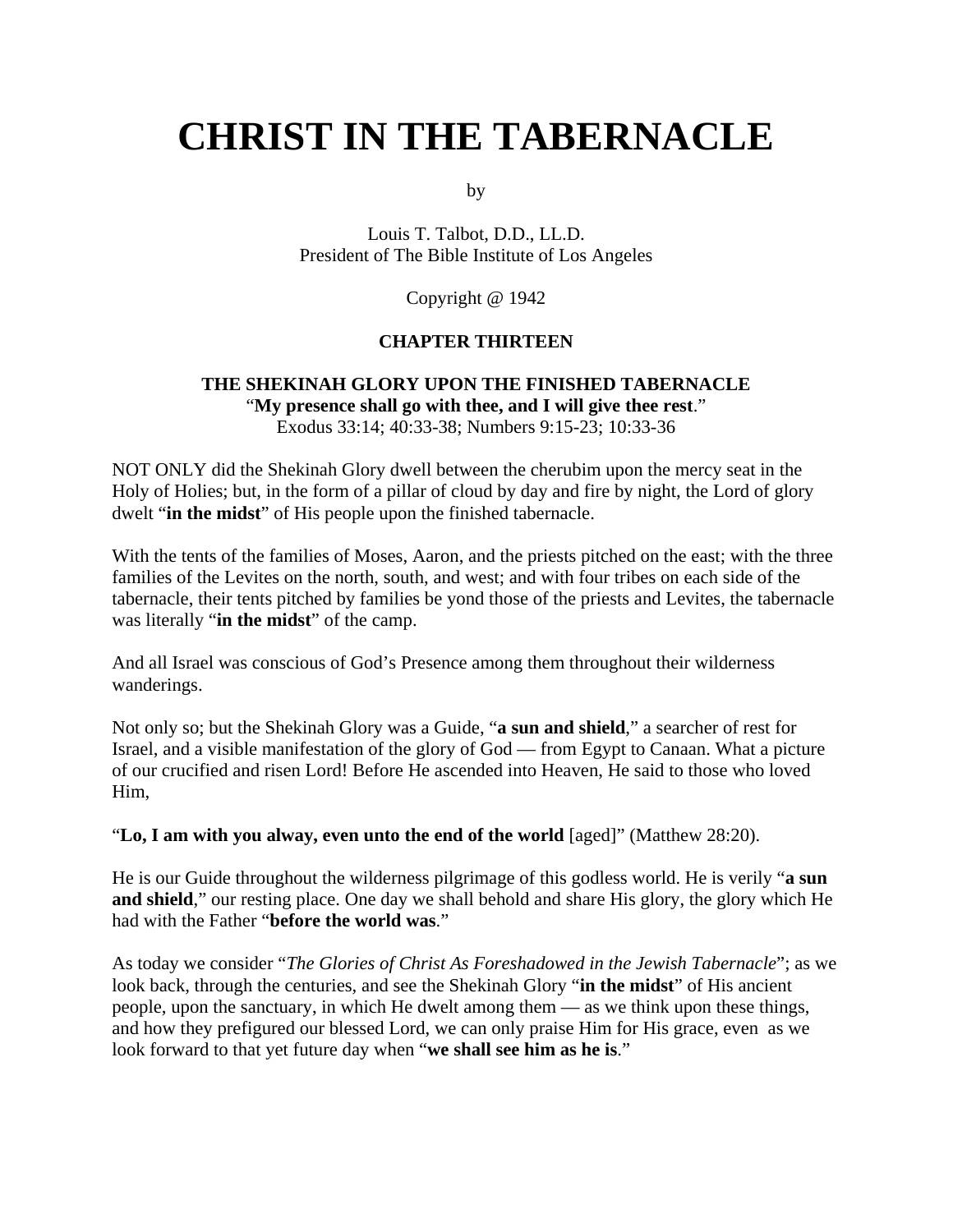# **CHRIST IN THE TABERNACLE**

by

Louis T. Talbot, D.D., LL.D. President of The Bible Institute of Los Angeles

Copyright @ 1942

#### **CHAPTER THIRTEEN**

#### **THE SHEKINAH GLORY UPON THE FINISHED TABERNACLE** "**My presence shall go with thee, and I will give thee rest**." Exodus 33:14; 40:33-38; Numbers 9:15-23; 10:33-36

NOT ONLY did the Shekinah Glory dwell between the cherubim upon the mercy seat in the Holy of Holies; but, in the form of a pillar of cloud by day and fire by night, the Lord of glory dwelt "**in the midst**" of His people upon the finished tabernacle.

With the tents of the families of Moses, Aaron, and the priests pitched on the east; with the three families of the Levites on the north, south, and west; and with four tribes on each side of the tabernacle, their tents pitched by families be yond those of the priests and Levites, the tabernacle was literally "**in the midst**" of the camp.

And all Israel was conscious of God's Presence among them throughout their wilderness wanderings.

Not only so; but the Shekinah Glory was a Guide, "**a sun and shield**," a searcher of rest for Israel, and a visible manifestation of the glory of God — from Egypt to Canaan. What a picture of our crucified and risen Lord! Before He ascended into Heaven, He said to those who loved Him,

"**Lo, I am with you alway, even unto the end of the world** [aged]" (Matthew 28:20).

He is our Guide throughout the wilderness pilgrimage of this godless world. He is verily "**a sun and shield**," our resting place. One day we shall behold and share His glory, the glory which He had with the Father "**before the world was**."

As today we consider "*The Glories of Christ As Foreshadowed in the Jewish Tabernacle*"; as we look back, through the centuries, and see the Shekinah Glory "**in the midst**" of His ancient people, upon the sanctuary, in which He dwelt among them — as we think upon these things, and how they prefigured our blessed Lord, we can only praise Him for His grace, even as we look forward to that yet future day when "**we shall see him as he is**."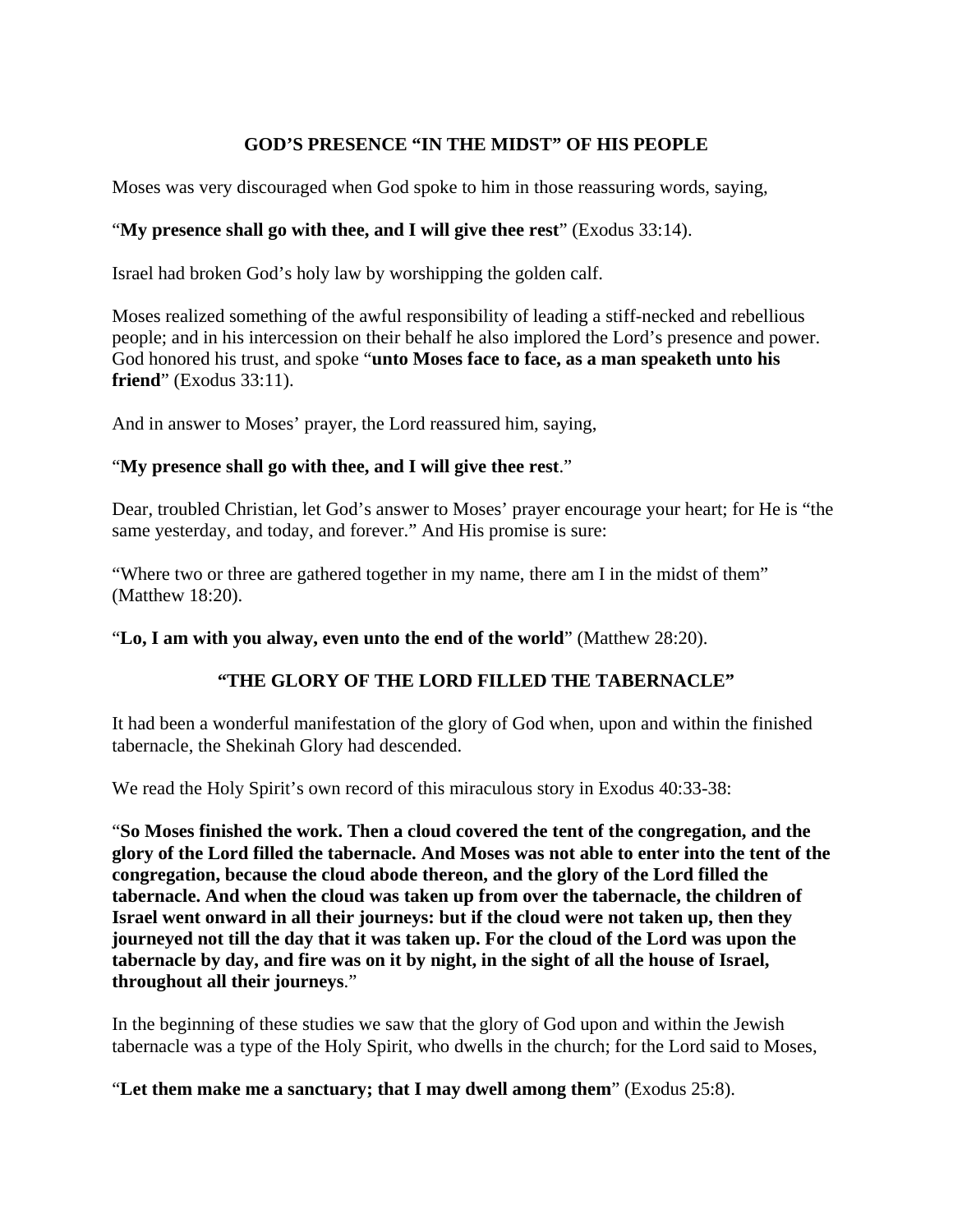## **GOD'S PRESENCE "IN THE MIDST" OF HIS PEOPLE**

Moses was very discouraged when God spoke to him in those reassuring words, saying,

## "**My presence shall go with thee, and I will give thee rest**" (Exodus 33:14).

Israel had broken God's holy law by worshipping the golden calf.

Moses realized something of the awful responsibility of leading a stiff-necked and rebellious people; and in his intercession on their behalf he also implored the Lord's presence and power. God honored his trust, and spoke "**unto Moses face to face, as a man speaketh unto his friend**" (Exodus 33:11).

And in answer to Moses' prayer, the Lord reassured him, saying,

### "**My presence shall go with thee, and I will give thee rest**."

Dear, troubled Christian, let God's answer to Moses' prayer encourage your heart; for He is "the same yesterday, and today, and forever." And His promise is sure:

"Where two or three are gathered together in my name, there am I in the midst of them" (Matthew 18:20).

"**Lo, I am with you alway, even unto the end of the world**" (Matthew 28:20).

## **"THE GLORY OF THE LORD FILLED THE TABERNACLE"**

It had been a wonderful manifestation of the glory of God when, upon and within the finished tabernacle, the Shekinah Glory had descended.

We read the Holy Spirit's own record of this miraculous story in Exodus 40:33-38:

"**So Moses finished the work. Then a cloud covered the tent of the congregation, and the glory of the Lord filled the tabernacle. And Moses was not able to enter into the tent of the congregation, because the cloud abode thereon, and the glory of the Lord filled the tabernacle. And when the cloud was taken up from over the tabernacle, the children of Israel went onward in all their journeys: but if the cloud were not taken up, then they journeyed not till the day that it was taken up. For the cloud of the Lord was upon the tabernacle by day, and fire was on it by night, in the sight of all the house of Israel, throughout all their journeys**."

In the beginning of these studies we saw that the glory of God upon and within the Jewish tabernacle was a type of the Holy Spirit, who dwells in the church; for the Lord said to Moses,

"**Let them make me a sanctuary; that I may dwell among them**" (Exodus 25:8).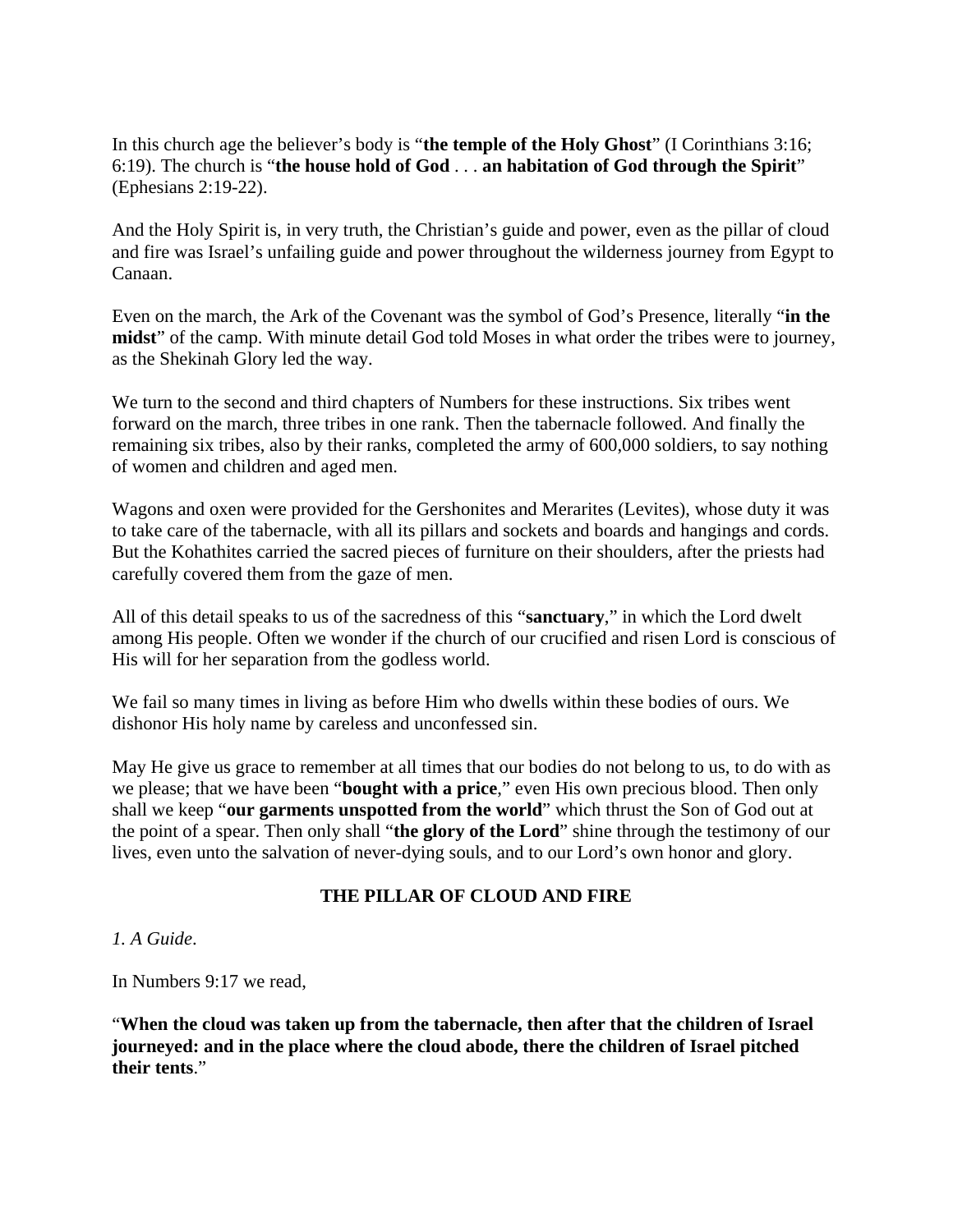In this church age the believer's body is "**the temple of the Holy Ghost**" (I Corinthians 3:16; 6:19). The church is "**the house hold of God** . . . **an habitation of God through the Spirit**" (Ephesians 2:19-22).

And the Holy Spirit is, in very truth, the Christian's guide and power, even as the pillar of cloud and fire was Israel's unfailing guide and power throughout the wilderness journey from Egypt to Canaan.

Even on the march, the Ark of the Covenant was the symbol of God's Presence, literally "**in the midst**" of the camp. With minute detail God told Moses in what order the tribes were to journey, as the Shekinah Glory led the way.

We turn to the second and third chapters of Numbers for these instructions. Six tribes went forward on the march, three tribes in one rank. Then the tabernacle followed. And finally the remaining six tribes, also by their ranks, completed the army of 600,000 soldiers, to say nothing of women and children and aged men.

Wagons and oxen were provided for the Gershonites and Merarites (Levites), whose duty it was to take care of the tabernacle, with all its pillars and sockets and boards and hangings and cords. But the Kohathites carried the sacred pieces of furniture on their shoulders, after the priests had carefully covered them from the gaze of men.

All of this detail speaks to us of the sacredness of this "**sanctuary**," in which the Lord dwelt among His people. Often we wonder if the church of our crucified and risen Lord is conscious of His will for her separation from the godless world.

We fail so many times in living as before Him who dwells within these bodies of ours. We dishonor His holy name by careless and unconfessed sin.

May He give us grace to remember at all times that our bodies do not belong to us, to do with as we please; that we have been "**bought with a price**," even His own precious blood. Then only shall we keep "**our garments unspotted from the world**" which thrust the Son of God out at the point of a spear. Then only shall "**the glory of the Lord**" shine through the testimony of our lives, even unto the salvation of never-dying souls, and to our Lord's own honor and glory.

## **THE PILLAR OF CLOUD AND FIRE**

*1. A Guide*.

In Numbers 9:17 we read,

"**When the cloud was taken up from the tabernacle, then after that the children of Israel journeyed: and in the place where the cloud abode, there the children of Israel pitched their tents**."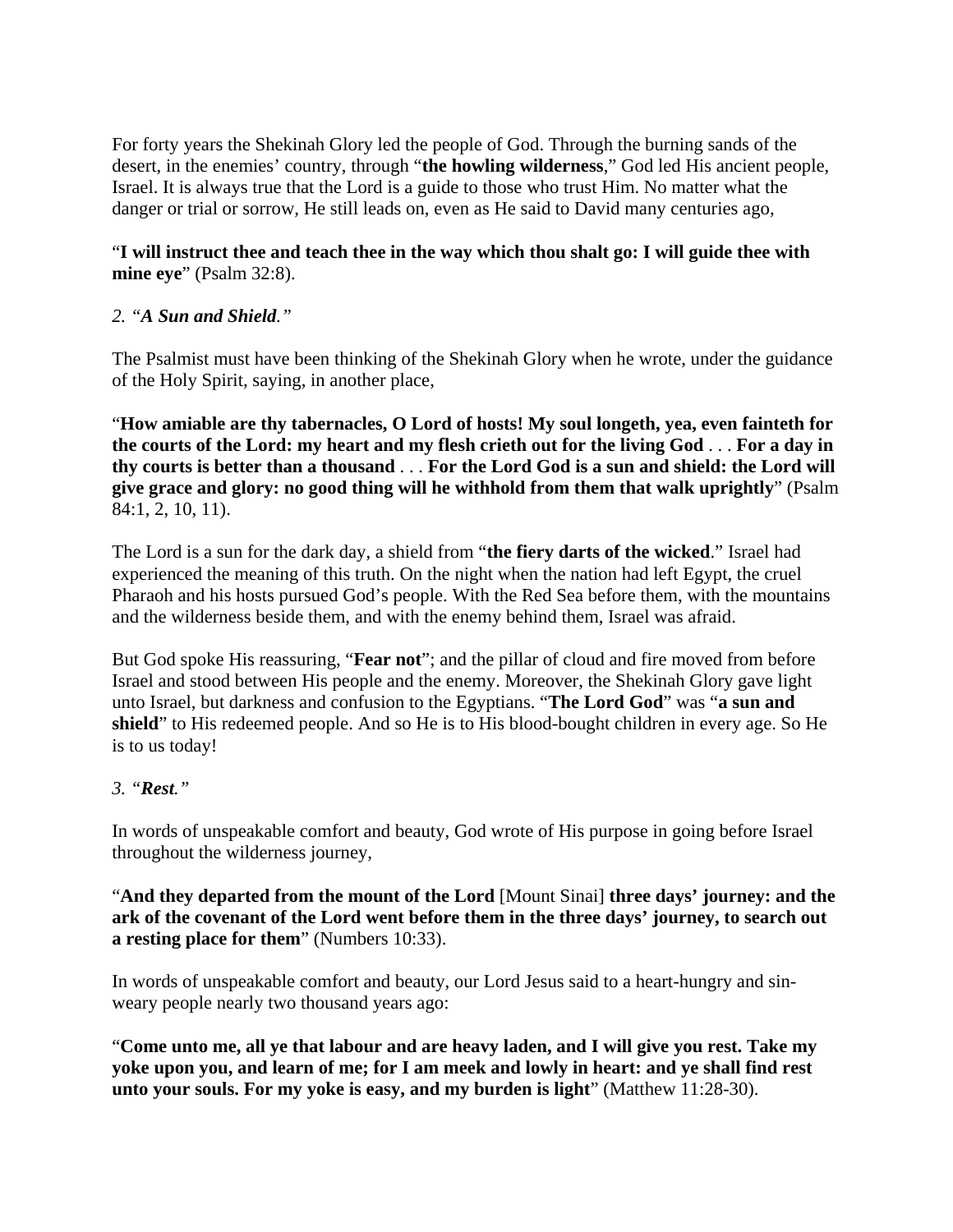For forty years the Shekinah Glory led the people of God. Through the burning sands of the desert, in the enemies' country, through "**the howling wilderness**," God led His ancient people, Israel. It is always true that the Lord is a guide to those who trust Him. No matter what the danger or trial or sorrow, He still leads on, even as He said to David many centuries ago,

## "**I will instruct thee and teach thee in the way which thou shalt go: I will guide thee with mine eye**" (Psalm 32:8).

## *2. "A Sun and Shield."*

The Psalmist must have been thinking of the Shekinah Glory when he wrote, under the guidance of the Holy Spirit, saying, in another place,

"**How amiable are thy tabernacles, O Lord of hosts! My soul longeth, yea, even fainteth for the courts of the Lord: my heart and my flesh crieth out for the living God** . . . **For a day in thy courts is better than a thousand** . . . **For the Lord God is a sun and shield: the Lord will give grace and glory: no good thing will he withhold from them that walk uprightly**" (Psalm 84:1, 2, 10, 11).

The Lord is a sun for the dark day, a shield from "**the fiery darts of the wicked**." Israel had experienced the meaning of this truth. On the night when the nation had left Egypt, the cruel Pharaoh and his hosts pursued God's people. With the Red Sea before them, with the mountains and the wilderness beside them, and with the enemy behind them, Israel was afraid.

But God spoke His reassuring, "**Fear not**"; and the pillar of cloud and fire moved from before Israel and stood between His people and the enemy. Moreover, the Shekinah Glory gave light unto Israel, but darkness and confusion to the Egyptians. "**The Lord God**" was "**a sun and shield**" to His redeemed people. And so He is to His blood-bought children in every age. So He is to us today!

## *3. "Rest."*

In words of unspeakable comfort and beauty, God wrote of His purpose in going before Israel throughout the wilderness journey,

"**And they departed from the mount of the Lord** [Mount Sinai] **three days' journey: and the ark of the covenant of the Lord went before them in the three days' journey, to search out a resting place for them**" (Numbers 10:33).

In words of unspeakable comfort and beauty, our Lord Jesus said to a heart-hungry and sinweary people nearly two thousand years ago:

"**Come unto me, all ye that labour and are heavy laden, and I will give you rest. Take my yoke upon you, and learn of me; for I am meek and lowly in heart: and ye shall find rest unto your souls. For my yoke is easy, and my burden is light**" (Matthew 11:28-30).